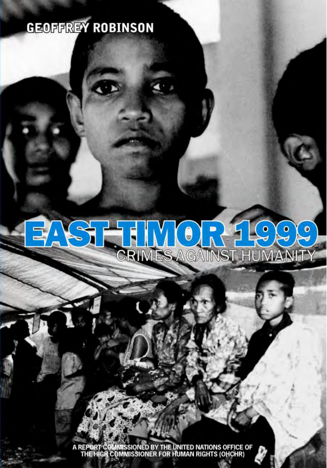# **GEOFFREY ROBINSON**

### R THE MORE TOOS ET,

A REPORT COMMISSIONED BY THE UNITED NATIONS OFFICE OF THE HIGH COMMISSIONER FOR HUMAN RIGHTS (OHCHR)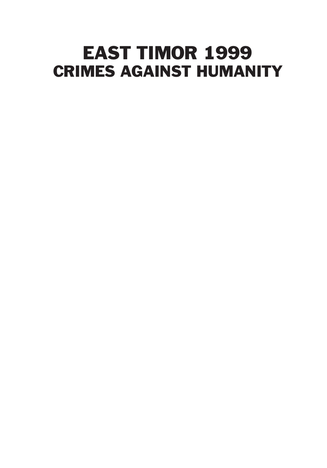# EAST TIMOR 1999 CRIMES AGAINST HUMANITY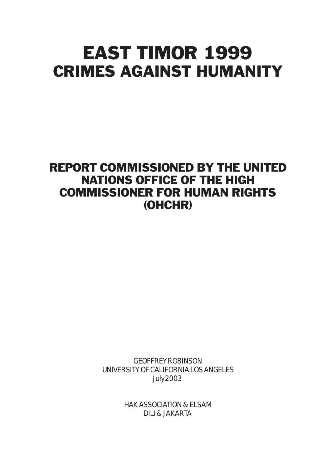# EAST TIMOR 1999 CRIMES AGAINST HUMANITY

### REPORT COMMISSIONED BY THE UNITED NATIONS OFFICE OF THE HIGH COMMISSIONER FOR HUMAN RIGHTS (OHCHR)

GEOFFREY ROBINSON UNIVERSITY OF CALIFORNIA LOS ANGELES July 2003

> HAK ASSOCIATION & ELSAM DILI & JAKARTA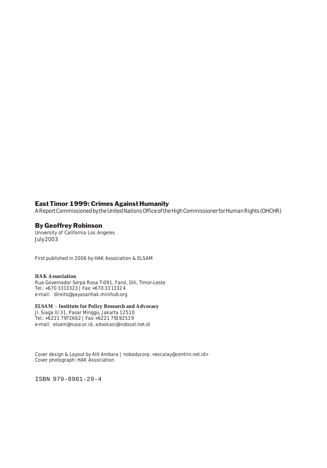#### East Timor 1999: Crimes Against Humanity

A Report Commissioned by the United Nations Office of the High Commissioner for Human Rights (OHCHR)

#### By Geoffrey Robinson

University of California Los Angeles July 2003

First published in 2006 by HAK Association & ELSAM

#### **HAK Association**

Rua Governador Serpa Rosa T-091, Farol, Dili, Timor-Leste Tel.: +670 3313323 | Fax: +670 3313324 e-mail: *direito@yayasanhak.minihub.org*

#### **ELSAM** – **Institute for Policy Research and Advocacy**

Jl. Siaga II/31, Pasar Minggu, Jakarta 12510 Tel.: +6221 7972662 | Fax: +6221 79192519 e-mail: *elsam@nusa.or.id*, *advokasi@indosat.net.id*

*Cover design & Layout by Alit Ambara | nobodycorp. <escalay@centrin.net.id> Cover photograph: HAK Association*

ISBN 979-8981-29-4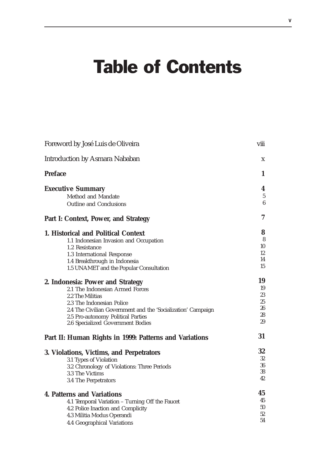# Table of Contents

| Foreword by José Luis de Oliveira                                       | viii     |
|-------------------------------------------------------------------------|----------|
| <b>Introduction by Asmara Nababan</b>                                   | X        |
| <b>Preface</b>                                                          | 1        |
| <b>Executive Summary</b>                                                | 4        |
| Method and Mandate                                                      | 5        |
| Outline and Conclusions                                                 | 6        |
| Part I: Context, Power, and Strategy                                    | 7        |
| 1. Historical and Political Context                                     | 8        |
| 1.1 Indonesian Invasion and Occupation                                  | 8        |
| 1.2 Resistance                                                          | 10       |
| 1.3 International Response                                              | 12       |
| 1.4 Breakthrough in Indonesia                                           | 14<br>15 |
| 1.5 UNAMET and the Popular Consultation                                 |          |
| 2. Indonesia: Power and Strategy                                        | 19       |
| 2.1 The Indonesian Armed Forces                                         | 19       |
| 2.2 The Militias                                                        | 23       |
| 2.3 The Indonesian Police                                               | 25<br>26 |
| 2.4 The Civilian Government and the 'Socialization' Campaign            | 28       |
| 2.5 Pro-autonomy Political Parties<br>2.6 Specialized Government Bodies | 29       |
| Part II: Human Rights in 1999: Patterns and Variations                  | 31       |
|                                                                         | 32       |
| 3. Violations, Victims, and Perpetrators                                | 32       |
| 3.1 Types of Violation                                                  | 36       |
| 3.2 Chronology of Violations: Three Periods<br>3.3 The Victims          | 38       |
| 3.4 The Perpetrators                                                    | 42       |
|                                                                         | 45       |
| <b>4. Patterns and Variations</b>                                       | 45       |
| 4.1 Temporal Variation - Turning Off the Faucet                         | 50       |
| 4.2 Police Inaction and Complicity                                      | 52       |
| 4.3 Militia Modus Operandi                                              | 54       |
| 4.4 Geographical Variations                                             |          |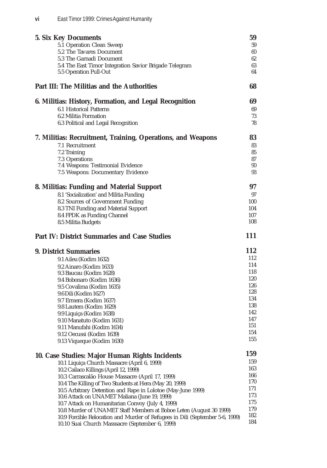| <b>5. Six Key Documents</b>                                                                                                                          | 59         |
|------------------------------------------------------------------------------------------------------------------------------------------------------|------------|
| 5.1 Operation Clean Sweep                                                                                                                            | 59         |
| 5.2 The Tavares Document                                                                                                                             | 60         |
| 5.3 The Garnadi Document                                                                                                                             | 62         |
| 5.4 The East Timor Integration Savior Brigade Telegram                                                                                               | 63         |
| 5.5 Operation Pull-Out                                                                                                                               | 64         |
| <b>Part III: The Militias and the Authorities</b>                                                                                                    | 68         |
| 6. Militias: History, Formation, and Legal Recognition                                                                                               | 69         |
| 6.1 Historical Patterns                                                                                                                              | 69         |
| 6.2 Militia Formation                                                                                                                                | 73         |
| 6.3 Political and Legal Recognition                                                                                                                  | 78         |
| 7. Militias: Recruitment, Training, Operations, and Weapons                                                                                          | 83         |
| 7.1 Recruitment                                                                                                                                      | 83         |
| 7.2 Training                                                                                                                                         | 85         |
| 7.3 Operations                                                                                                                                       | 87         |
| 7.4 Weapons: Testimonial Evidence                                                                                                                    | 90         |
| 7.5 Weapons: Documentary Evidence                                                                                                                    | 93         |
| 8. Militias: Funding and Material Support                                                                                                            | 97         |
| 8.1 'Socialization' and Militia Funding                                                                                                              | 97         |
| 8.2 Sources of Government Funding                                                                                                                    | 100        |
| 8.3 TNI Funding and Material Support                                                                                                                 | 104        |
| 8.4 FPDK as Funding Channel<br>8.5 Militia Budgets                                                                                                   | 107<br>108 |
|                                                                                                                                                      |            |
|                                                                                                                                                      |            |
| <b>Part IV: District Summaries and Case Studies</b>                                                                                                  | 111        |
| <b>9. District Summaries</b>                                                                                                                         | 112        |
| 9.1 Aileu (Kodim 1632)                                                                                                                               | 112        |
| 9.2 Ainaro (Kodim 1633)                                                                                                                              | 114        |
| 9.3 Baucau (Kodim 1628)                                                                                                                              | 118        |
| 9.4 Bobonaro (Kodim 1636)                                                                                                                            | 120        |
| 9.5 Covalima (Kodim 1635)                                                                                                                            | 126        |
| 9.6 Dili (Kodim 1627)                                                                                                                                | 128<br>134 |
| 9.7 Ermera (Kodim 1637)                                                                                                                              | 138        |
| 9.8 Lautem (Kodim 1629)                                                                                                                              | 142        |
| 9.9 Liquiça (Kodim 1638)                                                                                                                             | 147        |
| 9.10 Manatuto (Kodim 1631)<br>9.11 Manufahi (Kodim 1634)                                                                                             | 151        |
| 9.12 Oecussi (Kodim 1639)                                                                                                                            | 154        |
| 9.13 Viqueque (Kodim 1630)                                                                                                                           | 155        |
|                                                                                                                                                      | 159        |
| 10. Case Studies: Major Human Rights Incidents<br>10.1 Liquiça Church Massacre (April 6, 1999)                                                       | 159        |
| 10.2 Cailaco Killings (April 12, 1999)                                                                                                               | 163        |
| 10.3 Carrascalão House Massacre (April 17, 1999)                                                                                                     | 166        |
| 10.4 The Killing of Two Students at Hera (May 20, 1999)                                                                                              | 170        |
| 10.5 Arbitrary Detention and Rape in Lolotoe (May-June 1999)                                                                                         | 171        |
| 10.6 Attack on UNAMET Maliana (June 19, 1999)                                                                                                        | 173        |
| 10.7 Attack on Humanitarian Convoy (July 4, 1999)                                                                                                    | 175<br>179 |
| 10.8 Murder of UNAMET Staff Members at Boboe Leten (August 30 1999)<br>10.9 Forcible Relocation and Murder of Refugees in Dili (September 5-6, 1999) | 182        |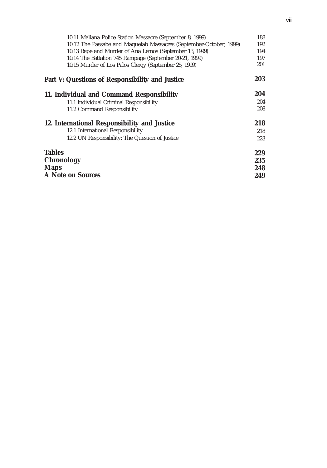| 10.11 Maliana Police Station Massacre (September 8, 1999)          | 188 |
|--------------------------------------------------------------------|-----|
| 10.12 The Passabe and Maquelab Massacres (September-October, 1999) | 192 |
| 10.13 Rape and Murder of Ana Lemos (September 13, 1999)            | 194 |
| 10.14 The Battalion 745 Rampage (September 20-21, 1999)            | 197 |
| 10.15 Murder of Los Palos Clergy (September 25, 1999)              | 201 |
| Part V: Questions of Responsibility and Justice                    | 203 |
| 11. Individual and Command Responsibility                          | 204 |
| 11.1 Individual Criminal Responsibility                            | 204 |
| 11.2 Command Responsibility                                        | 208 |
| 12. International Responsibility and Justice                       | 218 |
| 12.1 International Responsibility                                  | 218 |
| 12.2 UN Responsibility: The Question of Justice                    | 223 |
| <b>Tables</b>                                                      | 229 |
| <b>Chronology</b>                                                  | 235 |
| <b>Maps</b>                                                        | 248 |
| A Note on Sources                                                  | 249 |
|                                                                    |     |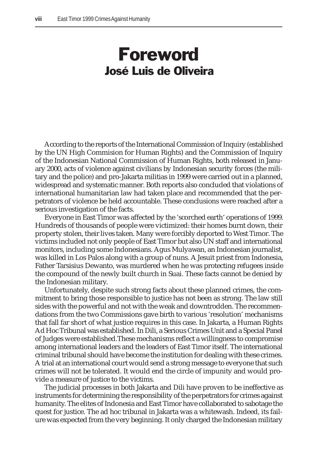### Foreword José Luis de Oliveira

According to the reports of the International Commission of Inquiry (established by the UN High Commision for Human Rights) and the Commission of Inquiry of the Indonesian National Commission of Human Rights, both released in January 2000, acts of violence against civilians by Indonesian security forces (the military and the police) and pro-Jakarta militias in 1999 were carried out in a planned, widespread and systematic manner. Both reports also concluded that violations of international humanitarian law had taken place and recommended that the perpetrators of violence be held accountable. These conclusions were reached after a serious investigation of the facts.

Everyone in East Timor was affected by the 'scorched earth' operations of 1999. Hundreds of thousands of people were victimized: their homes burnt down, their property stolen, their lives taken. Many were forcibly deported to West Timor. The victims included not only people of East Timor but also UN staff and international monitors, including some Indonesians. Agus Mulyawan, an Indonesian journalist, was killed in Los Palos along with a group of nuns. A Jesuit priest from Indonesia, Father Tarsisius Dewanto, was murdered when he was protecting refugees inside the compound of the newly built church in Suai. These facts cannot be denied by the Indonesian military.

Unfortunately, despite such strong facts about these planned crimes, the commitment to bring those responsible to justice has not been as strong. The law still sides with the powerful and not with the weak and downtrodden. The recommendations from the two Commissions gave birth to various 'resolution' mechanisms that fall far short of what justice requires in this case. In Jakarta, a Human Rights Ad Hoc Tribunal was established. In Dili, a Serious Crimes Unit and a Special Panel of Judges were established.These mechanisms reflect a willingness to compromise among international leaders and the leaders of East Timor itself. The international criminal tribunal should have become the institution for dealing with these crimes. A trial at an international court would send a strong message to everyone that such crimes will not be tolerated. It would end the circle of impunity and would provide a measure of justice to the victims.

The judicial processes in both Jakarta and Dili have proven to be ineffective as instruments for determining the responsibility of the perpetrators for crimes against humanity. The elites of Indonesia and East Timor have collaborated to sabotage the quest for justice. The ad hoc tribunal in Jakarta was a whitewash. Indeed, its failure was expected from the very beginning. It only charged the Indonesian military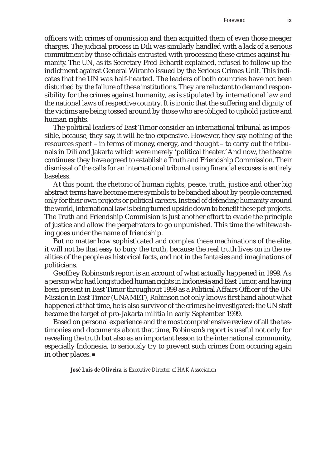officers with crimes of ommission and then acquitted them of even those meager charges. The judicial process in Dili was similarly handled with a lack of a serious commitment by those officials entrusted with processing these crimes against humanity. The UN, as its Secretary Fred Echardt explained, refused to follow up the indictment against General Wiranto issued by the Serious Crimes Unit. This indicates that the UN was half-hearted. The leaders of both countries have not been disturbed by the failure of these institutions. They are reluctant to demand responsibility for the crimes against humanity, as is stipulated by international law and the national laws of respective country. It is ironic that the suffering and dignity of the victims are being tossed around by those who are obliged to uphold justice and human rights.

The political leaders of East Timor consider an international tribunal as impossible, because, they say, it will be too expensive. However, they say nothing of the resources spent – in terms of money, energy, and thought – to carry out the tribunals in Dili and Jakarta which were merely 'political theater.' And now, the theatre continues: they have agreed to establish a Truth and Friendship Commission. Their dismissal of the calls for an international tribunal using financial excuses is entirely baseless.

At this point, the rhetoric of human rights, peace, truth, justice and other big abstract terms have become mere symbols to be bandied about by people concerned only for their own projects or political careers. Instead of defending humanity around the world, international law is being turned upside down to benefit these pet projects. The Truth and Friendship Commision is just another effort to evade the principle of justice and allow the perpetrators to go unpunished. This time the whitewashing goes under the name of friendship.

But no matter how sophisticated and complex these machinations of the elite, it will not be that easy to bury the truth, because the real truth lives on in the realities of the people as historical facts, and not in the fantasies and imaginations of politicians.

Geoffrey Robinson's report is an account of what actually happened in 1999. As a person who had long studied human rights in Indonesia and East Timor, and having been present in East Timor throughout 1999 as a Political Affairs Officer of the UN Mission in East Timor (UNAMET), Robinson not only knows first hand about what happened at that time, he is also survivor of the crimes he investigated: the UN staff became the target of pro-Jakarta militia in early September 1999.

Based on personal experience and the most comprehensive review of all the testimonies and documents about that time, Robinson's report is useful not only for revealing the truth but also as an important lesson to the international community, especially Indonesia, to seriously try to prevent such crimes from occuring again in other places.

*José Luís de Oliveira is Executive Director of HAK Association*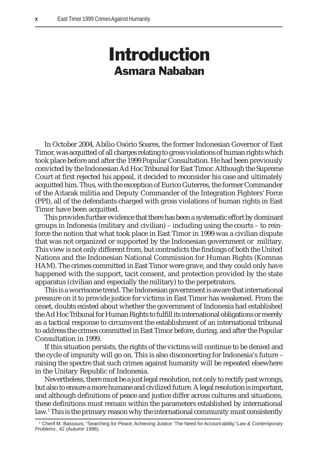### Introduction Asmara Nababan

In October 2004, Abílio Osório Soares, the former Indonesian Governor of East Timor, was acquitted of all charges relating to gross violations of human rights which took place before and after the 1999 Popular Consultation. He had been previously convicted by the Indonesian Ad Hoc Tribunal for East Timor. Although the Supreme Court at first rejected his appeal, it decided to reconsider his case and ultimately acquitted him. Thus, with the exception of Eurico Guterres, the former Commander of the Aitarak militia and Deputy Commander of the Integration Fighters' Force (PPI), all of the defendants charged with gross violations of human rights in East Timor have been acquitted.

This provides further evidence that there has been a systematic effort by dominant groups in Indonesia (military and civilian) – including using the courts – to reinforce the notion that what took place in East Timor in 1999 was a civilian dispute that was not organized or supported by the Indonesian government or military. This view is not only different from, but contradicts the findings of both the United Nations and the Indonesian National Commission for Human Rights (Komnas HAM). The crimes committed in East Timor were grave, and they could only have happened with the support, tacit consent, and protection provided by the state apparatus (civilian and especially the military) to the perpetrators.

This is a worrisome trend. The Indonesian government is aware that international pressure on it to provide justice for victims in East Timor has weakened. From the onset, doubts existed about whether the government of Indonesia had established the Ad Hoc Tribunal for Human Rights to fulfill its international obligations or merely as a tactical response to circumvent the establishment of an international tribunal to address the crimes committed in East Timor before, during, and after the Popular Consultation in 1999.

If this situation persists, the rights of the victims will continue to be denied and the cycle of impunity will go on. This is also disconcerting for Indonesia's future – raising the spectre that such crimes against humanity will be repeated elsewhere in the Unitary Republic of Indonesia.

Nevertheless, there must be a just legal resolution, not only to rectify past wrongs, but also to ensure a more humane and civilized future. A legal resolution is important, and although definitions of peace and justice differ across cultures and situations, these definitions must remain within the parameters established by international law.<sup>1</sup> This is the primary reason why the international community must consistently

<sup>1</sup> Cherif M. Bassouni, "Searching for Peace, Achieving Justice: The Need for Accountability,"*Law & Contemporary Problems* , 42 (Autumn 1996).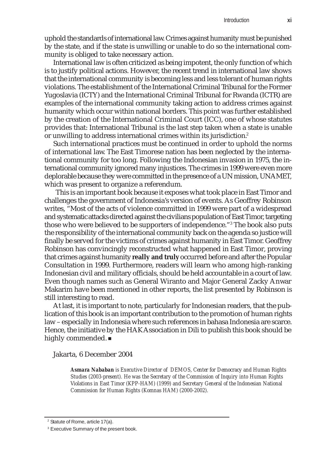uphold the standards of international law. Crimes against humanity must be punished by the state, and if the state is unwilling or unable to do so the international community is obliged to take necessary action.

International law is often criticized as being impotent, the only function of which is to justify political actions. However, the recent trend in international law shows that the international community is becoming less and less tolerant of human rights violations. The establishment of the International Criminal Tribunal for the Former Yugoslavia (ICTY) and the International Criminal Tribunal for Rwanda (ICTR) are examples of the international community taking action to address crimes against humanity which occur within national borders. This point was further established by the creation of the International Criminal Court (ICC), one of whose statutes provides that: International Tribunal is the last step taken when a state is unable or unwilling to address international crimes within its jurisdiction.<sup>2</sup>

Such international practices must be continued in order to uphold the norms of international law. The East Timorese nation has been neglected by the international community for too long. Following the Indonesian invasion in 1975, the international community ignored many injustices. The crimes in 1999 were even more deplorable because they were committed in the presence of a UN mission, UNAMET, which was present to organize a referendum.

 This is an important book because it exposes what took place in East Timor and challenges the government of Indonesia's version of events. As Geoffrey Robinson writes, "Most of the acts of violence committed in 1999 were part of a widespread and systematic attacks directed against the civilians population of East Timor, targeting those who were believed to be supporters of independence."3 The book also puts the responsibility of the international community back on the agenda so justice will finally be served for the victims of crimes against humanity in East Timor. Geoffrey Robinson has convincingly reconstructed what happened in East Timor, proving that crimes against humanity **really and truly** occurred before and after the Popular Consultation in 1999. Furthermore, readers will learn who among high-ranking Indonesian civil and military officials, should be held accountable in a court of law. Even though names such as General Wiranto and Major General Zacky Anwar Makarim have been mentioned in other reports, the list presented by Robinson is still interesting to read.

At last, it is important to note, particularly for Indonesian readers, that the publication of this book is an important contribution to the promotion of human rights law – especially in Indonesia where such references in bahasa Indonesia are scarce. Hence, the initiative by the HAK Association in Dili to publish this book should be highly commended.

Jakarta, 6 December 2004

*Asmara Nababan is Executive Director of DEMOS, Center for Democracy and Human Rights Studies (2003-present). He was the Secretary of the Commission of Inquiry into Human Rights Violations in East Timor (KPP-HAM) (1999) and Secretary General of the Indonesian National Commission for Human Rights (Komnas HAM) (2000-2002).*

<sup>&</sup>lt;sup>2</sup> Statute of Rome, article 17(a).

<sup>&</sup>lt;sup>3</sup> Executive Summary of the present book.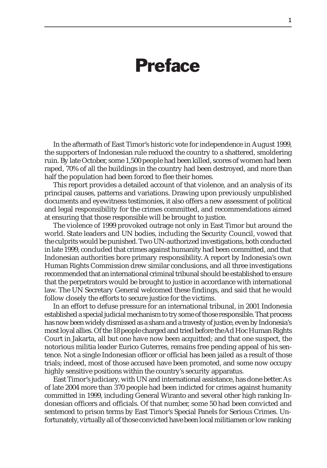### Preface

In the aftermath of East Timor's historic vote for independence in August 1999, the supporters of Indonesian rule reduced the country to a shattered, smoldering ruin. By late October, some 1,500 people had been killed, scores of women had been raped, 70% of all the buildings in the country had been destroyed, and more than half the population had been forced to flee their homes.

This report provides a detailed account of that violence, and an analysis of its principal causes, patterns and variations. Drawing upon previously unpublished documents and eyewitness testimonies, it also offers a new assessment of political and legal responsibility for the crimes committed, and recommendations aimed at ensuring that those responsible will be brought to justice.

The violence of 1999 provoked outrage not only in East Timor but around the world. State leaders and UN bodies, including the Security Council, vowed that the culprits would be punished. Two UN-authorized investigations, both conducted in late 1999, concluded that crimes against humanity had been committed, and that Indonesian authorities bore primary responsibility. A report by Indonesia's own Human Rights Commission drew similar conclusions, and all three investigations recommended that an international criminal tribunal should be established to ensure that the perpetrators would be brought to justice in accordance with international law. The UN Secretary General welcomed these findings, and said that he would follow closely the efforts to secure justice for the victims.

In an effort to defuse pressure for an international tribunal, in 2001 Indonesia established a special judicial mechanism to try some of those responsible. That process has now been widely dismissed as a sham and a travesty of justice, even by Indonesia's most loyal allies. Of the 18 people charged and tried before the Ad Hoc Human Rights Court in Jakarta, all but one have now been acquitted; and that one suspect, the notorious militia leader Eurico Guterres, remains free pending appeal of his sentence. Not a single Indonesian officer or official has been jailed as a result of those trials; indeed, most of those accused have been promoted, and some now occupy highly sensitive positions within the country's security apparatus.

East Timor's judiciary, with UN and international assistance, has done better. As of late 2004 more than 370 people had been indicted for crimes against humanity committed in 1999, including General Wiranto and several other high ranking Indonesian officers and officials. Of that number, some 50 had been convicted and sentenced to prison terms by East Timor's Special Panels for Serious Crimes. Unfortunately, virtually all of those convicted have been local militiamen or low ranking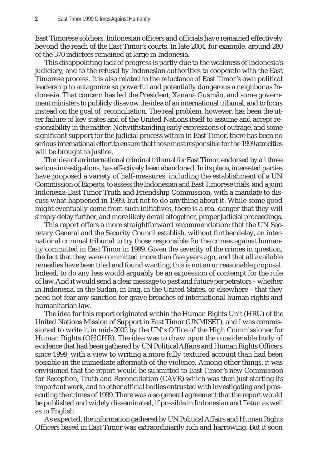East Timorese soldiers. Indonesian officers and officials have remained effectively beyond the reach of the East Timor's courts. In late 2004, for example, around 280 of the 370 indictees remained at large in Indonesia.

This disappointing lack of progress is partly due to the weakness of Indonesia's judiciary, and to the refusal by Indonesian authorities to cooperate with the East Timorese process. It is also related to the reluctance of East Timor's own political leadership to antagonize so powerful and potentially dangerous a neighbor as Indonesia. That concern has led the President, Xanana Gusmão, and some government ministers to publicly disavow the idea of an international tribunal, and to focus instead on the goal of reconciliation. The real problem, however, has been the utter failure of key states and of the United Nations itself to assume and accept responsibility in the matter. Notwithstanding early expressions of outrage, and some significant support for the judicial process within in East Timor, there has been no serious international effort to ensure that those most responsible for the 1999 atrocities will be brought to justice.

The idea of an international criminal tribunal for East Timor, endorsed by all three serious investigations, has effectively been abandoned. In its place, interested parties have proposed a variety of half-measures, including the establishment of a UN Commission of Experts, to assess the Indonesian and East Timorese trials, and a joint Indonesia-East Timor Truth and Friendship Commission, with a mandate to discuss what happened in 1999, but not to do anything about it. While some good might eventually come from such initiatives, there is a real danger that they will simply delay further, and more likely derail altogether, proper judicial proceedings.

This report offers a more straightforward recommendation: that the UN Secretary General and the Security Council establish, without further delay, an international criminal tribunal to try those responsible for the crimes against humanity committed in East Timor in 1999. Given the severity of the crimes in question, the fact that they were committed more than five years ago, and that all available remedies have been tried and found wanting, this is not an unreasonable proposal. Indeed, to do any less would arguably be an expression of contempt for the rule of law. And it would send a clear message to past and future perpetrators – whether in Indonesia, in the Sudan, in Iraq, in the United States, or elsewhere – that they need not fear any sanction for grave breaches of international human rights and humanitarian law.

The idea for this report originated within the Human Rights Unit (HRU) of the United Nations Mission of Support in East Timor (UNMISET), and I was commissioned to write it in mid-2002 by the UN's Office of the High Commissioner for Human Rights (OHCHR). The idea was to draw upon the considerable body of evidence that had been gathered by UN Political Affairs and Human Rights Officers since 1999, with a view to writing a more fully textured account than had been possible in the immediate aftermath of the violence. Among other things, it was envisioned that the report would be submitted to East Timor's new Commission for Reception, Truth and Reconciliation (CAVR) which was then just starting its important work, and to other official bodies entrusted with investigating and prosecuting the crimes of 1999. There was also general agreement that the report would be published and widely disseminated, if possible in Indonesian and Tetun as well as in English.

As expected, the information gathered by UN Political Affairs and Human Rights Officers based in East Timor was extraordinarily rich and harrowing. But it soon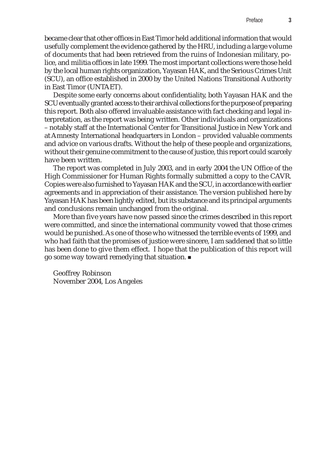became clear that other offices in East Timor held additional information that would usefully complement the evidence gathered by the HRU, including a large volume of documents that had been retrieved from the ruins of Indonesian military, police, and militia offices in late 1999. The most important collections were those held by the local human rights organization, Yayasan HAK, and the Serious Crimes Unit (SCU), an office established in 2000 by the United Nations Transitional Authority in East Timor (UNTAET).

Despite some early concerns about confidentiality, both Yayasan HAK and the SCU eventually granted access to their archival collections for the purpose of preparing this report. Both also offered invaluable assistance with fact checking and legal interpretation, as the report was being written. Other individuals and organizations – notably staff at the International Center for Transitional Justice in New York and at Amnesty International headquarters in London – provided valuable comments and advice on various drafts. Without the help of these people and organizations, without their genuine commitment to the cause of justice, this report could scarcely have been written.

The report was completed in July 2003, and in early 2004 the UN Office of the High Commissioner for Human Rights formally submitted a copy to the CAVR. Copies were also furnished to Yayasan HAK and the SCU, in accordance with earlier agreements and in appreciation of their assistance. The version published here by Yayasan HAK has been lightly edited, but its substance and its principal arguments and conclusions remain unchanged from the original.

More than five years have now passed since the crimes described in this report were committed, and since the international community vowed that those crimes would be punished. As one of those who witnessed the terrible events of 1999, and who had faith that the promises of justice were sincere, I am saddened that so little has been done to give them effect. I hope that the publication of this report will go some way toward remedying that situation.

Geoffrey Robinson November 2004, Los Angeles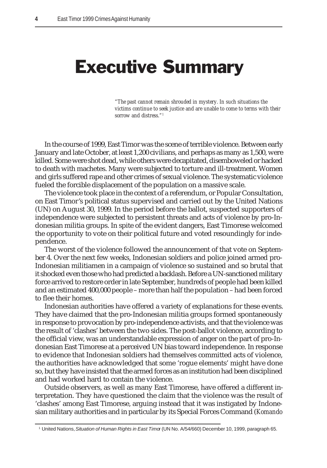## Executive Summary

*"The past cannot remain shrouded in mystery. In such situations the victims continue to seek justice and are unable to come to terms with their sorrow and distress."1*

In the course of 1999, East Timor was the scene of terrible violence. Between early January and late October, at least 1,200 civilians, and perhaps as many as 1,500, were killed. Some were shot dead, while others were decapitated, disemboweled or hacked to death with machetes. Many were subjected to torture and ill-treatment. Women and girls suffered rape and other crimes of sexual violence. The systematic violence fueled the forcible displacement of the population on a massive scale.

The violence took place in the context of a referendum, or Popular Consultation, on East Timor's political status supervised and carried out by the United Nations (UN) on August 30, 1999. In the period before the ballot, suspected supporters of independence were subjected to persistent threats and acts of violence by pro-Indonesian militia groups. In spite of the evident dangers, East Timorese welcomed the opportunity to vote on their political future and voted resoundingly for independence.

The worst of the violence followed the announcement of that vote on September 4. Over the next few weeks, Indonesian soldiers and police joined armed pro-Indonesian militiamen in a campaign of violence so sustained and so brutal that it shocked even those who had predicted a backlash. Before a UN-sanctioned military force arrived to restore order in late September, hundreds of people had been killed and an estimated 400,000 people – more than half the population – had been forced to flee their homes.

Indonesian authorities have offered a variety of explanations for these events. They have claimed that the pro-Indonesian militia groups formed spontaneously in response to provocation by pro-independence activists, and that the violence was the result of 'clashes' between the two sides. The post-ballot violence, according to the official view, was an understandable expression of anger on the part of pro-Indonesian East Timorese at a perceived UN bias toward independence. In response to evidence that Indonesian soldiers had themselves committed acts of violence, the authorities have acknowledged that some 'rogue elements' might have done so, but they have insisted that the armed forces as an institution had been disciplined and had worked hard to contain the violence.

Outside observers, as well as many East Timorese, have offered a different interpretation. They have questioned the claim that the violence was the result of 'clashes' among East Timorese, arguing instead that it was instigated by Indonesian military authorities and in particular by its Special Forces Command (*Komando*

<sup>&</sup>lt;sup>1</sup> United Nations, S*ituation of Human Rights in East Timo*r (UN No. A/54/660) December 10, 1999, paragraph 65.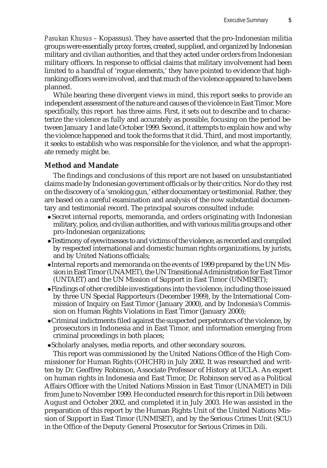*Pasukan Khusus* – Kopassus). They have asserted that the pro-Indonesian militia groups were essentially proxy forces, created, supplied, and organized by Indonesian military and civilian authorities, and that they acted under orders from Indonesian military officers. In response to official claims that military involvement had been limited to a handful of 'rogue elements,' they have pointed to evidence that highranking officers were involved, and that much of the violence appeared to have been planned.

While bearing these divergent views in mind, this report seeks to provide an independent assessment of the nature and causes of the violence in East Timor. More specifically, this report has three aims. First, it sets out to describe and to characterize the violence as fully and accurately as possible, focusing on the period between January 1 and late October 1999. Second, it attempts to explain how and why the violence happened and took the forms that it did. Third, and most importantly, it seeks to establish who was responsible for the violence, and what the appropriate remedy might be.

#### **Method and Mandate**

The findings and conclusions of this report are not based on unsubstantiated claims made by Indonesian government officials or by their critics. Nor do they rest on the discovery of a 'smoking gun,' either documentary or testimonial. Rather, they are based on a careful examination and analysis of the now substantial documentary and testimonial record. The principal sources consulted include:

- Secret internal reports, memoranda, and orders originating with Indonesian military, police, and civilian authorities, and with various militia groups and other pro-Indonesian organizations;
- $\bullet$  Testimony of eyewitnesses to and victims of the violence, as recorded and compiled by respected international and domestic human rights organizations, by jurists, and by United Nations officials;
- •Internal reports and memoranda on the events of 1999 prepared by the UN Mission in East Timor (UNAMET), the UN Transitional Administration for East Timor (UNTAET) and the UN Mission of Support in East Timor (UNMISET);
- zFindings of other credible investigations into the violence, including those issued by three UN Special Rapporteurs (December 1999), by the International Commission of Inquiry on East Timor (January 2000), and by Indonesia's Commission on Human Rights Violations in East Timor (January 2000);
- Criminal indictments filed against the suspected perpetrators of the violence, by prosecutors in Indonesia and in East Timor, and information emerging from criminal proceedings in both places;
- Scholarly analyses, media reports, and other secondary sources.

This report was commissioned by the United Nations Office of the High Commissioner for Human Rights (OHCHR) in July 2002. It was researched and written by Dr. Geoffrey Robinson, Associate Professor of History at UCLA. An expert on human rights in Indonesia and East Timor, Dr. Robinson served as a Political Affairs Officer with the United Nations Mission in East Timor (UNAMET) in Dili from June to November 1999. He conducted research for this report in Dili between August and October 2002, and completed it in July 2003. He was assisted in the preparation of this report by the Human Rights Unit of the United Nations Mission of Support in East Timor (UNMISET), and by the Serious Crimes Unit (SCU) in the Office of the Deputy General Prosecutor for Serious Crimes in Dili.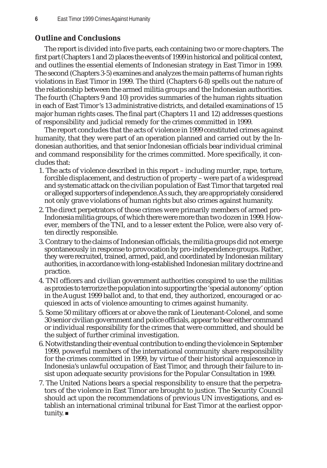#### **Outline and Conclusions**

The report is divided into five parts, each containing two or more chapters. The first part (Chapters 1 and 2) places the events of 1999 in historical and political context, and outlines the essential elements of Indonesian strategy in East Timor in 1999. The second (Chapters 3-5) examines and analyzes the main patterns of human rights violations in East Timor in 1999. The third (Chapters 6-8) spells out the nature of the relationship between the armed militia groups and the Indonesian authorities. The fourth (Chapters 9 and 10) provides summaries of the human rights situation in each of East Timor's 13 administrative districts, and detailed examinations of 15 major human rights cases. The final part (Chapters 11 and 12) addresses questions of responsibility and judicial remedy for the crimes committed in 1999.

The report concludes that the acts of violence in 1999 constituted crimes against humanity, that they were part of an operation planned and carried out by the Indonesian authorities, and that senior Indonesian officials bear individual criminal and command responsibility for the crimes committed. More specifically, it concludes that:

- 1. The acts of violence described in this report including murder, rape, torture, forcible displacement, and destruction of property – were part of a widespread and systematic attack on the civilian population of East Timor that targeted real or alleged supporters of independence. As such, they are appropriately considered not only grave violations of human rights but also crimes against humanity.
- 2. The direct perpetrators of those crimes were primarily members of armed pro-Indonesia militia groups, of which there were more than two dozen in 1999. However, members of the TNI, and to a lesser extent the Police, were also very often directly responsible.
- 3. Contrary to the claims of Indonesian officials, the militia groups did not emerge spontaneously in response to provocation by pro-independence groups. Rather, they were recruited, trained, armed, paid, and coordinated by Indonesian military authorities, in accordance with long-established Indonesian military doctrine and practice.
- 4. TNI officers and civilian government authorities conspired to use the militias as proxies to terrorize the population into supporting the 'special autonomy' option in the August 1999 ballot and, to that end, they authorized, encouraged or acquiesced in acts of violence amounting to crimes against humanity.
- 5. Some 50 military officers at or above the rank of Lieutenant-Colonel, and some 30 senior civilian government and police officials, appear to bear either command or individual responsibility for the crimes that were committed, and should be the subject of further criminal investigation.
- 6. Notwithstanding their eventual contribution to ending the violence in September 1999, powerful members of the international community share responsibility for the crimes committed in 1999, by virtue of their historical acquiescence in Indonesia's unlawful occupation of East Timor, and through their failure to insist upon adequate security provisions for the Popular Consultation in 1999.
- 7. The United Nations bears a special responsibility to ensure that the perpetrators of the violence in East Timor are brought to justice. The Security Council should act upon the recommendations of previous UN investigations, and establish an international criminal tribunal for East Timor at the earliest opportunity.  $\blacksquare$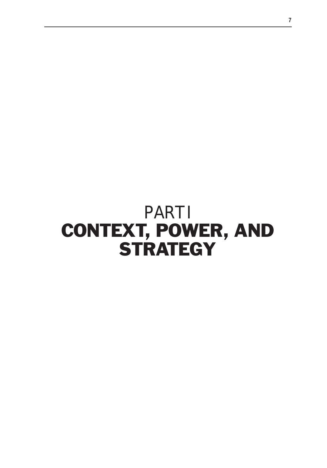# PART I CONTEXT, POWER, AND **STRATEGY**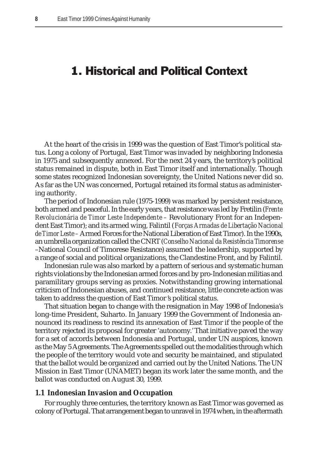### 1. Historical and Political Context

At the heart of the crisis in 1999 was the question of East Timor's political status. Long a colony of Portugal, East Timor was invaded by neighboring Indonesia in 1975 and subsequently annexed. For the next 24 years, the territory's political status remained in dispute, both in East Timor itself and internationally. Though some states recognized Indonesian sovereignty, the United Nations never did so. As far as the UN was concerned, Portugal retained its formal status as administering authority.

The period of Indonesian rule (1975-1999) was marked by persistent resistance, both armed and peaceful. In the early years, that resistance was led by Fretilin (*Frente Revolucionária de Timor Leste Independente –* Revolutionary Front for an Independent East Timor); and its armed wing, Falintil (*Forças Armadas de Libertação Nacional de Timor Leste –* Armed Forces for the National Liberation of East Timor). In the 1990s, an umbrella organization called the CNRT (*Conselho Nacional da Resistência Timorense* –National Council of Timorese Resistance) assumed the leadership, supported by a range of social and political organizations, the Clandestine Front, and by Falintil.

Indonesian rule was also marked by a pattern of serious and systematic human rights violations by the Indonesian armed forces and by pro-Indonesian militias and paramilitary groups serving as proxies. Notwithstanding growing international criticism of Indonesian abuses, and continued resistance, little concrete action was taken to address the question of East Timor 's political status.

That situation began to change with the resignation in May 1998 of Indonesia's long-time President, Suharto. In January 1999 the Government of Indonesia announced its readiness to rescind its annexation of East Timor if the people of the territory rejected its proposal for greater 'autonomy.' That initiative paved the way for a set of accords between Indonesia and Portugal, under UN auspices, known as the May 5 Agreements. The Agreements spelled out the modalities through which the people of the territory would vote and security be maintained, and stipulated that the ballot would be organized and carried out by the United Nations. The UN Mission in East Timor (UNAMET) began its work later the same month, and the ballot was conducted on August 30, 1999.

#### **1.1 Indonesian Invasion and Occupation**

For roughly three centuries, the territory known as East Timor was governed as colony of Portugal. That arrangement began to unravel in 1974 when, in the aftermath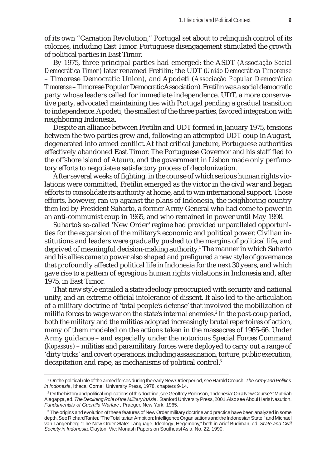of its own "Carnation Revolution," Portugal set about to relinquish control of its colonies, including East Timor. Portuguese disengagement stimulated the growth of political parties in East Timor.

By 1975, three principal parties had emerged: the ASDT (*Associação Social Democrática Timor*) later renamed Fretilin; the UDT (*União Democrática Timorense* – Timorese Democratic Union), and Apodeti (*Associação Popular Democrática Timorense* – Timorese Popular Democratic Association). Fretilin was a social democratic party whose leaders called for immediate independence. UDT, a more conservative party, advocated maintaining ties with Portugal pending a gradual transition to independence. Apodeti, the smallest of the three parties, favored integration with neighboring Indonesia.

Despite an alliance between Fretilin and UDT formed in January 1975, tensions between the two parties grew and, following an attempted UDT coup in August, degenerated into armed conflict. At that critical juncture, Portuguese authorities effectively abandoned East Timor. The Portuguese Governor and his staff fled to the offshore island of Atauro, and the government in Lisbon made only perfunctory efforts to negotiate a satisfactory process of decolonization.

After several weeks of fighting, in the course of which serious human rights violations were committed, Fretilin emerged as the victor in the civil war and began efforts to consolidate its authority at home, and to win international support. Those efforts, however, ran up against the plans of Indonesia, the neighboring country then led by President Suharto, a former Army General who had come to power in an anti-communist coup in 1965, and who remained in power until May 1998.

Suharto's so-called 'New Order' regime had provided unparalleled opportunities for the expansion of the military's economic and political power. Civilian institutions and leaders were gradually pushed to the margins of political life, and deprived of meaningful decision-making authority.<sup>1</sup> The manner in which Suharto and his allies came to power also shaped and prefigured a new style of governance that profoundly affected political life in Indonesia for the next 30 years, and which gave rise to a pattern of egregious human rights violations in Indonesia and, after 1975, in East Timor.

That new style entailed a state ideology preoccupied with security and national unity, and an extreme official intolerance of dissent. It also led to the articulation of a military doctrine of 'total people's defense' that involved the mobilization of militia forces to wage war on the state's internal enemies.<sup>2</sup> In the post-coup period, both the military and the militias adopted increasingly brutal repertoires of action, many of them modeled on the actions taken in the massacres of 1965-66. Under Army guidance – and especially under the notorious Special Forces Command (*Kopassus*) – militias and paramilitary forces were deployed to carry out a range of 'dirty tricks' and covert operations, including assassination, torture, public execution, decapitation and rape, as mechanisms of political control.<sup>3</sup>

<sup>1</sup> On the political role of the armed forces during the early New Order period, see Harold Crouch, *The Army and Politics in Indonesia*, Ithaca: Cornell University Press, 1978, chapters 9-14.

<sup>2</sup> On the history and political implications of this doctrine, see Geoffrey Robinson, "Indonesia: On a New Course?" Muthiah Alagappa, ed. *The Declining Role of the Military in Asia*. Stanford University Press, 2001. Also see Abdul Haris Nasution, *Fundamentals of Guerrilla Warfare*, Praeger, New York, 1965.

 $^{\rm 3}$  The origins and evolution of these features of New Order military doctrine and practice have been analyzed in some depth. See Richard Tanter, "The Totalitarian Ambition: Intelligence Organisations and the Indonesian State," and Michael van Langenberg "The New Order State: Language, Ideology, Hegemony," both in Arief Budiman, ed. *State and Civil Society in Indonesia,* Clayton, Vic: Monash Papers on Southeast Asia, No. 22, 1990.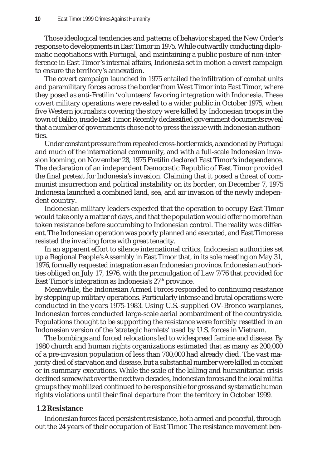Those ideological tendencies and patterns of behavior shaped the New Order's response to developments in East Timor in 1975. While outwardly conducting diplomatic negotiations with Portugal, and maintaining a public posture of non-interference in East Timor's internal affairs, Indonesia set in motion a covert campaign to ensure the territory's annexation.

The covert campaign launched in 1975 entailed the infiltration of combat units and paramilitary forces across the border from West Timor into East Timor, where they posed as anti-Fretilin 'volunteers' favoring integration with Indonesia. These covert military operations were revealed to a wider public in October 1975, when five Western journalists covering the story were killed by Indonesian troops in the town of Balibo, inside East Timor. Recently declassified government documents reveal that a number of governments chose not to press the issue with Indonesian authorities.

Under constant pressure from repeated cross-border raids, abandoned by Portugal and much of the international community, and with a full-scale Indonesian invasion looming, on November 28, 1975 Fretilin declared East Timor's independence. The declaration of an independent Democratic Republic of East Timor provided the final pretext for Indonesia's invasion. Claiming that it posed a threat of communist insurrection and political instability on its border, on December 7, 1975 Indonesia launched a combined land, sea, and air invasion of the newly independent country.

Indonesian military leaders expected that the operation to occupy East Timor would take only a matter of days, and that the population would offer no more than token resistance before succumbing to Indonesian control. The reality was different. The Indonesian operation was poorly planned and executed, and East Timorese resisted the invading force with great tenacity.

In an apparent effort to silence international critics, Indonesian authorities set up a Regional People's Assembly in East Timor that, in its sole meeting on May 31, 1976, formally requested integration as an Indonesian province. Indonesian authorities obliged on July 17, 1976, with the promulgation of Law 7/76 that provided for East Timor's integration as Indonesia's  $27<sup>th</sup>$  province.

Meanwhile, the Indonesian Armed Forces responded to continuing resistance by stepping up military operations. Particularly intense and brutal operations were conducted in the years 1975-1983. Using U.S.-supplied OV-Bronco warplanes, Indonesian forces conducted large-scale aerial bombardment of the countryside. Populations thought to be supporting the resistance were forcibly resettled in an Indonesian version of the 'strategic hamlets' used by U.S. forces in Vietnam.

The bombings and forced relocations led to widespread famine and disease. By 1980 church and human rights organizations estimated that as many as 200,000 of a pre-invasion population of less than 700,000 had already died. The vast majority died of starvation and disease, but a substantial number were killed in combat or in summary executions. While the scale of the killing and humanitarian crisis declined somewhat over the next two decades, Indonesian forces and the local militia groups they mobilized continued to be responsible for gross and systematic human rights violations until their final departure from the territory in October 1999.

#### **1.2 Resistance**

Indonesian forces faced persistent resistance, both armed and peaceful, throughout the 24 years of their occupation of East Timor. The resistance movement ben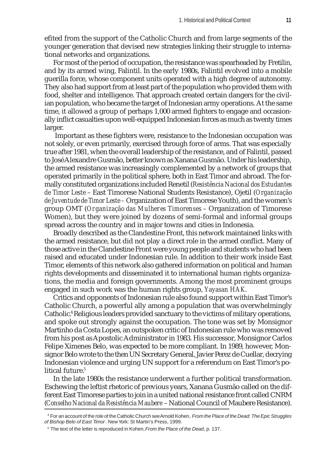efited from the support of the Catholic Church and from large segments of the younger generation that devised new strategies linking their struggle to international networks and organizations.

For most of the period of occupation, the resistance was spearheaded by Fretilin, and by its armed wing, Falintil. In the early 1980s, Falintil evolved into a mobile guerilla force, whose component units operated with a high degree of autonomy. They also had support from at least part of the population who provided them with food, shelter and intelligence. That approach created certain dangers for the civilian population, who became the target of Indonesian army operations. At the same time, it allowed a group of perhaps 1,000 armed fighters to engage and occasionally inflict casualties upon well-equipped Indonesian forces as much as twenty times larger.

 Important as these fighters were, resistance to the Indonesian occupation was not solely, or even primarily, exercised through force of arms. That was especially true after 1981, when the overall leadership of the resistance, and of Falintil, passed to José Alexandre Gusmão, better known as Xanana Gusmão. Under his leadership, the armed resistance was increasingly complemented by a network of groups that operated primarily in the political sphere, both in East Timor and abroad. The formally constituted organizations included Renetil (*Resistência Nacional dos Estudantes de Timor Leste* – East Timorese National Students Resistance), Ojetil (*Organização de Juventude de Timor Leste –* Organization of East Timorese Youth), and the women's group OMT (*Organização das Mulheres Timorenses* – Organization of Timorese Women), but they were joined by dozens of semi-formal and informal groups spread across the country and in major towns and cities in Indonesia.

Broadly described as the Clandestine Front, this network maintained links with the armed resistance, but did not play a direct role in the armed conflict. Many of those active in the Clandestine Front were young people and students who had been raised and educated under Indonesian rule. In addition to their work inside East Timor, elements of this network also gathered information on political and human rights developments and disseminated it to international human rights organizations, the media and foreign governments. Among the most prominent groups engaged in such work was the human rights group, *Yayasan HAK*.

Critics and opponents of Indonesian rule also found support within East Timor's Catholic Church, a powerful ally among a population that was overwhelmingly Catholic.<sup>4</sup> Religious leaders provided sanctuary to the victims of military operations, and spoke out strongly against the occupation. The tone was set by Monsignor Martinho da Costa Lopes, an outspoken critic of Indonesian rule who was removed from his post as Apostolic Administrator in 1983. His successor, Monsignor Carlos Felipe Ximenes Belo, was expected to be more compliant. In 1989, however, Monsignor Belo wrote to the then UN Secretary General, Javier Perez de Cuellar, decrying Indonesian violence and urging UN support for a referendum on East Timor's political future.<sup>5</sup>

In the late 1980s the resistance underwent a further political transformation. Eschewing the leftist rhetoric of previous years, Xanana Gusmão called on the different East Timorese parties to join in a united national resistance front called CNRM (*Conselho Nacional da Resistência Maubere* – National Council of Maubere Resistance).

<sup>4</sup> For an account of the role of the Catholic Church see Arnold Kohen, *From the Place of the Dead: The Epic Struggles of Bishop Belo of East Timor*. New York: St Martin's Press, 1999.

<sup>5</sup> The text of the letter is reproduced in Kohen, *From the Place of the Dead*, p. 137.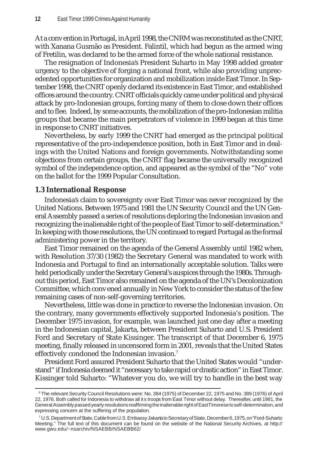At a convention in Portugal, in April 1998, the CNRM was reconstituted as the CNRT, with Xanana Gusmão as President. Falintil, which had begun as the armed wing of Fretilin, was declared to be the armed force of the whole national resistance.

The resignation of Indonesia's President Suharto in May 1998 added greater urgency to the objective of forging a national front, while also providing unprecedented opportunities for organization and mobilization inside East Timor. In September 1998, the CNRT openly declared its existence in East Timor, and established offices around the country. CNRT officials quickly came under political and physical attack by pro-Indonesian groups, forcing many of them to close down their offices and to flee. Indeed, by some accounts, the mobilization of the pro-Indonesian militia groups that became the main perpetrators of violence in 1999 began at this time in response to CNRT initiatives.

Nevertheless, by early 1999 the CNRT had emerged as the principal political representative of the pro-independence position, both in East Timor and in dealings with the United Nations and foreign governments. Notwithstanding some objections from certain groups*,* the CNRT flag became the universally recognized symbol of the independence option, and appeared as the symbol of the "No" vote on the ballot for the 1999 Popular Consultation.

#### **1.3 International Response**

Indonesia's claim to sovereignty over East Timor was never recognized by the United Nations. Between 1975 and 1981 the UN Security Council and the UN General Assembly passed a series of resolutions deploring the Indonesian invasion and recognizing the inalienable right of the people of East Timor to self-determination.<sup>6</sup> In keeping with those resolutions, the UN continued to regard Portugal as the formal administering power in the territory.

East Timor remained on the agenda of the General Assembly until 1982 when, with Resolution 37/30 (1982) the Secretary General was mandated to work with Indonesia and Portugal to find an internationally acceptable solution. Talks were held periodically under the Secretary General's auspices through the 1980s. Throughout this period, East Timor also remained on the agenda of the UN's Decolonization Committee, which convened annually in New York to consider the status of the few remaining cases of non-self-governing territories.

Nevertheless, little was done in practice to reverse the Indonesian invasion. On the contrary, many governments effectively supported Indonesia's position. The December 1975 invasion, for example, was launched just one day after a meeting in the Indonesian capital, Jakarta, between President Suharto and U.S. President Ford and Secretary of State Kissinger. The transcript of that December 6, 1975 meeting, finally released in uncensored form in 2001, reveals that the United States effectively condoned the Indonesian invasion.<sup>7</sup>

President Ford assured President Suharto that the United States would "understand" if Indonesia deemed it "necessary to take rapid or drastic action" in East Timor. Kissinger told Suharto: "Whatever you do, we will try to handle in the best way

<sup>6</sup> The relevant Security Council Resolutions were: No. 384 (1975) of December 22, 1975 and No. 389 (1976) of April 22, 1976. Both called for Indonesia to withdraw all its troops from East Timor without delay. Thereafter, until 1981, the General Assembly passed yearly resolutions reaffirming the inalienable right of East Timorese to self-determination, and expressing concern at the suffering of the population.

<sup>7</sup> U.S. Department of State, Cable from U.S. Embassy Jakarta to Secretary of State, December 6, 1975, on "Ford-Suharto Meeting." The full text of this document can be found on the website of the National Security Archives, at http:// www.gwu.edu/~nsarchiv/NSAEBB/NSAEBB62/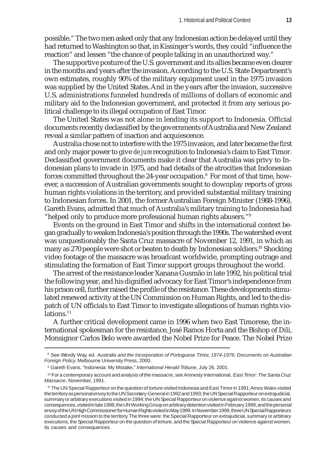possible." The two men asked only that any Indonesian action be delayed until they had returned to Washington so that, in Kissinger's words, they could "influence the reaction" and lessen "the chance of people talking in an unauthorized way."

The supportive posture of the U.S. government and its allies became even clearer in the months and years after the invasion. According to the U.S. State Department's own estimates, roughly 90% of the military equipment used in the 1975 invasion was supplied by the United States. And in the years after the invasion, successive U.S. administrations funneled hundreds of millions of dollars of economic and military aid to the Indonesian government, and protected it from any serious political challenge to its illegal occupation of East Timor.

The United States was not alone in lending its support to Indonesia. Official documents recently declassified by the governments of Australia and New Zealand reveal a similar pattern of inaction and acquiescence.

Australia chose not to interfere with the 1975 invasion, and later became the first and only major power to give *de jure* recognition to Indonesia's claim to East Timor. Declassified government documents make it clear that Australia was privy to Indonesian plans to invade in 1975, and had details of the atrocities that Indonesian forces committed throughout the 24-year occupation. $^{\text{8}}$  For most of that time, however, a succession of Australian governments sought to downplay reports of gross human rights violations in the territory, and provided substantial military training to Indonesian forces. In 2001, the former Australian Foreign Minister (1988-1996), Gareth Evans, admitted that much of Australia's military training to Indonesia had "helped only to produce more professional human rights abusers."9

Events on the ground in East Timor and shifts in the international context began gradually to weaken Indonesia's position through the 1990s. The watershed event was unquestionably the Santa Cruz massacre of November 12, 1991, in which as many as 270 people were shot or beaten to death by Indonesian soldiers.<sup>10</sup> Shocking video footage of the massacre was broadcast worldwide, prompting outrage and stimulating the formation of East Timor support groups throughout the world.

The arrest of the resistance leader Xanana Gusmão in late 1992, his political trial the following year, and his dignified advocacy for East Timor's independence from his prison cell, further raised the profile of the resistance. These developments stimulated renewed activity at the UN Commission on Human Rights, and led to the dispatch of UN officials to East Timor to investigate allegations of human rights violations.<sup>11</sup>

A further critical development came in 1996 when two East Timorese, the international spokesman for the resistance, José Ramos Horta and the Bishop of Dili, Monsignor Carlos Belo were awarded the Nobel Prize for Peace. The Nobel Prize

<sup>8</sup> See Wendy Way, ed. *Australia and the Incorporation of Portuguese Timor, 1974-1976: Documents on Australian Foreign Policy*. Melbourne University Press, 2000.

<sup>9</sup> Gareth Evans, "Indonesia: My Mistake," *International Herald Tribune*, July 26, 2001.

<sup>10</sup> For a contemporary account and analysis of the massacre, see Amnesty International, *East Timor: The Santa Cruz Massacre*, November, 1991.

<sup>11</sup> The UN Special Rapporteur on the question of torture visited Indonesia and East Timor in 1991; Amos Wako visited the territory as personal envoy to the UN Secretary-General in 1992 and 1993; the UN Special Rapporteur on extrajudicial, summary or arbitrary executions visited in 1994; the UN Special Rapporteur on violence against women, its causes and consequences, visited in late 1998; the UN Working Group on arbitrary detention visited in February 1999; and the personal envoy of the UN High Commissioner for Human Rights visited in May 1999. In November 1999, three UN Special Rapporteurs conducted a joint mission to the territory. The three were: the Special Rapporteur on extrajudicial, summary or arbitrary executions, the Special Rapporteur on the question of torture, and the Special Rapporteur on violence against women, its causes and consequences.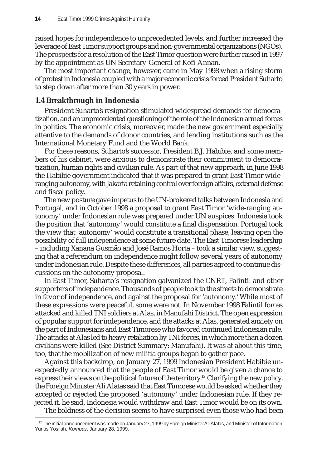raised hopes for independence to unprecedented levels, and further increased the leverage of East Timor support groups and non-governmental organizations (NGOs). The prospects for a resolution of the East Timor question were further raised in 1997 by the appointment as UN Secretary-General of Kofi Annan.

The most important change, however, came in May 1998 when a rising storm of protest in Indonesia coupled with a major economic crisis forced President Suharto to step down after more than 30 years in power.

#### **1.4 Breakthrough in Indonesia**

President Suharto's resignation stimulated widespread demands for democratization, and an unprecedented questioning of the role of the Indonesian armed forces in politics. The economic crisis, moreover, made the new government especially attentive to the demands of donor countries, and lending institutions such as the International Monetary Fund and the World Bank.

For these reasons, Suharto's successor, President B.J. Habibie, and some members of his cabinet, were anxious to demonstrate their commitment to democratization, human rights and civilian rule. As part of that new approach, in June 1998 the Habibie government indicated that it was prepared to grant East Timor wideranging autonomy, with Jakarta retaining control over foreign affairs, external defense and fiscal policy.

The new posture gave impetus to the UN-brokered talks between Indonesia and Portugal, and in October 1998 a proposal to grant East Timor 'wide-ranging autonomy' under Indonesian rule was prepared under UN auspices. Indonesia took the position that 'autonomy' would constitute a final dispensation. Portugal took the view that 'autonomy' would constitute a transitional phase, leaving open the possibility of full independence at some future date. The East Timorese leadership – including Xanana Gusmão and José Ramos Horta – took a similar view, suggesting that a referendum on independence might follow several years of autonomy under Indonesian rule. Despite these differences, all parties agreed to continue discussions on the autonomy proposal.

In East Timor, Suharto's resignation galvanized the CNRT, Falintil and other supporters of independence. Thousands of people took to the streets to demonstrate in favor of independence, and against the proposal for 'autonomy.' While most of these expressions were peaceful, some were not. In November 1998 Falintil forces attacked and killed TNI soldiers at Alas, in Manufahi District. The open expression of popular support for independence, and the attacks at Alas, generated anxiety on the part of Indonesians and East Timorese who favored continued Indonesian rule. The attacks at Alas led to heavy retaliation by TNI forces, in which more than a dozen civilians were killed (See District Summary: Manufahi). It was at about this time, too, that the mobilization of new militia groups began to gather pace.

Against this backdrop, on January 27, 1999 Indonesian President Habibie unexpectedly announced that the people of East Timor would be given a chance to express their views on the political future of the territory.<sup>12</sup> Clarifying the new policy, the Foreign Minister Ali Alatas said that East Timorese would be asked whether they accepted or rejected the proposed 'autonomy' under Indonesian rule. If they rejected it, he said, Indonesia would withdraw and East Timor would be on its own.

The boldness of the decision seems to have surprised even those who had been

 $12$  The initial announcement was made on January 27, 1999 by Foreign Minister Ali Alatas, and Minister of Information Yunus Yosfiah. *Kompas*, January 28, 1999.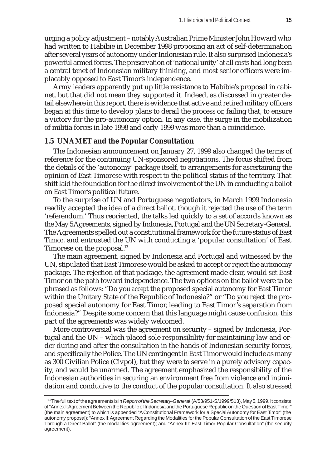urging a policy adjustment – notably Australian Prime Minister John Howard who had written to Habibie in December 1998 proposing an act of self-determination after several years of autonomy under Indonesian rule. It also surprised Indonesia's powerful armed forces. The preservation of 'national unity' at all costs had long been a central tenet of Indonesian military thinking, and most senior officers were implacably opposed to East Timor's independence.

Army leaders apparently put up little resistance to Habibie's proposal in cabinet, but that did not mean they supported it. Indeed, as discussed in greater detail elsewhere in this report, there is evidence that active and retired military officers began at this time to develop plans to derail the process or, failing that, to ensure a victory for the pro-autonomy option. In any case, the surge in the mobilization of militia forces in late 1998 and early 1999 was more than a coincidence.

#### **1.5 UNAMET and the Popular Consultation**

The Indonesian announcement on January 27, 1999 also changed the terms of reference for the continuing UN-sponsored negotiations. The focus shifted from the details of the 'autonomy' package itself, to arrangements for ascertaining the opinion of East Timorese with respect to the political status of the territory. That shift laid the foundation for the direct involvement of the UN in conducting a ballot on East Timor's political future.

To the surprise of UN and Portuguese negotiators, in March 1999 Indonesia readily accepted the idea of a direct ballot, though it rejected the use of the term 'referendum.' Thus reoriented, the talks led quickly to a set of accords known as the May 5 Agreements, signed by Indonesia, Portugal and the UN Secretary-General. The Agreements spelled out a constitutional framework for the future status of East Timor, and entrusted the UN with conducting a 'popular consultation' of East Timorese on the proposal.<sup>13</sup>

The main agreement, signed by Indonesia and Portugal and witnessed by the UN, stipulated that East Timorese would be asked to accept or reject the autonomy package. The rejection of that package, the agreement made clear, would set East Timor on the path toward independence. The two options on the ballot were to be phrased as follows: "Do you *accept* the proposed special autonomy for East Timor within the Unitary State of the Republic of Indonesia?" or "Do you *reject* the proposed special autonomy for East Timor, leading to East Timor's separation from Indonesia?" Despite some concern that this language might cause confusion, this part of the agreements was widely welcomed.

More controversial was the agreement on security – signed by Indonesia, Portugal and the UN – which placed sole responsibility for maintaining law and order during and after the consultation in the hands of Indonesian security forces, and specifically the Police. The UN contingent in East Timor would include as many as 300 Civilian Police (Civpol), but they were to serve in a purely advisory capacity, and would be unarmed. The agreement emphasized the responsibility of the Indonesian authorities in securing an environment free from violence and intimidation and conducive to the conduct of the popular consultation. It also stressed

<sup>&</sup>lt;sup>13</sup> The full text of the agreements is in *Report of the Secretary-General (A/53/951-S/1999/513)*, May 5, 1999. It consists of "Annex I: Agreement Between the Republic of Indonesia and the Portuguese Republic on the Question of East Timor" (the main agreement) to which is appended "A Constitutional Framework for a Special Autonomy for East Timor" (the autonomy proposal); "Annex II: Agreement Regarding the Modalities for the Popular Consultation of the East Timorese Through a Direct Ballot" (the modalities agreement); and "Annex III: East Timor Popular Consultation" (the security agreement).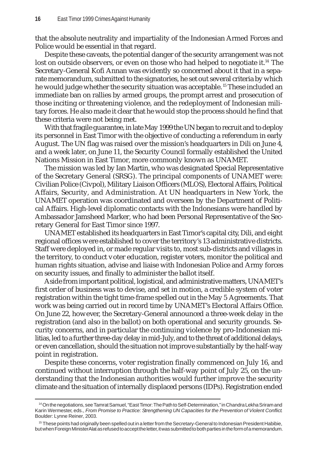that the absolute neutrality and impartiality of the Indonesian Armed Forces and Police would be essential in that regard.

Despite these caveats, the potential danger of the security arrangement was not lost on outside observers, or even on those who had helped to negotiate it.<sup>14</sup> The Secretary-General Kofi Annan was evidently so concerned about it that in a separate memorandum, submitted to the signatories, he set out several criteria by which he would judge whether the security situation was acceptable. 15 These included an immediate ban on rallies by armed groups, the prompt arrest and prosecution of those inciting or threatening violence, and the redeployment of Indonesian military forces. He also made it clear that he would stop the process should he find that these criteria were not being met.

With that fragile guarantee, in late May 1999 the UN began to recruit and to deploy its personnel in East Timor with the objective of conducting a referendum in early August. The UN flag was raised over the mission's headquarters in Dili on June 4, and a week later, on June 11, the Security Council formally established the United Nations Mission in East Timor, more commonly known as UNAMET.

The mission was led by Ian Martin, who was designated Special Representative of the Secretary General (SRSG). The principal components of UNAMET were: Civilian Police (Civpol), Military Liaison Officers (MLOS), Electoral Affairs, Political Affairs, Security, and Administration. At UN headquarters in New York, the UNAMET operation was coordinated and overseen by the Department of Political Affairs. High-level diplomatic contacts with the Indonesians were handled by Ambassador Jamsheed Marker, who had been Personal Representative of the Secretary General for East Timor since 1997.

UNAMET established its headquarters in East Timor's capital city, Dili, and eight regional offices were established to cover the territory's 13 administrative districts. Staff were deployed in, or made regular visits to, most sub-districts and villages in the territory, to conduct voter education, register voters, monitor the political and human rights situation, advise and liaise with Indonesian Police and Army forces on security issues, and finally to administer the ballot itself.

Aside from important political, logistical, and administrative matters, UNAMET's first order of business was to devise, and set in motion, a credible system of voter registration within the tight time-frame spelled out in the May 5 Agreements. That work was being carried out in record time by UNAMET's Electoral Affairs Office. On June 22, however, the Secretary-General announced a three-week delay in the registration (and also in the ballot) on both operational and security grounds. Security concerns, and in particular the continuing violence by pro-Indonesian militias, led to a further three-day delay in mid-July, and to the threat of additional delays, or even cancellation, should the situation not improve substantially by the half-way point in registration.

Despite these concerns, voter registration finally commenced on July 16, and continued without interruption through the half-way point of July 25, on the understanding that the Indonesian authorities would further improve the security climate and the situation of internally displaced persons (IDPs). Registration ended

<sup>14</sup> On the negotiations, see Tamrat Samuel, "East Timor: The Path to Self-Determination," in Chandra Lekha Sriram and Karin Wermester, eds., *From Promise to Practice: Strengthening UN Capacities for the Prevention of Violent Conflict*. Boulder: Lynne Reiner, 2003.

<sup>&</sup>lt;sup>15</sup> These points had originally been spelled out in a letter from the Secretary-General to Indonesian President Habibie, but when Foreign Minister Alatas refused to accept the letter, it was submitted to both parties in the form of a memorandum.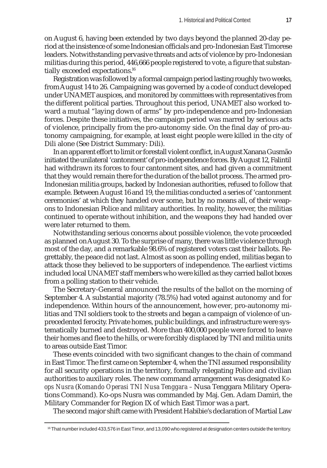on August 6, having been extended by two days beyond the planned 20-day period at the insistence of some Indonesian officials and pro-Indonesian East Timorese leaders. Notwithstanding pervasive threats and acts of violence by pro-Indonesian militias during this period, 446,666 people registered to vote, a figure that substantially exceeded expectations.16

Registration was followed by a formal campaign period lasting roughly two weeks, from August 14 to 26. Campaigning was governed by a code of conduct developed under UNAMET auspices, and monitored by committees with representatives from the different political parties. Throughout this period, UNAMET also worked toward a mutual "laying down of arms" by pro-independence and pro-Indonesian forces. Despite these initiatives, the campaign period was marred by serious acts of violence, principally from the pro-autonomy side. On the final day of pro-autonomy campaigning, for example, at least eight people were killed in the city of Dili alone (See District Summary: Dili).

In an apparent effort to limit or forestall violent conflict, in August Xanana Gusmão initiated the unilateral 'cantonment' of pro-independence forces. By August 12, Falintil had withdrawn its forces to four cantonment sites, and had given a commitment that they would remain there for the duration of the ballot process. The armed pro-Indonesian militia groups, backed by Indonesian authorities, refused to follow that example. Between August 16 and 19, the militias conducted a series of 'cantonment ceremonies' at which they handed over some, but by no means all, of their weapons to Indonesian Police and military authorities. In reality, however, the militias continued to operate without inhibition, and the weapons they had handed over were later returned to them.

Notwithstanding serious concerns about possible violence, the vote proceeded as planned on August 30. To the surprise of many, there was little violence through most of the day, and a remarkable 98.6% of registered voters cast their ballots. Regrettably, the peace did not last. Almost as soon as polling ended, militias began to attack those they believed to be supporters of independence. The earliest victims included local UNAMET staff members who were killed as they carried ballot boxes from a polling station to their vehicle.

The Secretary-General announced the results of the ballot on the morning of September 4. A substantial majority (78.5%) had voted against autonomy and for independence. Within hours of the announcement, however, pro-autonomy militias and TNI soldiers took to the streets and began a campaign of violence of unprecedented ferocity. Private homes, public buildings, and infrastructure were systematically burned and destroyed. More than 400,000 people were forced to leave their homes and flee to the hills, or were forcibly displaced by TNI and militia units to areas outside East Timor.

These events coincided with two significant changes to the chain of command in East Timor. The first came on September 4, when the TNI assumed responsibility for all security operations in the territory, formally relegating Police and civilian authorities to auxiliary roles. The new command arrangement was designated *Koops Nusra* (*Komando Operasi TNI Nusa Tenggara –* Nusa Tenggara Military Operations Command). Ko-ops Nusra was commanded by Maj. Gen. Adam Damiri, the Military Commander for Region IX of which East Timor was a part.

The second major shift came with President Habibie's declaration of Martial Law

<sup>16</sup> That number included 433,576 in East Timor, and 13,090 who registered at designation centers outside the territory.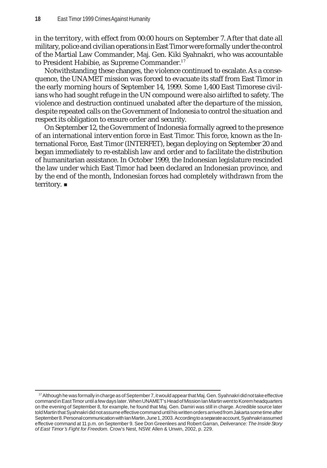in the territory, with effect from 00:00 hours on September 7. After that date all military, police and civilian operations in East Timor were formally under the control of the Martial Law Commander, Maj. Gen. Kiki Syahnakri, who was accountable to President Habibie, as Supreme Commander.<sup>17</sup>

Notwithstanding these changes, the violence continued to escalate. As a consequence, the UNAMET mission was forced to evacuate its staff from East Timor in the early morning hours of September 14, 1999. Some 1,400 East Timorese civilians who had sought refuge in the UN compound were also airlifted to safety. The violence and destruction continued unabated after the departure of the mission, despite repeated calls on the Government of Indonesia to control the situation and respect its obligation to ensure order and security.

On September 12, the Government of Indonesia formally agreed to the presence of an international intervention force in East Timor. This force, known as the International Force, East Timor (INTERFET), began deploying on September 20 and began immediately to re-establish law and order and to facilitate the distribution of humanitarian assistance. In October 1999, the Indonesian legislature rescinded the law under which East Timor had been declared an Indonesian province, and by the end of the month, Indonesian forces had completely withdrawn from the territory. ■

<sup>17</sup> Although he was formally in charge as of September 7, it would appear that Maj. Gen. Syahnakri did not take effective command in East Timor until a few days later. When UNAMET's Head of Mission Ian Martin went to Korem headquarters on the evening of September 8, for example, he found that Maj. Gen. Damiri was still in charge. A credible source later told Martin that Syahnakri did not assume effective command until his written orders arrived from Jakarta some time after September 8. Personal communication with Ian Martin, June 1, 2003. According to a separate account, Syahnakri assumed effective command at 11 p.m. on September 9. See Don Greenlees and Robert Garran, *Deliverance: The Inside Story of East Timor's Fight for Freedom.* Crow's Nest, NSW: Allen & Unwin, 2002, p. 229.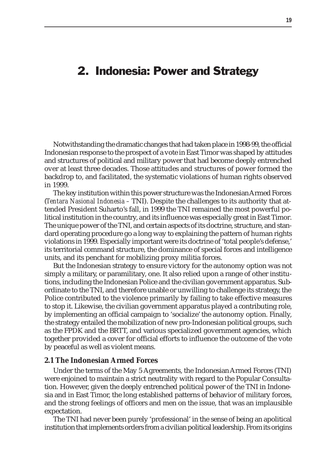### 2. Indonesia: Power and Strategy

Notwithstanding the dramatic changes that had taken place in 1998-99, the official Indonesian response to the prospect of a vote in East Timor was shaped by attitudes and structures of political and military power that had become deeply entrenched over at least three decades. Those attitudes and structures of power formed the backdrop to, and facilitated, the systematic violations of human rights observed in 1999.

The key institution within this power structure was the Indonesian Armed Forces (*Tentara Nasional Indonesia –* TNI). Despite the challenges to its authority that attended President Suharto's fall, in 1999 the TNI remained the most powerful political institution in the country, and its influence was especially great in East Timor. The unique power of the TNI, and certain aspects of its doctrine, structure, and standard operating procedure go a long way to explaining the pattern of human rights violations in 1999. Especially important were its doctrine of 'total people's defense,' its territorial command structure, the dominance of special forces and intelligence units, and its penchant for mobilizing proxy militia forces.

But the Indonesian strategy to ensure victory for the autonomy option was not simply a military, or paramilitary, one. It also relied upon a range of other institutions, including the Indonesian Police and the civilian government apparatus. Subordinate to the TNI, and therefore unable or unwilling to challenge its strategy, the Police contributed to the violence primarily by failing to take effective measures to stop it. Likewise, the civilian government apparatus played a contributing role, by implementing an official campaign to 'socialize' the autonomy option. Finally, the strategy entailed the mobilization of new pro-Indonesian political groups, such as the FPDK and the BRTT, and various specialized government agencies, which together provided a cover for official efforts to influence the outcome of the vote by peaceful as well as violent means.

#### **2.1 The Indonesian Armed Forces**

Under the terms of the May 5 Agreements, the Indonesian Armed Forces (TNI) were enjoined to maintain a strict neutrality with regard to the Popular Consultation. However, given the deeply entrenched political power of the TNI in Indonesia and in East Timor, the long established patterns of behavior of military forces, and the strong feelings of officers and men on the issue, that was an implausible expectation.

The TNI had never been purely 'professional' in the sense of being an apolitical institution that implements orders from a civilian political leadership. From its origins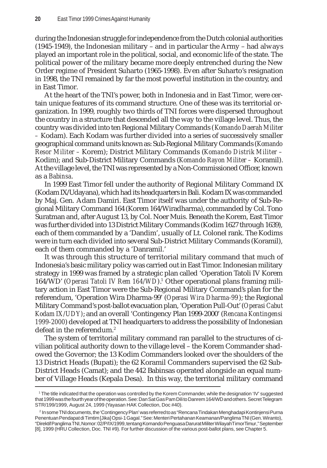during the Indonesian struggle for independence from the Dutch colonial authorities (1945-1949), the Indonesian military – and in particular the Army – had always played an important role in the political, social, and economic life of the state. The political power of the military became more deeply entrenched during the New Order regime of President Suharto (1965-1998). Even after Suharto's resignation in 1998, the TNI remained by far the most powerful institution in the country, and in East Timor.

At the heart of the TNI's power, both in Indonesia and in East Timor, were certain unique features of its command structure. One of these was its territorial organization. In 1999, roughly two thirds of TNI forces were dispersed throughout the country in a structure that descended all the way to the village level. Thus, the country was divided into ten Regional Military Commands (*Komando Daerah Militer –* Kodam). Each Kodam was further divided into a series of successively smaller geographical command units known as: Sub-Regional Military Commands (*Komando Resor Militer –* Korem); District Military Commands (*Komando Distrik Militer –* Kodim); and Sub-District Military Commands (*Komando Rayon Militer –* Koramil). At the village level, the TNI was represented by a Non-Commissioned Officer, known as a *Babinsa*.

In 1999 East Timor fell under the authority of Regional Military Command IX (Kodam IX/Udayana), which had its headquarters in Bali. Kodam IX was commanded by Maj. Gen. Adam Damiri. East Timor itself was under the authority of Sub-Regional Military Command 164 (Korem 164/Wiradharma), commanded by Col. Tono Suratman and, after August 13, by Col. Noer Muis. Beneath the Korem, East Timor was further divided into 13 District Military Commands (Kodim 1627 through 1639), each of them commanded by a 'Dandim', usually of Lt. Colonel rank. The Kodims were in turn each divided into several Sub-District Military Commands (Koramil), each of them commanded by a 'Danramil.'

It was through this structure of territorial military command that much of Indonesia's basic military policy was carried out in East Timor. Indonesian military strategy in 1999 was framed by a strategic plan called 'Operation Tatoli IV Korem 164/WD' (*Operasi Tatoli IV Rem 164/WD*).<sup>1</sup> Other operational plans framing military action in East Timor were the Sub-Regional Military Command's plan for the referendum, 'Operation Wira Dharma-99' (*Operasi Wira Dharma-99*); the Regional Military Command's post-ballot evacuation plan, 'Operation Pull-Out' (*Operasi Cabut Kodam IX/UDY)*; and an overall 'Contingency Plan 1999-2000' (*Rencana Kontingensi 1999-2000*) developed at TNI headquarters to address the possibility of Indonesian defeat in the referendum.<sup>2</sup>

The system of territorial military command ran parallel to the structures of civilian political authority down to the village level – the Korem Commander shadowed the Governor; the 13 Kodim Commanders looked over the shoulders of the 13 District Heads (Bupati); the 62 Koramil Commanders supervised the 62 Sub-District Heads (Camat); and the 442 Babinsas operated alongside an equal number of Village Heads (Kepala Desa). In this way, the territorial military command

<sup>1</sup> The title indicated that the operation was controlled by the Korem Commander, while the designation 'IV' suggested that 1999 was the fourth year of the operation. See: Dan Sat Gas Pam Dili to Danrem 164/WD and others. Secret Telegram STR/199/1999, August 24, 1999 (Yayasan HAK Collection, Doc #40).

<sup>2</sup> In some TNI documents, the 'Contingency Plan' was referred to as "Rencana Tindakan Menghadapi Kontinjensi Purna Penentuan Pendapat di Timtim [Jika] Opsi-1 Gagal." See: Menteri Pertahanan Keamanan/Panglima TNI (Gen. Wiranto), "Direktif Panglima TNI, Nomor: 02/P/IX/1999, tentang Komando Penguasa Darurat Militer Wilayah Timor Timur," September [8], 1999 (HRU Collection, Doc. TNI #9). For further discussion of the various post-ballot plans, see Chapter 5.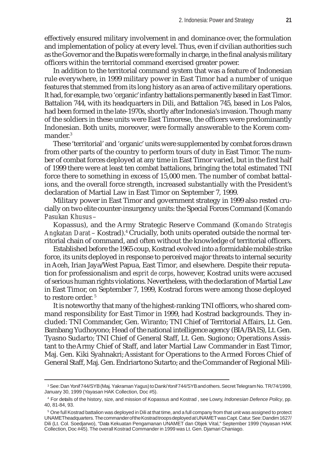effectively ensured military involvement in and dominance over, the formulation and implementation of policy at every level. Thus, even if civilian authorities such as the Governor and the Bupatis were formally in charge, in the final analysis military officers within the territorial command exercised greater power.

In addition to the territorial command system that was a feature of Indonesian rule everywhere, in 1999 military power in East Timor had a number of unique features that stemmed from its long history as an area of active military operations. It had, for example, two 'organic' infantry battalions permanently based in East Timor. Battalion 744, with its headquarters in Dili, and Battalion 745, based in Los Palos, had been formed in the late-1970s, shortly after Indonesia's invasion. Though many of the soldiers in these units were East Timorese, the officers were predominantly Indonesian. Both units, moreover, were formally answerable to the Korem commander.<sup>3</sup>

These 'territorial' and 'organic' units were supplemented by combat forces drawn from other parts of the country to perform tours of duty in East Timor. The number of combat forces deployed at any time in East Timor varied, but in the first half of 1999 there were at least ten combat battalions, bringing the total estimated TNI force there to something in excess of 15,000 men. The number of combat battalions, and the overall force strength, increased substantially with the President's declaration of Martial Law in East Timor on September 7, 1999.

Military power in East Timor and government strategy in 1999 also rested crucially on two elite counter-insurgency units: the Special Forces Command (*Komando Pasukan Khusus* –

Kopassus), and the Army Strategic Reserve Command (*Komando Strategis Angkatan Darat* – Kostrad).4 Crucially, both units operated outside the normal territorial chain of command, and often without the knowledge of territorial officers.

Established before the 1965 coup, Kostrad evolved into a formidable mobile strike force, its units deployed in response to perceived major threats to internal security in Aceh, Irian Jaya/West Papua, East Timor, and elsewhere. Despite their reputation for professionalism and *esprit de corps*, however, Kostrad units were accused of serious human rights violations. Nevertheless, with the declaration of Martial Law in East Timor, on September 7, 1999, Kostrad forces were among those deployed to restore order.<sup>5</sup>

It is noteworthy that many of the highest-ranking TNI officers, who shared command responsibility for East Timor in 1999, had Kostrad backgrounds. They included: TNI Commander, Gen. Wiranto; TNI Chief of Territorial Affairs, Lt. Gen. Bambang Yudhoyono; Head of the national intelligence agency (BIA/BAIS), Lt. Gen. Tyasno Sudarto; TNI Chief of General Staff, Lt. Gen. Sugiono; Operations Assistant to the Army Chief of Staff, and later Martial Law Commander in East Timor, Maj. Gen. Kiki Syahnakri; Assistant for Operations to the Armed Forces Chief of General Staff, Maj. Gen. Endriartono Sutarto; and the Commander of Regional Mili-

<sup>&</sup>lt;sup>3</sup> See: Dan Yonif 744/SYB (Maj. Yakraman Yagus) to Danki Yonif 744/SYB and others. Secret Telegram No. TR/74/1999, January 30, 1999 (Yayasan HAK Collection, Doc #5).

<sup>4</sup> For details of the history, size, and mission of Kopassus and Kostrad , see Lowry, *Indonesian Defence Policy*, pp. 40, 81-84, 93.

 $^5$  One full Kostrad battalion was deployed in Dili at that time, and a full company from that unit was assigned to protect UNAMET headquarters. The commander of the Kostrad troops deployed at UNAMET was Capt. Catur. See: Dandim 1627/ Dili (Lt. Col. Soedjarwo), "Data Kekuatan Pengamanan UNAMET dan Objek Vital," September 1999 (Yayasan HAK Collection, Doc #45). The overall Kostrad Commander in 1999 was Lt. Gen. Djamari Chaniago.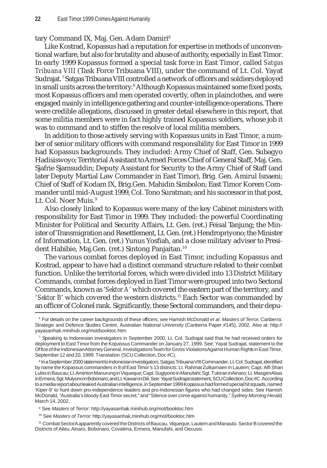#### tary Command IX, Maj. Gen. Adam Damiri<sup>6</sup>

Like Kostrad, Kopassus had a reputation for expertise in methods of unconventional warfare, but also for brutality and abuse of authority, especially in East Timor. In early 1999 Kopassus formed a special task force in East Timor, called *Satgas Tribuana VIII* (Task Force Tribuana VIII), under the command of Lt. Col. Yayat Sudrajat. <sup>7</sup> Satgas Tribuana VIII controlled a network of officers and soldiers deployed in small units across the territory.<sup>8</sup> Although Kopassus maintained some fixed posts, most Kopassus officers and men operated covertly, often in plainclothes, and were engaged mainly in intelligence gathering and counter-intelligence operations. There were credible allegations, discussed in greater detail elsewhere in this report, that some militia members were in fact highly trained Kopassus soldiers, whose job it was to command and to stiffen the resolve of local militia members.

In addition to those actively serving with Kopassus units in East Timor, a number of senior military officers with command responsibility for East Timor in 1999 had Kopassus backgrounds. They included: Army Chief of Staff, Gen. Subagyo Hadisiswoyo; Territorial Assistant to Armed Forces Chief of General Staff, Maj. Gen. Sjafrie Sjamsuddin; Deputy Assistant for Security to the Army Chief of Staff (and later Deputy Martial Law Commander in East Timor), Brig. Gen. Amirul Isnaeni; Chief of Staff of Kodam IX, Brig.Gen. Mahidin Simbolon; East Timor Korem Commander until mid-August 1999, Col. Tono Suratman; and his successor in that post, Lt. Col. Noer Muis. <sup>9</sup>

Also closely linked to Kopassus were many of the key Cabinet ministers with responsibility for East Timor in 1999. They included: the powerful Coordinating Minister for Political and Security Affairs, Lt. Gen. (ret.) Feisal Tanjung; the Minister of Transmigration and Resettlement, Lt. Gen. (ret.) Hendropriyono; the Minister of Information, Lt. Gen. (ret.) Yunus Yosfiah, and a close military adviser to President Habibie, Maj.Gen. (ret.) Sintong Panjaitan.<sup>10</sup>

The various combat forces deployed in East Timor, including Kopassus and Kostrad, appear to have had a distinct command structure related to their combat function. Unlike the territorial forces, which were divided into 13 District Military Commands, combat forces deployed in East Timor were grouped into two Sectoral Commands, known as '*Sektor A*' which covered the eastern part of the territory, and '*Sektor B*' which covered the western districts.<sup>11</sup> Each Sector was commanded by an officer of Colonel rank. Significantly, these Sectoral commanders, and their depu-

<sup>6</sup> For details on the career backgrounds of these officers, see Hamish McDonald *et al*. *Masters of Terror*, Canberra: Strategic and Defence Studies Centre, Australian National University (Canberra Paper #145), 2002. Also at: http:// yayasanhak.minihub.org/mot/booktoc.htm.

<sup>7</sup> Speaking to Indonesian investigators in September 2000, Lt. Col. Sudrajat said that he had received orders for deployment to East Timor from the Kopassus Commander on January 27, 1999. See: Yayat Sudrajat, statement to the Office of the Indonesian Attorney General, Investigations Team for Gross Violations Against Human Rights in East Timor, September 12 and 20, 1999. Translation (SCU Collection, Doc #C).

<sup>8</sup> In a September 2000 statement to Indonesian investigators, Satgas Tribuana VIII Commander, Lt. Col. Sudrajat, identified by name the Kopassus commanders in 8 of East Timor's 13 districts: Lt. Rahmat Zulkarnaen in Lautem; Capt. Alfi Shari Lubis in Baucau; Lt. Aminton Manurung in Viqueque; Capt. Sugiyono in Manufahi; Sgt. Tukiran in Ainaro; Lt. Masgen Abas in Ermera; Sgt. Mulyono in Bobonaro; and Lt. Kawan in Dili. See: Yayat Sudrajat statement, SCU Collection, Doc #C. According to a media report about leaked Australian intelligence, in September 1999 Kopassus had formed special hit squads, named 'Kiper-9' to hunt down pro-independence leaders and pro-Indonesian figures who had changed sides. See Hamish McDonald, "Australia's bloody East Timor secret," and "Silence over crime against humanity," *Sydney Morning Herald*, March 14, 2002.

<sup>9</sup> See *Masters of Terror*: http://yayasanhak.minihub.org/mot/booktoc.htm

<sup>10</sup> See *Masters of Terror*: http://yayasanhak.minihub.org/mot/booktoc.htm

<sup>11</sup> Combat Sector A apparently covered the Districts of Baucau, Viqueque, Lautem and Manauto. Sector B covered the Districts of Aileu, Ainaro, Bobonaro, Covalima, Ermera, Manufahi, and Oecussi.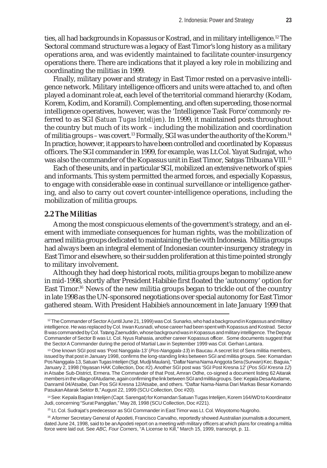ties, all had backgrounds in Kopassus or Kostrad, and in military intelligence.<sup>12</sup> The Sectoral command structure was a legacy of East Timor's long history as a military operations area, and was evidently maintained to facilitate counter-insurgency operations there. There are indications that it played a key role in mobilizing and coordinating the militias in 1999.

Finally, military power and strategy in East Timor rested on a pervasive intelligence network. Military intelligence officers and units were attached to, and often played a dominant role at, each level of the territorial command hierarchy (Kodam, Korem, Kodim, and Koramil). Complementing, and often superceding, those normal intelligence operatives, however, was the 'Intelligence Task Force' commonly referred to as SGI (*Satuan Tugas Intelijen*). In 1999, it maintained posts throughout the country but much of its work – including the mobilization and coordination of militia groups - was covert.<sup>13</sup> Formally, SGI was under the authority of the Korem.<sup>14</sup> In practice, however, it appears to have been controlled and coordinated by Kopassus officers. The SGI commander in 1999, for example, was Lt.Col. Yayat Sudrajat, who was also the commander of the Kopassus unit in East Timor, Satgas Tribuana VIII.15

Each of these units, and in particular SGI, mobilized an extensive network of spies and informants. This system permitted the armed forces, and especially Kopassus, to engage with considerable ease in continual surveillance or intelligence gathering, and also to carry out covert counter-intelligence operations, including the mobilization of militia groups.

## **2.2 The Militias**

Among the most conspicuous elements of the government's strategy, and an element with immediate consequences for human rights, was the mobilization of armed militia groups dedicated to maintaining the tie with Indonesia. Militia groups had always been an integral element of Indonesian counter-insurgency strategy in East Timor and elsewhere, so their sudden proliferation at this time pointed strongly to military involvement.

Although they had deep historical roots, militia groups began to mobilize anew in mid-1998, shortly after President Habibie first floated the 'autonomy' option for East Timor.<sup>16</sup> News of the new militia groups began to trickle out of the country in late 1998 as the UN-sponsored negotiations over special autonomy for East Timor gathered steam. With President Habibie's announcement in late January 1999 that

14 See: Kepala Bagian Intelijen (Capt. Sarengat) for Komandan Satuan Tugas Intelijen, Korem 164/WD to Koordinator Judi, concerning "Surat Panggilan," May 28, 1998 (SCU Collection, Doc #221).

15 Lt. Col. Sudrajat's predecessor as SGI Commander in East Timor was Lt. Col. Wioyotomo Nugroho.

<sup>16</sup> Aformer Secretary General of Apodeti, Francisco Carvalho, reportedly showed Australian journalists a document, dated June 24, 1998, said to be an Apodeti report on a meeting with military officers at which plans for creating a militia force were laid out. See *ABC, Four Corners*, "A License to Kill," March 15, 1999, transcript, p. 11.

 $12$  The Commander of Sector A (until June 21, 1999) was Col. Sunarko, who had a background in Kopassus and military intelligence. He was replaced by Col. Irwan Kusnadi, whose career had been spent with Kopassus and Kostrad. Sector B was commanded by Col. Tatang Zaenuddin, whose background was in Kopassus and military intelligence. The Deputy Commander of Sector B was Lt. Col. Nyus Rahasia, another career Kopassus officer. Some documents suggest that the Sector A Commander during the period of Martial Law in September 1999 was Col. Gerhan Lantara.

<sup>13</sup> One known SGI post was 'Post Nanggala-13' (*Pos-Nanggala-13*) in Baucau. A secret list of Sera militia members, issued by that post in January 1998, confirms the long-standing links between SGI and militia groups. See: Komandan Pos Nanggala-13, Satuan Tugas Intelijen (Sgt. Mudji Maulani), "Daftar Nama Nama Anggota Sera (Surwan) Kec. Baguia," January 2, 1998 (Yayasan HAK Collection, Doc #2). Another SGI post was 'SGI Post Kresna 12' (*Pos SGI Kresna 12*) in Atsabe Sub-District, Ermera. The Commander of that Post, Amran Odhe, co-signed a document listing 62 Aitarak members in the village of Atudame, again confirming the link between SGI and militia groups. See: Kepala Desa Atudame, Danramil 04/Atsabe, Dan Pos SGI Kresna 12/Atsabe, and others. "Daftar Nama-Nama Dari Markas Besar Komando Pasukan Aitarak Sektor B," August 22, 1999 (SCU Collection, Doc #20).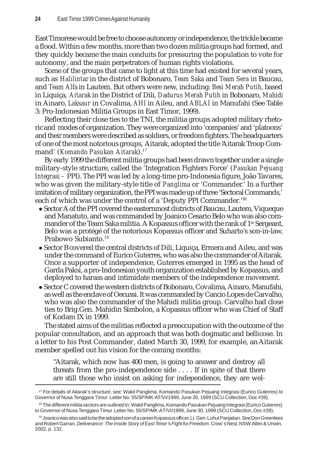East Timorese would be free to choose autonomy or independence, the trickle became a flood. Within a few months, more than two dozen militia groups had formed, and they quickly became the main conduits for pressuring the population to vote for autonomy, and the main perpetrators of human rights violations.

Some of the groups that came to light at this time had existed for several years, such as *Halilintar* in the district of Bobonaro, *Team Saka* and *Team Sera* in Baucau, and *Team Alfa* in Lautem. But others were new, including: *Besi Merah Putih*, based in Liquiça, *Aitarak* in the District of Dili, *Dadurus Merah Putih* in Bobonaro, *Mahidi* in Ainaro, *Laksaur* in Covalima, *AHI* in Aileu, and *ABLAI* in Manufahi (See Table 3: Pro-Indonesian Militia Groups in East Timor, 1999).

Reflecting their close ties to the TNI, the militia groups adopted military rhetoric and modes of organization. They were organized into 'companies' and 'platoons' and their members were described as soldiers, or freedom fighters. The headquarters of one of the most notorious groups, Aitarak, adopted the title 'Aitarak Troop Command' (*Komando Pasukan Aitarak*).17

By early 1999 the different militia groups had been drawn together under a single military-style structure, called the 'Integration Fighters Force' (*Pasukan Pejuang Integrasi –* PPI). The PPI was led by a long-time pro-Indonesia figure, João Tavares, who was given the military-style title of *Panglima* or 'Commander.' In a further imitation of military organization, the PPI was made up of three 'Sectoral Commands,' each of which was under the control of a 'Deputy PPI Commander.'18

- Sector A of the PPI covered the easternmost districts of Baucau, Lautem, Viqueque and Manatuto, and was commanded by Joanico Cesario Belo who was also commander of the Team Saka militia. A Kopassus officer with the rank of 1st Sergeant, Belo was a protégé of the notorious Kopassus officer and Suharto's son-in-law, Prabowo Subianto.19
- Sector B covered the central districts of Dili, Liquiça, Ermera and Aileu, and was under the command of Eurico Guterres, who was also the commander of Aitarak. Once a supporter of independence, Guterres emerged in 1995 as the head of Garda Paksi, a pro-Indonesian youth organization established by Kopassus, and deployed to harass and intimidate members of the independence movement.
- z Sector C covered the western districts of Bobonaro, Covalima, Ainaro, Manufahi, as well as the enclave of Oecussi. It was commanded by Cancio Lopes de Carvalho, who was also the commander of the Mahidi militia group. Carvalho had close ties to Brig.Gen. Mahidin Simbolon, a Kopassus officer who was Chief of Staff of Kodam IX in 1999.

The stated aims of the militias reflected a preoccupation with the outcome of the popular consultation, and an approach that was both dogmatic and bellicose. In a letter to his Post Commander, dated March 30, 1999, for example, an Aitarak member spelled out his vision for the coming months:

"Aitarak, which now has 400 men, is going to answer and destroy all threats from the pro-independence side . . . . If in spite of that there are still those who insist on asking for independence, they are wel-

<sup>17</sup> For details of Aitarak's structure, see: Wakil Panglima, Komando Pasukan Pejuang Integrasi (Eurico Guterres) to Governor of Nusa Tenggara Timur. Letter No. 55/SP/MK-AT/VI/1999, June 30, 1999 (SCU Collection, Doc #39).

<sup>&</sup>lt;sup>18</sup> The different militia sectors are outlined in: Wakil Panglima, Komando Pasukan Pejuang Integrasi (Eurico Guterres) to Governor of Nusa Tenggara Timur. Letter No. 55/SP/MK-AT/VI/1999, June 30, 1999 (SCU Collection, Doc #39).

<sup>&</sup>lt;sup>19</sup> Joanico was also said to be the adopted son of a career Kopassus officer, Lt. Gen. Luhut Panjaitan. See Don Greenlees and Robert Garran, *Deliverance: The Inside Story of East Timor's Fight for Freedom*. Crow's Nest, NSW: Allen & Unwin, 2002, p. 132.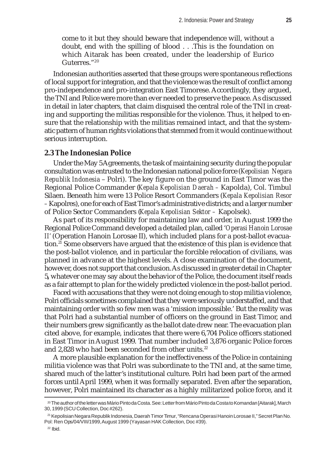come to it but they should beware that independence will, without a doubt, end with the spilling of blood . . .This is the foundation on which Aitarak has been created, under the leadership of Eurico Guterres."20

Indonesian authorities asserted that these groups were spontaneous reflections of local support for integration, and that the violence was the result of conflict among pro-independence and pro-integration East Timorese. Accordingly, they argued, the TNI and Police were more than ever needed to preserve the peace. As discussed in detail in later chapters, that claim disguised the central role of the TNI in creating and supporting the militias responsible for the violence. Thus, it helped to ensure that the relationship with the militias remained intact, and that the systematic pattern of human rights violations that stemmed from it would continue without serious interruption.

## **2.3 The Indonesian Police**

Under the May 5 Agreements, the task of maintaining security during the popular consultation was entrusted to the Indonesian national police force (*Kepolisian Negara Republik Indonesia* – Polri). The key figure on the ground in East Timor was the Regional Police Commander (*Kepala Kepolisian Daerah –* Kapolda), Col. Timbul Silaen. Beneath him were 13 Police Resort Commanders (*Kepala Kepolisian Resor –* Kapolres), one for each of East Timor's administrative districts; and a larger number of Police Sector Commanders (*Kepala Kepolisian Sektor –* Kapolsek).

As part of its responsibility for maintaining law and order, in August 1999 the Regional Police Command developed a detailed plan, called '*Operasi Hanoin Lorosae II'* (Operation Hanoin Lorosae II), which included plans for a post-ballot evacuation.21 Some observers have argued that the existence of this plan is evidence that the post-ballot violence, and in particular the forcible relocation of civilians, was planned in advance at the highest levels. A close examination of the document, however, does not support that conclusion. As discussed in greater detail in Chapter 5**,** whatever one may say about the behavior of the Police, the document itself reads as a fair attempt to plan for the widely predicted violence in the post-ballot period.

Faced with accusations that they were not doing enough to stop militia violence, Polri officials sometimes complained that they were seriously understaffed, and that maintaining order with so few men was a 'mission impossible.' But the reality was that Polri had a substantial number of officers on the ground in East Timor, and their numbers grew significantly as the ballot date drew near. The evacuation plan cited above, for example, indicates that there were 6,704 Police officers stationed in East Timor in August 1999. That number included 3,876 organic Police forces and 2,828 who had been seconded from other units.<sup>22</sup>

A more plausible explanation for the ineffectiveness of the Police in containing militia violence was that Polri was subordinate to the TNI and, at the same time, shared much of the latter's institutional culture. Polri had been part of the armed forces until April 1999, when it was formally separated. Even after the separation, however, Polri maintained its character as a highly militarized police force, and it

<sup>20</sup> The author of the letter was Mário Pinto da Costa. See: Letter from Mário Pinto da Costa to Komandan [Aitarak], March 30, 1999 (SCU Collection, Doc #262).

<sup>21</sup> Kepolisian Negara Republik Indonesia, Daerah Timor Timur, "Rencana Operasi Hanoin Lorosae II," Secret Plan No. Pol: Ren Ops/04/VIII/1999, August 1999 (Yayasan HAK Collection, Doc #39).

 $22$  Ibid.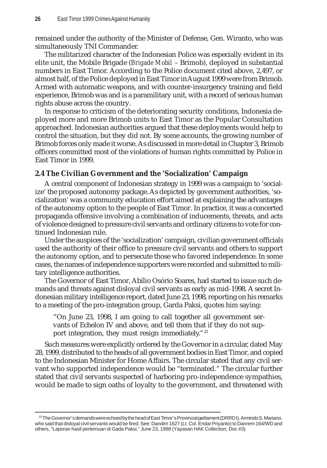remained under the authority of the Minister of Defense, Gen. Wiranto, who was simultaneously TNI Commander.

The militarized character of the Indonesian Police was especially evident in its elite unit, the Mobile Brigade (*Brigade Mobil* – Brimob), deployed in substantial numbers in East Timor. According to the Police document cited above, 2,497, or almost half, of the Police deployed in East Timor in August 1999 were from Brimob. Armed with automatic weapons, and with counter-insurgency training and field experience, Brimob was and is a paramilitary unit, with a record of serious human rights abuse across the country.

In response to criticism of the deteriorating security conditions, Indonesia deployed more and more Brimob units to East Timor as the Popular Consultation approached. Indonesian authorities argued that these deployments would help to control the situation, but they did not. By some accounts, the growing number of Brimob forces only made it worse. As discussed in more detail in Chapter 3, Brimob officers committed most of the violations of human rights committed by Police in East Timor in 1999.

# **2.4 The Civilian Government and the 'Socialization' Campaign**

A central component of Indonesian strategy in 1999 was a campaign to 'socialize' the proposed autonomy package. As depicted by government authorities, 'socialization' was a community education effort aimed at explaining the advantages of the autonomy option to the people of East Timor. In practice, it was a concerted propaganda offensive involving a combination of inducements, threats, and acts of violence designed to pressure civil servants and ordinary citizens to vote for continued Indonesian rule.

Under the auspices of the 'socialization' campaign, civilian government officials used the authority of their office to pressure civil servants and others to support the autonomy option, and to persecute those who favored independence. In some cases, the names of independence supporters were recorded and submitted to military intelligence authorities.

The Governor of East Timor, Abílio Osório Soares, had started to issue such demands and threats against disloyal civil servants as early as mid-1998. A secret Indonesian military intelligence report, dated June 23, 1998, reporting on his remarks to a meeting of the pro-integration group, Garda Paksi, quotes him saying:

"On June 23, 1998, I am going to call together all government servants of Echelon IV and above, and tell them that if they do not support integration, they must resign immediately."<sup>23</sup>

Such measures were explicitly ordered by the Governor in a circular, dated May 28, 1999, distributed to the heads of all government bodies in East Timor, and copied to the Indonesian Minister for Home Affairs. The circular stated that any civil servant who supported independence would be "terminated." The circular further stated that civil servants suspected of harboring pro-independence sympathies, would be made to sign oaths of loyalty to the government, and threatened with

<sup>&</sup>lt;sup>23</sup> The Governor's demands were echoed by the head of East Timor's Provincial parliament (DRRDI), Armindo S. Mariano, who said that disloyal civil servants would be fired. See: Dandim 1627 (Lt. Col. Endar Priyanto) to Danrem 164/WD and others, "Laporan hasil pertemuan di Gada Paksi," June 23, 1998 (Yayasan HAK Collection, Doc #3).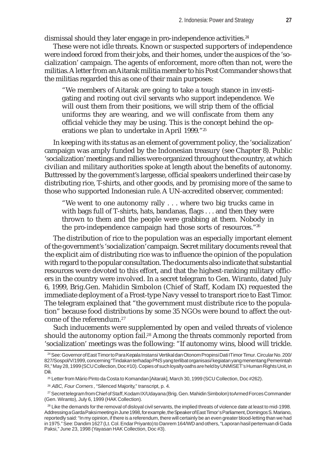dismissal should they later engage in pro-independence activities.<sup>24</sup>

These were not idle threats. Known or suspected supporters of independence were indeed forced from their jobs, and their homes, under the auspices of the 'socialization' campaign. The agents of enforcement, more often than not, were the militias. A letter from an Aitarak militia member to his Post Commander shows that the militias regarded this as one of their main purposes:

"We members of Aitarak are going to take a tough stance in investigating and rooting out civil servants who support independence. We will oust them from their positions, we will strip them of the official uniforms they are wearing, and we will confiscate from them any official vehicle they may be using. This is the concept behind the operations we plan to undertake in April 1999."25

In keeping with its status as an element of government policy, the 'socialization' campaign was amply funded by the Indonesian treasury (see Chapter 8). Public 'socialization' meetings and rallies were organized throughout the country, at which civilian and military authorities spoke at length about the benefits of autonomy. Buttressed by the government's largesse, official speakers underlined their case by distributing rice, T-shirts, and other goods, and by promising more of the same to those who supported Indonesian rule. A UN-accredited observer, commented:

"We went to one autonomy rally . . . where two big trucks came in with bags full of T-shirts, hats, bandanas, flags . . . and then they were thrown to them and the people were grabbing at them. Nobody in the pro-independence campaign had those sorts of resources."26

The distribution of rice to the population was an especially important element of the government's 'socialization' campaign. Secret military documents reveal that the explicit aim of distributing rice was to influence the opinion of the population with regard to the popular consultation. The documents also indicate that substantial resources were devoted to this effort, and that the highest-ranking military officers in the country were involved. In a secret telegram to Gen. Wiranto, dated July 6, 1999, Brig.Gen. Mahidin Simbolon (Chief of Staff, Kodam IX) requested the immediate deployment of a Frost-type Navy vessel to transport rice to East Timor. The telegram explained that "the government must distribute rice to the population" because food distributions by some 35 NGOs were bound to affect the outcome of the referendum.27

Such inducements were supplemented by open and veiled threats of violence should the autonomy option fail.<sup>28</sup> Among the threats commonly reported from 'socialization' meetings was the following: "If autonomy wins, blood will trickle.

<sup>26</sup> *ABC, Four Corners*, "Silenced Majority," transcript, p. 4.

<sup>&</sup>lt;sup>24</sup> See: Governor of East Timor to Para Kepala Instansi Vertikal dan Otonom Propinsi Dati I Timor Timur. Circular No. 200/ 827/Sospol/V/1999, concerning "Tindakan terhadap PNS yang terlibat organisasi/ kegiatan yang menentang Pemerintah RI," May 28, 1999 (SCU Collection, Doc #10). Copies of such loyalty oaths are held by UNMISET's Human Rights Unit, in Dili.

<sup>25</sup> Letter from Mário Pinto da Costa to Komandan [Aitarak], March 30, 1999 (SCU Collection, Doc #262).

<sup>&</sup>lt;sup>27</sup> Secret telegram from Chief of Staff, Kodam IX/Udayana (Brig. Gen. Mahidin Simbolon) to Armed Forces Commander (Gen. Wiranto), July 6, 1999 (HAK Collection).

 $^{28}$  Like the demands for the removal of disloval civil servants, the implied threats of violence date at least to mid-1998. Addressing a Garda Paksi meeting in June 1998, for example, the Speaker of East Timor's Parliament, Domingos S. Mariano, reportedly said: "In my opinion, if there is a referendum, there will certainly be an even greater blood-letting than we had in 1975." See: Dandim 1627 (Lt. Col. Endar Priyanto) to Danrem 164/WD and others, "Laporan hasil pertemuan di Gada Paksi," June 23, 1998 (Yayasan HAK Collection, Doc #3).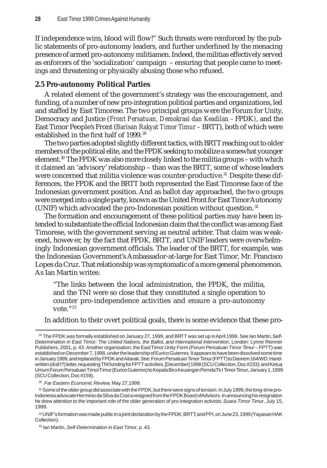If independence wins, blood will flow!" Such threats were reinforced by the public statements of pro-autonomy leaders, and further underlined by the menacing presence of armed pro-autonomy militiamen. Indeed, the militias effectively served as enforcers of the 'socialization' campaign – ensuring that people came to meetings and threatening or physically abusing those who refused.

# **2.5 Pro-autonomy Political Parties**

A related element of the government's strategy was the encouragement, and funding, of a number of new pro-integration political parties and organizations, led and staffed by East Timorese. The two principal groups were the Forum for Unity, Democracy and Justice (*Front Persatuan, Demokrasi dan Keadilan –* FPDK*)*, and the East Timor People's Front (*Barisan Rakyat Timor Timur –* BRTT), both of which were established in the first half of 1999.<sup>29</sup>

The two parties adopted slightly different tactics, with BRTT reaching out to older members of the political elite, and the FPDK seeking to mobilize a somewhat younger element.30 The FPDK was also more closely linked to the militia groups – with which it claimed an 'advisory' relationship – than was the BRTT, some of whose leaders were concerned that militia violence was counter-productive.<sup>31</sup> Despite these differences, the FPDK and the BRTT both represented the East Timorese face of the Indonesian government position. And as ballot day approached, the two groups were merged into a single party, known as the United Front for East Timor Autonomy (UNIF) which advocated the pro-Indonesian position without question. <sup>32</sup>

The formation and encouragement of these political parties may have been intended to substantiate the official Indonesian claim that the conflict was among East Timorese, with the government serving as neutral arbiter. That claim was weakened, however, by the fact that FPDK, BRTT, and UNIF leaders were overwhelmingly Indonesian government officials. The leader of the BRTT, for example, was the Indonesian Government's Ambassador-at-large for East Timor, Mr. Francisco Lopes da Cruz. That relationship was symptomatic of a more general phenomenon. As Ian Martin writes:

"The links between the local administration, the FPDK, the militia, and the TNI were so close that they constituted a single operation to counter pro-independence activities and ensure a pro-autonomy vote."33

In addition to their overt political goals, there is some evidence that these pro-

<sup>30</sup> *Far Eastern Economic Review,* May 27,1999.

<sup>29</sup> The FPDK was formally established on January 27, 1999, and BRTT was set up in April 1999. See Ian Martin, *Self-Determination in East Timor: The United Nations, the Ballot, and International Intervention*, London: Lynne Rienner Publishers, 2001, p. 43. Another organization, the East Timor Unity Form (*Forum Persatuan Timor Timur* – FPTT) was established on December 7, 1998, under the leadership of Eurico Guterres. It appears to have been dissolved some time in January 1999, and replaced by FPDK and Aitarak. See: Forum Persatuan Timor Timur (FPTT) to Danrem 164/WD. Handwritten (draft?) letter, requesting TNI funding for FPTT activities, [December] 1998 (SCU Collection, Doc#233); and Ketua Umum Forum Persatuan Timor Timur (Eurico Guterres) to Kepala Biro Keuangan Pemda Tk I Timor Timur, January 1, 1999 (SCU Collection, Doc #159).

<sup>31</sup> Some of the older group did associate with the FPDK, but there were signs of tension. In July 1999, the long-time pro-Indonesia advocate Herminio da Silva da Costa resigned from the FPDK Board of Advisors. In announcing his resignation he drew attention to the important role of the older generation of pro-integration activists. *Suara Timor Timur*, July 15, 1999.

<sup>32</sup> UNIF's formation was made public in a joint declaration by the FPDK, BRTT, and PPI, on June 23, 1999 (Yayasan HAK Collection).

<sup>33</sup> Ian Martin, *Self-Determination in East Timor*, p. 43.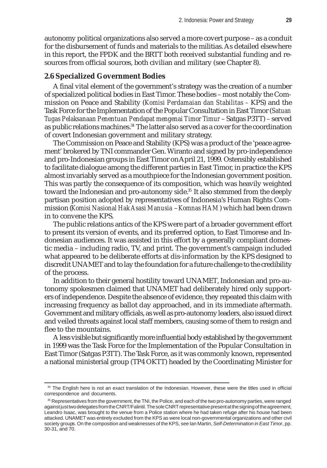autonomy political organizations also served a more covert purpose – as a conduit for the disbursement of funds and materials to the militias. As detailed elsewhere in this report, the FPDK and the BRTT both received substantial funding and resources from official sources, both civilian and military (see Chapter 8).

# **2.6 Specialized Government Bodies**

A final vital element of the government's strategy was the creation of a number of specialized political bodies in East Timor. These bodies – most notably the Commission on Peace and Stability (*Komisi Perdamaian dan Stabilitas –* KPS) and the Task Force for the Implementation of the Popular Consultation in East Timor (*Satuan Tugas Pelaksanaan Penentuan Pendapat mengenai Timor Timur* – Satgas P3TT) – served as public relations machines.34 The latter also served as a cover for the coordination of covert Indonesian government and military strategy.

The Commission on Peace and Stability (KPS) was a product of the 'peace agreement' brokered by TNI commander Gen. Wiranto and signed by pro-independence and pro-Indonesian groups in East Timor on April 21, 1999. Ostensibly established to facilitate dialogue among the different parties in East Timor, in practice the KPS almost invariably served as a mouthpiece for the Indonesian government position. This was partly the consequence of its composition, which was heavily weighted toward the Indonesian and pro-autonomy side.<sup>35</sup> It also stemmed from the deeply partisan position adopted by representatives of Indonesia's Human Rights Commission (*Komisi Nasional Hak Asasi Manusia* – *Komnas HAM*) which had been drawn in to convene the KPS.

The public relations antics of the KPS were part of a broader government effort to present its version of events, and its preferred option, to East Timorese and Indonesian audiences. It was assisted in this effort by a generally compliant domestic media – including radio, TV, and print. The government's campaign included what appeared to be deliberate efforts at dis-information by the KPS designed to discredit UNAMET and to lay the foundation for a future challenge to the credibility of the process.

In addition to their general hostility toward UNAMET, Indonesian and pro-autonomy spokesmen claimed that UNAMET had deliberately hired only supporters of independence. Despite the absence of evidence, they repeated this claim with increasing frequency as ballot day approached, and in its immediate aftermath. Government and military officials, as well as pro-autonomy leaders, also issued direct and veiled threats against local staff members, causing some of them to resign and flee to the mountains.

A less visible but significantly more influential body established by the government in 1999 was the Task Force for the Implementation of the Popular Consultation in East Timor (Satgas P3TT). The Task Force, as it was commonly known, represented a national ministerial group (TP4 OKTT) headed by the Coordinating Minister for

<sup>&</sup>lt;sup>34</sup> The English here is not an exact translation of the Indonesian. However, these were the titles used in official correspondence and documents.

<sup>35</sup> Representatives from the government, the TNI, the Police, and each of the two pro-autonomy parties, were ranged against just two delegates from the CNRT/Falintil. The sole CNRT representative present at the signing of the agreement, Leandro Isaac, was brought to the venue from a Police station where he had taken refuge after his house had been attacked. UNAMET was entirely excluded from the KPS as were local non-governmental organizations and other civil society groups. On the composition and weaknesses of the KPS, see Ian Martin, *Self-Determination in East Timor*, pp. 30-31, and 70.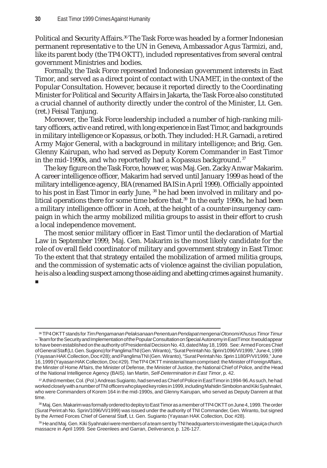Political and Security Affairs.<sup>36</sup> The Task Force was headed by a former Indonesian permanent representative to the UN in Geneva, Ambassador Agus Tarmizi, and, like its parent body (the TP4 OKTT), included representatives from several central government Ministries and bodies.

Formally, the Task Force represented Indonesian government interests in East Timor, and served as a direct point of contact with UNAMET, in the context of the Popular Consultation. However, because it reported directly to the Coordinating Minister for Political and Security Affairs in Jakarta, the Task Force also constituted a crucial channel of authority directly under the control of the Minister, Lt. Gen. (ret.) Feisal Tanjung.

Moreover, the Task Force leadership included a number of high-ranking military officers, active and retired, with long experience in East Timor, and backgrounds in military intelligence or Kopassus, or both. They included: H.R. Garnadi, a retired Army Major General, with a background in military intelligence; and Brig. Gen. Glenny Kairupan, who had served as Deputy Korem Commander in East Timor in the mid-1990s, and who reportedly had a Kopassus background.<sup>37</sup>

The key figure on the Task Force, however, was Maj. Gen. Zacky Anwar Makarim. A career intelligence officer, Makarim had served until January 1999 as head of the military intelligence agency, BIA (renamed BAIS in April 1999). Officially appointed to his post in East Timor in early June, 38 he had been involved in military and political operations there for some time before that.<sup>39</sup> In the early 1990s, he had been a military intelligence officer in Aceh, at the height of a counter-insurgency campaign in which the army mobilized militia groups to assist in their effort to crush a local independence movement.

The most senior military officer in East Timor until the declaration of Martial Law in September 1999, Maj. Gen. Makarim is the most likely candidate for the role of overall field coordinator of military and government strategy in East Timor. To the extent that that strategy entailed the mobilization of armed militia groups, and the commission of systematic acts of violence against the civilian population, he is also a leading suspect among those aiding and abetting crimes against humanity.

Ξ

<sup>36</sup> TP4 OKTT stands for *Tim Pengamanan Pelaksanaan Penentuan Pendapat mengenai Otonomi Khusus Timor Timur* – Team for the Security and Implementation of the Popular Consultation on Special Autonomy in East Timor. It would appear to have been established on the authority of Presidential Decision No. 43, dated May 18, 1999. See: Armed Forces Chief of General Staff (Lt. Gen. Sugiono) for Panglima TNI (Gen. Wiranto), "Surat Perintah No. Sprin/1096/VI/1999," June 4, 1999 (Yayasan HAK Collection, Doc #28); and Panglima TNI (Gen. Wiranto), "Surat Perintah No. Sprin 1180/P/VI/1999," June 16, 1999 (Yayasan HAK Collection, Doc #29). The TP4 OKTT ministerial team comprised: the Minister of Foreign Affairs, the Minster of Home Affairs, the Minister of Defense, the Minister of Justice, the National Chief of Police, and the Head of the National Intelligence Agency (BAIS). Ian Martin, *Self-Determination in East Timor*, p. 42.

<sup>37</sup> A third member, Col. (Pol.) Andreas Sugianto, had served as Chief of Police in East Timor in 1994-96. As such, he had worked closely with a number of TNI officers who played key roles in 1999, including Mahidin Simbolon and Kiki Syahnakri, who were Commanders of Korem 164 in the mid-1990s, and Glenny Kairupan, who served as Deputy Danrem at that time.

<sup>38</sup> Maj. Gen. Makarim was formally ordered to deploy to East Timor as a member of TP4 OKTT on June 4, 1999. The order (Surat Perintah No. Sprin/1096/VI/1999) was issued under the authority of TNI Commander, Gen. Wiranto, but signed by the Armed Forces Chief of General Staff, Lt. Gen. Sugianto (Yayasan HAK Collection, Doc #28).

<sup>39</sup> He and Maj. Gen. Kiki Syahnakri were members of a team sent by TNI headquarters to investigate the Liquiça church massacre in April 1999. See Greenlees and Garran, *Deliverance*, p. 126-127.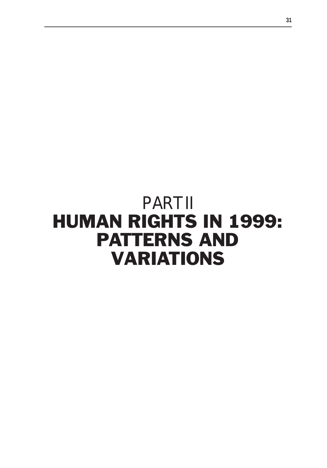# PART II HUMAN RIGHTS IN 1999: PATTERNS AND VARIATIONS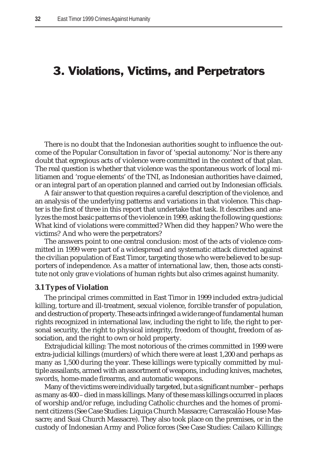# 3. Violations, Victims, and Perpetrators

There is no doubt that the Indonesian authorities sought to influence the outcome of the Popular Consultation in favor of 'special autonomy.' Nor is there any doubt that egregious acts of violence were committed in the context of that plan. The real question is whether that violence was the spontaneous work of local militiamen and 'rogue elements' of the TNI, as Indonesian authorities have claimed, or an integral part of an operation planned and carried out by Indonesian officials.

A fair answer to that question requires a careful description of the violence, and an analysis of the underlying patterns and variations in that violence. This chapter is the first of three in this report that undertake that task. It describes and analyzes the most basic patterns of the violence in 1999, asking the following questions: What kind of violations were committed? When did they happen? Who were the victims? And who were the perpetrators?

The answers point to one central conclusion: most of the acts of violence committed in 1999 were part of a widespread and systematic attack directed against the civilian population of East Timor, targeting those who were believed to be supporters of independence. As a matter of international law, then, those acts constitute not only grave violations of human rights but also crimes against humanity.

#### **3.1 Types of Violation**

The principal crimes committed in East Timor in 1999 included extra-judicial killing, torture and ill-treatment, sexual violence, forcible transfer of population, and destruction of property. These acts infringed a wide range of fundamental human rights recognized in international law, including the right to life, the right to personal security, the right to physical integrity, freedom of thought, freedom of association, and the right to own or hold property.

Extrajudicial killing: The most notorious of the crimes committed in 1999 were extra-judicial killings (murders) of which there were at least 1,200 and perhaps as many as 1,500 during the year. These killings were typically committed by multiple assailants, armed with an assortment of weapons, including knives, machetes, swords, home-made firearms, and automatic weapons.

Many of the victims were individually targeted, but a significant number – perhaps as many as 400 – died in mass killings. Many of these mass killings occurred in places of worship and/or refuge, including Catholic churches and the homes of prominent citizens (See Case Studies: Liquiça Church Massacre; Carrascalão House Massacre; and Suai Church Massacre). They also took place on the premises, or in the custody of Indonesian Army and Police forces (See Case Studies: Cailaco Killings;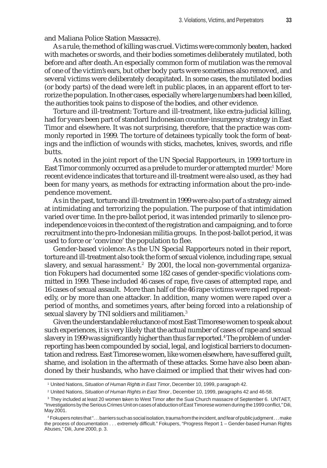and Maliana Police Station Massacre).

As a rule, the method of killing was cruel. Victims were commonly beaten, hacked with machetes or swords, and their bodies sometimes deliberately mutilated, both before and after death. An especially common form of mutilation was the removal of one of the victim's ears, but other body parts were sometimes also removed, and several victims were deliberately decapitated. In some cases, the mutilated bodies (or body parts) of the dead were left in public places, in an apparent effort to terrorize the population. In other cases, especially where large numbers had been killed, the authorities took pains to dispose of the bodies, and other evidence.

Torture and ill-treatment: Torture and ill-treatment, like extra-judicial killing, had for years been part of standard Indonesian counter-insurgency strategy in East Timor and elsewhere. It was not surprising, therefore, that the practice was commonly reported in 1999. The torture of detainees typically took the form of beatings and the infliction of wounds with sticks, machetes, knives, swords, and rifle butts.

As noted in the joint report of the UN Special Rapporteurs, in 1999 torture in East Timor commonly occurred as a prelude to murder or attempted murder.<sup>1</sup> More recent evidence indicates that torture and ill-treatment were also used, as they had been for many years, as methods for extracting information about the pro-independence movement.

As in the past, torture and ill-treatment in 1999 were also part of a strategy aimed at intimidating and terrorizing the population. The purpose of that intimidation varied over time. In the pre-ballot period, it was intended primarily to silence proindependence voices in the context of the registration and campaigning, and to force recruitment into the pro-Indonesian militia groups. In the post-ballot period, it was used to force or 'convince' the population to flee.

Gender-based violence: As the UN Special Rapporteurs noted in their report, torture and ill-treatment also took the form of sexual violence, including rape, sexual slavery, and sexual harassment. $^{\rm 2} \,$  By 2001, the local non-governmental organization Fokupers had documented some 182 cases of gender-specific violations committed in 1999. These included 46 cases of rape, five cases of attempted rape, and 16 cases of sexual assault. More than half of the 46 rape victims were raped repeatedly, or by more than one attacker. In addition, many women were raped over a period of months, and sometimes years, after being forced into a relationship of sexual slavery by TNI soldiers and militiamen.<sup>3</sup>

Given the understandable reluctance of most East Timorese women to speak about such experiences, it is very likely that the actual number of cases of rape and sexual slavery in 1999 was significantly higher than thus far reported.<sup>4</sup> The problem of underreporting has been compounded by social, legal, and logistical barriers to documentation and redress. East Timorese women, like women elsewhere, have suffered guilt, shame, and isolation in the aftermath of these attacks. Some have also been abandoned by their husbands, who have claimed or implied that their wives had con-

<sup>1</sup> United Nations, *Situation of Human Rights in East Timor*, December 10, 1999, paragraph 42.

<sup>2</sup> United Nations, *Situation of Human Rights in East Timor*, December 10, 1999, paragraphs 42 and 46-58.

<sup>&</sup>lt;sup>3</sup> They included at least 20 women taken to West Timor after the Suai Church massacre of September 6. UNTAET, "Investigations by the Serious Crimes Unit on cases of abduction of East Timorese women during the 1999 conflict," Dili, May 2001.

<sup>4</sup> Fokupers notes that ". . . barriers such as social isolation, trauma from the incident, and fear of public judgment . . . make the process of documentation . . . extremely difficult." Fokupers, "Progress Report 1 – Gender-based Human Rights Abuses," Dili, June 2000, p. 3.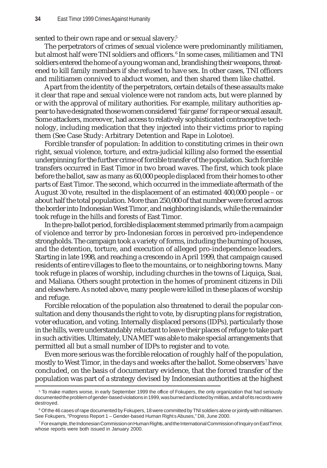sented to their own rape and or sexual slavery.<sup>5</sup>

The perpetrators of crimes of sexual violence were predominantly militiamen, but almost half were TNI soldiers and officers.<sup>6</sup> In some cases, militiamen and TNI soldiers entered the home of a young woman and, brandishing their weapons, threatened to kill family members if she refused to have sex. In other cases, TNI officers and militiamen connived to abduct women, and then shared them like chattel.

Apart from the identity of the perpetrators, certain details of these assaults make it clear that rape and sexual violence were not random acts, but were planned by or with the approval of military authorities. For example, military authorities appear to have designated those women considered 'fair game' for rape or sexual assault. Some attackers, moreover, had access to relatively sophisticated contraceptive technology, including medication that they injected into their victims prior to raping them (See Case Study: Arbitrary Detention and Rape in Lolotoe).

Forcible transfer of population: In addition to constituting crimes in their own right, sexual violence, torture, and extra-judicial killing also formed the essential underpinning for the further crime of forcible transfer of the population. Such forcible transfers occurred in East Timor in two broad waves. The first, which took place before the ballot, saw as many as 60,000 people displaced from their homes to other parts of East Timor. The second, which occurred in the immediate aftermath of the August 30 vote, resulted in the displacement of an estimated 400,000 people – or about half the total population. More than 250,000 of that number were forced across the border into Indonesian West Timor, and neighboring islands, while the remainder took refuge in the hills and forests of East Timor.

In the pre-ballot period, forcible displacement stemmed primarily from a campaign of violence and terror by pro-Indonesian forces in perceived pro-independence strongholds. The campaign took a variety of forms, including the burning of houses, and the detention, torture, and execution of alleged pro-independence leaders. Starting in late 1998, and reaching a crescendo in April 1999, that campaign caused residents of entire villages to flee to the mountains, or to neighboring towns. Many took refuge in places of worship, including churches in the towns of Liquiça, Suai, and Maliana. Others sought protection in the homes of prominent citizens in Dili and elsewhere. As noted above, many people were killed in these places of worship and refuge.

Forcible relocation of the population also threatened to derail the popular consultation and deny thousands the right to vote, by disrupting plans for registration, voter education, and voting. Internally displaced persons (IDPs), particularly those in the hills, were understandably reluctant to leave their places of refuge to take part in such activities. Ultimately, UNAMET was able to make special arrangements that permitted all but a small number of IDPs to register and to vote.

Even more serious was the forcible relocation of roughly half of the population, mostly to West Timor, in the days and weeks after the ballot. Some observers <sup>7</sup> have concluded, on the basis of documentary evidence, that the forced transfer of the population was part of a strategy devised by Indonesian authorities at the highest

<sup>5</sup> To make matters worse, in early September 1999 the office of Fokupers, the only organization that had seriously documented the problem of gender-based violations in 1999, was burned and looted by militias, and all of its records were destroyed.

 $\rm ^6$  Of the 46 cases of rape documented by Fokupers, 18 were committed by TNI soldiers alone or jointly with militiamen. See Fokupers, "Progress Report 1 – Gender-based Human Rights Abuses," Dili, June 2000.

<sup>7</sup> For example, the Indonesian Commission on Human Rights, and the International Commission of Inquiry on East Timor, whose reports were both issued in January 2000.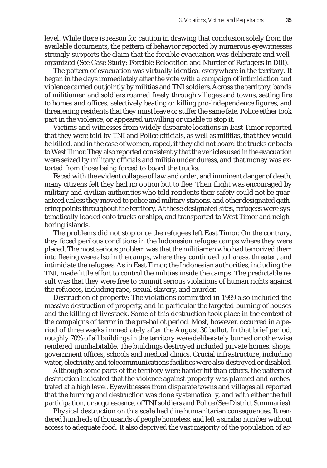level. While there is reason for caution in drawing that conclusion solely from the available documents, the pattern of behavior reported by numerous eyewitnesses strongly supports the claim that the forcible evacuation was deliberate and wellorganized (See Case Study: Forcible Relocation and Murder of Refugees in Dili).

The pattern of evacuation was virtually identical everywhere in the territory. It began in the days immediately after the vote with a campaign of intimidation and violence carried out jointly by militias and TNI soldiers. Across the territory, bands of militiamen and soldiers roamed freely through villages and towns, setting fire to homes and offices, selectively beating or killing pro-independence figures, and threatening residents that they must leave or suffer the same fate. Police either took part in the violence, or appeared unwilling or unable to stop it.

Victims and witnesses from widely disparate locations in East Timor reported that they were told by TNI and Police officials, as well as militias, that they would be killed, and in the case of women, raped, if they did not board the trucks or boats to West Timor. They also reported consistently that the vehicles used in the evacuation were seized by military officials and militia under duress, and that money was extorted from those being forced to board the trucks.

Faced with the evident collapse of law and order, and imminent danger of death, many citizens felt they had no option but to flee. Their flight was encouraged by military and civilian authorities who told residents their safety could not be guaranteed unless they moved to police and military stations, and other designated gathering points throughout the territory. At these designated sites, refugees were systematically loaded onto trucks or ships, and transported to West Timor and neighboring islands.

The problems did not stop once the refugees left East Timor. On the contrary, they faced perilous conditions in the Indonesian refugee camps where they were placed. The most serious problem was that the militiamen who had terrorized them into fleeing were also in the camps, where they continued to harass, threaten, and intimidate the refugees. As in East Timor, the Indonesian authorities, including the TNI, made little effort to control the militias inside the camps. The predictable result was that they were free to commit serious violations of human rights against the refugees, including rape, sexual slavery, and murder.

Destruction of property: The violations committed in 1999 also included the massive destruction of property, and in particular the targeted burning of houses and the killing of livestock. Some of this destruction took place in the context of the campaigns of terror in the pre-ballot period. Most, however, occurred in a period of three weeks immediately after the August 30 ballot. In that brief period, roughly 70% of all buildings in the territory were deliberately burned or otherwise rendered uninhabitable. The buildings destroyed included private homes, shops, government offices, schools and medical clinics. Crucial infrastructure, including water, electricity, and telecommunications facilities were also destroyed or disabled.

Although some parts of the territory were harder hit than others, the pattern of destruction indicated that the violence against property was planned and orchestrated at a high level. Eyewitnesses from disparate towns and villages all reported that the burning and destruction was done systematically, and with either the full participation, or acquiescence, of TNI soldiers and Police (See District Summaries).

Physical destruction on this scale had dire humanitarian consequences. It rendered hundreds of thousands of people homeless, and left a similar number without access to adequate food. It also deprived the vast majority of the population of ac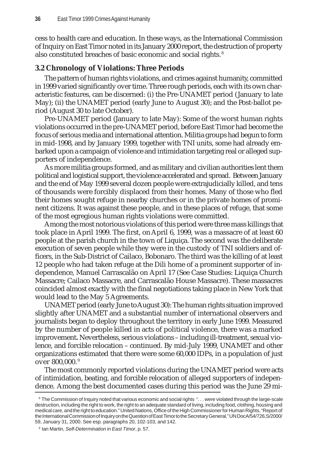cess to health care and education. In these ways, as the International Commission of Inquiry on East Timor noted in its January 2000 report, the destruction of property also constituted breaches of basic economic and social rights. <sup>8</sup>

# **3.2 Chronology of Violations: Three Periods**

The pattern of human rights violations, and crimes against humanity, committed in 1999 varied significantly over time. Three rough periods, each with its own characteristic features, can be discerned: (i) the Pre-UNAMET period (January to late May); (ii) the UNAMET period (early June to August 30); and the Post-ballot period (August 30 to late October).

Pre-UNAMET period (January to late May): Some of the worst human rights violations occurred in the pre-UNAMET period, before East Timor had become the focus of serious media and international attention. Militia groups had begun to form in mid-1998, and by January 1999, together with TNI units, some had already embarked upon a campaign of violence and intimidation targeting real or alleged supporters of independence.

As more militia groups formed, and as military and civilian authorities lent them political and logistical support, the violence accelerated and spread. Between January and the end of May 1999 several dozen people were extrajudicially killed, and tens of thousands were forcibly displaced from their homes. Many of those who fled their homes sought refuge in nearby churches or in the private homes of prominent citizens. It was against these people, and in these places of refuge, that some of the most egregious human rights violations were committed.

Among the most notorious violations of this period were three mass killings that took place in April 1999. The first, on April 6, 1999, was a massacre of at least 60 people at the parish church in the town of Liquiça. The second was the deliberate execution of seven people while they were in the custody of TNI soldiers and officers, in the Sub-District of Cailaco, Bobonaro. The third was the killing of at least 12 people who had taken refuge at the Dili home of a prominent supporter of independence, Manuel Carrascalão on April 17 (See Case Studies: Liquiça Church Massacre; Cailaco Massacre, and Carrascalão House Massacre). These massacres coincided almost exactly with the final negotiations taking place in New York that would lead to the May 5 Agreements.

UNAMET period (early June to August 30): The human rights situation improved slightly after UNAMET and a substantial number of international observers and journalists began to deploy throughout the territory in early June 1999. Measured by the number of people killed in acts of political violence, there was a marked improvement**.** Nevertheless, serious violations – including ill-treatment, sexual violence, and forcible relocation – continued. By mid-July 1999, UNAMET and other organizations estimated that there were some 60,000 IDPs, in a population of just over 800,000. <sup>9</sup>

The most commonly reported violations during the UNAMET period were acts of intimidation, beating, and forcible relocation of alleged supporters of independence. Among the best documented cases during this period was the June 29 mi-

<sup>&</sup>lt;sup>8</sup> The Commission of Inquiry noted that various economic and social rights "... were violated through the large-scale destruction, including the right to work, the right to an adequate standard of living, including food, clothing, housing and medical care, and the right to education." United Nations, Office of the High Commissioner for Human Rights, "Report of the International Commission of Inquiry on the Question of East Timor to the Secretary General," UN Doc A/54/726,S/2000/ 59, January 31, 2000. See esp. paragraphs 20, 102-103, and 142.

<sup>9</sup> Ian Martin, *Self-Determination in East Timor*, p. 57.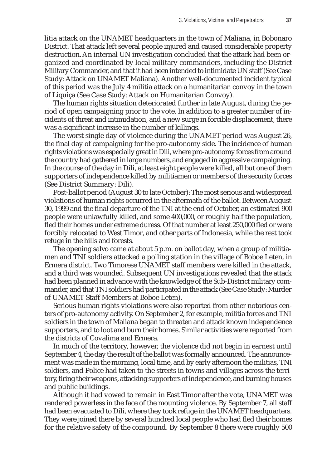litia attack on the UNAMET headquarters in the town of Maliana, in Bobonaro District. That attack left several people injured and caused considerable property destruction. An internal UN investigation concluded that the attack had been organized and coordinated by local military commanders, including the District Military Commander, and that it had been intended to intimidate UN staff (See Case Study: Attack on UNAMET Maliana). Another well-documented incident typical of this period was the July 4 militia attack on a humanitarian convoy in the town of Liquiça (See Case Study: Attack on Humanitarian Convoy).

The human rights situation deteriorated further in late August, during the period of open campaigning prior to the vote. In addition to a greater number of incidents of threat and intimidation, and a new surge in forcible displacement, there was a significant increase in the number of killings.

The worst single day of violence during the UNAMET period was August 26, the final day of campaigning for the pro-autonomy side. The incidence of human rights violations was especially great in Dili, where pro-autonomy forces from around the country had gathered in large numbers, and engaged in aggressive campaigning. In the course of the day in Dili, at least eight people were killed, all but one of them supporters of independence killed by militiamen or members of the security forces (See District Summary: Dili).

Post-ballot period (August 30 to late October): The most serious and widespread violations of human rights occurred in the aftermath of the ballot. Between August 30, 1999 and the final departure of the TNI at the end of October, an estimated 900 people were unlawfully killed, and some 400,000, or roughly half the population, fled their homes under extreme duress. Of that number at least 250,000 fled or were forcibly relocated to West Timor, and other parts of Indonesia, while the rest took refuge in the hills and forests.

The opening salvo came at about 5 p.m. on ballot day, when a group of militiamen and TNI soldiers attacked a polling station in the village of Boboe Leten, in Ermera district. Two Timorese UNAMET staff members were killed in the attack, and a third was wounded. Subsequent UN investigations revealed that the attack had been planned in advance with the knowledge of the Sub-District military commander, and that TNI soldiers had participated in the attack (See Case Study: Murder of UNAMET Staff Members at Boboe Leten).

Serious human rights violations were also reported from other notorious centers of pro-autonomy activity. On September 2, for example, militia forces and TNI soldiers in the town of Maliana began to threaten and attack known independence supporters, and to loot and burn their homes. Similar activities were reported from the districts of Covalima and Ermera.

In much of the territory, however, the violence did not begin in earnest until September 4, the day the result of the ballot was formally announced. The announcement was made in the morning, local time, and by early afternoon the militias, TNI soldiers, and Police had taken to the streets in towns and villages across the territory, firing their weapons, attacking supporters of independence, and burning houses and public buildings.

Although it had vowed to remain in East Timor after the vote, UNAMET was rendered powerless in the face of the mounting violence. By September 7, all staff had been evacuated to Dili, where they took refuge in the UNAMET headquarters. They were joined there by several hundred local people who had fled their homes for the relative safety of the compound. By September 8 there were roughly 500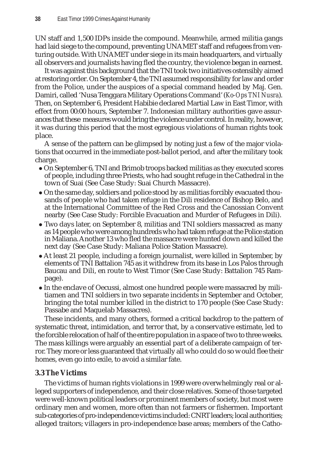UN staff and 1,500 IDPs inside the compound. Meanwhile, armed militia gangs had laid siege to the compound, preventing UNAMET staff and refugees from venturing outside. With UNAMET under siege in its main headquarters, and virtually all observers and journalists having fled the country, the violence began in earnest.

It was against this background that the TNI took two initiatives ostensibly aimed at restoring order. On September 4, the TNI assumed responsibility for law and order from the Police, under the auspices of a special command headed by Maj. Gen. Damiri, called 'Nusa Tenggara Military Operations Command' (*Ko-Ops TNI Nusra*). Then, on September 6, President Habibie declared Martial Law in East Timor, with effect from 00:00 hours, September 7. Indonesian military authorities gave assurances that these measures would bring the violence under control. In reality, however, it was during this period that the most egregious violations of human rights took place.

A sense of the pattern can be glimpsed by noting just a few of the major violations that occurred in the immediate post-ballot period, and after the military took charge.

- $\bullet$  On September 6, TNI and Brimob troops backed militias as they executed scores of people, including three Priests, who had sought refuge in the Cathedral in the town of Suai (See Case Study: Suai Church Massacre).
- On the same day, soldiers and police stood by as militias forcibly evacuated thousands of people who had taken refuge in the Dili residence of Bishop Belo, and at the International Committee of the Red Cross and the Canossian Convent nearby (See Case Study: Forcible Evacuation and Murder of Refugees in Dili).
- Two days later, on September 8, militias and TNI soldiers massacred as many as 14 people who were among hundreds who had taken refuge at the Police station in Maliana. Another 13 who fled the massacre were hunted down and killed the next day (See Case Study: Maliana Police Station Massacre).
- At least 21 people, including a foreign journalist, were killed in September, by elements of TNI Battalion 745 as it withdrew from its base in Los Palos through Baucau and Dili, en route to West Timor (See Case Study: Battalion 745 Rampage).
- In the enclave of Oecussi, almost one hundred people were massacred by militiamen and TNI soldiers in two separate incidents in September and October, bringing the total number killed in the district to 170 people (See Case Study: Passabe and Maquelab Massacres).

These incidents, and many others, formed a critical backdrop to the pattern of systematic threat, intimidation, and terror that, by a conservative estimate, led to the forcible relocation of half of the entire population in a space of two to three weeks. The mass killings were arguably an essential part of a deliberate campaign of terror. They more or less guaranteed that virtually all who could do so would flee their homes, even go into exile, to avoid a similar fate.

# **3.3 The Victims**

The victims of human rights violations in 1999 were overwhelmingly real or alleged supporters of independence, and their close relatives. Some of those targeted were well-known political leaders or prominent members of society, but most were ordinary men and women, more often than not farmers or fishermen. Important sub-categories of pro-independence victims included: CNRT leaders; local authorities; alleged traitors; villagers in pro-independence base areas; members of the Catho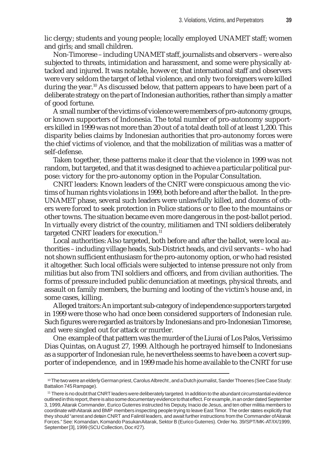lic clergy; students and young people; locally employed UNAMET staff; women and girls; and small children.

Non-Timorese – including UNAMET staff, journalists and observers – were also subjected to threats, intimidation and harassment, and some were physically attacked and injured. It was notable, however, that international staff and observers were very seldom the target of lethal violence, and only two foreigners were killed during the year.<sup>10</sup> As discussed below, that pattern appears to have been part of a deliberate strategy on the part of Indonesian authorities, rather than simply a matter of good fortune.

A small number of the victims of violence were members of pro-autonomy groups, or known supporters of Indonesia. The total number of pro-autonomy supporters killed in 1999 was not more than 20 out of a total death toll of at least 1,200. This disparity belies claims by Indonesian authorities that pro-autonomy forces were the chief victims of violence, and that the mobilization of militias was a matter of self-defense.

Taken together, these patterns make it clear that the violence in 1999 was not random, but targeted, and that it was designed to achieve a particular political purpose: victory for the pro-autonomy option in the Popular Consultation.

CNRT leaders: Known leaders of the CNRT were conspicuous among the victims of human rights violations in 1999, both before and after the ballot. In the pre-UNAMET phase, several such leaders were unlawfully killed, and dozens of others were forced to seek protection in Police stations or to flee to the mountains or other towns. The situation became even more dangerous in the post-ballot period. In virtually every district of the country, militiamen and TNI soldiers deliberately targeted CNRT leaders for execution.<sup>11</sup>

Local authorities: Also targeted, both before and after the ballot, were local authorities – including village heads, Sub-District heads, and civil servants – who had not shown sufficient enthusiasm for the pro-autonomy option, or who had resisted it altogether. Such local officials were subjected to intense pressure not only from militias but also from TNI soldiers and officers, and from civilian authorities. The forms of pressure included public denunciation at meetings, physical threats, and assault on family members, the burning and looting of the victim's house and, in some cases, killing.

Alleged traitors: An important sub-category of independence supporters targeted in 1999 were those who had once been considered supporters of Indonesian rule. Such figures were regarded as traitors by Indonesians and pro-Indonesian Timorese, and were singled out for attack or murder.

One example of that pattern was the murder of the Liurai of Los Palos, Verissimo Dias Quintas, on August 27, 1999. Although he portrayed himself to Indonesians as a supporter of Indonesian rule, he nevertheless seems to have been a covert supporter of independence, and in 1999 made his home available to the CNRT for use

<sup>10</sup> The two were an elderly German priest, Carolus Albrecht , and a Dutch journalist, Sander Thoenes (See Case Study: Battalion 745 Rampage).

<sup>11</sup> There is no doubt that CNRT leaders were deliberately targeted. In addition to the abundant circumstantial evidence outlined in this report, there is also some documentary evidence to that effect. For example, in an order dated September 3, 1999, Aitarak Commander, Eurico Guterres instructed his Deputy, Inacio de Jesus, and ten other militia members to coordinate with Aitarak and BMP members inspecting people trying to leave East Timor. The order states explicitly that they should "arrest and detain CNRT and Falintil leaders, and await further instructions from the Commander of Aitarak Forces." See: Komandan, Komando Pasukan Aitarak, Sektor B (Eurico Guterres). Order No. 39/SPT/MK-AT/IX/1999, September [3], 1999 (SCU Collection, Doc #27).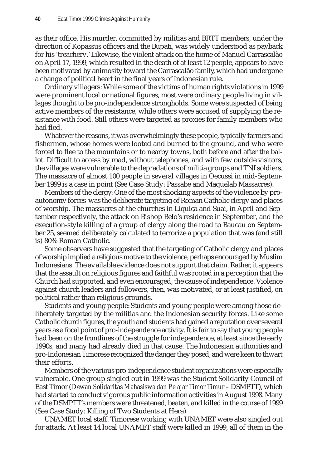as their office. His murder, committed by militias and BRTT members, under the direction of Kopassus officers and the Bupati, was widely understood as payback for his 'treachery.' Likewise, the violent attack on the home of Manuel Carrascalão on April 17, 1999, which resulted in the death of at least 12 people, appears to have been motivated by animosity toward the Carrascalão family, which had undergone a change of political heart in the final years of Indonesian rule.

Ordinary villagers: While some of the victims of human rights violations in 1999 were prominent local or national figures, most were ordinary people living in villages thought to be pro-independence strongholds. Some were suspected of being active members of the resistance, while others were accused of supplying the resistance with food. Still others were targeted as proxies for family members who had fled.

Whatever the reasons, it was overwhelmingly these people, typically farmers and fishermen, whose homes were looted and burned to the ground, and who were forced to flee to the mountains or to nearby towns, both before and after the ballot. Difficult to access by road, without telephones, and with few outside visitors, the villages were vulnerable to the depradations of militia groups and TNI soldiers. The massacre of almost 100 people in several villages in Oecussi in mid-September 1999 is a case in point (See Case Study: Passabe and Maquelab Massacres).

Members of the clergy: One of the most shocking aspects of the violence by proautonomy forces was the deliberate targeting of Roman Catholic clergy and places of worship. The massacres at the churches in Liquiça and Suai, in April and September respectively, the attack on Bishop Belo's residence in September, and the execution-style killing of a group of clergy along the road to Baucau on September 25, seemed deliberately calculated to terrorize a population that was (and still is) 80% Roman Catholic.

Some observers have suggested that the targeting of Catholic clergy and places of worship implied a religious motive to the violence, perhaps encouraged by Muslim Indonesians. The available evidence does not support that claim. Rather, it appears that the assault on religious figures and faithful was rooted in a perception that the Church had supported, and even encouraged, the cause of independence. Violence against church leaders and followers, then, was motivated, or at least justified, on political rather than religious grounds.

Students and young people: Students and young people were among those deliberately targeted by the militias and the Indonesian security forces. Like some Catholic church figures, the youth and students had gained a reputation over several years as a focal point of pro-independence activity. It is fair to say that young people had been on the frontlines of the struggle for independence, at least since the early 1990s, and many had already died in that cause. The Indonesian authorities and pro-Indonesian Timorese recognized the danger they posed, and were keen to thwart their efforts.

Members of the various pro-independence student organizations were especially vulnerable. One group singled out in 1999 was the Student Solidarity Council of East Timor (*Dewan Solidaritas Mahasiswa dan Pelajar Timor Timur –* DSMPTT), which had started to conduct vigorous public information activities in August 1998. Many of the DSMPTT's members were threatened, beaten, and killed in the course of 1999 (See Case Study: Killing of Two Students at Hera).

UNAMET local staff: Timorese working with UNAMET were also singled out for attack. At least 14 local UNAMET staff were killed in 1999, all of them in the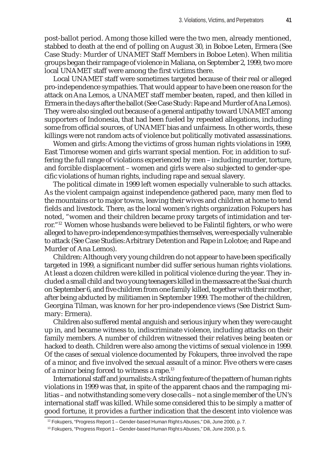post-ballot period. Among those killed were the two men, already mentioned, stabbed to death at the end of polling on August 30, in Boboe Leten, Ermera (See Case Study: Murder of UNAMET Staff Members in Boboe Leten). When militia groups began their rampage of violence in Maliana, on September 2, 1999, two more local UNAMET staff were among the first victims there.

Local UNAMET staff were sometimes targeted because of their real or alleged pro-independence sympathies. That would appear to have been one reason for the attack on Ana Lemos, a UNAMET staff member beaten, raped, and then killed in Ermera in the days after the ballot (See Case Study: Rape and Murder of Ana Lemos). They were also singled out because of a general antipathy toward UNAMET among supporters of Indonesia, that had been fueled by repeated allegations, including some from official sources, of UNAMET bias and unfairness. In other words, these killings were not random acts of violence but politically motivated assassinations.

Women and girls: Among the victims of gross human rights violations in 1999, East Timorese women and girls warrant special mention. For, in addition to suffering the full range of violations experienced by men – including murder, torture, and forcible displacement – women and girls were also subjected to gender-specific violations of human rights, including rape and sexual slavery.

The political climate in 1999 left women especially vulnerable to such attacks. As the violent campaign against independence gathered pace, many men fled to the mountains or to major towns, leaving their wives and children at home to tend fields and livestock. There, as the local women's rights organization Fokupers has noted, "women and their children became proxy targets of intimidation and terror."12 Women whose husbands were believed to be Falintil fighters, or who were alleged to have pro-independence sympathies themselves, were especially vulnerable to attack (See Case Studies: Arbitrary Detention and Rape in Lolotoe; and Rape and Murder of Ana Lemos).

Children: Although very young children do not appear to have been specifically targeted in 1999, a significant number did suffer serious human rights violations. At least a dozen children were killed in political violence during the year. They included a small child and two young teenagers killed in the massacre at the Suai church on September 6, and five children from one family killed, together with their mother, after being abducted by militiamen in September 1999. The mother of the children, Georgina Tilman, was known for her pro-independence views (See District Summary: Ermera).

Children also suffered mental anguish and serious injury when they were caught up in, and became witness to, indiscriminate violence, including attacks on their family members. A number of children witnessed their relatives being beaten or hacked to death. Children were also among the victims of sexual violence in 1999. Of the cases of sexual violence documented by Fokupers, three involved the rape of a minor, and five involved the sexual assault of a minor. Five others were cases of a minor being forced to witness a rape.<sup>13</sup>

International staff and journalists: A striking feature of the pattern of human rights violations in 1999 was that, in spite of the apparent chaos and the rampaging militias – and notwithstanding some very close calls – not a single member of the UN's international staff was killed. While some considered this to be simply a matter of good fortune, it provides a further indication that the descent into violence was

<sup>&</sup>lt;sup>12</sup> Fokupers, "Progress Report 1 – Gender-based Human Rights Abuses," Dili, June 2000, p. 7.

<sup>&</sup>lt;sup>13</sup> Fokupers, "Progress Report 1 - Gender-based Human Rights Abuses," Dili, June 2000, p. 5.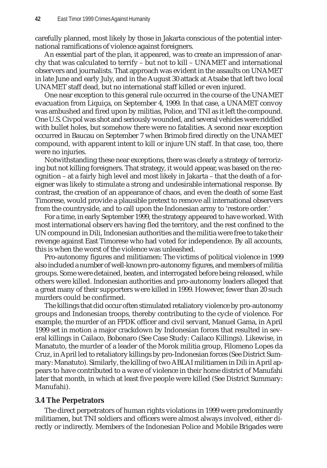carefully planned, most likely by those in Jakarta conscious of the potential international ramifications of violence against foreigners.

An essential part of the plan, it appeared, was to create an impression of anarchy that was calculated to terrify – but not to kill – UNAMET and international observers and journalists. That approach was evident in the assaults on UNAMET in late June and early July, and in the August 30 attack at Atsabe that left two local UNAMET staff dead, but no international staff killed or even injured.

One near exception to this general rule occurred in the course of the UNAMET evacuation from Liquiça, on September 4, 1999. In that case, a UNAMET convoy was ambushed and fired upon by militias, Police, and TNI as it left the compound. One U.S. Civpol was shot and seriously wounded, and several vehicles were riddled with bullet holes, but somehow there were no fatalities. A second near exception occurred in Baucau on September 7 when Brimob fired directly on the UNAMET compound, with apparent intent to kill or injure UN staff. In that case, too, there were no injuries.

Notwithstanding these near exceptions, there was clearly a strategy of terrorizing but not killing foreigners. That strategy, it would appear, was based on the recognition – at a fairly high level and most likely in Jakarta – that the death of a foreigner was likely to stimulate a strong and undesirable international response. By contrast, the creation of an appearance of chaos, and even the death of some East Timorese, would provide a plausible pretext to remove all international observers from the countryside, and to call upon the Indonesian army to 'restore order.'

For a time, in early September 1999, the strategy appeared to have worked. With most international observers having fled the territory, and the rest confined to the UN compound in Dili, Indonesian authorities and the militia were free to take their revenge against East Timorese who had voted for independence. By all accounts, this is when the worst of the violence was unleashed.

Pro-autonomy figures and militiamen: The victims of political violence in 1999 also included a number of well-known pro-autonomy figures, and members of militia groups. Some were detained, beaten, and interrogated before being released, while others were killed. Indonesian authorities and pro-autonomy leaders alleged that a great many of their supporters were killed in 1999. However, fewer than 20 such murders could be confirmed.

The killings that did occur often stimulated retaliatory violence by pro-autonomy groups and Indonesian troops, thereby contributing to the cycle of violence. For example, the murder of an FPDK officer and civil servant, Manuel Gama, in April 1999 set in motion a major crackdown by Indonesian forces that resulted in several killings in Cailaco, Bobonaro (See Case Study: Cailaco Killings). Likewise, in Manatuto, the murder of a leader of the Morok militia group, Filomeno Lopes da Cruz, in April led to retaliatory killings by pro-Indonesian forces (See District Summary: Manatuto). Similarly, the killing of two ABLAI militiamen in Dili in April appears to have contributed to a wave of violence in their home district of Manufahi later that month, in which at least five people were killed (See District Summary: Manufahi).

# **3.4 The Perpetrators**

The direct perpetrators of human rights violations in 1999 were predominantly militiamen, but TNI soldiers and officers were almost always involved, either directly or indirectly. Members of the Indonesian Police and Mobile Brigades were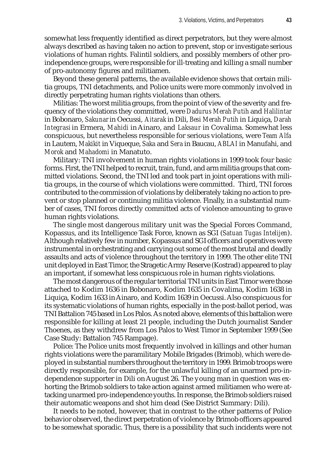somewhat less frequently identified as direct perpetrators, but they were almost always described as having taken no action to prevent, stop or investigate serious violations of human rights. Falintil soldiers, and possibly members of other proindependence groups, were responsible for ill-treating and killing a small number of pro-autonomy figures and militiamen.

Beyond these general patterns, the available evidence shows that certain militia groups, TNI detachments, and Police units were more commonly involved in directly perpetrating human rights violations than others.

Militias: The worst militia groups, from the point of view of the severity and frequency of the violations they committed, were *Dadurus Merah Putih* and *Halilintar* in Bobonaro, *Sakunar* in Oecussi, *Aitarak* in Dili, *Besi Merah Putih* in Liquiça, *Darah Integrasi* in Ermera, *Mahidi* in Ainaro, and *Laksaur* in Covalima. Somewhat less conspicuous, but nevertheless responsible for serious violations, were *Team Alfa* in Lautem, *Makikit* in Viqueque, *Saka* and *Sera* in Baucau, *ABLAI* in Manufahi, and *Morok* and *Mahadomi* in Manatuto.

Military: TNI involvement in human rights violations in 1999 took four basic forms. First, the TNI helped to recruit, train, fund, and arm militia groups that committed violations. Second, the TNI led and took part in joint operations with militia groups, in the course of which violations were committed. Third, TNI forces contributed to the commission of violations by deliberately taking no action to prevent or stop planned or continuing militia violence. Finally, in a substantial number of cases, TNI forces directly committed acts of violence amounting to grave human rights violations.

The single most dangerous military unit was the Special Forces Command, Kopassus, and its Intelligence Task Force, known as SGI (*Satuan Tugas Intelijen*). Although relatively few in number, Kopassus and SGI officers and operatives were instrumental in orchestrating and carrying out some of the most brutal and deadly assaults and acts of violence throughout the territory in 1999. The other elite TNI unit deployed in East Timor, the Stragetic Army Reserve (Kostrad) appeared to play an important, if somewhat less conspicuous role in human rights violations.

The most dangerous of the regular territorial TNI units in East Timor were those attached to Kodim 1636 in Bobonaro, Kodim 1635 in Covalima, Kodim 1638 in Liquiça, Kodim 1633 in Ainaro, and Kodim 1639 in Oecussi. Also conspicuous for its systematic violations of human rights, especially in the post-ballot period, was TNI Battalion 745 based in Los Palos. As noted above, elements of this battalion were responsible for killing at least 21 people, including the Dutch journalist Sander Thoenes, as they withdrew from Los Palos to West Timor in September 1999 (See Case Study: Battalion 745 Rampage).

Police: The Police units most frequently involved in killings and other human rights violations were the paramilitary Mobile Brigades (Brimob), which were deployed in substantial numbers throughout the territory in 1999. Brimob troops were directly responsible, for example, for the unlawful killing of an unarmed pro-independence supporter in Dili on August 26. The young man in question was exhorting the Brimob soldiers to take action against armed militiamen who were attacking unarmed pro-independence youths. In response, the Brimob soldiers raised their automatic weapons and shot him dead (See District Summary: Dili).

It needs to be noted, however, that in contrast to the other patterns of Police behavior observed, the direct perpetration of violence by Brimob officers appeared to be somewhat sporadic. Thus, there is a possibility that such incidents were not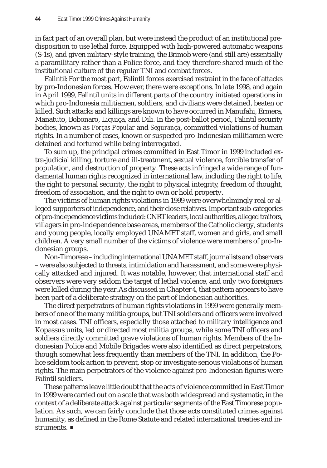in fact part of an overall plan, but were instead the product of an institutional predisposition to use lethal force. Equipped with high-powered automatic weapons (S-1s), and given military-style training, the Brimob were (and still are) essentially a paramilitary rather than a Police force, and they therefore shared much of the institutional culture of the regular TNI and combat forces.

Falintil: For the most part, Falintil forces exercised restraint in the face of attacks by pro-Indonesian forces. However, there were exceptions. In late 1998, and again in April 1999, Falintil units in different parts of the country initiated operations in which pro-Indonesia militiamen, soldiers, and civilians were detained, beaten or killed. Such attacks and killings are known to have occurred in Manufahi, Ermera, Manatuto, Bobonaro, Liquiça, and Dili. In the post-ballot period, Falintil security bodies, known as *Forças Popular* and *Segurança*, committed violations of human rights. In a number of cases, known or suspected pro-Indonesian militiamen were detained and tortured while being interrogated.

To sum up, the principal crimes committed in East Timor in 1999 included extra-judicial killing, torture and ill-treatment, sexual violence, forcible transfer of population, and destruction of property. These acts infringed a wide range of fundamental human rights recognized in international law, including the right to life, the right to personal security, the right to physical integrity, freedom of thought, freedom of association, and the right to own or hold property.

The victims of human rights violations in 1999 were overwhelmingly real or alleged supporters of independence, and their close relatives. Important sub-categories of pro-independence victims included: CNRT leaders, local authorities, alleged traitors, villagers in pro-independence base areas, members of the Catholic clergy, students and young people, locally employed UNAMET staff, women and girls, and small children. A very small number of the victims of violence were members of pro-Indonesian groups.

Non-Timorese – including international UNAMET staff, journalists and observers – were also subjected to threats, intimidation and harassment, and some were physically attacked and injured. It was notable, however, that international staff and observers were very seldom the target of lethal violence, and only two foreigners were killed during the year. As discussed in Chapter 4, that pattern appears to have been part of a deliberate strategy on the part of Indonesian authorities.

The direct perpetrators of human rights violations in 1999 were generally members of one of the many militia groups, but TNI soldiers and officers were involved in most cases. TNI officers, especially those attached to military intelligence and Kopassus units, led or directed most militia groups, while some TNI officers and soldiers directly committed grave violations of human rights. Members of the Indonesian Police and Mobile Brigades were also identified as direct perpetrators, though somewhat less frequently than members of the TNI. In addition, the Police seldom took action to prevent, stop or investigate serious violations of human rights. The main perpetrators of the violence against pro-Indonesian figures were Falintil soldiers.

These patterns leave little doubt that the acts of violence committed in East Timor in 1999 were carried out on a scale that was both widespread and systematic, in the context of a deliberate attack against particular segments of the East Timorese population. As such, we can fairly conclude that those acts constituted crimes against humanity, as defined in the Rome Statute and related international treaties and instruments.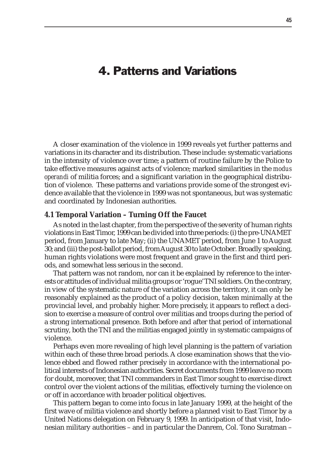# 4. Patterns and Variations

A closer examination of the violence in 1999 reveals yet further patterns and variations in its character and its distribution. These include: systematic variations in the intensity of violence over time; a pattern of routine failure by the Police to take effective measures against acts of violence; marked similarities in the *modus operandi* of militia forces; and a significant variation in the geographical distribution of violence. These patterns and variations provide some of the strongest evidence available that the violence in 1999 was not spontaneous, but was systematic and coordinated by Indonesian authorities.

#### **4.1 Temporal Variation – Turning Off the Faucet**

As noted in the last chapter, from the perspective of the severity of human rights violations in East Timor, 1999 can be divided into three periods: (i) the pre-UNAMET period, from January to late May; (ii) the UNAMET period, from June 1 to August 30; and (iii) the post-ballot period, from August 30 to late October. Broadly speaking, human rights violations were most frequent and grave in the first and third periods, and somewhat less serious in the second.

That pattern was not random, nor can it be explained by reference to the interests or attitudes of individual militia groups or 'rogue' TNI soldiers. On the contrary, in view of the systematic nature of the variation across the territory, it can only be reasonably explained as the product of a policy decision, taken minimally at the provincial level, and probably higher. More precisely, it appears to reflect a decision to exercise a measure of control over militias and troops during the period of a strong international presence. Both before and after that period of international scrutiny, both the TNI and the militias engaged jointly in systematic campaigns of violence.

Perhaps even more revealing of high level planning is the pattern of variation within each of these three broad periods. A close examination shows that the violence ebbed and flowed rather precisely in accordance with the international political interests of Indonesian authorities. Secret documents from 1999 leave no room for doubt, moreover, that TNI commanders in East Timor sought to exercise direct control over the violent actions of the militias, effectively turning the violence on or off in accordance with broader political objectives.

This pattern began to come into focus in late January 1999, at the height of the first wave of militia violence and shortly before a planned visit to East Timor by a United Nations delegation on February 9, 1999. In anticipation of that visit, Indonesian military authorities – and in particular the Danrem, Col. Tono Suratman –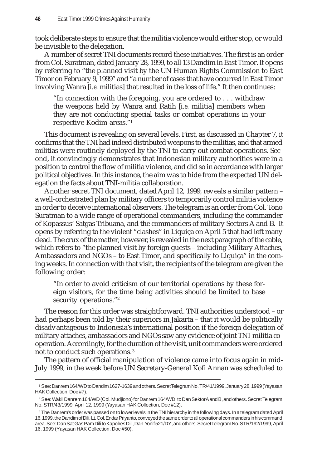took deliberate steps to ensure that the militia violence would either stop, or would be invisible to the delegation.

A number of secret TNI documents record these initiatives. The first is an order from Col. Suratman, dated January 28, 1999, to all 13 Dandim in East Timor. It opens by referring to "the planned visit by the UN Human Rights Commission to East Timor on February 9, 1999" and "a number of cases that have occurred in East Timor involving Wanra [*i.e.* militias] that resulted in the loss of life." It then continues:

"In connection with the foregoing, you are ordered to . . . withdraw the weapons held by Wanra and Ratih [*i.e.* militia] members when they are not conducting special tasks or combat operations in your respective Kodim areas."1

This document is revealing on several levels. First, as discussed in Chapter 7, it confirms that the TNI had indeed distributed weapons to the militias, and that armed militias were routinely deployed by the TNI to carry out combat operations. Second, it convincingly demonstrates that Indonesian military authorities were in a position to control the flow of militia violence, and did so in accordance with larger political objectives. In this instance, the aim was to hide from the expected UN delegation the facts about TNI-militia collaboration.

Another secret TNI document, dated April 12, 1999, reveals a similar pattern – a well-orchestrated plan by military officers to temporarily control militia violence in order to deceive international observers. The telegram is an order from Col. Tono Suratman to a wide range of operational commanders, including the commander of Kopassus' Satgas Tribuana, and the commanders of military Sectors A and B. It opens by referring to the violent "clashes" in Liquiça on April 5 that had left many dead. The crux of the matter, however, is revealed in the next paragraph of the cable, which refers to "the planned visit by foreign guests – including Military Attaches, Ambassadors and NGOs – to East Timor, and specifically to Liquiça" in the coming weeks. In connection with that visit, the recipients of the telegram are given the following order:

"In order to avoid criticism of our territorial operations by these foreign visitors, for the time being activities should be limited to base security operations."<sup>2</sup>

The reason for this order was straightforward. TNI authorities understood – or had perhaps been told by their superiors in Jakarta – that it would be politically disadvantageous to Indonesia's international position if the foreign delegation of military attaches, ambassadors and NGOs saw any evidence of joint TNI-militia cooperation. Accordingly, for the duration of the visit, unit commanders were ordered not to conduct such operations. <sup>3</sup>

The pattern of official manipulation of violence came into focus again in mid-July 1999, in the week before UN Secretary-General Kofi Annan was scheduled to

<sup>1</sup> See: Danrem 164/WD to Dandim 1627-1639 and others. Secret Telegram No. TR/41/1999, January 28, 1999 (Yayasan HAK Collection, Doc #7).

<sup>&</sup>lt;sup>2</sup> See: Wakil Danrem 164/WD (Col. Mudjiono) for Danrem 164/WD, to Dan Sektor A and B, and others. Secret Telegram No. STR/43/1999, April 12, 1999 (Yayasan HAK Collection, Doc #12).

 $^3$  The Danrem's order was passed on to lower levels in the TNI hierarchy in the following days. In a telegram dated April 16, 1999, the Dandim of Dili, Lt. Col. Endar Priyanto, conveyed the same order to all operational commanders in his command area. See: Dan Sat Gas Pam Dili to Kapolres Dili, Dan Yonif 521/DY, and others. Secret Telegram No. STR/192/1999, April 16, 1999 (Yayasan HAK Collection, Doc #50).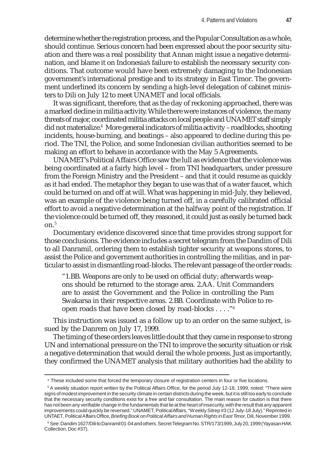determine whether the registration process, and the Popular Consultation as a whole, should continue. Serious concern had been expressed about the poor security situation and there was a real possibility that Annan might issue a negative determination, and blame it on Indonesia's failure to establish the necessary security conditions. That outcome would have been extremely damaging to the Indonesian government's international prestige and to its strategy in East Timor. The government underlined its concern by sending a high-level delegation of cabinet ministers to Dili on July 12 to meet UNAMET and local officials.

It was significant, therefore, that as the day of reckoning approached, there was a marked decline in militia activity. While there were instances of violence, the many threats of major, coordinated militia attacks on local people and UNAMET staff simply did not materialize.<sup>4</sup> More general indicators of militia activity – roadblocks, shooting incidents, house-burning, and beatings – also appeared to decline during this period. The TNI, the Police, and some Indonesian civilian authorities seemed to be making an effort to behave in accordance with the May 5 Agreements.

UNAMET's Political Affairs Office saw the lull as evidence that the violence was being coordinated at a fairly high level – from TNI headquarters, under pressure from the Foreign Ministry and the President – and that it could resume as quickly as it had ended. The metaphor they began to use was that of a water faucet, which could be turned on and off at will. What was happening in mid-July, they believed, was an example of the violence being turned off, in a carefully calibrated official effort to avoid a negative determination at the halfway point of the registration. If the violence could be turned off, they reasoned, it could just as easily be turned back  $\Omega$  n<sup>5</sup>

Documentary evidence discovered since that time provides strong support for those conclusions. The evidence includes a secret telegram from the Dandim of Dili to all Danramil, ordering them to establish tighter security at weapons stores, to assist the Police and government authorities in controlling the militias, and in particular to assist in dismantling road-blocks. The relevant passage of the order reads:

"1.BB. Weapons are only to be used on official duty; afterwards weapons should be returned to the storage area. 2.AA. Unit Commanders are to assist the Government and the Police in controlling the Pam Swakarsa in their respective areas. 2.BB. Coordinate with Police to reopen roads that have been closed by road-blocks . . . ."6

This instruction was issued as a follow up to an order on the same subject, issued by the Danrem on July 17, 1999.

The timing of these orders leaves little doubt that they came in response to strong UN and international pressure on the TNI to improve the security situation or risk a negative determination that would derail the whole process. Just as importantly, they confirmed the UNAMET analysis that military authorities had the ability to

<sup>4</sup> These included some that forced the temporary closure of registration centers in four or five locations.

<sup>&</sup>lt;sup>5</sup>A weekly situation report written by the Political Affairs Office, for the period July 12-18, 1999, noted: "There were signs of modest improvement in the security climate in certain districts during the week, but it is still too early to conclude that the necessary security conditions exist for a free and fair consultation. The main reason for caution is that there has not been any verifiable change in the fundamentals that lie at the heart of insecurity, with the result that any apparent improvements could quickly be reversed." UNAMET, Political Affairs, "Weekly Sitrep #3 (12 July-18 July)." Reprinted in UNTAET, Political Affairs Office, *Briefing Book on Political Affairs and Human Rights in East Timor,* Dili, November 1999.

 $^6$  See: Dandim 1627/Dili to Danramil 01-04 and others. Secret Telegram No. STR/173/1999, July 20, 1999 (Yayasan HAK Collection, Doc #37).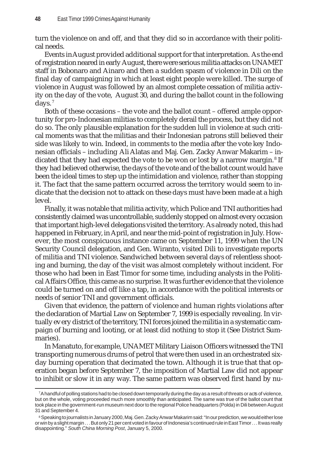turn the violence on and off, and that they did so in accordance with their political needs.

Events in August provided additional support for that interpretation. As the end of registration neared in early August, there were serious militia attacks on UNAMET staff in Bobonaro and Ainaro and then a sudden spasm of violence in Dili on the final day of campaigning in which at least eight people were killed. The surge of violence in August was followed by an almost complete cessation of militia activity on the day of the vote, August 30, and during the ballot count in the following days.<sup>7</sup>

Both of these occasions – the vote and the ballot count – offered ample opportunity for pro-Indonesian militias to completely derail the process, but they did not do so. The only plausible explanation for the sudden lull in violence at such critical moments was that the militias and their Indonesian patrons still believed their side was likely to win. Indeed, in comments to the media after the vote key Indonesian officials – including Ali Alatas and Maj. Gen. Zacky Anwar Makarim – indicated that they had expected the vote to be won or lost by a narrow margin.<sup>8</sup> If they had believed otherwise, the days of the vote and of the ballot count would have been the ideal times to step up the intimidation and violence, rather than stopping it. The fact that the same pattern occurred across the territory would seem to indicate that the decision not to attack on these days must have been made at a high level.

Finally, it was notable that militia activity, which Police and TNI authorities had consistently claimed was uncontrollable, suddenly stopped on almost every occasion that important high-level delegations visited the territory. As already noted, this had happened in February, in April, and near the mid-point of registration in July. However, the most conspicuous instance came on September 11, 1999 when the UN Security Council delegation, and Gen. Wiranto, visited Dili to investigate reports of militia and TNI violence. Sandwiched between several days of relentless shooting and burning, the day of the visit was almost completely without incident. For those who had been in East Timor for some time, including analysts in the Political Affairs Office, this came as no surprise. It was further evidence that the violence could be turned on and off like a tap, in accordance with the political interests or needs of senior TNI and government officials.

Given that evidence, the pattern of violence and human rights violations after the declaration of Martial Law on September 7, 1999 is especially revealing. In virtually every district of the territory, TNI forces joined the militia in a systematic campaign of burning and looting, or at least did nothing to stop it (See District Summaries).

In Manatuto, for example, UNAMET Military Liaison Officers witnessed the TNI transporting numerous drums of petrol that were then used in an orchestrated sixday burning operation that decimated the town. Although it is true that that operation began before September 7, the imposition of Martial Law did not appear to inhibit or slow it in any way. The same pattern was observed first hand by nu-

<sup>7</sup> A handful of polling stations had to be closed down temporarily during the day as a result of threats or acts of violence, but on the whole, voting proceeded much more smoothly than anticipated. The same was true of the ballot count that took place in the government-run museum next door to the regional Police headquarters (Polda) in Dili between August 31 and September 4.

<sup>&</sup>lt;sup>8</sup> Speaking to journalists in January 2000, Maj. Gen. Zacky Anwar Makarim said: "In our prediction, we would either lose or win by a slight margin . . . But only 21 per cent voted in favour of Indonesia's continued rule in East Timor . . . It was really disappointing." *South China Morning Post*, January 5, 2000.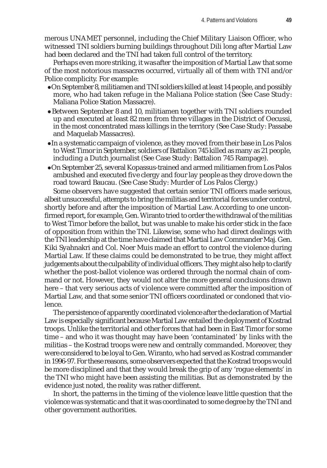merous UNAMET personnel, including the Chief Military Liaison Officer, who witnessed TNI soldiers burning buildings throughout Dili long after Martial Law had been declared and the TNI had taken full control of the territory.

Perhaps even more striking, it was after the imposition of Martial Law that some of the most notorious massacres occurred, virtually all of them with TNI and/or Police complicity. For example:

- zOn September 8, militiamen and TNI soldiers killed at least 14 people, and possibly more, who had taken refuge in the Maliana Police station (See Case Study: Maliana Police Station Massacre).
- Between September 8 and 10, militiamen together with TNI soldiers rounded up and executed at least 82 men from three villages in the District of Oecussi, in the most concentrated mass killings in the territory (See Case Study: Passabe and Maquelab Massacres).
- In a systematic campaign of violence, as they moved from their base in Los Palos to West Timor in September, soldiers of Battalion 745 killed as many as 21 people, including a Dutch journalist (See Case Study: Battalion 745 Rampage).
- zOn September 25, several Kopassus-trained and armed militiamen from Los Palos ambushed and executed five clergy and four lay people as they drove down the road toward Baucau. (See Case Study: Murder of Los Palos Clergy.)

Some observers have suggested that certain senior TNI officers made serious, albeit unsuccessful, attempts to bring the militias and territorial forces under control, shortly before and after the imposition of Martial Law. According to one unconfirmed report, for example, Gen. Wiranto tried to order the withdrawal of the militias to West Timor before the ballot, but was unable to make his order stick in the face of opposition from within the TNI. Likewise, some who had direct dealings with the TNI leadership at the time have claimed that Martial Law Commander Maj. Gen. Kiki Syahnakri and Col. Noer Muis made an effort to control the violence during Martial Law. If these claims could be demonstrated to be true, they might affect judgements about the culpability of individual officers. They might also help to clarify whether the post-ballot violence was ordered through the normal chain of command or not. However, they would not alter the more general conclusions drawn here – that very serious acts of violence were committed after the imposition of Martial Law, and that some senior TNI officers coordinated or condoned that violence.

The persistence of apparently coordinated violence after the declaration of Martial Law is especially significant because Martial Law entailed the deployment of Kostrad troops. Unlike the territorial and other forces that had been in East Timor for some time – and who it was thought may have been 'contaminated' by links with the militias – the Kostrad troops were new and centrally commanded. Moreover, they were considered to be loyal to Gen. Wiranto, who had served as Kostrad commander in 1996-97. For these reasons, some observers expected that the Kostrad troops would be more disciplined and that they would break the grip of any 'rogue elements' in the TNI who might have been assisting the militias. But as demonstrated by the evidence just noted, the reality was rather different.

In short, the patterns in the timing of the violence leave little question that the violence was systematic and that it was coordinated to some degree by the TNI and other government authorities.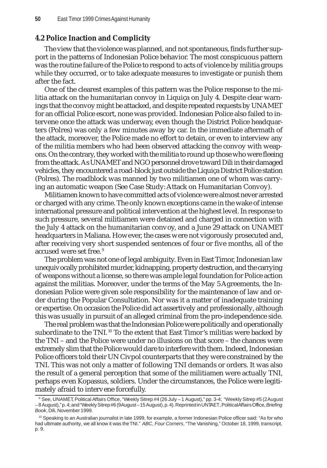# **4.2 Police Inaction and Complicity**

The view that the violence was planned, and not spontaneous, finds further support in the patterns of Indonesian Police behavior. The most conspicuous pattern was the routine failure of the Police to respond to acts of violence by militia groups while they occurred, or to take adequate measures to investigate or punish them after the fact.

One of the clearest examples of this pattern was the Police response to the militia attack on the humanitarian convoy in Liquiça on July 4. Despite clear warnings that the convoy might be attacked, and despite repeated requests by UNAMET for an official Police escort, none was provided. Indonesian Police also failed to intervene once the attack was underway, even though the District Police headquarters (Polres) was only a few minutes away by car. In the immediate aftermath of the attack, moreover, the Police made no effort to detain, or even to interview any of the militia members who had been observed attacking the convoy with weapons. On the contrary, they worked with the militia to round up those who were fleeing from the attack. As UNAMET and NGO personnel drove toward Dili in their damaged vehicles, they encountered a road-block just outside the Liquiça District Police station (Polres). The roadblock was manned by two militiamen one of whom was carrying an automatic weapon (See Case Study: Attack on Humanitarian Convoy).

Militiamen known to have committed acts of violence were almost never arrested or charged with any crime. The only known exceptions came in the wake of intense international pressure and political intervention at the highest level. In response to such pressure, several militiamen were detained and charged in connection with the July 4 attack on the humanitarian convoy, and a June 29 attack on UNAMET headquarters in Maliana. However, the cases were not vigorously prosecuted and, after receiving very short suspended sentences of four or five months, all of the accused were set free. <sup>9</sup>

The problem was not one of legal ambiguity. Even in East Timor, Indonesian law unequivocally prohibited murder, kidnapping, property destruction, and the carrying of weapons without a license, so there was ample legal foundation for Police action against the militias. Moreover, under the terms of the May 5 Agreements, the Indonesian Police were given sole responsibility for the maintenance of law and order during the Popular Consultation. Nor was it a matter of inadequate training or expertise. On occasion the Police did act assertively and professionally, although this was usually in pursuit of an alleged criminal from the pro-independence side.

The real problem was that the Indonesian Police were politically and operationally subordinate to the TNI.<sup>10</sup> To the extent that East Timor's militias were backed by the TNI – and the Police were under no illusions on that score – the chances were extremely slim that the Police would dare to interfere with them. Indeed, Indonesian Police officers told their UN Civpol counterparts that they were constrained by the TNI. This was not only a matter of following TNI demands or orders. It was also the result of a general perception that some of the militiamen were actually TNI, perhaps even Kopassus, soldiers. Under the circumstances, the Police were legitimately afraid to intervene forcefully.

<sup>9</sup> See, UNAMET, Political Affairs Office, "Weekly Sitrep #4 (26 July – 1 August)," pp. 3-4; "Weekly Sitrep #5 (2 August – 8 August)," p. 4; and "Weekly Sitrep #6 (9 August – 15 August), p. 4). Reprinted in UNTAET, Political Affairs Office, *Briefing Book*, Dili, November 1999.

<sup>&</sup>lt;sup>10</sup> Speaking to an Australian journalist in late 1999, for example, a former Indonesian Police officer said: "As for who had ultimate authority, we all know it was the TNI." *ABC*, *Four Corners*, "The Vanishing," October 18, 1999, transcript, p. 9.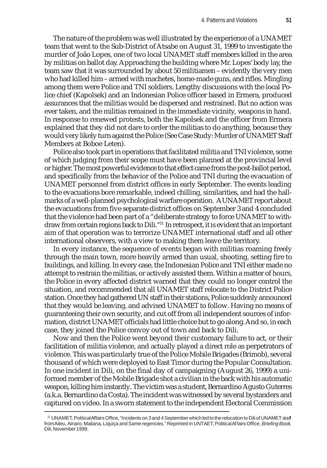The nature of the problem was well illustrated by the experience of a UNAMET team that went to the Sub-District of Atsabe on August 31, 1999 to investigate the murder of João Lopes, one of two local UNAMET staff members killed in the area by militias on ballot day. Approaching the building where Mr. Lopes' body lay, the team saw that it was surrounded by about 50 militiamen – evidently the very men who had killed him – armed with machetes, home-made guns, and rifles. Mingling among them were Police and TNI soldiers. Lengthy discussions with the local Police chief (Kapolsek) and an Indonesian Police officer based in Ermera, produced assurances that the militias would be dispersed and restrained. But no action was ever taken, and the militias remained in the immediate vicinity, weapons in hand. In response to renewed protests, both the Kapolsek and the officer from Ermera explained that they did not dare to order the militias to do anything, because they would very likely turn against the Police (See Case Study: Murder of UNAMET Staff Members at Boboe Leten).

Police also took part in operations that facilitated militia and TNI violence, some of which judging from their scope must have been planned at the provincial level or higher. The most powerful evidence to that effect came from the post-ballot period, and specifically from the behavior of the Police and TNI during the evacuation of UNAMET personnel from district offices in early September. The events leading to the evacuations bore remarkable, indeed chilling, similarities, and had the hallmarks of a well-planned psychological warfare operation. A UNAMET report about the evacuations from five separate district offices on September 3 and 4 concluded that the violence had been part of a "deliberate strategy to force UNAMET to withdraw from certain regions back to Dili."11 In retrospect, it is evident that an important aim of that operation was to terrorize UNAMET international staff and all other international observers, with a view to making them leave the territory.

In every instance, the sequence of events began with militias roaming freely through the main town, more heavily armed than usual, shooting, setting fire to buildings, and killing. In every case, the Indonesian Police and TNI either made no attempt to restrain the militias, or actively assisted them. Within a matter of hours, the Police in every affected district warned that they could no longer control the situation, and recommended that all UNAMET staff relocate to the District Police station. Once they had gathered UN staff in their stations, Police suddenly announced that they would be leaving, and advised UNAMET to follow. Having no means of guaranteeing their own security, and cut off from all independent sources of information, district UNAMET officials had little choice but to go along. And so, in each case, they joined the Police convoy out of town and back to Dili.

Now and then the Police went beyond their customary failure to act, or their facilitation of militia violence, and actually played a direct role as perpetrators of violence. This was particularly true of the Police Mobile Brigades (Brimob), several thousand of which were deployed to East Timor during the Popular Consultation. In one incident in Dili, on the final day of campaigning (August 26, 1999) a uniformed member of the Mobile Brigade shot a civilian in the back with his automatic weapon, killing him instantly. The victim was a student, Bernardino Agusto Guterres (a.k.a. Bernardino da Costa). The incident was witnessed by several bystanders and captured on video. In a sworn statement to the independent Electoral Commission

<sup>11</sup> UNAMET, Political Affairs Office, "Incidents on 3 and 4 September which led to the relocation to Dili of UNAMET staff from Aileu, Ainaro, Maliana, Liquiça and Same regencies." Reprinted in UNTAET, Political Affairs Office, *Briefing Book*, Dili, November 1999.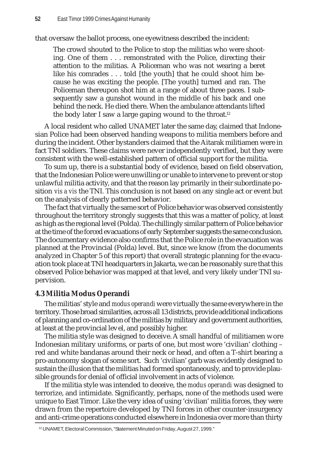that oversaw the ballot process, one eyewitness described the incident:

The crowd shouted to the Police to stop the militias who were shooting. One of them . . . remonstrated with the Police, directing their attention to the militias. A Policeman who was not wearing a beret like his comrades . . . told [the youth] that he could shoot him because he was exciting the people. [The youth] turned and ran. The Policeman thereupon shot him at a range of about three paces. I subsequently saw a gunshot wound in the middle of his back and one behind the neck. He died there. When the ambulance attendants lifted the body later I saw a large gaping wound to the throat.<sup>12</sup>

A local resident who called UNAMET later the same day, claimed that Indonesian Police had been observed handing weapons to militia members before and during the incident. Other bystanders claimed that the Aitarak militiamen were in fact TNI soldiers. These claims were never independently verified, but they were consistent with the well-established pattern of official support for the militia.

To sum up, there is a substantial body of evidence, based on field observation, that the Indonesian Police were unwilling or unable to intervene to prevent or stop unlawful militia activity, and that the reason lay primarily in their subordinate position *vis a vis* the TNI. This conclusion is not based on any single act or event but on the analysis of clearly patterned behavior.

The fact that virtually the same sort of Police behavior was observed consistently throughout the territory strongly suggests that this was a matter of policy, at least as high as the regional level (Polda). The chillingly similar pattern of Police behavior at the time of the forced evacuations of early September suggests the same conclusion. The documentary evidence also confirms that the Police role in the evacuation was planned at the Provincial (Polda) level. But, since we know (from the documents analyzed in Chapter 5 of this report) that overall strategic planning for the evacuation took place at TNI headquarters in Jakarta, we can be reasonably sure that this observed Police behavior was mapped at that level, and very likely under TNI supervision.

# **4.3 Militia Modus Operandi**

The militias' style and *modus operandi* were virtually the same everywhere in the territory. Those broad similarities, across all 13 districts, provide additional indications of planning and co-ordination of the militias by military and government authorities, at least at the provincial level, and possibly higher.

The militia style was designed to deceive. A small handful of militiamen wore Indonesian military uniforms, or parts of one, but most wore 'civilian' clothing – red and white bandanas around their neck or head, and often a T-shirt bearing a pro-autonomy slogan of some sort.Such 'civilian' garb was evidently designed to sustain the illusion that the militias had formed spontaneously, and to provide plausible grounds for denial of official involvement in acts of violence.

If the militia style was intended to deceive, the *modus operandi* was designed to terrorize, and intimidate. Significantly, perhaps, none of the methods used were unique to East Timor. Like the very idea of using 'civilian' militia forces, they were drawn from the repertoire developed by TNI forces in other counter-insurgency and anti-crime operations conducted elsewhere in Indonesia over more than thirty

<sup>12</sup> UNAMET, Electoral Commission, "Statement Minuted on Friday, August 27, 1999."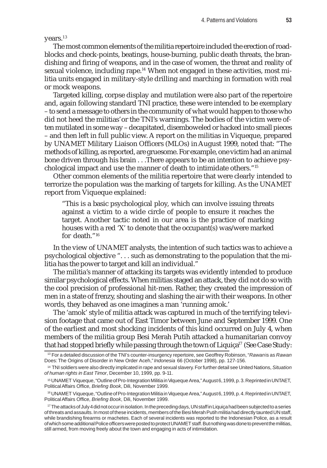years.<sup>13</sup>

The most common elements of the militia repertoire included the erection of roadblocks and check-points, beatings, house-burning, public death threats, the brandishing and firing of weapons, and in the case of women, the threat and reality of sexual violence, including rape.<sup>14</sup> When not engaged in these activities, most militia units engaged in military-style drilling and marching in formation with real or mock weapons.

Targeted killing, corpse display and mutilation were also part of the repertoire and, again following standard TNI practice, these were intended to be exemplary – to send a message to others in the community of what would happen to those who did not heed the militias' or the TNI's warnings. The bodies of the victim were often mutilated in some way – decapitated, disemboweled or hacked into small pieces – and then left in full public view. A report on the militias in Viqueque, prepared by UNAMET Military Liaison Officers (MLOs) in August 1999, noted that: "The methods of killing, as reported, are gruesome. For example, one victim had an animal bone driven through his brain . . .There appears to be an intention to achieve psychological impact and use the manner of death to intimidate others."15

Other common elements of the militia repertoire that were clearly intended to terrorize the population was the marking of targets for killing. As the UNAMET report from Viqueque explained:

"This is a basic psychological ploy, which can involve issuing threats against a victim to a wide circle of people to ensure it reaches the target. Another tactic noted in our area is the practice of marking houses with a red 'X' to denote that the occupant(s) was/were marked for death "16

In the view of UNAMET analysts, the intention of such tactics was to achieve a psychological objective ". . . such as demonstrating to the population that the militia has the power to target and kill an individual."

The militia's manner of attacking its targets was evidently intended to produce similar psychological effects. When militias staged an attack, they did not do so with the cool precision of professional hit-men. Rather, they created the impression of men in a state of frenzy, shouting and slashing the air with their weapons. In other words, they behaved as one imagines a man 'running amok.'

The 'amok' style of militia attack was captured in much of the terrifying television footage that came out of East Timor between June and September 1999. One of the earliest and most shocking incidents of this kind occurred on July 4, when members of the militia group Besi Merah Putih attacked a humanitarian convoy that had stopped briefly while passing through the town of Liquiça<sup>17</sup> (See Case Study:

<sup>13</sup> For a detailed discussion of the TNI's counter-insurgency repertoire, see Geoffrey Robinson, "*Rawan* is as *Rawan* Does: The Origins of Disorder in New Order Aceh," *Indonesia* 66 (October 1998), pp. 127-156.

<sup>14</sup> TNI soldiers were also directly implicated in rape and sexual slavery. For further detail see United Nations, *Situation of human rights in East Timor*, December 10, 1999, pp. 9-11.

<sup>15</sup> UNAMET Viqueque, "Outline of Pro-Integration Militia in Viqueque Area," August 6, 1999, p. 3. Reprinted in UNTAET, Political Affairs Office, *Briefing Book*, Dili, November 1999.

<sup>16</sup> UNAMET Viqueque, "Outline of Pro-Integration Militia in Viqueque Area," August 6, 1999, p. 4. Reprinted in UNTAET, Political Affairs Office, *Briefing Book*, Dili, November 1999.

<sup>&</sup>lt;sup>17</sup> The attacks of July 4 did not occur in isolation. In the preceding days, UN staff in Liquiça had been subjected to a series of threats and assaults. In most of these incidents, members of the Besi Merah Putih militia had directly taunted UN staff, while brandishing firearms or machetes. Each of several incidents was reported to the Indonesian Police, as a result of which some additional Police officers were posted to protect UNAMET staff. But nothing was done to prevent the militias, still armed, from moving freely about the town and engaging in acts of intimidation.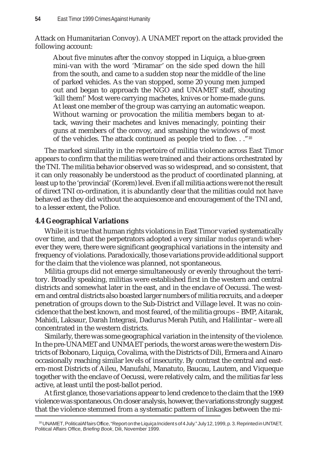Attack on Humanitarian Convoy). A UNAMET report on the attack provided the following account:

About five minutes after the convoy stopped in Liquiça, a blue-green mini-van with the word 'Miramar' on the side sped down the hill from the south, and came to a sudden stop near the middle of the line of parked vehicles. As the van stopped, some 20 young men jumped out and began to approach the NGO and UNAMET staff, shouting 'kill them!' Most were carrying machetes, knives or home-made guns. At least one member of the group was carrying an automatic weapon. Without warning or provocation the militia members began to attack, waving their machetes and knives menacingly, pointing their guns at members of the convoy, and smashing the windows of most of the vehicles. The attack continued as people tried to flee. . ."18

The marked similarity in the repertoire of militia violence across East Timor appears to confirm that the militias were trained and their actions orchestrated by the TNI. The militia behavior observed was so widespread, and so consistent, that it can only reasonably be understood as the product of coordinated planning, at least up to the 'provincial' (Korem) level. Even if all militia actions were not the result of direct TNI co-ordination, it is abundantly clear that the militias could not have behaved as they did without the acquiescence and encouragement of the TNI and, to a lesser extent, the Police.

# **4.4 Geographical Variations**

While it is true that human rights violations in East Timor varied systematically over time, and that the perpetrators adopted a very similar *modus operandi* wherever they were, there were significant geographical variations in the intensity and frequency of violations. Paradoxically, those variations provide additional support for the claim that the violence was planned, not spontaneous.

Militia groups did not emerge simultaneously or evenly throughout the territory. Broadly speaking, militias were established first in the western and central districts and somewhat later in the east, and in the enclave of Oecussi. The western and central districts also boasted larger numbers of militia recruits, and a deeper penetration of groups down to the Sub-District and Village level. It was no coincidence that the best known, and most feared, of the militia groups – BMP, Aitarak, Mahidi, Laksaur, Darah Integrasi, Dadurus Merah Putih, and Halilintar – were all concentrated in the western districts.

Similarly, there was some geographical variation in the intensity of the violence. In the pre-UNAMET and UNMAET periods, the worst areas were the western Districts of Bobonaro, Liquiça, Covalima, with the Districts of Dili, Ermera and Ainaro occasionally reaching similar levels of insecurity. By contrast the central and eastern-most Districts of Aileu, Manufahi, Manatuto, Baucau, Lautem, and Viqueque together with the enclave of Oecussi, were relatively calm, and the militias far less active, at least until the post-ballot period.

At first glance, those variations appear to lend credence to the claim that the 1999 violence was spontaneous. On closer analysis, however, the variations strongly suggest that the violence stemmed from a systematic pattern of linkages between the mi-

<sup>18</sup> UNAMET, Political Affairs Office, "Report on the Liquiça Incidents of 4 July." July 12, 1999, p. 3. Reprinted in UNTAET, Political Affairs Office, *Briefing Book*, Dili, November 1999.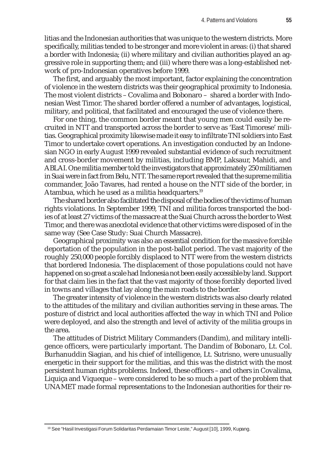litias and the Indonesian authorities that was unique to the western districts. More specifically, militias tended to be stronger and more violent in areas: (i) that shared a border with Indonesia; (ii) where military and civilian authorities played an aggressive role in supporting them; and (iii) where there was a long-established network of pro-Indonesian operatives before 1999.

The first, and arguably the most important, factor explaining the concentration of violence in the western districts was their geographical proximity to Indonesia. The most violent districts – Covalima and Bobonaro – shared a border with Indonesian West Timor. The shared border offered a number of advantages, logistical, military, and political, that facilitated and encouraged the use of violence there.

For one thing, the common border meant that young men could easily be recruited in NTT and transported across the border to serve as 'East Timorese' militias. Geographical proximity likewise made it easy to infiltrate TNI soldiers into East Timor to undertake covert operations. An investigation conducted by an Indonesian NGO in early August 1999 revealed substantial evidence of such recruitment and cross-border movement by militias, including BMP, Laksaur, Mahidi, and ABLAI. One militia member told the investigators that approximately 250 militiamen in Suai were in fact from Belu, NTT. The same report revealed that the supreme militia commander, João Tavares, had rented a house on the NTT side of the border, in Atambua, which he used as a militia headquarters.<sup>19</sup>

The shared border also facilitated the disposal of the bodies of the victims of human rights violations. In September 1999, TNI and militia forces transported the bodies of at least 27 victims of the massacre at the Suai Church across the border to West Timor, and there was anecdotal evidence that other victims were disposed of in the same way (See Case Study: Suai Church Massacre).

Geographical proximity was also an essential condition for the massive forcible deportation of the population in the post-ballot period. The vast majority of the roughly 250,000 people forcibly displaced to NTT were from the western districts that bordered Indonesia. The displacement of those populations could not have happened on so great a scale had Indonesia not been easily accessible by land. Support for that claim lies in the fact that the vast majority of those forcibly deported lived in towns and villages that lay along the main roads to the border.

The greater intensity of violence in the western districts was also clearly related to the attitudes of the military and civilian authorities serving in these areas. The posture of district and local authorities affected the way in which TNI and Police were deployed, and also the strength and level of activity of the militia groups in the area.

The attitudes of District Military Commanders (Dandim), and military intelligence officers, were particularly important. The Dandim of Bobonaro, Lt. Col. Burhanuddin Siagian, and his chief of intelligence, Lt. Sutrisno, were unusually energetic in their support for the militias, and this was the district with the most persistent human rights problems. Indeed, these officers – and others in Covalima, Liquiça and Viqueque – were considered to be so much a part of the problem that UNAMET made formal representations to the Indonesian authorities for their re-

<sup>&</sup>lt;sup>19</sup> See "Hasil Investigasi Forum Solidaritas Perdamaian Timor Leste," August [10], 1999, Kupang.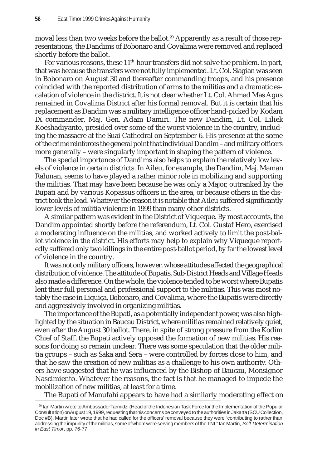moval less than two weeks before the ballot.<sup>20</sup> Apparently as a result of those representations, the Dandims of Bobonaro and Covalima were removed and replaced shortly before the ballot.

For various reasons, these  $11<sup>th</sup>$ -hour transfers did not solve the problem. In part, that was because the transfers were not fully implemented. Lt. Col. Siagian was seen in Bobonaro on August 30 and thereafter commanding troops, and his presence coincided with the reported distribution of arms to the militias and a dramatic escalation of violence in the district. It is not clear whether Lt. Col. Ahmad Mas Agus remained in Covalima District after his formal removal. But it is certain that his replacement as Dandim was a military intelligence officer hand-picked by Kodam IX commander, Maj. Gen. Adam Damiri. The new Dandim, Lt. Col. Liliek Koeshadiyanto, presided over some of the worst violence in the country, including the massacre at the Suai Cathedral on September 6. His presence at the scene of the crime reinforces the general point that individual Dandim – and military officers more generally – were singularly important in shaping the pattern of violence.

The special importance of Dandims also helps to explain the relatively low levels of violence in certain districts. In Aileu, for example, the Dandim, Maj. Maman Rahman, seems to have played a rather minor role in mobilizing and supporting the militias. That may have been because he was only a Major, outranked by the Bupati and by various Kopassus officers in the area, or because others in the district took the lead. Whatever the reason it is notable that Aileu suffered significantly lower levels of militia violence in 1999 than many other districts.

A similar pattern was evident in the District of Viqueque. By most accounts, the Dandim appointed shortly before the referendum, Lt. Col. Gustaf Hero, exercised a moderating influence on the militias, and worked actively to limit the post-ballot violence in the district. His efforts may help to explain why Viqueque reportedly suffered only two killings in the entire post-ballot period, by far the lowest level of violence in the country.

It was not only military officers, however, whose attitudes affected the geographical distribution of violence. The attitude of Bupatis, Sub-District Heads and Village Heads also made a difference. On the whole, the violence tended to be worst where Bupatis lent their full personal and professional support to the militias. This was most notably the case in Liquiça, Bobonaro, and Covalima, where the Bupatis were directly and aggressively involved in organizing militias.

The importance of the Bupati, as a potentially independent power, was also highlighted by the situation in Baucau District, where militias remained relatively quiet, even after the August 30 ballot. There, in spite of strong pressure from the Kodim Chief of Staff, the Bupati actively opposed the formation of new militias. His reasons for doing so remain unclear. There was some speculation that the older militia groups – such as Saka and Sera – were controlled by forces close to him, and that he saw the creation of new militias as a challenge to his own authority. Others have suggested that he was influenced by the Bishop of Baucau, Monsignor Nascimiento. Whatever the reasons, the fact is that he managed to impede the mobilization of new militias, at least for a time.

The Bupati of Manufahi appears to have had a similarly moderating effect on

<sup>20</sup> Ian Martin wrote to Ambassador Tarmidzi (Head of the Indonesian Task Force for the Implementation of the Popular Consultation) on August 19, 1999, requesting that his concerns be conveyed to the authorities in Jakarta (SCU Collection, Doc #B). Martin later wrote that he had called for the officers' removal because they were "contributing to rather than addressing the impunity of the militias, some of whom were serving members of the TNI." Ian Martin, *Self-Determination in East Timor*, pp. 76-77.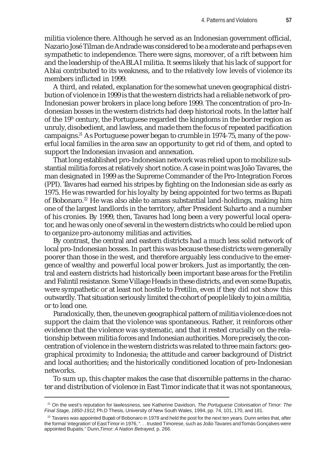militia violence there. Although he served as an Indonesian government official, Nazario José Tilman de Andrade was considered to be a moderate and perhaps even sympathetic to independence. There were signs, moreover, of a rift between him and the leadership of the ABLAI militia. It seems likely that his lack of support for Ablai contributed to its weakness, and to the relatively low levels of violence its members inflicted in 1999.

A third, and related, explanation for the somewhat uneven geographical distribution of violence in 1999 is that the western districts had a reliable network of pro-Indonesian power brokers in place long before 1999. The concentration of pro-Indonesian bosses in the western districts had deep historical roots. In the latter half of the  $19<sup>th</sup>$  century, the Portuguese regarded the kingdoms in the border region as unruly, disobedient, and lawless, and made them the focus of repeated pacification campaigns.21 As Portuguese power began to crumble in 1974-75, many of the powerful local families in the area saw an opportunity to get rid of them, and opted to support the Indonesian invasion and annexation.

That long established pro-Indonesian network was relied upon to mobilize substantial militia forces at relatively short notice. A case in point was João Tavares, the man designated in 1999 as the Supreme Commander of the Pro-Integration Forces (PPI). Tavares had earned his stripes by fighting on the Indonesian side as early as 1975. He was rewarded for his loyalty by being appointed for two terms as Bupati of Bobonaro.22 He was also able to amass substantial land-holdings, making him one of the largest landlords in the territory, after President Suharto and a number of his cronies. By 1999, then, Tavares had long been a very powerful local operator, and he was only one of several in the western districts who could be relied upon to organize pro-autonomy militias and activities.

By contrast, the central and eastern districts had a much less solid network of local pro-Indonesian bosses. In part this was because these districts were generally poorer than those in the west, and therefore arguably less conducive to the emergence of wealthy and powerful local power brokers. Just as importantly, the central and eastern districts had historically been important base areas for the Fretilin and Falintil resistance. Some Village Heads in these districts, and even some Bupatis, were sympathetic or at least not hostile to Fretilin, even if they did not show this outwardly. That situation seriously limited the cohort of people likely to join a militia, or to lead one.

Paradoxically, then, the uneven geographical pattern of militia violence does not support the claim that the violence was spontaneous. Rather, it reinforces other evidence that the violence was systematic, and that it rested crucially on the relationship between militia forces and Indonesian authorities. More precisely, the concentration of violence in the western districts was related to three main factors: geographical proximity to Indonesia; the attitude and career background of District and local authorities; and the historically conditioned location of pro-Indonesian networks.

To sum up, this chapter makes the case that discernible patterns in the character and distribution of violence in East Timor indicate that it was not spontaneous,

<sup>21</sup> On the west's reputation for lawlessness, see Katherine Davidson, *The Portuguese Colonisation of Timor: The Final Stage, 1850-1912*, Ph.D Thesis, University of New South Wales, 1994, pp. 74, 101, 170, and 181.

 $22$  Tavares was appointed Bupati of Bobonaro in 1978 and held the post for the next ten years. Dunn writes that, after the formal 'integration' of East Timor in 1976, ". . . trusted Timorese, such as João Tavares and Tomás Gonçalves were appointed Bupatis." Dunn,*Timor: A Nation Betrayed,* p. 266.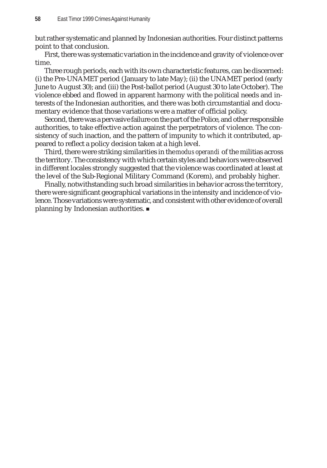but rather systematic and planned by Indonesian authorities. Four distinct patterns point to that conclusion.

First, there was systematic variation in the incidence and gravity of violence over time.

Three rough periods, each with its own characteristic features, can be discerned: (i) the Pre-UNAMET period (January to late May); (ii) the UNAMET period (early June to August 30); and (iii) the Post-ballot period (August 30 to late October). The violence ebbed and flowed in apparent harmony with the political needs and interests of the Indonesian authorities, and there was both circumstantial and documentary evidence that those variations were a matter of official policy.

Second, there was a pervasive failure on the part of the Police, and other responsible authorities, to take effective action against the perpetrators of violence. The consistency of such inaction, and the pattern of impunity to which it contributed, appeared to reflect a policy decision taken at a high level.

Third, there were striking similarities in the *modus operandi* of the militias across the territory. The consistency with which certain styles and behaviors were observed in different locales strongly suggested that the violence was coordinated at least at the level of the Sub-Regional Military Command (Korem), and probably higher.

Finally, notwithstanding such broad similarities in behavior across the territory, there were significant geographical variations in the intensity and incidence of violence. Those variations were systematic, and consistent with other evidence of overall planning by Indonesian authorities.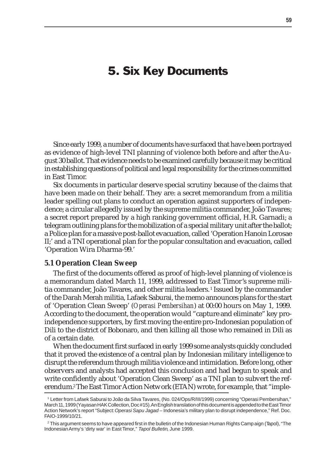# 5. Six Key Documents

Since early 1999, a number of documents have surfaced that have been portrayed as evidence of high-level TNI planning of violence both before and after the August 30 ballot. That evidence needs to be examined carefully because it may be critical in establishing questions of political and legal responsibility for the crimes committed in East Timor.

Six documents in particular deserve special scrutiny because of the claims that have been made on their behalf. They are: a secret memorandum from a militia leader spelling out plans to conduct an operation against supporters of independence; a circular allegedly issued by the supreme militia commander, João Tavares; a secret report prepared by a high ranking government official, H.R. Garnadi; a telegram outlining plans for the mobilization of a special military unit after the ballot; a Police plan for a massive post-ballot evacuation, called 'Operation Hanoin Lorosae II;' and a TNI operational plan for the popular consultation and evacuation, called 'Operation Wira Dharma-99.'

#### **5.1 Operation Clean Sweep**

The first of the documents offered as proof of high-level planning of violence is a memorandum dated March 11, 1999, addressed to East Timor's supreme militia commander, João Tavares, and other militia leaders. <sup>1</sup> Issued by the commander of the Darah Merah militia, Lafaek Saburai, the memo announces plans for the start of 'Operation Clean Sweep' (*Operasi Pembersihan*) at 00:00 hours on May 1, 1999. According to the document, the operation would "capture and eliminate" key proindependence supporters, by first moving the entire pro-Indonesian population of Dili to the district of Bobonaro, and then killing all those who remained in Dili as of a certain date.

When the document first surfaced in early 1999 some analysts quickly concluded that it proved the existence of a central plan by Indonesian military intelligence to disrupt the referendum through militia violence and intimidation. Before long, other observers and analysts had accepted this conclusion and had begun to speak and write confidently about 'Operation Clean Sweep' as a TNI plan to subvert the referendum.2 The East Timor Action Network (ETAN) wrote, for example, that "imple-

<sup>1</sup> Letter from Lafaek Saburai to João da Silva Tavares, (No. 024/Ops/R/III/1999) concerning "Operasi Pembersihan," March 11, 1999 (Yayasan HAK Collection, Doc #15). An English translation of this document is appended to the East Timor Action Network's report "Subject: *Operasi Sapu Jagad* – Indonesia's military plan to disrupt independence," Ref. Doc. FAIO-1999/10/21.

<sup>2</sup> This argument seems to have appeared first in the bulletin of the Indonesian Human Rights Campaign (Tapol), "The Indonesian Army's 'dirty war' in East Timor," *Tapol Bulletin*, June 1999.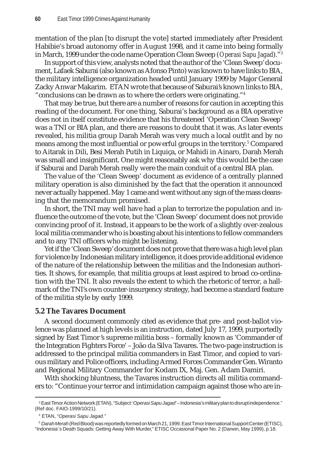mentation of the plan [to disrupt the vote] started immediately after President Habibie's broad autonomy offer in August 1998, and it came into being formally in March, 1999 under the code name Operation Clean Sweep (*Operasi Sapu Jagad*)."3

In support of this view, analysts noted that the author of the 'Clean Sweep' document, Lafaek Saburai (also known as Afonso Pinto) was known to have links to BIA, the military intelligence organization headed until January 1999 by Major General Zacky Anwar Makarim. ETAN wrote that because of Saburai's known links to BIA, "conclusions can be drawn as to where the orders were originating."4

That may be true, but there are a number of reasons for caution in accepting this reading of the document. For one thing, Saburai's background as a BIA operative does not in itself constitute evidence that his threatened 'Operation Clean Sweep' was a TNI or BIA plan, and there are reasons to doubt that it was. As later events revealed, his militia group Darah Merah was very much a local outfit and by no means among the most influential or powerful groups in the territory.<sup>5</sup> Compared to Aitarak in Dili, Besi Merah Putih in Liquiça, or Mahidi in Ainaro, Darah Merah was small and insignificant. One might reasonably ask why this would be the case if Saburai and Darah Merah really were the main conduit of a central BIA plan.

The value of the 'Clean Sweep' document as evidence of a centrally planned military operation is also diminished by the fact that the operation it announced never actually happened. May 1 came and went without any sign of the mass cleansing that the memorandum promised.

In short, the TNI may well have had a plan to terrorize the population and influence the outcome of the vote, but the 'Clean Sweep' document does not provide convincing proof of it. Instead, it appears to be the work of a slightly over-zealous local militia commander who is boasting about his intentions to fellow commanders and to any TNI officers who might be listening.

Yet if the 'Clean Sweep' document does not prove that there was a high level plan for violence by Indonesian military intelligence, it does provide additional evidence of the nature of the relationship between the militias and the Indonesian authorities. It shows, for example, that militia groups at least aspired to broad co-ordination with the TNI. It also reveals the extent to which the rhetoric of terror, a hallmark of the TNI's own counter-insurgency strategy, had become a standard feature of the militia style by early 1999.

#### **5.2 The Tavares Document**

A second document commonly cited as evidence that pre- and post-ballot violence was planned at high levels is an instruction, dated July 17, 1999, purportedly signed by East Timor 's supreme militia boss – formally known as 'Commander of the Integration Fighters Force' – João da Silva Tavares. The two-page instruction is addressed to the principal militia commanders in East Timor, and copied to various military and Police officers, including Armed Forces Commander Gen. Wiranto and Regional Military Commander for Kodam IX, Maj. Gen. Adam Damiri.

With shocking bluntness, the Tavares instruction directs all militia commanders to: "Continue your terror and intimidation campaign against those who are in-

<sup>3</sup> East Timor Action Network (ETAN), "Subject: *'Operasi Sapu Jagad'* – Indonesia's military plan to disrupt independence." (Ref doc. FAIO-1999/10/21).

<sup>4</sup> ETAN, "*Operasi Sapu Jagad*."

<sup>5</sup> *Darah Merah* (Red Blood) was reportedly formed on March 21, 1999. East Timor International Support Center (ETISC), "Indonesia's Death Squads: Getting Away With Murder," ETISC Occasional Paper No. 2 (Darwin, May 1999), p.18.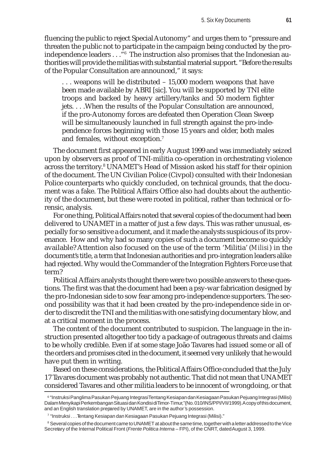fluencing the public to reject Special Autonomy" and urges them to "pressure and threaten the public not to participate in the campaign being conducted by the proindependence leaders . . ."6 The instruction also promises that the Indonesian authorities will provide the militias with substantial material support. "Before the results of the Popular Consultation are announced," it says:

. . . weapons will be distributed – 15,000 modern weapons that have been made available by ABRI [sic]. You will be supported by TNI elite troops and backed by heavy artillery/tanks and 50 modern fighter jets. . . .When the results of the Popular Consultation are announced, if the pro-Autonomy forces are defeated then Operation Clean Sweep will be simultaneously launched in full strength against the pro-independence forces beginning with those 15 years and older, both males and females, without exception.7

The document first appeared in early August 1999 and was immediately seized upon by observers as proof of TNI-militia co-operation in orchestrating violence across the territory.<sup>8</sup> UNAMET's Head of Mission asked his staff for their opinion of the document. The UN Civilian Police (Civpol) consulted with their Indonesian Police counterparts who quickly concluded, on technical grounds, that the document was a fake. The Political Affairs Office also had doubts about the authenticity of the document, but these were rooted in political, rather than technical or forensic, analysis.

For one thing, Political Affairs noted that several copies of the document had been delivered to UNAMET in a matter of just a few days. This was rather unusual, especially for so sensitive a document, and it made the analysts suspicious of its provenance. How and why had so many copies of such a document become so quickly available? Attention also focused on the use of the term 'Militia' (*Milisi*) in the document's title, a term that Indonesian authorities and pro-integration leaders alike had rejected. Why would the Commander of the Integration Fighters Force use that term?

Political Affairs analysts thought there were two possible answers to these questions. The first was that the document had been a psy-war fabrication designed by the pro-Indonesian side to sow fear among pro-independence supporters. The second possibility was that it had been created by the pro-independence side in order to discredit the TNI and the militias with one satisfying documentary blow, and at a critical moment in the process.

The content of the document contributed to suspicion. The language in the instruction presented altogether too tidy a package of outrageous threats and claims to be wholly credible. Even if at some stage João Tavares had issued some or all of the orders and promises cited in the document, it seemed very unlikely that he would have put them in writing.

Based on these considerations, the Political Affairs Office concluded that the July 17 Tavares document was probably not authentic. That did not mean that UNAMET considered Tavares and other militia leaders to be innocent of wrongdoing, or that

<sup>6 &</sup>quot;Instruksi Panglima Pasukan Pejuang Integrasi Tentang Kesiapan dan Kesiagaan Pasukan Pejuang Integrasi (Milisi) Dalam Menyikapi Perkembangan Situasi dan Kondisi di Timor-Timur,"(No. 010/INS/PPI/VII/1999). A copy of this document, and an English translation prepared by UNAMET, are in the author's possession.

<sup>7</sup> "Instruksi . . .Tentang Kesiapan dan Kesiagaan Pasukan Pejuang Integrasi (Milisi)."

 $^{\rm 8}$  Several copies of the document came to UNAMET at about the same time, together with a letter addressed to the Vice Secretary of the Internal Political Front (*Frente Politica Interna* – FPI), of the CNRT, dated August 3, 1999.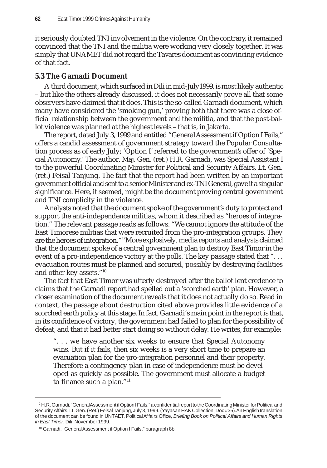it seriously doubted TNI involvement in the violence. On the contrary, it remained convinced that the TNI and the militia were working very closely together. It was simply that UNAMET did not regard the Tavares document as convincing evidence of that fact.

# **5.3 The Garnadi Document**

A third document, which surfaced in Dili in mid-July1999, is most likely authentic – but like the others already discussed, it does not necessarily prove all that some observers have claimed that it does. This is the so-called Garnadi document, which many have considered the 'smoking gun,' proving both that there was a close official relationship between the government and the militia, and that the post-ballot violence was planned at the highest levels – that is, in Jakarta.

The report, dated July 3, 1999 and entitled "General Assessment if Option I Fails," offers a candid assessment of government strategy toward the Popular Consultation process as of early July; 'Option I' referred to the government's offer of 'Special Autonomy.' The author, Maj. Gen. (ret.) H.R. Garnadi, was Special Assistant I to the powerful Coordinating Minister for Political and Security Affairs, Lt. Gen. (ret.) Feisal Tanjung. The fact that the report had been written by an important government official and sent to a senior Minister and ex-TNI General, gave it a singular significance. Here, it seemed, might be the document proving central government and TNI complicity in the violence.

Analysts noted that the document spoke of the government's duty to protect and support the anti-independence militias, whom it described as "heroes of integration." The relevant passage reads as follows: "We cannot ignore the attitude of the East Timorese militias that were recruited from the pro-integration groups. They are the heroes of integration."9 More explosively, media reports and analysts claimed that the document spoke of a central government plan to destroy East Timor in the event of a pro-independence victory at the polls. The key passage stated that "... evacuation routes must be planned and secured, possibly by destroying facilities and other key assets."10

The fact that East Timor was utterly destroyed after the ballot lent credence to claims that the Garnadi report had spelled out a 'scorched earth' plan. However, a closer examination of the document reveals that it does not actually do so. Read in context, the passage about destruction cited above provides little evidence of a scorched earth policy at this stage. In fact, Garnadi's main point in the report is that, in its confidence of victory, the government had failed to plan for the possibility of defeat, and that it had better start doing so without delay. He writes, for example:

". . . we have another six weeks to ensure that Special Autonomy wins. But if it fails, then six weeks is a very short time to prepare an evacuation plan for the pro-integration personnel and their property. Therefore a contingency plan in case of independence must be developed as quickly as possible. The government must allocate a budget to finance such a plan."<sup>11</sup>

 $^{\circ}$  H.R. Garnadi, "General Assessment if Option I Fails," a confidential report to the Coordinating Minister for Political and Security Affairs, Lt. Gen. (Ret.) Feisal Tanjung, July 3, 1999. (Yayasan HAK Collection, Doc #35). An English translation of the document can be found in UNTAET, Political Affairs Office, *Briefing Book on Political Affairs and Human Rights in East Timor*, Dili, November 1999.

<sup>&</sup>lt;sup>10</sup> Garnadi, "General Assessment if Option I Fails," paragraph 8b.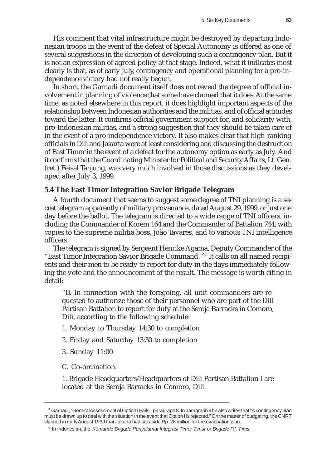His comment that vital infrastructure might be destroyed by departing Indonesian troops in the event of the defeat of Special Autonomy is offered as one of several suggestions in the direction of developing such a contingency plan. But it is not an expression of agreed policy at that stage. Indeed, what it indicates most clearly is that, as of early July, contingency and operational planning for a pro-independence victory had not really begun.

In short, the Garnadi document itself does not reveal the degree of official involvement in planning of violence that some have claimed that it does. At the same time, as noted elsewhere in this report, it does highlight important aspects of the relationship between Indonesian authorities and the militias, and of official attitudes toward the latter. It confirms official government support for, and solidarity with, pro-Indonesian militias, and a strong suggestion that they should be taken care of in the event of a pro-independence victory. It also makes clear that high-ranking officials in Dili and Jakarta were at least considering and discussing the destruction of East Timor in the event of a defeat for the autonomy option as early as July. And it confirms that the Coordinating Minister for Political and Security Affairs, Lt. Gen. (ret.) Feisal Tanjung, was very much involved in those discussions as they developed after July 3, 1999.

## **5.4 The East Timor Integration Savior Brigade Telegram**

A fourth document that seems to suggest some degree of TNI planning is a secret telegram apparently of military provenance, dated August 29, 1999, or just one day before the ballot. The telegram is directed to a wide range of TNI officers, including the Commander of Korem 164 and the Commander of Battalion 744, with copies to the supreme militia boss, João Tavares, and to various TNI intelligence officers.

The telegram is signed by Sergeant Henrike Agama, Deputy Commander of the "East Timor Integration Savior Brigade Command."12 It calls on all named recipients and their men to be ready to report for duty in the days immediately following the vote and the announcement of the result. The message is worth citing in detail:

"B. In connection with the foregoing, all unit commanders are requested to authorize those of their personnel who are part of the Dili Partisan Battalion to report for duty at the Seroja Barracks in Comoro, Dili, according to the following schedule:

- 1. Monday to Thursday 14:30 to completion
- 2. Friday and Saturday 13:30 to completion
- 3. Sunday 11:00
- C. Co-ordination.

1. Brigade Headquarters/Headquarters of Dili Partisan Battalion I are located at the Seroja Barracks in Comoro, Dili.

<sup>11</sup> Garnadi, "General Assessment of Option I Fails," paragraph 8. In paragraph 8 he also writes that "A contingency plan must be drawn up to deal with the situation in the event that Option I is rejected." On the matter of budgeting, the CNRT claimed in early August 1999 that Jakarta had set aside Rp. 28 million for the evacuation plan.

<sup>12</sup> In Indonesian, the *Komando Brigade Penyelamat Integrasi Timor Timur* or *Brigade P.I. Tims*.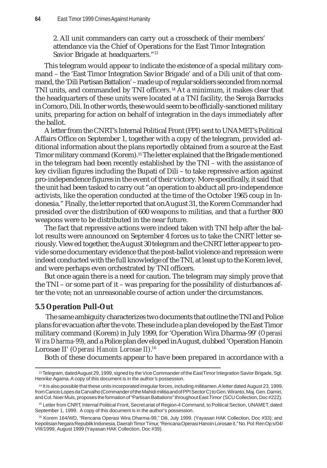2. All unit commanders can carry out a crosscheck of their members' attendance via the Chief of Operations for the East Timor Integration Savior Brigade at headquarters."<sup>13</sup>

This telegram would appear to indicate the existence of a special military command – the 'East Timor Integration Savior Brigade' and of a Dili unit of that command, the 'Dili Partisan Battalion' – made up of regular soldiers seconded from normal TNI units, and commanded by TNI officers. 14 At a minimum, it makes clear that the headquarters of these units were located at a TNI facility, the Seroja Barracks in Comoro, Dili. In other words, these would seem to be officially-sanctioned military units, preparing for action on behalf of integration in the days immediately after the ballot.

A letter from the CNRT's Internal Political Front (FPI) sent to UNAMET's Political Affairs Office on September 1, together with a copy of the telegram, provided additional information about the plans reportedly obtained from a source at the East Timor military command (Korem).15 The letter explained that the Brigade mentioned in the telegram had been recently established by the TNI – with the assistance of key civilian figures including the Bupati of Dili – to take repressive action against pro-independence figures in the event of their victory. More specifically, it said that the unit had been tasked to carry out "an operation to abduct all pro-independence activists, like the operation conducted at the time of the October 1965 coup in Indonesia." Finally, the letter reported that on August 31, the Korem Commander had presided over the distribution of 600 weapons to militias, and that a further 800 weapons were to be distributed in the near future.

The fact that repressive actions were indeed taken with TNI help after the ballot results were announced on September 4 forces us to take the CNRT letter seriously. Viewed together, the August 30 telegram and the CNRT letter appear to provide some documentary evidence that the post-ballot violence and repression were indeed conducted with the full knowledge of the TNI, at least up to the Korem level, and were perhaps even orchestrated by TNI officers.

But once again there is a need for caution. The telegram may simply prove that the TNI – or some part of it – was preparing for the possibility of disturbances after the vote; not an unreasonable course of action under the circumstances.

## **5.5 Operation Pull-Out**

The same ambiguity characterizes two documents that outline the TNI and Police plans for evacuation after the vote. These include a plan developed by the East Timor military command (Korem) in July 1999, for 'Operation Wira Dharma-99' (*Operasi Wira Dharma-99*), and a Police plan developed in August, dubbed 'Operation Hanoin Lorosae II' (*Operasi Hanoin Lorosae II*).16

Both of these documents appear to have been prepared in accordance with a

<sup>&</sup>lt;sup>13</sup> Telegram, dated August 29, 1999, signed by the Vice Commander of the East Timor Integration Savior Brigade, Sgt. Henrike Agama. A copy of this document is in the author's possession.

<sup>14</sup> It is also possible that these units incorporated irregular forces, including militiamen. A letter dated August 23, 1999, from Cancio Lopes da Carvalho (Commander of the Mahidi militia and of PPI Sector C) to Gen. Wiranto, Maj. Gen. Damiri, and Col. Noer Muis, proposes the formation of "Partisan Battalions" throughout East Timor (SCU Collection, Doc #222).

<sup>15</sup> Letter from CNRT, Internal Political Front, Secretariat of Region-4 Command, to Political Section, UNAMET, dated September 1, 1999. A copy of this document is in the author's possession.

<sup>16</sup> Korem 164/WD, "Rencana Operasi Wira Dharma-99," Dili, July 1999. (Yayasan HAK Collection, Doc #33); and Kepolisian Negara Republik Indonesia, Daerah Timor Timur, "Rencana Operasi Hanoin Lorosae II," No. Pol: Ren Ops/04/ VIII/1999, August 1999 (Yayasan HAK Collection, Doc #39).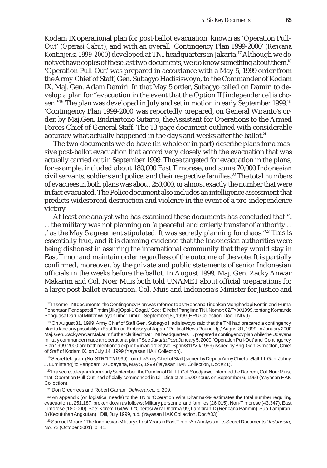Kodam IX operational plan for post-ballot evacuation, known as 'Operation Pull-Out' (*Operasi Cabut*), and with an overall 'Contingency Plan 1999-2000' (*Rencana Kontinjensi 1999-2000*) developed at TNI headquarters in Jakarta.17 Although we do not yet have copies of these last two documents, we do know something about them.18 'Operation Pull-Out' was prepared in accordance with a May 5, 1999 order from the Army Chief of Staff, Gen. Subagyo Hadisiswoyo, to the Commander of Kodam IX, Maj. Gen. Adam Damiri. In that May 5 order, Subagyo called on Damiri to develop a plan for "evacuation in the event that the Option II [independence] is chosen."<sup>19</sup> The plan was developed in July and set in motion in early September 1999.<sup>20</sup> 'Contingency Plan 1999-2000' was reportedly prepared, on General Wiranto's order, by Maj.Gen. Endriartono Sutarto, the Assistant for Operations to the Armed Forces Chief of General Staff. The 13-page document outlined with considerable accuracy what actually happened in the days and weeks after the ballot.<sup>21</sup>

The two documents we do have (in whole or in part) describe plans for a massive post-ballot evacuation that accord very closely with the evacuation that was actually carried out in September 1999. Those targeted for evacuation in the plans, for example, included about 180,000 East Timorese, and some 70,000 Indonesian civil servants, soldiers and police, and their respective families.<sup>22</sup> The total numbers of evacuees in both plans was about 250,000, or almost exactly the number that were in fact evacuated. The Police document also includes an intelligence assessment that predicts widespread destruction and violence in the event of a pro-independence victory.

At least one analyst who has examined these documents has concluded that ". . . the military was not planning on 'a peaceful and orderly transfer of authority . . .' as the May 5 agreement stipulated. It was secretly planning for chaos."23 This is essentially true, and it is damning evidence that the Indonesian authorities were being dishonest in assuring the international community that they would stay in East Timor and maintain order regardless of the outcome of the vote. It is partially confirmed, moreover, by the private and public statements of senior Indonesian officials in the weeks before the ballot. In August 1999, Maj. Gen. Zacky Anwar Makarim and Col. Noer Muis both told UNAMET about official preparations for a large post-ballot evacuation. Col. Muis and Indonesia's Minister for Justice and

<sup>17</sup> In some TNI documents, the Contingency Plan was referred to as "Rencana Tindakan Menghadapi Kontinjensi Purna Penentuan Pendapat di Timtim [Jika] Opsi-1 Gagal." See: "Direktif Panglima TNI, Nomor: 02/P/IX/1999, tentang Komando Penguasa Darurat Militer Wilayah Timor Timur," September [8], 1999 (HRU Collection, Doc. TNI #9).

<sup>&</sup>lt;sup>18</sup> On August 31, 1999, Army Chief of Staff Gen. Subagyo Hadisiswoyo said that the TNI had prepared a contingency plan to face any possibility in East Timor. Embassy of Japan, "Political News Round Up," August 31, 1999. In January 2000 Maj. Gen. Zacky Anwar Makarim further clarified that "TNI headquarters . . . prepared a contingency plan while the Udayana military commander made an operational plan." See *Jakarta Post*, January 5, 2000. 'Operation Pull-Out' and 'Contingency Plan 1999-2000' are both mentioned explicitly in an order (No. Sprin/811/VII/1999) issued by Brig. Gen. Simbolon, Chief of Staff of Kodam IX, on July 14, 1999 (Yayasan HAK Collection).

<sup>&</sup>lt;sup>19</sup> Secret telegram (No. STR/172/1999) from the Army Chief of Staff (signed by Deputy Army Chief of Staff, Lt. Gen. Johny J. Lumintang) to Pangdam IX/Udayana, May 5, 1999 (Yayasan HAK Collection, Doc #21).

<sup>&</sup>lt;sup>20</sup> In a secret telegram from early September, the Dandim of Dili, Lt. Col. Soedjarwo, informed the Danrem, Col. Noer Muis, that 'Operation Pull-Out' had officially commenced in Dili District at 15.00 hours on September 6, 1999 (Yayasan HAK Collection).

<sup>21</sup> Don Greenlees and Robert Garran, *Deliverance*, p. 209.

<sup>22</sup> An appendix (on logistical needs) to the TNI's 'Operation Wira Dharma-99' estimates the total number requiring evacuation at 251,187, broken down as follows: Military personnel and families (26,015), Non-Timorese (43,347), East Timorese (180,000). See: Korem 164/WD, "Operasi Wira Dharma-99, Lampiran-D (Rencana Banmin), Sub-Lampiran-3 (Kebutuhan Angkutan)," Dili, July 1999, n.d. (Yayasan HAK Collection, Doc #33).

<sup>23</sup> Samuel Moore, "The Indonesian Military's Last Years in East Timor: An Analysis of Its Secret Documents." *Indonesia*, No. 72 (October 2001), p. 41.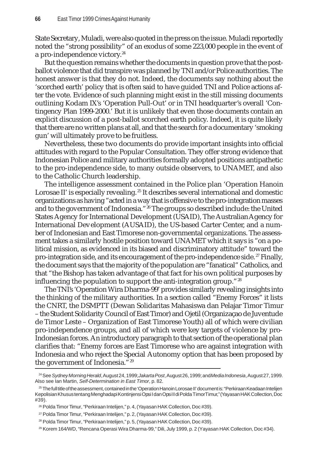State Secretary, Muladi, were also quoted in the press on the issue. Muladi reportedly noted the "strong possibility" of an exodus of some 223,000 people in the event of a pro-independence victory.<sup>24</sup>

But the question remains whether the documents in question prove that the postballot violence that did transpire was planned by TNI and/or Police authorities. The honest answer is that they do not. Indeed, the documents say nothing about the 'scorched earth' policy that is often said to have guided TNI and Police actions after the vote. Evidence of such planning might exist in the still missing documents outlining Kodam IX's 'Operation Pull-Out' or in TNI headquarter's overall 'Contingency Plan 1999-2000.' But it is unlikely that even those documents contain an explicit discussion of a post-ballot scorched earth policy. Indeed, it is quite likely that there are no written plans at all, and that the search for a documentary 'smoking gun' will ultimately prove to be fruitless.

Nevertheless, these two documents do provide important insights into official attitudes with regard to the Popular Consultation. They offer strong evidence that Indonesian Police and military authorities formally adopted positions antipathetic to the pro-independence side, to many outside observers, to UNAMET, and also to the Catholic Church leadership.

The intelligence assessment contained in the Police plan 'Operation Hanoin Lorosae II' is especially revealing.<sup>25</sup> It describes several international and domestic organizations as having "acted in a way that is offensive to the pro-integration masses and to the government of Indonesia."<sup>26</sup> The groups so described include: the United States Agency for International Development (USAID), The Australian Agency for International Development (AUSAID), the US-based Carter Center, and a number of Indonesian and East Timorese non-governmental organizations. The assessment takes a similarly hostile position toward UNAMET which it says is "on a political mission, as evidenced in its biased and discriminatory attitude" toward the pro-integration side, and its encouragement of the pro-independence side.<sup>27</sup> Finally, the document says that the majority of the population are "fanatical" Catholics, and that "the Bishop has taken advantage of that fact for his own political purposes by influencing the population to support the anti-integration group."<sup>28</sup>

The TNI's 'Operation Wira Dharma-99' provides similarly revealing insights into the thinking of the military authorities. In a section called "Enemy Forces" it lists the CNRT, the DSMPTT (Dewan Solidaritas Mahasiswa dan Pelajar Timor Timur – the Student Solidarity Council of East Timor) and Ojetil (Organizaçao de Juventude de Timor Leste – Organization of East Timorese Youth) all of which were civilian pro-independence groups, and all of which were key targets of violence by pro-Indonesian forces. An introductory paragraph to that section of the operational plan clarifies that: "Enemy forces are East Timorese who are against integration with Indonesia and who reject the Special Autonomy option that has been proposed by the government of Indonesia."29

<sup>24</sup> See *Sydney Morning Herald*, August 24, 1999; *Jakarta Post*, August 26, 1999; and *Media Indonesia*, August 27, 1999. Also see Ian Martin, *Self-Determination in East Timor*, p. 82.

<sup>25</sup> The full title of the assessment, contained in the 'Operation Hanoin Lorosae II' document is: "Perkiraan Keadaan Intelijen Kepolisian Khusus tentang Menghadapi Kontinjensi Opsi I dan Opsi II di Polda Timor Timur," (Yayasan HAK Collection, Doc #39).

<sup>26</sup> Polda Timor Timur, "Perkiraan Intelijen," p. 4, (Yayasan HAK Collection, Doc #39).

<sup>27</sup> Polda Timor Timur, "Perkiraan Intelijen," p. 2, (Yayasan HAK Collection, Doc #39).

<sup>&</sup>lt;sup>28</sup> Polda Timor Timur, "Perkiraan Intelijen," p. 5, (Yayasan HAK Collection, Doc #39).

<sup>&</sup>lt;sup>29</sup> Korem 164/WD, "Rencana Operasi Wira Dharma-99," Dili, July 1999, p. 2 (Yayasan HAK Collection, Doc #34).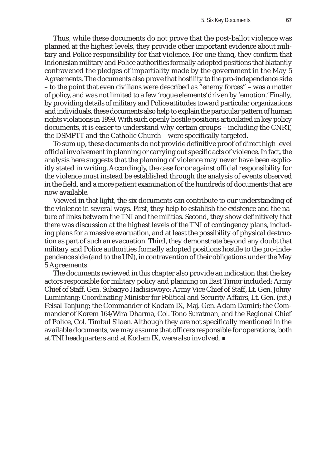Thus, while these documents do not prove that the post-ballot violence was planned at the highest levels, they provide other important evidence about military and Police responsibility for that violence. For one thing, they confirm that Indonesian military and Police authorities formally adopted positions that blatantly contravened the pledges of impartiality made by the government in the May 5 Agreements. The documents also prove that hostility to the pro-independence side – to the point that even civilians were described as "enemy forces" – was a matter of policy, and was not limited to a few 'rogue elements' driven by 'emotion.' Finally, by providing details of military and Police attitudes toward particular organizations and individuals, these documents also help to explain the particular pattern of human rights violations in 1999. With such openly hostile positions articulated in key policy documents, it is easier to understand why certain groups – including the CNRT, the DSMPTT and the Catholic Church – were specifically targeted.

To sum up, these documents do not provide definitive proof of direct high level official involvement in planning or carrying out specific acts of violence. In fact, the analysis here suggests that the planning of violence may never have been explicitly stated in writing. Accordingly, the case for or against official responsibility for the violence must instead be established through the analysis of events observed in the field, and a more patient examination of the hundreds of documents that are now available.

Viewed in that light, the six documents can contribute to our understanding of the violence in several ways. First, they help to establish the existence and the nature of links between the TNI and the militias. Second, they show definitively that there was discussion at the highest levels of the TNI of contingency plans, including plans for a massive evacuation, and at least the possibility of physical destruction as part of such an evacuation. Third, they demonstrate beyond any doubt that military and Police authorities formally adopted positions hostile to the pro-independence side (and to the UN), in contravention of their obligations under the May 5 Agreements.

The documents reviewed in this chapter also provide an indication that the key actors responsible for military policy and planning on East Timor included: Army Chief of Staff, Gen. Subagyo Hadisiswoyo; Army Vice Chief of Staff, Lt. Gen. Johny Lumintang; Coordinating Minister for Political and Security Affairs, Lt. Gen. (ret.) Feisal Tanjung; the Commander of Kodam IX, Maj. Gen. Adam Damiri; the Commander of Korem 164/Wira Dharma, Col. Tono Suratman, and the Regional Chief of Police, Col. Timbul Silaen. Although they are not specifically mentioned in the available documents, we may assume that officers responsible for operations, both at TNI headquarters and at Kodam IX, were also involved.  $\blacksquare$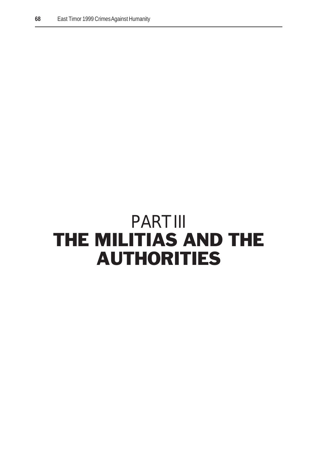# PART III THE MILITIAS AND THE AUTHORITIES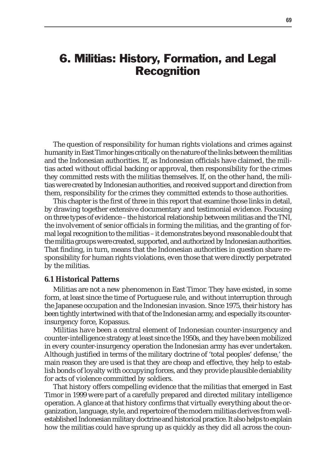# 6. Militias: History, Formation, and Legal Recognition

The question of responsibility for human rights violations and crimes against humanity in East Timor hinges critically on the nature of the links between the militias and the Indonesian authorities. If, as Indonesian officials have claimed, the militias acted without official backing or approval, then responsibility for the crimes they committed rests with the militias themselves. If, on the other hand, the militias were created by Indonesian authorities, and received support and direction from them, responsibility for the crimes they committed extends to those authorities.

This chapter is the first of three in this report that examine those links in detail, by drawing together extensive documentary and testimonial evidence. Focusing on three types of evidence – the historical relationship between militias and the TNI, the involvement of senior officials in forming the militias, and the granting of formal legal recognition to the militias – it demonstrates beyond reasonable doubt that the militia groups were created, supported, and authorized by Indonesian authorities. That finding, in turn, means that the Indonesian authorities in question share responsibility for human rights violations, even those that were directly perpetrated by the militias.

#### **6.1 Historical Patterns**

Militias are not a new phenomenon in East Timor. They have existed, in some form, at least since the time of Portuguese rule, and without interruption through the Japanese occupation and the Indonesian invasion. Since 1975, their history has been tightly intertwined with that of the Indonesian army, and especially its counterinsurgency force, Kopassus.

Militias have been a central element of Indonesian counter-insurgency and counter-intelligence strategy at least since the 1950s, and they have been mobilized in every counter-insurgency operation the Indonesian army has ever undertaken. Although justified in terms of the military doctrine of 'total peoples' defense,' the main reason they are used is that they are cheap and effective, they help to establish bonds of loyalty with occupying forces, and they provide plausible deniability for acts of violence committed by soldiers.

That history offers compelling evidence that the militias that emerged in East Timor in 1999 were part of a carefully prepared and directed military intelligence operation. A glance at that history confirms that virtually everything about the organization, language, style, and repertoire of the modern militias derives from wellestablished Indonesian military doctrine and historical practice. It also helps to explain how the militias could have sprung up as quickly as they did all across the coun-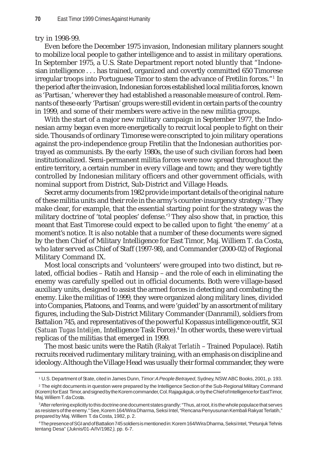#### try in 1998-99.

Even before the December 1975 invasion, Indonesian military planners sought to mobilize local people to gather intelligence and to assist in military operations. In September 1975, a U.S. State Department report noted bluntly that "Indonesian intelligence . . . has trained, organized and covertly committed 650 Timorese irregular troops into Portuguese Timor to stem the advance of Fretilin forces."1 In the period after the invasion, Indonesian forces established local militia forces, known as 'Partisan,' wherever they had established a reasonable measure of control. Remnants of these early 'Partisan' groups were still evident in certain parts of the country in 1999, and some of their members were active in the new militia groups.

With the start of a major new military campaign in September 1977, the Indonesian army began even more energetically to recruit local people to fight on their side. Thousands of ordinary Timorese were conscripted to join military operations against the pro-independence group Fretilin that the Indonesian authorities portrayed as communists. By the early 1980s, the use of such civilian forces had been institutionalized. Semi-permanent militia forces were now spread throughout the entire territory, a certain number in every village and town; and they were tightly controlled by Indonesian military officers and other government officials, with nominal support from District, Sub-District and Village Heads.

Secret army documents from 1982 provide important details of the original nature of these militia units and their role in the army's counter-insurgency strategy.<sup>2</sup> They make clear, for example, that the essential starting point for the strategy was the military doctrine of 'total peoples' defense.'3 They also show that, in practice, this meant that East Timorese could expect to be called upon to fight 'the enemy' at a moment's notice. It is also notable that a number of these documents were signed by the then Chief of Military Intelligence for East Timor, Maj. Williem T. da Costa, who later served as Chief of Staff (1997-98), and Commander (2000-02) of Regional Military Command IX.

Most local conscripts and 'volunteers' were grouped into two distinct, but related, official bodies – Ratih and Hansip – and the role of each in eliminating the enemy was carefully spelled out in official documents. Both were village-based auxiliary units, designed to assist the armed forces in detecting and combating the enemy. Like the militias of 1999, they were organized along military lines, divided into Companies, Platoons, and Teams, and were 'guided' by an assortment of military figures, including the Sub-District Military Commander (Danramil), soldiers from Battalion 745, and representatives of the powerful Kopassus intelligence outfit, SGI (*Satuan Tugas Intelijen,* Intelligence Task Force).4 In other words, these were virtual replicas of the militias that emerged in 1999.

The most basic units were the Ratih (*Rakyat Terlatih* – Trained Populace). Ratih recruits received rudimentary military training, with an emphasis on discipline and ideology. Although the Village Head was usually their formal commander, they were

<sup>1</sup> U.S. Department of State, cited in James Dunn, *Timor: A People Betrayed*, Sydney, NSW: ABC Books, 2001, p. 193.

<sup>2</sup> The eight documents in question were prepared by the Intelligence Section of the Sub-Regional Military Command (Korem) for East Timor, and signed by the Korem commander, Col. Rajagukguk, or by the Chief of Intelligence for East Timor, Maj. Williem T. da Costa.

<sup>3</sup> After referring explicitly to this doctrine one document states grandly: "Thus, at root, it is the whole populace that serves as resisters of the enemy." See, Korem 164/Wira Dharma, Seksi Intel, "Rencana Penyusunan Kembali Rakyat Terlatih," prepared by Maj. Williem T. da Costa, 1982, p. 2.

<sup>4</sup> The presence of SGI and of Battalion 745 soldiers is mentioned in: Korem 164/Wira Dharma, Seksi Intel, "Petunjuk Tehnis tentang Desa" (Juknis/01-A/IV/1982*)*, pp. 6-7.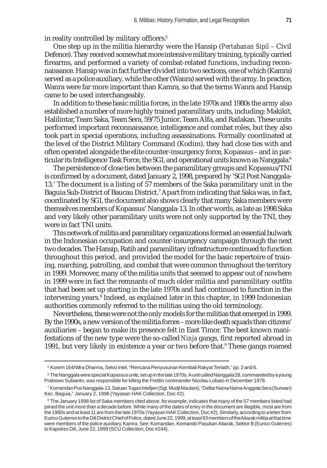in reality controlled by military officers.<sup>5</sup>

One step up in the militia hierarchy were the Hansip (*Pertahanan Sipil –* Civil Defence). They received somewhat more intensive military training, typically carried firearms, and performed a variety of combat-related functions, including reconnaissance. Hansip was in fact further divided into two sections, one of which (Kamra) served as a police auxiliary, while the other (Wanra) served with the army. In practice, Wanra were far more important than Kamra, so that the terms Wanra and Hansip came to be used interchangeably.

In addition to these basic militia forces, in the late 1970s and 1980s the army also established a number of more highly trained paramilitary units, including: Makikit, Halilintar, Team Saka, Team Sera, 59/75 Junior, Team Alfa, and Railakan. These units performed important reconnaissance, intelligence and combat roles, but they also took part in special operations, including assassinations. Formally coordinated at the level of the District Military Command (Kodim), they had close ties with and often operated alongside the elite counter-insurgency force, Kopassus – and in particular its Intelligence Task Force, the SGI, and operational units known as Nanggala.<sup>6</sup>

The persistence of close ties between the paramilitary groups and Kopassus/TNI is confirmed by a document, dated January 2, 1998, prepared by 'SGI Post Nanggala-13.' The document is a listing of 57 members of the Saka paramilitary unit in the Baguia Sub-District of Baucau District.<sup>7</sup> Apart from indicating that Saka was, in fact, coordinated by SGI, the document also shows clearly that many Saka members were themselves members of Kopassus' Nanggala-13. In other words, as late as 1998 Saka and very likely other paramilitary units were not only supported by the TNI, they were in fact TNI units.

This network of militia and paramilitary organizations formed an essential bulwark in the Indonesian occupation and counter-insurgency campaign through the next two decades. The Hansip, Ratih and paramilitary infrastructure continued to function throughout this period, and provided the model for the basic repertoire of training, marching, patrolling, and combat that were common throughout the territory in 1999. Moreover, many of the militia units that seemed to appear out of nowhere in 1999 were in fact the remnants of much older militia and paramilitary outfits that had been set up starting in the late 1970s and had continued to function in the intervening years.<sup>8</sup> Indeed, as explained later in this chapter, in 1999 Indonesian authorities commonly referred to the militias using the old terminology.

Nevertheless, these were not the only models for the militias that emerged in 1999. By the 1990s, a new version of the militia forces – more like death squads than citizens' auxiliaries – began to make its presence felt in East Timor. The best known manifestations of the new type were the so-called *Ninja* gangs, first reported abroad in 1991, but very likely in existence a year or two before that.<sup>9</sup> These gangs roamed

<sup>5</sup> Korem 164/Wira Dharma, Seksi Intel, "Rencana Penyusunan Kembali Rakyat Terlatih," pp. 2 and 6.

<sup>6</sup> The Nanggala were special Kopassus units, set up in the late 1970s. A unit called Nanggala 28, commanded by a young Prabowo Subianto, was responsible for killing the Fretilin commander Nicolau Lobato in December 1978.

<sup>7</sup> Komandan Pos Nanggala-13, Satuan Tugas Intelijen (Sgt. Mudji Maulani), "Daftar Nama Nama Anggota Sera (Surwan) Kec. Baguia," January 2, 1998 (Yayasan HAK Collection, Doc #2).

 $^{\rm 8}$  The January 1998 list of Saka members cited above, for example, indicates that many of the 57 members listed had joined the unit more than a decade before. While many of the dates of entry in the document are illegible, most are from the 1980s and at least 11 are from the late 1970s (Yayasan HAK Collection, Doc #2). Similarly, according to a letter from Eurico Guterres to the Dili District Chief of Police, dated June 22, 1999, at least 93 members of the Aitarak militia at that time were members of the police auxiliary, Kamra. See: Komandan, Komando Pasukan Aitarak, Sektor B (Eurico Guterres) to Kapolres Dili, June 22, 1999 (SCU Collection, Doc #244).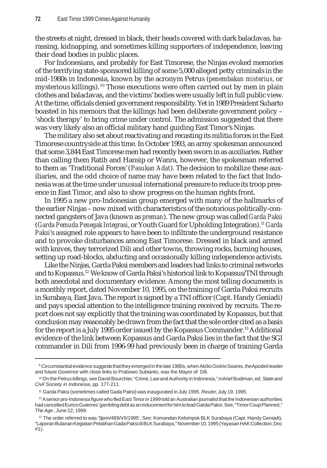the streets at night, dressed in black, their heads covered with dark balaclavas, harassing, kidnapping, and sometimes killing supporters of independence, leaving their dead bodies in public places.

For Indonesians, and probably for East Timorese, the Ninjas evoked memories of the terrifying state-sponsored killing of some 5,000 alleged petty criminals in the mid-1980s in Indonesia, known by the acronym Petrus (*penembakan misterius*, or mysterious killings). 10 Those executions were often carried out by men in plain clothes and balaclavas, and the victims' bodies were usually left in full public view. At the time, officials denied government responsibility. Yet in 1989 President Suharto boasted in his memoirs that the killings had been deliberate government policy – 'shock therapy' to bring crime under control. The admission suggested that there was very likely also an official military hand guiding East Timor's Ninjas.

The military also set about reactivating and recasting its militia forces in the East Timorese countryside at this time. In October 1993, an army spokesman announced that some 3,844 East Timorese men had recently been sworn in as auxiliaries. Rather than calling them Ratih and Hansip or Wanra, however, the spokesman referred to them as 'Traditional Forces' (*Pasukan Adat*). The decision to mobilize these auxiliaries, and the odd choice of name may have been related to the fact that Indonesia was at the time under unusual international pressure to reduce its troop presence in East Timor, and also to show progress on the human rights front.

In 1995 a new pro-Indonesian group emerged with many of the hallmarks of the earlier Ninjas – now mixed with characteristics of the notorious politically-connected gangsters of Java (known as *preman*). The new group was called *Garda Paksi* (*Garda Pemuda Penegak Integrasi*, or Youth Guard for Upholding Integration).11 *Garda Paksi*'s assigned role appears to have been to infiltrate the underground resistance and to provoke disturbances among East Timorese. Dressed in black and armed with knives, they terrorized Dili and other towns, throwing rocks, burning houses, setting up road-blocks, abducting and occasionally killing independence activists.

Like the Ninjas, Garda Paksi members and leaders had links to criminal networks and to Kopassus.12 We know of Garda Paksi's historical link to Kopassus/TNI through both anecdotal and documentary evidence. Among the most telling documents is a monthly report, dated November 10, 1995, on the training of Garda Paksi recruits in Surabaya, East Java. The report is signed by a TNI officer (Capt. Handy Geniadi) and pays special attention to the intelligence training received by recruits. The report does not say explicitly that the training was coordinated by Kopassus, but that conclusion may reasonably be drawn from the fact that the sole order cited as a basis for the report is a July 1995 order issued by the Kopassus Commander.<sup>13</sup> Additional evidence of the link between Kopassus and Garda Paksi lies in the fact that the SGI commander in Dili from 1996-99 had previously been in charge of training Garda

 $^{\circ}$  Circumstantial evidence suggests that they emerged in the late 1980s, when Abílio Osório Soares, the $A$ podeti leader and future Governor with close links to Prabowo Subianto, was the Mayor of Dili.

<sup>10</sup> On the Petru*s* killings, see David Bourchier, "Crime, Law and Authority in Indonesia," in Arief Budiman, ed. *State and Civil Society in Indonesia*, pp. 177-211.

<sup>11</sup> Garda Paksi (sometimes called Gada Paksi) was inaugurated in July 1995. *Reuter*, July 19, 1995.

 $12$  A senior pro-Indonesia figure who fled East Timor in 1999 told an Australian journalist that the Indonesian authorities had cancelled Eurico Guterres' gambling debt as an inducement for him to lead Garda Paksi. See, "Timor Coup Planned," *The Age*, June 22, 1999.

<sup>13</sup> The order referred to was 'Sprin/489/VII/1995'*.* See: Komandan Kelompok BLK Surabaya (Capt. Handy Geniadi), "Laporan Bulanan Kegiatan Pelatihan Gada Paksi di BLK Surabaya," November 10, 1995 (Yayasan HAK Collection, Doc #1).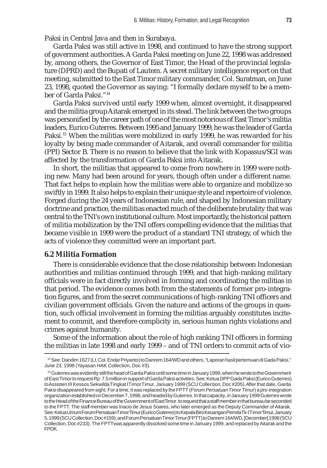Paksi in Central Java and then in Surabaya.

Garda Paksi was still active in 1998, and continued to have the strong support of government authorities. A Garda Paksi meeting on June 22, 1998 was addressed by, among others, the Governor of East Timor, the Head of the provincial legislature (DPRD) and the Bupati of Lautem. A secret military intelligence report on that meeting, submitted to the East Timor military commander, Col. Suratman, on June 23, 1998, quoted the Governor as saying: "I formally declare myself to be a member of Garda Paksi."14

Garda Paksi survived until early 1999 when, almost overnight, it disappeared and the militia group Aitarak emerged in its stead. The link between the two groups was personified by the career path of one of the most notorious of East Timor's militia leaders, Eurico Guterres. Between 1995 and January 1999, he was the leader of Garda Paksi.<sup>15</sup> When the militias were mobilized in early 1999, he was rewarded for his loyalty by being made commander of Aitarak, and overall commander for militia (PPI) Sector B. There is no reason to believe that the link with Kopassus/SGI was affected by the transformation of Garda Paksi into Aitarak.

In short, the militias that appeared to come from nowhere in 1999 were nothing new. Many had been around for years, though often under a different name. That fact helps to explain how the militias were able to organize and mobilize so swiftly in 1999. It also helps to explain their unique style and repertoire of violence. Forged during the 24 years of Indonesian rule, and shaped by Indonesian military doctrine and practice, the militias enacted much of the deliberate brutality that was central to the TNI's own institutional culture. Most importantly, the historical pattern of militia mobilization by the TNI offers compelling evidence that the militias that became visible in 1999 were the product of a standard TNI strategy, of which the acts of violence they committed were an important part.

## **6.2 Militia Formation**

There is considerable evidence that the close relationship between Indonesian authorities and militias continued through 1999, and that high-ranking military officials were in fact directly involved in forming and coordinating the militias in that period. The evidence comes both from the statements of former pro-integration figures, and from the secret communications of high-ranking TNI officers and civilian government officials. Given the nature and actions of the groups in question, such official involvement in forming the militias arguably constitutes incitement to commit, and therefore complicity in, serious human rights violations and crimes against humanity.

Some of the information about the role of high ranking TNI officers in forming the militias in late 1998 and early 1999 – and of TNI orders to commit acts of vio-

<sup>14</sup> See: Dandim 1627 (Lt. Col. Endar Priyanto) to Danrem 164/WD and others, "Laporan hasil pertemuan di Gada Paksi," June 23, 1998 (Yayasan HAK Collection, Doc #3).

<sup>15</sup> Guterres was evidently still the head of Garda Paksi until some time in January 1999, when he wrote to the Government of East Timor to request Rp. 7.5 million in support of Garda Paksi activities. See: Ketua DPP Gada Paksi (Eurico Guterres) to Assisten III Kessos Sekwilda Tingkat I Timor Timur, January 1999 (SCU Collection, Doc #205). After that date, Garda Paksi disappeared from sight. For a time, it was replaced by the FPTT (*Forum Persatuan Timor Timur*) a pro-integration organization established on December 7, 1998, and headed by Guterres. In that capacity, in January 1999 Guterres wrote to the Head of the Finance Bureau of the Government of East Timor, to request that a staff member in that bureau be seconded to the FPTT. The staff member was Inacio de Jesus Soares, who later emerged as the Deputy Commander of Aitarak. See: Ketua Umum Forum Persatuan Timor Timur (Eurico Guterres) to Kepala Biro Keuangan Pemda Tk-I Timor Timur, January 5, 1999 (SCU Collection, Doc #159); and Forum Persatuan Timor Timur (FPTT) to Danrem 164/WD, [December] 1998 (SCU Collection, Doc #233). The FPTT was apparently dissolved some time in January 1999, and replaced by Aitarak and the FPDK.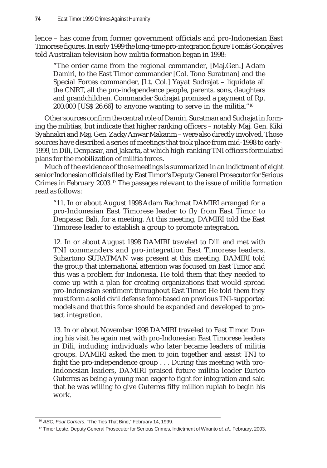lence – has come from former government officials and pro-Indonesian East Timorese figures. In early 1999 the long-time pro-integration figure Tomás Gonçalves told Australian television how militia formation began in 1998:

"The order came from the regional commander, [Maj.Gen.] Adam Damiri, to the East Timor commander [Col. Tono Suratman] and the Special Forces commander, [Lt. Col.] Yayat Sudrajat – liquidate all the CNRT, all the pro-independence people, parents, sons, daughters and grandchildren. Commander Sudrajat promised a payment of Rp. 200,000 [US\$ 26.66] to anyone wanting to serve in the militia."16

Other sources confirm the central role of Damiri, Suratman and Sudrajat in forming the militias, but indicate that higher ranking officers – notably Maj. Gen. Kiki Syahnakri and Maj. Gen. Zacky Anwar Makarim – were also directly involved. Those sources have described a series of meetings that took place from mid-1998 to early-1999, in Dili, Denpasar, and Jakarta, at which high-ranking TNI officers formulated plans for the mobilization of militia forces.

Much of the evidence of those meetings is summarized in an indictment of eight senior Indonesian officials filed by East Timor's Deputy General Prosecutor for Serious Crimes in February 2003. 17 The passages relevant to the issue of militia formation read as follows:

"11. In or about August 1998 Adam Rachmat DAMIRI arranged for a pro-Indonesian East Timorese leader to fly from East Timor to Denpasar, Bali, for a meeting. At this meeting, DAMIRI told the East Timorese leader to establish a group to promote integration.

12. In or about August 1998 DAMIRI traveled to Dili and met with TNI commanders and pro-integration East Timorese leaders. Suhartono SURATMAN was present at this meeting. DAMIRI told the group that international attention was focused on East Timor and this was a problem for Indonesia. He told them that they needed to come up with a plan for creating organizations that would spread pro-Indonesian sentiment throughout East Timor. He told them they must form a solid civil defense force based on previous TNI-supported models and that this force should be expanded and developed to protect integration.

13. In or about November 1998 DAMIRI traveled to East Timor. During his visit he again met with pro-Indonesian East Timorese leaders in Dili, including individuals who later became leaders of militia groups. DAMIRI asked the men to join together and assist TNI to fight the pro-independence group . . . During this meeting with pro-Indonesian leaders, DAMIRI praised future militia leader Eurico Guterres as being a young man eager to fight for integration and said that he was willing to give Guterres fifty million rupiah to begin his work.

<sup>16</sup> *ABC, Four Corners*, "The Ties That Bind," February 14, 1999.

<sup>17</sup> Timor Leste, Deputy General Prosecutor for Serious Crimes, Indictment of Wiranto *et. al*., February, 2003.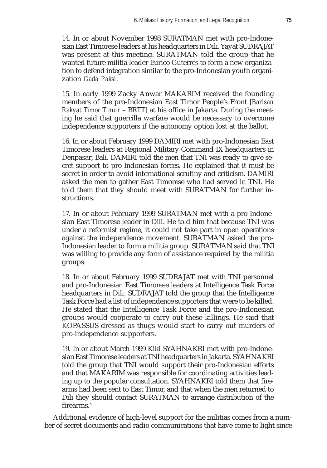14. In or about November 1998 SURATMAN met with pro-Indonesian East Timorese leaders at his headquarters in Dili. Yayat SUDRAJAT was present at this meeting. SURATMAN told the group that he wanted future militia leader Eurico Guterres to form a new organization to defend integration similar to the pro-Indonesian youth organization *Gada Paksi*.

15. In early 1999 Zacky Anwar MAKARIM received the founding members of the pro-Indonesian East Timor People's Front [*Barisan Rakyat Timor Timur* – BRTT] at his office in Jakarta. During the meeting he said that guerrilla warfare would be necessary to overcome independence supporters if the autonomy option lost at the ballot.

16. In or about February 1999 DAMIRI met with pro-Indonesian East Timorese leaders at Regional Military Command IX headquarters in Denpasar, Bali. DAMIRI told the men that TNI was ready to give secret support to pro-Indonesian forces. He explained that it must be secret in order to avoid international scrutiny and criticism. DAMIRI asked the men to gather East Timorese who had served in TNI. He told them that they should meet with SURATMAN for further instructions.

17. In or about February 1999 SURATMAN met with a pro-Indonesian East Timorese leader in Dili. He told him that because TNI was under a reformist regime, it could not take part in open operations against the independence movement. SURATMAN asked the pro-Indonesian leader to form a militia group. SURATMAN said that TNI was willing to provide any form of assistance required by the militia groups.

18. In or about February 1999 SUDRAJAT met with TNI personnel and pro-Indonesian East Timorese leaders at Intelligence Task Force headquarters in Dili. SUDRAJAT told the group that the Intelligence Task Force had a list of independence supporters that were to be killed. He stated that the Intelligence Task Force and the pro-Indonesian groups would cooperate to carry out these killings. He said that KOPASSUS dressed as thugs would start to carry out murders of pro-independence supporters.

19. In or about March 1999 Kiki SYAHNAKRI met with pro-Indonesian East Timorese leaders at TNI headquarters in Jakarta. SYAHNAKRI told the group that TNI would support their pro-Indonesian efforts and that MAKARIM was responsible for coordinating activities leading up to the popular consultation. SYAHNAKRI told them that firearms had been sent to East Timor, and that when the men returned to Dili they should contact SURATMAN to arrange distribution of the firearms."

Additional evidence of high-level support for the militias comes from a number of secret documents and radio communications that have come to light since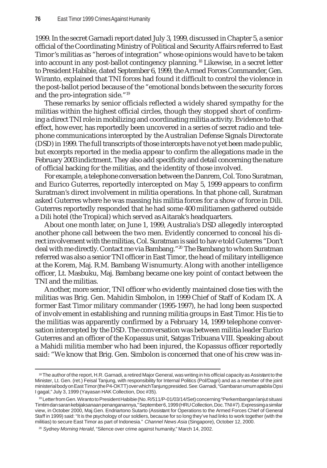1999. In the secret Garnadi report dated July 3, 1999, discussed in Chapter 5, a senior official of the Coordinating Ministry of Political and Security Affairs referred to East Timor's militias as "heroes of integration" whose opinions would have to be taken into account in any post-ballot contingency planning. 18 Likewise, in a secret letter to President Habibie, dated September 6, 1999, the Armed Forces Commander, Gen. Wiranto, explained that TNI forces had found it difficult to control the violence in the post-ballot period because of the "emotional bonds between the security forces and the pro-integration side."19

These remarks by senior officials reflected a widely shared sympathy for the militias within the highest official circles, though they stopped short of confirming a direct TNI role in mobilizing and coordinating militia activity. Evidence to that effect, however, has reportedly been uncovered in a series of secret radio and telephone communications intercepted by the Australian Defense Signals Directorate (DSD) in 1999. The full transcripts of those intercepts have not yet been made public, but excerpts reported in the media appear to confirm the allegations made in the February 2003 indictment. They also add specificity and detail concerning the nature of official backing for the militias, and the identity of those involved.

For example, a telephone conversation between the Danrem, Col. Tono Suratman, and Eurico Guterres, reportedly intercepted on May 5, 1999 appears to confirm Suratman's direct involvement in militia operations. In that phone call, Suratman asked Guterres where he was massing his militia forces for a show of force in Dili. Guterres reportedly responded that he had some 400 militiamen gathered outside a Dili hotel (the Tropical) which served as Aitarak's headquarters.

About one month later, on June 1, 1999, Australia's DSD allegedly intercepted another phone call between the two men. Evidently concerned to conceal his direct involvement with the militias, Col. Suratman is said to have told Guterres "Don't deal with me directly. Contact me via Bambang."<sup>20</sup> The Bambang to whom Suratman referred was also a senior TNI officer in East Timor, the head of military intelligence at the Korem, Maj. R.M. Bambang Wisnumurty. Along with another intelligence officer, Lt. Masbuku, Maj. Bambang became one key point of contact between the TNI and the militias.

Another, more senior, TNI officer who evidently maintained close ties with the militias was Brig. Gen. Mahidin Simbolon, in 1999 Chief of Staff of Kodam IX. A former East Timor military commander (1995-1997), he had long been suspected of involvement in establishing and running militia groups in East Timor. His tie to the militias was apparently confirmed by a February 14, 1999 telephone conversation intercepted by the DSD. The conversation was between militia leader Eurico Guterres and an officer of the Kopassus unit, Satgas Tribuana VIII. Speaking about a Mahidi militia member who had been injured, the Kopassus officer reportedly said: "We know that Brig. Gen. Simbolon is concerned that one of his crew was in-

<sup>18</sup> The author of the report, H.R. Garnadi, a retired Major General, was writing in his official capacity as Assistant to the Minister, Lt. Gen. (ret.) Feisal Tanjung, with responsibility for Internal Politics (Pol/Dagri) and as a member of the joint ministerial body on East Timor (the P4-OKTT) over which Tanjung presided. See: Garnadi, "Gambaran umum apabila Opsi I gagal," July 3, 1999 (Yayasan HAK Collection, Doc #35).

<sup>19</sup> Letter from Gen. Wiranto to President Habibie (No. R/511/P-01/03/14/Set) concerning "Perkembangan lanjut situasi Timtim dan saran kebijaksanaan penanganannya," September 6, 1999 (HRU Collection, Doc. TNI #7). Expressing a similar view, in October 2000, Maj.Gen. Endriartono Sutarto (Assistant for Operations to the Armed Forces Chief of General Staff in 1999) said: "It is the psychology of our soldiers, because for so long they've had links to work together (with the militias) to secure East Timor as part of Indonesia." *Channel News Asia* (Singapore), October 12, 2000.

<sup>&</sup>lt;sup>20</sup> Sydney Morning Herald, "Silence over crime against humanity," March 14, 2002.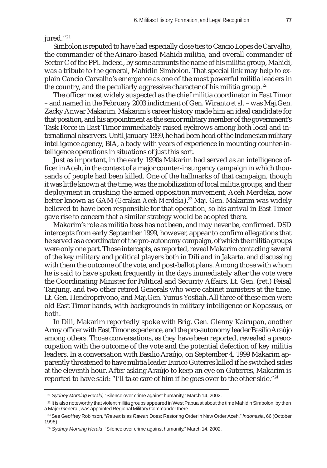jured."<sup>21</sup>

Simbolon is reputed to have had especially close ties to Cancio Lopes de Carvalho, the commander of the Ainaro-based Mahidi militia, and overall commander of Sector C of the PPI. Indeed, by some accounts the name of his militia group, Mahidi, was a tribute to the general, Mahidin Simbolon. That special link may help to explain Cancio Carvalho's emergence as one of the most powerful militia leaders in the country, and the peculiarly aggressive character of his militia group.<sup>22</sup>

The officer most widely suspected as the chief militia coordinator in East Timor – and named in the February 2003 indictment of Gen. Wiranto *et al.* – was Maj.Gen. Zacky Anwar Makarim. Makarim's career history made him an ideal candidate for that position, and his appointment as the senior military member of the government's Task Force in East Timor immediately raised eyebrows among both local and international observers. Until January 1999, he had been head of the Indonesian military intelligence agency, BIA, a body with years of experience in mounting counter-intelligence operations in situations of just this sort.

Just as important, in the early 1990s Makarim had served as an intelligence officer in Aceh, in the context of a major counter-insurgency campaign in which thousands of people had been killed. One of the hallmarks of that campaign, though it was little known at the time, was the mobilization of local militia groups, and their deployment in crushing the armed opposition movement, Aceh Merdeka, now better known as GAM (*Gerakan Aceh Merdeka*).<sup>23</sup> Maj. Gen. Makarim was widely believed to have been responsible for that operation, so his arrival in East Timor gave rise to concern that a similar strategy would be adopted there.

Makarim's role as militia boss has not been, and may never be, confirmed. DSD intercepts from early September 1999, however, appear to confirm allegations that he served as a coordinator of the pro-autonomy campaign, of which the militia groups were only one part. Those intercepts, as reported, reveal Makarim contacting several of the key military and political players both in Dili and in Jakarta, and discussing with them the outcome of the vote, and post-ballot plans. Among those with whom he is said to have spoken frequently in the days immediately after the vote were the Coordinating Minister for Political and Security Affairs, Lt. Gen. (ret.) Feisal Tanjung, and two other retired Generals who were cabinet ministers at the time, Lt. Gen. Hendropriyono, and Maj.Gen. Yunus Yosfiah. All three of these men were old East Timor hands, with backgrounds in military intelligence or Kopassus, or both.

In Dili, Makarim reportedly spoke with Brig. Gen. Glenny Kairupan, another Army officer with East Timor experience, and the pro-autonomy leader Basilio Araújo among others. Those conversations, as they have been reported, revealed a preoccupation with the outcome of the vote and the potential defection of key militia leaders. In a conversation with Basilio Araújo, on September 4, 1999 Makarim apparently threatened to have militia leader Eurico Guterres killed if he switched sides at the eleventh hour. After asking Araújo to keep an eye on Guterres, Makarim is reported to have said: "I'll take care of him if he goes over to the other side."<sup>24</sup>

<sup>21</sup> *Sydney Morning Herald,* "Silence over crime against humanity," March 14, 2002.

 $22$  It is also noteworthy that violent militia groups appeared in West Papua at about the time Mahidin Simbolon, by then a Major General, was appointed Regional Military Commander there.

<sup>23</sup> See Geoffrey Robinson, "*Rawan* is as *Rawan* Does: Restoring Order in New Order Aceh," *Indonesia*, 66 (October 1998).

<sup>&</sup>lt;sup>24</sup> Sydney Morning Herald, "Silence over crime against humanity," March 14, 2002.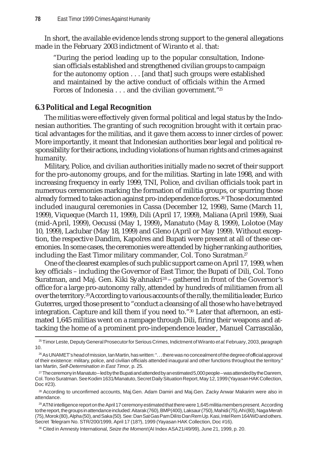In short, the available evidence lends strong support to the general allegations made in the February 2003 indictment of Wiranto *et al*. that:

"During the period leading up to the popular consultation, Indonesian officials established and strengthened civilian groups to campaign for the autonomy option . . . [and that] such groups were established and maintained by the active conduct of officials within the Armed Forces of Indonesia . . . and the civilian government."25

# **6.3 Political and Legal Recognition**

The militias were effectively given formal political and legal status by the Indonesian authorities. The granting of such recognition brought with it certain practical advantages for the militias, and it gave them access to inner circles of power. More importantly, it meant that Indonesian authorities bear legal and political responsibility for their actions, including violations of human rights and crimes against humanity.

Military, Police, and civilian authorities initially made no secret of their support for the pro-autonomy groups, and for the militias. Starting in late 1998, and with increasing frequency in early 1999, TNI, Police, and civilian officials took part in numerous ceremonies marking the formation of militia groups, or spurring those already formed to take action against pro-independence forces. 26 Those documented included inaugural ceremonies in Cassa (December 12, 1998), Same (March 11, 1999), Viqueque (March 11, 1999), Dili (April 17, 1999), Maliana (April 1999), Suai (mid-April, 1999), Oecussi (May 1, 1999)**,** Manatuto (May 8, 1999), Lolotoe (May 10, 1999), Laclubar (May 18, 1999) and Gleno (April or May 1999). Without exception, the respective Dandim, Kapolres and Bupati were present at all of these ceremonies. In some cases, the ceremonies were attended by higher ranking authorities, including the East Timor military commander, Col. Tono Suratman.<sup>27</sup>

One of the clearest examples of such public support came on April 17, 1999, when key officials – including the Governor of East Timor, the Bupati of Dili, Col. Tono Suratman, and Maj. Gen. Kiki Syahnakri<sup>28</sup> - gathered in front of the Governor's office for a large pro-autonomy rally, attended by hundreds of militiamen from all over the territory.29 According to various accounts of the rally, the militia leader, Eurico Guterres, urged those present to "conduct a cleansing of all those who have betrayed integration. Capture and kill them if you need to."30 Later that afternoon, an estimated 1,645 militias went on a rampage through Dili, firing their weapons and attacking the home of a prominent pro-independence leader, Manuel Carrascalão,

<sup>25</sup> Timor Leste, Deputy General Prosecutor for Serious Crimes, Indictment of Wiranto *et al*. February, 2003, paragraph 10.

<sup>26</sup> As UNAMET's head of mission, Ian Martin, has written: ". . . there was no concealment of the degree of official approval of their existence: military, police, and civilian officials attended inaugural and other functions throughout the territory." Ian Martin, *Self-Determination in East Timor*, p. 25.

<sup>27</sup> The ceremony in Manatuto – led by the Bupati and attended by an estimated 5,000 people – was attended by the Danrem, Col. Tono Suratman. See Kodim 1631/Manatuto, Secret Daily Situation Report, May 12, 1999 (Yayasan HAK Collection, Doc #23).

<sup>28</sup> According to unconfirmed accounts, Maj.Gen. Adam Damiri and Maj.Gen. Zacky Anwar Makarim were also in attendance.

<sup>&</sup>lt;sup>29</sup> ATNI intelligence report on the April 17 ceremony estimated that there were 1,645 militia members present. According to the report, the groups in attendance included: Aitarak (760), BMP (400), Laksaur (750), Mahidi (75), Ahi (80), Naga Merah (75), Morok (80), Alpha (50), and Saka (50). See: Dan Sat Gas Pam Dili to Dan Rem Up. Kasi, Intel Rem 164/WD and others. Secret Telegram No. STR/200/1999, April 17 (18?), 1999 (Yayasan HAK Collection, Doc #16).

<sup>30</sup> Cited in Amnesty International, *Seize the Moment* (AI Index ASA 21/49/99), June 21, 1999, p. 20.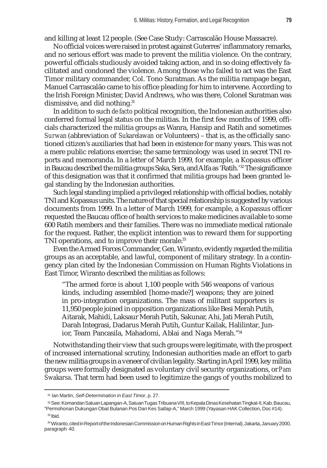and killing at least 12 people. (See Case Study: Carrascalão House Massacre).

No official voices were raised in protest against Guterres' inflammatory remarks, and no serious effort was made to prevent the militia violence. On the contrary, powerful officials studiously avoided taking action, and in so doing effectively facilitated and condoned the violence. Among those who failed to act was the East Timor military commander, Col. Tono Suratman. As the militia rampage began, Manuel Carrascalão came to his office pleading for him to intervene. According to the Irish Foreign Minister, David Andrews, who was there, Colonel Suratman was dismissive, and did nothing.<sup>31</sup>

In addition to such *de facto* political recognition, the Indonesian authorities also conferred formal legal status on the militias. In the first few months of 1999, officials characterized the militia groups as Wanra, Hansip and Ratih and sometimes *Surwan* (abbreviation of *Sukarelawan* or Volunteers) – that is, as the officially sanctioned citizen's auxiliaries that had been in existence for many years. This was not a mere public relations exercise; the same terminology was used in secret TNI reports and memoranda. In a letter of March 1999, for example, a Kopassus officer in Baucau described the militia groups Saka, Sera, and Alfa as 'Ratih.'32 The significance of this designation was that it confirmed that militia groups had been granted legal standing by the Indonesian authorities.

Such legal standing implied a privileged relationship with official bodies, notably TNI and Kopassus units. The nature of that special relationship is suggested by various documents from 1999. In a letter of March 1999, for example, a Kopassus officer requested the Baucau office of health services to make medicines available to some 600 Ratih members and their families. There was no immediate medical rationale for the request. Rather, the explicit intention was to reward them for supporting TNI operations, and to improve their morale.<sup>33</sup>

Even the Armed Forces Commander, Gen. Wiranto, evidently regarded the militia groups as an acceptable, and lawful, component of military strategy. In a contingency plan cited by the Indonesian Commission on Human Rights Violations in East Timor, Wiranto described the militias as follows:

"The armed force is about 1,100 people with 546 weapons of various kinds, including assembled [home-made?] weapons; they are joined in pro-integration organizations. The mass of militant supporters is 11,950 people joined in opposition organizations like Besi Merah Putih, Aitarak, Mahidi, Laksaur Merah Putih, Sakunar, Ahi, Jati Merah Putih, Darah Integrasi, Dadarus Merah Putih, Guntur Kailak, Halilintar, Junior, Team Pancasila, Mahadomi, Ablai and Naga Merah."34

Notwithstanding their view that such groups were legitimate, with the prospect of increased international scrutiny, Indonesian authorities made an effort to garb the new militia groups in a veneer of civilian legality. Starting in April 1999, key militia groups were formally designated as voluntary civil security organizations, or *Pam Swakarsa.* That term had been used to legitimize the gangs of youths mobilized to

<sup>31</sup> Ian Martin, *Self-Determination in East Timor*, p. 27.

<sup>32</sup> See: Komandan Satuan Lapangan-A, Satuan Tugas Tribuana VIII, to Kepala Dinas Kesehatan Tingkat-II, Kab. Baucau, "Permohonan Dukungan Obat Bulanan Pos Dan Kes Satlap-A," March 1999 (Yayasan HAK Collection, Doc #14).

 $33$  Ibid.

<sup>34</sup> Wiranto, cited in Report of the Indonesian Commission on Human Rights in East Timor (Internal), Jakarta, January 2000, paragraph 40.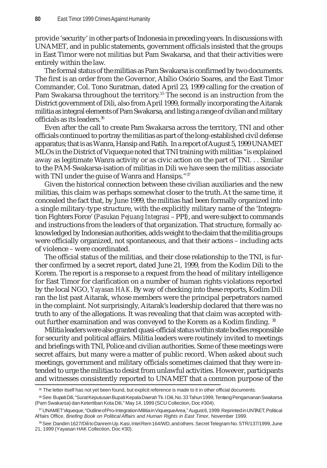provide 'security' in other parts of Indonesia in preceding years. In discussions with UNAMET, and in public statements, government officials insisted that the groups in East Timor were not militias but Pam Swakarsa, and that their activities were entirely within the law.

The formal status of the militias as Pam Swakarsa is confirmed by two documents. The first is an order from the Governor, Abílio Osório Soares, and the East Timor Commander, Col. Tono Suratman, dated April 23, 1999 calling for the creation of Pam Swakarsa throughout the territory.<sup>35</sup> The second is an instruction from the District government of Dili, also from April 1999, formally incorporating the Aitarak militia as integral elements of Pam Swakarsa, and listing a range of civilian and military officials as its leaders.<sup>36</sup>

Even after the call to create Pam Swakarsa across the territory, TNI and other officials continued to portray the militias as part of the long-established civil defense apparatus; that is as Wanra, Hansip and Ratih. In a report of August 5, 1999 UNAMET MLOs in the District of Viqueque noted that TNI training with militias "is explained away as legitimate Wanra activity or as civic action on the part of TNI. . . Similar to the PAM-Swakarsa-isation of militias in Dili we have seen the militias associate with TNI under the guise of Wanra and Hansips."37

Given the historical connection between these civilian auxiliaries and the new militias, this claim was perhaps somewhat closer to the truth. At the same time, it concealed the fact that, by June 1999, the militias had been formally organized into a single military-type structure, with the explicitly military name of the 'Integration Fighters Force' (*Pasukan Pejuang Integrasi* – PPI*)*, and were subject to commands and instructions from the leaders of that organization. That structure, formally acknowledged by Indonesian authorities, adds weight to the claim that the militia groups were officially organized, not spontaneous, and that their actions – including acts of violence – were coordinated.

The official status of the militias, and their close relationship to the TNI, is further confirmed by a secret report, dated June 21, 1999, from the Kodim Dili to the Korem. The report is a response to a request from the head of military intelligence for East Timor for clarification on a number of human rights violations reported by the local NGO, *Yayasan HAK*. By way of checking into these reports, Kodim Dili ran the list past Aitarak, whose members were the principal perpetrators named in the complaint. Not surprisingly, Aitarak's leadership declared that there was no truth to any of the allegations. It was revealing that that claim was accepted without further examination and was conveyed to the Korem as a Kodim finding.<sup>38</sup>

Militia leaders were also granted quasi-official status within state bodies responsible for security and political affairs. Militia leaders were routinely invited to meetings and briefings with TNI, Police and civilian authorities. Some of these meetings were secret affairs, but many were a matter of public record. When asked about such meetings, government and military officials sometimes claimed that they were intended to urge the militias to desist from unlawful activities. However, participants and witnesses consistently reported to UNAMET that a common purpose of the

<sup>35</sup> The letter itself has not yet been found, but explicit reference is made to it in other official documents.

<sup>36</sup> See: Bupati Dili, "Surat Keputusan Bupati Kepala Daerah Tk. I Dili, No. 33 Tahun 1999, Tentang Pengamanan Swakarsa (Pam Swakarsa) dan Ketertiban Kota Dili," May 14, 1999 (SCU Collection, Doc #304).

<sup>37</sup> UNAMET Viqueque, "Outline of Pro-Integration Militia in Viqueque Area," August 6, 1999. Reprinted in UNTAET, Political Affairs Office, *Briefing Book on Political Affairs and Human Rights in East Timor*, November 1999.

<sup>38</sup> See: Dandim 1627/Dili to Danrem Up. Kasi, Intel Rem 164/WD, and others. Secret Telegram No. STR/137/1999, June 21, 1999 (Yayasan HAK Collection, Doc #30).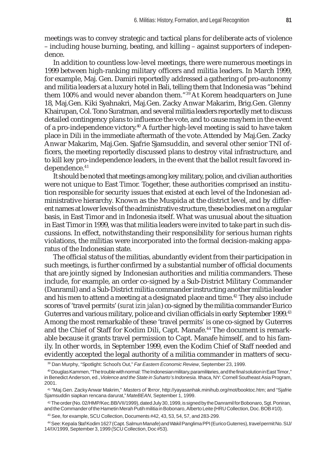meetings was to convey strategic and tactical plans for deliberate acts of violence – including house burning, beating, and killing – against supporters of independence.

In addition to countless low-level meetings, there were numerous meetings in 1999 between high-ranking military officers and militia leaders. In March 1999, for example, Maj. Gen. Damiri reportedly addressed a gathering of pro-autonomy and militia leaders at a luxury hotel in Bali, telling them that Indonesia was "behind them 100% and would never abandon them."39 At Korem headquarters on June 18, Maj.Gen. Kiki Syahnakri, Maj.Gen. Zacky Anwar Makarim, Brig.Gen. Glenny Khairupan, Col. Tono Suratman, and several militia leaders reportedly met to discuss detailed contingency plans to influence the vote, and to cause mayhem in the event of a pro-independence victory.40 A further high-level meeting is said to have taken place in Dili in the immediate aftermath of the vote. Attended by Maj.Gen. Zacky Anwar Makarim, Maj.Gen. Sjafrie Sjamsuddin, and several other senior TNI officers, the meeting reportedly discussed plans to destroy vital infrastructure, and to kill key pro-independence leaders, in the event that the ballot result favored independence.<sup>41</sup>

It should be noted that meetings among key military, police, and civilian authorities were not unique to East Timor. Together, these authorities comprised an institution responsible for security issues that existed at each level of the Indonesian administrative hierarchy. Known as the Muspida at the district level, and by different names at lower levels of the administrative structure, these bodies met on a regular basis, in East Timor and in Indonesia itself. What was unusual about the situation in East Timor in 1999, was that militia leaders were invited to take part in such discussions. In effect, notwithstanding their responsibility for serious human rights violations, the militias were incorporated into the formal decision-making apparatus of the Indonesian state.

The official status of the militias, abundantly evident from their participation in such meetings, is further confirmed by a substantial number of official documents that are jointly signed by Indonesian authorities and militia commanders. These include, for example, an order co-signed by a Sub-District Military Commander (Danramil) and a Sub-District militia commander instructing another militia leader and his men to attend a meeting at a designated place and time.<sup>42</sup> They also include scores of 'travel permits' (*surat izin jalan*) co-signed by the militia commander Eurico Guterres and various military, police and civilian officials in early September 1999.43 Among the most remarkable of these 'travel permits' is one co-signed by Guterres and the Chief of Staff for Kodim Dili, Capt. Manafe.44 The document is remarkable because it grants travel permission to Capt. Manafe himself, and to his family. In other words, in September 1999, even the Kodim Chief of Staff needed and evidently accepted the legal authority of a militia commander in matters of secu-

<sup>39</sup> Dan Murphy, "Spotlight: School's Out," *Far Eastern Economic Review*, September 23, 1999.

<sup>40</sup> Douglas Kammen, "The trouble with normal: The Indonesian military, paramilitaries, and the final solution in East Timor," in Benedict Anderson, ed., *Violence and the State in Suharto's Indonesia*. Ithaca, NY: Cornell Southeast Asia Program, 2001.

<sup>41 &</sup>quot;Maj.Gen. Zacky Anwar Makrim," *Masters of Terror*, http://yayasanhak.minihub.org/mot/booktoc.htm; and "Sjafrie Sjamsuddin siapkan rencana darurat," *MateBEAN*, September 1, 1999.

<sup>42</sup> The order (No. 02/HMP/Kec.BB/VII/1999), dated July 30, 1999, is signed by the Danramil for Bobonaro, Sgt. Poniran, and the Commander of the Hametin Merah Putih militia in Bobonaro, Alberto Leite (HRU Collection, Doc. BOB #10).

<sup>43</sup> See, for example, SCU Collection, Documents #42, 43, 53, 54, 57, and 283-299.

<sup>44</sup> See: Kepala Staf Kodim 1627 (Capt. Salmun Manafe) and Wakil Panglima PPI (Eurico Guterres), travel permit No. SIJ/ 14/IX/1999, September 3, 1999 (SCU Collection, Doc #53).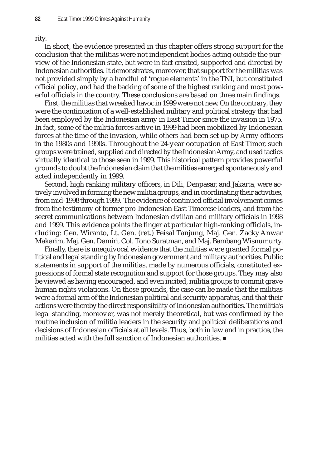rity.

In short, the evidence presented in this chapter offers strong support for the conclusion that the militias were not independent bodies acting outside the purview of the Indonesian state, but were in fact created, supported and directed by Indonesian authorities. It demonstrates, moreover, that support for the militias was not provided simply by a handful of 'rogue elements' in the TNI, but constituted official policy, and had the backing of some of the highest ranking and most powerful officials in the country. These conclusions are based on three main findings.

First, the militias that wreaked havoc in 1999 were not new. On the contrary, they were the continuation of a well-established military and political strategy that had been employed by the Indonesian army in East Timor since the invasion in 1975. In fact, some of the militia forces active in 1999 had been mobilized by Indonesian forces at the time of the invasion, while others had been set up by Army officers in the 1980s and 1990s. Throughout the 24-year occupation of East Timor, such groups were trained, supplied and directed by the Indonesian Army, and used tactics virtually identical to those seen in 1999. This historical pattern provides powerful grounds to doubt the Indonesian claim that the militias emerged spontaneously and acted independently in 1999.

Second, high ranking military officers, in Dili, Denpasar, and Jakarta, were actively involved in forming the new militia groups, and in coordinating their activities, from mid-1998 through 1999. The evidence of continued official involvement comes from the testimony of former pro-Indonesian East Timorese leaders, and from the secret communications between Indonesian civilian and military officials in 1998 and 1999. This evidence points the finger at particular high-ranking officials, including: Gen. Wiranto, Lt. Gen. (ret.) Feisal Tanjung, Maj. Gen. Zacky Anwar Makarim, Maj. Gen. Damiri, Col. Tono Suratman, and Maj. Bambang Wisnumurty.

Finally, there is unequivocal evidence that the militias were granted formal political and legal standing by Indonesian government and military authorities. Public statements in support of the militias, made by numerous officials, constituted expressions of formal state recognition and support for those groups. They may also be viewed as having encouraged, and even incited, militia groups to commit grave human rights violations. On those grounds, the case can be made that the militias were a formal arm of the Indonesian political and security apparatus, and that their actions were thereby the direct responsibility of Indonesian authorities. The militia's legal standing, moreover, was not merely theoretical, but was confirmed by the routine inclusion of militia leaders in the security and political deliberations and decisions of Indonesian officials at all levels. Thus, both in law and in practice, the militias acted with the full sanction of Indonesian authorities.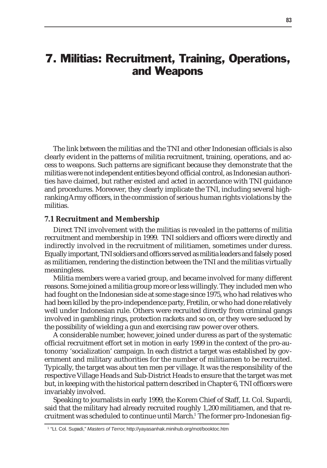# 7. Militias: Recruitment, Training, Operations, and Weapons

The link between the militias and the TNI and other Indonesian officials is also clearly evident in the patterns of militia recruitment, training, operations, and access to weapons. Such patterns are significant because they demonstrate that the militias were not independent entities beyond official control, as Indonesian authorities have claimed, but rather existed and acted in accordance with TNI guidance and procedures. Moreover, they clearly implicate the TNI, including several highranking Army officers, in the commission of serious human rights violations by the militias.

#### **7.1 Recruitment and Membership**

Direct TNI involvement with the militias is revealed in the patterns of militia recruitment and membership in 1999. TNI soldiers and officers were directly and indirectly involved in the recruitment of militiamen, sometimes under duress. Equally important, TNI soldiers and officers served as militia leaders and falsely posed as militiamen, rendering the distinction between the TNI and the militias virtually meaningless.

Militia members were a varied group, and became involved for many different reasons. Some joined a militia group more or less willingly. They included men who had fought on the Indonesian side at some stage since 1975, who had relatives who had been killed by the pro-independence party, Fretilin, or who had done relatively well under Indonesian rule. Others were recruited directly from criminal gangs involved in gambling rings, protection rackets and so on, or they were seduced by the possibility of wielding a gun and exercising raw power over others.

A considerable number, however, joined under duress as part of the systematic official recruitment effort set in motion in early 1999 in the context of the pro-autonomy 'socialization' campaign. In each district a target was established by government and military authorities for the number of militiamen to be recruited. Typically, the target was about ten men per village. It was the responsibility of the respective Village Heads and Sub-District Heads to ensure that the target was met but, in keeping with the historical pattern described in Chapter 6, TNI officers were invariably involved.

Speaking to journalists in early 1999, the Korem Chief of Staff, Lt. Col. Supardi, said that the military had already recruited roughly 1,200 militiamen, and that recruitment was scheduled to continue until March.<sup>1</sup> The former pro-Indonesian fig-

<sup>1</sup> "Lt. Col. Supadi," *Masters of Terror*, http://yayasanhak.minihub.org/mot/booktoc.htm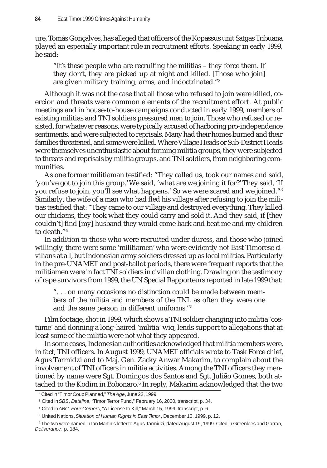ure, Tomás Gonçalves, has alleged that officers of the Kopassus unit Satgas Tribuana played an especially important role in recruitment efforts. Speaking in early 1999, he said:

"It's these people who are recruiting the militias – they force them. If they don't, they are picked up at night and killed. [Those who join] are given military training, arms, and indoctrinated."2

Although it was not the case that all those who refused to join were killed, coercion and threats were common elements of the recruitment effort. At public meetings and in house-to-house campaigns conducted in early 1999, members of existing militias and TNI soldiers pressured men to join. Those who refused or resisted, for whatever reasons, were typically accused of harboring pro-independence sentiments, and were subjected to reprisals. Many had their homes burned and their families threatened, and some were killed. Where Village Heads or Sub-District Heads were themselves unenthusiastic about forming militia groups, they were subjected to threats and reprisals by militia groups, and TNI soldiers, from neighboring communities.

As one former militiaman testified: "They called us, took our names and said, 'you've got to join this group.' We said, 'what are we joining it for?' They said, 'If you refuse to join, you'll see what happens.' So we were scared and we joined."3 Similarly, the wife of a man who had fled his village after refusing to join the militias testified that: "They came to our village and destroyed everything. They killed our chickens, they took what they could carry and sold it. And they said, if [they couldn't] find [my] husband they would come back and beat me and my children to death."4

In addition to those who were recruited under duress, and those who joined willingly, there were some 'militiamen' who were evidently not East Timorese civilians at all, but Indonesian army soldiers dressed up as local militias. Particularly in the pre-UNAMET and post-ballot periods, there were frequent reports that the militiamen were in fact TNI soldiers in civilian clothing. Drawing on the testimony of rape survivors from 1999, the UN Special Rapporteurs reported in late 1999 that:

". . . on many occasions no distinction could be made between members of the militia and members of the TNI, as often they were one and the same person in different uniforms."5

Film footage, shot in 1999, which shows a TNI soldier changing into militia 'costume' and donning a long-haired 'militia' wig, lends support to allegations that at least some of the militia were not what they appeared.

In some cases, Indonesian authorities acknowledged that militia members were, in fact, TNI officers. In August 1999, UNAMET officials wrote to Task Force chief, Agus Tarmidzi and to Maj. Gen. Zacky Anwar Makarim, to complain about the involvement of TNI officers in militia activities. Among the TNI officers they mentioned by name were Sgt. Domingos dos Santos and Sgt. Julião Gomes, both attached to the Kodim in Bobonaro.<sup>6</sup> In reply, Makarim acknowledged that the two

<sup>2</sup> Cited in "Timor Coup Planned," *The Age*, June 22, 1999.

<sup>3</sup> Cited in *SBS*, *Dateline*, "Timor Terror Fund," February 16, 2000, transcript, p. 34.

<sup>4</sup> Cited in *ABC*, *Four Corners*, "A License to Kill," March 15, 1999, transcript, p. 6.

<sup>5</sup> United Nations, *Situation of Human Rights in East Timor*, December 10, 1999, p. 12.

 $^6$  The two were named in Ian Martin's letter to Agus Tarmidzi, dated August 19, 1999. Cited in Greenlees and Garran, *Deliverance*, p. 184.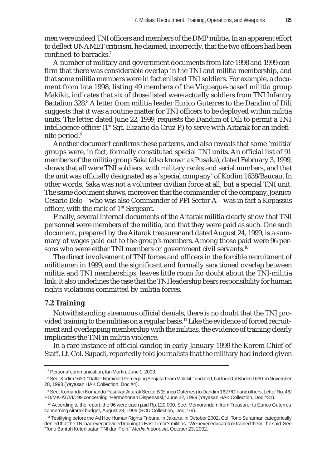men were indeed TNI officers and members of the DMP militia. In an apparent effort to deflect UNAMET criticism, he claimed, incorrectly, that the two officers had been confined to barracks.7

A number of military and government documents from late 1998 and 1999 confirm that there was considerable overlap in the TNI and militia membership, and that some militia members were in fact enlisted TNI soldiers. For example, a document from late 1998, listing 49 members of the Viqueque-based militia group Makikit, indicates that six of those listed were actually soldiers from TNI Infantry Battalion 328.<sup>8</sup> A letter from militia leader Eurico Guterres to the Dandim of Dili suggests that it was a routine matter for TNI officers to be deployed within militia units. The letter, dated June 22, 1999, requests the Dandim of Dili to permit a TNI intelligence officer (1<sup>st</sup> Sgt. Elizario da Cruz P.) to serve with Aitarak for an indefinite period.<sup>9</sup>

Another document confirms these patterns, and also reveals that some 'militia' groups were, in fact, formally constituted special TNI units. An official list of 91 members of the militia group Saka (also known as Pusaka), dated February 3, 1999, shows that all were TNI soldiers, with military ranks and serial numbers, and that the unit was officially designated as a 'special company' of Kodim 1638/Baucau. In other words, Saka was not a volunteer civilian force at all, but a special TNI unit. The same document shows, moreover, that the commander of the company, Joanico Cesario Belo – who was also Commander of PPI Sector A – was in fact a Kopassus officer, with the rank of  $1<sup>st</sup>$  Sergeant.

Finally, several internal documents of the Aitarak militia clearly show that TNI personnel were members of the militia, and that they were paid as such. One such document, prepared by the Aitarak treasurer and dated August 24, 1999, is a summary of wages paid out to the group's members. Among those paid were 96 persons who were either TNI members or government civil servants.<sup>10</sup>

The direct involvement of TNI forces and officers in the forcible recruitment of militiamen in 1999, and the significant and formally sanctioned overlap between militia and TNI memberships, leaves little room for doubt about the TNI-militia link. It also underlines the case that the TNI leadership bears responsibility for human rights violations committed by militia forces.

# **7.2 Training**

Notwithstanding strenuous official denials, there is no doubt that the TNI provided training to the militias on a regular basis.<sup>11</sup> Like the evidence of forced recruitment and overlapping membership with the militias, the evidence of training clearly implicates the TNI in militia violence.

In a rare instance of official candor, in early January 1999 the Korem Chief of Staff, Lt. Col. Supadi, reportedly told journalists that the military had indeed given

<sup>7</sup> Personal communication, Ian Martin, June 1, 2003.

<sup>8</sup> See: Kodim 1630, "Daftar: Nominatif Pemegang Senjata Team Makikit," undated, but found at Kodim 1630 on November 28, 1998 (Yayasan HAK Collection, Doc #4).

<sup>9</sup> See: Komandan Komando Pasukan Aitarak Sector B (Eurico Guterres) to Dandim 1627/Dili and others. Letter No. 46/ PD/MK-AT/VI/199 concerning "Permohonan Dispensasi," June 22, 1999 (Yayasan HAK Collection, Doc #31).

<sup>&</sup>lt;sup>10</sup> According to the report, the 96 were each paid Rp.120,000. See: Memorandum from Treasurer to Eurico Guterres concerning Aitarak budget, August 28, 1999 (SCU Collection, Doc #79).

<sup>11</sup> Testifying before the Ad Hoc Human Rights Tribunal in Jakarta, in October 2002, Col. Tono Suratman categorically denied that the TNI had ever provided training to East Timor's militias. "We never educated or trained them," he said. See "Tono Bantah Keterlibatan TNI dan Polri," *Media Indonesia*, October 23, 2002.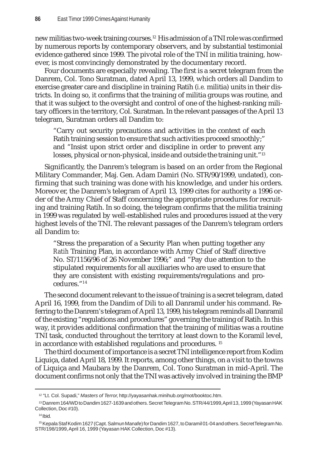new militias two-week training courses.12 His admission of a TNI role was confirmed by numerous reports by contemporary observers, and by substantial testimonial evidence gathered since 1999. The pivotal role of the TNI in militia training, however, is most convincingly demonstrated by the documentary record.

Four documents are especially revealing. The first is a secret telegram from the Danrem, Col. Tono Suratman, dated April 13, 1999, which orders all Dandim to exercise greater care and discipline in training Ratih (*i.e.* militia) units in their districts. In doing so, it confirms that the training of militia groups was routine, and that it was subject to the oversight and control of one of the highest-ranking military officers in the territory, Col. Suratman. In the relevant passages of the April 13 telegram, Suratman orders all Dandim to:

"Carry out security precautions and activities in the context of each Ratih training session to ensure that such activities proceed smoothly;" and "Insist upon strict order and discipline in order to prevent any losses, physical or non-physical, inside and outside the training unit."<sup>13</sup>

Significantly, the Danrem's telegram is based on an order from the Regional Military Commander, Maj. Gen. Adam Damiri (No. STR/90/1999, undated), confirming that such training was done with his knowledge, and under his orders. Moreover, the Danrem's telegram of April 13, 1999 cites for authority a 1996 order of the Army Chief of Staff concerning the appropriate procedures for recruiting and training Ratih. In so doing, the telegram confirms that the militia training in 1999 was regulated by well-established rules and procedures issued at the very highest levels of the TNI. The relevant passages of the Danrem's telegram orders all Dandim to:

"Stress the preparation of a Security Plan when putting together any *Ratih* Training Plan, in accordance with Army Chief of Staff directive No. ST/1156/96 of 26 November 1996;" and "Pay due attention to the stipulated requirements for all auxiliaries who are used to ensure that they are consistent with existing requirements/regulations and procedures."14

The second document relevant to the issue of training is a secret telegram, dated April 16, 1999, from the Dandim of Dili to all Danramil under his command. Referring to the Danrem's telegram of April 13, 1999, his telegram reminds all Danramil of the existing "regulations and procedures" governing the training of Ratih. In this way, it provides additional confirmation that the training of militias was a routine TNI task, conducted throughout the territory at least down to the Koramil level, in accordance with established regulations and procedures. 15

The third document of importance is a secret TNI intelligence report from Kodim Liquiça, dated April 18, 1999. It reports, among other things, on a visit to the towns of Liquiça and Maubara by the Danrem, Col. Tono Suratman in mid-April. The document confirms not only that the TNI was actively involved in training the BMP

<sup>12 &</sup>quot;Lt. Col. Supadi," *Masters of Terror*, http://yayasanhak.minihub.org/mot/booktoc.htm.

<sup>13</sup> Danrem 164/WD to Dandim 1627-1639 and others. Secret Telegram No. STR/44/1999, April 13, 1999 (Yayasan HAK Collection, Doc #10).

 $14$  Ibid.

<sup>15</sup> Kepala Staf Kodim 1627 (Capt. Salmun Manafe) for Dandim 1627, to Daramil 01-04 and others. Secret Telegram No. STR/198/1999, April 16, 1999 (Yayasan HAK Collection, Doc #13).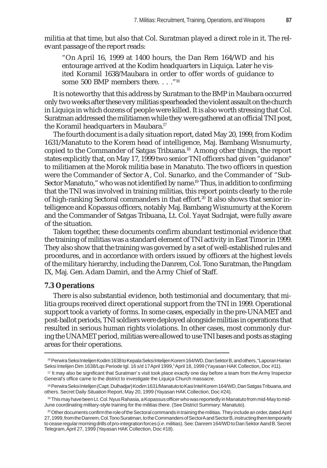militia at that time, but also that Col. Suratman played a direct role in it. The relevant passage of the report reads:

"On April 16, 1999 at 1400 hours, the Dan Rem 164/WD and his entourage arrived at the Kodim headquarters in Liquiça. Later he visited Koramil 1638/Maubara in order to offer words of guidance to some 500 BMP members there. . . ."16

It is noteworthy that this address by Suratman to the BMP in Maubara occurred only two weeks after these very militias spearheaded the violent assault on the church in Liquiça in which dozens of people were killed. It is also worth stressing that Col. Suratman addressed the militiamen while they were gathered at an official TNI post, the Koramil headquarters in Maubara.<sup>17</sup>

The fourth document is a daily situation report, dated May 20, 1999, from Kodim 1631/Manatuto to the Korem head of intelligence, Maj. Bambang Wisnumurty, copied to the Commander of Satgas Tribuana.18 Among other things, the report states explicitly that, on May 17, 1999 two senior TNI officers had given "guidance" to militiamen at the Morok militia base in Manatuto. The two officers in question were the Commander of Sector A, Col. Sunarko, and the Commander of "Sub-Sector Manatuto," who was not identified by name.<sup>19</sup> Thus, in addition to confirming that the TNI was involved in training militias, this report points clearly to the role of high-ranking Sectoral commanders in that effort.<sup>20</sup> It also shows that senior intelligence and Kopassus officers, notably Maj. Bambang Wisnumurty at the Korem and the Commander of Satgas Tribuana, Lt. Col. Yayat Sudrajat, were fully aware of the situation.

Taken together, these documents confirm abundant testimonial evidence that the training of militias was a standard element of TNI activity in East Timor in 1999. They also show that the training was governed by a set of well-established rules and procedures, and in accordance with orders issued by officers at the highest levels of the military hierarchy, including the Danrem, Col. Tono Suratman, the Pangdam IX, Maj. Gen. Adam Damiri, and the Army Chief of Staff.

#### **7.3 Operations**

There is also substantial evidence, both testimonial and documentary, that militia groups received direct operational support from the TNI in 1999. Operational support took a variety of forms. In some cases, especially in the pre-UNAMET and post-ballot periods, TNI soldiers were deployed alongside militias in operations that resulted in serious human rights violations. In other cases, most commonly during the UNAMET period, militias were allowed to use TNI bases and posts as staging areas for their operations.

<sup>16</sup> Perwira Seksi Intelijen Kodim 1638 to Kepala Seksi Intelijen Korem 164/WD, Dan Sektor B, and others, "Laporan Harian Seksi Intelijen Dim 1638/Lqs Periode tgl. 16 s/d 17 April 1999," April 18, 1999 (Yayasan HAK Collection, Doc #11).

<sup>17</sup> It may also be significant that Suratman's visit took place exactly one day before a team from the Army Inspector General's office came to the district to investigate the Liquiça Church massacre.

<sup>18</sup> Perwira Seksi Intelijen (Capt. Dulhadjar) Kodim 1631/Manatuto to Kasi Intel Korem 164/WD, Dan Satgas Tribuana, and others. Secret Daily Situation Report, May 20, 1999 (Yayasan HAK Collection, Doc #24).

<sup>19</sup> This may have been Lt. Col. Nyus Rahasia, a Kopassus officer who was reportedly in Manatuto from mid-May to mid-June coordinating military-style training for the militias there. (See District Summary: Manatuto).

 $20$  Other documents confirm the role of the Sectoral commands in training the militias. They include an order, dated April 27, 1999, from the Danrem, Col. Tono Suratman, to the Commanders of Sector A and Sector B, instructing them temporarily to cease regular morning drills of pro-integration forces (*i.e.* militias). See: Danrem 164/WD to Dan Sektor Aand B. Secret Telegram, April 27, 1999 (Yayasan HAK Collection, Doc #18).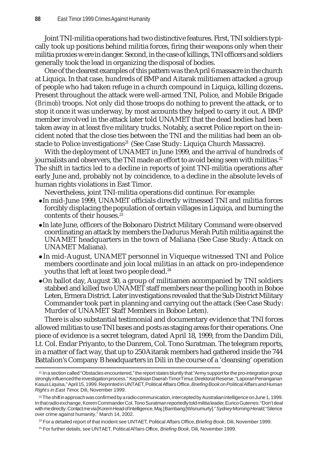Joint TNI-militia operations had two distinctive features. First, TNI soldiers typically took up positions behind militia forces, firing their weapons only when their militia proxies were in danger. Second, in the case of killings, TNI officers and soldiers generally took the lead in organizing the disposal of bodies.

One of the clearest examples of this pattern was the April 6 massacre in the church at Liquiça. In that case, hundreds of BMP and Aitarak militiamen attacked a group of people who had taken refuge in a church compound in Liquiça, killing dozens**.** Present throughout the attack were well-armed TNI, Police, and Mobile Brigade (*Brimob*) troops. Not only did those troops do nothing to prevent the attack, or to stop it once it was underway, by most accounts they helped to carry it out. A BMP member involved in the attack later told UNAMET that the dead bodies had been taken away in at least five military trucks. Notably, a secret Police report on the incident noted that the close ties between the TNI and the militias had been an obstacle to Police investigations<sup>21</sup> (See Case Study: Liquiça Church Massacre).

With the deployment of UNAMET in June 1999, and the arrival of hundreds of journalists and observers, the TNI made an effort to avoid being seen with militias. $^{22}$ The shift in tactics led to a decline in reports of joint TNI-militia operations after early June and, probably not by coincidence, to a decline in the absolute levels of human rights violations in East Timor.

Nevertheless, joint TNI-militia operations did continue. For example:

- $\bullet$ In mid-June 1999, UNAMET officials directly witnessed TNI and militia forces forcibly displacing the population of certain villages in Liquiça, and burning the contents of their houses.23
- $\bullet$ In late June, officers of the Bobonaro District Military Command were observed coordinating an attack by members the Dadurus Merah Putih militia against the UNAMET headquarters in the town of Maliana (See Case Study: Attack on UNAMET Maliana).
- In mid-August, UNAMET personnel in Viqueque witnessed TNI and Police members coordinate and join local militias in an attack on pro-independence youths that left at least two people dead.<sup>24</sup>
- zOn ballot day, August 30, a group of militiamen accompanied by TNI soldiers stabbed and killed two UNAMET staff members near the polling booth in Boboe Leten, Ermera District. Later investigations revealed that the Sub-District Military Commander took part in planning and carrying out the attack (See Case Study: Murder of UNAMET Staff Members in Boboe Leten).

There is also substantial testimonial and documentary evidence that TNI forces allowed militias to use TNI bases and posts as staging areas for their operations. One piece of evidence is a secret telegram, dated April 18, 1999, from the Dandim Dili, Lt. Col. Endar Priyanto, to the Danrem, Col. Tono Suratman. The telegram reports, in a matter of fact way, that up to 250 Aitarak members had gathered inside the 744 Battalion's Company B headquarters in Dili in the course of a 'cleansing' operation

<sup>21</sup> In a section called "Obstacles encountered," the report states bluntly that "Army support for the pro-integration group strongly influenced the investigation process." Kepolisian Daerah Timor Timur, Direktorat Reserse, "Laporan Penanganan Kasus Liquisa," April 15, 1999. Reprinted in UNTAET, Political Affairs Office, *Briefing Book on Political Affairs and Human Rights in East Timor,* Dili, November 1999.

 $22$  The shift in approach was confirmed by a radio communication, intercepted by Australian intelligence on June 1, 1999. In that radio exchange, Korem Commander Col. Tono Suratman reportedly told militia leader, Eurico Guterres: "Don't deal with me directly. Contact me via [Korem Head of Intelligence, Maj.] Bambang [Wisnumurty]." *Sydney Morning Herald*, "Silence over crime against humanity," March 14, 2002.

<sup>23</sup> For a detailed report of that incident see UNTAET, Political Affairs Office, *Briefing Book*, Dili, November 1999.

<sup>24</sup> For further details, see UNTAET, Political Affairs Office, *Briefing Book*, Dili, November 1999.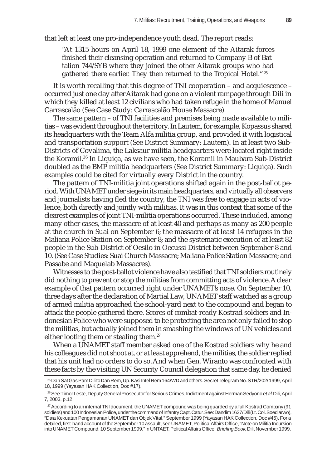that left at least one pro-independence youth dead. The report reads:

"At 1315 hours on April 18, 1999 one element of the Aitarak forces finished their cleansing operation and returned to Company B of Battalion 744/SYB where they joined the other Aitarak groups who had gathered there earlier. They then returned to the Tropical Hotel."<sup>25</sup>

It is worth recalling that this degree of TNI cooperation – and acquiescence – occurred just one day after Aitarak had gone on a violent rampage through Dili in which they killed at least 12 civilians who had taken refuge in the home of Manuel Carrascalão (See Case Study: Carrascalão House Massacre).

The same pattern – of TNI facilities and premises being made available to militias – was evident throughout the territory. In Lautem, for example, Kopassus shared its headquarters with the Team Alfa militia group, and provided it with logistical and transportation support (See District Summary: Lautem). In at least two Sub-Districts of Covalima, the Laksaur militia headquarters were located right inside the Koramil.26 In Liquiça, as we have seen, the Koramil in Maubara Sub-District doubled as the BMP militia headquarters (See District Summary: Liquiça). Such examples could be cited for virtually every District in the country.

The pattern of TNI-militia joint operations shifted again in the post-ballot period. With UNAMET under siege in its main headquarters, and virtually all observers and journalists having fled the country, the TNI was free to engage in acts of violence, both directly and jointly with militias. It was in this context that some of the clearest examples of joint TNI-militia operations occurred. These included, among many other cases, the massacre of at least 40 and perhaps as many as 200 people at the church in Suai on September 6; the massacre of at least 14 refugees in the Maliana Police Station on September 8; and the systematic execution of at least 82 people in the Sub-District of Oesilo in Oecussi District between September 8 and 10. (See Case Studies: Suai Church Massacre; Maliana Police Station Massacre; and Passabe and Maquelab Massacres).

Witnesses to the post-ballot violence have also testified that TNI soldiers routinely did nothing to prevent or stop the militias from committing acts of violence. A clear example of that pattern occurred right under UNAMET's nose. On September 10, three days after the declaration of Martial Law, UNAMET staff watched as a group of armed militia approached the school-yard next to the compound and began to attack the people gathered there. Scores of combat-ready Kostrad soldiers and Indonesian Police who were supposed to be protecting the area not only failed to stop the militias, but actually joined them in smashing the windows of UN vehicles and either looting them or stealing them.<sup>27</sup>

When a UNAMET staff member asked one of the Kostrad soldiers why he and his colleagues did not shoot at, or at least apprehend, the militias, the soldier replied that his unit had no orders to do so. And when Gen. Wiranto was confronted with these facts by the visiting UN Security Council delegation that same day, he denied

<sup>25</sup> Dan Sat Gas Pam Dili to Dan Rem, Up. Kasi Intel Rem 164/WD and others. Secret Telegram No. STR/202/ 1999, April 18, 1999 (Yayasan HAK Collection, Doc #17).

<sup>26</sup> See Timor Leste, Deputy General Prosecutor for Serious Crimes, Indictment against Herman Sedyono *et al*. Dili, April 7, 2003, p.12.

<sup>&</sup>lt;sup>27</sup> According to an internal TNI document, the UNAMET compound was being guarded by a full Kostrad Company (91 soldiers) and 100 Indonesian Police, under the command of Infantry Capt. Catur. See: Dandim 1627/Dili (Lt. Col. Soedjarwo), "Data Kekuatan Pengamanan UNAMET dan Objek Vital," September 1999 (Yayasan HAK Collection, Doc #45). For a detailed, first-hand account of the September 10 assault, see UNAMET, Political Affairs Office, "Note on Militia Incursion into UNAMET Compound, 10 September 1999," in UNTAET, Political Affairs Office, *Briefing Book*, Dili, November 1999.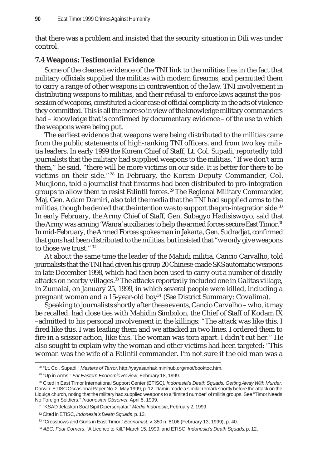that there was a problem and insisted that the security situation in Dili was under control.

# **7.4 Weapons: Testimonial Evidence**

Some of the clearest evidence of the TNI link to the militias lies in the fact that military officials supplied the militias with modern firearms, and permitted them to carry a range of other weapons in contravention of the law. TNI involvement in distributing weapons to militias, and their refusal to enforce laws against the possession of weapons, constituted a clear case of official complicity in the acts of violence they committed. This is all the more so in view of the knowledge military commanders had – knowledge that is confirmed by documentary evidence – of the use to which the weapons were being put.

The earliest evidence that weapons were being distributed to the militias came from the public statements of high-ranking TNI officers, and from two key militia leaders. In early 1999 the Korem Chief of Staff, Lt. Col. Supadi, reportedly told journalists that the military had supplied weapons to the militias. "If we don't arm them," he said, "there will be more victims on our side. It is better for there to be victims on their side."28 In February, the Korem Deputy Commander, Col. Mudjiono, told a journalist that firearms had been distributed to pro-integration groups to allow them to resist Falintil forces. 29 The Regional Military Commander, Maj. Gen. Adam Damiri, also told the media that the TNI had supplied arms to the militias, though he denied that the intention was to support the pro-integration side.<sup>30</sup> In early February, the Army Chief of Staff, Gen. Subagyo Hadisiswoyo, said that the Army was arming 'Wanra' auxiliaries to help the armed forces secure East Timor.<sup>31</sup> In mid-February, the Armed Forces spokesman in Jakarta, Gen. Sudradjat, confirmed that guns had been distributed to the militias, but insisted that "we only give weapons to those we trust." 32

At about the same time the leader of the Mahidi militia, Cancio Carvalho, told journalists that the TNI had given his group 20 Chinese-made SKS automatic weapons in late December 1998, which had then been used to carry out a number of deadly attacks on nearby villages.<sup>33</sup> The attacks reportedly included one in Galitas village, in Zumalai, on January 25, 1999, in which several people were killed, including a pregnant woman and a 15-year-old boy<sup>34</sup> (See District Summary: Covalima).

Speaking to journalists shortly after these events, Cancio Carvalho – who, it may be recalled, had close ties with Mahidin Simbolon, the Chief of Staff of Kodam IX –admitted to his personal involvement in the killings: "The attack was like this. I fired like this. I was leading them and we attacked in two lines. I ordered them to fire in a scissor action, like this. The woman was torn apart. I didn't cut her." He also sought to explain why the woman and other victims had been targeted: "This woman was the wife of a Falintil commander. I'm not sure if the old man was a

<sup>28 &</sup>quot;Lt. Col. Supadi," *Masters of Terror*, http://yayasanhak.minihub.org/mot/booktoc.htm*.*

<sup>29 &</sup>quot;Up in Arms," *Far Eastern Economic Review*, February 18, 1999.

<sup>30</sup> Cited in East Timor International Support Center (ETISC*)*, *Indonesia's Death Squads: Getting Away With Murder*. Darwin: ETISC Occasional Paper No. 2. May 1999, p. 12. Damiri made a similar remark shortly before the attack on the Liquiça church, noting that the military had supplied weapons to a "limited number" of militia groups. See "Timor Needs No Foreign Soldiers," *Indonesian Observer*, April 5, 1999.

<sup>31 &</sup>quot;KSAD Jelaskan Soal Sipil Dipersenjatai," *Media Indonesia*, February 2, 1999.

<sup>32</sup> Cited in ETISC, *Indonesia's Death Squads*, p. 13.

<sup>33 &</sup>quot;Crossbows and Guns in East Timor," *Economist*, v. 350 n. 8106 (February 13, 1999), p. 40.

<sup>34</sup> *ABC, Four Corners*, "A Licence to Kill," March 15, 1999; and ETISC, *Indonesia's Death Squads,* p. 12.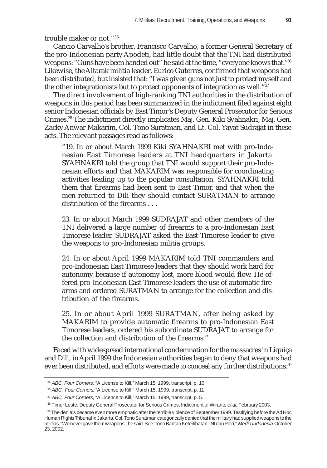trouble maker or not."35

Cancio Carvalho's brother, Francisco Carvalho, a former General Secretary of the pro-Indonesian party Apodeti, had little doubt that the TNI had distributed weapons: "Guns have been handed out" he said at the time, "everyone knows that."36 Likewise, the Aitarak militia leader, Eurico Guterres, confirmed that weapons had been distributed, but insisted that: "I was given guns not just to protect myself and the other integrationists but to protect opponents of integration as well."37

The direct involvement of high-ranking TNI authorities in the distribution of weapons in this period has been summarized in the indictment filed against eight senior Indonesian officials by East Timor's Deputy General Prosecutor for Serious Crimes.38 The indictment directly implicates Maj. Gen. Kiki Syahnakri, Maj. Gen. Zacky Anwar Makarim, Col. Tono Suratman, and Lt. Col. Yayat Sudrajat in these acts. The relevant passages read as follows:

"19. In or about March 1999 Kiki SYAHNAKRI met with pro-Indonesian East Timorese leaders at TNI headquarters in Jakarta. SYAHNAKRI told the group that TNI would support their pro-Indonesian efforts and that MAKARIM was responsible for coordinating activities leading up to the popular consultation. SYAHNAKRI told them that firearms had been sent to East Timor, and that when the men returned to Dili they should contact SURATMAN to arrange distribution of the firearms . . .

23. In or about March 1999 SUDRAJAT and other members of the TNI delivered a large number of firearms to a pro-Indonesian East Timorese leader. SUDRAJAT asked the East Timorese leader to give the weapons to pro-Indonesian militia groups.

24. In or about April 1999 MAKARIM told TNI commanders and pro-Indonesian East Timorese leaders that they should work hard for autonomy because if autonomy lost, more blood would flow. He offered pro-Indonesian East Timorese leaders the use of automatic firearms and ordered SURATMAN to arrange for the collection and distribution of the firearms.

25. In or about April 1999 SURATMAN, after being asked by MAKARIM to provide automatic firearms to pro-Indonesian East Timorese leaders, ordered his subordinate SUDRAJAT to arrange for the collection and distribution of the firearms."

Faced with widespread international condemnation for the massacres in Liquiça and Dili, in April 1999 the Indonesian authorities began to deny that weapons had ever been distributed, and efforts were made to conceal any further distributions.<sup>39</sup>

<sup>35</sup> *ABC, Four Corners*, "A License to Kill," March 15, 1999, transcript, p. 10.

<sup>36</sup> *ABC, Four Corners*, "A License to Kill," March 15, 1999, transcript, p. 11.

<sup>37</sup> *ABC, Four Corners*, "A Licence to Kill," March 15, 1999, transcript, p. 5.

<sup>38</sup> Timor Leste, Deputy General Prosecutor for Serious Crimes, Indictment of Wiranto *et al.* February 2003.

<sup>39</sup> The denials became even more emphatic after the terrible violence of September 1999. Testifying before the Ad Hoc Human Rights Tribunal in Jakarta, Col. Tono Suratman categorically denied that the military had supplied weapons to the militias. "We never gave them weapons," he said. See "Tono Bantah Keterlibatan TNI dan Polri," *Media Indonesia*, October 23, 2002.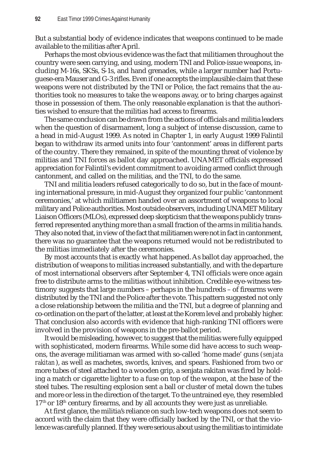But a substantial body of evidence indicates that weapons continued to be made available to the militias after April.

Perhaps the most obvious evidence was the fact that militiamen throughout the country were seen carrying, and using, modern TNI and Police-issue weapons, including M-16s, SKSs, S-1s, and hand grenades, while a larger number had Portuguese-era Mauser and G-3 rifles. Even if one accepts the implausible claim that these weapons were not distributed by the TNI or Police, the fact remains that the authorities took no measures to take the weapons away, or to bring charges against those in possession of them. The only reasonable explanation is that the authorities wished to ensure that the militias had access to firearms.

The same conclusion can be drawn from the actions of officials and militia leaders when the question of disarmament, long a subject of intense discussion, came to a head in mid-August 1999. As noted in Chapter 1, in early August 1999 Falintil began to withdraw its armed units into four 'cantonment' areas in different parts of the country. There they remained, in spite of the mounting threat of violence by militias and TNI forces as ballot day approached. UNAMET officials expressed appreciation for Falintil's evident commitment to avoiding armed conflict through cantonment, and called on the militias, and the TNI, to do the same.

TNI and militia leaders refused categorically to do so, but in the face of mounting international pressure, in mid-August they organized four public 'cantonment ceremonies,' at which militiamen handed over an assortment of weapons to local military and Police authorities. Most outside observers, including UNAMET Military Liaison Officers (MLOs), expressed deep skepticism that the weapons publicly transferred represented anything more than a small fraction of the arms in militia hands. They also noted that, in view of the fact that militiamen were not in fact in cantonment, there was no guarantee that the weapons returned would not be redistributed to the militias immediately after the ceremonies.

By most accounts that is exactly what happened. As ballot day approached, the distribution of weapons to militias increased substantially, and with the departure of most international observers after September 4, TNI officials were once again free to distribute arms to the militias without inhibition. Credible eye-witness testimony suggests that large numbers – perhaps in the hundreds – of firearms were distributed by the TNI and the Police after the vote. This pattern suggested not only a close relationship between the militia and the TNI, but a degree of planning and co-ordination on the part of the latter, at least at the Korem level and probably higher. That conclusion also accords with evidence that high-ranking TNI officers were involved in the provision of weapons in the pre-ballot period.

It would be misleading, however, to suggest that the militias were fully equipped with sophisticated, modern firearms. While some did have access to such weapons, the average militiaman was armed with so-called 'home made' guns (*senjata rakitan*), as well as machetes, swords, knives, and spears. Fashioned from two or more tubes of steel attached to a wooden grip, a senjata rakitan was fired by holding a match or cigarette lighter to a fuse on top of the weapon, at the base of the steel tubes. The resulting explosion sent a ball or cluster of metal down the tubes and more or less in the direction of the target. To the untrained eye, they resembled  $17<sup>th</sup>$  or  $18<sup>th</sup>$  century firearms, and by all accounts they were just as unreliable.

At first glance, the militia's reliance on such low-tech weapons does not seem to accord with the claim that they were officially backed by the TNI, or that the violence was carefully planned. If they were serious about using the militias to intimidate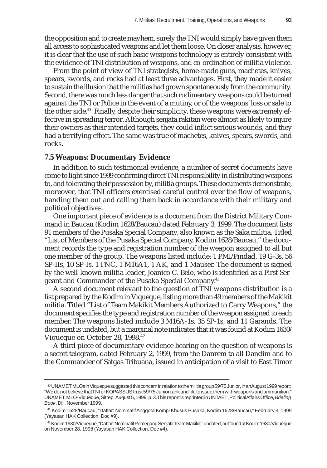the opposition and to create mayhem, surely the TNI would simply have given them all access to sophisticated weapons and let them loose. On closer analysis, however, it is clear that the use of such basic weapons technology is entirely consistent with the evidence of TNI distribution of weapons, and co-ordination of militia violence.

From the point of view of TNI strategists, home-made guns, machetes, knives, spears, swords, and rocks had at least three advantages. First, they made it easier to sustain the illusion that the militias had grown spontaneously from the community. Second, there was much less danger that such rudimentary weapons could be turned against the TNI or Police in the event of a mutiny, or of the weapons' loss or sale to the other side.<sup>40</sup> Finally, despite their simplicity, these weapons were extremely effective in spreading terror. Although senjata rakitan were almost as likely to injure their owners as their intended targets, they could inflict serious wounds, and they had a terrifying effect. The same was true of machetes, knives, spears, swords, and rocks.

#### **7.5 Weapons: Documentary Evidence**

In addition to such testimonial evidence, a number of secret documents have come to light since 1999 confirming direct TNI responsibility in distributing weapons to, and tolerating their possession by, militia groups. These documents demonstrate, moreover, that TNI officers exercised careful control over the flow of weapons, handing them out and calling them back in accordance with their military and political objectives.

One important piece of evidence is a document from the District Military Command in Baucau (Kodim 1628/Baucau) dated February 3, 1999. The document lists 91 members of the Pusaka Special Company, also known as the Saka militia. Titled "List of Members of the Pusaka Special Company, Kodim 1628/Baucau," the document records the type and registration number of the weapon assigned to all but one member of the group. The weapons listed include: 1 PMI/Pindad, 19 G-3s, 56 SP-IIs, 10 SP-Is, 1 FNC, 1 M16A1, 1 AK, and 1 Mauser. The document is signed by the well-known militia leader, Joanico C. Belo, who is identified as a First Sergeant and Commander of the Pusaka Special Company.41

A second document relevant to the question of TNI weapons distribution is a list prepared by the Kodim in Viqueque, listing more than 49 members of the Makikit militia. Titled "List of Team Makikit Members Authorized to Carry Weapons," the document specifies the type and registration number of the weapon assigned to each member. The weapons listed include 3 M16A-1s, 35 SP-1s, and 11 Garands. The document is undated, but a marginal note indicates that it was found at Kodim 1630/ Viqueque on October 28, 1998.<sup>42</sup>

A third piece of documentary evidence bearing on the question of weapons is a secret telegram, dated February 2, 1999, from the Danrem to all Dandim and to the Commander of Satgas Tribuana, issued in anticipation of a visit to East Timor

<sup>40</sup> UNAMET MLOs in Viqueque suggested this concern in relation to the militia group 59/75 Junior, in an August 1999 report: "We do not believe that TNI or KOPASSUS trust 59/75 Junior rank and file to issue them with weapons and ammunition." UNAMET, MLO-Viqueque, Sitrep, August 5, 1999, p. 3. This report is reprinted in UNTAET, Political Affairs Office, *Briefing Book*, Dili, November 1999.

<sup>41</sup> Kodim 1628/Baucau, "Daftar: Nominatif Anggota Kompi Khusus Pusaka, Kodim 1628/Baucau," February 3, 1999 (Yayasan HAK Collection, Doc #9).

<sup>42</sup> Kodim 1630/Viqueque, "Daftar: Nominatif Pemegang Senjata Team Makikit," undated, but found at Kodim 1630/Viqueque on November 28, 1998 (Yayasan HAK Collection, Doc #4).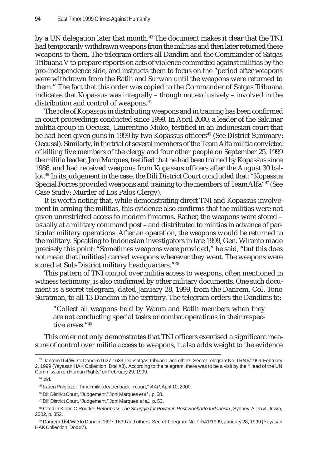by a UN delegation later that month.<sup>43</sup> The document makes it clear that the TNI had temporarily withdrawn weapons from the militias and then later returned these weapons to them. The telegram orders all Dandim and the Commander of Satgas Tribuana V to prepare reports on acts of violence committed against militias by the pro-independence side, and instructs them to focus on the "period after weapons were withdrawn from the Ratih and Surwan until the weapons were returned to them." The fact that this order was copied to the Commander of Satgas Tribuana indicates that Kopassus was integrally – though not exclusively – involved in the distribution and control of weapons.<sup>44</sup>

The role of Kopassus in distributing weapons and in training has been confirmed in court proceedings conducted since 1999. In April 2000, a leader of the Sakunar militia group in Oecussi, Laurentino Moko, testified in an Indonesian court that he had been given guns in 1999 by two Kopassus officers<sup>45</sup> (See District Summary: Oecussi). Similarly, in the trial of several members of the Team Alfa militia convicted of killing five members of the clergy and four other people on September 25, 1999 the militia leader, Joni Marques, testified that he had been trained by Kopassus since 1986, and had received weapons from Kopassus officers after the August 30 ballot.<sup>46</sup> In its judgement in the case, the Dili District Court concluded that: "Kopassus Special Forces provided weapons and training to the members of Team Alfa<sup>"47</sup> (See Case Study: Murder of Los Palos Clergy).

It is worth noting that, while demonstrating direct TNI and Kopassus involvement in arming the militias, this evidence also confirms that the militias were not given unrestricted access to modern firearms. Rather, the weapons were stored – usually at a military command post – and distributed to militias in advance of particular military operations. After an operation, the weapons would be returned to the military. Speaking to Indonesian investigators in late 1999, Gen. Wiranto made precisely this point: "Sometimes weapons were provided," he said, "but this does not mean that [militias] carried weapons wherever they went. The weapons were stored at Sub-District military headquarters." 48

This pattern of TNI control over militia access to weapons, often mentioned in witness testimony, is also confirmed by other military documents. One such document is a secret telegram, dated January 28, 1999, from the Danrem, Col. Tono Suratman, to all 13 Dandim in the territory. The telegram orders the Dandims to:

"Collect all weapons held by Wanra and Ratih members when they are not conducting special tasks or combat operations in their respective areas."49

This order not only demonstrates that TNI officers exercised a significant measure of control over militia access to weapons, it also adds weight to the evidence

<sup>43</sup> Danrem 164/WD to Dandim 1627-1639, Dansatgas Tribuana, and others. Secret Telegram No. TR/46/1999, February 2, 1999 (Yayasan HAK Collection, Doc #8). According to the telegram, there was to be a visit by the "Head of the UN Commission on Human Rights" on February 29, 1999.

<sup>44</sup> Ibid.

<sup>45</sup> Karen Polglaze, "Timor militia leader back in court," *AAP*, April 10, 2000.

<sup>46</sup> Dili District Court, "Judgement," Joni Marques *et al.,* p. 58.

<sup>47</sup> Dili District Court, "Judgement," Joni Marques *et al*., p. 53.

<sup>48</sup> Cited in Kevin O'Rourke, *Reformasi: The Struggle for Power in Post-Soeharto Indonesia*, Sydney: Allen & Unwin, 2002, p. 352.

<sup>49</sup> Danrem 164/WD to Dandim 1627-1639 and others. Secret Telegram No. TR/41/1999, January 28, 1999 (Yayasan HAK Collection, Doc #7).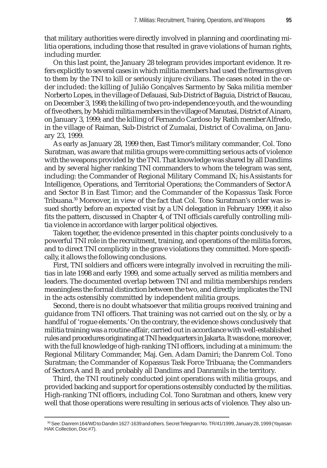that military authorities were directly involved in planning and coordinating militia operations, including those that resulted in grave violations of human rights, including murder.

On this last point, the January 28 telegram provides important evidence. It refers explicitly to several cases in which militia members had used the firearms given to them by the TNI to kill or seriously injure civilians. The cases noted in the order included: the killing of Julião Gonçalves Sarmento by Saka militia member Norberto Lopes, in the village of Defauasi, Sub-District of Baguia, District of Baucau, on December 3, 1998; the killing of two pro-independence youth, and the wounding of five others, by Mahidi militia members in the village of Manutasi, District of Ainaro, on January 3, 1999; and the killing of Fernando Cardoso by Ratih member Alfredo, in the village of Raiman, Sub-District of Zumalai, District of Covalima, on January 23, 1999.

As early as January 28, 1999 then, East Timor's military commander, Col. Tono Suratman, was aware that militia groups were committing serious acts of violence with the weapons provided by the TNI. That knowledge was shared by all Dandims and by several higher ranking TNI commanders to whom the telegram was sent, including: the Commander of Regional Military Command IX; his Assistants for Intelligence, Operations, and Territorial Operations; the Commanders of Sector A and Sector B in East Timor; and the Commander of the Kopassus Task Force Tribuana.50 Moreover, in view of the fact that Col. Tono Suratman's order was issued shortly before an expected visit by a UN delegation in February 1999, it also fits the pattern, discussed in Chapter 4, of TNI officials carefully controlling militia violence in accordance with larger political objectives.

Taken together, the evidence presented in this chapter points conclusively to a powerful TNI role in the recruitment, training, and operations of the militia forces, and to direct TNI complicity in the grave violations they committed. More specifically, it allows the following conclusions.

First, TNI soldiers and officers were integrally involved in recruiting the militias in late 1998 and early 1999, and some actually served as militia members and leaders. The documented overlap between TNI and militia memberships renders meaningless the formal distinction between the two, and directly implicates the TNI in the acts ostensibly committed by independent militia groups.

Second, there is no doubt whatsoever that militia groups received training and guidance from TNI officers. That training was not carried out on the sly, or by a handful of 'rogue elements.' On the contrary, the evidence shows conclusively that militia training was a routine affair, carried out in accordance with well-established rules and procedures originating at TNI headquarters in Jakarta. It was done, moreover, with the full knowledge of high-ranking TNI officers, including at a minimum: the Regional Military Commander, Maj. Gen. Adam Damiri; the Danrem Col. Tono Suratman; the Commander of Kopassus Task Force Tribuana; the Commanders of Sectors A and B; and probably all Dandims and Danramils in the territory.

Third, the TNI routinely conducted joint operations with militia groups, and provided backing and support for operations ostensibly conducted by the militias. High-ranking TNI officers, including Col. Tono Suratman and others, knew very well that those operations were resulting in serious acts of violence. They also un-

<sup>50</sup> See: Danrem 164/WD to Dandim 1627-1639 and others. Secret Telegram No. TR/41/1999, January 28, 1999 (Yayasan HAK Collection, Doc #7).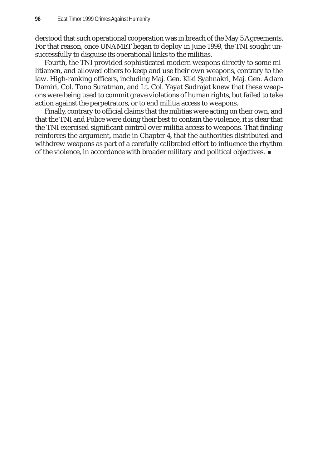derstood that such operational cooperation was in breach of the May 5 Agreements. For that reason, once UNAMET began to deploy in June 1999, the TNI sought unsuccessfully to disguise its operational links to the militias.

Fourth, the TNI provided sophisticated modern weapons directly to some militiamen, and allowed others to keep and use their own weapons, contrary to the law. High-ranking officers, including Maj. Gen. Kiki Syahnakri, Maj. Gen. Adam Damiri, Col. Tono Suratman, and Lt. Col. Yayat Sudrajat knew that these weapons were being used to commit grave violations of human rights, but failed to take action against the perpetrators, or to end militia access to weapons.

Finally, contrary to official claims that the militias were acting on their own, and that the TNI and Police were doing their best to contain the violence, it is clear that the TNI exercised significant control over militia access to weapons. That finding reinforces the argument, made in Chapter 4, that the authorities distributed and withdrew weapons as part of a carefully calibrated effort to influence the rhythm of the violence, in accordance with broader military and political objectives.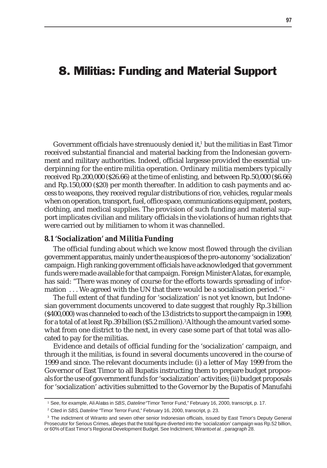# 8. Militias: Funding and Material Support

Government officials have strenuously denied it, $^{\rm 1}$  but the militias in East Timor received substantial financial and material backing from the Indonesian government and military authorities. Indeed, official largesse provided the essential underpinning for the entire militia operation. Ordinary militia members typically received Rp.200,000 (\$26.66) at the time of enlisting, and between Rp.50,000 (\$6.66) and Rp.150,000 (\$20) per month thereafter. In addition to cash payments and access to weapons, they received regular distributions of rice, vehicles, regular meals when on operation, transport, fuel, office space, communications equipment, posters, clothing, and medical supplies. The provision of such funding and material support implicates civilian and military officials in the violations of human rights that were carried out by militiamen to whom it was channelled.

#### **8.1 'Socialization' and Militia Funding**

The official funding about which we know most flowed through the civilian government apparatus, mainly under the auspices of the pro-autonomy 'socialization' campaign. High ranking government officials have acknowledged that government funds were made available for that campaign. Foreign Minister Alatas, for example, has said: "There was money of course for the efforts towards spreading of information ... We agreed with the UN that there would be a socialisation period."<sup>2</sup>

The full extent of that funding for 'socialization' is not yet known, but Indonesian government documents uncovered to date suggest that roughly Rp.3 billion (\$400,000) was channeled to each of the 13 districts to support the campaign in 1999, for a total of at least Rp.39 billion (\$5.2 million).3 Although the amount varied somewhat from one district to the next, in every case some part of that total was allocated to pay for the militias.

Evidence and details of official funding for the 'socialization' campaign, and through it the militias, is found in several documents uncovered in the course of 1999 and since. The relevant documents include: (i) a letter of May 1999 from the Governor of East Timor to all Bupatis instructing them to prepare budget proposals for the use of government funds for 'socialization' activities; (ii) budget proposals for 'socialization' activities submitted to the Governor by the Bupatis of Manufahi

<sup>1</sup> See, for example, Ali Alatas in *SBS*, *Dateline* "Timor Terror Fund," February 16, 2000, transcript, p. 17.

<sup>2</sup> Cited in *SBS*, *Dateline* "Timor Terror Fund," February 16, 2000, transcript, p. 23.

<sup>&</sup>lt;sup>3</sup> The indictment of Wiranto and seven other senior Indonesian officials, issued by East Timor's Deputy General Prosecutor for Serious Crimes, alleges that the total figure diverted into the 'socialization' campaign was Rp.52 billion, or 60% of East Timor's Regional Development Budget. See Indictment, Wiranto *et al.*, paragraph 28.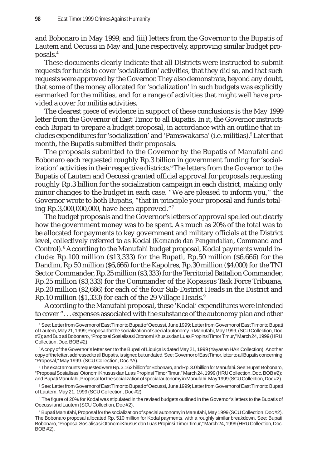and Bobonaro in May 1999; and (iii) letters from the Governor to the Bupatis of Lautem and Oecussi in May and June respectively, approving similar budget proposals.4

These documents clearly indicate that all Districts were instructed to submit requests for funds to cover 'socialization' activities, that they did so, and that such requests were approved by the Governor. They also demonstrate, beyond any doubt, that some of the money allocated for 'socialization' in such budgets was explicitly earmarked for the militias, and for a range of activities that might well have provided a cover for militia activities.

The clearest piece of evidence in support of these conclusions is the May 1999 letter from the Governor of East Timor to all Bupatis. In it, the Governor instructs each Bupati to prepare a budget proposal, in accordance with an outline that includes expenditures for 'socialization' and 'Pamswakarsa' (i.e. militias).<sup>5</sup> Later that month, the Bupatis submitted their proposals.

The proposals submitted to the Governor by the Bupatis of Manufahi and Bobonaro each requested roughly Rp.3 billion in government funding for 'socialization' activities in their respective districts.<sup>6</sup> The letters from the Governor to the Bupatis of Lautem and Oecussi granted official approval for proposals requesting roughly Rp.3 billion for the socialization campaign in each district, making only minor changes to the budget in each case. "We are pleased to inform you," the Governor wrote to both Bupatis, "that in principle your proposal and funds totaling Rp.3,000,000,000, have been approved."7

The budget proposals and the Governor's letters of approval spelled out clearly how the government money was to be spent. As much as 20% of the total was to be allocated for payments to key government and military officials at the District level, collectively referred to as Kodal (*Komando dan Pengendalian*, Command and Control). <sup>8</sup> According to the Manufahi budget proposal, Kodal payments would include: Rp.100 million (\$13,333) for the Bupati, Rp.50 million (\$6,666) for the Dandim, Rp.50 million (\$6,666) for the Kapolres, Rp.30 million (\$4,000) for the TNI Sector Commander, Rp.25 million (\$3,333) for the Territorial Battalion Commander, Rp.25 million (\$3,333) for the Commander of the Kopassus Task Force Tribuana, Rp.20 million (\$2,666) for each of the four Sub-District Heads in the District and Rp.10 million (\$1,333) for each of the 29 Village Heads. $9$ 

According to the Manufahi proposal, these 'Kodal' expenditures were intended to cover ". . . expenses associated with the substance of the autonomy plan and other

6 The exact amounts requested were Rp. 3.162 billion for Bobonaro, and Rp. 3.0 billion for Manufahi. See: Bupati Bobonaro, "Proposal Sosialisasi Otonomi Khusus dan Luas Propinsi Timor Timur," March 24, 1999 (HRU Collection, Doc. BOB #2); and Bupati Manufahi, Proposal for the socialization of special autonomy in Manufahi, May 1999 (SCU Collection, Doc #2).

7 See: Letter from Governor of East Timor to Bupati of Oecussi, June 1999; Letter from Governor of East Timor to Bupati of Lautem, May 21, 1999 (SCU Collection, Doc #2).

<sup>8</sup> The figure of 20% for Kodal was stipulated in the revised budgets outlined in the Governor's letters to the Bupatis of Oecussi and Lautem (SCU Collection, Doc #2).

 $^{\circ}$  Bupati Manufahi, Proposal for the socialization of special autonomy in Manufahi, May 1999 (SCU Collection, Doc #2). The Bobonaro proposal allocated Rp. 510 million for Kodal payments, with a roughly similar breakdown. See: Bupati Bobonaro, "Proposal Sosialisasi Otonomi Khusus dan Luas Propinsi Timor Timur," March 24, 1999 (HRU Collection, Doc. BOB #2).

<sup>4</sup> See: Letter from Governor of East Timor to Bupati of Oecussi, June 1999; Letter from Governor of East Timor to Bupati of Lautem, May 21, 1999; Proposal for the socialization of special autonomy in Manufahi, May 1999, (SCU Collection, Doc #2); and Bupati Bobonaro, "Proposal Sosialisasi Otonomi Khusus dan Luas Propinsi Timor Timur," March 24, 1999 (HRU Collection, Doc. BOB #2).

<sup>5</sup> A copy of the Governor's letter sent to the Bupati of Liquiça is dated May 21, 1999 (Yayasan HAK Collection). Another copy of the letter, addressed to all Bupatis, is signed but undated. See: Governor of East Timor, letter to all Bupatis concerning "Proposal," May 1999. (SCU Collection, Doc #A).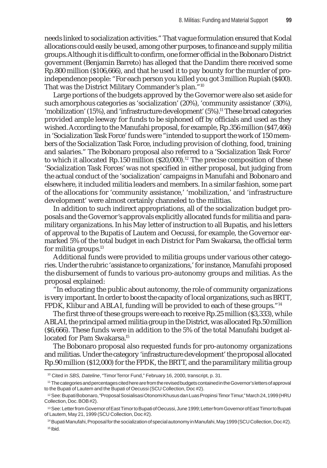needs linked to socialization activities." That vague formulation ensured that Kodal allocations could easily be used, among other purposes, to finance and supply militia groups. Although it is difficult to confirm, one former official in the Bobonaro District government (Benjamin Barreto) has alleged that the Dandim there received some Rp.800 million (\$106,666), and that he used it to pay bounty for the murder of proindependence people: "For each person you killed you got 3 million Rupiah (\$400). That was the District Military Commander's plan."10

Large portions of the budgets approved by the Governor were also set aside for such amorphous categories as 'socialization' (20%), 'community assistance' (30%), 'mobilization' (15%), and 'infrastructure development'  $(5\%)$ .<sup>11</sup> These broad categories provided ample leeway for funds to be siphoned off by officials and used as they wished. According to the Manufahi proposal, for example, Rp.356 million (\$47,466) in 'Socialization Task Force' funds were "intended to support the work of 150 members of the Socialization Task Force, including provision of clothing, food, training and salaries." The Bobonaro proposal also referred to a 'Socialization Task Force' to which it allocated Rp.150 million  $(S20,000)$ .<sup>12</sup> The precise composition of these 'Socialization Task Forces' was not specified in either proposal, but judging from the actual conduct of the 'socialization' campaigns in Manufahi and Bobonaro and elsewhere, it included militia leaders and members. In a similar fashion, some part of the allocations for 'community assistance,' 'mobilization,' and 'infrastructure development' were almost certainly channeled to the militias.

In addition to such indirect appropriations, all of the socialization budget proposals and the Governor's approvals explicitly allocated funds for militia and paramilitary organizations. In his May letter of instruction to all Bupatis, and his letters of approval to the Bupatis of Lautem and Oecussi, for example, the Governor earmarked 5% of the total budget in each District for Pam Swakarsa, the official term for militia groups.<sup>13</sup>

Additional funds were provided to militia groups under various other categories. Under the rubric 'assistance to organizations,' for instance, Manufahi proposed the disbursement of funds to various pro-autonomy groups and militias. As the proposal explained:

"In educating the public about autonomy, the role of community organizations is very important. In order to boost the capacity of local organizations, such as BRTT, FPDK, Klibur and ABLAI, funding will be provided to each of these groups."14

The first three of these groups were each to receive Rp.25 million (\$3,333), while ABLAI, the principal armed militia group in the District, was allocated Rp.50 million (\$6,666). These funds were in addition to the 5% of the total Manufahi budget allocated for Pam Swakarsa.<sup>15</sup>

The Bobonaro proposal also requested funds for pro-autonomy organizations and militias. Under the category 'infrastructure development' the proposal allocated Rp.90 million (\$12,000) for the FPDK, the BRTT, and the paramilitary militia group

<sup>10</sup> Cited in *SBS, Dateline*, "Timor Terror Fund," February 16, 2000, transcript, p. 31.

<sup>11</sup> The categories and percentages cited here are from the revised budgets contained in the Governor's letters of approval to the Bupati of Lautem and the Bupati of Oecussi (SCU Collection, Doc #2).

<sup>12</sup> See: Bupati Bobonaro, "Proposal Sosialisasi Otonomi Khusus dan Luas Propinsi Timor Timur," March 24, 1999 (HRU Collection, Doc. BOB #2).

<sup>13</sup> See: Letter from Governor of East Timor to Bupati of Oecussi, June 1999; Letter from Governor of East Timor to Bupati of Lautem, May 21, 1999 (SCU Collection, Doc #2).

<sup>14</sup> Bupati Manufahi, Proposal for the socialization of special autonomy in Manufahi, May 1999 (SCU Collection, Doc #2).  $15$  lbid.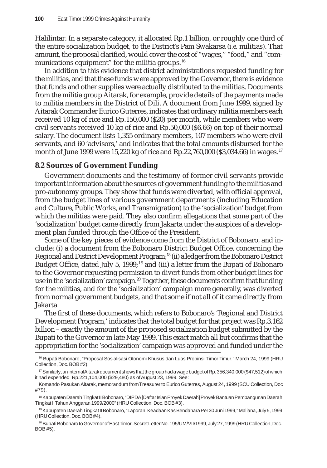Halilintar. In a separate category, it allocated Rp.1 billion, or roughly one third of the entire socialization budget, to the District's Pam Swakarsa (*i.e.* militias). That amount, the proposal clarified, would cover the cost of "wages," "food," and "communications equipment" for the militia groups.<sup>16</sup>

In addition to this evidence that district administrations requested funding for the militias, and that these funds were approved by the Governor, there is evidence that funds and other supplies were actually distributed to the militias. Documents from the militia group Aitarak, for example, provide details of the payments made to militia members in the District of Dili. A document from June 1999, signed by Aitarak Commander Eurico Guterres, indicates that ordinary militia members each received 10 kg of rice and Rp.150,000 (\$20) per month, while members who were civil servants received 10 kg of rice and Rp.50,000 (\$6.66) on top of their normal salary. The document lists 1,355 ordinary members, 107 members who were civil servants, and 60 'advisors,' and indicates that the total amounts disbursed for the month of June 1999 were 15,220 kg of rice and Rp.22,760,000 (\$3,034.66) in wages. <sup>17</sup>

#### **8.2 Sources of Government Funding**

Government documents and the testimony of former civil servants provide important information about the sources of government funding to the militias and pro-autonomy groups. They show that funds were diverted, with official approval, from the budget lines of various government departments (including Education and Culture, Public Works, and Transmigration) to the 'socialization' budget from which the militias were paid. They also confirm allegations that some part of the 'socialization' budget came directly from Jakarta under the auspices of a development plan funded through the Office of the President.

Some of the key pieces of evidence come from the District of Bobonaro, and include: (i) a document from the Bobonaro District Budget Office, concerning the Regional and District Development Program;18 (ii) a ledger from the Bobonaro District Budget Office, dated July 5, 1999; 19 and (iii) a letter from the Bupati of Bobonaro to the Governor requesting permission to divert funds from other budget lines for use in the 'socialization' campaign.<sup>20</sup> Together, these documents confirm that funding for the militias, and for the 'socialization' campaign more generally, was diverted from normal government budgets, and that some if not all of it came directly from Jakarta.

The first of these documents, which refers to Bobonaro's 'Regional and District Development Program,' indicates that the total budget for that project was Rp.3.162 billion – exactly the amount of the proposed socialization budget submitted by the Bupati to the Governor in late May 1999. This exact match all but confirms that the appropriation for the 'socialization' campaign was approved and funded under the

<sup>16</sup> Bupati Bobonaro, "Proposal Sosialisasi Otonomi Khusus dan Luas Propinsi Timor Timur," March 24, 1999 (HRU Collection, Doc. BOB #2).

<sup>&</sup>lt;sup>17</sup> Similarly, an internal Aitarak document shows that the group had a wage budget of Rp. 356,340,000 (\$47,512) of which it had expended Rp.221,104,000 (\$29,480) as of August 23, 1999. See:

Komando Pasukan Aitarak, memorandum from Treasurer to Eurico Guterres, August 24, 1999 (SCU Collection, Doc #79).

<sup>18</sup> Kabupaten Daerah Tingkat II Bobonaro, "DIPDA [Daftar Isian Proyek Daerah] Proyek Bantuan Pembangunan Daerah Tingkat II Tahun Anggaran 1999/2000" (HRU Collection, Doc. BOB #3).

<sup>19</sup> Kabupaten Daerah Tingkat II Bobonaro, "Laporan: Keadaan Kas Bendahara Per 30 Juni 1999," Maliana, July 5, 1999 (HRU Collection, Doc. BOB #4).

<sup>&</sup>lt;sup>20</sup> Bupati Bobonaro to Governor of East Timor. Secret Letter No. 195/UM/VII/1999, July 27, 1999 (HRU Collection, Doc. BOB #5).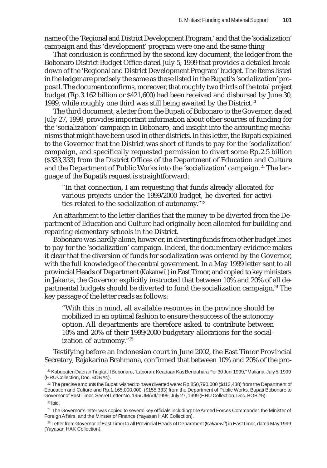name of the 'Regional and District Development Program,' and that the 'socialization' campaign and this 'development' program were one and the same thing

That conclusion is confirmed by the second key document, the ledger from the Bobonaro District Budget Office dated July 5, 1999 that provides a detailed breakdown of the 'Regional and District Development Program' budget. The items listed in the ledger are precisely the same as those listed in the Bupati's 'socialization' proposal. The document confirms, moreover, that roughly two thirds of the total project budget (Rp.3.162 billion or \$421,600) had been received and disbursed by June 30, 1999, while roughly one third was still being awaited by the District.<sup>21</sup>

The third document, a letter from the Bupati of Bobonaro to the Governor, dated July 27, 1999, provides important information about other sources of funding for the 'socialization' campaign in Bobonaro, and insight into the accounting mechanisms that might have been used in other districts. In this letter, the Bupati explained to the Governor that the District was short of funds to pay for the 'socialization' campaign, and specifically requested permission to divert some Rp.2.5 billion (\$333,333) from the District Offices of the Department of Education and Culture and the Department of Public Works into the 'socialization' campaign.<sup>22</sup> The language of the Bupati's request is straightforward:

"In that connection, I am requesting that funds already allocated for various projects under the 1999/2000 budget, be diverted for activities related to the socialization of autonomy."23

An attachment to the letter clarifies that the money to be diverted from the Department of Education and Culture had originally been allocated for building and repairing elementary schools in the District.

Bobonaro was hardly alone, however, in diverting funds from other budget lines to pay for the 'socialization' campaign. Indeed, the documentary evidence makes it clear that the diversion of funds for socialization was ordered by the Governor, with the full knowledge of the central government. In a May 1999 letter sent to all provincial Heads of Department (*Kakanwil*) in East Timor, and copied to key ministers in Jakarta, the Governor explicitly instructed that between 10% and 20% of all departmental budgets should be diverted to fund the socialization campaign.<sup>24</sup> The key passage of the letter reads as follows:

"With this in mind, all available resources in the province should be mobilized in an optimal fashion to ensure the success of the autonomy option. All departments are therefore asked to contribute between 10% and 20% of their 1999/2000 budgetary allocations for the socialization of autonomy."25

Testifying before an Indonesian court in June 2002, the East Timor Provincial Secretary, Rajakarina Brahmana, confirmed that between 10% and 20% of the pro-

<sup>21</sup> Kabupaten Daerah Tingkat II Bobonaro, "Laporan: Keadaan Kas Bendahara Per 30 Juni 1999," Maliana, July 5, 1999 (HRU Collection, Doc. BOB #4).

 $22$  The precise amounts the Bupati wished to have diverted were: Rp.850,790,000 (\$113,438) from the Department of Education and Culture and Rp.1,165,000,000 (\$155,333) from the Department of Public Works. Bupati Bobonaro to Governor of East Timor. Secret Letter No. 195/UM/VII/1999, July 27, 1999 (HRU Collection, Doc. BOB #5). 23 Ibid.

<sup>&</sup>lt;sup>24</sup> The Governor's letter was copied to several key officials including: the Armed Forces Commander, the Minister of Foreign Affairs, and the Minster of Finance (Yayasan HAK Collection).

<sup>25</sup> Letter from Governor of East Timor to all Provincial Heads of Department (*Kakanwil*) in East Timor, dated May 1999 (Yayasan HAK Collection).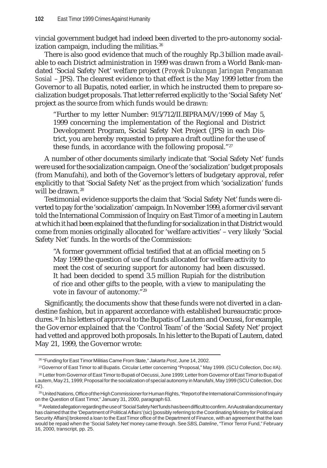vincial government budget had indeed been diverted to the pro-autonomy socialization campaign, including the militias. $26$ 

There is also good evidence that much of the roughly Rp.3 billion made available to each District administration in 1999 was drawn from a World Bank-mandated 'Social Safety Net' welfare project (*Proyek Dukungan Jaringan Pengamanan Sosial* – JPS). The clearest evidence to that effect is the May 1999 letter from the Governor to all Bupatis, noted earlier, in which he instructed them to prepare socialization budget proposals. That letter referred explicitly to the 'Social Safety Net' project as the source from which funds would be drawn:

"Further to my letter Number: 915/712/II.BIPRAM/V/1999 of May 5, 1999 concerning the implementation of the Regional and District Development Program, Social Safety Net Project (JPS) in each District, you are hereby requested to prepare a draft outline for the use of these funds, in accordance with the following proposal."27

A number of other documents similarly indicate that 'Social Safety Net' funds were used for the socialization campaign. One of the 'socialization' budget proposals (from Manufahi), and both of the Governor's letters of budgetary approval, refer explicitly to that 'Social Safety Net' as the project from which 'socialization' funds will be drawn.<sup>28</sup>

Testimonial evidence supports the claim that 'Social Safety Net' funds were diverted to pay for the 'socialization' campaign. In November 1999, a former civil servant told the International Commission of Inquiry on East Timor of a meeting in Lautem at which it had been explained that the funding for socialization in that District would come from monies originally allocated for 'welfare activities' – very likely 'Social Safety Net' funds. In the words of the Commission:

"A former government official testified that at an official meeting on 5 May 1999 the question of use of funds allocated for welfare activity to meet the cost of securing support for autonomy had been discussed. It had been decided to spend 3.5 million Rupiah for the distribution of rice and other gifts to the people, with a view to manipulating the vote in favour of autonomy."29

Significantly, the documents show that these funds were not diverted in a clandestine fashion, but in apparent accordance with established bureaucratic procedures. 30 In his letters of approval to the Bupatis of Lautem and Oecussi, for example, the Governor explained that the 'Control Team' of the 'Social Safety Net' project had vetted and approved both proposals. In his letter to the Bupati of Lautem, dated May 21, 1999, the Governor wrote:

27Governor of East Timor to all Bupatis. Circular Letter concerning "Proposal," May 1999. (SCU Collection, Doc #A).

<sup>26 &</sup>quot;Funding for East Timor Militias Came From State," *Jakarta Post*, June 14, 2002.

<sup>28</sup> Letter from Governor of East Timor to Bupati of Oecussi, June 1999; Letter from Governor of East Timor to Bupati of Lautem, May 21, 1999; Proposal for the socialization of special autonomy in Manufahi, May 1999 (SCU Collection, Doc #2).

<sup>29</sup> United Nations, Office of the High Commissioner for Human Rights, "Report of the International Commission of Inquiry on the Question of East Timor," January 31, 2000, paragraph 63.

<sup>30</sup> A related allegation regarding the use of 'Social Safety Net' funds has been difficult to confirm. An Australian documentary has claimed that the 'Department of Political Affairs' (sic) [possibly referring to the Coordinating Ministry for Political and Security Affairs] brokered a loan to the East Timor office of the Department of Finance, with an agreement that the loan would be repaid when the 'Social Safety Net' money came through. See*SBS*, *Dateline*, "Timor Terror Fund," February 16, 2000, transcript, pp. 25.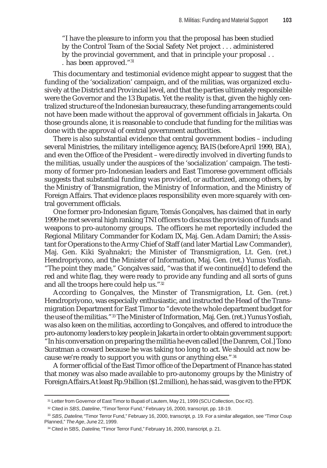"I have the pleasure to inform you that the proposal has been studied by the Control Team of the Social Safety Net project . . . administered by the provincial government, and that in principle your proposal . . . has been approved."31

This documentary and testimonial evidence might appear to suggest that the funding of the 'socialization' campaign, and of the militias, was organized exclusively at the District and Provincial level, and that the parties ultimately responsible were the Governor and the 13 Bupatis. Yet the reality is that, given the highly centralized structure of the Indonesian bureaucracy, these funding arrangements could not have been made without the approval of government officials in Jakarta. On those grounds alone, it is reasonable to conclude that funding for the militias was done with the approval of central government authorities.

There is also substantial evidence that central government bodies – including several Ministries, the military intelligence agency, BAIS (before April 1999, BIA), and even the Office of the President – were directly involved in diverting funds to the militias, usually under the auspices of the 'socialization' campaign. The testimony of former pro-Indonesian leaders and East Timorese government officials suggests that substantial funding was provided, or authorized, among others, by the Ministry of Transmigration, the Ministry of Information, and the Ministry of Foreign Affairs. That evidence places responsibility even more squarely with central government officials.

One former pro-Indonesian figure, Tomás Gonçalves, has claimed that in early 1999 he met several high ranking TNI officers to discuss the provision of funds and weapons to pro-autonomy groups. The officers he met reportedly included the Regional Military Commander for Kodam IX, Maj. Gen. Adam Damiri; the Assistant for Operations to the Army Chief of Staff (and later Martial Law Commander), Maj. Gen. Kiki Syahnakri; the Minister of Transmigration, Lt. Gen. (ret.) Hendropriyono, and the Minister of Information, Maj. Gen. (ret.) Yunus Yosfiah. "The point they made," Gonçalves said, "was that if we continue[d] to defend the red and white flag, they were ready to provide any funding and all sorts of guns and all the troops here could help us."32

According to Gonçalves, the Minster of Transmigration, Lt. Gen. (ret.) Hendropriyono, was especially enthusiastic, and instructed the Head of the Transmigration Department for East Timor to "devote the whole department budget for the use of the militias."33 The Minister of Information, Maj. Gen. (ret.) Yunus Yosfiah, was also keen on the militias, according to Gonçalves, and offered to introduce the pro-autonomy leaders to key people in Jakarta in order to obtain government support: "In his conversation on preparing the militia he even called [the Danrem, Col.] Tono Suratman a coward because he was taking too long to act. We should act now because we're ready to support you with guns or anything else."34

A former official of the East Timor office of the Department of Finance has stated that money was also made available to pro-autonomy groups by the Ministry of Foreign Affairs.At least Rp.9 billion (\$1.2 million), he has said, was given to the FPDK

<sup>31</sup> Letter from Governor of East Timor to Bupati of Lautem, May 21, 1999 (SCU Collection, Doc #2).

<sup>32</sup> Cited in *SBS*, *Dateline*, "Timor Terror Fund," February 16, 2000, transcript, pp. 18-19.

<sup>33</sup> *SBS*, *Dateline*, "Timor Terror Fund," February 16, 2000, transcript, p. 19. For a similar allegation, see "Timor Coup Planned," *The Age*, June 22, 1999.

<sup>&</sup>lt;sup>34</sup> Cited in SBS, *Dateline*, "Timor Terror Fund," February 16, 2000, transcript, p. 21.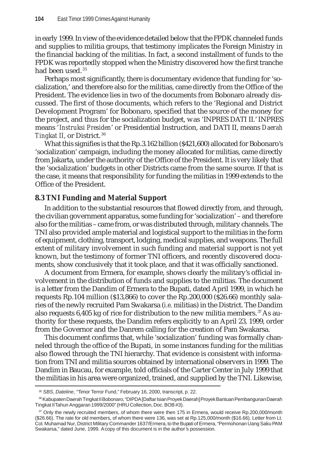in early 1999. In view of the evidence detailed below that the FPDK channeled funds and supplies to militia groups, that testimony implicates the Foreign Ministry in the financial backing of the militias. In fact, a second installment of funds to the FPDK was reportedly stopped when the Ministry discovered how the first tranche had been used.<sup>35</sup>

Perhaps most significantly, there is documentary evidence that funding for 'socialization,' and therefore also for the militias, came directly from the Office of the President. The evidence lies in two of the documents from Bobonaro already discussed. The first of those documents, which refers to the 'Regional and District Development Program' for Bobonaro, specified that the source of the money for the project, and thus for the socialization budget, was 'INPRES DATI II.' INPRES means '*Instruksi Presiden*' or Presidential Instruction, and DATI II, means *Daerah Tingkat II*, or District. <sup>36</sup>

What this signifies is that the Rp.3.162 billion (\$421,600) allocated for Bobonaro's 'socialization' campaign, including the money allocated for militias, came directly from Jakarta, under the authority of the Office of the President. It is very likely that the 'socialization' budgets in other Districts came from the same source. If that is the case, it means that responsibility for funding the militias in 1999 extends to the Office of the President.

# **8.3 TNI Funding and Material Support**

In addition to the substantial resources that flowed directly from, and through, the civilian government apparatus, some funding for 'socialization' – and therefore also for the militias – came from, or was distributed through, military channels. The TNI also provided ample material and logistical support to the militias in the form of equipment, clothing, transport, lodging, medical supplies, and weapons. The full extent of military involvement in such funding and material support is not yet known, but the testimony of former TNI officers, and recently discovered documents, show conclusively that it took place, and that it was officially sanctioned.

A document from Ermera, for example, shows clearly the military's official involvement in the distribution of funds and supplies to the militias. The document is a letter from the Dandim of Ermera to the Bupati, dated April 1999, in which he requests Rp.104 million (\$13,866) to cover the Rp.200,000 (\$26.66) monthly salaries of the newly recruited Pam Swakarsa (*i.e.* militias) in the District. The Dandim also requests  $6,405$  kg of rice for distribution to the new militia members.<sup>37</sup> As authority for these requests, the Dandim refers explicitly to an April 23, 1999, order from the Governor and the Danrem calling for the creation of Pam Swakarsa.

This document confirms that, while 'socialization' funding was formally channeled through the office of the Bupati, in some instances funding for the militias also flowed through the TNI hierarchy. That evidence is consistent with information from TNI and militia sources obtained by international observers in 1999. The Dandim in Baucau, for example, told officials of the Carter Center in July 1999 that the militias in his area were organized, trained, and supplied by the TNI. Likewise,

<sup>35</sup> *SBS*, *Dateline*, "Timor Terror Fund," February 16, 2000, transcript, p. 22.

<sup>36</sup> Kabupaten Daerah Tingkat II Bobonaro, "DIPDA [Daftar Isian Proyek Daerah] Proyek Bantuan Pembangunan Daerah Tingkat II Tahun Anggaran 1999/2000" (HRU Collection, Doc. BOB #3).

<sup>37</sup> Only the newly recruited members, of whom there were then 175 in Ermera, would receive Rp.200,000/month (\$26.66). The rate for old members, of whom there were 136, was set at Rp.125,000/month (\$16.66). Letter from Lt. Col. Muhamad Nur, District Military Commander 1637/Ermera, to the Bupati of Ermera, "Permohonan Uang Saku PAM Swakarsa," dated June, 1999. A copy of this document is in the author's possession.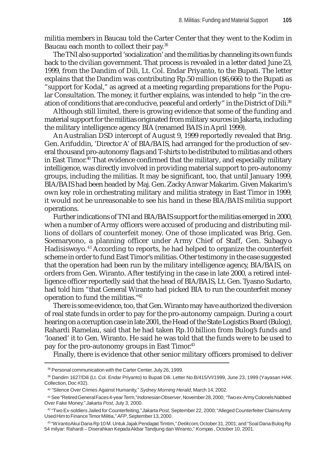militia members in Baucau told the Carter Center that they went to the Kodim in Baucau each month to collect their pay.<sup>38</sup>

The TNI also supported 'socialization' and the militias by channeling its own funds back to the civilian government. That process is revealed in a letter dated June 23, 1999, from the Dandim of Dili, Lt. Col. Endar Priyanto, to the Bupati. The letter explains that the Dandim was contributing Rp.50 million (\$6,666) to the Bupati as "support for Kodal," as agreed at a meeting regarding preparations for the Popular Consultation. The money, it further explains, was intended to help "in the creation of conditions that are conducive, peaceful and orderly" in the District of Dili.39

Although still limited, there is growing evidence that some of the funding and material support for the militias originated from military sources in Jakarta, including the military intelligence agency BIA (renamed BAIS in April 1999).

An Australian DSD intercept of August 9, 1999 reportedly revealed that Brig. Gen. Arifuddin, 'Director A' of BIA/BAIS, had arranged for the production of several thousand pro-autonomy flags and T-shirts to be distributed to militias and others in East Timor.40 That evidence confirmed that the military, and especially military intelligence, was directly involved in providing material support to pro-autonomy groups, including the militias. It may be significant, too, that until January 1999, BIA/BAIS had been headed by Maj. Gen. Zacky Anwar Makarim. Given Makarim's own key role in orchestrating military and militia strategy in East Timor in 1999, it would not be unreasonable to see his hand in these BIA/BAIS militia support operations.

Further indications of TNI and BIA/BAIS support for the militias emerged in 2000, when a number of Army officers were accused of producing and distributing millions of dollars of counterfeit money. One of those implicated was Brig. Gen. Soemaryono, a planning officer under Army Chief of Staff, Gen. Subagyo Hadisiswoyo. 41 According to reports, he had helped to organize the counterfeit scheme in order to fund East Timor's militias. Other testimony in the case suggested that the operation had been run by the military intelligence agency, BIA/BAIS, on orders from Gen. Wiranto. After testifying in the case in late 2000, a retired intelligence officer reportedly said that the head of BIA/BAIS, Lt. Gen. Tyasno Sudarto, had told him "that General Wiranto had picked BIA to run the counterfeit money operation to fund the militias."42

There is some evidence, too, that Gen. Wiranto may have authorized the diversion of real state funds in order to pay for the pro-autonomy campaign. During a court hearing on a corruption case in late 2001, the Head of the State Logistics Board (Bulog), Rahardi Ramelau, said that he had taken Rp.10 billion from Bulog's funds and 'loaned' it to Gen. Wiranto. He said he was told that the funds were to be used to pay for the pro-autonomy groups in East Timor.<sup>43</sup>

Finally, there is evidence that other senior military officers promised to deliver

<sup>38</sup> Personal communication with the Carter Center, July 26, 1999.

<sup>39</sup> Dandim 1627/Dili (Lt. Col. Endar Priyanto) to Bupati Dili. Letter No.B/415/VI/1999, June 23, 1999 (Yayasan HAK Collection, Doc #32).

<sup>40 &</sup>quot;Silence Over Crimes Against Humanity," *Sydney Morning Herald*, March 14, 2002.

<sup>41</sup> See "Retired General Faces 4-year Term," *Indonesian Observer*, November 28, 2000; "Two ex-Army Colonels Nabbed Over Fake Money," *Jakarta Post*, July 3, 2000.

<sup>42 &</sup>quot;Two Ex-soldiers Jailed for Counterfeiting," *Jakarta Post,* September 22, 2000; "Alleged Counterfeiter Claims Army Used Him to Finance Timor Militia," *AFP*, September 13, 2000.

<sup>43 &</sup>quot;Wiranto Akui Dana Rp 10 M. Untuk Jajak Pendapat Timtim," *Detikcom*, October 31, 2001; and "Soal Dana Bulog Rp 54 milyar: Rahardi – Diserahkan Kepada Akbar Tandjung dan Wiranto," *Kompas* , October 10, 2001.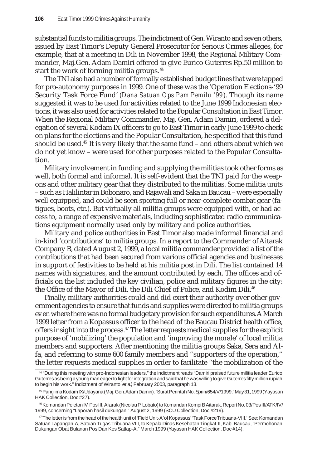substantial funds to militia groups. The indictment of Gen. Wiranto and seven others, issued by East Timor's Deputy General Prosecutor for Serious Crimes alleges, for example, that at a meeting in Dili in November 1998, the Regional Military Commander, Maj.Gen. Adam Damiri offered to give Eurico Guterres Rp.50 million to start the work of forming militia groups.<sup>44</sup>

The TNI also had a number of formally established budget lines that were tapped for pro-autonomy purposes in 1999. One of these was the 'Operation Elections-'99 Security Task Force Fund' (*Dana Satuan Ops Pam Pemilu '99*). Though its name suggested it was to be used for activities related to the June 1999 Indonesian elections, it was also used for activities related to the Popular Consultation in East Timor. When the Regional Military Commander, Maj. Gen. Adam Damiri, ordered a delegation of several Kodam IX officers to go to East Timor in early June 1999 to check on plans for the elections and the Popular Consultation, he specified that this fund should be used.<sup>45</sup> It is very likely that the same fund  $-$  and others about which we do not yet know – were used for other purposes related to the Popular Consultation.

Military involvement in funding and supplying the militias took other forms as well, both formal and informal. It is self-evident that the TNI paid for the weapons and other military gear that they distributed to the militias. Some militia units – such as Halilintar in Bobonaro, and Rajawali and Saka in Baucau – were especially well equipped, and could be seen sporting full or near-complete combat gear (fatigues, boots, etc.). But virtually all militia groups were equipped with, or had access to, a range of expensive materials, including sophisticated radio communications equipment normally used only by military and police authorities.

Military and police authorities in East Timor also made informal financial and in-kind 'contributions' to militia groups. In a report to the Commander of Aitarak Company B, dated August 2, 1999, a local militia commander provided a list of the contributions that had been secured from various official agencies and businesses in support of festivities to be held at his militia post in Dili. The list contained 14 names with signatures, and the amount contributed by each. The offices and officials on the list included the key civilian, police and military figures in the city: the Office of the Mayor of Dili, the Dili Chief of Police, and Kodim Dili.<sup>46</sup>

Finally, military authorities could and did exert their authority over other government agencies to ensure that funds and supplies were directed to militia groups even where there was no formal budgetary provision for such expenditures. A March 1999 letter from a Kopassus officer to the head of the Baucau District health office, offers insight into the process.<sup>47</sup> The letter requests medical supplies for the explicit purpose of 'mobilizing' the population and 'improving the morale' of local militia members and supporters. After mentioning the militia groups Saka, Sera and Alfa, and referring to some 600 family members and "supporters of the operation," the letter requests medical supplies in order to facilitate "the mobilization of the

<sup>44 &</sup>quot;During this meeting with pro-Indonesian leaders," the indictment reads "Damiri praised future militia leader Eurico Guterres as being a young man eager to fight for integration and said that he was willing to give Guterres fifty million rupiah to begin his work." Indictment of Wiranto *et al*, February 2003, paragraph 13.

<sup>45</sup> Panglima Kodam IX/Udayana (Maj. Gen. Adam Damiri). "Surat Perintah No. Sprin/654/V/1999," May 31, 1999 (Yayasan HAK Collection, Doc #27).

<sup>46</sup> Komandan Peleton IV, Pos III, Aitarak (Nicolau P. Lobato) to Komandan Kompi B Aitarak. Report No. 03/Pos III/ATK/IV/ 1999, concerning "Laporan hasil dukungan," August 2, 1999 (SCU Collection, Doc #219).

<sup>47</sup> The letter is from the head of the health unit of 'Field Unit-A' of Kopassus' 'Task Force Tribuana-VIII.' See: Komandan Satuan Lapangan-A, Satuan Tugas Tribuana VIII, to Kepala Dinas Kesehatan Tingkat-II, Kab. Baucau, "Permohonan Dukungan Obat Bulanan Pos Dan Kes Satlap-A," March 1999 (Yayasan HAK Collection, Doc #14).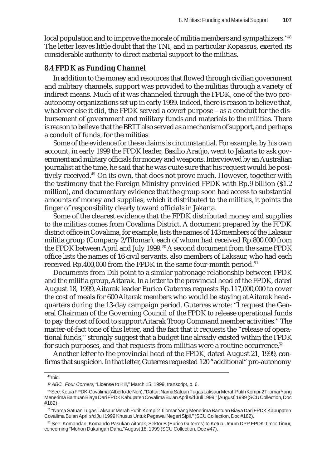local population and to improve the morale of militia members and sympathizers."<sup>48</sup> The letter leaves little doubt that the TNI, and in particular Kopassus, exerted its considerable authority to direct material support to the militias.

# **8.4 FPDK as Funding Channel**

In addition to the money and resources that flowed through civilian government and military channels, support was provided to the militias through a variety of indirect means. Much of it was channeled through the FPDK, one of the two proautonomy organizations set up in early 1999. Indeed, there is reason to believe that, whatever else it did, the FPDK served a covert purpose – as a conduit for the disbursement of government and military funds and materials to the militias. There is reason to believe that the BRTT also served as a mechanism of support, and perhaps a conduit of funds, for the militias.

Some of the evidence for these claims is circumstantial. For example, by his own account, in early 1999 the FPDK leader, Basilio Araújo, went to Jakarta to ask government and military officials for money and weapons. Interviewed by an Australian journalist at the time, he said that he was quite sure that his request would be positively received.49 On its own, that does not prove much. However, together with the testimony that the Foreign Ministry provided FPDK with Rp.9 billion (\$1.2 million), and documentary evidence that the group soon had access to substantial amounts of money and supplies, which it distributed to the militias, it points the finger of responsibility clearly toward officials in Jakarta.

Some of the clearest evidence that the FPDK distributed money and supplies to the militias comes from Covalima District. A document prepared by the FPDK district office in Covalima, for example, lists the names of 143 members of the Laksaur militia group (Company 2/Tilomar), each of whom had received Rp.800,000 from the FPDK between April and July 1999.<sup>50</sup> A second document from the same FPDK office lists the names of 16 civil servants, also members of Laksaur, who had each received Rp.400,000 from the FPDK in the same four-month period.<sup>51</sup>

Documents from Dili point to a similar patronage relationship between FPDK and the militia group, Aitarak. In a letter to the provincial head of the FPDK, dated August 18, 1999, Aitarak leader Eurico Guterres requests Rp.117,000,000 to cover the cost of meals for 600 Aitarak members who would be staying at Aitarak headquarters during the 13-day campaign period. Guterres wrote: "I request the General Chairman of the Governing Council of the FPDK to release operational funds to pay the cost of food to support Aitarak Troop Command member activities." The matter-of-fact tone of this letter, and the fact that it requests the "release of operational funds," strongly suggest that a budget line already existed within the FPDK for such purposes, and that requests from militias were a routine occurrence.<sup>52</sup>

Another letter to the provincial head of the FPDK, dated August 21, 1999, confirms that suspicion. In that letter, Guterres requested 120 "additional" pro-autonomy

<sup>48</sup> Ibid.

<sup>49</sup> *ABC*, *Four Corners*, "License to Kill," March 15, 1999, transcript, p. 6.

<sup>50</sup> See: Ketua FPDK-Covalima (Alberto de Neri), "Daftar: Nama Satuan Tugas Laksaur Merah Putih Kompi-2 Tilomar Yang Menerima Bantuan Biaya Dari FPDK Kabupaten Covalima Bulan April s/d Juli 1999," [August] 1999 (SCU Collection, Doc #182).

<sup>51 &</sup>quot;Nama Satuan Tugas Laksaur Merah Putih Kompi 2 Tilomar Yang Menerima Bantuan Biaya Dari FPDK Kabupaten Covalima Bulan April s/d Juli 1999 Khusus Untuk Pegawai Negeri Sipil." (SCU Collection, Doc #182).

<sup>52</sup> See: Komandan, Komando Pasukan Aitarak, Sektor B (Eurico Guterres) to Ketua Umum DPP FPDK Timor Timur, concerning "Mohon Dukungan Dana,"August 18, 1999 (SCU Collection, Doc #47).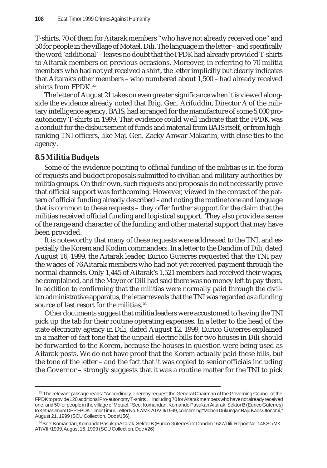T-shirts, 70 of them for Aitarak members "who have not already received one" and 50 for people in the village of Motael, Dili. The language in the letter – and specifically the word 'additional' – leaves no doubt that the FPDK had already provided T-shirts to Aitarak members on previous occasions. Moreover, in referring to 70 militia members who had not yet received a shirt, the letter implicitly but clearly indicates that Aitarak's other members – who numbered about 1,500 – had already received shirts from FPDK.<sup>53</sup>

The letter of August 21 takes on even greater significance when it is viewed alongside the evidence already noted that Brig. Gen. Arifuddin, Director A of the military intelligence agency, BAIS, had arranged for the manufacture of some 5,000 proautonomy T-shirts in 1999. That evidence could well indicate that the FPDK was a conduit for the disbursement of funds and material from BAIS itself, or from highranking TNI officers, like Maj. Gen. Zacky Anwar Makarim, with close ties to the agency.

# **8.5 Militia Budgets**

Some of the evidence pointing to official funding of the militias is in the form of requests and budget proposals submitted to civilian and military authorities by militia groups. On their own, such requests and proposals do not necessarily prove that official support was forthcoming. However, viewed in the context of the pattern of official funding already described – and noting the routine tone and language that is common to these requests – they offer further support for the claim that the militias received official funding and logistical support. They also provide a sense of the range and character of the funding and other material support that may have been provided.

It is noteworthy that many of these requests were addressed to the TNI, and especially the Korem and Kodim commanders. In a letter to the Dandim of Dili, dated August 16, 1999, the Aitarak leader, Eurico Guterres requested that the TNI pay the wages of 76 Aitarak members who had not yet received payment through the normal channels. Only 1,445 of Aitarak's 1,521 members had received their wages, he complained, and the Mayor of Dili had said there was no money left to pay them. In addition to confirming that the militias were normally paid through the civilian administrative apparatus, the letter reveals that the TNI was regarded as a funding source of last resort for the militias.<sup>54</sup>

Other documents suggest that militia leaders were accustomed to having the TNI pick up the tab for their routine operating expenses. In a letter to the head of the state electricity agency in Dili, dated August 12, 1999, Eurico Guterres explained in a matter-of-fact tone that the unpaid electric bills for two houses in Dili should be forwarded to the Korem, because the houses in question were being used as Aitarak posts. We do not have proof that the Korem actually paid these bills, but the tone of the letter – and the fact that it was copied to senior officials including the Governor – strongly suggests that it was a routine matter for the TNI to pick

<sup>&</sup>lt;sup>53</sup> The relevant passage reads: "Accordingly, I hereby request the General Chairman of the Governing Council of the FPDK to provide 120 additional Pro-autonomy T-shirts . . . including 70 for Aitarak members who have not already received one, and 50 for people in the village of Motael." See: Komandan, Komando Pasukan Aitarak, Sektor B (Eurico Guterres) to Ketua Umum DPP FPDK Timor Timur. Letter No. 57/Mk-AT/VIII/1999, concerning "Mohon Dukungan Baju Kaos Otonomi," August 21, 1999 (SCU Collection, Doc #156).

<sup>54</sup> See: Komandan, Komando Pasukan Aitarak, Sektor B (Eurico Guterres) to Dandim 1627/Dili. Report No. 148 SL/MK-AT/VIII/1999, August 16, 1999 (SCU Collection, Doc #26).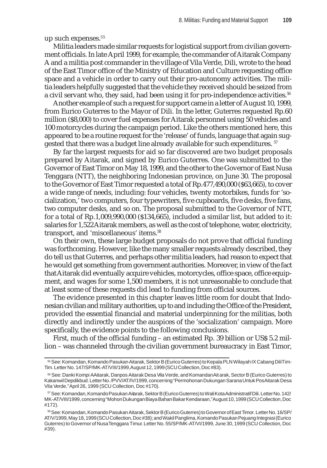up such expenses.<sup>55</sup>

Militia leaders made similar requests for logistical support from civilian government officials. In late April 1999, for example, the commander of Aitarak Company A and a militia post commander in the village of Vila Verde, Dili, wrote to the head of the East Timor office of the Ministry of Education and Culture requesting office space and a vehicle in order to carry out their pro-autonomy activities. The militia leaders helpfully suggested that the vehicle they received should be seized from a civil servant who, they said, had been using it for pro-independence activities.<sup>56</sup>

Another example of such a request for support came in a letter of August 10, 1999, from Eurico Guterres to the Mayor of Dili. In the letter, Guterres requested Rp.60 million (\$8,000) to cover fuel expenses for Aitarak personnel using 50 vehicles and 100 motorcycles during the campaign period. Like the others mentioned here, this appeared to be a routine request for the 'release' of funds, language that again suggested that there was a budget line already available for such expenditures. <sup>57</sup>

By far the largest requests for aid so far discovered are two budget proposals prepared by Aitarak, and signed by Eurico Guterres. One was submitted to the Governor of East Timor on May 18, 1999, and the other to the Governor of East Nusa Tenggara (NTT), the neighboring Indonesian province, on June 30. The proposal to the Governor of East Timor requested a total of Rp.477,490,000 (\$63,665), to cover a wide range of needs, including: four vehicles, twenty motorbikes, funds for 'socialization,' two computers, four typewriters, five cupboards, five desks, five fans, two computer desks, and so on. The proposal submitted to the Governor of NTT, for a total of Rp.1,009,990,000 (\$134,665), included a similar list, but added to it: salaries for 1,522 Aitarak members, as well as the cost of telephone, water, electricity, transport, and 'miscellaneous' items.<sup>58</sup>

On their own, these large budget proposals do not prove that official funding was forthcoming. However, like the many smaller requests already described, they do tell us that Guterres, and perhaps other militia leaders, had reason to expect that he would get something from government authorities. Moreover, in view of the fact that Aitarak did eventually acquire vehicles, motorcycles, office space, office equipment, and wages for some 1,500 members, it is not unreasonable to conclude that at least some of these requests did lead to funding from official sources.

The evidence presented in this chapter leaves little room for doubt that Indonesian civilian and military authorities, up to and including the Office of the President, provided the essential financial and material underpinning for the militias, both directly and indirectly under the auspices of the 'socialization' campaign. More specifically, the evidence points to the following conclusions.

First, much of the official funding – an estimated Rp. 39 billion or US\$ 5.2 million – was channeled through the civilian government bureaucracy in East Timor,

<sup>55</sup> See: Komandan, Komando Pasukan Aitarak, Sektor B (Eurico Guterres) to Kepala PLN Wilayah IX Cabang Dili Tim-Tim. Letter No. 147/SP/MK-AT/VIII/1999, August 12, 1999 (SCU Collection, Doc #83).

<sup>56</sup> See: Danki Kompi A Aitarak, Danpos Aitarak Desa Vila Verde, and Komandan Aitarak, Sector B (Eurico Guterres) to Kakanwil Depdikbud. Letter No. /PVV/AT/IV/1999, concerning "Permohonan Dukungan Sarana Untuk Pos Aitarak Desa Vila Verde," April 26, 1999 (SCU Collection, Doc #170).

<sup>57</sup> See: Komandan, Komando Pasukan Aitarak, Sektor B (Eurico Guterres) to Wali Kota Administratif Dili. Letter No. 142/ MK-AT/VIII/1999, concerning "Mohon Dukungan Biaya Bahan Bakar Kendaraan," August 10, 1999 (SCU Collection, Doc #172).

<sup>58</sup> See: Komandan, Komando Pasukan Aitarak, Sektor B (Eurico Guterres) to Governor of East Timor. Letter No. 16/SP/ AT/V/1999, May 18, 1999 (SCU Collection, Doc #38); and Wakil Panglima, Komando Pasukan Pejuang Integrasi (Eurico Guterres) to Governor of Nusa Tenggara Timur. Letter No. 55/SP/MK-AT/VI/1999, June 30, 1999 (SCU Collection, Doc #39).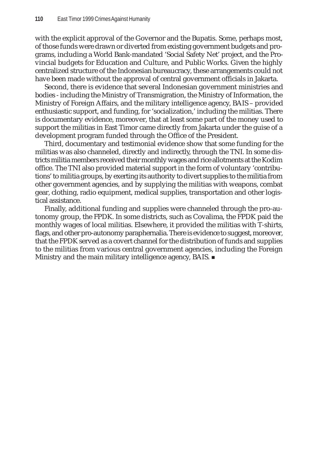with the explicit approval of the Governor and the Bupatis. Some, perhaps most, of those funds were drawn or diverted from existing government budgets and programs, including a World Bank-mandated 'Social Safety Net' project, and the Provincial budgets for Education and Culture, and Public Works. Given the highly centralized structure of the Indonesian bureaucracy, these arrangements could not have been made without the approval of central government officials in Jakarta.

Second, there is evidence that several Indonesian government ministries and bodies - including the Ministry of Transmigration, the Ministry of Information, the Ministry of Foreign Affairs, and the military intelligence agency, BAIS – provided enthusiastic support, and funding, for 'socialization,' including the militias. There is documentary evidence, moreover, that at least some part of the money used to support the militias in East Timor came directly from Jakarta under the guise of a development program funded through the Office of the President.

Third, documentary and testimonial evidence show that some funding for the militias was also channeled, directly and indirectly, through the TNI. In some districts militia members received their monthly wages and rice allotments at the Kodim office. The TNI also provided material support in the form of voluntary 'contributions' to militia groups, by exerting its authority to divert supplies to the militia from other government agencies, and by supplying the militias with weapons, combat gear, clothing, radio equipment, medical supplies, transportation and other logistical assistance.

Finally, additional funding and supplies were channeled through the pro-autonomy group, the FPDK. In some districts, such as Covalima, the FPDK paid the monthly wages of local militias. Elsewhere, it provided the militias with T-shirts, flags, and other pro-autonomy paraphernalia. There is evidence to suggest, moreover, that the FPDK served as a covert channel for the distribution of funds and supplies to the militias from various central government agencies, including the Foreign Ministry and the main military intelligence agency, BAIS.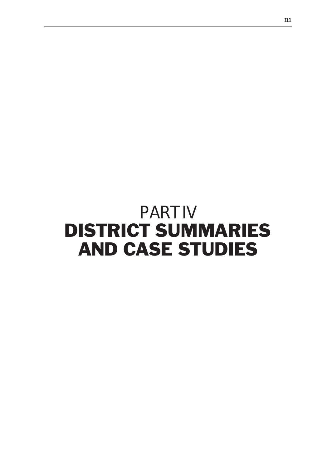# PART IV DISTRICT SUMMARIES AND CASE STUDIES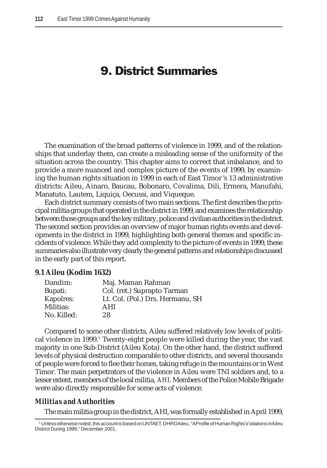# 9. District Summaries

The examination of the broad patterns of violence in 1999, and of the relationships that underlay them, can create a misleading sense of the uniformity of the situation across the country. This chapter aims to correct that imbalance, and to provide a more nuanced and complex picture of the events of 1999, by examining the human rights situation in 1999 in each of East Timor 's 13 administrative districts: Aileu, Ainaro, Baucau, Bobonaro, Covalima, Dili, Ermera, Manufahi, Manatuto, Lautem, Liquiça, Oecussi, and Viqueque.

Each district summary consists of two main sections. The first describes the principal militia groups that operated in the district in 1999, and examines the relationship between those groups and the key military, police and civilian authorities in the district. The second section provides an overview of major human rights events and developments in the district in 1999, highlighting both general themes and specific incidents of violence. While they add complexity to the picture of events in 1999, these summaries also illustrate very clearly the general patterns and relationships discussed in the early part of this report.

#### **9.1 Aileu (Kodim 1632)**

| Dandim:     | Maj. Maman Rahman                |
|-------------|----------------------------------|
| Bupati:     | Col. (ret.) Suprapto Tarman      |
| Kapolres:   | Lt. Col. (Pol.) Drs. Hermanu, SH |
| Militias:   | AHI                              |
| No. Killed: | 28                               |
|             |                                  |

Compared to some other districts, Aileu suffered relatively low levels of political violence in 1999.<sup>1</sup> Twenty-eight people were killed during the year, the vast majority in one Sub-District (Aileu Kota). On the other hand, the district suffered levels of physical destruction comparable to other districts, and several thousands of people were forced to flee their homes, taking refuge in the mountains or in West Timor. The main perpetrators of the violence in Aileu were TNI soldiers and, to a lesser extent, members of the local militia, *AHI*. Members of the Police Mobile Brigade were also directly responsible for some acts of violence.

#### *Militias and Authorities*

The main militia group in the district, AHI, was formally established in April 1999,

<sup>1</sup> Unless otherwise noted, this account is based on UNTAET, DHRO Aileu, "A Profile of Human Rights Violations in Aileu District During 1999," December 2001.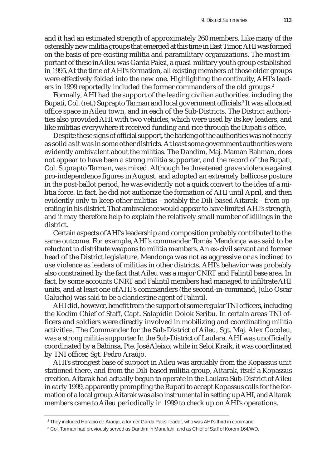and it had an estimated strength of approximately 260 members. Like many of the ostensibly new militia groups that emerged at this time in East Timor, AHI was formed on the basis of pre-existing militia and paramilitary organizations. The most important of these in Aileu was Garda Paksi, a quasi-military youth group established in 1995. At the time of AHI's formation, all existing members of those older groups were effectively folded into the new one. Highlighting the continuity, AHI's leaders in 1999 reportedly included the former commanders of the old groups.<sup>2</sup>

Formally, AHI had the support of the leading civilian authorities, including the Bupati, Col. (ret.) Suprapto Tarman and local government officials.3 It was allocated office space in Aileu town, and in each of the Sub-Districts. The District authorities also provided AHI with two vehicles, which were used by its key leaders, and like militias everywhere it received funding and rice through the Bupati's office.

Despite these signs of official support, the backing of the authorities was not nearly as solid as it was in some other districts. At least some government authorities were evidently ambivalent about the militias. The Dandim, Maj. Maman Rahman, does not appear to have been a strong militia supporter, and the record of the Bupati, Col. Suprapto Tarman, was mixed. Although he threatened grave violence against pro-independence figures in August, and adopted an extremely bellicose posture in the post-ballot period, he was evidently not a quick convert to the idea of a militia force. In fact, he did not authorize the formation of AHI until April, and then evidently only to keep other militias – notably the Dili-based Aitarak – from operating in his district. That ambivalence would appear to have limited AHI's strength, and it may therefore help to explain the relatively small number of killings in the district.

Certain aspects of AHI's leadership and composition probably contributed to the same outcome. For example, AHI's commander Tomás Mendonça was said to be reluctant to distribute weapons to militia members. An ex-civil servant and former head of the District legislature, Mendonça was not as aggressive or as inclined to use violence as leaders of militias in other districts. AHI's behavior was probably also constrained by the fact that Aileu was a major CNRT and Falintil base area. In fact, by some accounts CNRT and Falintil members had managed to infiltrate AHI units, and at least one of AHI's commanders (the second-in-command, Julio Oscar Galucho) was said to be a clandestine agent of Falintil.

AHI did, however, benefit from the support of some regular TNI officers, including the Kodim Chief of Staff, Capt. Solapidin Dolok Seribu. In certain areas TNI officers and soldiers were directly involved in mobilizing and coordinating militia activities. The Commander for the Sub-District of Aileu, Sgt. Maj. Alex Cocoleu, was a strong militia supporter. In the Sub-District of Laulara, AHI was unofficially coordinated by a Babinsa, Pte. José Aleixo; while in Seloi Kraik, it was coordinated by TNI officer, Sgt. Pedro Araújo.

AHI's strongest base of support in Aileu was arguably from the Kopassus unit stationed there, and from the Dili-based militia group, Aitarak, itself a Kopassus creation. Aitarak had actually begun to operate in the Laulara Sub-District of Aileu in early 1999, apparently prompting the Bupati to accept Kopassus calls for the formation of a local group. Aitarak was also instrumental in setting up AHI, and Aitarak members came to Aileu periodically in 1999 to check up on AHI's operations.

 $^{\rm 2}$ They included Horacio de Araújo, a former Garda Paksi leader, who was AHI's third in command.

 $\rm{^3}$  Col. Tarman had previously served as Dandim in Manufahi, and as Chief of Staff of Korem 164/WD.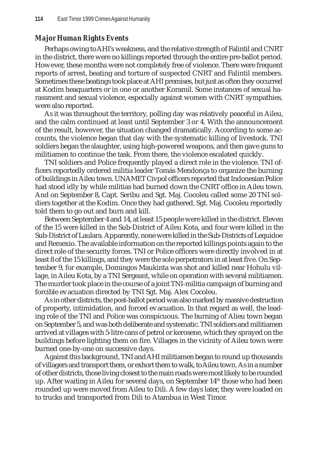# *Major Human Rights Events*

Perhaps owing to AHI's weakness, and the relative strength of Falintil and CNRT in the district, there were no killings reported through the entire pre-ballot period. However, these months were not completely free of violence. There were frequent reports of arrest, beating and torture of suspected CNRT and Falintil members. Sometimes these beatings took place at AHI premises, but just as often they occurred at Kodim heaquarters or in one or another Koramil. Some instances of sexual harassment and sexual violence, especially against women with CNRT sympathies, were also reported.

As it was throughout the territory, polling day was relatively peaceful in Aileu, and the calm continued at least until September 3 or 4. With the announcement of the result, however, the situation changed dramatically. According to some accounts, the violence began that day with the systematic killing of livestock. TNI soldiers began the slaughter, using high-powered weapons, and then gave guns to militiamen to continue the task. From there, the violence escalated quickly.

TNI soldiers and Police frequently played a direct role in the violence. TNI officers reportedly ordered militia leader Tomás Mendonça to organize the burning of buildings in Aileu town. UNAMET Civpol officers reported that Indonesian Police had stood idly by while militias had burned down the CNRT office in Aileu town. And on September 8, Capt. Seribu and Sgt. Maj. Cocoleu called some 20 TNI soldiers together at the Kodim. Once they had gathered, Sgt. Maj. Cocoleu reportedly told them to go out and burn and kill.

Between September 4 and 14, at least 15 people were killed in the district. Eleven of the 15 were killed in the Sub-District of Aileu Kota, and four were killed in the Sub-District of Laulara. Apparently, none were killed in the Sub-Districts of Lequidoe and Remexio. The available information on the reported killings points again to the direct role of the security forces. TNI or Police officers were directly involved in at least 8 of the 15 killings, and they were the sole perpetrators in at least five. On September 9, for example, Domingos Maukinta was shot and killed near Hohulu village, in Aileu Kota, by a TNI Sergeant, while on operation with several militiamen. The murder took place in the course of a joint TNI-militia campaign of burning and forcible evacuation directed by TNI Sgt. Maj. Alex Cocoleu.

As in other districts, the post-ballot period was also marked by massive destruction of property, intimidation, and forced evacuation. In that regard as well, the leading role of the TNI and Police was conspicuous. The burning of Alieu town began on September 5, and was both deliberate and systematic. TNI soldiers and militiamen arrived at villages with 5-litre cans of petrol or kerosene, which they sprayed on the buildings before lighting them on fire. Villages in the vicinity of Aileu town were burned one-by-one on successive days.

Against this background, TNI and AHI militiamen began to round up thousands of villagers and transport them, or exhort them to walk, to Aileu town. As in a number of other districts, those living closest to the main roads were most likely to be rounded up. After waiting in Aileu for several days, on September 14th those who had been rounded up were moved from Aileu to Dili. A few days later, they were loaded on to trucks and transported from Dili to Atambua in West Timor.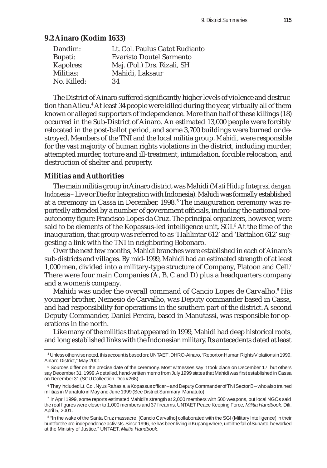# **9.2 Ainaro (Kodim 1633)**

| Lt. Col. Paulus Gatot Rudianto  |
|---------------------------------|
| <b>Evaristo Doutel Sarmento</b> |
| Maj. (Pol.) Drs. Rizali, SH     |
| Mahidi, Laksaur                 |
| 34                              |
|                                 |

The District of Ainaro suffered significantly higher levels of violence and destruction than Aileu.<sup>4</sup> At least 34 people were killed during the year, virtually all of them known or alleged supporters of independence. More than half of these killings (18) occurred in the Sub-District of Ainaro. An estimated 13,000 people were forcibly relocated in the post-ballot period, and some 3,700 buildings were burned or destroyed. Members of the TNI and the local militia group, *Mahidi*, were responsible for the vast majority of human rights violations in the district, including murder, attempted murder, torture and ill-treatment, intimidation, forcible relocation, and destruction of shelter and property.

# *Militias and Authorities*

The main militia group in Ainaro district was Mahidi (*Mati Hidup Integrasi dengan Indonesia* – Live or Die for Integration with Indonesia). Mahidi was formally established at a ceremony in Cassa in December, 1998.<sup>5</sup> The inauguration ceremony was reportedly attended by a number of government officials, including the national proautonomy figure Francisco Lopes da Cruz. The principal organizers, however, were said to be elements of the Kopassus-led intelligence unit, SGI. $^{\rm 6}$  At the time of the inauguration, that group was referred to as 'Halilintar 612' and 'Battalion 612' suggesting a link with the TNI in neighboring Bobonaro.

Over the next few months, Mahidi branches were established in each of Ainaro's sub-districts and villages. By mid-1999, Mahidi had an estimated strength of at least 1,000 men, divided into a military-type structure of Company, Platoon and Cell.7 There were four main Companies (A, B, C and D) plus a headquarters company and a women's company.

Mahidi was under the overall command of Cancio Lopes de Carvalho.<sup>8</sup> His younger brother, Nemesio de Carvalho, was Deputy commander based in Cassa, and had responsibility for operations in the southern part of the district. A second Deputy Commander, Daniel Pereira, based in Manutassi, was responsible for operations in the north.

Like many of the militias that appeared in 1999, Mahidi had deep historical roots, and long established links with the Indonesian military. Its antecedents dated at least

<sup>4</sup> Unless otherwise noted, this account is based on: UNTAET, DHRO-Ainaro, "Report on Human Rights Violations in 1999, Ainaro District," May 2001.

<sup>5</sup> Sources differ on the precise date of the ceremony. Most witnesses say it took place on December 17, but others say December 31, 1999. A detailed, hand-written memo from July 1999 states that Mahidi was first established in Cassa on December 31 (SCU Collection, Doc #268).

<sup>6</sup> They included Lt. Col. Nyus Rahasia, a Kopassus officer – and Deputy Commander of TNI Sector B – who also trained militias in Manatuto in May and June 1999 (See District Summary: Manatuto).

 $7$  In April 1999, some reports estimated Mahidi's strength at 2,000 members with 500 weapons, but local NGOs said the real figures were closer to 1,000 members and 37 firearms. UNTAET Peace Keeping Force*, Militia Handbook*, Dili, April 5, 2001.

 $^8$  "In the wake of the Santa Cruz massacre, [Cancio Carvalho] collaborated with the SGI (Military Intelligence) in their hunt for the pro-independence activists. Since 1996, he has been living in Kupang where, until the fall of Suharto, he worked at the Ministry of Justice." UNTAET, *Militia Handbook*.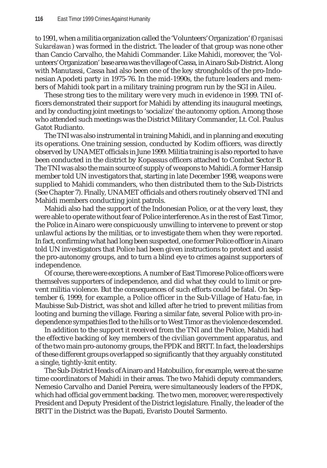to 1991, when a militia organization called the 'Volunteers' Organization' (*Organisasi Sukarelawan*) was formed in the district. The leader of that group was none other than Cancio Carvalho, the Mahidi Commander. Like Mahidi, moreover, the 'Volunteers' Organization' base area was the village of Cassa, in Ainaro Sub-District. Along with Manutassi, Cassa had also been one of the key strongholds of the pro-Indonesian Apodeti party in 1975-76. In the mid-1990s, the future leaders and members of Mahidi took part in a military training program run by the SGI in Aileu.

These strong ties to the military were very much in evidence in 1999. TNI officers demonstrated their support for Mahidi by attending its inaugural meetings, and by conducting joint meetings to 'socialize' the autonomy option. Among those who attended such meetings was the District Military Commander, Lt. Col. Paulus Gatot Rudianto.

The TNI was also instrumental in training Mahidi, and in planning and executing its operations. One training session, conducted by Kodim officers, was directly observed by UNAMET officials in June 1999. Militia training is also reported to have been conducted in the district by Kopassus officers attached to Combat Sector B. The TNI was also the main source of supply of weapons to Mahidi. A former Hansip member told UN investigators that, starting in late December 1998, weapons were supplied to Mahidi commanders, who then distributed them to the Sub-Districts (See Chapter 7). Finally, UNAMET officials and others routinely observed TNI and Mahidi members conducting joint patrols.

Mahidi also had the support of the Indonesian Police, or at the very least, they were able to operate without fear of Police interference. As in the rest of East Timor, the Police in Ainaro were conspicuously unwilling to intervene to prevent or stop unlawful actions by the militias, or to investigate them when they were reported. In fact, confirming what had long been suspected, one former Police officer in Ainaro told UN investigators that Police had been given instructions to protect and assist the pro-autonomy groups, and to turn a blind eye to crimes against supporters of independence.

Of course, there were exceptions. A number of East Timorese Police officers were themselves supporters of independence, and did what they could to limit or prevent militia violence. But the consequences of such efforts could be fatal. On September 6, 1999, for example, a Police officer in the Sub-Village of Hatu-fae, in Maubisse Sub-District, was shot and killed after he tried to prevent militias from looting and burning the village. Fearing a similar fate, several Police with pro-independence sympathies fled to the hills or to West Timor as the violence descended.

In addition to the support it received from the TNI and the Police, Mahidi had the effective backing of key members of the civilian government apparatus, and of the two main pro-autonomy groups, the FPDK and BRTT. In fact, the leaderships of these different groups overlapped so significantly that they arguably constituted a single, tightly-knit entity.

The Sub-District Heads of Ainaro and Hatobuilico, for example, were at the same time coordinators of Mahidi in their areas. The two Mahidi deputy commanders, Nemesio Carvalho and Daniel Pereira, were simultaneously leaders of the FPDK, which had official government backing. The two men, moreover, were respectively President and Deputy President of the District legislature. Finally, the leader of the BRTT in the District was the Bupati, Evaristo Doutel Sarmento.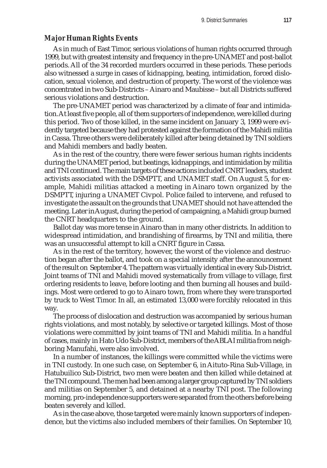#### *Major Human Rights Events*

As in much of East Timor, serious violations of human rights occurred through 1999, but with greatest intensity and frequency in the pre-UNAMET and post-ballot periods. All of the 34 recorded murders occurred in these periods. These periods also witnessed a surge in cases of kidnapping, beating, intimidation, forced dislocation, sexual violence, and destruction of property. The worst of the violence was concentrated in two Sub-Districts – Ainaro and Maubisse – but all Districts suffered serious violations and destruction.

The pre-UNAMET period was characterized by a climate of fear and intimidation. At least five people, all of them supporters of independence, were killed during this period. Two of those killed, in the same incident on January 3, 1999 were evidently targeted because they had protested against the formation of the Mahidi militia in Cassa. Three others were deliberately killed after being detained by TNI soldiers and Mahidi members and badly beaten.

As in the rest of the country, there were fewer serious human rights incidents during the UNAMET period, but beatings, kidnappings, and intimidation by militia and TNI continued. The main targets of these actions included CNRT leaders, student activists associated with the DSMPTT, and UNAMET staff. On August 5, for example, Mahidi militias attacked a meeting in Ainaro town organized by the DSMPTT, injuring a UNAMET Civpol. Police failed to intervene, and refused to investigate the assault on the grounds that UNAMET should not have attended the meeting. Later in August, during the period of campaigning, a Mahidi group burned the CNRT headquarters to the ground.

Ballot day was more tense in Ainaro than in many other districts. In addition to widespread intimidation, and brandishing of firearms, by TNI and militia, there was an unsuccessful attempt to kill a CNRT figure in Cassa.

As in the rest of the territory, however, the worst of the violence and destruction began after the ballot, and took on a special intensity after the announcement of the result on September 4. The pattern was virtually identical in every Sub-District. Joint teams of TNI and Mahidi moved systematically from village to village, first ordering residents to leave, before looting and then burning all houses and buildings. Most were ordered to go to Ainaro town, from where they were transported by truck to West Timor. In all, an estimated 13,000 were forcibly relocated in this way.

The process of dislocation and destruction was accompanied by serious human rights violations, and most notably, by selective or targeted killings. Most of those violations were committed by joint teams of TNI and Mahidi militia. In a handful of cases, mainly in Hato Udo Sub-District, members of the ABLAI militia from neighboring Manufahi, were also involved.

In a number of instances, the killings were committed while the victims were in TNI custody. In one such case, on September 6, in Aituto-Rina Sub-Village, in Hatubuilico Sub-District, two men were beaten and then killed while detained at the TNI compound. The men had been among a larger group captured by TNI soldiers and militias on September 5, and detained at a nearby TNI post. The following morning, pro-independence supporters were separated from the others before being beaten severely and killed.

As in the case above, those targeted were mainly known supporters of independence, but the victims also included members of their families. On September 10,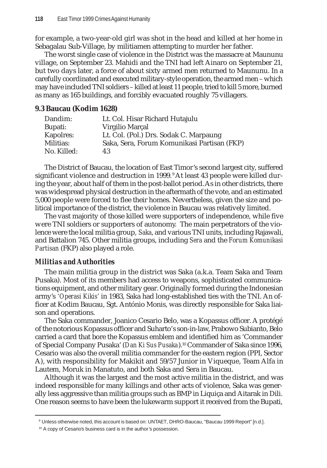for example, a two-year-old girl was shot in the head and killed at her home in Sebagalau Sub-Village, by militiamen attempting to murder her father.

The worst single case of violence in the District was the massacre at Maununu village, on September 23. Mahidi and the TNI had left Ainaro on September 21, but two days later, a force of about sixty armed men returned to Maununu. In a carefully coordinated and executed military-style operation, the armed men – which may have included TNI soldiers – killed at least 11 people, tried to kill 5 more, burned as many as 165 buildings, and forcibly evacuated roughly 75 villagers.

#### **9.3 Baucau (Kodim 1628)**

| Dandim:     | Lt. Col. Hisar Richard Hutajulu             |
|-------------|---------------------------------------------|
| Bupati:     | Virgilio Marçal                             |
| Kapolres:   | Lt. Col. (Pol.) Drs. Sodak C. Marpaung      |
| Militias:   | Saka, Sera, Forum Komunikasi Partisan (FKP) |
| No. Killed: | 43                                          |

The District of Baucau, the location of East Timor's second largest city, suffered significant violence and destruction in 1999. <sup>9</sup> At least 43 people were killed during the year, about half of them in the post-ballot period. As in other districts, there was widespread physical destruction in the aftermath of the vote, and an estimated 5,000 people were forced to flee their homes. Nevertheless, given the size and political importance of the district, the violence in Baucau was relatively limited.

The vast majority of those killed were supporters of independence, while five were TNI soldiers or supporters of autonomy. The main perpetrators of the violence were the local militia group, *Saka*, and various TNI units, including Rajawali, and Battalion 745. Other militia groups, including *Sera* and the *Forum Komunikasi Partisan* (FKP) also played a role.

# *Militias and Authorities*

The main militia group in the district was Saka (a.k.a. Team Saka and Team Pusaka). Most of its members had access to weapons, sophisticated communications equipment, and other military gear. Originally formed during the Indonesian army's *'Operasi Kikis'* in 1983, Saka had long-established ties with the TNI. An officer at Kodim Baucau, Sgt. António Monis, was directly responsible for Saka liaison and operations.

The Saka commander, Joanico Cesario Belo, was a Kopassus officer. A protégé of the notorious Kopassus officer and Suharto's son-in-law, Prabowo Subianto, Belo carried a card that bore the Kopassus emblem and identified him as 'Commander of Special Company Pusaka' (*Dan Ki Sus Pusaka*).10 Commander of Saka since 1996, Cesario was also the overall militia commander for the eastern region (PPI, Sector A), with responsibility for Makikit and 59/57 Junior in Viqueque, Team Alfa in Lautem, Moruk in Manatuto, and both Saka and Sera in Baucau.

Although it was the largest and the most active militia in the district, and was indeed responsible for many killings and other acts of violence, Saka was generally less aggressive than militia groups such as BMP in Liquiça and Aitarak in Dili. One reason seems to have been the lukewarm support it received from the Bupati,

<sup>9</sup> Unless otherwise noted, this account is based on: UNTAET, DHRO-Baucau, "Baucau 1999 Report" [n.d.].

<sup>&</sup>lt;sup>10</sup> A copy of Cesario's business card is in the author's possession.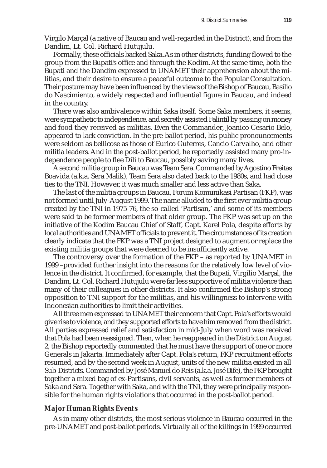Virgilo Marçal (a native of Baucau and well-regarded in the District), and from the Dandim, Lt. Col. Richard Hutujulu.

Formally, these officials backed Saka. As in other districts, funding flowed to the group from the Bupati's office and through the Kodim. At the same time, both the Bupati and the Dandim expressed to UNAMET their apprehension about the militias, and their desire to ensure a peaceful outcome to the Popular Consultation. Their posture may have been influenced by the views of the Bishop of Baucau, Basilio do Nascimiento, a widely respected and influential figure in Baucau, and indeed in the country.

There was also ambivalence within Saka itself. Some Saka members, it seems, were sympathetic to independence, and secretly assisted Falintil by passing on money and food they received as militias. Even the Commander, Joanico Cesario Belo, appeared to lack conviction. In the pre-ballot period, his public pronouncements were seldom as bellicose as those of Eurico Guterres, Cancio Carvalho, and other militia leaders. And in the post-ballot period, he reportedly assisted many pro-independence people to flee Dili to Baucau, possibly saving many lives.

A second militia group in Baucau was Team Sera. Commanded by Agostino Freitas Boavida (a.k.a. Sera Malik), Team Sera also dated back to the 1980s, and had close ties to the TNI. However, it was much smaller and less active than Saka.

The last of the militia groups in Baucau, Forum Komunikasi Partisan (FKP), was not formed until July-August 1999. The name alluded to the first ever militia group created by the TNI in 1975-76, the so-called 'Partisan,' and some of its members were said to be former members of that older group. The FKP was set up on the initiative of the Kodim Baucau Chief of Staff, Capt. Karel Pola, despite efforts by local authorities and UNAMET officials to prevent it. The circumstances of its creation clearly indicate that the FKP was a TNI project designed to augment or replace the existing militia groups that were deemed to be insufficiently active.

The controversy over the formation of the FKP – as reported by UNAMET in 1999 –provided further insight into the reasons for the relatively low level of violence in the district. It confirmed, for example, that the Bupati, Virgilio Marçal, the Dandim, Lt. Col. Richard Hutujulu were far less supportive of militia violence than many of their colleagues in other districts. It also confirmed the Bishop's strong opposition to TNI support for the militias, and his willingness to intervene with Indonesian authorities to limit their activities.

All three men expressed to UNAMET their concern that Capt. Pola's efforts would give rise to violence, and they supported efforts to have him removed from the district. All parties expressed relief and satisfaction in mid-July when word was received that Pola had been reassigned. Then, when he reappeared in the District on August 2, the Bishop reportedly commented that he must have the support of one or more Generals in Jakarta. Immediately after Capt. Pola's return, FKP recruitment efforts resumed, and by the second week in August, units of the new militia existed in all Sub-Districts. Commanded by José Manuel do Reis (a.k.a. José Bife), the FKP brought together a mixed bag of ex-Partisans, civil servants, as well as former members of Saka and Sera. Together with Saka, and with the TNI, they were principally responsible for the human rights violations that occurred in the post-ballot period.

#### *Major Human Rights Events*

As in many other districts, the most serious violence in Baucau occurred in the pre-UNAMET and post-ballot periods. Virtually all of the killings in 1999 occurred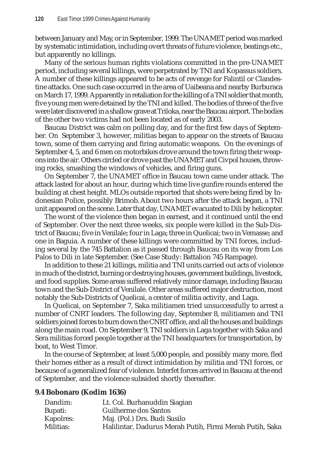between January and May, or in September, 1999. The UNAMET period was marked by systematic intimidation, including overt threats of future violence, beatings etc., but apparently no killings.

Many of the serious human rights violations committed in the pre-UNAMET period, including several killings, were perpetrated by TNI and Kopassus soldiers. A number of these killings appeared to be acts of revenge for Falintil or Clandestine attacks. One such case occurred in the area of Uaibeana and nearby Burburaca on March 17, 1999. Apparently in retaliation for the killing of a TNI soldier that month, five young men were detained by the TNI and killed. The bodies of three of the five were later discovered in a shallow grave at Triloka, near the Baucau airport. The bodies of the other two victims had not been located as of early 2003.

Baucau District was calm on polling day, and for the first few days of September. On September 3, however, militias began to appear on the streets of Baucau town, some of them carrying and firing automatic weapons. On the evenings of September 4, 5, and 6 men on motorbikes drove around the town firing their weapons into the air. Others circled or drove past the UNAMET and Civpol houses, throwing rocks, smashing the windows of vehicles, and firing guns.

On September 7, the UNAMET office in Baucau town came under attack. The attack lasted for about an hour, during which time live gunfire rounds entered the building at chest height. MLOs outside reported that shots were being fired by Indonesian Police, possibly Brimob. About two hours after the attack began, a TNI unit appeared on the scene. Later that day, UNAMET evacuated to Dili by helicopter.

The worst of the violence then began in earnest, and it continued until the end of September. Over the next three weeks, six people were killed in the Sub-District of Baucau; five in Venilale; four in Laga; three in Quelicai; two in Vemasse; and one in Baguia. A number of these killings were committed by TNI forces, including several by the 745 Battalion as it passed through Baucau on its way from Los Palos to Dili in late September. (See Case Study: Battalion 745 Rampage).

In addition to these 21 killings, militia and TNI units carried out acts of violence in much of the district, burning or destroying houses, government buildings, livestock, and food supplies. Some areas suffered relatively minor damage, including Baucau town and the Sub-District of Venilale. Other areas suffered major destruction, most notably the Sub-Districts of Quelicai, a center of militia activity, and Laga.

In Quelicai, on September 7, Saka militiamen tried unsuccessfully to arrest a number of CNRT leaders. The following day, September 8, militiamen and TNI soldiers joined forces to burn down the CNRT office, and all the houses and buildings along the main road. On September 9, TNI soldiers in Laga together with Saka and Sera militias forced people together at the TNI headquarters for transportation, by boat, to West Timor.

In the course of September, at least 5,000 people, and possibly many more, fled their homes either as a result of direct intimidation by militia and TNI forces, or because of a generalized fear of violence. Interfet forces arrived in Baucau at the end of September, and the violence subsided shortly thereafter.

# **9.4 Bobonaro (Kodim 1636)**

| Dandim:   | Lt. Col. Burhanuddin Siagian                             |
|-----------|----------------------------------------------------------|
| Bupati:   | Guilherme dos Santos                                     |
| Kapolres: | Maj. (Pol.) Drs. Budi Susilo                             |
| Militias: | Halilintar, Dadurus Merah Putih, Firmi Merah Putih, Saka |
|           |                                                          |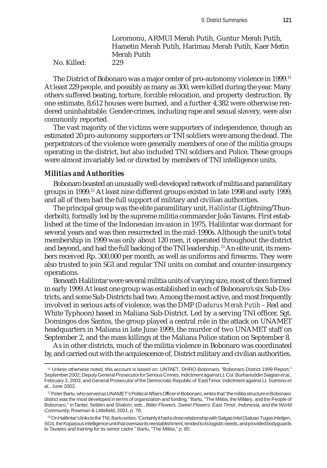Loromonu, ARMUI Merah Putih, Guntur Merah Putih, Hametin Merah Putih, Harimau Merah Putih, Kaer Metin Merah Putih No. Killed: 229

The District of Bobonaro was a major center of pro-autonomy violence in 1999.<sup>11</sup> At least 229 people, and possibly as many as 300, were killed during the year. Many others suffered beating, torture, forcible relocation, and property destruction. By one estimate, 8,612 houses were burned, and a further 4,382 were otherwise rendered uninhabitable. Gender-crimes, including rape and sexual slavery, were also commonly reported.

The vast majority of the victims were supporters of independence, though an estimated 20 pro-autonomy supporters or TNI soldiers were among the dead. The perpetrators of the violence were generally members of one of the militia groups operating in the district, but also included TNI soldiers and Police. These groups were almost invariably led or directed by members of TNI intelligence units.

#### *Militias and Authorities*

Bobonaro boasted an unusually well-developed network of militia and paramilitary groups in 1999.12 At least nine different groups existed in late 1998 and early 1999, and all of them had the full support of military and civilian authorities.

The principal group was the elite paramilitary unit, *Halilintar* (Lightning/Thunderbolt), formally led by the supreme militia commander João Tavares. First established at the time of the Indonesian invasion in 1975, Halilintar was dormant for several years and was then resurrected in the mid-1990s. Although the unit's total membership in 1999 was only about 120 men, it operated throughout the district and beyond, and had the full backing of the TNI leadership. 13 An elite unit, its members received Rp. 300,000 per month, as well as uniforms and firearms. They were also trusted to join SGI and regular TNI units on combat and counter-insurgency operations.

Beneath Halilintar were several militia units of varying size, most of them formed in early 1999. At least one group was established in each of Bobonaro's six Sub-Districts, and some Sub-Districts had two. Among the most active, and most frequently involved in serious acts of violence, was the DMP (*Dadurus Merah Putih* – Red and White Typhoon) based in Maliana Sub-District. Led by a serving TNI officer, Sgt. Domingos dos Santos, the group played a central role in the attack on UNAMET headquarters in Maliana in late June 1999, the murder of two UNAMET staff on September 2, and the mass killings at the Maliana Police station on September 8.

As in other districts, much of the militia violence in Bobonaro was coordinated by, and carried out with the acquiescence of, District military and civilian authorities.

<sup>11</sup> Unless otherwise noted, this account is based on: UNTAET, DHRO-Bobonaro, "Bobonaro District 1999 Report," September 2002; Deputy General Prosecutor for Serious Crimes, Indictment against Lt. Col. Burhanuddin Siagian *et al*., February 3, 2003; and General Prosecutor of the Democratic Republic of East Timor, Indictment against Lt. Sutrisno *et al*., June 2002.

<sup>12</sup> Peter Bartu, who served as UNAMET's Political Affairs Officer in Bobonaro, writes that "the militia structure in Bobonaro district was the most developed in terms of organization and funding." Bartu, "The Militia, the Military, and the People of Bobonaro," in Tanter, Selden and Shalom, eds., *Bitter Flowers, Sweet Flowers: East Timor, Indonesia, and the World Community*, Rowman & Littlefield, 2001, p. 78.

<sup>&</sup>lt;sup>13</sup> On Halilintar's links to the TNI, Bartu writes: "Certainly it had a close relationship with Satgas Intel (Satuan Tugas Intelijen, SGI), the Kopassus intelligence unit that oversaw its reestablishment, tended to its logistic needs, and provided bodyguards to Tavares and training for its senior cadre." Bartu, "The Militia," p. 80.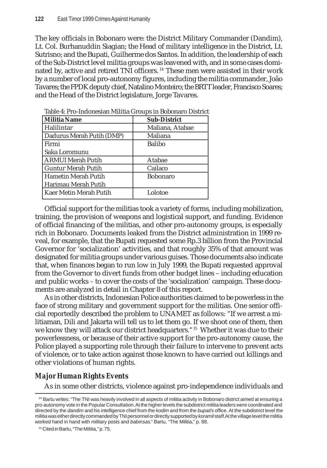The key officials in Bobonaro were: the District Military Commander (Dandim), Lt. Col. Burhanuddin Siagian; the Head of military intelligence in the District, Lt. Sutrisno; and the Bupati, Guilherme dos Santos. In addition, the leadership of each of the Sub-District level militia groups was leavened with, and in some cases dominated by, active and retired TNI officers. 14 These men were assisted in their work by a number of local pro-autonomy figures, including the militia commander, João Tavares; the FPDK deputy chief, Natalino Monteiro; the BRTT leader, Francisco Soares; and the Head of the District legislature, Jorge Tavares.

| Militia Name              | <b>Sub-District</b> |
|---------------------------|---------------------|
| Halilintar                | Maliana, Atabae     |
| Dadurus Merah Putih (DMP) | Maliana             |
| l Firmi                   | <b>Balibo</b>       |
| Saka Loromunu             |                     |
| <b>ARMUI Merah Putih</b>  | Atabae              |
| <b>Guntur Merah Putih</b> | Cailaco             |
| Hametin Merah Putih       | <b>Bobonaro</b>     |
| Harimau Merah Putih       |                     |
| l Kaer Metin Merah Putih  | Lolotoe             |

Table 4: Pro-Indonesian Militia Groups in Bobonaro District

Official support for the militias took a variety of forms, including mobilization, training, the provision of weapons and logistical support, and funding. Evidence of official financing of the militias, and other pro-autonomy groups, is especially rich in Bobonaro. Documents leaked from the District administration in 1999 reveal, for example, that the Bupati requested some Rp.3 billion from the Provincial Governor for 'socialization' activities, and that roughly 35% of that amount was designated for militia groups under various guises. Those documents also indicate that, when finances began to run low in July 1999, the Bupati requested approval from the Governor to divert funds from other budget lines – including education and public works – to cover the costs of the 'socialization' campaign. These documents are analyzed in detail in Chapter 8 of this report.

As in other districts, Indonesian Police authorities claimed to be powerless in the face of strong military and government support for the militias. One senior official reportedly described the problem to UNAMET as follows: "If we arrest a militiaman, Dili and Jakarta will tell us to let them go. If we shoot one of them, then we know they will attack our district headquarters."<sup>15</sup> Whether it was due to their powerlessness, or because of their active support for the pro-autonomy cause, the Police played a supporting role through their failure to intervene to prevent acts of violence, or to take action against those known to have carried out killings and other violations of human rights.

# *Major Human Rights Events*

As in some other districts, violence against pro-independence individuals and

<sup>&</sup>lt;sup>14</sup> Bartu writes: "The TNI was heavily involved in all aspects of militia activity in Bobonaro district aimed at ensuring a pro-autonomy vote in the Popular Consultation. At the higher levels the subdistrict militia leaders were coordinated and directed by the *dandim* and his intelligence chief from the *kodim* and from the *bupati's* office. At the subdistrict level the militia was either directly commanded by TNI personnel or directly supported by *koramil* staff. At the village level the militia worked hand in hand with military posts and *babinsas*." Bartu, "The Militia," p. 88.

<sup>15</sup> Cited in Bartu, "The Militia," p. 75.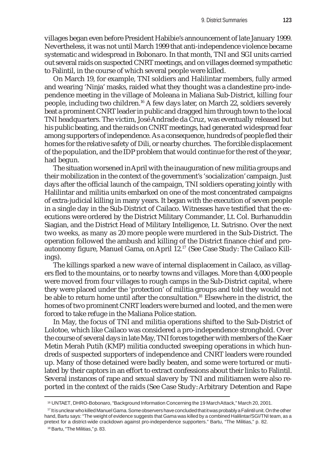villages began even before President Habibie's announcement of late January 1999. Nevertheless, it was not until March 1999 that anti-independence violence became systematic and widespread in Bobonaro. In that month, TNI and SGI units carried out several raids on suspected CNRT meetings, and on villages deemed sympathetic to Falintil, in the course of which several people were killed.

On March 19, for example, TNI soldiers and Halilintar members, fully armed and wearing 'Ninja' masks, raided what they thought was a clandestine pro-independence meeting in the village of Moleana in Maliana Sub-District, killing four people, including two children.16 A few days later, on March 22, soldiers severely beat a prominent CNRT leader in public and dragged him through town to the local TNI headquarters. The victim, José Andrade da Cruz, was eventually released but his public beating, and the raids on CNRT meetings, had generated widespread fear among supporters of independence. As a consequence, hundreds of people fled their homes for the relative safety of Dili, or nearby churches. The forcible displacement of the population, and the IDP problem that would continue for the rest of the year, had begun.

The situation worsened in April with the inauguration of new militia groups and their mobilization in the context of the government's 'socialization' campaign. Just days after the official launch of the campaign, TNI soldiers operating jointly with Halilintar and militia units embarked on one of the most concentrated campaigns of extra-judicial killing in many years. It began with the execution of seven people in a single day in the Sub-District of Cailaco. Witnesses have testified that the executions were ordered by the District Military Commander, Lt. Col. Burhanuddin Siagian, and the District Head of Military Intelligence, Lt. Sutrisno. Over the next two weeks, as many as 20 more people were murdered in the Sub-District. The operation followed the ambush and killing of the District finance chief and proautonomy figure, Manuel Gama, on April 12.<sup>17</sup> (See Case Study: The Cailaco Killings).

The killings sparked a new wave of internal displacement in Cailaco, as villagers fled to the mountains, or to nearby towns and villages. More than 4,000 people were moved from four villages to rough camps in the Sub-District capital, where they were placed under the 'protection' of militia groups and told they would not be able to return home until after the consultation.18 Elsewhere in the district, the homes of two prominent CNRT leaders were burned and looted, and the men were forced to take refuge in the Maliana Police station.

In May, the focus of TNI and militia operations shifted to the Sub-District of Lolotoe, which like Cailaco was considered a pro-independence stronghold. Over the course of several days in late May, TNI forces together with members of the Kaer Metin Merah Putih (KMP) militia conducted sweeping operations in which hundreds of suspected supporters of independence and CNRT leaders were rounded up. Many of those detained were badly beaten, and some were tortured or mutilated by their captors in an effort to extract confessions about their links to Falintil. Several instances of rape and sexual slavery by TNI and militiamen were also reported in the context of the raids (See Case Study: Arbitrary Detention and Rape

<sup>16</sup> UNTAET, DHRO-Bobonaro, "Background Information Concerning the 19 March Attack," March 20, 2001.

<sup>17</sup> It is unclear who killed Manuel Gama. Some observers have concluded that it was probably a Falintil unit. On the other hand, Bartu says: "The weight of evidence suggests that Gama was killed by a combined Halilintar/SGI/TNI team, as a pretext for a district-wide crackdown against pro-independence supporters." Bartu, "The Militias," p. 82.

<sup>&</sup>lt;sup>18</sup> Bartu, "The Militias," p. 83.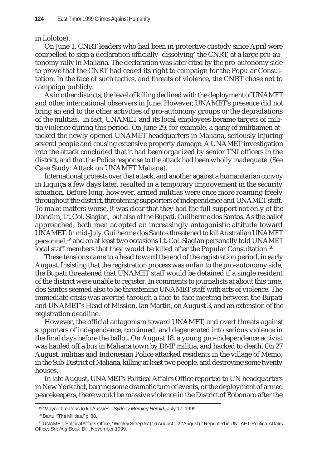in Lolotoe).

On June 1, CNRT leaders who had been in protective custody since April were compelled to sign a declaration officially 'dissolving' the CNRT, at a large pro-autonomy rally in Maliana. The declaration was later cited by the pro-autonomy side to prove that the CNRT had ceded its right to campaign for the Popular Consultation. In the face of such tactics, and threats of violence, the CNRT chose not to campaign publicly.

As in other districts, the level of killing declined with the deployment of UNAMET and other international observers in June. However, UNAMET's presence did not bring an end to the other activities of pro-autonomy groups or the depradations of the militias. In fact, UNAMET and its local employees became targets of militia violence during this period. On June 29, for example, a gang of militiamen attacked the newly opened UNAMET headquarters in Maliana, seriously injuring several people and causing extensive property damage. A UNAMET investigation into the attack concluded that it had been organized by senior TNI officers in the district, and that the Police response to the attack had been wholly inadequate. (See Case Study: Attack on UNAMET Maliana).

International protests over that attack, and another against a humanitarian convoy in Liquiça a few days later, resulted in a temporary improvement in the security situation. Before long, however, armed militias were once more roaming freely throughout the district, threatening supporters of independence and UNAMET staff. To make matters worse, it was clear that they had the full support not only of the Dandim, Lt. Col. Siagian, but also of the Bupati, Guilherme dos Santos. As the ballot approached, both men adopted an increasingly antagonistic attitude toward UNAMET. In mid-July, Guilherme dos Santos threatened to kill Australian UNAMET personnel,19 and on at least two occasions Lt. Col. Siagian personally told UNAMET local staff members that they would be killed after the Popular Consultation.<sup>20</sup>

These tensions came to a head toward the end of the registration period, in early August. Insisting that the registration process was unfair to the pro-autonomy side, the Bupati threatened that UNAMET staff would be detained if a single resident of the district were unable to register. In comments to journalists at about this time, dos Santos seemed also to be threatening UNAMET staff with acts of violence. The immediate crisis was averted through a face-to-face meeting between the Bupati and UNAMET's Head of Mission, Ian Martin, on August 3, and an extension of the registration deadline.

However, the official antagonism toward UNAMET, and overt threats against supporters of independence, continued, and degenerated into serious violence in the final days before the ballot. On August 18, a young pro-independence activist was hauled off a bus in Maliana town by DMP militia, and hacked to death. On 27 August, militias and Indonesian Police attacked residents in the village of Memo, in the Sub-District of Maliana, killing at least two people, and destroying some twenty houses.

In late August, UNAMET's Political Affairs Office reported to UN headquarters in New York that, barring some dramatic turn of events, or the deployment of armed peacekeepers, there would be massive violence in the District of Bobonaro after the

<sup>19 &</sup>quot;Mayor threatens to kill Aussies," *Sydney Morning Herald*, July 17, 1999.

<sup>20</sup> Bartu, "The Militias," p. 88.

<sup>21</sup> UNAMET, Political Affairs Office, "Weekly Sitrep #7 (16 August – 22 August)." Reprinted in UNTAET, Political Affairs Office, *Briefing Book*, Dili, November 1999.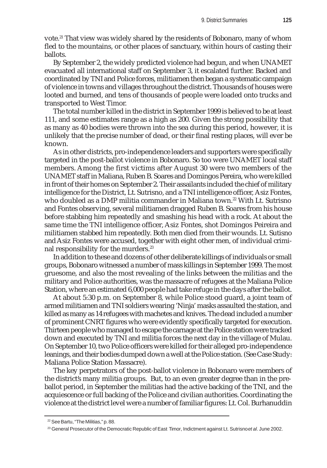vote.<sup>21</sup> That view was widely shared by the residents of Bobonaro, many of whom fled to the mountains, or other places of sanctuary, within hours of casting their ballots.

By September 2, the widely predicted violence had begun, and when UNAMET evacuated all international staff on September 3, it escalated further. Backed and coordinated by TNI and Police forces, militiamen then began a systematic campaign of violence in towns and villages throughout the district. Thousands of houses were looted and burned, and tens of thousands of people were loaded onto trucks and transported to West Timor.

The total number killed in the district in September 1999 is believed to be at least 111, and some estimates range as a high as 200. Given the strong possibility that as many as 40 bodies were thrown into the sea during this period, however, it is unlikely that the precise number of dead, or their final resting places, will ever be known.

As in other districts, pro-independence leaders and supporters were specifically targeted in the post-ballot violence in Bobonaro. So too were UNAMET local staff members. Among the first victims after August 30 were two members of the UNAMET staff in Maliana, Ruben B. Soares and Domingos Pereira, who were killed in front of their homes on September 2. Their assailants included the chief of military intelligence for the District, Lt. Sutrisno, and a TNI intelligence officer, Asiz Fontes, who doubled as a DMP militia commander in Maliana town.<sup>22</sup> With Lt. Sutrisno and Fontes observing, several militiamen dragged Ruben B. Soares from his house before stabbing him repeatedly and smashing his head with a rock. At about the same time the TNI intelligence officer, Asiz Fontes, shot Domingos Peireira and militiamen stabbed him repeatedly. Both men died from their wounds. Lt. Sutisno and Asiz Fontes were accused, together with eight other men, of individual criminal responsibility for the murders.<sup>23</sup>

In addition to these and dozens of other deliberate killings of individuals or small groups, Bobonaro witnessed a number of mass killings in September 1999. The most gruesome, and also the most revealing of the links between the militias and the military and Police authorities, was the massacre of refugees at the Maliana Police Station, where an estimated 6,000 people had take refuge in the days after the ballot.

At about 5:30 p.m. on September 8, while Police stood guard, a joint team of armed militiamen and TNI soldiers wearing 'Ninja' masks assaulted the station, and killed as many as 14 refugees with machetes and knives. The dead included a number of prominent CNRT figures who were evidently specifically targeted for execution. Thirteen people who managed to escape the carnage at the Police station were tracked down and executed by TNI and militia forces the next day in the village of Mulau. On September 10, two Police officers were killed for their alleged pro-independence leanings, and their bodies dumped down a well at the Police station. (See Case Study: Maliana Police Station Massacre).

The key perpetrators of the post-ballot violence in Bobonaro were members of the district's many militia groups. But, to an even greater degree than in the preballot period, in September the militias had the active backing of the TNI, and the acquiescence or full backing of the Police and civilian authorities. Coordinating the violence at the district level were a number of familiar figures: Lt. Col. Burhanuddin

<sup>22</sup> See Bartu, "The Militias," p. 88.

<sup>23</sup> General Prosecutor of the Democratic Republic of East Timor, Indictment against Lt. Sutrisno *et al*. June 2002.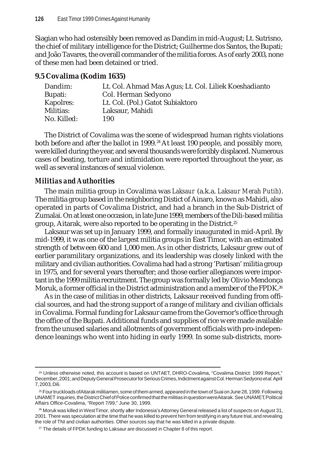Siagian who had ostensibly been removed as Dandim in mid-August; Lt. Sutrisno, the chief of military intelligence for the District; Guilherme dos Santos, the Bupati; and João Tavares, the overall commander of the militia forces. As of early 2003, none of these men had been detained or tried.

# **9.5 Covalima (Kodim 1635)**

| Lt. Col. Ahmad Mas Agus; Lt. Col. Liliek Koeshadianto |
|-------------------------------------------------------|
| Col. Herman Sedyono                                   |
| Lt. Col. (Pol.) Gatot Subiaktoro                      |
| Laksaur, Mahidi                                       |
| 190                                                   |
|                                                       |

The District of Covalima was the scene of widespread human rights violations both before and after the ballot in 1999.<sup>24</sup> At least 190 people, and possibly more, were killed during the year, and several thousands were forcibly displaced. Numerous cases of beating, torture and intimidation were reported throughout the year, as well as several instances of sexual violence.

# *Militias and Authorities*

The main militia group in Covalima was *Laksaur* (a.k.a. *Laksaur Merah Putih*). The militia group based in the neighboring Distict of Ainaro, known as Mahidi, also operated in parts of Covalima District, and had a branch in the Sub-District of Zumalai. On at least one occasion, in late June 1999, members of the Dili-based militia group, Aitarak, were also reported to be operating in the District.25

Laksaur was set up in January 1999, and formally inaugurated in mid-April. By mid-1999, it was one of the largest militia groups in East Timor, with an estimated strength of between 600 and 1,000 men. As in other districts, Laksaur grew out of earlier paramilitary organizations, and its leadership was closely linked with the military and civilian authorities. Covalima had had a strong 'Partisan' militia group in 1975, and for several years thereafter; and those earlier allegiances were important in the 1999 militia recruitment. The group was formally led by Olivio Mendonça Moruk, a former official in the District administration and a member of the FPDK.<sup>26</sup>

As in the case of militias in other districts, Laksaur received funding from official sources, and had the strong support of a range of military and civilian officials in Covalima. Formal funding for Laksaur came from the Governor's office through the office of the Bupati. Additional funds and supplies of rice were made available from the unused salaries and allotments of government officials with pro-independence leanings who went into hiding in early 1999. In some sub-districts, more-

<sup>24</sup> Unless otherwise noted, this account is based on UNTAET, DHRO-Covalima, "Covalima District: 1999 Report," December, 2001; and Deputy General Prosecutor for Serious Crimes, Indictment against Col. Herman Sedyono *et al.* April 7, 2003, Dili.

<sup>25</sup> Four truckloads of Aitarak militiamen, some of them armed, appeared in the town of Suai on June 28, 1999. Following UNAMET inquiries, the District Chief of Police confirmed that the militias in question were Aitarak. See UNAMET, Political Affairs Office-Covalima, "Report 7/99," June 30, 1999.

<sup>&</sup>lt;sup>26</sup> Moruk was killed in West Timor, shortly after Indonesia's Attorney General released a list of suspects on August 31, 2001. There was speculation at the time that he was killed to prevent him from testifying in any future trial, and revealing the role of TNI and civilian authorities. Other sources say that he was killed in a private dispute.

 $27$  The details of FPDK funding to Laksaur are discussed in Chapter 8 of this report.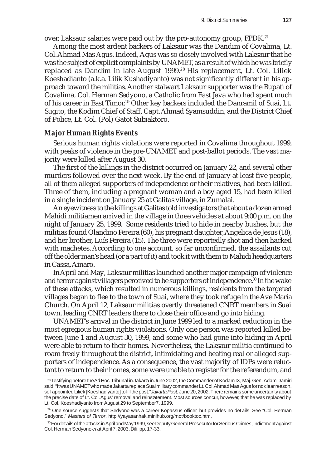over, Laksaur salaries were paid out by the pro-autonomy group, FPDK.<sup>27</sup>

Among the most ardent backers of Laksaur was the Dandim of Covalima, Lt. Col. Ahmad Mas Agus. Indeed, Agus was so closely involved with Laksaur that he was the subject of explicit complaints by UNAMET, as a result of which he was briefly replaced as Dandim in late August 1999.<sup>28</sup> His replacement, Lt. Col. Liliek Koeshadianto (a.k.a. Lilik Kushadiyanto) was not significantly different in his approach toward the militias. Another stalwart Laksaur supporter was the Bupati of Covalima, Col. Herman Sedyono, a Catholic from East Java who had spent much of his career in East Timor.<sup>29</sup> Other key backers included the Danramil of Suai, Lt. Sugito, the Kodim Chief of Staff, Capt. Ahmad Syamsuddin, and the District Chief of Police, Lt. Col. (Pol) Gatot Subiaktoro.

#### *Major Human Rights Events*

Serious human rights violations were reported in Covalima throughout 1999, with peaks of violence in the pre-UNAMET and post-ballot periods. The vast majority were killed after August 30.

The first of the killings in the district occurred on January 22, and several other murders followed over the next week. By the end of January at least five people, all of them alleged supporters of independence or their relatives, had been killed. Three of them, including a pregnant woman and a boy aged 15, had been killed in a single incident on January 25 at Galitas village, in Zumalai.

An eyewitness to the killings at Galitas told investigators that about a dozen armed Mahidi militiamen arrived in the village in three vehicles at about 9:00 p.m. on the night of January 25, 1999. Some residents tried to hide in nearby bushes, but the militias found Olandino Pereira (60), his pregnant daughter, Angelica de Jesus (18), and her brother, Luís Pereira (15). The three were reportedly shot and then hacked with machetes. According to one account, so far unconfirmed, the assailants cut off the older man's head (or a part of it) and took it with them to Mahidi headquarters in Cassa, Ainaro.

In April and May, Laksaur militias launched another major campaign of violence and terror against villagers perceived to be supporters of independence.<sup>30</sup> In the wake of these attacks, which resulted in numerous killings, residents from the targeted villages began to flee to the town of Suai, where they took refuge in the Ave Maria Church. On April 12, Laksaur militias overtly threatened CNRT members in Suai town, leading CNRT leaders there to close their office and go into hiding.

UNAMET's arrival in the district in June 1999 led to a marked reduction in the most egregious human rights violations. Only one person was reported killed between June 1 and August 30, 1999, and some who had gone into hiding in April were able to return to their homes. Nevertheless, the Laksaur militia continued to roam freely throughout the district, intimidating and beating real or alleged supporters of independence. As a consequence, the vast majority of IDPs were reluctant to return to their homes, some were unable to register for the referendum, and

<sup>28</sup> Testifying before the Ad Hoc Tribunal in Jakarta in June 2002, the Commander of Kodam IX, Maj. Gen. Adam Damiri said: "It was UNAMET who made Jakarta replace Suai military commander Lt. Col. Ahmad Mas Agus for no clear reason, so I appointed Liliek [Koeshadiyanto] to fill the post."*Jakarta Post*, June 20, 2002. There remains some uncertainty about the precise date of Lt. Col. Agus' removal and reinstatement. Most sources concur, however, that he was replaced by Lt. Col. Koeshadiyanto from August 29 to September7, 1999.

<sup>&</sup>lt;sup>29</sup> One source suggests that Sedyono was a career Kopassus officer, but provides no details. See "Col. Herman Sedyono," *Masters of Terror*, http://yayasanhak.minihub.org/mot/booktoc.htm.

<sup>30</sup> For details of the attacks in April and May 1999, see Deputy General Prosecutor for Serious Crimes, Indictment against Col. Herman Sedyono *et al*. April 7, 2003, Dili, pp. 17-33.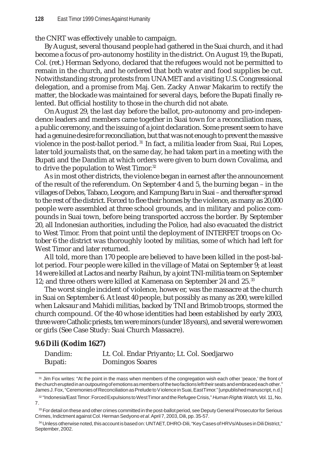the CNRT was effectively unable to campaign.

By August, several thousand people had gathered in the Suai church, and it had become a focus of pro-autonomy hostility in the district. On August 19, the Bupati, Col. (ret.) Herman Sedyono, declared that the refugees would not be permitted to remain in the church, and he ordered that both water and food supplies be cut. Notwithstanding strong protests from UNAMET and a visiting U.S. Congressional delegation, and a promise from Maj. Gen. Zacky Anwar Makarim to rectify the matter, the blockade was maintained for several days, before the Bupati finally relented. But official hostility to those in the church did not abate.

On August 29, the last day before the ballot, pro-autonomy and pro-independence leaders and members came together in Suai town for a reconciliation mass, a public ceremony, and the issuing of a joint declaration. Some present seem to have had a genuine desire for reconciliation, but that was not enough to prevent the massive violence in the post-ballot period. 31 In fact, a militia leader from Suai, Rui Lopes, later told journalists that, on the same day, he had taken part in a meeting with the Bupati and the Dandim at which orders were given to burn down Covalima, and to drive the population to West Timor.<sup>32</sup>

As in most other districts, the violence began in earnest after the announcement of the result of the referendum. On September 4 and 5, the burning began – in the villages of Debos, Tabaco, Leogore, and Kampung Baru in Suai – and thereafter spread to the rest of the district. Forced to flee their homes by the violence, as many as 20,000 people were assembled at three school grounds, and in military and police compounds in Suai town, before being transported accross the border. By September 20, all Indonesian authorities, including the Police, had also evacuated the district to West Timor. From that point until the deployment of INTERFET troops on October 6 the district was thoroughly looted by militias, some of which had left for West Timor and later returned.

All told, more than 170 people are believed to have been killed in the post-ballot period. Four people were killed in the village of Matai on September 9; at least 14 were killed at Lactos and nearby Raihun, by a joint TNI-militia team on September 12; and three others were killed at Kamenasa on September 24 and 25.<sup>33</sup>

The worst single incident of violence, however, was the massacre at the church in Suai on September 6. At least 40 people, but possibly as many as 200, were killed when Laksaur and Mahidi militias, backed by TNI and Brimob troops, stormed the church compound. Of the 40 whose identities had been established by early 2003, three were Catholic priests, ten were minors (under 18 years), and several were women or girls (See Case Study: Suai Church Massacre).

# **9.6 Dili (Kodim 1627)**

| Dandim: | Lt. Col. Endar Priyanto; Lt. Col. Soedjarwo |
|---------|---------------------------------------------|
| Bupati: | <b>Domingos Soares</b>                      |

<sup>31</sup> Jim Fox writes: "At the point in the mass when members of the congregation wish each other 'peace,' the front of the church erupted in an outpouring of emotions as members of the two factions left their seats and embraced each other." James J. Fox, "Ceremonies of Reconciliation as Prelude to Violence in Suai, East Timor." [unpublished manuscript, n.d.]

<sup>32 &</sup>quot;Indonesia/East Timor: Forced Expulsions to West Timor and the Refugee Crisis," *Human Rights Watch*, Vol. 11, No. 7.

 $33$  For detail on these and other crimes committed in the post-ballot period, see Deputy General Prosecutor for Serious Crimes, Indictment against Col. Herman Sedyono *et al*. April 7, 2003, Dili, pp. 35-57.

<sup>34</sup> Unless otherwise noted, this account is based on: UNTAET, DHRO-Dili, "Key Cases of HRVs/Abuses in Dili District," September, 2002.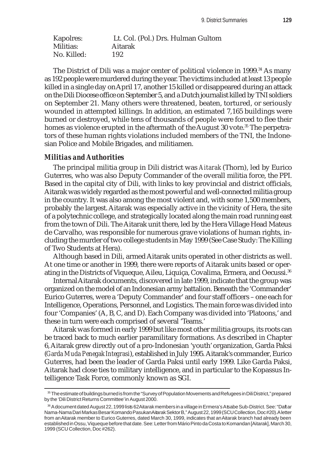| Kapolres:   | Lt. Col. (Pol.) Drs. Hulman Gultom |
|-------------|------------------------------------|
| Militias:   | Aitarak                            |
| No. Killed: | 192                                |

The District of Dili was a major center of political violence in  $1999.^{34}$  As many as 192 people were murdered during the year. The victims included at least 13 people killed in a single day on April 17, another 15 killed or disappeared during an attack on the Dili Diocese office on September 5, and a Dutch journalist killed by TNI soldiers on September 21. Many others were threatened, beaten, tortured, or seriously wounded in attempted killings. In addition, an estimated 7,165 buildings were burned or destroyed, while tens of thousands of people were forced to flee their homes as violence erupted in the aftermath of the August 30 vote.<sup>35</sup> The perpetrators of these human rights violations included members of the TNI, the Indonesian Police and Mobile Brigades, and militiamen.

# *Militias and Authorities*

The principal militia group in Dili district was *Aitarak* (Thorn), led by Eurico Guterres, who was also Deputy Commander of the overall militia force, the PPI. Based in the capital city of Dili, with links to key provincial and district officials, Aitarak was widely regarded as the most powerful and well-connected militia group in the country. It was also among the most violent and, with some 1,500 members, probably the largest. Aitarak was especially active in the vicinity of Hera, the site of a polytechnic college, and strategically located along the main road running east from the town of Dili. The Aitarak unit there, led by the Hera Village Head Mateus de Carvalho, was responsible for numerous grave violations of human rights, including the murder of two college students in May 1999 (See Case Study: The Killing of Two Students at Hera).

Although based in Dili, armed Aitarak units operated in other districts as well. At one time or another in 1999, there were reports of Aitarak units based or operating in the Districts of Viqueque, Aileu, Liquiça, Covalima, Ermera, and Oecussi.<sup>36</sup>

Internal Aitarak documents, discovered in late 1999, indicate that the group was organized on the model of an Indonesian army battalion. Beneath the 'Commander' Eurico Guterres, were a 'Deputy Commander' and four staff officers – one each for Intelligence, Operations, Personnel, and Logistics. The main force was divided into four 'Companies' (A, B, C, and D). Each Company was divided into 'Platoons,' and these in turn were each comprised of several 'Teams.'

Aitarak was formed in early 1999 but like most other militia groups, its roots can be traced back to much earlier paramilitary formations. As described in Chapter 6, Aitarak grew directly out of a pro-Indonesian 'youth' organization, Garda Paksi (*Garda Muda Penegak Integrasi*), established in July 1995. Aitarak's commander, Eurico Guterres, had been the leader of Garda Paksi until early 1999. Like Garda Paksi, Aitarak had close ties to military intelligence, and in particular to the Kopassus Intelligence Task Force, commonly known as SGI.

<sup>35</sup> The estimate of buildings burned is from the "Survey of Population Movements and Refugees in Dili District," prepared by the 'Dili District Returns Committee' in August 2000.

<sup>&</sup>lt;sup>36</sup> A document dated August 22, 1999 lists 62 Aitarak members in a village in Ermera's Atsabe Sub-District. See: "Daftar Nama-Nama Dari Markas Besar Komando Pasukan Aitarak Sektor B," August 22, 1999 (SCU Collection, Doc#20). A letter from an Aitarak member to Eurico Guterres, dated March 30, 1999, indicates that an Aitarak branch had already been established in Ossu, Viqueque before that date. See: Letter from Mário Pinto da Costa to Komandan [Aitarak], March 30, 1999 (SCU Collection, Doc #262).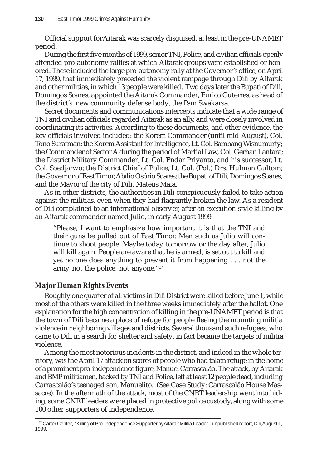Official support for Aitarak was scarcely disguised, at least in the pre-UNAMET period.

During the first five months of 1999, senior TNI, Police, and civilian officials openly attended pro-autonomy rallies at which Aitarak groups were established or honored. These included the large pro-autonomy rally at the Governor's office, on April 17, 1999, that immediately preceded the violent rampage through Dili by Aitarak and other militias, in which 13 people were killed. Two days later the Bupati of Dili, Domingos Soares, appointed the Aitarak Commander, Eurico Guterres, as head of the district's new community defense body, the Pam Swakarsa.

Secret documents and communications intercepts indicate that a wide range of TNI and civilian officials regarded Aitarak as an ally, and were closely involved in coordinating its activities. According to these documents, and other evidence, the key officials involved included: the Korem Commander (until mid-August), Col. Tono Suratman; the Korem Assistant for Intelligence, Lt. Col. Bambang Wisnumurty; the Commander of Sector A during the period of Martial Law, Col. Gerhan Lantara; the District Military Commander, Lt. Col. Endar Priyanto, and his successor, Lt. Col. Soedjarwo; the District Chief of Police, Lt. Col. (Pol.) Drs. Hulman Gultom; the Governor of East Timor, Abílio Osório Soares; the Bupati of Dili, Domingos Soares, and the Mayor of the city of Dili, Mateus Maia.

As in other districts, the authorities in Dili conspicuously failed to take action against the militias, even when they had flagrantly broken the law. As a resident of Dili complained to an international observer, after an execution-style killing by an Aitarak commander named Julio, in early August 1999:

"Please, I want to emphasize how important it is that the TNI and their guns be pulled out of East Timor. Men such as Julio will continue to shoot people. Maybe today, tomorrow or the day after, Julio will kill again. People are aware that he is armed, is set out to kill and yet no one does anything to prevent it from happening . . . not the army, not the police, not anyone."37

# *Major Human Rights Events*

Roughly one quarter of all victims in Dili District were killed before June 1, while most of the others were killed in the three weeks immediately after the ballot. One explanation for the high concentration of killing in the pre-UNAMET period is that the town of Dili became a place of refuge for people fleeing the mounting militia violence in neighboring villages and districts. Several thousand such refugees, who came to Dili in a search for shelter and safety, in fact became the targets of militia violence.

Among the most notorious incidents in the district, and indeed in the whole territory, was the April 17 attack on scores of people who had taken refuge in the home of a prominent pro-independence figure, Manuel Carrascalão. The attack, by Aitarak and BMP militiamen, backed by TNI and Police, left at least 12 people dead, including Carrascalão's teenaged son, Manuelito. (See Case Study: Carrascalão House Massacre). In the aftermath of the attack, most of the CNRT leadership went into hiding; some CNRT leaders were placed in protective police custody, along with some 100 other supporters of independence.

<sup>&</sup>lt;sup>37</sup> Carter Center, "Killing of Pro-Independence Supporter by Aitarak Militia Leader," unpublished report, Dili, August 1, 1999.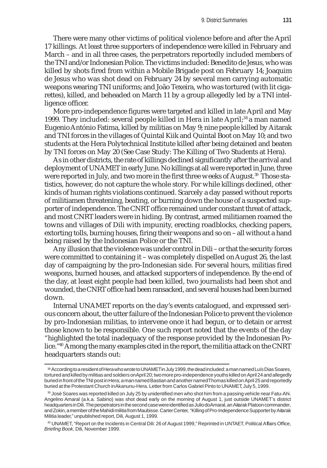There were many other victims of political violence before and after the April 17 killings. At least three supporters of independence were killed in February and March – and in all three cases, the perpetrators reportedly included members of the TNI and/or Indonesian Police. The victims included: Benedito de Jesus, who was killed by shots fired from within a Mobile Brigade post on February 14; Joaquim de Jesus who was shot dead on February 24 by several men carrying automatic weapons wearing TNI uniforms; and João Texeira, who was tortured (with lit cigarettes), killed, and beheaded on March 11 by a group allegedly led by a TNI intelligence officer.

More pro-independence figures were targeted and killed in late April and May 1999. They included: several people killed in Hera in late April;<sup>38</sup> a man named Eugenio António Fatima, killed by militias on May 9; nine people killed by Aitarak and TNI forces in the villages of Quintal Kiik and Quintal Boot on May 10; and two students at the Hera Polytechnical Institute killed after being detained and beaten by TNI forces on May 20 (See Case Study: The Killing of Two Students at Hera).

As in other districts, the rate of killings declined significantly after the arrival and deployment of UNAMET in early June. No killings at all were reported in June, three were reported in July, and two more in the first three weeks of August.<sup>39</sup> Those statistics, however, do not capture the whole story. For while killings declined, other kinds of human rights violations continued. Scarcely a day passed without reports of militiamen threatening, beating, or burning down the house of a suspected supporter of independence. The CNRT office remained under constant threat of attack, and most CNRT leaders were in hiding. By contrast, armed militiamen roamed the towns and villages of Dili with impunity, erecting roadblocks, checking papers, extorting tolls, burning houses, firing their weapons and so on – all without a hand being raised by the Indonesian Police or the TNI.

Any illusion that the violence was under control in Dili – or that the security forces were committed to containing it – was completely dispelled on August 26, the last day of campaigning by the pro-Indonesian side. For several hours, militias fired weapons, burned houses, and attacked supporters of independence. By the end of the day, at least eight people had been killed, two journalists had been shot and wounded, the CNRT office had been ransacked, and several houses had been burned down.

Internal UNAMET reports on the day's events catalogued, and expressed serious concern about, the utter failure of the Indonesian Police to prevent the violence by pro-Indonesian militias, to intervene once it had begun, or to detain or arrest those known to be responsible. One such report noted that the events of the day "highlighted the total inadequacy of the response provided by the Indonesian Police."40 Among the many examples cited in the report, the militia attack on the CNRT headquarters stands out:

<sup>38</sup> According to a resident of Hera who wrote to UNAMET in July 1999, the dead included: a man named Luís Dias Soares, tortured and killed by militias and soldiers on April 20; two more pro-independence youths killed on April 24 and allegedly buried in front of the TNI post in Hera; a man named Bastian and another named Thomas killed on April 25 and reportedly buried at the Protestant Church in Akanunu-Hera. Letter from Carlos Gabriel Pinto to UNAMET, July 5, 1999.

<sup>&</sup>lt;sup>39</sup> José Soares was reported killed on July 25 by unidentified men who shot him from a passing vehicle near Fatu-Ahi. Angelino Amaral (a.k.a. Sabino) was shot dead early on the morning of August 1, just outside UNAMET's district headquarters in Dili. The perpetrators in the second case were identified as Julio do Amaral, an Aitarak Platoon commander, and Zokin, a member of the Mahidi militia from Maubisse. Carter Center, "Killing of Pro-Independence Supporter by Aitarak Militia leader," unpublished report, Dili, August 1, 1999.

<sup>40</sup> UNAMET, "Report on the Incidents in Central Dili: 26 of August 1999," Reprinted in UNTAET, Political Affairs Office, *Briefing Book*, Dili, November 1999.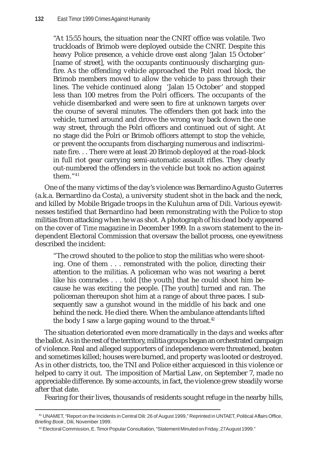"At 15:55 hours, the situation near the CNRT office was volatile. Two truckloads of Brimob were deployed outside the CNRT. Despite this heavy Police presence, a vehicle drove east along 'Jalan 15 October' [name of street], with the occupants continuously discharging gunfire. As the offending vehicle approached the Polri road block, the Brimob members moved to allow the vehicle to pass through their lines. The vehicle continued along 'Jalan 15 October' and stopped less than 100 metres from the Polri officers. The occupants of the vehicle disembarked and were seen to fire at unknown targets over the course of several minutes. The offenders then got back into the vehicle, turned around and drove the wrong way back down the one way street, through the Polri officers and continued out of sight. At no stage did the Polri or Brimob officers attempt to stop the vehicle, or prevent the occupants from discharging numerous and indiscriminate fire. . . There were at least 20 Brimob deployed at the road-block in full riot gear carrying semi-automatic assault rifles. They clearly out-numbered the offenders in the vehicle but took no action against them."41

One of the many victims of the day's violence was Bernardino Agusto Guterres (a.k.a. Bernardino da Costa), a university student shot in the back and the neck, and killed by Mobile Brigade troops in the Kuluhun area of Dili. Various eyewitnesses testified that Bernardino had been remonstrating with the Police to stop militias from attacking when he was shot. A photograph of his dead body appeared on the cover of *Time* magazine in December 1999. In a sworn statement to the independent Electoral Commission that oversaw the ballot process, one eyewitness described the incident:

"The crowd shouted to the police to stop the militias who were shooting. One of them . . . remonstrated with the police, directing their attention to the militias. A policeman who was not wearing a beret like his comrades . . . told [the youth] that he could shoot him because he was exciting the people. [The youth] turned and ran. The policeman thereupon shot him at a range of about three paces. I subsequently saw a gunshot wound in the middle of his back and one behind the neck. He died there. When the ambulance attendants lifted the body I saw a large gaping wound to the throat. $42$ 

The situation deteriorated even more dramatically in the days and weeks after the ballot. As in the rest of the territory, militia groups began an orchestrated campaign of violence. Real and alleged supporters of independence were threatened, beaten and sometimes killed; houses were burned, and property was looted or destroyed. As in other districts, too, the TNI and Police either acquiesced in this violence or helped to carry it out. The imposition of Martial Law, on September 7, made no appreciable difference. By some accounts, in fact, the violence grew steadily worse after that date.

Fearing for their lives, thousands of residents sought refuge in the nearby hills,

<sup>41</sup> UNAMET, "Report on the Incidents in Central Dili: 26 of August 1999," Reprinted in UNTAET, Political Affairs Office, *Briefing Book* , Dili, November 1999.

 $42$  Electoral Commission, E. Timor Popular Consultation, "Statement Minuted on Friday, 27 August 1999."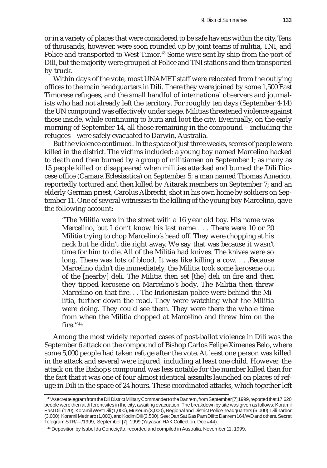or in a variety of places that were considered to be safe havens within the city. Tens of thousands, however, were soon rounded up by joint teams of militia, TNI, and Police and transported to West Timor.<sup>43</sup> Some were sent by ship from the port of Dili, but the majority were grouped at Police and TNI stations and then transported by truck.

Within days of the vote, most UNAMET staff were relocated from the outlying offices to the main headquarters in Dili. There they were joined by some 1,500 East Timorese refugees, and the small handful of international observers and journalists who had not already left the territory. For roughly ten days (September 4-14) the UN compound was effectively under siege. Militias threatened violence against those inside, while continuing to burn and loot the city. Eventually, on the early morning of September 14, all those remaining in the compound – including the refugees – were safely evacuated to Darwin, Australia.

But the violence continued. In the space of just three weeks, scores of people were killed in the district. The victims included: a young boy named Marcelino hacked to death and then burned by a group of militiamen on September 1; as many as 15 people killed or disappeared when militias attacked and burned the Dili Diocese office (Camara Eclesiastica) on September 5; a man named Thomas Americo, reportedly tortured and then killed by Aitarak members on September 7; and an elderly German priest, Carolus Albrecht, shot in his own home by soldiers on September 11. One of several witnesses to the killing of the young boy Marcelino, gave the following account:

"The Militia were in the street with a 16 year old boy. His name was Mercelino, but I don't know his last name . . . There were 10 or 20 Militia trying to chop Marcelino's head off. They were chopping at his neck but he didn't die right away. We say that was because it wasn't time for him to die. All of the Militia had knives. The knives were so long. There was lots of blood. It was like killing a cow. . . .Because Marcelino didn't die immediately, the Militia took some kerosene out of the [nearby] deli. The Militia then set [the] deli on fire and then they tipped kerosene on Marcelino's body. The Militia then threw Marcelino on that fire. . . The Indonesian police were behind the Militia, further down the road. They were watching what the Militia were doing. They could see them. They were there the whole time from when the Militia chopped at Marcelino and threw him on the fire."44

Among the most widely reported cases of post-ballot violence in Dili was the September 6 attack on the compound of Bishop Carlos Felipe Ximenes Belo, where some 5,000 people had taken refuge after the vote. At least one person was killed in the attack and several were injured, including at least one child. However, the attack on the Bishop's compound was less notable for the number killed than for the fact that it was one of four almost identical assaults launched on places of refuge in Dili in the space of 24 hours. These coordinated attacks, which together left

<sup>43</sup> A secret telegram from the Dili District Military Commander to the Danrem, from September [7] 1999, reported that 17,620 people were then at different sites in the city, awaiting evacuation. The breakdown by site was given as follows: Koramil East Dili (120), Koramil West Dili (1,000), Museum (3,000), Regional and District Police headquarters (6,000), Dili harbor (3,000), Koramil Metinaro (1,000), and Kodim Dili (3,500). See: Dan Sat Gas Pam Dili to Danrem 164/WD and others. Secret Telegram STR/—/1999, September [7], 1999 (Yayasan HAK Collection, Doc #44).

<sup>44</sup> Deposition by Isabel da Conceição, recorded and compiled in Australia, November 11, 1999.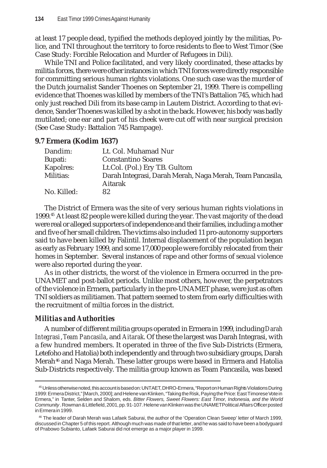at least 17 people dead, typified the methods deployed jointly by the militias, Police, and TNI throughout the territory to force residents to flee to West Timor (See Case Study: Forcible Relocation and Murder of Refugees in Dili).

While TNI and Police facilitated, and very likely coordinated, these attacks by militia forces, there were other instances in which TNI forces were directly responsible for committing serious human rights violations. One such case was the murder of the Dutch journalist Sander Thoenes on September 21, 1999. There is compelling evidence that Thoenes was killed by members of the TNI's Battalion 745, which had only just reached Dili from its base camp in Lautem District. According to that evidence, Sander Thoenes was killed by a shot in the back. However, his body was badly mutilated; one ear and part of his cheek were cut off with near surgical precision (See Case Study: Battalion 745 Rampage).

# **9.7 Ermera (Kodim 1637)**

| Dandim:     | Lt. Col. Muhamad Nur                                                 |
|-------------|----------------------------------------------------------------------|
| Bupati:     | <b>Constantino Soares</b>                                            |
| Kapolres:   | Lt.Col. (Pol.) Ery T.B. Gultom                                       |
| Militias:   | Darah Integrasi, Darah Merah, Naga Merah, Team Pancasila,<br>Aitarak |
| No. Killed: | 82                                                                   |

The District of Ermera was the site of very serious human rights violations in 1999.45 At least 82 people were killed during the year. The vast majority of the dead were real or alleged supporters of independence and their families, including a mother and five of her small children. The victims also included 11 pro-autonomy supporters said to have been killed by Falintil. Internal displacement of the population began as early as February 1999, and some 17,000 people were forcibly relocated from their homes in September. Several instances of rape and other forms of sexual violence were also reported during the year.

As in other districts, the worst of the violence in Ermera occurred in the pre-UNAMET and post-ballot periods. Unlike most others, however, the perpetrators of the violence in Ermera, particularly in the pre-UNAMET phase, were just as often TNI soldiers as militiamen. That pattern seemed to stem from early difficulties with the recruitment of miltia forces in the district.

# *Militias and Authorities*

A number of different militia groups operated in Ermera in 1999, including *Darah Integrasi*, *Team Pancasila*, and *Aitarak*. Of these the largest was Darah Integrasi, with a few hundred members. It operated in three of the five Sub-Districts (Ermera, Letefoho and Hatolia) both independently and through two subsidiary groups, Darah Merah<sup>46</sup> and Naga Merah. These latter groups were based in Ermera and Hatolia Sub-Districts respectively. The militia group known as Team Pancasila, was based

<sup>45</sup> Unless otherwise noted, this account is based on: UNTAET, DHRO-Ermera, "Report on Human Rights Violations During 1999: Ermera District," [March, 2000]; and Helene van Klinken, "Taking the Risk, Paying the Price: East Timorese Vote in Ermera," in Tanter, Selden and Shalom, eds. *Bitter Flowers, Sweet Flowers: East Timor, Indonesia, and the World Community* . Rowman & Littlefield, 2001, pp. 91-107. Helene van Klinken was the UNAMET Political Affairs Officer posted in Ermera in 1999.

<sup>46</sup> The leader of Darah Merah was Lafaek Saburai, the author of the 'Operation Clean Sweep' letter of March 1999, discussed in Chapter 5 of this report. Although much was made of that letter, and he was said to have been a bodyguard of Prabowo Subianto, Lafaek Saburai did not emerge as a major player in 1999.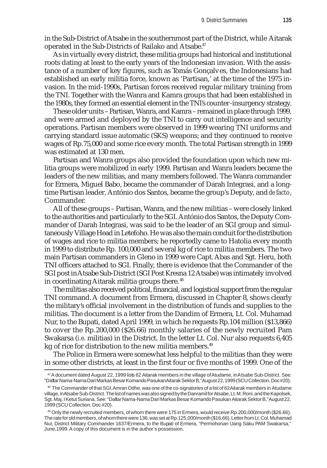in the Sub-District of Atsabe in the southernmost part of the District, while Aitarak operated in the Sub-Districts of Railako and Atsabe.<sup>47</sup>

As in virtually every district, these militia groups had historical and institutional roots dating at least to the early years of the Indonesian invasion. With the assistance of a number of key figures, such as Tomás Gonçalves, the Indonesians had established an early militia force, known as 'Partisan,' at the time of the 1975 invasion. In the mid-1990s, Partisan forces received regular military training from the TNI. Together with the Wanra and Kamra groups that had been established in the 1980s, they formed an essential element in the TNI's counter-insurgency strategy.

These older units – Partisan, Wanra, and Kamra – remained in place through 1999, and were armed and deployed by the TNI to carry out intelligence and security operations. Partisan members were observed in 1999 wearing TNI uniforms and carrying standard issue automatic (SKS) weapons; and they continued to receive wages of Rp.75,000 and some rice every month. The total Partisan strength in 1999 was estimated at 130 men.

Partisan and Wanra groups also provided the foundation upon which new militia groups were mobilized in early 1999. Partisan and Wanra leaders became the leaders of the new militias, and many members followed. The Wanra commander for Ermera, Miguel Babo, became the commander of Darah Integrasi, and a longtime Partisan leader, António dos Santos, became the group's Deputy, and *de facto*, Commander.

All of these groups – Partisan, Wanra, and the new militias – were closely linked to the authorities and particularly to the SGI. António dos Santos, the Deputy Commander of Darah Integrasi, was said to be the leader of an SGI group and simultaneously Village Head in Letefoho. He was also the main conduit for the distribution of wages and rice to militia members; he reportedly came to Hatolia every month in 1999 to distribute Rp. 100,000 and several kg of rice to militia members. The two main Partisan commanders in Gleno in 1999 were Capt. Abas and Sgt. Heru, both TNI officers attached to SGI. Finally, there is evidence that the Commander of the SGI post in Atsabe Sub-District (SGI Post Kresna 12 Atsabe) was intimately involved in coordinating Aitarak militia groups there.<sup>48</sup>

The militias also received political, financial, and logistical support from the regular TNI command. A document from Ermera, discussed in Chapter 8, shows clearly the military's official involvement in the distribution of funds and supplies to the militias. The document is a letter from the Dandim of Ermera, Lt. Col. Muhamad Nur, to the Bupati, dated April 1999, in which he requests Rp.104 million (\$13,866) to cover the Rp.200,000 (\$26.66) monthly salaries of the newly recruited Pam Swakarsa (*i.e.* militias) in the District. In the letter Lt. Col. Nur also requests 6,405 kg of rice for distribution to the new militia members.<sup>49</sup>

The Police in Ermera were somewhat less helpful to the militias than they were in some other districts, at least in the first four or five months of 1999. One of the

<sup>47</sup> A document dated August 22, 1999 lists 62 Aitarak members in the village of Atudame, in Atsabe Sub-District. See: "Daftar Nama-Nama Dari Markas Besar Komando Pasukan Aitarak Sektor B," August 22, 1999 (SCU Collection, Doc #20).

<sup>48</sup> The Commander of that SGI, Amran Odhe, was one of the co-signatories of a list of 62 Aitarak members in Atudame village, in Atsabe Sub-District. The list of names was also signed by the Danramil for Atsabe, Lt. M. Roni, and the Kapolsek, Sgt. Maj. I Ketut Suriana. See: "Daftar Nama-Nama Dari Markas Besar Komando Pasukan Aitarak Sektor B," August 22, 1999 (SCU Collection, Doc #20).

<sup>49</sup> Only the newly recruited members, of whom there were 175 in Ermera, would receive Rp.200,000/month (\$26.66). The rate for old members, of whom there were 136, was set at Rp.125,000/month (\$16.66). Letter from Lt. Col. Muhamad Nur, District Military Commander 1637/Ermera, to the Bupati of Ermera, "Permohonan Uang Saku PAM Swakarsa," June,1999. A copy of this document is in the author's possession.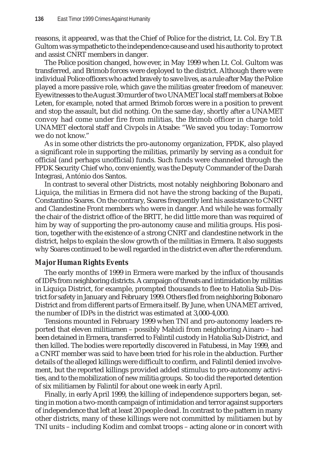reasons, it appeared, was that the Chief of Police for the district, Lt. Col. Ery T.B. Gultom was sympathetic to the independence cause and used his authority to protect and assist CNRT members in danger.

The Police position changed, however, in May 1999 when Lt. Col. Gultom was transferred, and Brimob forces were deployed to the district. Although there were individual Police officers who acted bravely to save lives, as a rule after May the Police played a more passive role, which gave the militias greater freedom of maneuver. Eyewitnesses to the August 30 murder of two UNAMET local staff members at Boboe Leten, for example, noted that armed Brimob forces were in a position to prevent and stop the assault, but did nothing. On the same day, shortly after a UNAMET convoy had come under fire from militias, the Brimob officer in charge told UNAMET electoral staff and Civpols in Atsabe: "We saved you today: Tomorrow we do not know."

As in some other districts the pro-autonomy organization, FPDK, also played a significant role in supporting the militias, primarily by serving as a conduit for official (and perhaps unofficial) funds. Such funds were channeled through the FPDK Security Chief who, conveniently, was the Deputy Commander of the Darah Integrasi, António dos Santos.

In contrast to several other Districts, most notably neighboring Bobonaro and Liquiça, the militias in Ermera did not have the strong backing of the Bupati, Constantino Soares. On the contrary, Soares frequently lent his assistance to CNRT and Clandestine Front members who were in danger. And while he was formally the chair of the district office of the BRTT, he did little more than was required of him by way of supporting the pro-autonomy cause and militia groups. His position, together with the existence of a strong CNRT and clandestine network in the district, helps to explain the slow growth of the militias in Ermera. It also suggests why Soares continued to be well regarded in the district even after the referendum.

## *Major Human Rights Events*

The early months of 1999 in Ermera were marked by the influx of thousands of IDPs from neighboring districts. A campaign of threats and intimidation by militias in Liquiça District, for example, prompted thousands to flee to Hatolia Sub-District for safety in January and February 1999. Others fled from neighboring Bobonaro District and from different parts of Ermera itself. By June, when UNAMET arrived, the number of IDPs in the district was estimated at 3,000-4,000.

Tensions mounted in February 1999 when TNI and pro-autonomy leaders reported that eleven militiamen – possibly Mahidi from neighboring Ainaro – had been detained in Ermera, transferred to Falintil custody in Hatolia Sub-District, and then killed. The bodies were reportedly discovered in Fatubessi, in May 1999, and a CNRT member was said to have been tried for his role in the abduction. Further details of the alleged killings were difficult to confirm, and Falintil denied involvement, but the reported killings provided added stimulus to pro-autonomy activities, and to the mobilization of new militia groups. So too did the reported detention of six militiamen by Falintil for about one week in early April.

Finally, in early April 1999, the killing of independence supporters began, setting in motion a two-month campaign of intimidation and terror against supporters of independence that left at least 20 people dead. In contrast to the pattern in many other districts, many of these killings were not committed by militiamen but by TNI units – including Kodim and combat troops – acting alone or in concert with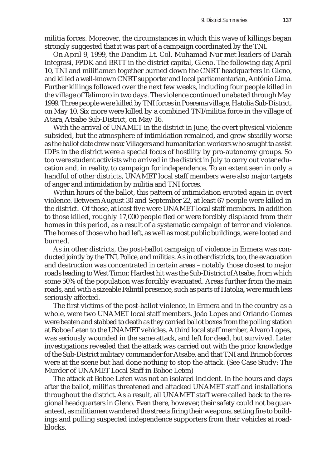militia forces. Moreover, the circumstances in which this wave of killings began strongly suggested that it was part of a campaign coordinated by the TNI.

On April 9, 1999, the Dandim Lt. Col. Muhamad Nur met leaders of Darah Integrasi, FPDK and BRTT in the district capital, Gleno. The following day, April 10, TNI and militiamen together burned down the CNRT headquarters in Gleno, and killed a well-known CNRT supporter and local parliamentarian, António Lima. Further killings followed over the next few weeks, including four people killed in the village of Talimoro in two days. The violence continued unabated through May 1999. Three people were killed by TNI forces in Poerema village, Hatolia Sub-District, on May 10. Six more were killed by a combined TNI/militia force in the village of Atara, Atsabe Sub-District, on May 16.

With the arrival of UNAMET in the district in June, the overt physical violence subsided, but the atmosphere of intimidation remained, and grew steadily worse as the ballot date drew near. Villagers and humanitarian workers who sought to assist IDPs in the district were a special focus of hostility by pro-autonomy groups. So too were student activists who arrived in the district in July to carry out voter education and, in reality, to campaign for independence. To an extent seen in only a handful of other districts, UNAMET local staff members were also major targets of anger and intimidation by militia and TNI forces.

Within hours of the ballot, this pattern of intimidation erupted again in overt violence. Between August 30 and September 22, at least 67 people were killed in the district. Of those, at least five were UNAMET local staff members. In addition to those killed, roughly 17,000 people fled or were forcibly displaced from their homes in this period, as a result of a systematic campaign of terror and violence. The homes of those who had left, as well as most public buildings, were looted and burned.

As in other districts, the post-ballot campaign of violence in Ermera was conducted jointly by the TNI, Police, and militias. As in other districts, too, the evacuation and destruction was concentrated in certain areas – notably those closest to major roads leading to West Timor. Hardest hit was the Sub-District of Atsabe, from which some 50% of the population was forcibly evacuated. Areas further from the main roads, and with a sizeable Falintil presence, such as parts of Hatolia, were much less seriously affected.

The first victims of the post-ballot violence, in Ermera and in the country as a whole, were two UNAMET local staff members. João Lopes and Orlando Gomes were beaten and stabbed to death as they carried ballot boxes from the polling station at Boboe Leten to the UNAMET vehicles. A third local staff member, Alvaro Lopes, was seriously wounded in the same attack, and left for dead, but survived. Later investigations revealed that the attack was carried out with the prior knowledge of the Sub-District military commander for Atsabe, and that TNI and Brimob forces were at the scene but had done nothing to stop the attack. (See Case Study: The Murder of UNAMET Local Staff in Boboe Leten)

The attack at Boboe Leten was not an isolated incident. In the hours and days after the ballot, militias threatened and attacked UNAMET staff and installations throughout the district. As a result, all UNAMET staff were called back to the regional headquarters in Gleno. Even there, however, their safety could not be guaranteed, as militiamen wandered the streets firing their weapons, setting fire to buildings and pulling suspected independence supporters from their vehicles at roadblocks.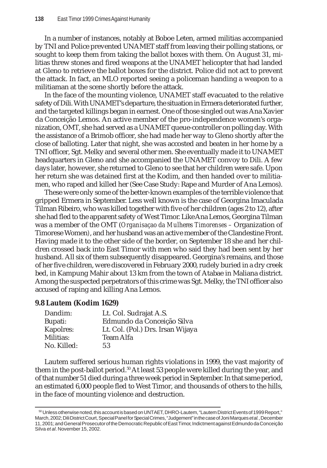In a number of instances, notably at Boboe Leten, armed militias accompanied by TNI and Police prevented UNAMET staff from leaving their polling stations, or sought to keep them from taking the ballot boxes with them. On August 31, militias threw stones and fired weapons at the UNAMET helicopter that had landed at Gleno to retrieve the ballot boxes for the district. Police did not act to prevent the attack. In fact, an MLO reported seeing a policeman handing a weapon to a militiaman at the scene shortly before the attack.

In the face of the mounting violence, UNAMET staff evacuated to the relative safety of Dili. With UNAMET's departure, the situation in Ermera deteriorated further, and the targeted killings began in earnest. One of those singled out was Ana Xavier da Conceição Lemos. An active member of the pro-independence women's organization, OMT, she had served as a UNAMET queue-controller on polling day. With the assistance of a Brimob officer, she had made her way to Gleno shortly after the close of balloting. Later that night, she was accosted and beaten in her home by a TNI officer, Sgt. Melky and several other men. She eventually made it to UNAMET headquarters in Gleno and she accompanied the UNAMET convoy to Dili. A few days later, however, she returned to Gleno to see that her children were safe. Upon her return she was detained first at the Kodim, and then handed over to militiamen, who raped and killed her (See Case Study: Rape and Murder of Ana Lemos).

These were only some of the better-known examples of the terrible violence that gripped Ermera in September. Less well known is the case of Georgina Imaculada Tilman Ribeiro, who was killed together with five of her children (ages 2 to 12), after she had fled to the apparent safety of West Timor. Like Ana Lemos, Georgina Tilman was a member of the OMT (*Organisaçao da Mulheres Timorenses –* Organization of Timorese Women*)*, and her husband was an active member of the Clandestine Front. Having made it to the other side of the border, on September 18 she and her children crossed back into East Timor with men who said they had been sent by her husband. All six of them subsequently disappeared. Georgina's remains, and those of her five children, were discovered in February 2000, rudely buried in a dry creek bed, in Kampung Mahir about 13 km from the town of Atabae in Maliana district. Among the suspected perpetrators of this crime was Sgt. Melky, the TNI officer also accused of raping and killing Ana Lemos.

#### **9.8 Lautem (Kodim 1629)**

| Dandim:     | Lt. Col. Sudrajat A.S.            |
|-------------|-----------------------------------|
| Bupati:     | Edmundo da Conceição Silva        |
| Kapolres:   | Lt. Col. (Pol.) Drs. Irsan Wijaya |
| Militias:   | <b>Team Alfa</b>                  |
| No. Killed: | 53                                |

Lautem suffered serious human rights violations in 1999, the vast majority of them in the post-ballot period.<sup>50</sup> At least 53 people were killed during the year, and of that number 51 died during a three week period in September. In that same period, an estimated 6,000 people fled to West Timor, and thousands of others to the hills, in the face of mounting violence and destruction.

<sup>50</sup> Unless otherwise noted, this account is based on UNTAET, DHRO-Lautem, "Lautem District Events of 1999 Report," March, 2002; Dili District Court, Special Panel for Special Crimes, "Judgement" in the case of Joni Marques *et al.*, December 11, 2001; and General Prosecutor of the Democratic Republic of East Timor, Indictment againstEdmundo da Conceição Silva *et al*. November 15, 2002.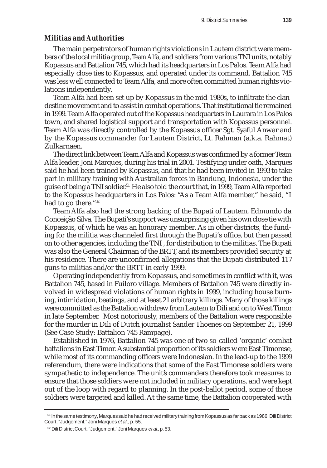#### *Militias and Authorities*

The main perpetrators of human rights violations in Lautem district were members of the local militia group, *Team Alfa*, and soldiers from various TNI units, notably Kopassus and Battalion 745, which had its headquarters in Los Palos. Team Alfa had especially close ties to Kopassus, and operated under its command. Battalion 745 was less well connected to Team Alfa, and more often committed human rights violations independently.

Team Alfa had been set up by Kopassus in the mid-1980s, to infiltrate the clandestine movement and to assist in combat operations. That institutional tie remained in 1999. Team Alfa operated out of the Kopassus headquarters in Laurara in Los Palos town, and shared logistical support and transportation with Kopassus personnel. Team Alfa was directly controlled by the Kopassus officer Sgt. Syaful Anwar and by the Kopassus commander for Lautem District, Lt. Rahman (a.k.a. Rahmat) Zulkarnaen.

The direct link between Team Alfa and Kopassus was confirmed by a former Team Alfa leader, Joni Marques, during his trial in 2001. Testifying under oath, Marques said he had been trained by Kopassus, and that he had been invited in 1993 to take part in military training with Australian forces in Bandung, Indonesia, under the guise of being a TNI soldier.<sup>51</sup> He also told the court that, in 1999, Team Alfa reported to the Kopassus headquarters in Los Palos: "As a Team Alfa member," he said, "I had to go there."52

Team Alfa also had the strong backing of the Bupati of Lautem, Edmundo da Conceição Silva. The Bupati's support was unsurprising given his own close tie with Kopassus, of which he was an honorary member. As in other districts, the funding for the militia was channeled first through the Bupati's office, but then passed on to other agencies, including the TNI , for distribution to the militias. The Bupati was also the General Chairman of the BRTT, and its members provided security at his residence. There are unconfirmed allegations that the Bupati distributed 117 guns to militias and/or the BRTT in early 1999.

Operating independently from Kopassus, and sometimes in conflict with it, was Battalion 745, based in Fuiloro village. Members of Battalion 745 were directly involved in widespread violations of human rights in 1999, including house burning, intimidation, beatings, and at least 21 arbitrary killings. Many of those killings were committed as the Battalion withdrew from Lautem to Dili and on to West Timor in late September. Most notoriously, members of the Battalion were responsible for the murder in Dili of Dutch journalist Sander Thoenes on September 21, 1999 (See Case Study: Battalion 745 Rampage).

Established in 1976, Battalion 745 was one of two so-called 'organic' combat battalions in East Timor. A substantial proportion of its soldiers were East Timorese, while most of its commanding officers were Indonesian. In the lead-up to the 1999 referendum, there were indications that some of the East Timorese soldiers were sympathetic to independence. The unit's commanders therefore took measures to ensure that those soldiers were not included in military operations, and were kept out of the loop with regard to planning. In the post-ballot period, some of those soldiers were targeted and killed. At the same time, the Battalion cooperated with

<sup>51</sup> In the same testimony, Marques said he had received military training from Kopassus as far back as 1986. Dili District Court, "Judgement," Joni Marques *et al*., p. 55.

<sup>52</sup> Dili District Court, "Judgement," Joni Marques *et al*., p. 53.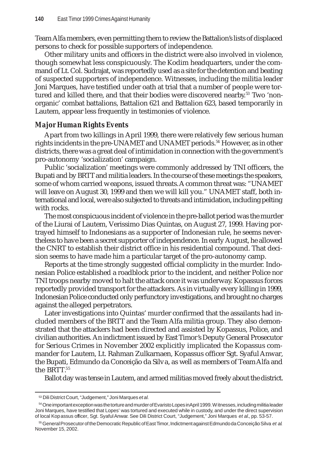Team Alfa members, even permitting them to review the Battalion's lists of displaced persons to check for possible supporters of independence.

Other military units and officers in the district were also involved in violence, though somewhat less conspicuously. The Kodim headquarters, under the command of Lt. Col. Sudrajat, was reportedly used as a site for the detention and beating of suspected supporters of independence. Witnesses, including the militia leader Joni Marques, have testified under oath at trial that a number of people were tortured and killed there, and that their bodies were discovered nearby.<sup>53</sup> Two 'nonorganic' combat battalions, Battalion 621 and Battalion 623, based temporarily in Lautem, appear less frequently in testimonies of violence.

#### *Major Human Rights Events*

Apart from two killings in April 1999, there were relatively few serious human rights incidents in the pre-UNAMET and UNAMET periods.<sup>54</sup> However, as in other districts, there was a great deal of intimidation in connection with the government's pro-autonomy 'socialization' campaign.

Public 'socialization' meetings were commonly addressed by TNI officers, the Bupati and by BRTT and militia leaders. In the course of these meetings the speakers, some of whom carried weapons, issued threats. A common threat was: "UNAMET will leave on August 30, 1999 and then we will kill you." UNAMET staff, both international and local, were also subjected to threats and intimidation, including pelting with rocks.

The most conspicuous incident of violence in the pre-ballot period was the murder of the Liurai of Lautem, Verissimo Dias Quintas, on August 27, 1999. Having portrayed himself to Indonesians as a supporter of Indonesian rule, he seems nevertheless to have been a secret supporter of independence. In early August, he allowed the CNRT to establish their district office in his residential compound. That decision seems to have made him a particular target of the pro-autonomy camp.

Reports at the time strongly suggested official complicity in the murder. Indonesian Police established a roadblock prior to the incident, and neither Police nor TNI troops nearby moved to halt the attack once it was underway. Kopassus forces reportedly provided transport for the attackers. As in virtually every killing in 1999, Indonesian Police conducted only perfunctory investigations, and brought no charges against the alleged perpetrators.

Later investigations into Quintas' murder confirmed that the assailants had included members of the BRTT and the Team Alfa militia group. They also demonstrated that the attackers had been directed and assisted by Kopassus, Police, and civilian authorities. An indictment issued by East Timor's Deputy General Prosecutor for Serious Crimes in November 2002 explicitly implicated the Kopassus commander for Lautem, Lt. Rahman Zulkarnaen, Kopassus officer Sgt. Syaful Anwar, the Bupati, Edmundo da Conceição da Silva, as well as members of Team Alfa and the BRTT.55

Ballot day was tense in Lautem, and armed militias moved freely about the district.

<sup>53</sup> Dili District Court, "Judgement," Joni Marques *et al.*

<sup>54</sup> One important exception was the torture and murder of Evaristo Lopes in April 1999. Witnesses, including militia leader Joni Marques, have testified that Lopes' was tortured and executed while in custody, and under the direct supervision of local Kopassus officer, Sgt. Syaful Anwar. See Dili District Court, "Judgement," Joni Marques *et al.*, pp. 53-57.

<sup>55</sup> General Prosecutor of the Democratic Republic of East Timor, Indictment againstEdmundo da Conceição Silva *et al*. November 15, 2002.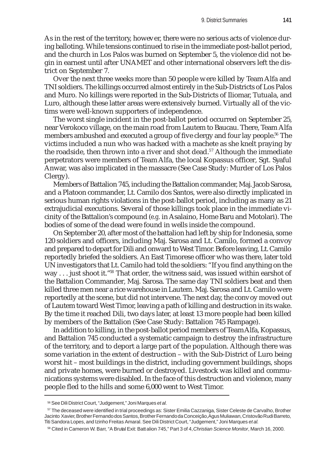As in the rest of the territory, however, there were no serious acts of violence during balloting. While tensions continued to rise in the immediate post-ballot period, and the church in Los Palos was burned on September 5, the violence did not begin in earnest until after UNAMET and other international observers left the district on September 7.

Over the next three weeks more than 50 people were killed by Team Alfa and TNI soldiers. The killings occurred almost entirely in the Sub-Districts of Los Palos and Muro. No killings were reported in the Sub-Districts of Iliomar, Tutuala, and Luro, although these latter areas were extensively burned. Virtually all of the victims were well-known supporters of independence.

The worst single incident in the post-ballot period occurred on September 25, near Verokoco village, on the main road from Lautem to Baucau. There, Team Alfa members ambushed and executed a group of five clergy and four lay people.<sup>56</sup> The victims included a nun who was hacked with a machete as she knelt praying by the roadside, then thrown into a river and shot dead.<sup>57</sup> Although the immediate perpetrators were members of Team Alfa, the local Kopassus officer, Sgt. Syaful Anwar, was also implicated in the massacre (See Case Study: Murder of Los Palos Clergy).

Members of Battalion 745, including the Battalion commander, Maj. Jacob Sarosa, and a Platoon commander, Lt. Camilo dos Santos, were also directly implicated in serious human rights violations in the post-ballot period, including as many as 21 extrajudicial executions. Several of those killings took place in the immediate vicinity of the Battalion's compound (*e.g.* in Asalaino, Home Baru and Motolari). The bodies of some of the dead were found in wells inside the compound.

On September 20, after most of the battalion had left by ship for Indonesia, some 120 soldiers and officers, including Maj. Sarosa and Lt. Camilo, formed a convoy and prepared to depart for Dili and onward to West Timor. Before leaving, Lt. Camilo reportedly briefed the soldiers. An East Timorese officer who was there, later told UN investigators that Lt. Camilo had told the soldiers: "If you find anything on the way . . . just shoot it."58 That order, the witness said, was issued within earshot of the Battalion Commander, Maj. Sarosa. The same day TNI soldiers beat and then killed three men near a rice warehouse in Lautem. Maj. Sarosa and Lt. Camilo were reportedly at the scene, but did not intervene. The next day, the convoy moved out of Lautem toward West Timor, leaving a path of killing and destruction in its wake. By the time it reached Dili, two days later, at least 13 more people had been killed by members of the Battalion (See Case Study: Battalion 745 Rampage).

In addition to killing, in the post-ballot period members of Team Alfa, Kopassus, and Battalion 745 conducted a systematic campaign to destroy the infrastructure of the territory, and to deport a large part of the population. Although there was some variation in the extent of destruction – with the Sub-District of Luro being worst hit – most buildings in the district, including government buildings, shops and private homes, were burned or destroyed. Livestock was killed and communications systems were disabled. In the face of this destruction and violence, many people fled to the hills and some 6,000 went to West Timor.

<sup>56</sup> See Dili District Court, "Judgement," Joni Marques *et al.*

<sup>57</sup> The deceased were identified in trial proceedings as: Sister Emilia Cazzaniga, Sister Celeste de Carvalho, Brother Jacinto Xavier, Brother Fernando dos Santos, Brother Fernando da Conceição, Agus Muliawan, Cristovão Rudi Barreto, Titi Sandora Lopes, and Izinho Freitas Amaral. See Dili District Court, "Judgement," Joni Marques *et al.*

<sup>58</sup> Cited in Cameron W. Barr, "A Brutal Exit: Battalion 745," Part 3 of 4, *Christian Science Monitor*, March 16, 2000.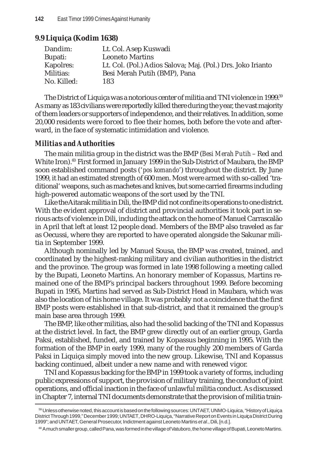# **9.9 Liquiça (Kodim 1638)**

| Lt. Col. Asep Kuswadi                                       |
|-------------------------------------------------------------|
| <b>Leoneto Martins</b>                                      |
| Lt. Col. (Pol.) Adios Salova; Maj. (Pol.) Drs. Joko Irianto |
| Besi Merah Putih (BMP), Pana                                |
| 183                                                         |
|                                                             |

The District of Liquiça was a notorious center of militia and TNI violence in 1999.<sup>59</sup> As many as 183 civilians were reportedly killed there during the year, the vast majority of them leaders or supporters of independence, and their relatives. In addition, some 20,000 residents were forced to flee their homes, both before the vote and afterward, in the face of systematic intimidation and violence.

# *Militias and Authorities*

The main militia group in the district was the BMP (*Besi Merah Putih* – Red and White Iron).<sup>60</sup> First formed in January 1999 in the Sub-District of Maubara, the BMP soon established command posts ('*pos komando*') throughout the district. By June 1999, it had an estimated strength of 600 men. Most were armed with so-called 'traditional' weapons, such as machetes and knives, but some carried firearms including high-powered automatic weapons of the sort used by the TNI.

Like the Aitarak militia in Dili, the BMP did not confine its operations to one district. With the evident approval of district and provincial authorities it took part in serious acts of violence in Dili, including the attack on the home of Manuel Carrascalão in April that left at least 12 people dead. Members of the BMP also traveled as far as Oecussi, where they are reported to have operated alongside the Sakunar militia in September 1999.

Although nominally led by Manuel Sousa, the BMP was created, trained, and coordinated by the highest-ranking military and civilian authorities in the district and the province. The group was formed in late 1998 following a meeting called by the Bupati, Leoneto Martins. An honorary member of Kopassus, Martins remained one of the BMP's principal backers throughout 1999. Before becoming Bupati in 1995, Martins had served as Sub-District Head in Maubara, which was also the location of his home village. It was probably not a coincidence that the first BMP posts were established in that sub-district, and that it remained the group's main base area through 1999.

The BMP, like other militias, also had the solid backing of the TNI and Kopassus at the district level. In fact, the BMP grew directly out of an earlier group, Garda Paksi, established, funded, and trained by Kopassus beginning in 1995. With the formation of the BMP in early 1999, many of the roughly 200 members of Garda Paksi in Liquiça simply moved into the new group. Likewise, TNI and Kopassus backing continued, albeit under a new name and with renewed vigor.

TNI and Kopassus backing for the BMP in 1999 took a variety of forms, including public expressions of support, the provision of military training, the conduct of joint operations, and official inaction in the face of unlawful militia conduct. As discussed in Chapter 7, internal TNI documents demonstrate that the provision of militia train-

<sup>59</sup> Unless otherwise noted, this account is based on the following sources: UNTAET, UNMO-Liquica, "History of Liquiça District Through 1999," December 1999; UNTAET, DHRO-Liquiça, "Narrative Report on Events in Liquiça District During 1999"; and UNTAET, General Prosecutor, Indictment against Leoneto Martins *et al*., Dili, [n.d.].

<sup>&</sup>lt;sup>60</sup> A much smaller group, called Pana, was formed in the village of Vatuboro, the home village of Bupati, Leoneto Martins.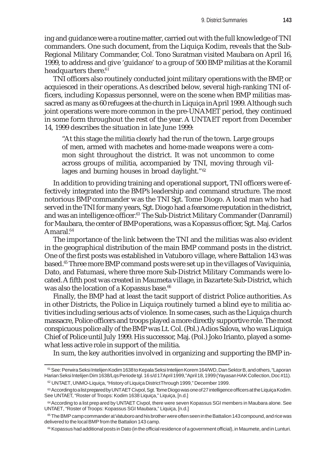ing and guidance were a routine matter, carried out with the full knowledge of TNI commanders. One such document, from the Liquiça Kodim, reveals that the Sub-Regional Military Commander, Col. Tono Suratman visited Maubara on April 16, 1999, to address and give 'guidance' to a group of 500 BMP militias at the Koramil headquarters there.<sup>61</sup>

TNI officers also routinely conducted joint military operations with the BMP, or acquiesced in their operations. As described below, several high-ranking TNI officers, including Kopassus personnel, were on the scene when BMP militias massacred as many as 60 refugees at the church in Liquiça in April 1999. Although such joint operations were more common in the pre-UNAMET period, they continued in some form throughout the rest of the year. A UNTAET report from December 14, 1999 describes the situation in late June 1999:

"At this stage the militia clearly had the run of the town. Large groups of men, armed with machetes and home-made weapons were a common sight throughout the district. It was not uncommon to come across groups of militia, accompanied by TNI, moving through villages and burning houses in broad daylight."<sup>62</sup>

In addition to providing training and operational support, TNI officers were effectively integrated into the BMP's leadership and command structure. The most notorious BMP commander was the TNI Sgt. Tome Diogo. A local man who had served in the TNI for many years, Sgt. Diogo had a fearsome reputation in the district, and was an intelligence officer.<sup>63</sup> The Sub-District Military Commander (Danramil) for Maubara, the center of BMP operations, was a Kopassus officer, Sgt. Maj. Carlos Amaral.<sup>64</sup>

The importance of the link between the TNI and the militias was also evident in the geographical distribution of the main BMP command posts in the district. One of the first posts was established in Vatuboro village, where Battalion 143 was based.65 Three more BMP command posts were set up in the villages of Vaviquinia, Dato, and Fatumasi, where three more Sub-District Military Commands were located. A fifth post was created in Maumeta village, in Bazartete Sub-District, which was also the location of a Kopassus base.<sup>66</sup>

Finally, the BMP had at least the tacit support of district Police authorities. As in other Districts, the Police in Liquiça routinely turned a blind eye to militia activities including serious acts of violence. In some cases, such as the Liquiça church massacre, Police officers and troops played a more directly supportive role. The most conspicuous police ally of the BMP was Lt. Col. (Pol.) Adios Salova, who was Liquiça Chief of Police until July 1999. His successor, Maj. (Pol.) Joko Irianto, played a somewhat less active role in support of the militia.

In sum, the key authorities involved in organizing and supporting the BMP in-

<sup>61</sup> See: Perwira Seksi Intelijen Kodim 1638 to Kepala Seksi Intelijen Korem 164/WD, Dan Sektor B, and others, "Laporan Harian Seksi Intelijen Dim 1638/Lqs Periode tgl. 16 s/d 17 April 1999," April 18, 1999 (Yayasan HAK Collection, Doc #11).

<sup>62</sup> UNTAET, UNMO-Liquiça, "History of Liquiça District Through 1999," December 1999.

<sup>&</sup>lt;sup>63</sup> According to a list prepared by UNTAET Civpol, Sgt. Tome Diogo was one of 27 intelligence officers at the Liquiça Kodim. See UNTAET, "Roster of Troops: Kodim 1638 Liquiça," Liquiça, [n.d.]

<sup>64</sup> According to a list prepared by UNTAET Civpol, there were seven Kopassus SGI members in Maubara alone. See UNTAET, "Roster of Troops: Kopassus SGI Maubara," Liquiça, [n.d.]

 $65$  The BMP camp commander at Vatuboro and his brother were often seen in the Battalion 143 compound, and rice was delivered to the local BMP from the Battalion 143 camp.

<sup>&</sup>lt;sup>66</sup> Kopassus had additional posts in Dato (in the official residence of a government official), in Maumete, and in Lunturi.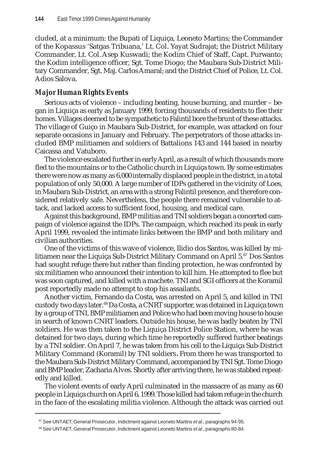cluded, at a minimum: the Bupati of Liquiça, Leoneto Martins; the Commander of the Kopassus 'Satgas Tribuana,' Lt. Col. Yayat Sudrajat; the District Military Commander, Lt. Col. Asep Kuswadi; the Kodim Chief of Staff, Capt. Purwanto; the Kodim intelligence officer, Sgt. Tome Diogo; the Maubara Sub-District Military Commander, Sgt. Maj. Carlos Amaral; and the District Chief of Police, Lt. Col. Adios Salova.

# *Major Human Rights Events*

Serious acts of violence – including beating, house burning, and murder – began in Liquiça as early as January 1999, forcing thousands of residents to flee their homes. Villages deemed to be sympathetic to Falintil bore the brunt of these attacks. The village of Guiço in Maubara Sub-District, for example, was attacked on four separate occasions in January and February. The perpetrators of those attacks included BMP militiamen and soldiers of Battalions 143 and 144 based in nearby Caicassa and Vatuboro.

The violence escalated further in early April, as a result of which thousands more fled to the mountains or to the Catholic church in Liquiça town. By some estimates there were now as many as 6,000 internally displaced people in the district, in a total population of only 50,000. A large number of IDPs gathered in the vicinity of Loes, in Maubara Sub-District, an area with a strong Falintil presence, and therefore considered relatively safe. Nevertheless, the people there remained vulnerable to attack, and lacked access to sufficient food, housing, and medical care.

Against this background, BMP militias and TNI soldiers began a concerted campaign of violence against the IDPs. The campaign, which reached its peak in early April 1999, revealed the intimate links between the BMP and both military and civilian authorities.

One of the victims of this wave of violence, Ilidio dos Santos, was killed by militiamen near the Liquiça Sub-District Military Command on April  $5.67$  Dos Santos had sought refuge there but rather than finding protection, he was confronted by six militiamen who announced their intention to kill him. He attempted to flee but was soon captured, and killed with a machete. TNI and SGI officers at the Koramil post reportedly made no attempt to stop his assailants.

Another victim, Fernando da Costa, was arrested on April 5, and killed in TNI custody two days later.68 Da Costa, a CNRT supporter, was detained in Liquiça town by a group of TNI, BMP militiamen and Police who had been moving house to house in search of known CNRT leaders. Outside his house, he was badly beaten by TNI soldiers. He was then taken to the Liquiça District Police Station, where he was detained for two days, during which time he reportedly suffered further beatings by a TNI soldier. On April 7, he was taken from his cell to the Liquiça Sub-District Military Command (Koramil) by TNI soldiers**.** From there he was transported to the Maubara Sub-District Military Command, accompanied by TNI Sgt. Tome Diogo and BMP leader, Zacharia Alves. Shortly after arriving there, he was stabbed repeatedly and killed.

The violent events of early April culminated in the massacre of as many as 60 people in Liquiça church on April 6, 1999. Those killed had taken refuge in the church in the face of the escalating militia violence. Although the attack was carried out

<sup>67</sup> See UNTAET, General Prosecutor, Indictment against Leoneto Martins *et al*., paragraphs 94-95.

<sup>68</sup> See UNTAET, General Prosecutor, Indictment against Leoneto Martins *et al*., paragraphs 80-84.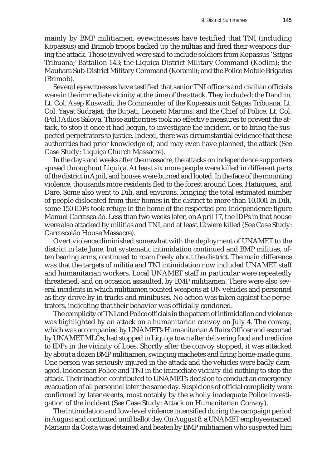mainly by BMP militiamen, eyewitnesses have testified that TNI (including Kopassus) and Brimob troops backed up the miltias and fired their weapons during the attack. Those involved were said to include soldiers from Kopassus 'Satgas Tribuana;' Battalion 143; the Liquiça District Military Command (Kodim); the Maubara Sub-District Military Command (Koramil*)*; and the Police Mobile Brigades (Brimob).

Several eyewitnesses have testified that senior TNI officers and civilian officials were in the immediate vicinity at the time of the attack. They included: the Dandim, Lt. Col. Asep Kuswadi; the Commander of the Kopassus unit Satgas Tribuana, Lt. Col. Yayat Sudrajat; the Bupati, Leoneto Martins; and the Chief of Police, Lt. Col. (Pol.) Adios Salova. Those authorities took no effective measures to prevent the attack, to stop it once it had begun, to investigate the incident, or to bring the suspected perpetrators to justice. Indeed, there was circumstantial evidence that these authorities had prior knowledge of, and may even have planned, the attack (See Case Study: Liquiça Church Massacre).

In the days and weeks after the massacre, the attacks on independence supporters spread throughout Liquiça. At least six more people were killed in different parts of the district in April, and houses were burned and looted. In the face of the mounting violence, thousands more residents fled to the forest around Loes, Hatuquesi, and Dare. Some also went to Dili, and environs, bringing the total estimated number of people dislocated from their homes in the district to more than 10,000**.** In Dili, some 150 IDPs took refuge in the home of the respected pro-independence figure Manuel Carrascalão. Less than two weeks later, on April 17, the IDPs in that house were also attacked by militias and TNI, and at least 12 were killed (See Case Study: Carrascalão House Massacre).

Overt violence diminished somewhat with the deployment of UNAMET to the district in late June, but systematic intimidation continued and BMP militias, often bearing arms, continued to roam freely about the district. The main difference was that the targets of militia and TNI intimidation now included UNAMET staff and humanitarian workers. Local UNAMET staff in particular were repeatedly threatened, and on occasion assaulted, by BMP militiamen. There were also several incidents in which militiamen pointed weapons at UN vehicles and personnel as they drove by in trucks and minibuses. No action was taken against the perpetrators, indicating that their behavior was officially condoned.

The complicity of TNI and Police officials in the pattern of intimidation and violence was highlighted by an attack on a humanitarian convoy on July 4. The convoy, which was accompanied by UNAMET's Humanitarian Affairs Officer and escorted by UNAMET MLOs, had stopped in Liquiça town after delivering food and medicine to IDPs in the vicinity of Loes. Shortly after the convoy stopped, it was attacked by about a dozen BMP militiamen, swinging machetes and firing home-made guns. One person was seriously injured in the attack and the vehicles were badly damaged. Indonesian Police and TNI in the immediate vicinity did nothing to stop the attack. Their inaction contributed to UNAMET's decision to conduct an emergency evacuation of all personnel later the same day. Suspicions of official complicity were confirmed by later events, most notably by the wholly inadequate Police investigation of the incident (See Case Study: Attack on Humanitarian Convoy).

The intimidation and low-level violence intensified during the campaign period in August and continued until ballot day. On August 8, a UNAMET employee named Mariano da Costa was detained and beaten by BMP militiamen who suspected him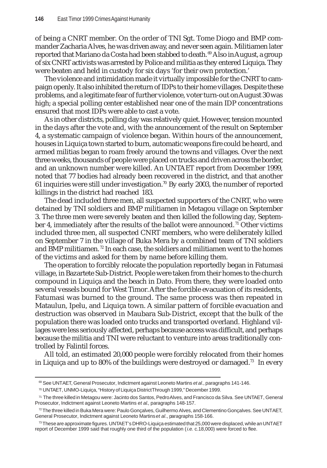of being a CNRT member. On the order of TNI Sgt. Tome Diogo and BMP commander Zacharia Alves, he was driven away, and never seen again. Militiamen later reported that Mariano da Costa had been stabbed to death. <sup>69</sup> Also in August, a group of six CNRT activists was arrested by Police and militia as they entered Liquiça. They were beaten and held in custody for six days 'for their own protection.'

The violence and intimidation made it virtually impossible for the CNRT to campaign openly. It also inhibited the return of IDPs to their home villages. Despite these problems, and a legitimate fear of further violence, voter turn-out on August 30 was high; a special polling center established near one of the main IDP concentrations ensured that most IDPs were able to cast a vote.

As in other districts, polling day was relatively quiet. However, tension mounted in the days after the vote and, with the announcement of the result on September 4, a systematic campaign of violence began. Within hours of the announcement, houses in Liquiça town started to burn, automatic weapons fire could be heard, and armed militias began to roam freely around the towns and villages. Over the next three weeks, thousands of people were placed on trucks and driven across the border, and an unknown number were killed. An UNTAET report from December 1999, noted that 77 bodies had already been recovered in the district, and that another 61 inquiries were still under investigation.<sup>70</sup> By early 2003, the number of reported killings in the district had reached 183.

The dead included three men, all suspected supporters of the CNRT, who were detained by TNI soldiers and BMP militiamen in Metagou village on September 3. The three men were severely beaten and then killed the following day, September 4, immediately after the results of the ballot were announced.<sup>71</sup> Other victims included three men, all suspected CNRT members, who were deliberately killed on September 7 in the village of Buka Mera by a combined team of TNI soldiers and BMP militiamen.<sup>72</sup> In each case, the soldiers and militiamen went to the homes of the victims and asked for them by name before killing them.

The operation to forcibly relocate the population reportedly began in Fatumasi village, in Bazartete Sub-District. People were taken from their homes to the church compound in Liquiça and the beach in Dato. From there, they were loaded onto several vessels bound for West Timor. After the forcible evacuation of its residents, Fatumasi was burned to the ground. The same process was then repeated in Mataulun, Ipelu, and Liquiça town. A similar pattern of forcible evacuation and destruction was observed in Maubara Sub-District, except that the bulk of the population there was loaded onto trucks and transported overland. Highland villages were less seriously affected, perhaps because access was difficult, and perhaps because the militia and TNI were reluctant to venture into areas traditionally controlled by Falintil forces.

All told, an estimated 20,000 people were forcibly relocated from their homes in Liquiça and up to 80% of the buildings were destroyed or damaged.<sup>73</sup> In every

<sup>69</sup> See UNTAET, General Prosecutor, Indictment against Leoneto Martins *et al*., paragraphs 141-146.

<sup>70</sup> UNTAET, UNMO-Liquiça, "History of Liquiça District Through 1999," December 1999.

<sup>71</sup> The three killed in Metagou were: Jacinto dos Santos, Pedro Alves, and Francisco da Silva. See UNTAET, General Prosecutor, Indictment against Leoneto Martins *et al*., paragraphs 148-157.

 $^{72}$  The three killed in Buka Mera were: Paulo Goncalves, Guilhermo Alves, and Clementino Goncalves, See UNTAET, General Prosecutor, Indictment against Leoneto Martins *et al*., paragraphs 158-166.

 $73$  These are approximate figures. UNTAET's DHRO-Liquiça estimated that 25,000 were displaced, while an UNTAET report of December 1999 said that roughly one third of the population (*i.e.* c.18,000) were forced to flee.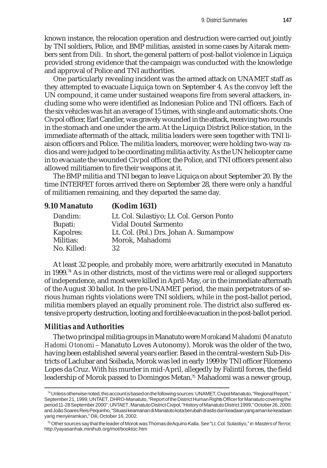known instance, the relocation operation and destruction were carried out jointly by TNI soldiers, Police, and BMP militias, assisted in some cases by Aitarak members sent from Dili. In short, the general pattern of post-ballot violence in Liquiça provided strong evidence that the campaign was conducted with the knowledge and approval of Police and TNI authorities.

One particularly revealing incident was the armed attack on UNAMET staff as they attempted to evacuate Liquiça town on September 4. As the convoy left the UN compound, it came under sustained weapons fire from several attackers, including some who were identified as Indonesian Police and TNI officers. Each of the six vehicles was hit an average of 15 times, with single and automatic shots. One Civpol officer, Earl Candler, was gravely wounded in the attack, receiving two rounds in the stomach and one under the arm. At the Liquiça District Police station, in the immediate aftermath of the attack, militia leaders were seen together with TNI liaison officers and Police. The militia leaders, moreover, were holding two-way radios and were judged to be coordinating militia activity. As the UN helicopter came in to evacuate the wounded Civpol officer, the Police, and TNI officers present also allowed militiamen to fire their weapons at it.

The BMP militia and TNI began to leave Liquiça on about September 20. By the time INTERFET forces arrived there on September 28, there were only a handful of militiamen remaining, and they departed the same day.

| <b>9.10 Manatuto</b> | <b>(Kodim 1631)</b>                       |
|----------------------|-------------------------------------------|
| Dandim:              | Lt. Col. Sulastiyo; Lt. Col. Gerson Ponto |
| Bupati:              | <b>Vidal Doutel Sarmento</b>              |
| Kapolres:            | Lt. Col. (Pol.) Drs. Johan A. Sumampow    |
| Militias:            | Morok, Mahadomi                           |
| No. Killed:          | 32                                        |

At least 32 people, and probably more, were arbitrarily executed in Manatuto in 1999.74 As in other districts, most of the victims were real or alleged supporters of independence, and most were killed in April-May, or in the immediate aftermath of the August 30 ballot. In the pre-UNAMET period, the main perpetrators of serious human rights violations were TNI soldiers, while in the post-ballot period, militia members played an equally prominent role. The district also suffered extensive property destruction, looting and forcible evacuation in the post-ballot period.

#### *Militias and Authorities*

The two principal militia groups in Manatuto were *Morok* and *Mahadomi* (*Manatuto Hadomi Otonomi* – Manatuto Loves Autonomy). Morok was the older of the two, having been established several years earlier. Based in the central-western Sub-Districts of Laclubar and Soibada, Morok was led in early 1999 by TNI officer Filomeno Lopes da Cruz. With his murder in mid-April, allegedly by Falintil forces, the field leadership of Morok passed to Domingos Metan.75 Mahadomi was a newer group,

<sup>74</sup> Unless otherwise noted, this account is based on the following sources: UNAMET, Civpol Manatuto, "Regional Report," September 21, 1999; UNTAET, DHRO-Manatuto, "Report of the District Human Rights Officer for Manatuto covering the period 11-28 September 2000"; UNTAET, Manatuto District Civpol, "History of Manatuto District 1999," October 26, 2000; and João Soares Reis Pequinho, "Situasi keamanan di Manatuto kota berubah drastis dari keadaan yang aman ke keadaan yang menyeramkan," Dili, October 16, 2002.

<sup>75</sup> Other sources say that the leader of Morok was Thomas de Aquino Kalla. See "Lt. Col. Sulastiyo," in *Masters of Terror*, http://yayasanhak.minihub.org/mot/booktoc.htm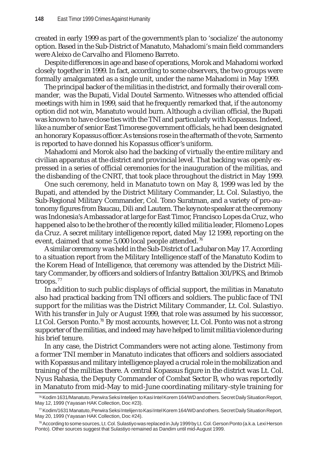created in early 1999 as part of the government's plan to 'socialize' the autonomy option. Based in the Sub-District of Manatuto, Mahadomi's main field commanders were Aleixo de Carvalho and Filomeno Barreto.

Despite differences in age and base of operations, Morok and Mahadomi worked closely together in 1999. In fact, according to some observers, the two groups were formally amalgamated as a single unit, under the name Mahadomi in May 1999.

The principal backer of the militias in the district, and formally their overall commander, was the Bupati, Vidal Doutel Sarmento. Witnesses who attended official meetings with him in 1999, said that he frequently remarked that, if the autonomy option did not win, Manatuto would burn. Although a civilian official, the Bupati was known to have close ties with the TNI and particularly with Kopassus. Indeed, like a number of senior East Timorese government officials, he had been designated an honorary Kopassus officer. As tensions rose in the aftermath of the vote, Sarmento is reported to have donned his Kopassus officer's uniform.

Mahadomi and Morok also had the backing of virtually the entire military and civilian apparatus at the district and provincial level. That backing was openly expressed in a series of official ceremonies for the inauguration of the militias, and the disbanding of the CNRT, that took place throughout the district in May 1999.

One such ceremony, held in Manatuto town on May 8, 1999 was led by the Bupati, and attended by the District Military Commander, Lt. Col. Sulastiyo, the Sub-Regional Military Commander, Col. Tono Suratman, and a variety of pro-autonomy figures from Baucau, Dili and Lautem. The keynote speaker at the ceremony was Indonesia's Ambassador at large for East Timor, Francisco Lopes da Cruz, who happened also to be the brother of the recently killed militia leader, Filomeno Lopes da Cruz. A secret military intelligence report, dated May 12 1999, reporting on the event, claimed that some 5,000 local people attended.<sup>76</sup>

A similar ceremony was held in the Sub-District of Laclubar on May 17. According to a situation report from the Military Intelligence staff of the Manatuto Kodim to the Korem Head of Intelligence, that ceremony was attended by the District Military Commander, by officers and soldiers of Infantry Battalion 301/PKS, and Brimob troops. <sup>77</sup>

In addition to such public displays of official support, the militias in Manatuto also had practical backing from TNI officers and soldiers. The public face of TNI support for the militias was the District Military Commander, Lt. Col. Sulastiyo. With his transfer in July or August 1999, that role was assumed by his successor, Lt Col. Gerson Ponto.<sup>78</sup> By most accounts, however, Lt. Col. Ponto was not a strong supporter of the militias, and indeed may have helped to limit militia violence during his brief tenure.

In any case, the District Commanders were not acting alone. Testimony from a former TNI member in Manatuto indicates that officers and soldiers associated with Kopassus and military intelligence played a crucial role in the mobilization and training of the militias there. A central Kopassus figure in the district was Lt. Col. Nyus Rahasia, the Deputy Commander of Combat Sector B, who was reportedly in Manatuto from mid-May to mid-June coordinating military-style training for

<sup>76</sup> Kodim 1631/Manatuto, Perwira Seksi Intelijen to Kasi Intel Korem 164/WD and others. Secret Daily Situation Report, May 12, 1999 (Yayasan HAK Collection, Doc #23).

 $\%$  Kodim/1631 Manatuto, Perwira Seksi Intelijen to Kasi Intel Korem 164/WD and others. Secret Daily Situation Report, May 20, 1999 (Yayasan HAK Collection, Doc #24).

<sup>78</sup> According to some sources, Lt. Col. Sulastiyo was replaced in July 1999 by Lt. Col. Gerson Ponto (a.k.a. Lexi Herson Ponto). Other sources suggest that Sulastiyo remained as Dandim until mid-August 1999.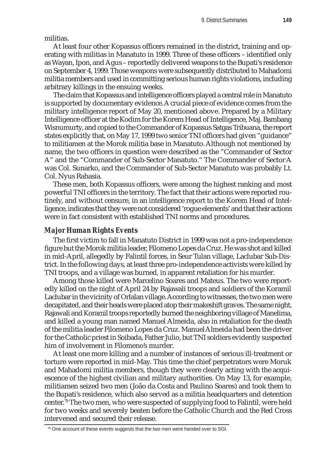militias.

At least four other Kopassus officers remained in the district, training and operating with militias in Manatuto in 1999. Three of these officers – identified only as Wayan, Ipon, and Agus – reportedly delivered weapons to the Bupati's residence on September 4, 1999. Those weapons were subsequently distributed to Mahadomi militia members and used in committing serious human rights violations, including arbitrary killings in the ensuing weeks.

The claim that Kopassus and intelligence officers played a central role in Manatuto is supported by documentary evidence. A crucial piece of evidence comes from the military intelligence report of May 20, mentioned above. Prepared by a Military Intelligence officer at the Kodim for the Korem Head of Intelligence, Maj. Bambang Wisnumurty, and copied to the Commander of Kopassus Satgas Tribuana, the report states explicitly that, on May 17, 1999 two senior TNI officers had given "guidance" to militiamen at the Morok militia base in Manatuto. Although not mentioned by name, the two officers in question were described as the "Commander of Sector A" and the "Commander of Sub-Sector Manatuto." The Commander of Sector A was Col. Sunarko, and the Commander of Sub-Sector Manatuto was probably Lt. Col. Nyus Rahasia.

These men, both Kopassus officers, were among the highest ranking and most powerful TNI officers in the territory. The fact that their actions were reported routinely, and without censure, in an intelligence report to the Korem Head of Intelligence, indicates that they were not considered 'rogue elements' and that their actions were in fact consistent with established TNI norms and procedures.

# *Major Human Rights Events*

The first victim to fall in Manatuto District in 1999 was not a pro-independence figure but the Morok militia leader, Filomeno Lopes da Cruz. He was shot and killed in mid-April, allegedly by Falintil forces, in Seur Tulan village, Laclubar Sub-District. In the following days, at least three pro-independence activists were killed by TNI troops, and a village was burned, in apparent retaliation for his murder.

Among those killed were Marcelino Soares and Mateus. The two were reportedly killed on the night of April 24 by Rajawali troops and soldiers of the Koramil Laclubar in the vicinity of Orlalan village. According to witnesses, the two men were decapitated, and their heads were placed atop their makeshift graves. The same night, Rajawali and Koramil troops reportedly burned the neighboring village of Manelima, and killed a young man named Manuel Almeida, also in retaliation for the death of the militia leader Filomeno Lopes da Cruz. Manuel Almeida had been the driver for the Catholic priest in Soibada, Father Julio, but TNI soldiers evidently suspected him of involvement in Filomeno's murder.

At least one more killing and a number of instances of serious ill-treatment or torture were reported in mid-May. This time the chief perpetrators were Moruk and Mahadomi militia members, though they were clearly acting with the acquiescence of the highest civilian and military authorities. On May 13, for example, militiamen seized two men (João da Costa and Paulino Soares) and took them to the Bupati's residence, which also served as a militia headquarters and detention center.79 The two men, who were suspected of supplying food to Falintil, were held for two weeks and severely beaten before the Catholic Church and the Red Cross intervened and secured their release.

 $79$  One account of these events suggests that the two men were handed over to SGI.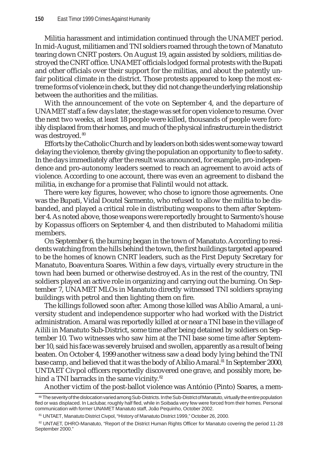Militia harassment and intimidation continued through the UNAMET period. In mid-August, militiamen and TNI soldiers roamed through the town of Manatuto tearing down CNRT posters. On August 19, again assisted by soldiers, militias destroyed the CNRT office. UNAMET officials lodged formal protests with the Bupati and other officials over their support for the militias, and about the patently unfair political climate in the district. Those protests appeared to keep the most extreme forms of violence in check, but they did not change the underlying relationship between the authorities and the militias.

With the announcement of the vote on September 4, and the departure of UNAMET staff a few days later, the stage was set for open violence to resume. Over the next two weeks, at least 18 people were killed, thousands of people were forcibly displaced from their homes, and much of the physical infrastructure in the district was destroyed.<sup>80</sup>

Efforts by the Catholic Church and by leaders on both sides went some way toward delaying the violence, thereby giving the population an opportunity to flee to safety. In the days immediately after the result was announced, for example, pro-independence and pro-autonomy leaders seemed to reach an agreement to avoid acts of violence. According to one account, there was even an agreement to disband the militia, in exchange for a promise that Falintil would not attack.

There were key figures, however, who chose to ignore those agreements. One was the Bupati, Vidal Doutel Sarmento, who refused to allow the militia to be disbanded, and played a critical role in distributing weapons to them after September 4. As noted above, those weapons were reportedly brought to Sarmento's house by Kopassus officers on September 4, and then distributed to Mahadomi militia members.

On September 6, the burning began in the town of Manatuto. According to residents watching from the hills behind the town, the first buildings targeted appeared to be the homes of known CNRT leaders, such as the First Deputy Secretary for Manatuto, Boaventura Soares. Within a few days, virtually every structure in the town had been burned or otherwise destroyed. As in the rest of the country, TNI soldiers played an active role in organizing and carrying out the burning. On September 7, UNAMET MLOs in Manatuto directly witnessed TNI soldiers spraying buildings with petrol and then lighting them on fire.

The killings followed soon after. Among those killed was Abílio Amaral, a university student and independence supporter who had worked with the District administration. Amaral was reportedly killed at or near a TNI base in the village of Ailili in Manatuto Sub-District, some time after being detained by soldiers on September 10. Two witnesses who saw him at the TNI base some time after September 10, said his face was severely bruised and swollen, apparently as a result of being beaten. On October 4, 1999 another witness saw a dead body lying behind the TNI base camp, and believed that it was the body of Abílio Amaral.<sup>81</sup> In September 2000, UNTAET Civpol officers reportedly discovered one grave, and possibly more, behind a TNI barracks in the same vicinity.<sup>82</sup>

Another victim of the post-ballot violence was António (Pinto) Soares, a mem-

<sup>80</sup> The severity of the dislocation varied among Sub-Districts. In the Sub-District of Manatuto, virtually the entire population fled or was displaced. In Laclubar, roughly half fled, while in Soibada very few were forced from their homes. Personal communication with former UNAMET Manatuto staff, João Pequinho, October 2002.

<sup>81</sup> UNTAET, Manatuto District Civpol, "History of Manatuto District 1999," October 26, 2000.

<sup>82</sup> UNTAET, DHRO-Manatuto, "Report of the District Human Rights Officer for Manatuto covering the period 11-28 September 2000."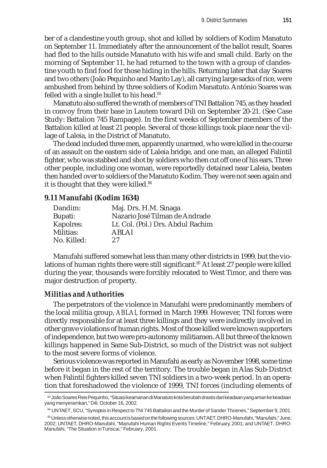ber of a clandestine youth group, shot and killed by soldiers of Kodim Manatuto on September 11. Immediately after the announcement of the ballot result, Soares had fled to the hills outside Manatuto with his wife and small child. Early on the morning of September 11, he had returned to the town with a group of clandestine youth to find food for those hiding in the hills. Returning later that day Soares and two others (João Pequinho and Marito Lay), all carrying large sacks of rice, were ambushed from behind by three soldiers of Kodim Manatuto. António Soares was felled with a single bullet to his head.<sup>83</sup>

Manatuto also suffered the wrath of members of TNI Battalion 745, as they headed in convoy from their base in Lautem toward Dili on September 20-21. (See Case Study: Battalion 745 Rampage). In the first weeks of September members of the Battalion killed at least 21 people. Several of those killings took place near the village of Laleia, in the District of Manatuto.

The dead included three men, apparently unarmed, who were killed in the course of an assault on the eastern side of Laleia bridge, and one man, an alleged Falintil fighter, who was stabbed and shot by soldiers who then cut off one of his ears. Three other people, including one woman, were reportedly detained near Laleia, beaten then handed over to soldiers of the Manatuto Kodim. They were not seen again and it is thought that they were killed.<sup>84</sup>

#### **9.11 Manufahi (Kodim 1634)**

| Maj. Drs. H.M. Sinaga             |
|-----------------------------------|
| Nazario José Tilman de Andrade    |
| Lt. Col. (Pol.) Drs. Abdul Rachim |
| ABLAI                             |
| 27                                |
|                                   |

Manufahi suffered somewhat less than many other districts in 1999, but the violations of human rights there were still significant.<sup>85</sup> At least 27 people were killed during the year, thousands were forcibly relocated to West Timor, and there was major destruction of property.

## *Militias and Authorities*

The perpetrators of the violence in Manufahi were predominantly members of the local militia group, *ABLAI*, formed in March 1999. However, TNI forces were directly responsible for at least three killings and they were indirectly involved in other grave violations of human rights. Most of those killed were known supporters of independence, but two were pro-autonomy militiamen. All but three of the known killings happened in Same Sub-District, so much of the District was not subject to the most severe forms of violence.

Serious violence was reported in Manufahi as early as November 1998, some time before it began in the rest of the territory. The trouble began in Alas Sub-District when Falintil fighters killed seven TNI soldiers in a two-week period. In an operation that foreshadowed the violence of 1999, TNI forces (including elements of

<sup>83</sup> João Soares Reis Pequinho, "Situasi keamanan di Manatuto kota berubah drastis dari keadaan yang aman ke keadaan yang menyeramkan," Dili, October 16, 2002.

<sup>84</sup> UNTAET, SCU, "Synopsis in Respect to TNI 745 Battalion and the Murder of Sander Thoenes," September 9, 2001.

<sup>85</sup> Unless otherwise noted, this account is based on the following sources: UNTAET, DHRO-Manufahi, "Manufahi," June, 2002; UNTAET, DHRO-Manufahi, "Manufahi Human Rights Events Timeline," February, 2001; and UNTAET, DHRO-Manufahi, "The Situation in Turiscai," February, 2001.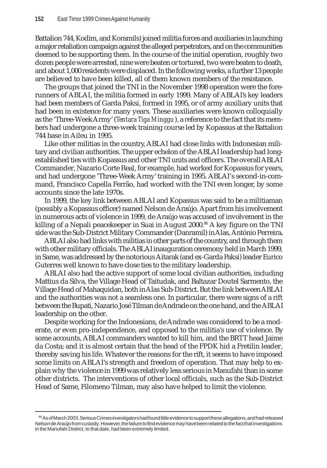Battalion 744, Kodim, and Koramils) joined militia forces and auxiliaries in launching a major retaliation campaign against the alleged perpetrators, and on the communities deemed to be supporting them. In the course of the initial operation, roughly two dozen people were arrested, nine were beaten or tortured, two were beaten to death, and about 1,000 residents were displaced. In the following weeks, a further 13 people are believed to have been killed, all of them known members of the resistance.

The groups that joined the TNI in the November 1998 operation were the forerunners of ABLAI, the militia formed in early 1999. Many of ABLAI's key leaders had been members of Garda Paksi, formed in 1995, or of army auxiliary units that had been in existence for many years. These auxiliaries were known colloquially as the 'Three-Week Army' (*Tentara Tiga Minggu*), a reference to the fact that its members had undergone a three-week training course led by Kopassus at the Battalion 744 base in Aileu in 1995.

Like other militias in the country, ABLAI had close links with Indonesian military and civilian authorities. The upper echelon of the ABLAI leadership had longestablished ties with Kopassus and other TNI units and officers. The overall ABLAI Commander, Nazario Corte Real, for example, had worked for Kopassus for years, and had undergone 'Three-Week Army' training in 1995. ABLAI's second-in-command, Francisco Capella Ferrão, had worked with the TNI even longer, by some accounts since the late 1970s.

In 1999, the key link between ABLAI and Kopassus was said to be a militiaman (possibly a Kopassus officer) named Nelson de Araújo. Apart from his involvement in numerous acts of violence in 1999, de Araújo was accused of involvement in the killing of a Nepali peacekeeper in Suai in August 2000.<sup>86</sup> A key figure on the TNI side was the Sub-District Military Commander (Danramil) in Alas, António Perreira**.**

ABLAI also had links with militias in other parts of the country, and through them with other military officials. The ABLAI inauguration ceremony held in March 1999, in Same, was addressed by the notorious Aitarak (and ex-Garda Paksi) leader Eurico Guterres well known to have close ties to the military leadership.

ABLAI also had the active support of some local civilian authorities, including Mattius da Silva, the Village Head of Taitudak, and Baltazar Doutel Sarmento, the Village Head of Mahaquidan, both in Alas Sub-District. But the link between ABLAI and the authorities was not a seamless one. In particular, there were signs of a rift between the Bupati, Nazario José Tilman de Andrade on the one hand, and the ABLAI leadership on the other.

Despite working for the Indonesians, de Andrade was considered to be a moderate, or even pro-independence, and opposed to the militia's use of violence. By some accounts, ABLAI commanders wanted to kill him, and the BRTT head Jaime da Costa; and it is almost certain that the head of the FPDK hid a Fretilin leader, thereby saving his life. Whatever the reasons for the rift, it seems to have imposed some limits on ABLAI's strength and freedom of operation. That may help to explain why the violence in 1999 was relatively less serious in Manufahi than in some other districts. The interventions of other local officials, such as the Sub-District Head of Same, Filomeno Tilman, may also have helped to limit the violence.

<sup>86</sup> As of March 2003, Serious Crimes investigators had found little evidence to support these allegations, and had released Nelson de Araújo from custody. However, the failure to find evidence may have been related to the fact that investigations in the Manufahi District, to that date, had been extremely limited.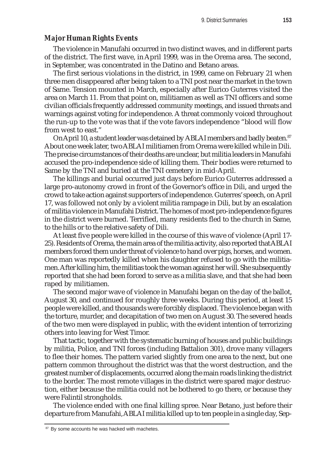# *Major Human Rights Events*

The violence in Manufahi occurred in two distinct waves, and in different parts of the district. The first wave, in April 1999, was in the Orema area. The second, in September, was concentrated in the Datino and Betano areas.

The first serious violations in the district, in 1999, came on February 21 when three men disappeared after being taken to a TNI post near the market in the town of Same. Tension mounted in March, especially after Eurico Guterres visited the area on March 11. From that point on, militiamen as well as TNI officers and some civilian officials frequently addressed community meetings, and issued threats and warnings against voting for independence. A threat commonly voiced throughout the run-up to the vote was that if the vote favors independence "blood will flow from west to east."

On April 10, a student leader was detained by ABLAI members and badly beaten.<sup>87</sup> About one week later, two ABLAI militiamen from Orema were killed while in Dili. The precise circumstances of their deaths are unclear, but militia leaders in Manufahi accused the pro-independence side of killing them. Their bodies were returned to Same by the TNI and buried at the TNI cemetery in mid-April.

The killings and burial occurred just days before Eurico Guterres addressed a large pro-autonomy crowd in front of the Governor's office in Dili, and urged the crowd to take action against supporters of independence. Guterres' speech, on April 17, was followed not only by a violent militia rampage in Dili, but by an escalation of militia violence in Manufahi District. The homes of most pro-independence figures in the district were burned. Terrified, many residents fled to the church in Same, to the hills or to the relative safety of Dili.

At least five people were killed in the course of this wave of violence (April 17- 25). Residents of Orema, the main area of the militia activity, also reported that ABLAI members forced them under threat of violence to hand over pigs, horses, and women. One man was reportedly killed when his daughter refused to go with the militiamen. After killing him, the militias took the woman against her will. She subsequently reported that she had been forced to serve as a militia slave, and that she had been raped by militiamen.

The second major wave of violence in Manufahi began on the day of the ballot, August 30, and continued for roughly three weeks. During this period, at least 15 people were killed, and thousands were forcibly displaced. The violence began with the torture, murder, and decapitation of two men on August 30. The severed heads of the two men were displayed in public, with the evident intention of terrorizing others into leaving for West Timor.

That tactic, together with the systematic burning of houses and public buildings by militia, Police, and TNI forces (including Battalion 301), drove many villagers to flee their homes. The pattern varied slightly from one area to the next, but one pattern common throughout the district was that the worst destruction, and the greatest number of displacements, occurred along the main roads linking the district to the border. The most remote villages in the district were spared major destruction, either because the militia could not be bothered to go there, or because they were Falintil strongholds.

The violence ended with one final killing spree. Near Betano, just before their departure from Manufahi, ABLAI militia killed up to ten people in a single day, Sep-

<sup>&</sup>lt;sup>87</sup> By some accounts he was hacked with machetes.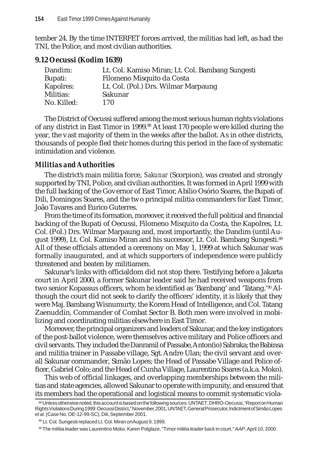tember 24. By the time INTERFET forces arrived, the militias had left, as had the TNI, the Police, and most civilian authorities.

#### **9.12 Oecussi (Kodim 1639)**

| Dandim:     | Lt. Col. Kamiso Miran; Lt. Col. Bambang Sungesti |
|-------------|--------------------------------------------------|
| Bupati:     | Filomeno Misquito da Costa                       |
| Kapolres:   | Lt. Col. (Pol.) Drs. Wilmar Marpaung             |
| Militias:   | Sakunar                                          |
| No. Killed: | 170                                              |

The District of Oecussi suffered among the most serious human rights violations of any district in East Timor in 1999.<sup>88</sup> At least 170 people were killed during the year, the vast majority of them in the weeks after the ballot. As in other districts, thousands of people fled their homes during this period in the face of systematic intimidation and violence.

#### *Militias and Authorities*

The district's main militia force, *Sakunar* (Scorpion), was created and strongly supported by TNI, Police, and civilian authorities. It was formed in April 1999 with the full backing of the Governor of East Timor, Abílio Osório Soares, the Bupati of Dili, Domingos Soares, and the two principal militia commanders for East Timor, João Tavares and Eurico Guterres.

From the time of its formation, moreover, it received the full political and financial backing of the Bupati of Oecussi, Filomeno Misquito da Costa, the Kapolres, Lt. Col. (Pol.) Drs. Wilmar Marpaung and, most importantly, the Dandim (until August 1999), Lt. Col. Kamiso Miran and his successor, Lt. Col. Bambang Sungesti.<sup>89</sup> All of these officials attended a ceremony on May 1, 1999 at which Sakunar was formally inaugurated, and at which supporters of independence were publicly threatened and beaten by militiamen.

Sakunar's links with officialdom did not stop there. Testifying before a Jakarta court in April 2000, a former Sakunar leader said he had received weapons from two senior Kopassus officers, whom he identified as 'Bambang' and 'Tatang.'<sup>90</sup> Although the court did not seek to clarify the officers' identity, it is likely that they were Maj. Bambang Wisnumurty, the Korem Head of Intelligence, and Col. Tatang Zaenuddin, Commander of Combat Sector B. Both men were involved in mobilizing and coordinating militias elsewhere in East Timor.

Moreover, the principal organizers and leaders of Sakunar, and the key instigators of the post-ballot violence, were themselves active military and Police officers and civil servants. They included the Danramil of Passabe, Anton(io) Sabraka; the Babinsa and militia trainer in Passabe village, Sgt. Andre Ulan; the civil servant and overall Sakunar commander, Simão Lopes; the Head of Passabe Village and Police officer, Gabriel Colo; and the Head of Cunha Village, Laurentino Soares (a.k.a. Moko).

This web of official linkages, and overlapping memberships between the militias and state agencies, allowed Sakunar to operate with impunity, and ensured that its members had the operational and logistical means to commit systematic viola-

<sup>88</sup> Unless otherwise noted, this account is based on the following sources: UNTAET, DHRO-Oecussi, "Report on Human Rights Violations During 1999: Oecussi District," November, 2001; UNTAET, General Prosecutor, Indictment of Simão Lopes *et al*. (Case No. OE-12-99-SC), Dili, September 2001.

<sup>89</sup> Lt. Col. Sungesti replaced Lt. Col. Miran on August 9, 1999.

<sup>90</sup> The militia leader was Laurentino Moko. Karen Polglaze, "Timor militia leader back in court," *AAP*, April 10, 2000.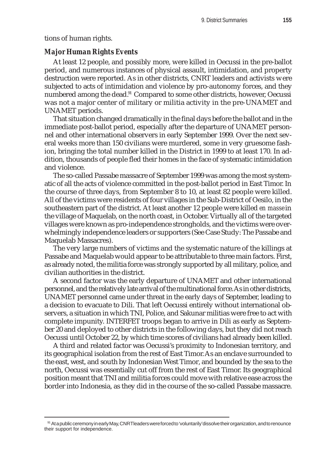tions of human rights.

#### *Major Human Rights Events*

At least 12 people, and possibly more, were killed in Oecussi in the pre-ballot period, and numerous instances of physical assault, intimidation, and property destruction were reported. As in other districts, CNRT leaders and activists were subjected to acts of intimidation and violence by pro-autonomy forces, and they numbered among the dead.<sup>91</sup> Compared to some other districts, however, Oecussi was not a major center of military or militia activity in the pre-UNAMET and UNAMET periods.

That situation changed dramatically in the final days before the ballot and in the immediate post-ballot period, especially after the departure of UNAMET personnel and other international observers in early September 1999. Over the next several weeks more than 150 civilians were murdered, some in very gruesome fashion, bringing the total number killed in the District in 1999 to at least 170. In addition, thousands of people fled their homes in the face of systematic intimidation and violence.

The so-called Passabe massacre of September 1999 was among the most systematic of all the acts of violence committed in the post-ballot period in East Timor. In the course of three days, from September 8 to 10, at least 82 people were killed. All of the victims were residents of four villages in the Sub-District of Oesilo, in the southeastern part of the district. At least another 12 people were killed *en masse* in the village of Maquelab, on the north coast, in October. Virtually all of the targeted villages were known as pro-independence strongholds, and the victims were overwhelmingly independence leaders or supporters (See Case Study: The Passabe and Maquelab Massacres).

The very large numbers of victims and the systematic nature of the killings at Passabe and Maquelab would appear to be attributable to three main factors. First, as already noted, the militia force was strongly supported by all military, police, and civilian authorities in the district.

A second factor was the early departure of UNAMET and other international personnel, and the relatively late arrival of the multinational force. As in other districts, UNAMET personnel came under threat in the early days of September, leading to a decision to evacuate to Dili. That left Oecussi entirely without international observers, a situation in which TNI, Police, and Sakunar militias were free to act with complete impunity. INTERFET troops began to arrive in Dili as early as September 20 and deployed to other districts in the following days, but they did not reach Oecussi until October 22, by which time scores of civilians had already been killed.

A third and related factor was Oecussi's proximity to Indonesian territory, and its geographical isolation from the rest of East Timor. As an enclave surrounded to the east, west, and south by Indonesian West Timor, and bounded by the sea to the north, Oecussi was essentially cut off from the rest of East Timor. Its geographical position meant that TNI and militia forces could move with relative ease across the border into Indonesia, as they did in the course of the so-called Passabe massacre.

<sup>91</sup> At a public ceremony in early May, CNRT leaders were forced to 'voluntarily' dissolve their organization, and to renounce their support for independence.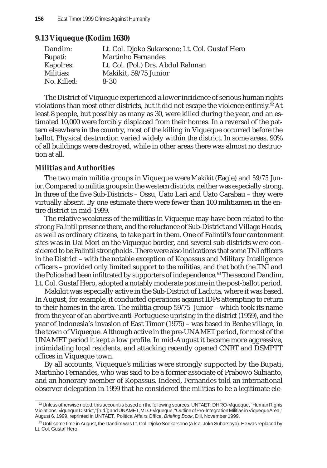| 9.13 Viqueque (Kodim 1630) |  |
|----------------------------|--|
|----------------------------|--|

| Dandim:     | Lt. Col. Djoko Sukarsono; Lt. Col. Gustaf Hero |
|-------------|------------------------------------------------|
| Bupati:     | <b>Martinho Fernandes</b>                      |
| Kapolres:   | Lt. Col. (Pol.) Drs. Abdul Rahman              |
| Militias:   | Makikit, 59/75 Junior                          |
| No. Killed: | $8 - 30$                                       |

The District of Viqueque experienced a lower incidence of serious human rights violations than most other districts, but it did not escape the violence entirely.<sup>92</sup> At least 8 people, but possibly as many as 30, were killed during the year, and an estimated 10,000 were forcibly displaced from their homes. In a reversal of the pattern elsewhere in the country, most of the killing in Viqueque occurred before the ballot. Physical destruction varied widely within the district. In some areas, 90% of all buildings were destroyed, while in other areas there was almost no destruction at all.

#### *Militias and Authorities*

The two main militia groups in Viqueque were *Makikit* (Eagle) and *59/75 Junior.* Compared to militia groups in the western districts, neither was especially strong. In three of the five Sub-Districts – Ossu, Uato Lari and Uato Carabau – they were virtually absent. By one estimate there were fewer than 100 militiamen in the entire district in mid-1999.

The relative weakness of the militias in Viqueque may have been related to the strong Falintil presence there, and the reluctance of Sub-District and Village Heads, as well as ordinary citizens, to take part in them. One of Falintil's four cantonment sites was in Uai Mori on the Viqueque border**,** and several sub-districts were considered to be Falintil strongholds. There were also indications that some TNI officers in the District – with the notable exception of Kopassus and Military Intelligence officers – provided only limited support to the militias, and that both the TNI and the Police had been infiltrated by supporters of independence.<sup>93</sup> The second Dandim, Lt. Col. Gustaf Hero, adopted a notably moderate posture in the post-ballot period.

Makikit was especially active in the Sub-District of Lacluta, where it was based. In August, for example, it conducted operations against IDPs attempting to return to their homes in the area. The militia group 59/75 Junior – which took its name from the year of an abortive anti-Portuguese uprising in the district (1959), and the year of Indonesia's invasion of East Timor (1975) – was based in Beobe village, in the town of Viqueque. Although active in the pre-UNAMET period, for most of the UNAMET period it kept a low profile. In mid-August it became more aggressive, intimidating local residents, and attacking recently opened CNRT and DSMPTT offices in Viqueque town.

By all accounts, Viqueque's militias were strongly supported by the Bupati, Martinho Fernandes, who was said to be a former associate of Prabowo Subianto, and an honorary member of Kopassus. Indeed, Fernandes told an international observer delegation in 1999 that he considered the militias to be a legitimate ele-

<sup>92</sup> Unless otherwise noted, this account is based on the following sources: UNTAET, DHRO-Viqueque, "Human Rights Violations: Viqueque District," [n.d.]; and UNAMET, MLO-Viqueque, "Outline of Pro-Integration Militias in Viqueque Area," August 6, 1999, reprinted in UNTAET, Political Affairs Office, *Briefing Book*, Dili, November 1999.

<sup>&</sup>lt;sup>93</sup> Until some time in August, the Dandim was Lt. Col. Djoko Soekarsono (a.k.a. Joko Suharsoyo). He was replaced by Lt. Col. Gustaf Hero.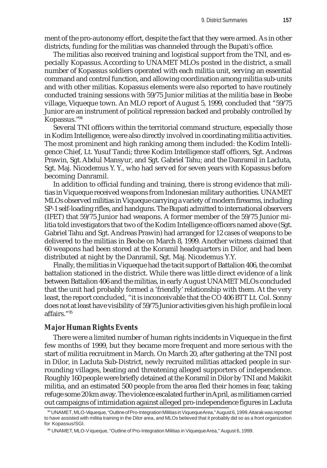ment of the pro-autonomy effort, despite the fact that they were armed. As in other districts, funding for the militias was channeled through the Bupati's office.

The militias also received training and logistical support from the TNI, and especially Kopassus. According to UNAMET MLOs posted in the district, a small number of Kopassus soldiers operated with each militia unit, serving an essential command and control function, and allowing coordination among militia sub-units and with other militias. Kopassus elements were also reported to have routinely conducted training sessions with 59/75 Junior militias at the militia base in Beobe village, Viqueque town. An MLO report of August 5, 1999, concluded that "59/75 Junior are an instrument of political repression backed and probably controlled by Kopassus."94

Several TNI officers within the territorial command structure, especially those in Kodim Intelligence, were also directly involved in coordinating militia activities. The most prominent and high ranking among them included: the Kodim Intelligence Chief, Lt. Yusuf Tandi; three Kodim Intelligence staff officers, Sgt. Andreas Prawin, Sgt. Abdul Mansyur, and Sgt. Gabriel Tahu; and the Danramil in Lacluta, Sgt. Maj. Nicodemus Y. Y., who had served for seven years with Kopassus before becoming Danramil.

In addition to official funding and training, there is strong evidence that militias in Viqueque received weapons from Indonesian military authorities. UNAMET MLOs observed militias in Viqueque carrying a variety of modern firearms, including SP-1 self-loading rifles, and handguns. The Bupati admitted to international observers (IFET) that 59/75 Junior had weapons. A former member of the 59/75 Junior militia told investigators that two of the Kodim Intelligence officers named above (Sgt. Gabriel Tahu and Sgt. Andreas Prawin) had arranged for 12 cases of weapons to be delivered to the militias in Beobe on March 8, 1999. Another witness claimed that 60 weapons had been stored at the Koramil headquarters in Dilor, and had been distributed at night by the Danramil, Sgt. Maj. Nicodemus Y.Y.

Finally, the militias in Viqueque had the tacit support of Battalion 406, the combat battalion stationed in the district. While there was little direct evidence of a link between Battalion 406 and the militias, in early August UNAMET MLOs concluded that the unit had probably formed a 'friendly' relationship with them. At the very least, the report concluded, "it is inconceivable that the CO 406 BTT Lt. Col. Sonny does not at least have visibility of 59/75 Junior activities given his high profile in local affairs."95

#### *Major Human Rights Events*

There were a limited number of human rights incidents in Viqueque in the first few months of 1999, but they became more frequent and more serious with the start of militia recruitment in March. On March 20, after gathering at the TNI post in Dilor, in Lacluta Sub-District, newly recruited militias attacked people in surrounding villages, beating and threatening alleged supporters of independence. Roughly 160 people were briefly detained at the Koramil in Dilor by TNI and Makikit militia, and an estimated 500 people from the area fled their homes in fear, taking refuge some 20 km away. The violence escalated further in April, as militiamen carried out campaigns of intimidation against alleged pro-independence figures in Lacluta

<sup>94</sup> UNAMET, MLO-Viqueque, "Outline of Pro-Integration Militias in Viqueque Area," August 6, 1999. Aitarak was reported to have assisted with militia training in the Dilor area, and MLOs believed that it probably did so as a front organization for Kopassus/SGI.

<sup>95</sup> UNAMET, MLO-Viqueque, "Outline of Pro-Integration Militias in Viqueque Area," August 6, 1999.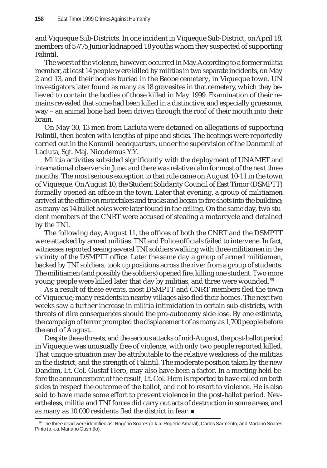and Viqueque Sub-Districts. In one incident in Viqueque Sub-District, on April 18, members of 57/75 Junior kidnapped 18 youths whom they suspected of supporting Falintil.

The worst of the violence, however, occurred in May. According to a former militia member, at least 14 people were killed by militias in two separate incidents, on May 2 and 13, and their bodies buried in the Beobe cemetery, in Viqueque town. UN investigators later found as many as 18 gravesites in that cemetery, which they believed to contain the bodies of those killed in May 1999. Examination of their remains revealed that some had been killed in a distinctive, and especially gruesome, way – an animal bone had been driven through the roof of their mouth into their brain.

On May 30, 13 men from Lacluta were detained on allegations of supporting Falintil, then beaten with lengths of pipe and sticks. The beatings were reportedly carried out in the Koramil headquarters, under the supervision of the Danramil of Lacluta, Sgt. Maj. Nicodemus Y.Y.

Militia activities subsided significantly with the deployment of UNAMET and international observers in June, and there was relative calm for most of the next three months. The most serious exception to that rule came on August 10-11 in the town of Viqueque. On August 10, the Student Solidarity Council of East Timor (DSMPTT) formally opened an office in the town. Later that evening, a group of militiamen arrived at the office on motorbikes and trucks and began to fire shots into the building; as many as 14 bullet holes were later found in the ceiling. On the same day, two student members of the CNRT were accused of stealing a motorcycle and detained by the TNI.

The following day, August 11, the offices of both the CNRT and the DSMPTT were attacked by armed militias. TNI and Police officials failed to intervene. In fact, witnesses reported seeing several TNI soldiers walking with three militiamen in the vicinity of the DSMPTT office. Later the same day a group of armed militiamen, backed by TNI soldiers, took up positions across the river from a group of students. The militiamen (and possibly the soldiers) opened fire, killing one student. Two more young people were killed later that day by militias, and three were wounded. <sup>96</sup>

As a result of these events, most DSMPTT and CNRT members fled the town of Viqueque; many residents in nearby villages also fled their homes. The next two weeks saw a further increase in militia intimidation in certain sub-districts, with threats of dire consequences should the pro-autonomy side lose. By one estimate, the campaign of terror prompted the displacement of as many as 1,700 people before the end of August.

Despite these threats, and the serious attacks of mid-August, the post-ballot period in Viqueque was unusually free of violence, with only two people reported killed. That unique situation may be attributable to the relative weakness of the militias in the district, and the strength of Falintil. The moderate position taken by the new Dandim, Lt. Col. Gustaf Hero, may also have been a factor. In a meeting held before the announcement of the result, Lt. Col. Hero is reported to have called on both sides to respect the outcome of the ballot, and not to resort to violence. He is also said to have made some effort to prevent violence in the post-ballot period. Nevertheless, militia and TNI forces did carry out acts of destruction in some areas, and as many as 10,000 residents fled the district in fear.

<sup>96</sup> The three dead were identified as: Rogério Soares (a.k.a. Rogério Amaral), Carlos Sarmento, and Mariano Soares Pinto (a.k.a. Mariano Gusmão).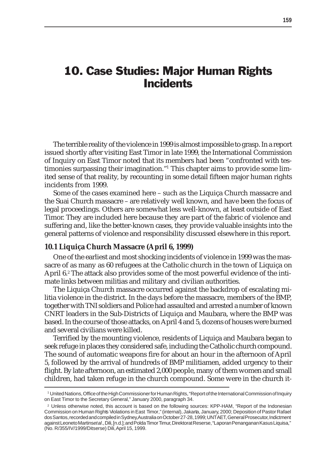# 10. Case Studies: Major Human Rights **Incidents**

The terrible reality of the violence in 1999 is almost impossible to grasp. In a report issued shortly after visiting East Timor in late 1999, the International Commission of Inquiry on East Timor noted that its members had been "confronted with testimonies surpassing their imagination."1 This chapter aims to provide some limited sense of that reality, by recounting in some detail fifteen major human rights incidents from 1999.

Some of the cases examined here – such as the Liquiça Church massacre and the Suai Church massacre – are relatively well known, and have been the focus of legal proceedings. Others are somewhat less well-known, at least outside of East Timor. They are included here because they are part of the fabric of violence and suffering and, like the better-known cases, they provide valuable insights into the general patterns of violence and responsibility discussed elsewhere in this report.

#### **10.1 Liquiça Church Massacre (April 6, 1999)**

One of the earliest and most shocking incidents of violence in 1999 was the massacre of as many as 60 refugees at the Catholic church in the town of Liquiça on April 6.2 The attack also provides some of the most powerful evidence of the intimate links between militias and military and civilian authorities.

The Liquiça Church massacre occurred against the backdrop of escalating militia violence in the district. In the days before the massacre, members of the BMP, together with TNI soldiers and Police had assaulted and arrested a number of known CNRT leaders in the Sub-Districts of Liquiça and Maubara, where the BMP was based. In the course of those attacks, on April 4 and 5, dozens of houses were burned and several civilians were killed.

Terrified by the mounting violence, residents of Liquiça and Maubara began to seek refuge in places they considered safe, including the Catholic church compound. The sound of automatic weapons fire for about an hour in the afternoon of April 5, followed by the arrival of hundreds of BMP militiamen, added urgency to their flight. By late afternoon, an estimated 2,000 people, many of them women and small children, had taken refuge in the church compound. Some were in the church it-

<sup>1</sup> United Nations, Office of the High Commissioner for Human Rights, "Report of the International Commission of Inquiry on East Timor to the Secretary General," January 2000, paragraph 34.

<sup>2</sup> Unless otherwise noted, this account is based on the following sources: KPP-HAM, "Report of the Indonesian Commission on Human Rights Violations in East Timor," (internal), Jakarta, January, 2000; Deposition of Pastor Rafael dos Santos, recorded and compiled in Sydney, Australia on October 27-28, 1999; UNTAET, General Prosecutor, Indictment against Leoneto Martins *et al*., Dili, [n.d.]; and Polda Timor Timur, Direktorat Reserse, "Laporan Penanganan Kasus Liquisa," (No. R/355/IV/1999/Ditserse) Dili, April 15, 1999.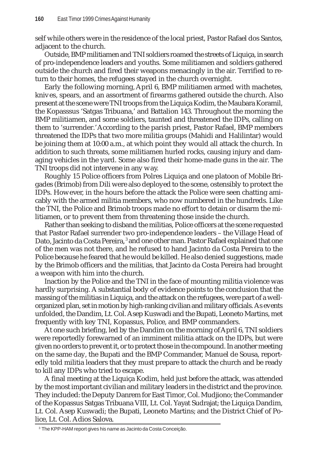self while others were in the residence of the local priest, Pastor Rafael dos Santos, adjacent to the church.

Outside, BMP militiamen and TNI soldiers roamed the streets of Liquiça, in search of pro-independence leaders and youths. Some militiamen and soldiers gathered outside the church and fired their weapons menacingly in the air. Terrified to return to their homes, the refugees stayed in the church overnight.

Early the following morning, April 6, BMP militiamen armed with machetes, knives, spears, and an assortment of firearms gathered outside the church. Also present at the scene were TNI troops from the Liquiça Kodim, the Maubara Koramil, the Kopasssus 'Satgas Tribuana,' and Battalion 143. Throughout the morning the BMP militiamen, and some soldiers, taunted and threatened the IDPs, calling on them to 'surrender.' According to the parish priest, Pastor Rafael, BMP members threatened the IDPs that two more militia groups (Mahidi and Halilintar) would be joining them at 10:00 a.m., at which point they would all attack the church. In addition to such threats, some militiamen hurled rocks, causing injury and damaging vehicles in the yard. Some also fired their home-made guns in the air. The TNI troops did not intervene in any way.

Roughly 15 Police officers from Polres Liquiça and one platoon of Mobile Brigades (Brimob) from Dili were also deployed to the scene, ostensibly to protect the IDPs. However, in the hours before the attack the Police were seen chatting amicably with the armed militia members, who now numbered in the hundreds. Like the TNI, the Police and Brimob troops made no effort to detain or disarm the militiamen, or to prevent them from threatening those inside the church.

Rather than seeking to disband the militias, Police officers at the scene requested that Pastor Rafael surrender two pro-independence leaders – the Village Head of Dato, Jacinto da Costa Pereira, <sup>3</sup> and one other man. Pastor Rafael explained that one of the men was not there, and he refused to hand Jacinto da Costa Pereira to the Police because he feared that he would be killed. He also denied suggestions, made by the Brimob officers and the militias, that Jacinto da Costa Pereira had brought a weapon with him into the church.

Inaction by the Police and the TNI in the face of mounting militia violence was hardly surprising. A substantial body of evidence points to the conclusion that the massing of the militias in Liquiça, and the attack on the refugees, were part of a wellorganized plan, set in motion by high-ranking civilian and military officials. As events unfolded, the Dandim, Lt. Col. Asep Kuswadi and the Bupati, Leoneto Martins, met frequently with key TNI, Kopassus, Police, and BMP commanders.

At one such briefing, led by the Dandim on the morning of April 6, TNI soldiers were reportedly forewarned of an imminent militia attack on the IDPs, but were given no orders to prevent it, or to protect those in the compound. In another meeting on the same day, the Bupati and the BMP Commander, Manuel de Sousa, reportedly told militia leaders that they must prepare to attack the church and be ready to kill any IDPs who tried to escape.

A final meeting at the Liquiça Kodim, held just before the attack, was attended by the most important civilian and military leaders in the district and the province. They included: the Deputy Danrem for East Timor, Col. Mudjiono; the Commander of the Kopassus Satgas Tribuana VIII, Lt. Col. Yayat Sudrajat; the Liquiça Dandim, Lt. Col. Asep Kuswadi; the Bupati, Leoneto Martins; and the District Chief of Police, Lt. Col. Adios Salova.

<sup>3</sup> The KPP-HAM report gives his name as Jacinto da Costa Conceição.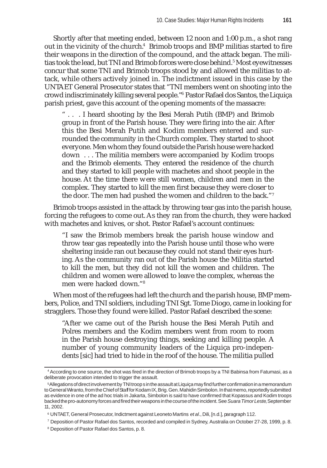Shortly after that meeting ended, between 12 noon and 1:00 p.m., a shot rang out in the vicinity of the church.<sup>4</sup> Brimob troops and BMP militias started to fire their weapons in the direction of the compound, and the attack began. The militias took the lead, but TNI and Brimob forces were close behind.<sup>5</sup> Most eyewitnesses concur that some TNI and Brimob troops stood by and allowed the militias to attack, while others actively joined in. The indictment issued in this case by the UNTAET General Prosecutor states that "TNI members went on shooting into the crowd indiscriminately killing several people."6 Pastor Rafael dos Santos, the Liquiça parish priest, gave this account of the opening moments of the massacre:

" . . . I heard shooting by the Besi Merah Putih (BMP) and Brimob group in front of the Parish house. They were firing into the air. After this the Besi Merah Putih and Kodim members entered and surrounded the community in the Church complex. They started to shoot everyone. Men whom they found outside the Parish house were hacked down . . . The militia members were accompanied by Kodim troops and the Brimob elements. They entered the residence of the church and they started to kill people with machetes and shoot people in the house. At the time there were still women, children and men in the complex. They started to kill the men first because they were closer to the door. The men had pushed the women and children to the back."7

Brimob troops assisted in the attack by throwing tear gas into the parish house, forcing the refugees to come out. As they ran from the church, they were hacked with machetes and knives, or shot. Pastor Rafael's account continues:

"I saw the Brimob members break the parish house window and throw tear gas repeatedly into the Parish house until those who were sheltering inside ran out because they could not stand their eyes hurting. As the community ran out of the Parish house the Militia started to kill the men, but they did not kill the women and children. The children and women were allowed to leave the complex, whereas the men were hacked down."8

When most of the refugees had left the church and the parish house, BMP members, Police, and TNI soldiers, including TNI Sgt. Tome Diogo, came in looking for stragglers. Those they found were killed. Pastor Rafael described the scene:

"After we came out of the Parish house the Besi Merah Putih and Polres members and the Kodim members went from room to room in the Parish house destroying things, seeking and killing people. A number of young community leaders of the Liquiça pro-independents [sic] had tried to hide in the roof of the house. The militia pulled

<sup>4</sup> According to one source, the shot was fired in the direction of Brimob troops by a TNI Babinsa from Fatumasi, as a deliberate provocation intended to trigger the assault.

<sup>5</sup>Allegations of direct involvement by TNI troops in the assault at Liquiça may find further confirmation in a memorandum to General Wiranto, from the Chief of Staff for Kodam IX, Brig. Gen. Mahidin Simbolon. In that memo, reportedly submitted as evidence in one of the ad hoc trials in Jakarta, Simbolon is said to have confirmed that Kopassus and Kodim troops backed the pro-autonomy forces and fired their weapons in the course of the incident. See *Suara Timor Leste*, September 11, 2002.

<sup>6</sup> UNTAET, General Prosecutor, Indictment against Leoneto Martins *et al*., Dili, [n.d.], paragraph 112.

<sup>7</sup> Deposition of Pastor Rafael dos Santos, recorded and compiled in Sydney, Australia on October 27-28, 1999, p. 8.

<sup>8</sup> Deposition of Pastor Rafael dos Santos, p. 8.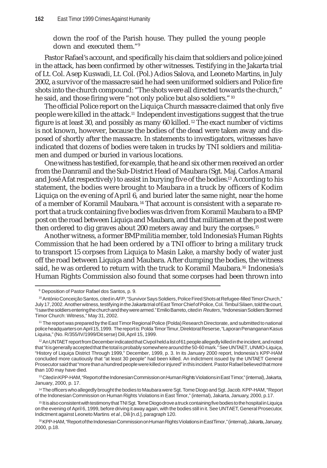down the roof of the Parish house. They pulled the young people down and executed them."9

Pastor Rafael's account, and specifically his claim that soldiers and police joined in the attack, has been confirmed by other witnesses. Testifying in the Jakarta trial of Lt. Col. Asep Kuswadi, Lt. Col. (Pol.) Adios Salova, and Leoneto Martins, in July 2002, a survivor of the massacre said he had seen uniformed soldiers and Police fire shots into the church compound: "The shots were all directed towards the church," he said, and those firing were "not only police but also soldiers." 10

The official Police report on the Liquiça Church massacre claimed that only five people were killed in the attack.11 Independent investigations suggest that the true figure is at least 30, and possibly as many 60 killed. 12 The exact number of victims is not known, however, because the bodies of the dead were taken away and disposed of shortly after the massacre. In statements to investigators, witnesses have indicated that dozens of bodies were taken in trucks by TNI soldiers and militiamen and dumped or buried in various locations.

One witness has testified, for example, that he and six other men received an order from the Danramil and the Sub-District Head of Maubara (Sgt. Maj. Carlos Amaral and José Afat respectively) to assist in burying five of the bodies.13 According to his statement, the bodies were brought to Maubara in a truck by officers of Kodim Liquiça on the evening of April 6, and buried later the same night, near the home of a member of Koramil Maubara. 14 That account is consistent with a separate report that a truck containing five bodies was driven from Koramil Maubara to a BMP post on the road between Liquiça and Maubara, and that militiamen at the post were then ordered to dig graves about 200 meters away and bury the corpses.15

Another witness, a former BMP militia member, told Indonesia's Human Rights Commission that he had been ordered by a TNI officer to bring a military truck to transport 15 corpses from Liquiça to Masin Lake, a marshy body of water just off the road between Liquiça and Maubara. After dumping the bodies, the witness said, he was ordered to return with the truck to Koramil Maubara.<sup>16</sup> Indonesia's Human Rights Commission also found that some corpses had been thrown into

<sup>9</sup> Deposition of Pastor Rafael dos Santos, p. 9.

<sup>&</sup>lt;sup>10</sup> António Conceição Santos, cited in AFP, "Survivor Says Soldiers, Police Fired Shots at Refugee-filled Timor Church," July 17, 2002. Another witness, testifying in the Jakarta trial of East Timor Chief of Police, Col. Timbul Silaen, told the court, "I saw the soldiers entering the church and they were armed." Emilio Barreto, cited in *Reuters*, "Indonesian Soldiers Stormed Timor Church: Witness," May 31, 2002.

<sup>11</sup> The report was prepared by the East Timor Regional Police (Polda) Research Directorate, and submitted to national police headquarters on April 15, 1999. The report is: Polda Timor Timur, Direktorat Reserse, "Laporan Penanganan Kasus Liquisa," (No. R/355/IV/1999/Ditserse) Dili, April 15, 1999.

<sup>&</sup>lt;sup>12</sup> An UNTAET report from December indicated that Civpol held a list of 61 people allegedly killed in the incident, and noted that "it is generally accepted that the total is probably somewhere around the 50-60 mark." See UNTAET, UNMO-Liquiça, "History of Liquiça District Through 1999," December, 1999, p. 3. In its January 2000 report, Indonesia's KPP-HAM concluded more cautiously that "at least 30 people" had been killed. An indictment issued by the UNTAET General Prosecutor said that "more than a hundred people were killed or injured" in this incident. Pastor Rafael believed that more than 100 may have died.

<sup>&</sup>lt;sup>13</sup> Cited in KPP-HAM, "Report of the Indonesian Commission on Human Rights Violations in East Timor," (internal), Jakarta, January, 2000, p. 17.

<sup>14</sup> The officers who allegedly brought the bodies to Maubara were Sgt. Tome Diogo and Sgt. Jacob. KPP-HAM, "Report of the Indonesian Commission on Human Rights Violations in East Timor," (internal), Jakarta, January, 2000, p.17.

<sup>15</sup> It is also consistent with testimony that TNI Sgt. Tome Diogo drove a truck containing five bodies to the hospital in Liquiça on the evening of April 6, 1999, before driving it away again, with the bodies still in it. See UNTAET, General Prosecutor, Indictment against Leoneto Martins *et al.*, Dili [n.d.], paragraph 120.

<sup>16</sup> KPP-HAM, "Report of the Indonesian Commission on Human Rights Violations in East Timor," (internal), Jakarta, January, 2000, p.18.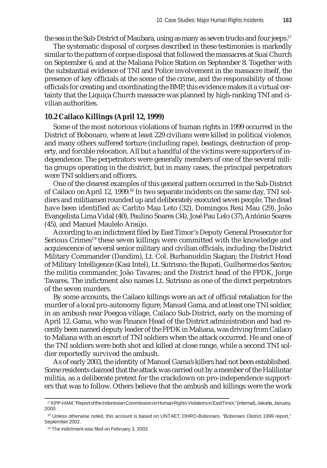the sea in the Sub-District of Maubara, using as many as seven trucks and four jeeps.<sup>17</sup>

The systematic disposal of corpses described in these testimonies is markedly similar to the pattern of corpse disposal that followed the massacres at Suai Church on September 6, and at the Maliana Police Station on September 8. Together with the substantial evidence of TNI and Police involvement in the massacre itself, the presence of key officials at the scene of the crime, and the responsibility of those officials for creating and coordinating the BMP, this evidence makes it a virtual certainty that the Liquiça Church massacre was planned by high-ranking TNI and civilian authorities.

#### **10.2 Cailaco Killings (April 12, 1999)**

Some of the most notorious violations of human rights in 1999 occurred in the District of Bobonaro, where at least 229 civilians were killed in political violence, and many others suffered torture (including rape), beatings, destruction of property, and forcible relocation. All but a handful of the victims were supporters of independence. The perpetrators were generally members of one of the several militia groups operating in the district, but in many cases, the principal perpetrators were TNI soldiers and officers.

One of the clearest examples of this general pattern occurred in the Sub-District of Cailaco on April 12, 1999.<sup>18</sup> In two separate incidents on the same day, TNI soldiers and militiamen rounded up and deliberately executed seven people. The dead have been identified as: Carlito Mau Leto (32), Domingos Resi Mau (29), João Evangelista Lima Vidal (40), Paulino Soares (34), José Pau Lelo (37), António Soares (45), and Manuel Maulelo Araújo.

According to an indictment filed by East Timor's Deputy General Prosecutor for Serious Crimes<sup>19</sup> these seven killings were committed with the knowledge and acquiescence of several senior military and civilian officials, including: the District Military Commander (Dandim), Lt. Col. Burhanuddin Siagian; the District Head of Military Intelligence (Kasi Intel), Lt. Sutrisno; the Bupati, Guilherme dos Santos; the militia commander, João Tavares; and the District head of the FPDK, Jorge Tavares. The indictment also names Lt. Sutrisno as one of the direct perpetrators of the seven murders.

By some accounts, the Cailaco killings were an act of official retaliation for the murder of a local pro-autonomy figure, Manuel Gama, and at least one TNI soldier, in an ambush near Poegoa village, Cailaco Sub-District, early on the morning of April 12. Gama, who was Finance Head of the District administration and had recently been named deputy leader of the FPDK in Maliana, was driving from Cailaco to Maliana with an escort of TNI soldiers when the attack occurred. He and one of the TNI soldiers were both shot and killed at close range, while a second TNI soldier reportedly survived the ambush.

As of early 2003, the identity of Manuel Gama's killers had not been established. Some residents claimed that the attack was carried out by a member of the Halilintar militia, as a deliberate pretext for the crackdown on pro-independence supporters that was to follow. Others believe that the ambush and killings were the work

<sup>17</sup> KPP-HAM, "Report of the Indonesian Commission on Human Rights Violations in East Timor," (internal), Jakarta, January, 2000.

<sup>18</sup> Unless otherwise noted, this account is based on UNTAET, DHRO-Bobonaro, "Bobonaro District 1999 report," September 2002.

<sup>&</sup>lt;sup>19</sup> The indictment was filed on February 3, 2003.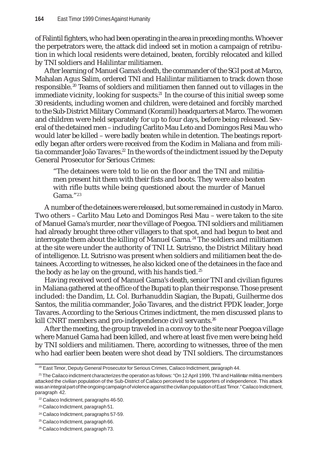of Falintil fighters, who had been operating in the area in preceding months. Whoever the perpetrators were, the attack did indeed set in motion a campaign of retribution in which local residents were detained, beaten, forcibly relocated and killed by TNI soldiers and Halilintar militiamen.

After learning of Manuel Gama's death, the commander of the SGI post at Marco, Mahalan Agus Salim, ordered TNI and Halilintar militiamen to track down those responsible. 20 Teams of soldiers and militiamen then fanned out to villages in the immediate vicinity, looking for suspects.<sup>21</sup> In the course of this initial sweep some 30 residents, including women and children, were detained and forcibly marched to the Sub-District Military Command (Koramil) headquarters at Marco. The women and children were held separately for up to four days, before being released. Several of the detained men – including Carlito Mau Leto and Domingos Resi Mau who would later be killed – were badly beaten while in detention. The beatings reportedly began after orders were received from the Kodim in Maliana and from militia commander João Tavares.<sup>22</sup> In the words of the indictment issued by the Deputy General Prosecutor for Serious Crimes:

"The detainees were told to lie on the floor and the TNI and militiamen present hit them with their fists and boots. They were also beaten with rifle butts while being questioned about the murder of Manuel Gama."23

A number of the detainees were released, but some remained in custody in Marco. Two others – Carlito Mau Leto and Domingos Resi Mau – were taken to the site of Manuel Gama's murder, near the village of Poegoa. TNI soldiers and militiamen had already brought three other villagers to that spot, and had begun to beat and interrogate them about the killing of Manuel Gama. 24 The soldiers and militiamen at the site were under the authority of TNI Lt. Sutrisno, the District Military head of intelligence. Lt. Sutrisno was present when soldiers and militiamen beat the detainees. According to witnesses, he also kicked one of the detainees in the face and the body as he lay on the ground, with his hands tied.<sup>25</sup>

Having received word of Manuel Gama's death, senior TNI and civilian figures in Maliana gathered at the office of the Bupati to plan their response. Those present included: the Dandim, Lt. Col. Burhanuddin Siagian, the Bupati, Guilherme dos Santos, the militia commander, João Tavares, and the district FPDK leader, Jorge Tavares. According to the Serious Crimes indictment, the men discussed plans to kill CNRT members and pro-independence civil servants.<sup>26</sup>

After the meeting, the group traveled in a convoy to the site near Poegoa village where Manuel Gama had been killed, and where at least five men were being held by TNI soldiers and militiamen. There, according to witnesses, three of the men who had earlier been beaten were shot dead by TNI soldiers. The circumstances

<sup>26</sup> Cailaco Indictment, paragraph 73.

<sup>&</sup>lt;sup>20</sup> East Timor, Deputy General Prosecutor for Serious Crimes, Cailaco Indictment, paragraph 44.

 $21$  The Cailaco indictment characterizes the operation as follows: "On 12 April 1999, TNI and Halilintar militia members attacked the civilian population of the Sub-District of Cailaco perceived to be supporters of independence. This attack was an integral part of the ongoing campaign of violence against the civilian population of East Timor." Cailaco Indictment, paragraph 42.

<sup>22</sup> Cailaco Indictment, paragraphs 46-50.

<sup>23</sup> Cailaco Indictment, paragraph 51.

<sup>24</sup> Cailaco Indictment, paragraphs 57-59.

<sup>&</sup>lt;sup>25</sup> Cailaco Indictment, paragraph 66.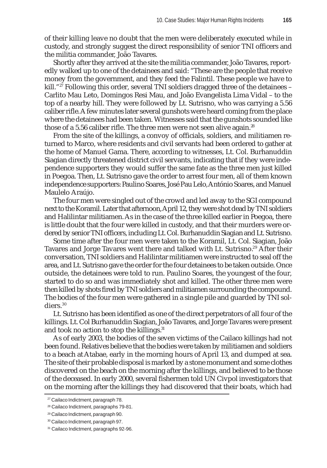of their killing leave no doubt that the men were deliberately executed while in custody, and strongly suggest the direct responsibility of senior TNI officers and the militia commander, João Tavares.

Shortly after they arrived at the site the militia commander, João Tavares, reportedly walked up to one of the detainees and said: "These are the people that receive money from the government, and they feed the Falintil. These people we have to kill."<sup>27</sup> Following this order, several TNI soldiers dragged three of the detainees – Carlito Mau Leto, Domingos Resi Mau, and João Evangelista Lima Vidal – to the top of a nearby hill. They were followed by Lt. Sutrisno, who was carrying a 5.56 caliber rifle. A few minutes later several gunshots were heard coming from the place where the detainees had been taken. Witnesses said that the gunshots sounded like those of a 5.56 caliber rifle. The three men were not seen alive again.<sup>28</sup>

From the site of the killings, a convoy of officials, soldiers, and militiamen returned to Marco, where residents and civil servants had been ordered to gather at the home of Manuel Gama. There, according to witnesses, Lt. Col. Burhanuddin Siagian directly threatened district civil servants, indicating that if they were independence supporters they would suffer the same fate as the three men just killed in Poegoa. Then, Lt. Sutrisno gave the order to arrest four men, all of them known independence supporters: Paulino Soares, José Pau Lelo, António Soares, and Manuel Maulelo Araújo.

The four men were singled out of the crowd and led away to the SGI compound next to the Koramil. Later that afternoon, April 12, they were shot dead by TNI soldiers and Halilintar militiamen. As in the case of the three killed earlier in Poegoa, there is little doubt that the four were killed in custody, and that their murders were ordered by senior TNI officers, including Lt. Col. Burhanuddin Siagian and Lt. Sutrisno.

Some time after the four men were taken to the Koramil, Lt. Col. Siagian, João Tavares and Jorge Tavares went there and talked with Lt. Sutrisno.<sup>29</sup> After their conversation, TNI soldiers and Halilintar militiamen were instructed to seal off the area, and Lt. Sutrisno gave the order for the four detainees to be taken outside. Once outside, the detainees were told to run. Paulino Soares, the youngest of the four, started to do so and was immediately shot and killed. The other three men were then killed by shots fired by TNI soldiers and militiamen surrounding the compound. The bodies of the four men were gathered in a single pile and guarded by TNI soldiers.30

Lt. Sutrisno has been identified as one of the direct perpetrators of all four of the killings. Lt. Col Burhanuddin Siagian, João Tavares, and Jorge Tavares were present and took no action to stop the killings. $31$ 

As of early 2003, the bodies of the seven victims of the Cailaco killings had not been found. Relatives believe that the bodies were taken by militiamen and soldiers to a beach at Atabae, early in the morning hours of April 13, and dumped at sea. The site of their probable disposal is marked by a stone monument and some clothes discovered on the beach on the morning after the killings, and believed to be those of the deceased. In early 2000, several fishermen told UN Civpol investigators that on the morning after the killings they had discovered that their boats, which had

<sup>&</sup>lt;sup>27</sup> Cailaco Indictment, paragraph 78.

<sup>28</sup> Cailaco Indictment, paragraphs 79-81.

<sup>29</sup> Cailaco Indictment, paragraph 90.

<sup>30</sup> Cailaco Indictment, paragraph 97.

<sup>&</sup>lt;sup>31</sup> Cailaco Indictment, paragraphs 92-96.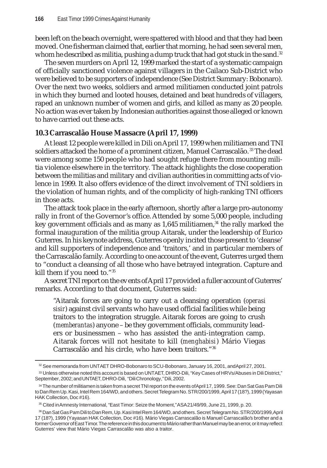been left on the beach overnight, were spattered with blood and that they had been moved. One fisherman claimed that, earlier that morning, he had seen several men, whom he described as militia, pushing a dump truck that had got stuck in the sand. $32$ 

The seven murders on April 12, 1999 marked the start of a systematic campaign of officially sanctioned violence against villagers in the Cailaco Sub-District who were believed to be supporters of independence (See District Summary: Bobonaro). Over the next two weeks, soldiers and armed militiamen conducted joint patrols in which they burned and looted houses, detained and beat hundreds of villagers, raped an unknown number of women and girls, and killed as many as 20 people. No action was ever taken by Indonesian authorities against those alleged or known to have carried out these acts.

# **10.3 Carrascalão House Massacre (April 17, 1999)**

At least 12 people were killed in Dili on April 17, 1999 when militiamen and TNI soldiers attacked the home of a prominent citizen, Manuel Carrascalão.<sup>33</sup> The dead were among some 150 people who had sought refuge there from mounting militia violence elsewhere in the territory. The attack highlights the close cooperation between the militias and military and civilian authorities in committing acts of violence in 1999. It also offers evidence of the direct involvement of TNI soldiers in the violation of human rights, and of the complicity of high-ranking TNI officers in those acts.

The attack took place in the early afternoon, shortly after a large pro-autonomy rally in front of the Governor's office. Attended by some 5,000 people, including key government officials and as many as 1,645 militiamen,<sup>34</sup> the rally marked the formal inauguration of the militia group Aitarak, under the leadership of Eurico Guterres. In his keynote address, Guterres openly incited those present to 'cleanse' and kill supporters of independence and 'traitors,' and in particular members of the Carrascalão family. According to one account of the event, Guterres urged them to "conduct a cleansing of all those who have betrayed integration. Capture and kill them if you need to."35

A secret TNI report on the events of April 17 provided a fuller account of Guterres' remarks. According to that document, Guterres said:

"Aitarak forces are going to carry out a cleansing operation (*operasi sisir*) against civil servants who have used official facilities while being traitors to the integration struggle. Aitarak forces are going to crush (*memberantas*) anyone – be they government officials, community leaders or businessmen – who has assisted the anti-integration camp. Aitarak forces will not hesitate to kill (*menghabisi*) Mário Viegas Carrascalão and his circle, who have been traitors."36

 $32$  See memoranda from UNTAET DHRO-Bobonaro to SCU-Bobonaro, January 16, 2001, and April 27, 2001. 33 Unless otherwise noted this account is based on UNTAET, DHRO-Dili, "Key Cases of HRVs/Abuses in Dili District," September, 2002; and UNTAET, DHRO-Dili, "Dili Chronology," Dili, 2002.

<sup>34</sup> The number of militiamen is taken from a secret TNI report on the events of April 17, 1999. See: Dan Sat Gas Pam Dili to Dan Rem Up. Kasi, Intel Rem 164/WD, and others. Secret Telegram No. STR/200/1999, April 17 (18?), 1999 (Yayasan HAK Collection, Doc #16).

<sup>&</sup>lt;sup>35</sup> Cited in Amnesty International, "East Timor: Seize the Moment," ASA 21/49/99, June 21, 1999, p. 20.

<sup>36</sup> Dan Sat Gas Pam Dili to Dan Rem, Up. Kasi Intel Rem 164/WD, and others. Secret Telegram No. STR/200/1999, April 17 (18?), 1999 (Yayasan HAK Collection, Doc #16). Mário Viegas Carrascalão is Manuel Carrascalão's brother and a former Governor of East Timor. The reference in this document to Mário rather than Manuel may be an error, or it may reflect Guterres' view that Mário Viegas Carrascalão was also a traitor.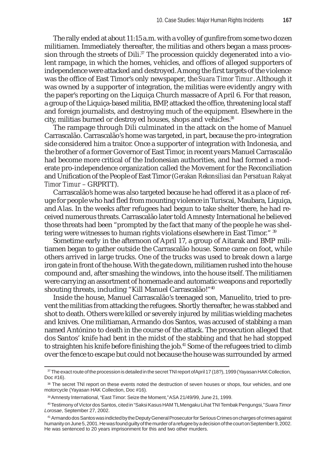The rally ended at about 11:15 a.m. with a volley of gunfire from some two dozen militiamen. Immediately thereafter, the militias and others began a mass procession through the streets of Dili. $37$  The procession quickly degenerated into a violent rampage, in which the homes, vehicles, and offices of alleged supporters of independence were attacked and destroyed. Among the first targets of the violence was the office of East Timor's only newspaper, the *Suara Timor Timur*. Although it was owned by a supporter of integration, the militias were evidently angry with the paper's reporting on the Liquiça Church massacre of April 6. For that reason, a group of the Liquiça-based militia, BMP, attacked the office, threatening local staff and foreign journalists, and destroying much of the equipment. Elsewhere in the city, militias burned or destroyed houses, shops and vehicles.<sup>38</sup>

The rampage through Dili culminated in the attack on the home of Manuel Carrascalão. Carrascalão's home was targeted, in part, because the pro-integration side considered him a traitor. Once a supporter of integration with Indonesia, and the brother of a former Governor of East Timor, in recent years Manuel Carrascalão had become more critical of the Indonesian authorities, and had formed a moderate pro-independence organization called the Movement for the Reconciliation and Unification of the People of East Timor (*Gerakan Rekonsiliasi dan Persatuan Rakyat Timor Timur* – GRPRTT).

Carrascalão's home was also targeted because he had offered it as a place of refuge for people who had fled from mounting violence in Turiscai, Maubara, Liquiça, and Alas. In the weeks after refugees had begun to take shelter there, he had received numerous threats. Carrascalão later told Amnesty International he believed those threats had been "prompted by the fact that many of the people he was sheltering were witnesses to human rights violations elsewhere in East Timor." 39

Sometime early in the afternoon of April 17, a group of Aitarak and BMP militiamen began to gather outside the Carrascalão house. Some came on foot, while others arrived in large trucks. One of the trucks was used to break down a large iron gate in front of the house. With the gate down, militiamen rushed into the house compound and, after smashing the windows, into the house itself. The militiamen were carrying an assortment of homemade and automatic weapons and reportedly shouting threats, including "Kill Manuel Carrascalão!"<sup>40</sup>

Inside the house, Manuel Carrascalão's teenaged son, Manuelito, tried to prevent the militias from attacking the refugees. Shortly thereafter, he was stabbed and shot to death. Others were killed or severely injured by militias wielding machetes and knives. One militiaman, Armando dos Santos, was accused of stabbing a man named Antónino to death in the course of the attack. The prosecution alleged that dos Santos' knife had bent in the midst of the stabbing and that he had stopped to straighten his knife before finishing the job.<sup>41</sup> Some of the refugees tried to climb over the fence to escape but could not because the house was surrounded by armed

<sup>&</sup>lt;sup>37</sup> The exact route of the procession is detailed in the secret TNI report of April 17 (18?), 1999 (Yayasan HAK Collection, Doc #16).

<sup>38</sup> The secret TNI report on these events noted the destruction of seven houses or shops, four vehicles, and one motorcycle (Yayasan HAK Collection, Doc #16).

<sup>39</sup> Amnesty International, "East Timor: Seize the Moment," ASA 21/49/99, June 21, 1999.

<sup>40</sup> Testimony of Victor dos Santos, cited in "Saksi Kasus HAM TL Mengaku Lihat TNI Tembak Pengungsi," *Suara Timor Lorosae*, September 27, 2002.

<sup>41</sup> Armando dos Santos was indicted by the Deputy General Prosecutor for Serious Crimes on charges of crimes against humanity on June 5, 2001. He was found guilty of the murder of a refugee by a decision of the court on September 9, 2002. He was sentenced to 20 years imprisonment for this and two other murders.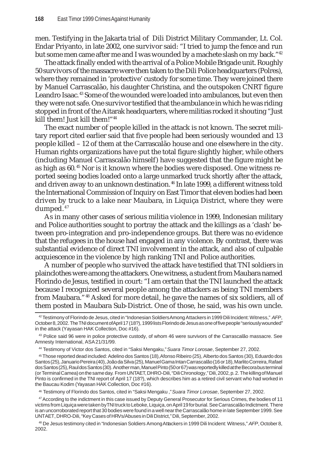men. Testifying in the Jakarta trial of Dili District Military Commander, Lt. Col. Endar Priyanto, in late 2002, one survivor said: "I tried to jump the fence and run but some men came after me and I was wounded by a machete slash on my back."<sup>42</sup>

The attack finally ended with the arrival of a Police Mobile Brigade unit. Roughly 50 survivors of the massacre were then taken to the Dili Police headquarters (Polres), where they remained in 'protective' custody for some time. They were joined there by Manuel Carrascalão, his daughter Christina, and the outspoken CNRT figure Leandro Isaac. 43 Some of the wounded were loaded into ambulances, but even then they were not safe. One survivor testified that the ambulance in which he was riding stopped in front of the Aitarak headquarters, where militias rocked it shouting "Just kill them! Just kill them!"<sup>44</sup>

The exact number of people killed in the attack is not known. The secret military report cited earlier said that five people had been seriously wounded and 13 people killed – 12 of them at the Carrascalão house and one elsewhere in the city. Human rights organizations have put the total figure slightly higher, while others (including Manuel Carrascalão himself) have suggested that the figure might be as high as 60. 45 Nor is it known where the bodies were disposed. One witness reported seeing bodies loaded onto a large unmarked truck shortly after the attack, and driven away to an unknown destination.<sup>46</sup> In late 1999, a different witness told the International Commission of Inquiry on East Timor that eleven bodies had been driven by truck to a lake near Maubara, in Liquiça District, where they were dumped. <sup>47</sup>

As in many other cases of serious militia violence in 1999, Indonesian military and Police authorities sought to portray the attack and the killings as a 'clash' between pro-integration and pro-independence groups. But there was no evidence that the refugees in the house had engaged in any violence. By contrast, there was substantial evidence of direct TNI involvement in the attack, and also of culpable acquiescence in the violence by high ranking TNI and Police authorities.

A number of people who survived the attack have testified that TNI soldiers in plainclothes were among the attackers. One witness, a student from Maubara named Florindo de Jesus, testified in court: "I am certain that the TNI launched the attack because I recognized several people among the attackers as being TNI members from Maubara."48 Asked for more detail, he gave the names of six soldiers, all of them posted in Maubara Sub-District. One of those, he said, was his own uncle.

46 Testimony of Florindo dos Santos, cited in "Saksi Mengaku ," *Suara Timor Lorosae*, September 27, 2002.

47 According to the indictment in this case issued by Deputy General Prosecutor for Serious Crimes, the bodies of 11 victims from Liquiça were taken by TNI truck to Leboke, Liquiça, on April 19 for burial. See Carrascalão Indictment. There is an uncorroborated report that 30 bodies were found in a well near the Carrascalão home in late September 1999. See UNTAET, DHRO-Dili, "Key Cases of HRVs/Abuses in Dili District," Dili, September, 2002.

48 De Jesus testimony cited in "Indonesian Soldiers Among Attackers in 1999 Dili Incident: Witness," *AFP*, October 8, 2002.

<sup>42</sup> Testimony of Florindo de Jesus, cited in "Indonesian Soldiers Among Attackers in 1999 Dili Incident: Witness," *AFP*, October 8, 2002. The TNI document of April 17 (18?), 1999 lists Florindo de Jesus as one of five people "seriously wounded" in the attack (Yayasan HAK Collection, Doc #16).

<sup>&</sup>lt;sup>43</sup> Police said 96 were in police protective custody, of whom 46 were survivors of the Carrascalão massacre. See Amnesty International, ASA 21/31/99.

<sup>44</sup> Testimony of Victor dos Santos, cited in "Saksi Mengaku," *Suara Timor Lorosae*, September 27, 2002.

<sup>45</sup> Those reported dead included: Adelino dos Santos (18), Afonso Ribeiro (25), Alberto dos Santos (30), Eduardo dos Santos (25), Januario Pereira (40), João da Silva (25), Manuel Gama Intan Carrascalão (16 or 18), Marlito Correira, Rafael dos Santos (25), Raul dos Santos (30). Another man, Manuel Pinto (50 or 67) was reportedly killed at the Becora bus terminal (or Terminal Camea) on the same day. From UNTAET, DHRO-Dili, "Dili Chronology," Dili, 2002, p. 2. The killing of Manuel Pinto is confirmed in the TNI report of April 17 (18?), which describes him as a retired civil servant who had worked in the Baucau Kodim (Yayasan HAK Collection, Doc #16).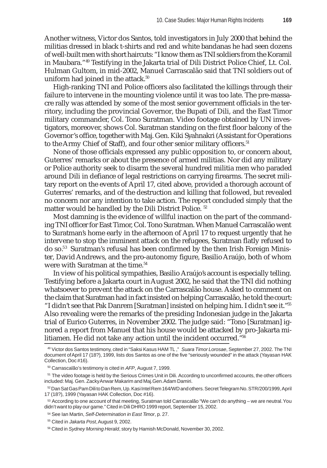Another witness, Victor dos Santos, told investigators in July 2000 that behind the militias dressed in black t-shirts and red and white bandanas he had seen dozens of well-built men with short haircuts: "I know them as TNI soldiers from the Koramil in Maubara."49 Testifying in the Jakarta trial of Dili District Police Chief, Lt. Col. Hulman Gultom, in mid-2002, Manuel Carrascalão said that TNI soldiers out of uniform had joined in the attack.<sup>50</sup>

High-ranking TNI and Police officers also facilitated the killings through their failure to intervene in the mounting violence until it was too late. The pre-massacre rally was attended by some of the most senior government officials in the territory, including the provincial Governor, the Bupati of Dili, and the East Timor military commander, Col. Tono Suratman. Video footage obtained by UN investigators, moreover, shows Col. Suratman standing on the first floor balcony of the Governor's office, together with Maj. Gen. Kiki Syahnakri (Assistant for Operations to the Army Chief of Staff), and four other senior military officers.<sup>51</sup>

None of those officials expressed any public opposition to, or concern about, Guterres' remarks or about the presence of armed militias. Nor did any military or Police authority seek to disarm the several hundred militia men who paraded around Dili in defiance of legal restrictions on carrying firearms. The secret military report on the events of April 17, cited above, provided a thorough account of Guterres' remarks, and of the destruction and killing that followed, but revealed no concern nor any intention to take action. The report concluded simply that the matter would be handled by the Dili District Police. 52

Most damning is the evidence of willful inaction on the part of the commanding TNI officer for East Timor, Col. Tono Suratman. When Manuel Carrascalão went to Suratman's home early in the afternoon of April 17 to request urgently that he intervene to stop the imminent attack on the refugees, Suratman flatly refused to do so.53 Suratman's refusal has been confirmed by the then Irish Foreign Minister, David Andrews, and the pro-autonomy figure, Basilio Araújo, both of whom were with Suratman at the time.<sup>54</sup>

In view of his political sympathies, Basilio Araújo's account is especially telling. Testifying before a Jakarta court in August 2002, he said that the TNI did nothing whatsoever to prevent the attack on the Carrascalão house. Asked to comment on the claim that Suratman had in fact insisted on helping Carrascalão, he told the court: "I didn't see that Pak Danrem [Suratman] insisted on helping him. I didn't see it."55 Also revealing were the remarks of the presiding Indonesian judge in the Jakarta trial of Eurico Guterres, in November 2002. The judge said: "Tono [Suratman] ignored a report from Manuel that his house would be attacked by pro-Jakarta militiamen. He did not take any action until the incident occurred."56

<sup>49</sup> Victor dos Santos testimony, cited in "Saksi Kasus HAM TL ," *Suara Timor Lorosae*, September 27, 2002. The TNI document of April 17 (18?), 1999, lists dos Santos as one of the five "seriously wounded" in the attack (Yayasan HAK Collection, Doc #16).

<sup>50</sup> Carrascalão's testimony is cited in *AFP*, August 7, 1999.

<sup>51</sup> The video footage is held by the Serious Crimes Unit in Dili. According to unconfirmed accounts, the other officers included: Maj. Gen. Zacky Anwar Makarim and Maj.Gen. Adam Damiri.

<sup>52</sup> Dan Sat Gas Pam Dili to Dan Rem, Up. Kasi Intel Rem 164/WD and others. Secret Telegram No. STR/200/1999, April 17 (18?), 1999 (Yayasan HAK Collection, Doc #16).

<sup>53</sup> According to one account of that meeting, Suratman told Carrascalão "We can't do anything – we are neutral. You didn't want to play our game." Cited in Dili DHRO 1999 report, September 15, 2002.

<sup>54</sup> See Ian Martin, *Self-Determination in East Timor*, p. 27.

<sup>55</sup> Cited in *Jakarta Post*, August 9, 2002.

<sup>56</sup> Cited in *Sydney Morning Herald*, story by Hamish McDonald, November 30, 2002.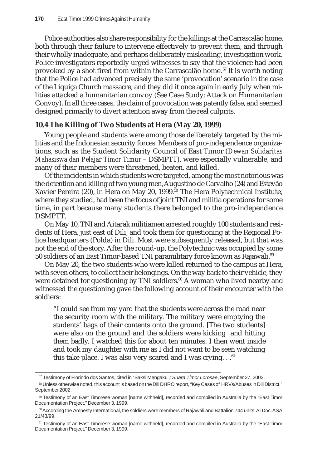Police authorities also share responsibility for the killings at the Carrascalão home, both through their failure to intervene effectively to prevent them, and through their wholly inadequate, and perhaps deliberately misleading, investigation work. Police investigators reportedly urged witnesses to say that the violence had been provoked by a shot fired from within the Carrascalão home. 57 It is worth noting that the Police had advanced precisely the same 'provocation' scenario in the case of the Liquiça Church massacre, and they did it once again in early July when militias attacked a humanitarian convoy (See Case Study: Attack on Humanitarian Convoy). In all three cases, the claim of provocation was patently false, and seemed designed primarily to divert attention away from the real culprits.

### **10.4 The Killing of Two Students at Hera (May 20, 1999)**

Young people and students were among those deliberately targeted by the militias and the Indonesian security forces. Members of pro-independence organizations, such as the Student Solidarity Council of East Timor (*Dewan Solidaritas Mahasiswa dan Pelajar Timor Timur –* DSMPTT), were especially vulnerable, and many of their members were threatened, beaten, and killed.

Of the incidents in which students were targeted, among the most notorious was the detention and killing of two young men, Augustino de Carvalho (24) and Estevão Xavier Pereira (20), in Hera on May 20, 1999.58 The Hera Polytechnical Institute, where they studied, had been the focus of joint TNI and militia operations for some time, in part because many students there belonged to the pro-independence DSMPTT.

On May 10, TNI and Aitarak militiamen arrested roughly 100 students and residents of Hera, just east of Dili, and took them for questioning at the Regional Police headquarters (Polda) in Dili. Most were subsequently released, but that was not the end of the story. After the round-up, the Polytechnic was occupied by some 50 soldiers of an East Timor-based TNI paramilitary force known as Rajawali.<sup>59</sup>

On May 20, the two students who were killed returned to the campus at Hera, with seven others, to collect their belongings. On the way back to their vehicle, they were detained for questioning by TNI soldiers.<sup>60</sup> A woman who lived nearby and witnessed the questioning gave the following account of their encounter with the soldiers:

"I could see from my yard that the students were across the road near the security room with the military. The military were emptying the students' bags of their contents onto the ground. [The two students] were also on the ground and the soldiers were kicking and hitting them badly. I watched this for about ten minutes. I then went inside and took my daughter with me as I did not want to be seen watching this take place. I was also very scared and I was crying.  $.61$ 

<sup>57</sup> Testimony of Florindo dos Santos, cited in "Saksi Mengaku ," *Suara Timor Lorosae*, September 27, 2002.

<sup>58</sup> Unless otherwise noted, this account is based on the Dili DHRO report, "Key Cases of HRVs/Abuses in Dili District," September 2002.

<sup>59</sup> Testimony of an East Timorese woman [name withheld], recorded and compiled in Australia by the "East Timor Documentation Project," December 3, 1999.

 $60$  According the Amnesty International, the soldiers were members of Rajawali and Battalion 744 units. AI Doc. ASA 21/43/99.

<sup>&</sup>lt;sup>61</sup> Testimony of an East Timorese woman [name withheld], recorded and compiled in Australia by the "East Timor Documentation Project," December 3, 1999.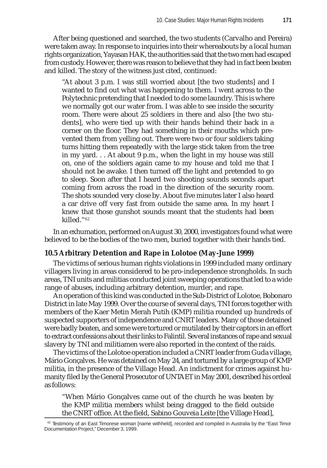After being questioned and searched, the two students (Carvalho and Pereira) were taken away. In response to inquiries into their whereabouts by a local human rights organization, Yayasan HAK, the authorities said that the two men had escaped from custody. However, there was reason to believe that they had in fact been beaten and killed. The story of the witness just cited, continued:

"At about 3 p.m. I was still worried about [the two students] and I wanted to find out what was happening to them. I went across to the Polytechnic pretending that I needed to do some laundry. This is where we normally got our water from. I was able to see inside the security room. There were about 25 soldiers in there and also [the two students], who were tied up with their hands behind their back in a corner on the floor. They had something in their mouths which prevented them from yelling out. There were two or four soldiers taking turns hitting them repeatedly with the large stick taken from the tree in my yard. . . At about 9 p.m., when the light in my house was still on, one of the soldiers again came to my house and told me that I should not be awake. I then turned off the light and pretended to go to sleep. Soon after that I heard two shooting sounds seconds apart coming from across the road in the direction of the security room. The shots sounded very close by. About five minutes later I also heard a car drive off very fast from outside the same area. In my heart I knew that those gunshot sounds meant that the students had been killed."62

In an exhumation, performed on August 30, 2000, investigators found what were believed to be the bodies of the two men, buried together with their hands tied.

### **10.5 Arbitrary Detention and Rape in Lolotoe (May-June 1999)**

The victims of serious human rights violations in 1999 included many ordinary villagers living in areas considered to be pro-independence strongholds. In such areas, TNI units and militias conducted joint sweeping operations that led to a wide range of abuses, including arbitrary detention, murder, and rape.

An operation of this kind was conducted in the Sub-District of Lolotoe, Bobonaro District in late May 1999. Over the course of several days, TNI forces together with members of the Kaer Metin Merah Putih (KMP) militia rounded up hundreds of suspected supporters of independence and CNRT leaders. Many of those detained were badly beaten, and some were tortured or mutilated by their captors in an effort to extract confessions about their links to Falintil. Several instances of rape and sexual slavery by TNI and militiamen were also reported in the context of the raids.

The victims of the Lolotoe operation included a CNRT leader from Guda village, Mário Gonçalves. He was detained on May 24, and tortured by a large group of KMP militia, in the presence of the Village Head. An indictment for crimes against humanity filed by the General Prosecutor of UNTAET in May 2001, described his ordeal as follows:

"When Mário Gonçalves came out of the church he was beaten by the KMP militia members whilst being dragged to the field outside the CNRT office. At the field, Sabino Gouveia Leite [the Village Head],

 $62$  Testimony of an East Timorese woman [name withheld], recorded and compiled in Australia by the "East Timor Documentation Project," December 3, 1999.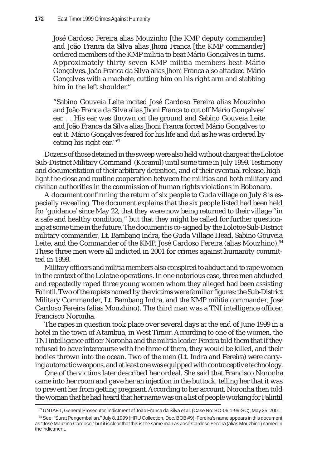José Cardoso Fereira alias Mouzinho [the KMP deputy commander] and João Franca da Silva alias Jhoni Franca [the KMP commander] ordered members of the KMP militia to beat Mário Gonçalves in turns. Approximately thirty-seven KMP militia members beat Mário Gonçalves. João Franca da Silva alias Jhoni Franca also attacked Mário Gonçalves with a machete, cutting him on his right arm and stabbing him in the left shoulder."

"Sabino Gouveia Leite incited José Cardoso Fereira alias Mouzinho and João Franca da Silva alias Jhoni Franca to cut off Mário Gonçalves' ear. . . His ear was thrown on the ground and Sabino Gouveia Leite and João Franca da Silva alias Jhoni Franca forced Mário Gonçalves to eat it. Mário Gonçalves feared for his life and did as he was ordered by eating his right ear."63

Dozens of those detained in the sweep were also held without charge at the Lolotoe Sub-District Military Command (Koramil) until some time in July 1999. Testimony and documentation of their arbitrary detention, and of their eventual release, highlight the close and routine cooperation between the militias and both military and civilian authorities in the commission of human rights violations in Bobonaro.

A document confirming the return of six people to Guda village on July 8 is especially revealing. The document explains that the six people listed had been held for 'guidance' since May 22, that they were now being returned to their village "in a safe and healthy condition," but that they might be called for further questioning at some time in the future. The document is co-signed by the Lolotoe Sub-District military commander, Lt. Bambang Indra, the Guda Village Head, Sabino Gouveia Leite, and the Commander of the KMP, José Cardoso Fereira (alias Mouzhino).<sup>64</sup> These three men were all indicted in 2001 for crimes against humanity committed in 1999.

Military officers and militia members also conspired to abduct and to rape women in the context of the Lolotoe operations. In one notorious case, three men abducted and repeatedly raped three young women whom they alleged had been assisting Falintil. Two of the rapists named by the victims were familiar figures: the Sub-District Military Commander, Lt. Bambang Indra, and the KMP militia commander, José Cardoso Fereira (alias Mouzhino). The third man was a TNI intelligence officer, Francisco Noronha.

The rapes in question took place over several days at the end of June 1999 in a hotel in the town of Atambua, in West Timor. According to one of the women, the TNI intelligence officer Noronha and the militia leader Fereira told them that if they refused to have intercourse with the three of them, they would be killed, and their bodies thrown into the ocean. Two of the men (Lt. Indra and Fereira) were carrying automatic weapons, and at least one was equipped with contraceptive technology.

One of the victims later described her ordeal. She said that Francisco Noronha came into her room and gave her an injection in the buttock, telling her that it was to prevent her from getting pregnant. According to her account, Noronha then told the woman that he had heard that her name was on a list of people working for Falintil

<sup>&</sup>lt;sup>63</sup> UNTAET, General Prosecutor, Indictment of João Franca da Silva et al. (Case No: BO-06.1-99-SC), May 25, 2001.

<sup>64</sup> See: "Surat Pengembalian," July 8, 1999 (HRU Collection, Doc. BOB #9). Fereira's name appears in this document as "José Mauzino Cardoso," but it is clear that this is the same man as José Cardoso Fereira (alias Mouzhino) named in the indictment.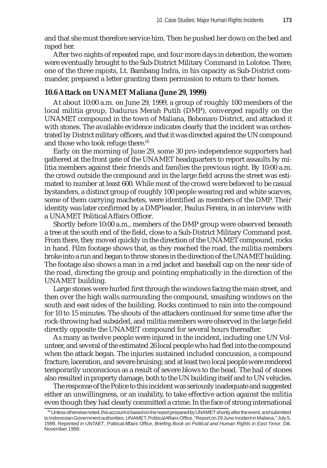and that she must therefore service him. Then he pushed her down on the bed and raped her.

After two nights of repeated rape, and four more days in detention, the women were eventually brought to the Sub-District Military Command in Lolotoe. There, one of the three rapists, Lt. Bambang Indra, in his capacity as Sub-District commander, prepared a letter granting them permission to return to their homes.

### **10.6 Attack on UNAMET Maliana (June 29, 1999)**

At about 10:00 a.m. on June 29, 1999, a group of roughly 100 members of the local militia group, Dadurus Merah Putih (DMP), converged rapidly on the UNAMET compound in the town of Maliana, Bobonaro District, and attacked it with stones. The available evidence indicates clearly that the incident was orchestrated by District military officers, and that it was directed against the UN compound and those who took refuge there.<sup>65</sup>

Early on the morning of June 29, some 30 pro-independence supporters had gathered at the front gate of the UNAMET headquarters to report assaults by militia members against their friends and families the previous night. By 10:00 a.m. the crowd outside the compound and in the large field across the street was estimated to number at least 600. While most of the crowd were believed to be casual bystanders, a distinct group of roughly 100 people wearing red and white scarves, some of them carrying machetes, were identified as members of the DMP. Their identity was later confirmed by a DMP leader, Paulus Fereira, in an interview with a UNAMET Political Affairs Officer.

Shortly before 10:00 a.m., members of the DMP group were observed beneath a tree at the south end of the field, close to a Sub-District Military Command post. From there, they moved quickly in the direction of the UNAMET compound, rocks in hand. Film footage shows that, as they reached the road, the militia members broke into a run and began to throw stones in the direction of the UNAMET building. The footage also shows a man in a red jacket and baseball cap on the near side of the road, directing the group and pointing emphatically in the direction of the UNAMET building.

Large stones were hurled first through the windows facing the main street, and then over the high walls surrounding the compound, smashing windows on the south and east sides of the building. Rocks continued to rain into the compound for 10 to 15 minutes. The shouts of the attackers continued for some time after the rock-throwing had subsided, and militia members were observed in the large field directly opposite the UNAMET compound for several hours thereafter.

As many as twelve people were injured in the incident, including one UN Volunteer, and several of the estimated 26 local people who had fled into the compound when the attack began. The injuries sustained included concussion, a compound fracture, laceration, and severe bruising; and at least two local people were rendered temporarily unconscious as a result of severe blows to the head. The hail of stones also resulted in property damage, both to the UN building itself and to UN vehicles.

The response of the Police to this incident was seriously inadequate and suggested either an unwillingness, or an inability, to take effective action against the militia even though they had clearly committed a crime. In the face of strong international

 $\rm ^{65}$  Unless otherwise noted, this account is based on the report prepared by UNAMET shortly after the event, and submitted to Indonesian Government authorities. UNAMET, Political Affairs Office, "Report on 29 June Incident in Maliana," July 5, 1999. Reprinted in UNTAET, Political Affairs Office, *Briefing Book on Political and Human Rights in East Timor*, Dili, November 1999.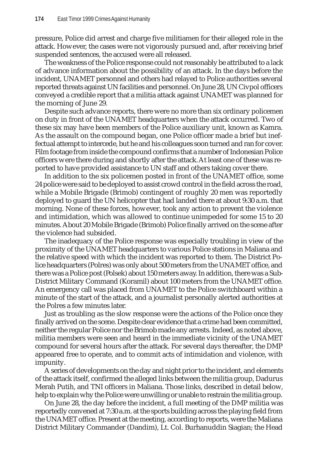pressure, Police did arrest and charge five militiamen for their alleged role in the attack. However, the cases were not vigorously pursued and, after receiving brief suspended sentences, the accused were all released.

The weakness of the Police response could not reasonably be attributed to a lack of advance information about the possibility of an attack. In the days before the incident, UNAMET personnel and others had relayed to Police authorities several reported threats against UN facilities and personnel. On June 28, UN Civpol officers conveyed a credible report that a militia attack against UNAMET was planned for the morning of June 29.

Despite such advance reports, there were no more than six ordinary policemen on duty in front of the UNAMET headquarters when the attack occurred. Two of these six may have been members of the Police auxiliary unit, known as Kamra. As the assault on the compound began, one Police officer made a brief but ineffectual attempt to intercede, but he and his colleagues soon turned and ran for cover. Film footage from inside the compound confirms that a number of Indonesian Police officers were there during and shortly after the attack. At least one of these was reported to have provided assistance to UN staff and others taking cover there.

In addition to the six policemen posted in front of the UNAMET office, some 24 police were said to be deployed to assist crowd control in the field across the road, while a Mobile Brigade (Brimob) contingent of roughly 20 men was reportedly deployed to guard the UN helicopter that had landed there at about 9:30 a.m. that morning. None of these forces, however, took any action to prevent the violence and intimidation, which was allowed to continue unimpeded for some 15 to 20 minutes. About 20 Mobile Brigade (Brimob) Police finally arrived on the scene after the violence had subsided.

The inadequacy of the Police response was especially troubling in view of the proximity of the UNAMET headquarters to various Police stations in Maliana and the relative speed with which the incident was reported to them. The District Police headquarters (Polres) was only about 500 meters from the UNAMET office, and there was a Police post (Polsek) about 150 meters away. In addition, there was a Sub-District Military Command (Koramil) about 100 meters from the UNAMET office. An emergency call was placed from UNAMET to the Police switchboard within a minute of the start of the attack, and a journalist personally alerted authorities at the Polres a few minutes later.

Just as troubling as the slow response were the actions of the Police once they finally arrived on the scene. Despite clear evidence that a crime had been committed, neither the regular Police nor the Brimob made any arrests. Indeed, as noted above, militia members were seen and heard in the immediate vicinity of the UNAMET compound for several hours after the attack. For several days thereafter, the DMP appeared free to operate, and to commit acts of intimidation and violence, with impunity.

A series of developments on the day and night prior to the incident, and elements of the attack itself, confirmed the alleged links between the militia group, Dadurus Merah Putih, and TNI officers in Maliana. Those links, described in detail below, help to explain why the Police were unwilling or unable to restrain the militia group.

On June 28, the day before the incident, a full meeting of the DMP militia was reportedly convened at 7:30 a.m. at the sports building across the playing field from the UNAMET office. Present at the meeting, according to reports, were the Maliana District Military Commander (Dandim), Lt. Col. Burhanuddin Siagian; the Head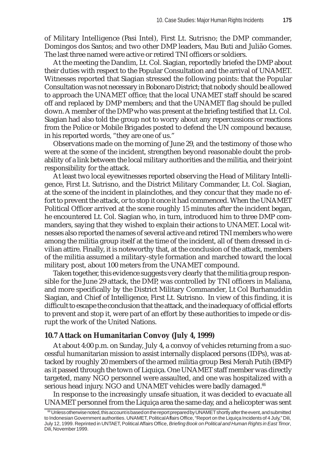of Military Intelligence (Pasi Intel), First Lt. Sutrisno; the DMP commander, Domingos dos Santos; and two other DMP leaders, Mau Buti and Julião Gomes. The last three named were active or retired TNI officers or soldiers.

At the meeting the Dandim, Lt. Col. Siagian, reportedly briefed the DMP about their duties with respect to the Popular Consultation and the arrival of UNAMET. Witnesses reported that Siagian stressed the following points: that the Popular Consultation was not necessary in Bobonaro District; that nobody should be allowed to approach the UNAMET office; that the local UNAMET staff should be scared off and replaced by DMP members; and that the UNAMET flag should be pulled down. A member of the DMP who was present at the briefing testified that Lt. Col. Siagian had also told the group not to worry about any repercussions or reactions from the Police or Mobile Brigades posted to defend the UN compound because, in his reported words, "they are one of us."

Observations made on the morning of June 29, and the testimony of those who were at the scene of the incident, strengthen beyond reasonable doubt the probability of a link between the local military authorities and the militia, and their joint responsibility for the attack.

At least two local eyewitnesses reported observing the Head of Military Intelligence, First Lt. Sutrisno, and the District Military Commander, Lt. Col. Siagian, at the scene of the incident in plainclothes, and they concur that they made no effort to prevent the attack, or to stop it once it had commenced. When the UNAMET Political Officer arrived at the scene roughly 15 minutes after the incident began, he encountered Lt. Col. Siagian who, in turn, introduced him to three DMP commanders, saying that they wished to explain their actions to UNAMET. Local witnesses also reported the names of several active and retired TNI members who were among the militia group itself at the time of the incident, all of them dressed in civilian attire. Finally, it is noteworthy that, at the conclusion of the attack, members of the militia assumed a military-style formation and marched toward the local military post, about 100 meters from the UNAMET compound.

Taken together, this evidence suggests very clearly that the militia group responsible for the June 29 attack, the DMP, was controlled by TNI officers in Maliana, and more specifically by the District Military Commander, Lt Col Burhanuddin Siagian, and Chief of Intelligence, First Lt. Sutrisno. In view of this finding, it is difficult to escape the conclusion that the attack, and the inadequacy of official efforts to prevent and stop it, were part of an effort by these authorities to impede or disrupt the work of the United Nations.

#### **10.7 Attack on Humanitarian Convoy (July 4, 1999)**

At about 4:00 p.m. on Sunday, July 4, a convoy of vehicles returning from a successful humanitarian mission to assist internally displaced persons (IDPs), was attacked by roughly 20 members of the armed militia group Besi Merah Putih (BMP) as it passed through the town of Liquiça. One UNAMET staff member was directly targeted, many NGO personnel were assaulted, and one was hospitalized with a serious head injury. NGO and UNAMET vehicles were badly damaged.<sup>66</sup>

In response to the increasingly unsafe situation, it was decided to evacuate all UNAMET personnel from the Liquiça area the same day, and a helicopter was sent

 $^{66}$  Unless otherwise noted, this account is based on the report prepared by UNAMET shortly after the event, and submitted to Indonesian Government authorities. UNAMET, Political Affairs Office, "Report on the Liquiça Incidents of 4 July," Dili, July 12, 1999. Reprinted in UNTAET, Political Affairs Office, *Briefing Book on Political and Human Rights in East Timor*, Dili, November 1999.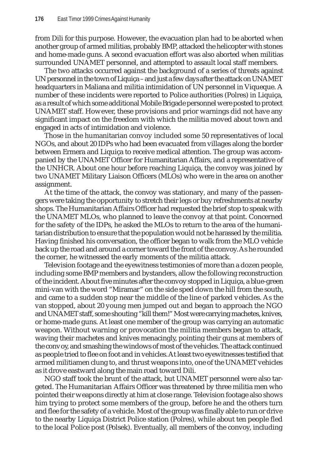from Dili for this purpose. However, the evacuation plan had to be aborted when another group of armed militias, probably BMP, attacked the helicopter with stones and home-made guns. A second evacuation effort was also aborted when militias surrounded UNAMET personnel, and attempted to assault local staff members.

The two attacks occurred against the background of a series of threats against UN personnel in the town of Liquiça – and just a few days after the attack on UNAMET headquarters in Maliana and militia intimidation of UN personnel in Viqueque. A number of these incidents were reported to Police authorities (Polres) in Liquiça, as a result of which some additional Mobile Brigade personnel were posted to protect UNAMET staff. However, these provisions and prior warnings did not have any significant impact on the freedom with which the militia moved about town and engaged in acts of intimidation and violence.

Those in the humanitarian convoy included some 50 representatives of local NGOs, and about 20 IDPs who had been evacuated from villages along the border between Ermera and Liquiça to receive medical attention. The group was accompanied by the UNAMET Officer for Humanitarian Affairs, and a representative of the UNHCR. About one hour before reaching Liquiça, the convoy was joined by two UNAMET Military Liaison Officers (MLOs) who were in the area on another assignment.

At the time of the attack, the convoy was stationary, and many of the passengers were taking the opportunity to stretch their legs or buy refreshments at nearby shops. The Humanitarian Affairs Officer had requested the brief stop to speak with the UNAMET MLOs, who planned to leave the convoy at that point. Concerned for the safety of the IDPs, he asked the MLOs to return to the area of the humanitarian distribution to ensure that the population would not be harassed by the militia. Having finished his conversation, the officer began to walk from the MLO vehicle back up the road and around a corner toward the front of the convoy. As he rounded the corner, he witnessed the early moments of the militia attack.

Television footage and the eyewitness testimonies of more than a dozen people, including some BMP members and bystanders, allow the following reconstruction of the incident. About five minutes after the convoy stopped in Liquiça, a blue-green mini-van with the word "Miramar" on the side sped down the hill from the south, and came to a sudden stop near the middle of the line of parked vehicles. As the van stopped, about 20 young men jumped out and began to approach the NGO and UNAMET staff, some shouting "kill them!" Most were carrying machetes, knives, or home-made guns. At least one member of the group was carrying an automatic weapon. Without warning or provocation the militia members began to attack, waving their machetes and knives menacingly, pointing their guns at members of the convoy, and smashing the windows of most of the vehicles. The attack continued as people tried to flee on foot and in vehicles. At least two eyewitnesses testified that armed militiamen clung to, and thrust weapons into, one of the UNAMET vehicles as it drove eastward along the main road toward Dili.

NGO staff took the brunt of the attack, but UNAMET personnel were also targeted. The Humanitarian Affairs Officer was threatened by three militia men who pointed their weapons directly at him at close range. Television footage also shows him trying to protect some members of the group, before he and the others turn and flee for the safety of a vehicle. Most of the group was finally able to run or drive to the nearby Liquiça District Police station (Polres), while about ten people fled to the local Police post (Polsek). Eventually, all members of the convoy, including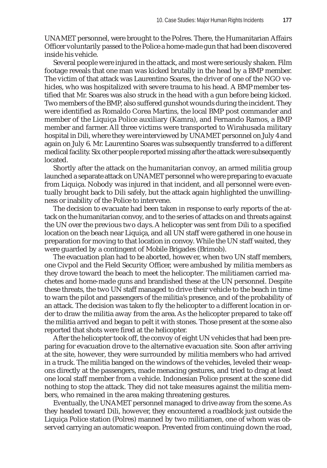UNAMET personnel, were brought to the Polres. There, the Humanitarian Affairs Officer voluntarily passed to the Police a home-made gun that had been discovered inside his vehicle.

Several people were injured in the attack, and most were seriously shaken. Film footage reveals that one man was kicked brutally in the head by a BMP member. The victim of that attack was Laurentino Soares, the driver of one of the NGO vehicles, who was hospitalized with severe trauma to his head. A BMP member testified that Mr. Soares was also struck in the head with a gun before being kicked. Two members of the BMP, also suffered gunshot wounds during the incident. They were identified as Romaldo Corea Martins, the local BMP post commander and member of the Liquiça Police auxiliary (Kamra), and Fernando Ramos, a BMP member and farmer. All three victims were transported to Wirahusada military hospital in Dili, where they were interviewed by UNAMET personnel on July 4 and again on July 6. Mr. Laurentino Soares was subsequently transferred to a different medical facility. Six other people reported missing after the attack were subsequently located.

Shortly after the attack on the humanitarian convoy, an armed militia group launched a separate attack on UNAMET personnel who were preparing to evacuate from Liquiça. Nobody was injured in that incident, and all personnel were eventually brought back to Dili safely, but the attack again highlighted the unwillingness or inability of the Police to intervene.

The decision to evacuate had been taken in response to early reports of the attack on the humanitarian convoy, and to the series of attacks on and threats against the UN over the previous two days. A helicopter was sent from Dili to a specified location on the beach near Liquiça, and all UN staff were gathered in one house in preparation for moving to that location in convoy. While the UN staff waited, they were guarded by a contingent of Mobile Brigades (Brimob).

The evacuation plan had to be aborted, however, when two UN staff members, one Civpol and the Field Security Officer, were ambushed by militia members as they drove toward the beach to meet the helicopter. The militiamen carried machetes and home-made guns and brandished these at the UN personnel. Despite these threats, the two UN staff managed to drive their vehicle to the beach in time to warn the pilot and passengers of the militia's presence, and of the probability of an attack. The decision was taken to fly the helicopter to a different location in order to draw the militia away from the area. As the helicopter prepared to take off the militia arrived and began to pelt it with stones. Those present at the scene also reported that shots were fired at the helicopter.

After the helicopter took off, the convoy of eight UN vehicles that had been preparing for evacuation drove to the alternative evacuation site. Soon after arriving at the site, however, they were surrounded by militia members who had arrived in a truck. The militia banged on the windows of the vehicles, leveled their weapons directly at the passengers, made menacing gestures, and tried to drag at least one local staff member from a vehicle. Indonesian Police present at the scene did nothing to stop the attack. They did not take measures against the militia members, who remained in the area making threatening gestures.

Eventually, the UNAMET personnel managed to drive away from the scene. As they headed toward Dili, however, they encountered a roadblock just outside the Liquiça Police station (Polres) manned by two militiamen, one of whom was observed carrying an automatic weapon. Prevented from continuing down the road,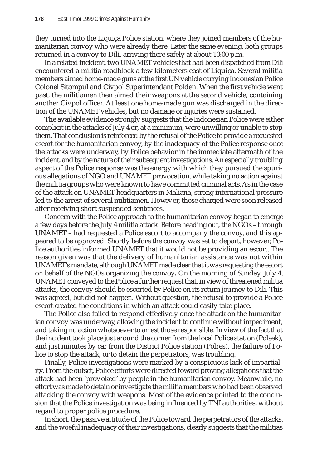they turned into the Liquiça Police station, where they joined members of the humanitarian convoy who were already there. Later the same evening, both groups returned in a convoy to Dili, arriving there safely at about 10:00 p.m.

In a related incident, two UNAMET vehicles that had been dispatched from Dili encountered a militia roadblock a few kilometers east of Liquiça. Several militia members aimed home-made guns at the first UN vehicle carrying Indonesian Police Colonel Sitompul and Civpol Superintendant Polden. When the first vehicle went past, the militiamen then aimed their weapons at the second vehicle, containing another Civpol officer. At least one home-made gun was discharged in the direction of the UNAMET vehicles, but no damage or injuries were sustained.

The available evidence strongly suggests that the Indonesian Police were either complicit in the attacks of July 4 or, at a minimum, were unwilling or unable to stop them. That conclusion is reinforced by the refusal of the Police to provide a requested escort for the humanitarian convoy, by the inadequacy of the Police response once the attacks were underway, by Police behavior in the immediate aftermath of the incident, and by the nature of their subsequent investigations. An especially troubling aspect of the Police response was the energy with which they pursued the spurious allegations of NGO and UNAMET provocation, while taking no action against the militia groups who were known to have committed criminal acts. As in the case of the attack on UNAMET headquarters in Maliana, strong international pressure led to the arrest of several militiamen. However, those charged were soon released after receiving short suspended sentences.

Concern with the Police approach to the humanitarian convoy began to emerge a few days before the July 4 militia attack. Before heading out, the NGOs – through UNAMET – had requested a Police escort to accompany the convoy, and this appeared to be approved. Shortly before the convoy was set to depart, however, Police authorities informed UNAMET that it would not be providing an escort. The reason given was that the delivery of humanitarian assistance was not within UNAMET's mandate, although UNAMET made clear that it was requesting the escort on behalf of the NGOs organizing the convoy**.** On the morning of Sunday, July 4, UNAMET conveyed to the Police a further request that, in view of threatened militia attacks, the convoy should be escorted by Police on its return journey to Dili. This was agreed, but did not happen. Without question, the refusal to provide a Police escort created the conditions in which an attack could easily take place.

The Police also failed to respond effectively once the attack on the humanitarian convoy was underway, allowing the incident to continue without impediment, and taking no action whatsoever to arrest those responsible. In view of the fact that the incident took place just around the corner from the local Police station (Polsek), and just minutes by car from the District Police station (Polres), the failure of Police to stop the attack, or to detain the perpetrators, was troubling.

Finally, Police investigations were marked by a conspicuous lack of impartiality. From the outset, Police efforts were directed toward proving allegations that the attack had been 'provoked' by people in the humanitarian convoy. Meanwhile, no effort was made to detain or investigate the militia members who had been observed attacking the convoy with weapons. Most of the evidence pointed to the conclusion that the Police investigation was being influenced by TNI authorities, without regard to proper police procedure.

In short, the passive attitude of the Police toward the perpetrators of the attacks, and the woeful inadequacy of their investigations, clearly suggests that the militias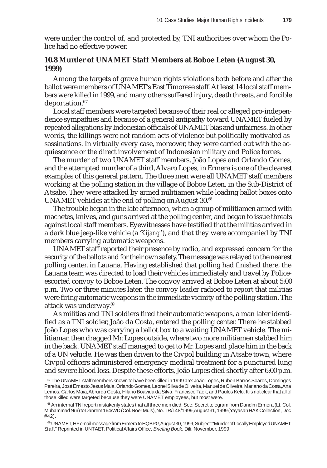were under the control of, and protected by, TNI authorities over whom the Police had no effective power.

## **10.8 Murder of UNAMET Staff Members at Boboe Leten (August 30, 1999)**

Among the targets of grave human rights violations both before and after the ballot were members of UNAMET's East Timorese staff. At least 14 local staff members were killed in 1999, and many others suffered injury, death threats, and forcible deportation.<sup>67</sup>

Local staff members were targeted because of their real or alleged pro-independence sympathies and because of a general antipathy toward UNAMET fueled by repeated allegations by Indonesian officials of UNAMET bias and unfairness. In other words, the killings were not random acts of violence but politically motivated assassinations. In virtually every case, moreover, they were carried out with the acquiescence or the direct involvement of Indonesian military and Police forces.

The murder of two UNAMET staff members, João Lopes and Orlando Gomes, and the attempted murder of a third, Alvaro Lopes, in Ermera is one of the clearest examples of this general pattern. The three men were all UNAMET staff members working at the polling station in the village of Boboe Leten, in the Sub-District of Atsabe. They were attacked by armed militiamen while loading ballot boxes onto UNAMET vehicles at the end of polling on August 30.<sup>68</sup>

The trouble began in the late afternoon, when a group of militiamen armed with machetes, knives, and guns arrived at the polling center, and began to issue threats against local staff members. Eyewitnesses have testified that the militias arrived in a dark blue jeep-like vehicle (a '*Kijang*'), and that they were accompanied by TNI members carrying automatic weapons.

UNAMET staff reported their presence by radio, and expressed concern for the security of the ballots and for their own safety. The message was relayed to the nearest polling center, in Lauana. Having established that polling had finished there, the Lauana team was directed to load their vehicles immediately and travel by Policeescorted convoy to Boboe Leten. The convoy arrived at Boboe Leten at about 5:00 p.m. Two or three minutes later, the convoy leader radioed to report that militias were firing automatic weapons in the immediate vicinity of the polling station. The attack was underway.69

As militias and TNI soldiers fired their automatic weapons, a man later identified as a TNI soldier, João da Costa, entered the polling center. There he stabbed João Lopes who was carrying a ballot box to a waiting UNAMET vehicle. The militiaman then dragged Mr. Lopes outside, where two more militiamen stabbed him in the back. UNAMET staff managed to get to Mr. Lopes and place him in the back of a UN vehicle. He was then driven to the Civpol building in Atsabe town, where Civpol officers administered emergency medical treatment for a punctured lung and severe blood loss. Despite these efforts, João Lopes died shortly after 6:00 p.m.

69 UNAMET, HF email message from Ermera to HQBPG, August 30, 1999, Subject: "Murder of Locally Employed UNAMET Staff." Reprinted in UNTAET, Political Affairs Office, *Briefing Book*, Dili, November, 1999.

<sup>67</sup> The UNAMET staff members known to have been killed in 1999 are: João Lopes, Ruben Barros Soares, Domingos Pereira, José Ernesto Jesus Maia, Orlando Gomes, Leonel Silva de Oliveira, Manuel de Oliveira, Mariano da Costa, Ana Lemos, Carlos Maia, Abrui da Costa, Hilario Boavida da Silva, Francisco Taek, and Paulos Kelo. It is not clear that all of those killed were targeted because they were UNAMET employees, but most were.

<sup>&</sup>lt;sup>68</sup> An internal TNI report mistakenly states that all three men died. See: Secret telegram from Dandim Ermera (Lt. Col. Muhammad Nur) to Danrem 164/WD (Col. Noer Muis), No. TR/148/1999, August 31, 1999 (Yayasan HAK Collection, Doc #42).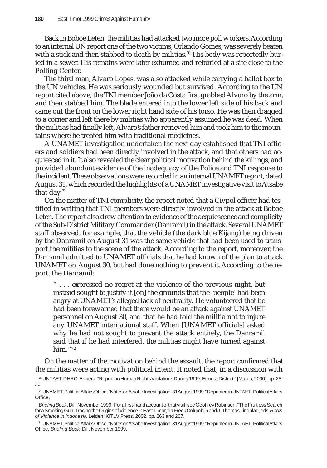Back in Boboe Leten, the militias had attacked two more poll workers. According to an internal UN report one of the two victims, Orlando Gomes, was severely beaten with a stick and then stabbed to death by militias.<sup>70</sup> His body was reportedly buried in a sewer. His remains were later exhumed and reburied at a site close to the Polling Center.

The third man, Alvaro Lopes, was also attacked while carrying a ballot box to the UN vehicles. He was seriously wounded but survived. According to the UN report cited above, the TNI member João da Costa first grabbed Alvaro by the arm, and then stabbed him. The blade entered into the lower left side of his back and came out the front on the lower right hand side of his torso. He was then dragged to a corner and left there by militias who apparently assumed he was dead. When the militias had finally left, Alvaro's father retrieved him and took him to the mountains where he treated him with traditional medicines.

A UNAMET investigation undertaken the next day established that TNI officers and soldiers had been directly involved in the attack, and that others had acquiesced in it. It also revealed the clear political motivation behind the killings, and provided abundant evidence of the inadequacy of the Police and TNI response to the incident. These observations were recorded in an internal UNAMET report, dated August 31, which recorded the highlights of a UNAMET investigative visit to Atsabe that day. $71$ 

On the matter of TNI complicity, the report noted that a Civpol officer had testified in writing that TNI members were directly involved in the attack at Boboe Leten. The report also drew attention to evidence of the acquiescence and complicity of the Sub-District Military Commander (Danramil) in the attack. Several UNAMET staff observed, for example, that the vehicle (the dark blue Kijang) being driven by the Danramil on August 31 was the same vehicle that had been used to transport the militias to the scene of the attack. According to the report, moreover, the Danramil admitted to UNAMET officials that he had known of the plan to attack UNAMET on August 30, but had done nothing to prevent it. According to the report, the Danramil:

" . . . expressed no regret at the violence of the previous night, but instead sought to justify it [on] the grounds that the 'people' had been angry at UNAMET's alleged lack of neutrality. He volunteered that he had been forewarned that there would be an attack against UNAMET personnel on August 30, and that he had told the militia not to injure any UNAMET international staff. When [UNAMET officials] asked why he had not sought to prevent the attack entirely, the Danramil said that if he had interfered, the militias might have turned against him."72

On the matter of the motivation behind the assault, the report confirmed that the militias were acting with political intent. It noted that, in a discussion with

<sup>70</sup> UNTAET, DHRO-Ermera, "Report on Human Rights Violations During 1999: Ermera District," [March, 2000], pp. 28- 30.

<sup>71</sup> UNAMET, Political Affairs Office, "Notes on Atsabe Investigation, 31 August 1999." Reprinted in UNTAET, Political Affairs Office,

*Briefing Book*, Dili, November 1999. For a first-hand account of that visit, see Geoffrey Robinson, "The Fruitless Search for a Smoking Gun: Tracing the Origins of Violence in East Timor," in Freek Columbijn and J. Thomas Lindblad, eds. *Roots of Violence in Indonesia*, Leiden: KITLV Press, 2002, pp. 263 and 267.

<sup>72</sup> UNAMET, Political Affairs Office, "Notes on Atsabe Investigation, 31 August 1999." Reprinted in UNTAET, Political Affairs Office, *Briefing Book*, Dili, November 1999.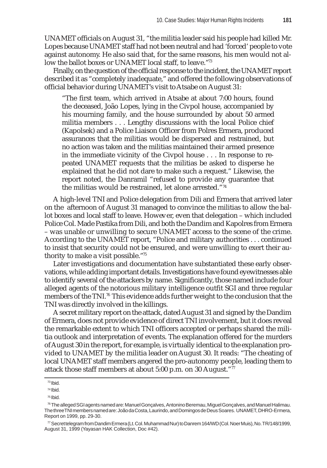UNAMET officials on August 31, "the militia leader said his people had killed Mr. Lopes because UNAMET staff had not been neutral and had 'forced' people to vote against autonomy. He also said that, for the same reasons, his men would not allow the ballot boxes or UNAMET local staff, to leave."73

Finally, on the question of the official response to the incident, the UNAMET report described it as "completely inadequate," and offered the following observations of official behavior during UNAMET's visit to Atsabe on August 31:

"The first team, which arrived in Atsabe at about 7:00 hours, found the deceased, João Lopes, lying in the Civpol house, accompanied by his mourning family, and the house surrounded by about 50 armed militia members . . . Lengthy discussions with the local Police chief (Kapolsek) and a Police Liaison Officer from Polres Ermera, produced assurances that the militias would be dispersed and restrained, but no action was taken and the militias maintained their armed presence in the immediate vicinity of the Civpol house . . . In response to repeated UNAMET requests that the militias be asked to disperse he explained that he did not dare to make such a request." Likewise, the report noted, the Danramil "refused to provide any guarantee that the militias would be restrained, let alone arrested."74

A high-level TNI and Police delegation from Dili and Ermera that arrived later on the afternoon of August 31 managed to convince the militias to allow the ballot boxes and local staff to leave. However, even that delegation – which included Police Col. Made Pastika from Dili, and both the Dandim and Kapolres from Ermera – was unable or unwilling to secure UNAMET access to the scene of the crime. According to the UNAMET report, "Police and military authorities . . . continued to insist that security could not be ensured, and were unwilling to exert their authority to make a visit possible."75

Later investigations and documentation have substantiated these early observations, while adding important details. Investigations have found eyewitnesses able to identify several of the attackers by name. Significantly, those named include four alleged agents of the notorious military intelligence outfit SGI and three regular members of the TNI.<sup>76</sup> This evidence adds further weight to the conclusion that the TNI was directly involved in the killings.

A secret military report on the attack, dated August 31 and signed by the Dandim of Ermera, does not provide evidence of direct TNI involvement, but it does reveal the remarkable extent to which TNI officers accepted or perhaps shared the militia outlook and interpretation of events. The explanation offered for the murders of August 30 in the report, for example, is virtually identical to the explanation provided to UNAMET by the militia leader on August 30. It reads: "The cheating of local UNAMET staff members angered the pro-autonomy people, leading them to attack those staff members at about 5:00 p.m. on 30 August."77

 $73$  Ibid.

<sup>74</sup> Ibid.

<sup>75</sup> Ibid.

<sup>76</sup> The alleged SGI agents named are: Manuel Gonçalves, Antonino Beremau, Miguel Gonçalves, and Manuel Halimau. The three TNI members named are: João da Costa, Laurindo, and Domingos de Deus Soares. UNAMET, DHRO-Ermera, Report on 1999, pp. 29-30.

 $\frac{77}{2}$  Secret telegram from Dandim Ermera (Lt. Col. Muhammad Nur) to Danrem 164/WD (Col. Noer Muis), No. TR/148/1999, August 31, 1999 (Yayasan HAK Collection, Doc #42).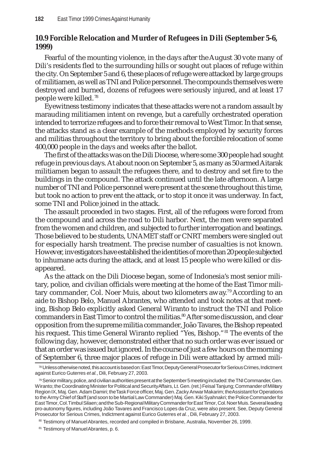# **10.9 Forcible Relocation and Murder of Refugees in Dili (September 5-6, 1999)**

Fearful of the mounting violence, in the days after the August 30 vote many of Dili's residents fled to the surrounding hills or sought out places of refuge within the city. On September 5 and 6, these places of refuge were attacked by large groups of militiamen, as well as TNI and Police personnel. The compounds themselves were destroyed and burned, dozens of refugees were seriously injured, and at least 17 people were killed. <sup>78</sup>

Eyewitness testimony indicates that these attacks were not a random assault by marauding militiamen intent on revenge, but a carefully orchestrated operation intended to terrorize refugees and to force their removal to West Timor. In that sense, the attacks stand as a clear example of the methods employed by security forces and militias throughout the territory to bring about the forcible relocation of some 400,000 people in the days and weeks after the ballot.

The first of the attacks was on the Dili Diocese, where some 300 people had sought refuge in previous days. At about noon on September 5, as many as 50 armed Aitarak militiamen began to assault the refugees there, and to destroy and set fire to the buildings in the compound. The attack continued until the late afternoon. A large number of TNI and Police personnel were present at the scene throughout this time, but took no action to prevent the attack, or to stop it once it was underway. In fact, some TNI and Police joined in the attack.

The assault proceeded in two stages. First, all of the refugees were forced from the compound and across the road to Dili harbor. Next, the men were separated from the women and children, and subjected to further interrogation and beatings. Those believed to be students, UNAMET staff or CNRT members were singled out for especially harsh treatment. The precise number of casualties is not known. However, investigators have established the identities of more than 20 people subjected to inhumane acts during the attack, and at least 15 people who were killed or disappeared.

As the attack on the Dili Diocese began, some of Indonesia's most senior military, police, and civilian officials were meeting at the home of the East Timor military commander, Col. Noer Muis, about two kilometers away.79 According to an aide to Bishop Belo, Manuel Abrantes, who attended and took notes at that meeting, Bishop Belo explicitly asked General Wiranto to instruct the TNI and Police commanders in East Timor to control the militias.<sup>80</sup> After some discussion, and clear opposition from the supreme militia commander, João Tavares, the Bishop repeated his request. This time General Wiranto replied "Yes, Bishop." <sup>81</sup> The events of the following day, however, demonstrated either that no such order was ever issued or that an order was issued but ignored. In the course of just a few hours on the morning of September 6, three major places of refuge in Dili were attacked by armed mili-

<sup>78</sup> Unless otherwise noted, this account is based on: East Timor, Deputy General Prosecutor for Serious Crimes, Indictment against Eurico Guterres *et al.*, Dili, February 27, 2003.

<sup>79</sup> Senior military, police, and civilian authorities present at the September 5 meeting included: the TNI Commander, Gen. Wiranto; the Coordinating Minister for Political and Security Affairs, Lt. Gen. (ret.) Feisal Tanjung; Commander of Military Region IX, Maj. Gen. Adam Damiri; the Task Force officer, Maj. Gen. Zacky Anwar Makarim; the Assistant for Operations to the Army Chief of Staff (and soon to be Martial Law Commander) Maj. Gen. Kiki Syahnakri; the Police Commander for East Timor, Col. Timbul Silaen; and the Sub-Regional Military Commander for East Timor, Col. Noer Muis. Several leading pro-autonomy figures, including João Tavares and Francisco Lopes da Cruz, were also present. See, Deputy General Prosecutor for Serious Crimes, Indictment against Eurico Guterres *et al.*, Dili, February 27, 2003.

<sup>80</sup> Testimony of Manuel Abrantes, recorded and compiled in Brisbane, Australia, November 26, 1999.

<sup>81</sup> Testimony of Manuel Abrantes, p. 6.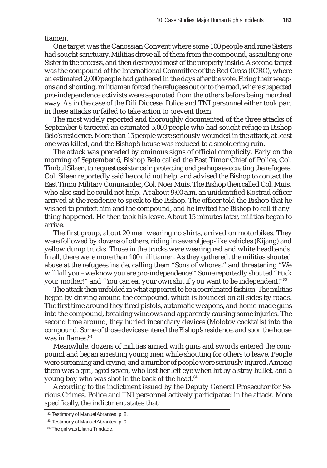tiamen.

One target was the Canossian Convent where some 100 people and nine Sisters had sought sanctuary. Militias drove all of them from the compound, assaulting one Sister in the process, and then destroyed most of the property inside. A second target was the compound of the International Committee of the Red Cross (ICRC), where an estimated 2,000 people had gathered in the days after the vote. Firing their weapons and shouting, militiamen forced the refugees out onto the road, where suspected pro-independence activists were separated from the others before being marched away. As in the case of the Dili Diocese, Police and TNI personnel either took part in these attacks or failed to take action to prevent them.

The most widely reported and thoroughly documented of the three attacks of September 6 targeted an estimated 5,000 people who had sought refuge in Bishop Belo's residence. More than 15 people were seriously wounded in the attack, at least one was killed, and the Bishop's house was reduced to a smoldering ruin.

The attack was preceded by ominous signs of official complicity. Early on the morning of September 6, Bishop Belo called the East Timor Chief of Police, Col. Timbul Silaen, to request assistance in protecting and perhaps evacuating the refugees. Col. Silaen reportedly said he could not help, and advised the Bishop to contact the East Timor Military Commander, Col. Noer Muis. The Bishop then called Col. Muis, who also said he could not help. At about 9:00 a.m. an unidentified Kostrad officer arrived at the residence to speak to the Bishop. The officer told the Bishop that he wished to protect him and the compound, and he invited the Bishop to call if anything happened. He then took his leave. About 15 minutes later, militias began to arrive.

The first group, about 20 men wearing no shirts, arrived on motorbikes. They were followed by dozens of others, riding in several jeep-like vehicles (Kijang) and yellow dump trucks. Those in the trucks were wearing red and white headbands. In all, there were more than 100 militiamen. As they gathered, the militias shouted abuse at the refugees inside, calling them "Sons of whores," and threatening "We will kill you – we know you are pro-independence!" Some reportedly shouted "Fuck your mother!" and "You can eat your own shit if you want to be independent!"<sup>82</sup>

The attack then unfolded in what appeared to be a coordinated fashion. The militias began by driving around the compound, which is bounded on all sides by roads. The first time around they fired pistols, automatic weapons, and home-made guns into the compound, breaking windows and apparently causing some injuries. The second time around, they hurled incendiary devices (Molotov cocktails) into the compound. Some of those devices entered the Bishop's residence, and soon the house was in flames.<sup>83</sup>

Meanwhile, dozens of militias armed with guns and swords entered the compound and began arresting young men while shouting for others to leave. People were screaming and crying, and a number of people were seriously injured. Among them was a girl, aged seven, who lost her left eye when hit by a stray bullet, and a young boy who was shot in the back of the head.<sup>84</sup>

According to the indictment issued by the Deputy General Prosecutor for Serious Crimes, Police and TNI personnel actively participated in the attack. More specifically, the indictment states that:

<sup>82</sup> Testimony of Manuel Abrantes, p. 8.

<sup>83</sup> Testimony of Manuel Abrantes, p. 9.

<sup>84</sup> The girl was Liliana Trindade.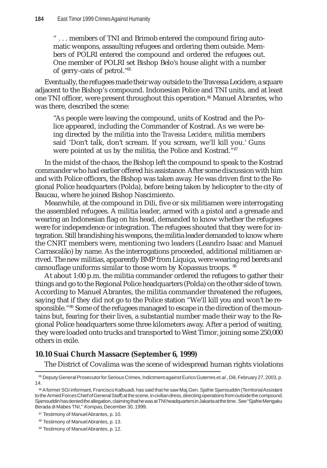" . . . members of TNI and Brimob entered the compound firing automatic weapons, assaulting refugees and ordering them outside. Members of POLRI entered the compound and ordered the refugees out. One member of POLRI set Bishop Belo's house alight with a number of gerry-cans of petrol."85

Eventually, the refugees made their way outside to the Travessa Lecidere, a square adjacent to the Bishop's compound. Indonesian Police and TNI units, and at least one TNI officer, were present throughout this operation.86 Manuel Abrantes, who was there, described the scene:

"As people were leaving the compound, units of Kostrad and the Police appeared, including the Commander of Kostrad. As we were being directed by the militia into the *Travessa Lecidere*, militia members said 'Don't talk, don't scream. If you scream, we'll kill you.' Guns were pointed at us by the militia, the Police and Kostrad."87

In the midst of the chaos, the Bishop left the compound to speak to the Kostrad commander who had earlier offered his assistance. After some discussion with him and with Police officers, the Bishop was taken away. He was driven first to the Regional Police headquarters (Polda), before being taken by helicopter to the city of Baucau, where he joined Bishop Nascimiento.

Meanwhile, at the compound in Dili, five or six militiamen were interrogating the assembled refugees. A militia leader, armed with a pistol and a grenade and wearing an Indonesian flag on his head, demanded to know whether the refugees were for independence or integration. The refugees shouted that they were for integration. Still brandishing his weapons, the militia leader demanded to know where the CNRT members were, mentioning two leaders (Leandro Isaac and Manuel Carrascalão) by name. As the interrogations proceeded, additional militiamen arrived. The new militias, apparently BMP from Liquiça, were wearing red berets and camouflage uniforms similar to those worn by Kopassus troops. 88

At about 1:00 p.m. the militia commander ordered the refugees to gather their things and go to the Regional Police headquarters (Polda) on the other side of town. According to Manuel Abrantes, the militia commander threatened the refugees, saying that if they did not go to the Police station "We'll kill you and won't be responsible."<sup>89</sup> Some of the refugees managed to escape in the direction of the mountains but, fearing for their lives, a substantial number made their way to the Regional Police headquarters some three kilometers away. After a period of waiting, they were loaded onto trucks and transported to West Timor, joining some 250,000 others in exile.

### **10.10 Suai Church Massacre (September 6, 1999)**

The District of Covalima was the scene of widespread human rights violations

<sup>85</sup> Deputy General Prosecutor for Serious Crimes, Indictment against Eurico Guterres *et.al.*, Dili, February 27, 2003, p. 14.

<sup>86</sup> A former SGI informant, Francisco Kalbuadi, has said that he saw Maj.Gen. Sjafrie Sjamsuddin (Territorial Assistant to the Armed Forces Chief of General Staff) at the scene, in civilian dress, directing operations from outside the compound. Sjamsuddin has denied the allegation, claiming that he was at TNI headquarters in Jakarta at the time. See "Sjafrie Mengaku Berada di Mabes TNI," *Kompas*, December 30, 1999.

<sup>87</sup> Testimony of Manuel Abrantes, p. 10.

<sup>88</sup> Testimony of Manuel Abrantes, p. 13.

<sup>89</sup> Testimony of Manuel Abrantes, p. 12.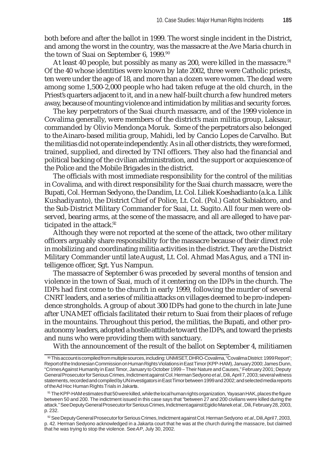both before and after the ballot in 1999. The worst single incident in the District, and among the worst in the country, was the massacre at the Ave Maria church in the town of Suai on September 6, 1999.<sup>90</sup>

At least 40 people, but possibly as many as 200, were killed in the massacre.<sup>91</sup> Of the 40 whose identities were known by late 2002, three were Catholic priests, ten were under the age of 18, and more than a dozen were women. The dead were among some 1,500-2,000 people who had taken refuge at the old church, in the Priest's quarters adjacent to it, and in a new half-built church a few hundred meters away, because of mounting violence and intimidation by militias and security forces.

The key perpetrators of the Suai church massacre, and of the 1999 violence in Covalima generally, were members of the district's main militia group, Laksaur, commanded by Olivio Mendonça Moruk. Some of the perpetrators also belonged to the Ainaro-based militia group, Mahidi, led by Cancio Lopes de Carvalho. But the militias did not operate independently. As in all other districts, they were formed, trained, supplied, and directed by TNI officers. They also had the financial and political backing of the civilian administration, and the support or acquiescence of the Police and the Mobile Brigades in the district.

The officials with most immediate responsibility for the control of the militias in Covalima, and with direct responsibility for the Suai church massacre, were the Bupati, Col. Herman Sedyono, the Dandim, Lt. Col. Liliek Koeshadianto (a.k.a. Lilik Kushadiyanto), the District Chief of Police, Lt. Col. (Pol.) Gatot Subiaktoro, and the Sub-District Military Commander for Suai, Lt. Sugito. All four men were observed, bearing arms, at the scene of the massacre, and all are alleged to have participated in the attack.<sup>92</sup>

Although they were not reported at the scene of the attack, two other military officers arguably share responsibility for the massacre because of their direct role in mobilizing and coordinating militia activities in the district. They are the District Military Commander until late August, Lt. Col. Ahmad Mas Agus, and a TNI intelligence officer, Sgt. Yus Nampun.

The massacre of September 6 was preceded by several months of tension and violence in the town of Suai, much of it centering on the IDPs in the church. The IDPs had first come to the church in early 1999, following the murder of several CNRT leaders, and a series of militia attacks on villages deemed to be pro-independence strongholds. A group of about 300 IDPs had gone to the church in late June after UNAMET officials facilitated their return to Suai from their places of refuge in the mountains. Throughout this period, the militias, the Bupati, and other proautonomy leaders, adopted a hostile attitude toward the IDPs, and toward the priests and nuns who were providing them with sanctuary.

With the announcement of the result of the ballot on September 4, militiamen

<sup>90</sup> This account is compiled from multiple sources, including: UNMISET, DHRO-Covalima, "Covalima District: 1999 Report"; Report of the Indonesian Commission on Human Rights Violations in East Timor (KPP-HAM), January 2000; James Dunn, "Crimes Against Humanity in East Timor, January to October 1999 – Their Nature and Causes," February 2001; Deputy General Prosecutor for Serious Crimes, Indictment against Col. Herman Sedyono *et al.*, Dili, April 7, 2003; several witness statements, recorded and compiled by UN investigators in East Timor between 1999 and 2002; and selected media reports of the Ad Hoc Human Rights Trials in Jakarta.

<sup>91</sup> The KPP-HAM estimates that 50 were killed, while the local human rights organization, Yayasan HAK, places the figure between 50 and 200. The indictment issued in this case says that "between 27 and 200 civilians were killed during the attack." See Deputy General Prosecutor for Serious Crimes, Indictment against Egidio Manek *et al.*, Dili, February 28, 2003, p. 232.

<sup>92</sup> See Deputy General Prosecutor for Serious Crimes, Indictment against Col. Herman Sedyono *et.al.*, Dili, April 7, 2003, p. 42. Herman Sedyono acknowledged in a Jakarta court that he was at the church during the massacre, but claimed that he was trying to stop the violence. See *AP*, July 30, 2002.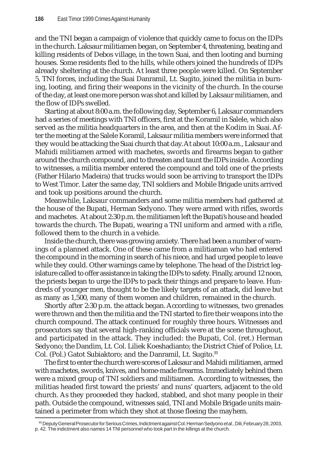and the TNI began a campaign of violence that quickly came to focus on the IDPs in the church. Laksaur militiamen began, on September 4, threatening, beating and killing residents of Debos village, in the town Suai, and then looting and burning houses. Some residents fled to the hills, while others joined the hundreds of IDPs already sheltering at the church. At least three people were killed. On September 5, TNI forces, including the Suai Danramil, Lt. Sugito, joined the militia in burning, looting, and firing their weapons in the vicinity of the church. In the course of the day, at least one more person was shot and killed by Laksaur militiamen, and the flow of IDPs swelled.

Starting at about 8:00 a.m. the following day, September 6, Laksaur commanders had a series of meetings with TNI officers, first at the Koramil in Salele, which also served as the militia headquarters in the area, and then at the Kodim in Suai. After the meeting at the Salele Koramil, Laksaur militia members were informed that they would be attacking the Suai church that day. At about 10:00 a.m., Laksaur and Mahidi militiamen armed with machetes, swords and firearms began to gather around the church compound, and to threaten and taunt the IDPs inside. According to witnesses, a militia member entered the compound and told one of the priests (Father Hilario Madeira) that trucks would soon be arriving to transport the IDPs to West Timor. Later the same day, TNI soldiers and Mobile Brigade units arrived and took up positions around the church.

Meanwhile, Laksaur commanders and some militia members had gathered at the house of the Bupati, Herman Sedyono. They were armed with rifles, swords and machetes. At about 2:30 p.m. the militiamen left the Bupati's house and headed towards the church. The Bupati, wearing a TNI uniform and armed with a rifle, followed them to the church in a vehicle.

Inside the church, there was growing anxiety. There had been a number of warnings of a planned attack. One of these came from a militiaman who had entered the compound in the morning in search of his niece, and had urged people to leave while they could. Other warnings came by telephone. The head of the District legislature called to offer assistance in taking the IDPs to safety. Finally, around 12 noon, the priests began to urge the IDPs to pack their things and prepare to leave. Hundreds of younger men, thought to be the likely targets of an attack, did leave but as many as 1,500, many of them women and children, remained in the church.

Shortly after 2:30 p.m. the attack began. According to witnesses, two grenades were thrown and then the militia and the TNI started to fire their weapons into the church compound. The attack continued for roughly three hours. Witnesses and prosecutors say that several high-ranking officials were at the scene throughout, and participated in the attack. They included: the Bupati, Col. (ret.) Herman Sedyono; the Dandim, Lt. Col. Liliek Koeshadianto; the District Chief of Police, Lt. Col. (Pol.) Gatot Subiaktoro; and the Danramil, Lt. Sugito.<sup>93</sup>

The first to enter the church were scores of Laksaur and Mahidi militiamen, armed with machetes, swords, knives, and home-made firearms. Immediately behind them were a mixed group of TNI soldiers and militiamen. According to witnesses, the militias headed first toward the priests' and nuns' quarters, adjacent to the old church. As they proceeded they hacked, stabbed, and shot many people in their path. Outside the compound, witnesses said, TNI and Mobile Brigade units maintained a perimeter from which they shot at those fleeing the mayhem.

<sup>93</sup> Deputy General Prosecutor for Serious Crimes, Indictment against Col. Herman Sedyono *et al.*, Dili, February 28, 2003, p. 42. The indictment also names 14 TNI personnel who took part in the killings at the church.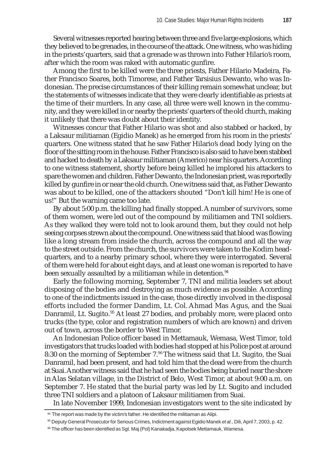Several witnesses reported hearing between three and five large explosions, which they believed to be grenades, in the course of the attack. One witness, who was hiding in the priests' quarters, said that a grenade was thrown into Father Hilario's room, after which the room was raked with automatic gunfire.

Among the first to be killed were the three priests, Father Hilario Madeira, Father Francisco Soares, both Timorese, and Father Tarsisius Dewanto, who was Indonesian. The precise circumstances of their killing remain somewhat unclear, but the statements of witnesses indicate that they were clearly identifiable as priests at the time of their murders. In any case, all three were well known in the community, and they were killed in or nearby the priests' quarters of the old church, making it unlikely that there was doubt about their identity.

Witnesses concur that Father Hilario was shot and also stabbed or hacked, by a Laksaur militiaman (Egidio Manek) as he emerged from his room in the priests' quarters. One witness stated that he saw Father Hilario's dead body lying on the floor of the sitting room in the house. Father Francisco is also said to have been stabbed and hacked to death by a Laksaur militiaman (Americo) near his quarters. According to one witness statement, shortly before being killed he implored his attackers to spare the women and children. Father Dewanto, the Indonesian priest, was reportedly killed by gunfire in or near the old church. One witness said that, as Father Dewanto was about to be killed, one of the attackers shouted "Don't kill him! He is one of us!" But the warning came too late.

By about 5:00 p.m. the killing had finally stopped. A number of survivors, some of them women, were led out of the compound by militiamen and TNI soldiers. As they walked they were told not to look around them, but they could not help seeing corpses strewn about the compound. One witness said that blood was flowing like a long stream from inside the church, across the compound and all the way to the street outside. From the church, the survivors were taken to the Kodim headquarters, and to a nearby primary school, where they were interrogated. Several of them were held for about eight days, and at least one woman is reported to have been sexually assaulted by a militiaman while in detention.<sup>94</sup>

Early the following morning, September 7, TNI and militia leaders set about disposing of the bodies and destroying as much evidence as possible. According to one of the indictments issued in the case, those directly involved in the disposal efforts included the former Dandim, Lt. Col. Ahmad Mas Agus, and the Suai Danramil, Lt. Sugito.<sup>95</sup> At least 27 bodies, and probably more, were placed onto trucks (the type, color and registration numbers of which are known) and driven out of town, across the border to West Timor.

An Indonesian Police officer based in Mettamauk, Wemasa, West Timor, told investigators that trucks loaded with bodies had stopped at his Police post at around 8:30 on the morning of September 7.<sup>96</sup> The witness said that Lt. Sugito, the Suai Danramil, had been present, and had told him that the dead were from the church at Suai. Another witness said that he had seen the bodies being buried near the shore in Alas Selatan village, in the District of Belo, West Timor, at about 9:00 a.m. on September 7. He stated that the burial party was led by Lt. Sugito and included three TNI soldiers and a platoon of Laksaur militiamen from Suai.

In late November 1999, Indonesian investigators went to the site indicated by

<sup>94</sup> The report was made by the victim's father. He identified the militiaman as Alipi.

<sup>95</sup> Deputy General Prosecutor for Serious Crimes, Indictment against Egidio Manek *et al.*, Dili, April 7, 2003, p. 42.

<sup>96</sup> The officer has been identified as Sgt. Maj (Pol) Kanakadja, Kapolsek Mettamauk, Wamesa.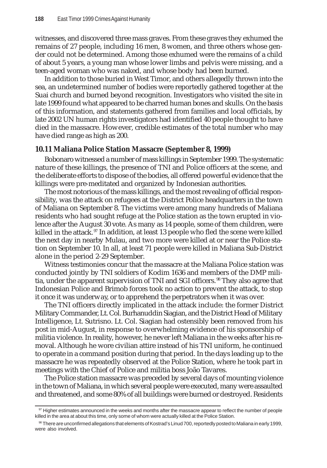witnesses, and discovered three mass graves. From these graves they exhumed the remains of 27 people, including 16 men, 8 women, and three others whose gender could not be determined. Among those exhumed were the remains of a child of about 5 years, a young man whose lower limbs and pelvis were missing, and a teen-aged woman who was naked, and whose body had been burned.

In addition to those buried in West Timor, and others allegedly thrown into the sea, an undetermined number of bodies were reportedly gathered together at the Suai church and burned beyond recognition. Investigators who visited the site in late 1999 found what appeared to be charred human bones and skulls. On the basis of this information, and statements gathered from families and local officials, by late 2002 UN human rights investigators had identified 40 people thought to have died in the massacre. However, credible estimates of the total number who may have died range as high as 200.

### **10.11 Maliana Police Station Massacre (September 8, 1999)**

Bobonaro witnessed a number of mass killings in September 1999. The systematic nature of these killings, the presence of TNI and Police officers at the scene, and the deliberate efforts to dispose of the bodies, all offered powerful evidence that the killings were pre-meditated and organized by Indonesian authorities.

The most notorious of the mass killings, and the most revealing of official responsibility, was the attack on refugees at the District Police headquarters in the town of Maliana on September 8. The victims were among many hundreds of Maliana residents who had sought refuge at the Police station as the town erupted in violence after the August 30 vote. As many as 14 people, some of them children, were killed in the attack.<sup>97</sup> In addition, at least 13 people who fled the scene were killed the next day in nearby Mulau, and two more were killed at or near the Police station on September 10. In all, at least 71 people were killed in Maliana Sub-District alone in the period 2-29 September.

Witness testimonies concur that the massacre at the Maliana Police station was conducted jointly by TNI soldiers of Kodim 1636 and members of the DMP militia, under the apparent supervision of TNI and SGI officers.<sup>98</sup> They also agree that Indonesian Police and Brimob forces took no action to prevent the attack, to stop it once it was underway, or to apprehend the perpetrators when it was over.

The TNI officers directly implicated in the attack include: the former District Military Commander, Lt. Col. Burhanuddin Siagian, and the District Head of Military Intelligence, Lt. Sutrisno. Lt. Col. Siagian had ostensibly been removed from his post in mid-August, in response to overwhelming evidence of his sponsorship of militia violence. In reality, however, he never left Maliana in the weeks after his removal. Although he wore civilian attire instead of his TNI uniform, he continued to operate in a command position during that period. In the days leading up to the massacre he was repeatedly observed at the Police Station, where he took part in meetings with the Chief of Police and militia boss João Tavares.

The Police station massacre was preceded by several days of mounting violence in the town of Maliana, in which several people were executed, many were assaulted and threatened, and some 80% of all buildings were burned or destroyed. Residents

 $97$  Higher estimates announced in the weeks and months after the massacre appear to reflect the number of people killed in the area at about this time, only some of whom were actually killed at the Police Station.

<sup>98</sup> There are unconfirmed allegations that elements of Kostrad's Linud 700, reportedly posted to Maliana in early 1999, were also involved.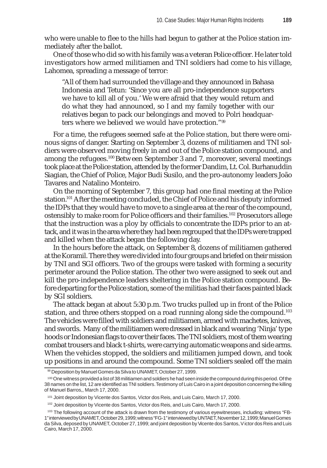who were unable to flee to the hills had begun to gather at the Police station immediately after the ballot.

One of those who did so with his family was a veteran Police officer. He later told investigators how armed militiamen and TNI soldiers had come to his village, Lahomea, spreading a message of terror:

"All of them had surrounded the village and they announced in Bahasa Indonesia and Tetun: 'Since you are all pro-independence supporters we have to kill all of you.' We were afraid that they would return and do what they had announced, so I and my family together with our relatives began to pack our belongings and moved to Polri headquarters where we believed we would have protection."99

For a time, the refugees seemed safe at the Police station, but there were ominous signs of danger. Starting on September 3, dozens of militiamen and TNI soldiers were observed moving freely in and out of the Police station compound, and among the refugees.<sup>100</sup> Between September 3 and 7, moreover, several meetings took place at the Police station, attended by the former Dandim, Lt. Col. Burhanuddin Siagian, the Chief of Police, Major Budi Susilo, and the pro-autonomy leaders João Tavares and Natalino Monteiro.

On the morning of September 7, this group had one final meeting at the Police station.101 After the meeting concluded, the Chief of Police and his deputy informed the IDPs that they would have to move to a single area at the rear of the compound, ostensibly to make room for Police officers and their families.102 Prosecutors allege that the instruction was a ploy by officials to concentrate the IDPs prior to an attack, and it was in the area where they had been regrouped that the IDPs were trapped and killed when the attack began the following day.

In the hours before the attack, on September 8, dozens of militiamen gathered at the Koramil. There they were divided into four groups and briefed on their mission by TNI and SGI officers. Two of the groups were tasked with forming a security perimeter around the Police station. The other two were assigned to seek out and kill the pro-independence leaders sheltering in the Police station compound. Before departing for the Police station, some of the militias had their faces painted black by SGI soldiers.

The attack began at about 5:30 p.m. Two trucks pulled up in front of the Police station, and three others stopped on a road running along side the compound.<sup>103</sup> The vehicles were filled with soldiers and militiamen, armed with machetes, knives, and swords. Many of the militiamen were dressed in black and wearing 'Ninja' type hoods or Indonesian flags to cover their faces. The TNI soldiers, most of them wearing combat trousers and black t-shirts, were carrying automatic weapons and side arms. When the vehicles stopped, the soldiers and militiamen jumped down, and took up positions in and around the compound. Some TNI soldiers sealed off the main

<sup>99</sup> Deposition by Manuel Gomes da Silva to UNAMET, October 27, 1999.

<sup>100</sup> One witness provided a list of 38 militiamen and soldiers he had seen inside the compound during this period. Of the 38 names on the list, 12 are identified as TNI soldiers. Testimony of Luis Cairo in a joint deposition concerning the killing of Manuel Barros,, March 17, 2000.

<sup>101</sup> Joint deposition by Vicente dos Santos, Victor dos Reis, and Luis Cairo, March 17, 2000.

<sup>&</sup>lt;sup>102</sup> Joint deposition by Vicente dos Santos, Victor dos Reis, and Luis Cairo, March 17, 2000.

<sup>&</sup>lt;sup>103</sup> The following account of the attack is drawn from the testimony of various eyewitnesses, including: witness "FB-1" interviewed by UNAMET, October 29, 1999; witness "FG-1" interviewed by UNTAET, November 12, 1999; Manuel Gomes da Silva, deposed by UNAMET, October 27, 1999; and joint deposition by Vicente dos Santos, Victor dos Reis and Luis Cairo, March 17, 2000.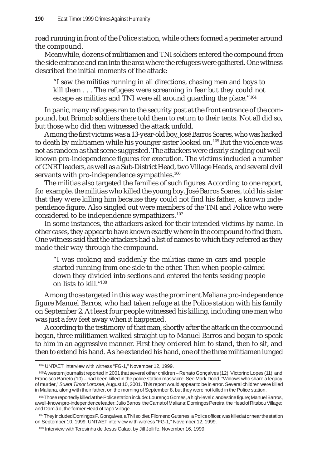road running in front of the Police station, while others formed a perimeter around the compound.

Meanwhile, dozens of militiamen and TNI soldiers entered the compound from the side entrance and ran into the area where the refugees were gathered. One witness described the initial moments of the attack:

"I saw the militias running in all directions, chasing men and boys to kill them . . . The refugees were screaming in fear but they could not escape as militias and TNI were all around guarding the place."104

In panic, many refugees ran to the security post at the front entrance of the compound, but Brimob soldiers there told them to return to their tents. Not all did so, but those who did then witnessed the attack unfold.

Among the first victims was a 13-year-old boy, José Barros Soares, who was hacked to death by militiamen while his younger sister looked on. 105 But the violence was not as random as that scene suggested. The attackers were clearly singling out wellknown pro-independence figures for execution. The victims included a number of CNRT leaders, as well as a Sub-District Head, two Village Heads, and several civil servants with pro-independence sympathies.<sup>106</sup>

The militias also targeted the families of such figures. According to one report, for example, the militias who killed the young boy, José Barros Soares, told his sister that they were killing him because they could not find his father, a known independence figure. Also singled out were members of the TNI and Police who were considered to be independence sympathizers. <sup>107</sup>

In some instances, the attackers asked for their intended victims by name. In other cases, they appear to have known exactly where in the compound to find them. One witness said that the attackers had a list of names to which they referred as they made their way through the compound.

"I was cooking and suddenly the militias came in cars and people started running from one side to the other. Then when people calmed down they divided into sections and entered the tents seeking people on lists to kill."108

Among those targeted in this way was the prominent Maliana pro-independence figure Manuel Barros, who had taken refuge at the Police station with his family on September 2. At least four people witnessed his killing, including one man who was just a few feet away when it happened.

According to the testimony of that man, shortly after the attack on the compound began, three militiamen walked straight up to Manuel Barros and began to speak to him in an aggressive manner. First they ordered him to stand, then to sit, and then to extend his hand. As he extended his hand, one of the three militiamen lunged

<sup>104</sup> UNTAET interview with witness "FG-1," November 12, 1999.

<sup>105</sup>A western journalist reported in 2001 that several other children – Renato Gonçalves (12), Victorino Lopes (11), and Francisco Barreto (10) – had been killed in the police station massacre. See Mark Dodd, "Widows who share a legacy of murder," *Suara Timor Lorosae*, August 10, 2001. This report would appear to be in error. Several children were killed in Maliana, along with their father, on the morning of September 8, but they were not killed in the Police station.

<sup>106</sup>Those reportedly killed at the Police station include: Lourenço Gomes, a high-level clandestine figure; Manuel Barros, a well-known pro-independence leader; Julio Barros, the Camat of Maliana; Domingos Pereira, the Head of Ritabou Village; and Damião, the former Head of Tapo Village.

<sup>&</sup>lt;sup>107</sup>They included Domingos P. Gonçalves, a TNI soldier. Filomeno Guterres, a Police officer, was killed at or near the station on September 10, 1999. UNTAET interview with witness "FG-1," November 12, 1999.

<sup>108</sup> Interview with Teresinha de Jesus Calao, by Jill Jolliffe, November 16, 1999.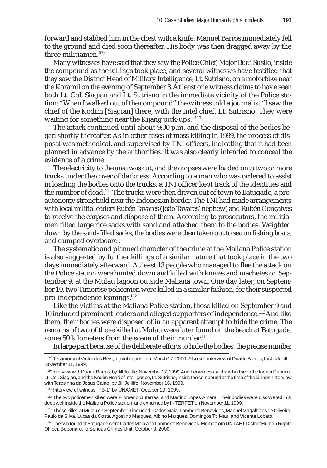forward and stabbed him in the chest with a knife. Manuel Barros immediately fell to the ground and died soon thereafter. His body was then dragged away by the three militiamen.109

Many witnesses have said that they saw the Police Chief, Major Budi Susilo, inside the compound as the killings took place, and several witnesses have testified that they saw the District Head of Military Intelligence, Lt. Sutrisno, on a motorbike near the Koramil on the evening of September 8. At least one witness claims to have seen both Lt. Col. Siagian and Lt. Sutrisno in the immediate vicinity of the Police station: "When I walked out of the compound" the witness told a journalist "I saw the chief of the Kodim [Siagian] there, with the Intel chief, Lt. Sutrisno. They were waiting for something near the Kijang pick-ups."<sup>110</sup>

The attack continued until about 9:00 p.m. and the disposal of the bodies began shortly thereafter. As in other cases of mass killing in 1999, the process of disposal was methodical, and supervised by TNI officers, indicating that it had been planned in advance by the authorities. It was also clearly intended to conceal the evidence of a crime.

The electricity to the area was cut, and the corpses were loaded onto two or more trucks under the cover of darkness. According to a man who was ordered to assist in loading the bodies onto the trucks, a TNI officer kept track of the identities and the number of dead.<sup>111</sup> The trucks were then driven out of town to Batugade, a proautonomy stronghold near the Indonesian border. The TNI had made arrangements with local militia leaders Rubén Tavares (João Tavares' nephew) and Rubén Gonçalves to receive the corpses and dispose of them. According to prosecutors, the militiamen filled large rice sacks with sand and attached them to the bodies. Weighted down by the sand-filled sacks, the bodies were then taken out to sea on fishing boats, and dumped overboard.

The systematic and planned character of the crime at the Maliana Police station is also suggested by further killings of a similar nature that took place in the two days immediately afterward. At least 13 people who managed to flee the attack on the Police station were hunted down and killed with knives and machetes on September 9, at the Mulau lagoon outside Maliana town. One day later, on September 10, two Timorese policemen were killed in a similar fashion, for their suspected pro-independence leanings.<sup>112</sup>

Like the victims at the Maliana Police station, those killed on September 9 and 10 included prominent leaders and alleged supporters of independence.<sup>113</sup> And like them, their bodies were disposed of in an apparent attempt to hide the crime. The remains of two of those killed at Mulau were later found on the beach at Batugade, some 50 kilometers from the scene of their murder.<sup>114</sup>

In large part because of the deliberate efforts to hide the bodies, the precise number

114The two found at Batugade were Carlos Maia and Lamberto Benevides. Memo from UNTAET District Human Rights Officer, Bobonaro, to Serious Crimes Unit, October 3, 2000.

<sup>109</sup> Testimony of Victor dos Reis, in joint deposition, March 17, 2000. Also see interview of Duarte Barros, by Jill Jolliffe, November 11, 1999.

<sup>110</sup> Interview with Duarte Barros, by Jill Jolliffe, November 17, 1999. Another witness said she had seen the former Dandim, Lt. Col. Siagian, and the Kodim Head of Intelligence, Lt. Sutrisno, inside the compound at the time of the killings. Interview with Teresinha da Jesus Calao, by Jill Jolliffe, November 16, 1999.

<sup>111</sup> Interview of witness "FB-1" by UNAMET, October 29, 1999.

<sup>112</sup> The two policemen killed were Filomeno Guterres, and Martino Lopes Amaral. Their bodies were discovered in a deep well inside the Maliana Police station, and exhumed by INTERFET on November 11, 1999.

<sup>113</sup> Those killed at Mulau on September 9 included: Carlos Maia, Lamberto Benevides, Manuel Magalhães de Oliveira, Paulo da Silva, Lucas da Costa, Agostino Marques, Albino Marques, Domingos Titi Mau, and Vicente Lobato.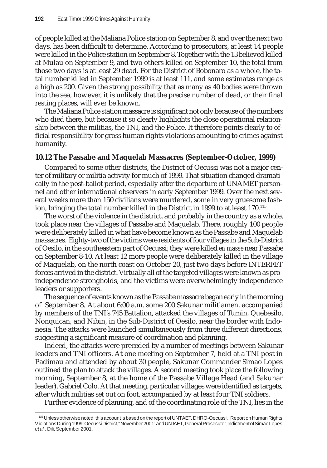of people killed at the Maliana Police station on September 8, and over the next two days, has been difficult to determine. According to prosecutors, at least 14 people were killed in the Police station on September 8. Together with the 13 believed killed at Mulau on September 9, and two others killed on September 10, the total from those two days is at least 29 dead. For the District of Bobonaro as a whole, the total number killed in September 1999 is at least 111, and some estimates range as a high as 200. Given the strong possibility that as many as 40 bodies were thrown into the sea, however, it is unlikely that the precise number of dead, or their final resting places, will ever be known.

The Maliana Police station massacre is significant not only because of the numbers who died there, but because it so clearly highlights the close operational relationship between the militias, the TNI, and the Police. It therefore points clearly to official responsibility for gross human rights violations amounting to crimes against humanity.

### **10.12 The Passabe and Maquelab Massacres (September-October, 1999)**

Compared to some other districts, the District of Oecussi was not a major center of military or militia activity for much of 1999. That situation changed dramatically in the post-ballot period, especially after the departure of UNAMET personnel and other international observers in early September 1999. Over the next several weeks more than 150 civilians were murdered, some in very gruesome fashion, bringing the total number killed in the District in 1999 to at least 170.<sup>115</sup>

The worst of the violence in the district, and probably in the country as a whole, took place near the villages of Passabe and Maquelab. There, roughly 100 people were deliberately killed in what have become known as the Passabe and Maquelab massacres. Eighty-two of the victims were residents of four villages in the Sub-District of Oesilo, in the southeastern part of Oecussi; they were killed *en masse* near Passabe on September 8-10. At least 12 more people were deliberately killed in the village of Maquelab, on the north coast on October 20, just two days before INTERFET forces arrived in the district. Virtually all of the targeted villages were known as proindependence strongholds, and the victims were overwhelmingly independence leaders or supporters.

The sequence of events known as the Passabe massacre began early in the morning of September 8. At about 6:00 a.m. some 200 Sakunar militiamen, accompanied by members of the TNI's 745 Battalion, attacked the villages of Tumin, Quebesilo, Nonquican, and Nibin, in the Sub-District of Oesilo, near the border with Indonesia. The attacks were launched simultaneously from three different directions, suggesting a significant measure of coordination and planning.

Indeed, the attacks were preceded by a number of meetings between Sakunar leaders and TNI officers. At one meeting on September 7, held at a TNI post in Padimau and attended by about 30 people, Sakunar Commander Simao Lopes outlined the plan to attack the villages. A second meeting took place the following morning, September 8, at the home of the Passabe Village Head (and Sakunar leader), Gabriel Colo. At that meeting, particular villages were identified as targets, after which militias set out on foot, accompanied by at least four TNI soldiers.

Further evidence of planning, and of the coordinating role of the TNI, lies in the

<sup>115</sup> Unless otherwise noted, this account is based on the report of UNTAET, DHRO-Oecussi, "Report on Human Rights Violations During 1999: Oecussi District," November 2001; and UNTAET, General Prosecutor, Indictment of Simão Lopes *et al.*, Dili, September 2001.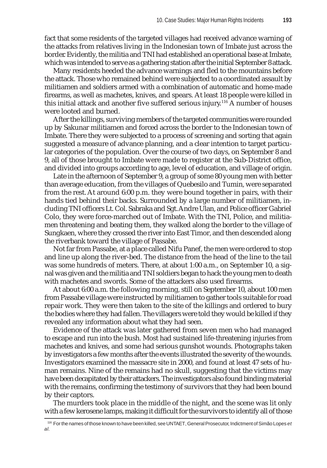fact that some residents of the targeted villages had received advance warning of the attacks from relatives living in the Indonesian town of Imbate just across the border. Evidently, the militia and TNI had established an operational base at Imbate, which was intended to serve as a gathering station after the initial September 8 attack.

Many residents heeded the advance warnings and fled to the mountains before the attack. Those who remained behind were subjected to a coordinated assault by militiamen and soldiers armed with a combination of automatic and home-made firearms, as well as machetes, knives, and spears. At least 18 people were killed in this initial attack and another five suffered serious injury.116 A number of houses were looted and burned.

After the killings, surviving members of the targeted communities were rounded up by Sakunar militiamen and forced across the border to the Indonesian town of Imbate. There they were subjected to a process of screening and sorting that again suggested a measure of advance planning, and a clear intention to target particular categories of the population. Over the course of two days, on September 8 and 9, all of those brought to Imbate were made to register at the Sub-District office, and divided into groups according to age, level of education, and village of origin.

Late in the afternoon of September 9, a group of some 80 young men with better than average education, from the villages of Quebesilo and Tumin, were separated from the rest. At around 6:00 p.m. they were bound together in pairs, with their hands tied behind their backs. Surrounded by a large number of militiamen, including TNI officers Lt. Col. Sabraka and Sgt. Andre Ulan, and Police officer Gabriel Colo, they were force-marched out of Imbate. With the TNI, Police, and militiamen threatening and beating them, they walked along the border to the village of Sungkaen, where they crossed the river into East Timor, and then descended along the riverbank toward the village of Passabe.

Not far from Passabe, at a place called Nifu Panef, the men were ordered to stop and line up along the river-bed. The distance from the head of the line to the tail was some hundreds of meters. There, at about 1:00 a.m., on September 10, a signal was given and the militia and TNI soldiers began to hack the young men to death with machetes and swords. Some of the attackers also used firearms.

At about 6:00 a.m. the following morning, still on September 10, about 100 men from Passabe village were instructed by militiamen to gather tools suitable for road repair work. They were then taken to the site of the killings and ordered to bury the bodies where they had fallen. The villagers were told they would be killed if they revealed any information about what they had seen.

Evidence of the attack was later gathered from seven men who had managed to escape and run into the bush. Most had sustained life-threatening injuries from machetes and knives, and some had serious gunshot wounds. Photographs taken by investigators a few months after the events illustrated the severity of the wounds. Investigators examined the massacre site in 2000, and found at least 47 sets of human remains. Nine of the remains had no skull, suggesting that the victims may have been decapitated by their attackers. The investigators also found binding material with the remains, confirming the testimony of survivors that they had been bound by their captors.

The murders took place in the middle of the night, and the scene was lit only with a few kerosene lamps, making it difficult for the survivors to identify all of those

<sup>116</sup> For the names of those known to have been killed, see UNTAET, General Prosecutor, Indictment of Simão Lopes *et al.*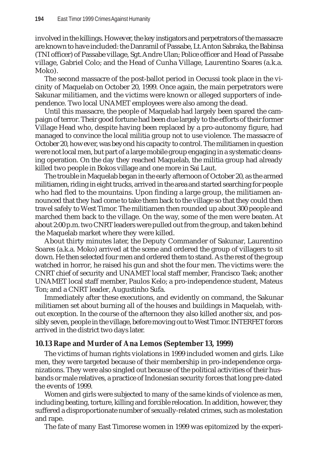involved in the killings. However, the key instigators and perpetrators of the massacre are known to have included: the Danramil of Passabe, Lt. Anton Sabraka, the Babinsa (TNI officer) of Passabe village, Sgt. Andre Ulan; Police officer and Head of Passabe village, Gabriel Colo; and the Head of Cunha Village, Laurentino Soares (a.k.a. Moko).

The second massacre of the post-ballot period in Oecussi took place in the vicinity of Maquelab on October 20, 1999. Once again, the main perpetrators were Sakunar militiamen, and the victims were known or alleged supporters of independence. Two local UNAMET employees were also among the dead.

Until this massacre, the people of Maquelab had largely been spared the campaign of terror. Their good fortune had been due largely to the efforts of their former Village Head who, despite having been replaced by a pro-autonomy figure, had managed to convince the local militia group not to use violence. The massacre of October 20, however, was beyond his capacity to control. The militiamen in question were not local men, but part of a large mobile group engaging in a systematic cleansing operation. On the day they reached Maquelab, the militia group had already killed two people in Bokos village and one more in Sai Laut.

The trouble in Maquelab began in the early afternoon of October 20, as the armed militiamen, riding in eight trucks, arrived in the area and started searching for people who had fled to the mountains. Upon finding a large group, the militiamen announced that they had come to take them back to the village so that they could then travel safely to West Timor. The militiamen then rounded up about 300 people and marched them back to the village. On the way, some of the men were beaten. At about 2:00 p.m. two CNRT leaders were pulled out from the group, and taken behind the Maquelab market where they were killed.

About thirty minutes later, the Deputy Commander of Sakunar, Laurentino Soares (a.k.a. Moko) arrived at the scene and ordered the group of villagers to sit down. He then selected four men and ordered them to stand. As the rest of the group watched in horror, he raised his gun and shot the four men. The victims were: the CNRT chief of security and UNAMET local staff member, Francisco Taek; another UNAMET local staff member, Paulos Kelo; a pro-independence student, Mateus Ton; and a CNRT leader, Augustinho Sufa.

Immediately after these executions, and evidently on command, the Sakunar militiamen set about burning all of the houses and buildings in Maquelab, without exception. In the course of the afternoon they also killed another six, and possibly seven, people in the village, before moving out to West Timor. INTERFET forces arrived in the district two days later.

# **10.13 Rape and Murder of Ana Lemos (September 13, 1999)**

The victims of human rights violations in 1999 included women and girls. Like men, they were targeted because of their membership in pro-independence organizations. They were also singled out because of the political activities of their husbands or male relatives, a practice of Indonesian security forces that long pre-dated the events of 1999.

Women and girls were subjected to many of the same kinds of violence as men, including beating, torture, killing and forcible relocation. In addition, however, they suffered a disproportionate number of sexually-related crimes, such as molestation and rape.

The fate of many East Timorese women in 1999 was epitomized by the experi-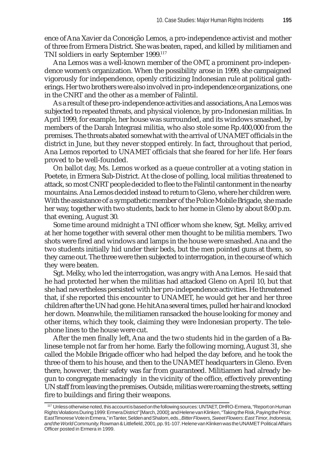ence of Ana Xavier da Conceição Lemos, a pro-independence activist and mother of three from Ermera District. She was beaten, raped, and killed by militiamen and TNI soldiers in early September 1999.117

Ana Lemos was a well-known member of the OMT, a prominent pro-independence women's organization. When the possibility arose in 1999, she campaigned vigorously for independence, openly criticizing Indonesian rule at political gatherings. Her two brothers were also involved in pro-independence organizations, one in the CNRT and the other as a member of Falintil.

As a result of these pro-independence activities and associations, Ana Lemos was subjected to repeated threats, and physical violence, by pro-Indonesian militias. In April 1999, for example, her house was surrounded, and its windows smashed, by members of the Darah Integrasi militia, who also stole some Rp.400,000 from the premises. The threats abated somewhat with the arrival of UNAMET officials in the district in June, but they never stopped entirely. In fact, throughout that period, Ana Lemos reported to UNAMET officials that she feared for her life. Her fears proved to be well-founded.

On ballot day, Ms. Lemos worked as a queue controller at a voting station in Poetete, in Ermera Sub-District. At the close of polling, local militias threatened to attack, so most CNRT people decided to flee to the Falintil cantonment in the nearby mountains. Ana Lemos decided instead to return to Gleno, where her children were. With the assistance of a sympathetic member of the Police Mobile Brigade, she made her way, together with two students, back to her home in Gleno by about 8:00 p.m. that evening, August 30.

Some time around midnight a TNI officer whom she knew, Sgt. Melky, arrived at her home together with several other men thought to be militia members. Two shots were fired and windows and lamps in the house were smashed. Ana and the two students initially hid under their beds, but the men pointed guns at them, so they came out. The three were then subjected to interrogation, in the course of which they were beaten.

Sgt. Melky, who led the interrogation, was angry with Ana Lemos. He said that he had protected her when the militias had attacked Gleno on April 10, but that she had nevertheless persisted with her pro-independence activities. He threatened that, if she reported this encounter to UNAMET, he would get her and her three children after the UN had gone. He hit Ana several times, pulled her hair and knocked her down. Meanwhile, the militiamen ransacked the house looking for money and other items, which they took, claiming they were Indonesian property. The telephone lines to the house were cut.

After the men finally left, Ana and the two students hid in the garden of a Balinese temple not far from her home. Early the following morning, August 31, she called the Mobile Brigade officer who had helped the day before, and he took the three of them to his house, and then to the UNAMET headquarters in Gleno. Even there, however, their safety was far from guaranteed. Militiamen had already begun to congregate menacingly in the vicinity of the office, effectively preventing UN staff from leaving the premises. Outside, militias were roaming the streets, setting fire to buildings and firing their weapons.

 $117$  Unless otherwise noted, this account is based on the following sources: UNTAET, DHRO-Ermera, "Report on Human Rights Violations During 1999: Ermera District" [March, 2000]; and Helene van Klinken, "Taking the Risk, Paying the Price: East Timorese Vote in Ermera," in Tanter, Selden and Shalom, eds., *Bitter Flowers, Sweet Flowers: East Timor, Indonesia, and the World Community*. Rowman & Littlefield, 2001, pp. 91-107. Helene van Klinken was the UNAMET Political Affairs Officer posted in Ermera in 1999.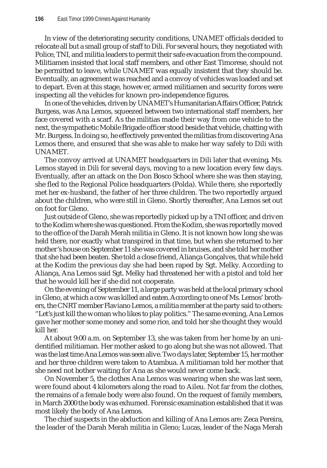In view of the deteriorating security conditions, UNAMET officials decided to relocate all but a small group of staff to Dili. For several hours, they negotiated with Police, TNI, and militia leaders to permit their safe evacuation from the compound. Militiamen insisted that local staff members, and other East Timorese, should not be permitted to leave, while UNAMET was equally insistent that they should be. Eventually, an agreement was reached and a convoy of vehicles was loaded and set to depart. Even at this stage, however, armed militiamen and security forces were inspecting all the vehicles for known pro-independence figures.

In one of the vehicles, driven by UNAMET's Humanitarian Affairs Officer, Patrick Burgess, was Ana Lemos, squeezed between two international staff members, her face covered with a scarf. As the militias made their way from one vehicle to the next, the sympathetic Mobile Brigade officer stood beside that vehicle, chatting with Mr. Burgess. In doing so, he effectively prevented the militias from discovering Ana Lemos there, and ensured that she was able to make her way safely to Dili with UNAMET.

The convoy arrived at UNAMET headquarters in Dili later that evening**.** Ms. Lemos stayed in Dili for several days, moving to a new location every few days. Eventually, after an attack on the Don Bosco School where she was then staying, she fled to the Regional Police headquarters (Polda). While there, she reportedly met her ex-husband, the father of her three children. The two reportedly argued about the children, who were still in Gleno. Shortly thereafter, Ana Lemos set out on foot for Gleno.

Just outside of Gleno, she was reportedly picked up by a TNI officer, and driven to the Kodim where she was questioned. From the Kodim, she was reportedly moved to the office of the Darah Merah militia in Gleno. It is not known how long she was held there, nor exactly what transpired in that time, but when she returned to her mother's house on September 11 she was covered in bruises, and she told her mother that she had been beaten. She told a close friend, Aliança Gonçalves, that while held at the Kodim the previous day she had been raped by Sgt. Melky. According to Aliança, Ana Lemos said Sgt. Melky had threatened her with a pistol and told her that he would kill her if she did not cooperate.

On the evening of September 11, a large party was held at the local primary school in Gleno, at which a cow was killed and eaten. According to one of Ms. Lemos' brothers, the CNRT member Flaviano Lemos, a militia member at the party said to others: "Let's just kill the woman who likes to play politics." The same evening, Ana Lemos gave her mother some money and some rice, and told her she thought they would kill her.

At about 9:00 a.m. on September 13, she was taken from her home by an unidentified militiaman. Her mother asked to go along but she was not allowed. That was the last time Ana Lemos was seen alive. Two days later, September 15, her mother and her three children were taken to Atambua. A militiaman told her mother that she need not bother waiting for Ana as she would never come back.

On November 5, the clothes Ana Lemos was wearing when she was last seen, were found about 4 kilometers along the road to Aileu. Not far from the clothes, the remains of a female body were also found. On the request of family members, in March 2000 the body was exhumed. Forensic examination established that it was most likely the body of Ana Lemos.

The chief suspects in the abduction and killing of Ana Lemos are: Zeca Pereira, the leader of the Darah Merah militia in Gleno; Lucas, leader of the Naga Merah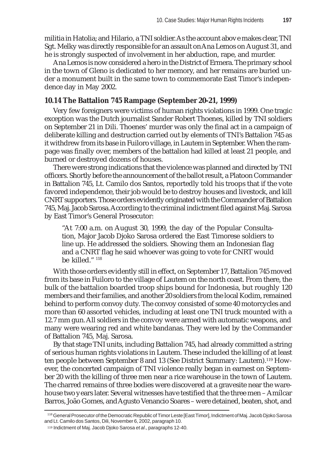militia in Hatolia; and Hilario, a TNI soldier. As the account above makes clear, TNI Sgt. Melky was directly responsible for an assault on Ana Lemos on August 31, and he is strongly suspected of involvement in her abduction, rape, and murder.

Ana Lemos is now considered a hero in the District of Ermera. The primary school in the town of Gleno is dedicated to her memory, and her remains are buried under a monument built in the same town to commemorate East Timor's independence day in May 2002.

### **10.14 The Battalion 745 Rampage (September 20-21, 1999)**

Very few foreigners were victims of human rights violations in 1999. One tragic exception was the Dutch journalist Sander Robert Thoenes, killed by TNI soldiers on September 21 in Dili. Thoenes' murder was only the final act in a campaign of deliberate killing and destruction carried out by elements of TNI's Battalion 745 as it withdrew from its base in Fuiloro village, in Lautem in September. When the rampage was finally over, members of the battalion had killed at least 21 people, and burned or destroyed dozens of houses.

There were strong indications that the violence was planned and directed by TNI officers. Shortly before the announcement of the ballot result, a Platoon Commander in Battalion 745, Lt. Camilo dos Santos, reportedly told his troops that if the vote favored independence, their job would be to destroy houses and livestock, and kill CNRT supporters. Those orders evidently originated with the Commander of Battalion 745, Maj. Jacob Sarosa. According to the criminal indictment filed against Maj. Sarosa by East Timor's General Prosecutor:

"At 7:00 a.m. on August 30, 1999, the day of the Popular Consultation, Major Jacob Djoko Sarosa ordered the East Timorese soldiers to line up. He addressed the soldiers. Showing them an Indonesian flag and a CNRT flag he said whoever was going to vote for CNRT would be killed."<sup>118</sup>

With those orders evidently still in effect, on September 17, Battalion 745 moved from its base in Fuiloro to the village of Lautem on the north coast. From there, the bulk of the battalion boarded troop ships bound for Indonesia, but roughly 120 members and their families, and another 20 soldiers from the local Kodim, remained behind to perform convoy duty. The convoy consisted of some 40 motorcycles and more than 60 assorted vehicles, including at least one TNI truck mounted with a 12.7 mm gun. All soldiers in the convoy were armed with automatic weapons, and many were wearing red and white bandanas. They were led by the Commander of Battalion 745, Maj. Sarosa.

By that stage TNI units, including Battalion 745, had already committed a string of serious human rights violations in Lautem. These included the killing of at least ten people between September 8 and 13 (See District Summary: Lautem).119 However, the concerted campaign of TNI violence really began in earnest on September 20 with the killing of three men near a rice warehouse in the town of Lautem. The charred remains of three bodies were discovered at a gravesite near the warehouse two years later. Several witnesses have testified that the three men – Amílcar Barros, João Gomes, and Agusto Venancio Soares – were detained, beaten, shot, and

<sup>118</sup> General Prosecutor of the Democratic Republic of Timor Leste [East Timor], Indictment of Maj. Jacob Djoko Sarosa and Lt. Camilo dos Santos, Dili, November 6, 2002, paragraph 10.

<sup>119</sup> Indictment of Maj. Jacob Djoko Sarosa *et al*., paragraphs 12-40.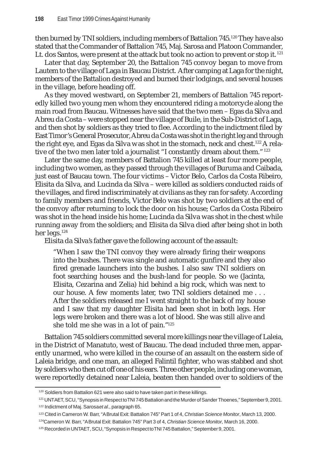then burned by TNI soldiers, including members of Battalion 745.<sup>120</sup> They have also stated that the Commander of Battalion 745, Maj. Sarosa and Platoon Commander, Lt. dos Santos, were present at the attack but took no action to prevent or stop it.  $121$ 

Later that day, September 20, the Battalion 745 convoy began to move from Lautem to the village of Laga in Baucau District. After camping at Laga for the night, members of the Battalion destroyed and burned their lodgings, and several houses in the village, before heading off.

As they moved westward, on September 21, members of Battalion 745 reportedly killed two young men whom they encountered riding a motorcycle along the main road from Baucau. Witnesses have said that the two men – Egas da Silva and Abreu da Costa – were stopped near the village of Buile, in the Sub-District of Laga, and then shot by soldiers as they tried to flee. According to the indictment filed by East Timor's General Prosecutor, Abreu da Costa was shot in the right leg and through the right eye, and Egas da Silva was shot in the stomach, neck and chest.<sup>122</sup> A relative of the two men later told a journalist "I constantly dream about them."<sup>123</sup>

Later the same day, members of Battalion 745 killed at least four more people, including two women, as they passed through the villages of Buruma and Caibada, just east of Baucau town. The four victims – Victor Belo, Carlos da Costa Ribeiro, Elisita da Silva, and Lucinda da Silva – were killed as soldiers conducted raids of the villages, and fired indiscriminately at civilians as they ran for safety. According to family members and friends, Victor Belo was shot by two soldiers at the end of the convoy after returning to lock the door on his house; Carlos da Costa Ribeiro was shot in the head inside his home; Lucinda da Silva was shot in the chest while running away from the soldiers; and Elisita da Silva died after being shot in both her legs.<sup>124</sup>

Elisita da Silva's father gave the following account of the assault:

"When I saw the TNI convoy they were already firing their weapons into the bushes. There was single and automatic gunfire and they also fired grenade launchers into the bushes. I also saw TNI soldiers on foot searching houses and the bush-land for people. So we (Jacinta, Elisita, Cezarina and Zelia) hid behind a big rock, which was next to our house. A few moments later, two TNI soldiers detained me . . . After the soldiers released me I went straight to the back of my house and I saw that my daughter Elisita had been shot in both legs. Her legs were broken and there was a lot of blood. She was still alive and she told me she was in a lot of pain."125

Battalion 745 soldiers committed several more killings near the village of Laleia, in the District of Manatuto, west of Baucau. The dead included three men, apparently unarmed, who were killed in the course of an assault on the eastern side of Laleia bridge, and one man, an alleged Falintil fighter, who was stabbed and shot by soldiers who then cut off one of his ears. Three other people, including one woman, were reportedly detained near Laleia, beaten then handed over to soldiers of the

<sup>&</sup>lt;sup>120</sup> Soldiers from Battalion 621 were also said to have taken part in these killings.

<sup>121</sup> UNTAET, SCU, "Synopsis in Respect to TNI 745 Battalion and the Murder of Sander Thoenes," September 9, 2001. 122 Indictment of Maj. Sarosa *et al*., paragraph 65.

<sup>123</sup> Cited in Cameron W. Barr, "A Brutal Exit: Battalion 745" Part 1 of 4, *Christian Science Monitor*, March 13, 2000.

<sup>124</sup>Cameron W. Barr, "A Brutal Exit: Battalion 745" Part 3 of 4, *Christian Science Monitor,* March 16, 2000.

<sup>125</sup> Recorded in UNTAET, SCU, "Synopsis in Respect to TNI 745 Battalion," September 9, 2001.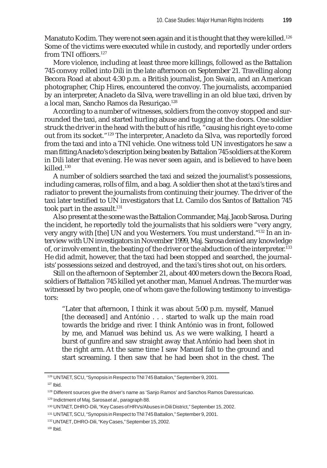Manatuto Kodim. They were not seen again and it is thought that they were killed.<sup>126</sup> Some of the victims were executed while in custody, and reportedly under orders from TNI officers.<sup>127</sup>

More violence, including at least three more killings, followed as the Battalion 745 convoy rolled into Dili in the late afternoon on September 21. Travelling along Becora Road at about 4:30 p.m. a British journalist, Jon Swain, and an American photographer, Chip Hires, encountered the convoy. The journalists, accompanied by an interpreter, Anacleto da Silva, were travelling in an old blue taxi, driven by a local man, Sancho Ramos da Resuriçao.128

According to a number of witnesses, soldiers from the convoy stopped and surrounded the taxi, and started hurling abuse and tugging at the doors. One soldier struck the driver in the head with the butt of his rifle, "causing his right eye to come out from its socket."129 The interpreter, Anacleto da Silva, was reportedly forced from the taxi and into a TNI vehicle. One witness told UN investigators he saw a man fitting Anacleto's description being beaten by Battalion 745 soldiers at the Korem in Dili later that evening. He was never seen again, and is believed to have been killed.130

A number of soldiers searched the taxi and seized the journalist's possessions, including cameras, rolls of film, and a bag. A soldier then shot at the taxi's tires and radiator to prevent the journalists from continuing their journey. The driver of the taxi later testified to UN investigators that Lt. Camilo dos Santos of Battalion 745 took part in the assault.<sup>131</sup>

Also present at the scene was the Battalion Commander, Maj. Jacob Sarosa. During the incident, he reportedly told the journalists that his soldiers were "very angry, very angry with [the] UN and you Westerners. You must understand."132 In an interview with UN investigators in November 1999, Maj. Sarosa denied any knowledge of, or involvement in, the beating of the driver or the abduction of the interpreter.<sup>133</sup> He did admit, however, that the taxi had been stopped and searched, the journalists' possessions seized and destroyed, and the taxi's tires shot out, on his orders.

Still on the afternoon of September 21, about 400 meters down the Becora Road, soldiers of Battalion 745 killed yet another man, Manuel Andreas. The murder was witnessed by two people, one of whom gave the following testimony to investigators:

"Later that afternoon, I think it was about 5:00 p.m. myself, Manuel [the deceased] and António . . . started to walk up the main road towards the bridge and river. I think António was in front, followed by me, and Manuel was behind us. As we were walking, I heard a burst of gunfire and saw straight away that António had been shot in the right arm. At the same time I saw Manuel fall to the ground and start screaming. I then saw that he had been shot in the chest. The

<sup>126</sup> UNTAET, SCU, "Synopsis in Respect to TNI 745 Battalion," September 9, 2001.

 $127$  Ibid.

<sup>128</sup> Different sources give the driver's name as 'Sanjo Ramos' and Sanchos Ramos Daressuricao.

<sup>129</sup> Indictment of Maj. Sarosa *et al*., paragraph 88.

<sup>130</sup> UNTAET, DHRO-Dili, "Key Cases of HRVs/Abuses in Dili District," September 15, 2002.

<sup>131</sup> UNTAET, SCU, "Synopsis in Respect to TNI 745 Battalion," September 9, 2001.

<sup>132</sup> UNTAET, DHRO-Dili, "Key Cases," September 15, 2002.

 $133$  Ibid.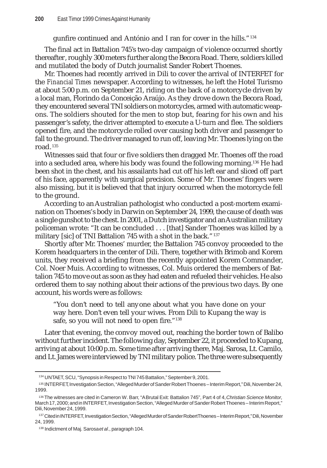gunfire continued and António and I ran for cover in the hills."134

The final act in Battalion 745's two-day campaign of violence occurred shortly thereafter, roughly 300 meters further along the Becora Road. There, soldiers killed and mutilated the body of Dutch journalist Sander Robert Thoenes.

Mr. Thoenes had recently arrived in Dili to cover the arrival of INTERFET for the *Financial Times* newspaper. According to witnesses, he left the Hotel Turismo at about 5:00 p.m. on September 21, riding on the back of a motorcycle driven by a local man, Florindo da Conceição Araújo. As they drove down the Becora Road, they encountered several TNI soldiers on motorcycles, armed with automatic weapons. The soldiers shouted for the men to stop but, fearing for his own and his passenger's safety, the driver attempted to execute a U-turn and flee. The soldiers opened fire, and the motorcycle rolled over causing both driver and passenger to fall to the ground. The driver managed to run off, leaving Mr. Thoenes lying on the road. <sup>135</sup>

Witnesses said that four or five soldiers then dragged Mr. Thoenes off the road into a secluded area, where his body was found the following morning.136 He had been shot in the chest, and his assailants had cut off his left ear and sliced off part of his face, apparently with surgical precision. Some of Mr. Thoenes' fingers were also missing, but it is believed that that injury occurred when the motorcycle fell to the ground.

According to an Australian pathologist who conducted a post-mortem examination on Thoenes's body in Darwin on September 24, 1999, the cause of death was a single gunshot to the chest. In 2001, a Dutch investigator and an Australian military policeman wrote: "It can be concluded . . . [that] Sander Thoenes was killed by a military [sic] of TNI Battalion 745 with a shot in the back."<sup>137</sup>

Shortly after Mr. Thoenes' murder, the Battalion 745 convoy proceeded to the Korem headquarters in the center of Dili. There, together with Brimob and Korem units, they received a briefing from the recently appointed Korem Commander, Col. Noer Muis. According to witnesses, Col. Muis ordered the members of Battalion 745 to move out as soon as they had eaten and refueled their vehicles. He also ordered them to say nothing about their actions of the previous two days. By one account, his words were as follows:

"You don't need to tell anyone about what you have done on your way here. Don't even tell your wives. From Dili to Kupang the way is safe, so you will not need to open fire."<sup>138</sup>

Later that evening, the convoy moved out, reaching the border town of Balibo without further incident. The following day, September 22, it proceeded to Kupang, arriving at about 10:00 p.m. Some time after arriving there, Maj. Sarosa, Lt. Camilo, and Lt. James were interviewed by TNI military police. The three were subsequently

<sup>134</sup> UNTAET, SCU, "Synopsis in Respect to TNI 745 Battalion," September 9, 2001.

<sup>135</sup> INTERFET, Investigation Section, "Alleged Murder of Sander Robert Thoenes – Interim Report," Dili, November 24, 1999.

<sup>136</sup> The witnesses are cited in Cameron W. Barr, "A Brutal Exit: Battalion 745", Part 4 of 4, *Christian Science Monitor,* March 17, 2000; and in INTERFET, Investigation Section, "Alleged Murder of Sander Robert Thoenes – Interim Report," Dili, November 24, 1999.

<sup>137</sup> Cited in INTERFET, Investigation Section, "Alleged Murder of Sander Robert Thoenes-Interim Report," Dili, November 24, 1999.

<sup>138</sup> Indictment of Maj. Sarosa *et al*., paragraph 104.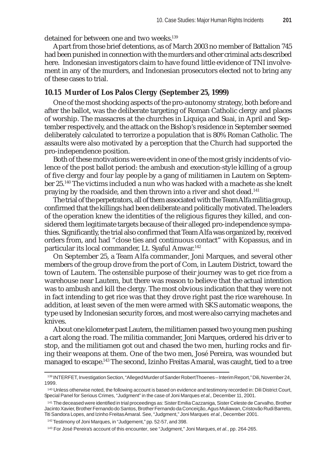Apart from those brief detentions, as of March 2003 no member of Battalion 745 had been punished in connection with the murders and other criminal acts described here. Indonesian investigators claim to have found little evidence of TNI involvement in any of the murders, and Indonesian prosecutors elected not to bring any of these cases to trial.

### **10.15 Murder of Los Palos Clergy (September 25, 1999)**

One of the most shocking aspects of the pro-autonomy strategy, both before and after the ballot, was the deliberate targeting of Roman Catholic clergy and places of worship. The massacres at the churches in Liquiça and Suai, in April and September respectively, and the attack on the Bishop's residence in September seemed deliberately calculated to terrorize a population that is 80% Roman Catholic. The assaults were also motivated by a perception that the Church had supported the pro-independence position.

Both of these motivations were evident in one of the most grisly incidents of violence of the post ballot period: the ambush and execution-style killing of a group of five clergy and four lay people by a gang of militiamen in Lautem on September 25.140 The victims included a nun who was hacked with a machete as she knelt praying by the roadside, and then thrown into a river and shot dead.<sup>141</sup>

The trial of the perpetrators, all of them associated with the Team Alfa militia group, confirmed that the killings had been deliberate and politically motivated. The leaders of the operation knew the identities of the religious figures they killed, and considered them legitimate targets because of their alleged pro-independence sympathies. Significantly, the trial also confirmed that Team Alfa was organized by, received orders from, and had "close ties and continuous contact" with Kopassus, and in particular its local commander, Lt. Syaful Anwar.<sup>142</sup>

On September 25, a Team Alfa commander, Joni Marques, and several other members of the group drove from the port of Com, in Lautem District, toward the town of Lautem. The ostensible purpose of their journey was to get rice from a warehouse near Lautem, but there was reason to believe that the actual intention was to ambush and kill the clergy. The most obvious indication that they were not in fact intending to get rice was that they drove right past the rice warehouse. In addition, at least seven of the men were armed with SKS automatic weapons, the type used by Indonesian security forces, and most were also carrying machetes and knives.

About one kilometer past Lautem, the militiamen passed two young men pushing a cart along the road. The militia commander, Joni Marques, ordered his driver to stop, and the militiamen got out and chased the two men, hurling rocks and firing their weapons at them. One of the two men, José Pereira, was wounded but managed to escape.143 The second, Izinho Freitas Amaral, was caught, tied to a tree

<sup>139</sup> INTERFET, Investigation Section, "Alleged Murder of Sander Robert Thoenes – Interim Report," Dili, November 24, 1999.

<sup>140</sup> Unless otherwise noted, the following account is based on evidence and testimony recorded in: Dili District Court, Special Panel for Serious Crimes, "Judgment" in the case of Joni Marques *et al.,* December 11, 2001.

<sup>141</sup> The deceased were identified in trial proceedings as: Sister Emilia Cazzaniga, Sister Celeste de Carvalho, Brother Jacinto Xavier, Brother Fernando do Santos, Brother Fernando da Conceição, Agus Muliawan, Cristovão Rudi Barreto, Titi Sandora Lopes, and Izinho Freitas Amaral. See, "Judgment," Joni Marques *et al.*, December 2001.

<sup>142</sup> Testimony of Joni Marques, in "Judgement," pp. 52-57, and 398.

<sup>143</sup> For José Pereira's account of this encounter, see "Judgment," Joni Marques, *et al.*, pp. 264-265.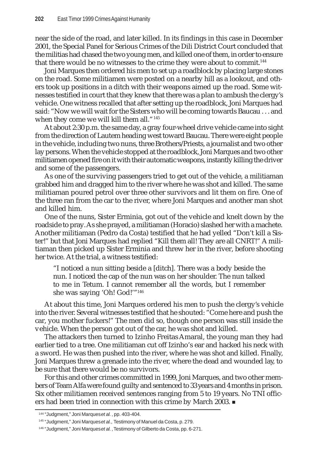near the side of the road, and later killed. In its findings in this case in December 2001, the Special Panel for Serious Crimes of the Dili District Court concluded that the militias had chased the two young men, and killed one of them, in order to ensure that there would be no witnesses to the crime they were about to commit.<sup>144</sup>

Joni Marques then ordered his men to set up a roadblock by placing large stones on the road. Some militiamen were posted on a nearby hill as a lookout, and others took up positions in a ditch with their weapons aimed up the road. Some witnesses testified in court that they knew that there was a plan to ambush the clergy's vehicle. One witness recalled that after setting up the roadblock, Joni Marques had said: "Now we will wait for the Sisters who will be coming towards Baucau . . . and when they come we will kill them all."<sup>145</sup>

At about 2:30 p.m. the same day, a gray four-wheel drive vehicle came into sight from the direction of Lautem heading west toward Baucau. There were eight people in the vehicle, including two nuns, three Brothers/Priests, a journalist and two other lay persons. When the vehicle stopped at the roadblock, Joni Marques and two other militiamen opened fire on it with their automatic weapons, instantly killing the driver and some of the passengers.

As one of the surviving passengers tried to get out of the vehicle, a militiaman grabbed him and dragged him to the river where he was shot and killed. The same militiaman poured petrol over three other survivors and lit them on fire. One of the three ran from the car to the river, where Joni Marques and another man shot and killed him.

One of the nuns, Sister Erminia, got out of the vehicle and knelt down by the roadside to pray. As she prayed, a militiaman (Horacio) slashed her with a machete. Another militiaman (Pedro da Costa) testified that he had yelled "Don't kill a Sister!" but that Joni Marques had replied "Kill them all! They are all CNRT!" A militiaman then picked up Sister Erminia and threw her in the river, before shooting her twice. At the trial, a witness testified:

"I noticed a nun sitting beside a [ditch]. There was a body beside the nun. I noticed the cap of the nun was on her shoulder. The nun talked to me in Tetum. I cannot remember all the words, but I remember she was saying 'Oh! God!'"146

At about this time, Joni Marques ordered his men to push the clergy's vehicle into the river. Several witnesses testified that he shouted: "Come here and push the car, you mother fuckers!" The men did so, though one person was still inside the vehicle. When the person got out of the car, he was shot and killed.

The attackers then turned to Izinho Freitas Amaral, the young man they had earlier tied to a tree. One militiaman cut off Izinho's ear and hacked his neck with a sword. He was then pushed into the river, where he was shot and killed. Finally, Joni Marques threw a grenade into the river, where the dead and wounded lay, to be sure that there would be no survivors.

For this and other crimes committed in 1999, Joni Marques, and two other members of Team Alfa were found guilty and sentenced to 33 years and 4 months in prison. Six other militiamen received sentences ranging from 5 to 19 years. No TNI officers had been tried in connection with this crime by March 2003.

<sup>144 &</sup>quot;Judgment," Joni Marques *et al.*, pp. 403-404.

<sup>145 &</sup>quot;Judgment," Joni Marques *et al.*, Testimony of Manuel da Costa, p. 279.

<sup>146 &</sup>quot;Judgment," Joni Marques *et al.*, Testimony of Gilberto da Costa, pp. 6-271.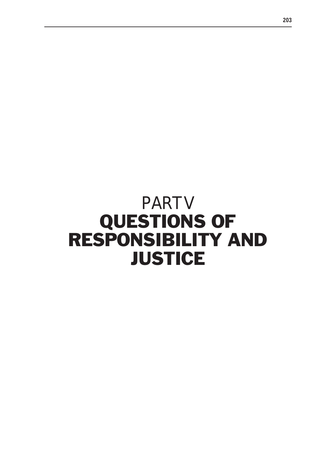# PART V QUESTIONS OF RESPONSIBILITY AND **JUSTICE**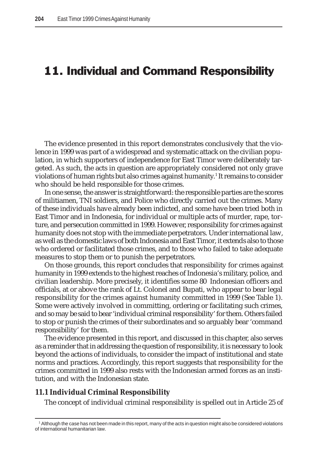# 11. Individual and Command Responsibility

The evidence presented in this report demonstrates conclusively that the violence in 1999 was part of a widespread and systematic attack on the civilian population, in which supporters of independence for East Timor were deliberately targeted. As such, the acts in question are appropriately considered not only grave violations of human rights but also crimes against humanity.<sup>1</sup> It remains to consider who should be held responsible for those crimes.

In one sense, the answer is straightforward: the responsible parties are the scores of militiamen, TNI soldiers, and Police who directly carried out the crimes. Many of these individuals have already been indicted, and some have been tried both in East Timor and in Indonesia, for individual or multiple acts of murder, rape, torture, and persecution committed in 1999. However, responsibility for crimes against humanity does not stop with the immediate perpetrators. Under international law, as well as the domestic laws of both Indonesia and East Timor, it extends also to those who ordered or facilitated those crimes, and to those who failed to take adequate measures to stop them or to punish the perpetrators.

On those grounds, this report concludes that responsibility for crimes against humanity in 1999 extends to the highest reaches of Indonesia's military, police, and civilian leadership. More precisely, it identifies some 80 Indonesian officers and officials, at or above the rank of Lt. Colonel and Bupati, who appear to bear legal responsibility for the crimes against humanity committed in 1999 (See Table 1). Some were actively involved in committing, ordering or facilitating such crimes, and so may be said to bear 'individual criminal responsibility' for them. Others failed to stop or punish the crimes of their subordinates and so arguably bear 'command responsibility' for them.

The evidence presented in this report, and discussed in this chapter, also serves as a reminder that in addressing the question of responsibility, it is necessary to look beyond the actions of individuals, to consider the impact of institutional and state norms and practices. Accordingly, this report suggests that responsibility for the crimes committed in 1999 also rests with the Indonesian armed forces as an institution, and with the Indonesian state.

#### **11.1 Individual Criminal Responsibility**

The concept of individual criminal responsibility is spelled out in Article 25 of

<sup>1</sup> Although the case has not been made in this report, many of the acts in question might also be considered violations of international humanitarian law.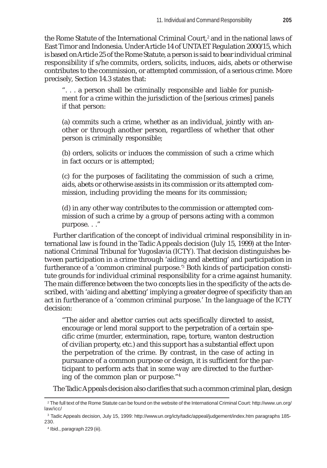the Rome Statute of the International Criminal Court,<sup>2</sup> and in the national laws of East Timor and Indonesia. Under Article 14 of UNTAET Regulation 2000/15, which is based on Article 25 of the Rome Statute, a person is said to bear individual criminal responsibility if s/he commits, orders, solicits, induces, aids, abets or otherwise contributes to the commission, or attempted commission, of a serious crime. More precisely, Section 14.3 states that:

". . . a person shall be criminally responsible and liable for punishment for a crime within the jurisdiction of the [serious crimes] panels if that person:

(a) commits such a crime, whether as an individual, jointly with another or through another person, regardless of whether that other person is criminally responsible;

(b) orders, solicits or induces the commission of such a crime which in fact occurs or is attempted;

(c) for the purposes of facilitating the commission of such a crime, aids, abets or otherwise assists in its commission or its attempted commission, including providing the means for its commission;

(d) in any other way contributes to the commission or attempted commission of such a crime by a group of persons acting with a common purpose. . ."

Further clarification of the concept of individual criminal responsibility in international law is found in the Tadic Appeals decision (July 15, 1999) at the International Criminal Tribunal for Yugoslavia (ICTY). That decision distinguishes between participation in a crime through 'aiding and abetting' and participation in furtherance of a 'common criminal purpose.'3 Both kinds of participation constitute grounds for individual criminal responsibility for a crime against humanity. The main difference between the two concepts lies in the specificity of the acts described, with 'aiding and abetting' implying a greater degree of specificity than an act in furtherance of a 'common criminal purpose.' In the language of the ICTY decision:

"The aider and abettor carries out acts specifically directed to assist, encourage or lend moral support to the perpetration of a certain specific crime (murder, extermination, rape, torture, wanton destruction of civilian property, etc.) and this support has a substantial effect upon the perpetration of the crime. By contrast, in the case of acting in pursuance of a common purpose or design, it is sufficient for the participant to perform acts that in some way are directed to the furthering of the common plan or purpose."4

The Tadic Appeals decision also clarifies that such a common criminal plan, design

<sup>2</sup> The full text of the Rome Statute can be found on the website of the International Criminal Court: http://www.un.org/ law/icc/

<sup>3</sup> Tadic Appeals decision, July 15, 1999: http://www.un.org/icty/tadic/appeal/judgement/index.htm paragraphs 185- 230.

<sup>4</sup> Ibid., paragraph 229 (iii).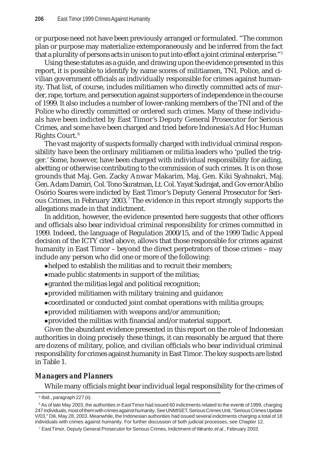or purpose need not have been previously arranged or formulated. "The common plan or purpose may materialize extemporaneously and be inferred from the fact that a plurality of persons acts in unison to put into effect a joint criminal enterprise."5

Using these statutes as a guide, and drawing upon the evidence presented in this report, it is possible to identify by name scores of militiamen, TNI, Police, and civilian government officials as individually responsible for crimes against humanity. That list, of course, includes militiamen who directly committed acts of murder, rape, torture, and persecution against supporters of independence in the course of 1999. It also includes a number of lower-ranking members of the TNI and of the Police who directly committed or ordered such crimes. Many of these individuals have been indicted by East Timor's Deputy General Prosecutor for Serious Crimes, and some have been charged and tried before Indonesia's Ad Hoc Human Rights Court. <sup>6</sup>

The vast majority of suspects formally charged with individual criminal responsibility have been the ordinary militiamen or militia leaders who 'pulled the trigger.' Some, however, have been charged with individual responsibility for aiding, abetting or otherwise contributing to the commission of such crimes. It is on those grounds that Maj. Gen. Zacky Anwar Makarim, Maj. Gen. Kiki Syahnakri, Maj. Gen. Adam Damiri, Col. Tono Suratman, Lt. Col. Yayat Sudrajat, and Governor Abílio Osório Soares were indicted by East Timor's Deputy General Prosecutor for Serious Crimes, in February 2003.<sup>7</sup> The evidence in this report strongly supports the allegations made in that indictment.

In addition, however, the evidence presented here suggests that other officers and officials also bear individual criminal responsibility for crimes committed in 1999. Indeed, the language of Regulation 2000/15, and of the 1999 Tadic Appeal decision of the ICTY cited above, allows that those responsible for crimes against humanity in East Timor – beyond the direct perpetrators of those crimes – may include any person who did one or more of the following:

- $\bullet$ helped to establish the militias and to recruit their members;
- $\bullet$  made public statements in support of the militias;
- zgranted the militias legal and political recognition;
- zprovided militiamen with military training and guidance;
- zcoordinated or conducted joint combat operations with militia groups;
- zprovided militiamen with weapons and/or ammunition;
- zprovided the militias with financial and/or material support.

Given the abundant evidence presented in this report on the role of Indonesian authorities in doing precisely these things, it can reasonably be argued that there are dozens of military, police, and civilian officials who bear individual criminal responsibility for crimes against humanity in East Timor. The key suspects are listed in Table 1.

# *Managers and Planners*

While many officials might bear individual legal responsibility for the crimes of

<sup>5</sup> Ibid., paragraph 227 (ii).

 $^6$  As of late May 2003, the authorities in EastTimor had issued 60 indictments related to the events of 1999, charging 247 individuals, most of them with crimes against humanity. See UNMISET, Serious Crimes Unit, "Serious Crimes Update V/03," Dili, May 28, 2003. Meanwhile, the Indonesian authorities had issued several indictments charging a total of 18 individuals with crimes against humanity. For further discussion of both judicial processes, see Chapter 12.

<sup>7</sup> East Timor, Deputy General Prosecutor for Serious Crimes, Indictment of Wiranto *et al*., February 2003.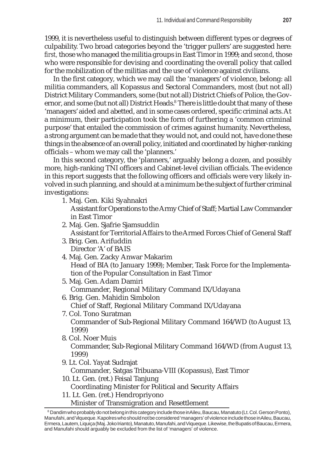1999, it is nevertheless useful to distinguish between different types or degrees of culpability. Two broad categories beyond the 'trigger pullers' are suggested here*: first,* those who managed the militia groups in East Timor in 1999; and *second*, those who were responsible for devising and coordinating the overall policy that called for the mobilization of the militias and the use of violence against civilians.

In the first category, which we may call the 'managers' of violence, belong: all militia commanders, all Kopassus and Sectoral Commanders, most (but not all) District Military Commanders, some (but not all) District Chiefs of Police, the Governor, and some (but not all) District Heads.<sup>8</sup> There is little doubt that many of these 'managers' aided and abetted, and in some cases ordered, specific criminal acts. At a minimum, their participation took the form of furthering a 'common criminal purpose' that entailed the commission of crimes against humanity. Nevertheless, a strong argument can be made that they would not, and could not, have done these things in the absence of an overall policy, initiated and coordinated by higher-ranking officials – whom we may call the 'planners.'

In this second category, the 'planners,' arguably belong a dozen, and possibly more, high-ranking TNI officers and Cabinet-level civilian officials. The evidence in this report suggests that the following officers and officials were very likely involved in such planning, and should at a minimum be the subject of further criminal investigations:

- 1. Maj. Gen. Kiki Syahnakri Assistant for Operations to the Army Chief of Staff; Martial Law Commander in East Timor
- 2. Maj. Gen. Sjafrie Sjamsuddin Assistant for Territorial Affairs to the Armed Forces Chief of General Staff
- 3. Brig. Gen. Arifuddin Director 'A' of BAIS
- 4. Maj. Gen. Zacky Anwar Makarim Head of BIA (to January 1999); Member, Task Force for the Implementation of the Popular Consultation in East Timor
- 5. Maj. Gen. Adam Damiri Commander, Regional Military Command IX/Udayana
- 6. Brig. Gen. Mahidin Simbolon Chief of Staff, Regional Military Command IX/Udayana
- 7. Col. Tono Suratman Commander of Sub-Regional Military Command 164/WD (to August 13, 1999)
- 8. Col. Noer Muis Commander, Sub-Regional Military Command 164/WD (from August 13, 1999)
- 9. Lt. Col. Yayat Sudrajat

Commander, Satgas Tribuana-VIII (Kopassus), East Timor

- 10. Lt. Gen. (ret.) Feisal Tanjung Coordinating Minister for Political and Security Affairs
- 11. Lt. Gen. (ret.) Hendropriyono

Minister of Transmigration and Resettlement

 $^8$  Dandim who probably do not belong in this category include those inAileu, Baucau, Manatuto (Lt. Col. Gerson Ponto), Manufahi, and Viqueque. Kapolres who should not be considered 'managers' of violence include those in Aileu, Baucau, Ermera, Lautem, Liquiça (Maj. Joko Irianto), Manatuto, Manufahi, and Viqueque. Likewise, the Bupatis of Baucau, Ermera, and Manufahi should arguably be excluded from the list of 'managers' of violence.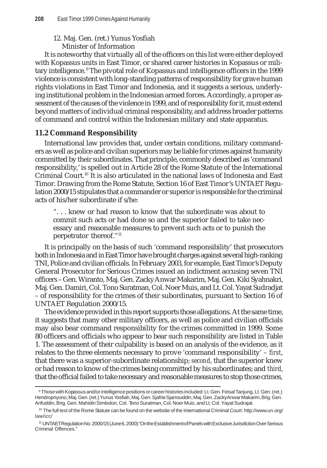## 12. Maj. Gen. (ret.) Yunus Yosfiah Minister of Information

It is noteworthy that virtually all of the officers on this list were either deployed with Kopassus units in East Timor, or shared career histories in Kopassus or military intelligence.<sup>9</sup> The pivotal role of Kopassus and intelligence officers in the 1999 violence is consistent with long-standing patterns of responsibility for grave human rights violations in East Timor and Indonesia, and it suggests a serious, underlying institutional problem in the Indonesian armed forces. Accordingly, a proper assessment of the causes of the violence in 1999, and of responsibility for it, must extend beyond matters of individual criminal responsibility, and address broader patterns of command and control within the Indonesian military and state apparatus.

# **11.2 Command Responsibility**

International law provides that, under certain conditions, military commanders as well as police and civilian superiors may be liable for crimes against humanity committed by their subordinates. That principle, commonly described as 'command responsibility,' is spelled out in Article 28 of the Rome Statute of the International Criminal Court.10 It is also articulated in the national laws of Indonesia and East Timor. Drawing from the Rome Statute, Section 16 of East Timor's UNTAET Regulation 2000/15 stipulates that a commander or superior is responsible for the criminal acts of his/her subordinate if s/he:

". . . knew or had reason to know that the subordinate was about to commit such acts or had done so and the superior failed to take necessary and reasonable measures to prevent such acts or to punish the perpetrator thereof."11

It is principally on the basis of such 'command responsibility' that prosecutors both in Indonesia and in East Timor have brought charges against several high-ranking TNI, Police and civilian officials. In February 2003, for example, East Timor's Deputy General Prosecutor for Serious Crimes issued an indictment accusing seven TNI officers – Gen. Wiranto, Maj. Gen. Zacky Anwar Makarim, Maj. Gen. Kiki Syahnakri, Maj. Gen. Damiri, Col. Tono Suratman, Col. Noer Muis, and Lt. Col. Yayat Sudradjat – of responsibility for the crimes of their subordinates, pursuant to Section 16 of UNTAET Regulation 2000/15.

The evidence provided in this report supports those allegations. At the same time, it suggests that many other military officers, as well as police and civilian officials may also bear command responsibility for the crimes committed in 1999. Some 80 officers and officials who appear to bear such responsibility are listed in Table 1. The assessment of their culpability is based on an analysis of the evidence, as it relates to the three elements necessary to prove 'command responsibility' – *first*, that there was a superior-subordinate relationship; *second*, that the superior knew or had reason to know of the crimes being committed by his subordinates; and *third*, that the official failed to take necessary and reasonable measures to stop those crimes,

<sup>9</sup> Those with Kopassus and/or intelligence positions or career histories included: Lt. Gen. Feisal Tanjung, Lt. Gen. (ret.) Hendropriyono, Maj. Gen. (ret.) Yunus Yosfiah, Maj. Gen. Sjafrie Sjamsuddin, Maj. Gen. Zacky Anwar Makarim, Brig. Gen. Arifuddin, Brig. Gen. Mahidin Simbolon, Col. Tono Suratman, Col. Noer Muis, and Lt. Col. Yayat Sudrajat.

 $10$  The full text of the Rome Statute can be found on the website of the International Criminal Court: http://www.un.org/ law/icc/

<sup>11</sup> UNTAET Regulation No. 2000/15 (June 6, 2000) "On the Establishment of Panels with Exclusive Jurisdiction Over Serious Criminal Offences."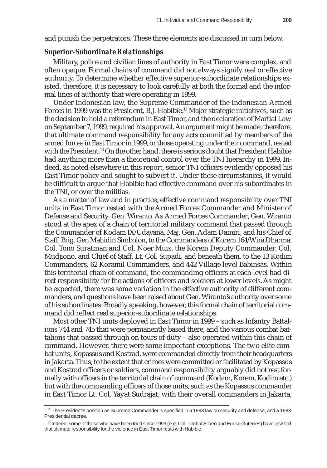and punish the perpetrators. These three elements are discussed in turn below.

## *Superior-Subordinate Relationships*

Military, police and civilian lines of authority in East Timor were complex, and often opaque. Formal chains of command did not always signify real or effective authority. To determine whether effective superior-subordinate relationships existed, therefore, it is necessary to look carefully at both the formal and the informal lines of authority that were operating in 1999.

Under Indonesian law, the Supreme Commander of the Indonesian Armed Forces in 1999 was the President, B.J. Habibie.12 Major strategic initiatives, such as the decision to hold a referendum in East Timor, and the declaration of Martial Law on September 7, 1999, required his approval. An argument might be made, therefore, that ultimate command responsibility for any acts committed by members of the armed forces in East Timor in 1999, or those operating under their command, rested with the President.<sup>13</sup> On the other hand, there is serious doubt that President Habibie had anything more than a theoretical control over the TNI hierarchy in 1999. Indeed, as noted elsewhere in this report, senior TNI officers evidently opposed his East Timor policy and sought to subvert it. Under these circumstances, it would be difficult to argue that Habibie had effective command over his subordinates in the TNI, or over the militias.

As a matter of law and in practice, effective command responsibility over TNI units in East Timor rested with the Armed Forces Commander and Minister of Defense and Security, Gen. Wiranto. As Armed Forces Commander, Gen. Wiranto stood at the apex of a chain of territorial military command that passed through the Commander of Kodam IX/Udayana, Maj. Gen. Adam Damiri, and his Chief of Staff, Brig. Gen Mahidin Simbolon, to the Commanders of Korem 164/Wira Dharma, Col. Tono Suratman and Col. Noer Muis, the Korem Deputy Commander, Col. Mudjiono, and Chief of Staff, Lt. Col. Supadi, and beneath them, to the 13 Kodim Commanders, 62 Koramil Commanders, and 442 Village level Babinsas. Within this territorial chain of command, the commanding officers at each level had direct responsibility for the actions of officers and soldiers at lower levels. As might be expected, there was some variation in the effective authority of different commanders, and questions have been raised about Gen. Wiranto's authority over some of his subordinates. Broadly speaking, however, this formal chain of territorial command did reflect real superior-subordinate relationships.

Most other TNI units deployed in East Timor in 1999 – such as Infantry Battalions 744 and 745 that were permanently based there, and the various combat battalions that passed through on tours of duty – also operated within this chain of command. However, there were some important exceptions. The two elite combat units, Kopassus and Kostrad, were commanded directly from their headquarters in Jakarta. Thus, to the extent that crimes were committed or facilitated by Kopassus and Kostrad officers or soldiers, command responsibility arguably did not rest formally with officers in the territorial chain of command (Kodam, Korem, Kodim etc.) but with the commanding officers of those units, such as the Kopassus commander in East Timor Lt. Col. Yayat Sudrajat, with their overall commanders in Jakarta,

 $12$  The President's position as Supreme Commander is specified in a 1983 law on security and defense, and a 1983 Presidential decree.

<sup>13</sup> Indeed, some of those who have been tried since 1999 (*e.g.* Col. Timbul Silaen and Eurico Guterres) have insisted that ultimate responsibility for the violence in East Timor rests with Habibie.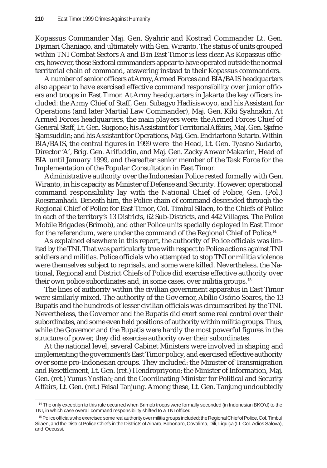Kopassus Commander Maj. Gen. Syahrir and Kostrad Commander Lt. Gen. Djamari Chaniago, and ultimately with Gen. Wiranto. The status of units grouped within TNI Combat Sectors A and B in East Timor is less clear. As Kopassus officers, however, those Sectoral commanders appear to have operated outside the normal territorial chain of command, answering instead to their Kopassus commanders.

A number of senior officers at Army, Armed Forces and BIA/BAIS headquarters also appear to have exercised effective command responsibility over junior officers and troops in East Timor. At Army headquarters in Jakarta the key officers included: the Army Chief of Staff, Gen. Subagyo Hadisiswoyo, and his Assistant for Operations (and later Martial Law Commander), Maj. Gen. Kiki Syahnakri. At Armed Forces headquarters, the main players were: the Armed Forces Chief of General Staff, Lt. Gen. Sugiono; his Assistant for Territorial Affairs, Maj. Gen. Sjafrie Sjamsuddin; and his Assistant for Operations, Maj. Gen. Endriartono Sutarto. Within BIA/BAIS, the central figures in 1999 were the Head, Lt. Gen. Tyasno Sudarto, Director 'A', Brig. Gen. Arifuddin, and Maj. Gen. Zacky Anwar Makarim, Head of BIA until January 1999, and thereafter senior member of the Task Force for the Implementation of the Popular Consultation in East Timor.

Administrative authority over the Indonesian Police rested formally with Gen. Wiranto, in his capacity as Minister of Defense and Security. However, operational command responsibility lay with the National Chief of Police, Gen. (Pol.) Roesmanhadi. Beneath him, the Police chain of command descended through the Regional Chief of Police for East Timor, Col. Timbul Silaen, to the Chiefs of Police in each of the territory's 13 Districts, 62 Sub-Districts, and 442 Villages. The Police Mobile Brigades (Brimob), and other Police units specially deployed in East Timor for the referendum, were under the command of the Regional Chief of Police.<sup>14</sup>

As explained elsewhere in this report, the authority of Police officials was limited by the TNI. That was particularly true with respect to Police actions against TNI soldiers and militias. Police officials who attempted to stop TNI or militia violence were themselves subject to reprisals, and some were killed. Nevertheless, the National, Regional and District Chiefs of Police did exercise effective authority over their own police subordinates and, in some cases, over militia groups. <sup>15</sup>

The lines of authority within the civilian government apparatus in East Timor were similarly mixed. The authority of the Governor, Abílio Osório Soares, the 13 Bupatis and the hundreds of lesser civilian officials was circumscribed by the TNI. Nevertheless, the Governor and the Bupatis did exert some real control over their subordinates, and some even held positions of authority within militia groups. Thus, while the Governor and the Bupatis were hardly the most powerful figures in the structure of power, they did exercise authority over their subordinates.

At the national level, several Cabinet Ministers were involved in shaping and implementing the government's East Timor policy, and exercised effective authority over some pro-Indonesian groups. They included: the Minister of Transmigration and Resettlement, Lt. Gen. (ret.) Hendropriyono; the Minister of Information, Maj. Gen. (ret.) Yunus Yosfiah; and the Coordinating Minister for Political and Security Affairs, Lt. Gen. (ret.) Feisal Tanjung. Among these, Lt. Gen. Tanjung undoubtedly

<sup>&</sup>lt;sup>14</sup> The only exception to this rule occurred when Brimob troops were formally seconded (in Indonesian BKO'd) to the TNI, in which case overall command responsibility shifted to a TNI officer.

<sup>&</sup>lt;sup>15</sup> Police officials who exercised some real authority over militia groups included: the Regional Chief of Police, Col. Timbul Silaen, and the District Police Chiefs in the Districts of Ainaro, Bobonaro, Covalima, Dili, Liquiça (Lt. Col. Adios Salova), and Oecussi.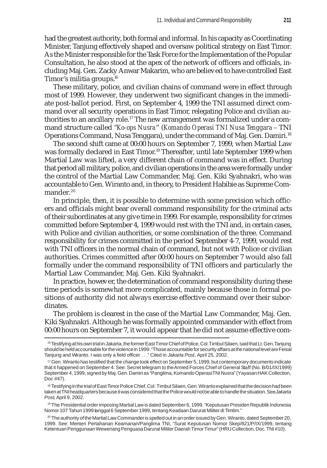had the greatest authority, both formal and informal. In his capacity as Coordinating Minister, Tanjung effectively shaped and oversaw political strategy on East Timor. As the Minister responsible for the Task Force for the Implementation of the Popular Consultation, he also stood at the apex of the network of officers and officials, including Maj. Gen. Zacky Anwar Makarim, who are believed to have controlled East Timor's militia groups.16

These military, police, and civilian chains of command were in effect through most of 1999. However, they underwent two significant changes in the immediate post-ballot period. First, on September 4, 1999 the TNI assumed direct command over all security operations in East Timor, relegating Police and civilian authorities to an ancillary role.<sup>17</sup> The new arrangement was formalized under a command structure called "*Ko-ops Nusra*" (*Komando Operasi TNI Nusa Tenggara* – TNI Operations Command, Nusa Tenggara), under the command of Maj. Gen. Damiri.<sup>18</sup>

The second shift came at 00:00 hours on September 7, 1999, when Martial Law was formally declared in East Timor.<sup>19</sup> Thereafter, until late September 1999 when Martial Law was lifted, a very different chain of command was in effect. During that period all military, police, and civilian operations in the area were formally under the control of the Martial Law Commander, Maj. Gen. Kiki Syahnakri, who was accountable to Gen. Wiranto and, in theory, to President Habibie as Supreme Commander.<sup>20</sup>

In principle, then, it is possible to determine with some precision which officers and officials might bear overall command responsibility for the criminal acts of their subordinates at any give time in 1999. For example, responsibility for crimes committed before September 4, 1999 would rest with the TNI and, in certain cases, with Police and civilian authorities, or some combination of the three. Command responsibility for crimes committed in the period September 4-7, 1999, would rest with TNI officers in the normal chain of command, but not with Police or civilian authorities. Crimes committed after 00:00 hours on September 7 would also fall formally under the command responsibility of TNI officers and particularly the Martial Law Commander, Maj. Gen. Kiki Syahnakri.

In practice, however, the determination of command responsibility during these time periods is somewhat more complicated, mainly because those in formal positions of authority did not always exercise effective command over their subordinates.

The problem is clearest in the case of the Martial Law Commander, Maj. Gen. Kiki Syahnakri. Although he was formally appointed commander with effect from 00:00 hours on September 7, it would appear that he did not assume effective com-

19 The Presidential order imposing Martial Law is dated September 6, 1999. "Keputusan Presiden Republik Indonesia Nomor 107 Tahun 1999 tanggal 6 September 1999, tentang Keadaan Darurat Militer di Timtim."

 $20$  The authority of the Martial Law Commander is spelled out in an order issued by Gen. Wiranto, dated September 20, 1999. See: Menteri Pertahanan Keamanan/Panglima TNI, "Surat Keputusan Nomor Skep/821/P/IX/1999, tentang Ketentuan Penggunaan Wewenang Penguasa Darurat Militer Daerah Timor Timur" (HRU Collection, Doc. TNI #10).

<sup>&</sup>lt;sup>16</sup> Testifying at his own trial in Jakarta, the former East Timor Chief of Police, Col. Timbul Silaen, said that Lt. Gen. Tanjung should be held accountable for the violence in 1999. "Those accountable for security affairs at the national level are Feisal Tanjung and Wiranto. I was only a field officer . . ." Cited in *Jakarta Post*, April 25, 2002.

<sup>17</sup> Gen. Wiranto has testified that the change took effect on September 5, 1999, but contemporary documents indicate that it happened on September 4. See: Secret telegram to the Armed Forces Chief of General Staff (No. B/01/IX/1999) September 4, 1999, signed by Maj. Gen. Damiri as "Panglima, Komando Operasi TNI Nusra" (Yayasan HAK Collection, Doc #47).

<sup>18</sup> Testifying in the trial of East Timor Police Chief, Col. Timbul Silaen, Gen. Wiranto explained that the decision had been taken at TNI headquarters because it was considered that the Police would not be able to handle the situation. See *Jakarta Post*, April 9, 2002.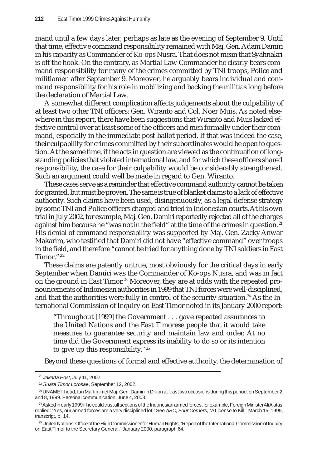mand until a few days later, perhaps as late as the evening of September 9. Until that time, effective command responsibility remained with Maj. Gen. Adam Damiri in his capacity as Commander of Ko-ops Nusra. That does not mean that Syahnakri is off the hook. On the contrary, as Martial Law Commander he clearly bears command responsibility for many of the crimes committed by TNI troops, Police and militiamen after September 9. Moreover, he arguably bears individual and command responsibility for his role in mobilizing and backing the militias long before the declaration of Martial Law.

A somewhat different complication affects judgements about the culpability of at least two other TNI officers: Gen. Wiranto and Col. Noer Muis. As noted elsewhere in this report, there have been suggestions that Wiranto and Muis lacked effective control over at least some of the officers and men formally under their command, especially in the immediate post-ballot period. If that was indeed the case, their culpability for crimes committed by their subordinates would be open to question. At the same time, if the acts in question are viewed as the continuation of longstanding policies that violated international law, and for which these officers shared responsibility, the case for their culpability would be considerably strengthened. Such an argument could well be made in regard to Gen. Wiranto.

These cases serve as a reminder that effective command authority cannot be taken for granted, but must be proven. The same is true of blanket claims to a lack of effective authority. Such claims have been used, disingenuously, as a legal defense strategy by some TNI and Police officers charged and tried in Indonesian courts. At his own trial in July 2002, for example, Maj. Gen. Damiri reportedly rejected all of the charges against him because he "was not in the field" at the time of the crimes in question.<sup>21</sup> His denial of command responsibility was supported by Maj. Gen. Zacky Anwar Makarim, who testified that Damiri did not have "effective command" over troops in the field, and therefore "cannot be tried for anything done by TNI soldiers in East Timor."22

These claims are patently untrue, most obviously for the critical days in early September when Damiri was the Commander of Ko-ops Nusra, and was in fact on the ground in East Timor.<sup>23</sup> Moreover, they are at odds with the repeated pronouncements of Indonesian authorities in 1999 that TNI forces were well-disciplined, and that the authorities were fully in control of the security situation.<sup>24</sup> As the International Commission of Inquiry on East Timor noted in its January 2000 report:

"Throughout [1999] the Government . . . gave repeated assurances to the United Nations and the East Timorese people that it would take measures to guarantee security and maintain law and order. At no time did the Government express its inability to do so or its intention to give up this responsibility."<sup>25</sup>

Beyond these questions of formal and effective authority, the determination of

<sup>21</sup> *Jakarta Post*, July 11, 2002.

<sup>22</sup> *Suara Timor Lorosae*, September 12, 2002.

<sup>23</sup> UNAMET head, Ian Martin, met Maj. Gen. Damiri in Dili on at least two occasions during this period, on September 2 and 8, 1999. Personal communication, June 4, 2003.

<sup>&</sup>lt;sup>24</sup> Asked in early 1999 if he could trust all sections of the Indonesian armed forces, for example, Foreign Minister Ali Alatas replied: "Yes, our armed forces are a very disciplined lot." See *ABC, Four Corners*, "A License to Kill," March 15, 1999, transcript, p. 14.

<sup>&</sup>lt;sup>25</sup> United Nations, Office of the High Commissioner for Human Rights, "Report of the International Commission of Inquiry on East Timor to the Secretary General," January 2000, paragraph 64.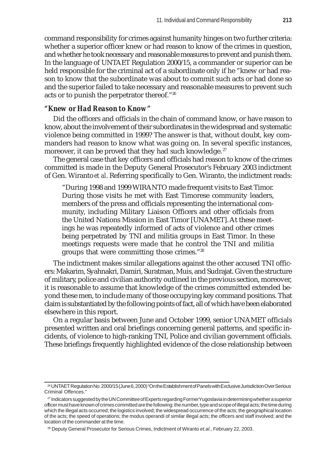command responsibility for crimes against humanity hinges on two further criteria: whether a superior officer knew or had reason to know of the crimes in question, and whether he took necessary and reasonable measures to prevent and punish them. In the language of UNTAET Regulation 2000/15, a commander or superior can be held responsible for the criminal act of a subordinate only if he "knew or had reason to know that the subordinate was about to commit such acts or had done so and the superior failed to take necessary and reasonable measures to prevent such acts or to punish the perpetrator thereof."26

# *"Knew or Had Reason to Know"*

Did the officers and officials in the chain of command know, or have reason to know, about the involvement of their subordinates in the widespread and systematic violence being committed in 1999? The answer is that, without doubt, key commanders had reason to know what was going on. In several specific instances, moreover, it can be proved that they had such knowledge.<sup>27</sup>

The general case that key officers and officials had reason to know of the crimes committed is made in the Deputy General Prosecutor's February 2003 indictment of Gen. Wiranto *et al*. Referring specifically to Gen. Wiranto, the indictment reads:

"During 1998 and 1999 WIRANTO made frequent visits to East Timor. During those visits he met with East Timorese community leaders, members of the press and officials representing the international community, including Military Liaison Officers and other officials from the United Nations Mission in East Timor [UNAMET]. At these meetings he was repeatedly informed of acts of violence and other crimes being perpetrated by TNI and militia groups in East Timor. In these meetings requests were made that he control the TNI and militia groups that were committing those crimes."28

The indictment makes similar allegations against the other accused TNI officers: Makarim, Syahnakri, Damiri, Suratman, Muis, and Sudrajat. Given the structure of military, police and civilian authority outlined in the previous section, moreover, it is reasonable to assume that knowledge of the crimes committed extended beyond these men, to include many of those occupying key command positions. That claim is substantiated by the following points of fact, all of which have been elaborated elsewhere in this report.

On a regular basis between June and October 1999, senior UNAMET officials presented written and oral briefings concerning general patterns, and specific incidents, of violence to high-ranking TNI, Police and civilian government officials. These briefings frequently highlighted evidence of the close relationship between

<sup>26</sup> UNTAET Regulation No. 2000/15 (June 6, 2000) "On the Establishment of Panels with Exclusive Jurisdiction Over Serious Criminal Offences."

<sup>&</sup>lt;sup>27</sup> Indicators suggested by the UN Committee of Experts regarding Former Yugoslavia in determining whether a superior officer must have known of crimes committed are the following: the number, type and scope of illegal acts; the time during which the illegal acts occurred; the logistics involved; the widespread occurrence of the acts; the geographical location of the acts; the speed of operations; the modus operandi of similar illegal acts; the officers and staff involved; and the location of the commander at the time.

<sup>28</sup> Deputy General Prosecutor for Serious Crimes, Indictment of Wiranto *et.al*., February 22, 2003.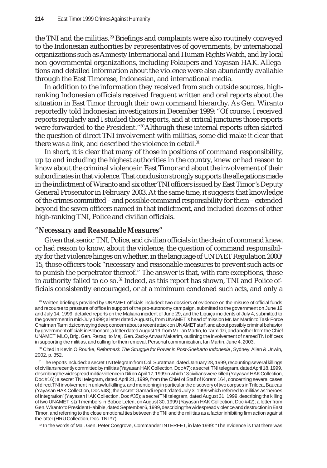the TNI and the militias.<sup>29</sup> Briefings and complaints were also routinely conveyed to the Indonesian authorities by representatives of governments, by international organizations such as Amnesty International and Human Rights Watch, and by local non-governmental organizations, including Fokupers and Yayasan HAK. Allegations and detailed information about the violence were also abundantly available through the East Timorese, Indonesian, and international media.

In addition to the information they received from such outside sources, highranking Indonesian officials received frequent written and oral reports about the situation in East Timor through their own command hierarchy. As Gen. Wiranto reportedly told Indonesian investigators in December 1999: "Of course, I received reports regularly and I studied those reports, and at critical junctures those reports were forwarded to the President."<sup>30</sup>Although these internal reports often skirted the question of direct TNI involvement with militias, some did make it clear that there was a link, and described the violence in detail.<sup>31</sup>

In short, it is clear that many of those in positions of command responsibility, up to and including the highest authorities in the country, knew or had reason to know about the criminal violence in East Timor and about the involvement of their subordinates in that violence. That conclusion strongly supports the allegations made in the indictment of Wiranto and six other TNI officers issued by East Timor's Deputy General Prosecutor in February 2003. At the same time, it suggests that knowledge of the crimes committed – and possible command responsibility for them – extended beyond the seven officers named in that indictment, and included dozens of other high-ranking TNI, Police and civilian officials.

# *"Necessary and Reasonable Measures"*

Given that senior TNI, Police, and civilian officials in the chain of command knew, or had reason to know, about the violence, the question of command responsibility for that violence hinges on whether, in the language of UNTAET Regulation 2000/ 15, those officers took "necessary and reasonable measures to prevent such acts or to punish the perpetrator thereof." The answer is that, with rare exceptions, those in authority failed to do so.<sup>32</sup> Indeed, as this report has shown, TNI and Police officials consistently encouraged, or at a minimum condoned such acts, and only a

32 In the words of Maj. Gen. Peter Cosgrove, Commander INTERFET, in late 1999: "The evidence is that there was

<sup>&</sup>lt;sup>29</sup> Written briefings provided by UNAMET officials included: two dossiers of evidence on the misuse of official funds and recourse to pressure of office in support of the pro-autonomy campaign, submitted to the government on June 16 and July 14, 1999; detailed reports on the Maliana incident of June 29, and the Liquiça incidents of July 4, submitted to the government in mid-July 1999; a letter dated August 5, from UNAMET 's head of mission Mr. Ian Martin to Task Force Chairman Tarmidzi conveying deep concern about a recent attack on UNAMET staff, and about possibly criminal behavior by government officials in Bobonaro; a letter dated August 19, from Mr. Ian Martin, to Tarmidzi, and another from the Chief UNAMET MLO, Brig. Gen. Rezaq, to Maj. Gen. Zacky Anwar Makarim, outlining the involvement of named TNI officers in supporting the militias, and calling for their removal. Personal communication, Ian Martin, June 4, 2003.

<sup>30</sup> Cited in Kevin O'Rourke, *Reformasi: The Struggle for Power in Post-Soeharto Indonesia*, Sydney: Allen & Unwin, 2002, p. 352.

<sup>31</sup> The reports included: a secret TNI telegram from Col. Suratman, dated January 28, 1999, recounting several killings of civilians recently committed by militias (Yayasan HAK Collection, Doc#7); a secret TNI telegram, dated April 18, 1999, describing the widespread militia violence in Dili on April 17, 1999 in which 13 civilians were killed (Yayasan HAK Collection, Doc #16); a secret TNI telegram, dated April 21, 1999, from the Chief of Staff of Korem 164, concerning several cases of direct TNI involvement in unlawful killings, and mentioning in particular the discovery of two corpses in Triloca, Baucau (Yayasan HAK Collection, Doc #48); the secret 'Garnadi report,' dated July 3, 1999 which referred to militias as 'heroes of integration' (Yayasan HAK Collection, Doc #35); a secret TNI telegram, dated August 31, 1999, describing the killing of two UNAMET staff members in Boboe Leten, on August 30, 1999 (Yayasan HAK Collection, Doc #42); a letter from Gen. Wiranto to President Habibie, dated September 6, 1999, describing the widespread violence and destruction in East Timor, and referring to the close emotional ties between the TNI and the militias as a factor inhibiting firm action against the latter (HRU Collection, Doc. TNI #7).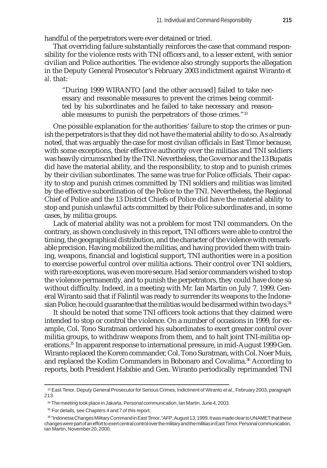handful of the perpetrators were ever detained or tried.

That overriding failure substantially reinforces the case that command responsibility for the violence rests with TNI officers and, to a lesser extent, with senior civilian and Police authorities. The evidence also strongly supports the allegation in the Deputy General Prosecutor's February 2003 indictment against Wiranto *et al.* that:

"During 1999 WIRANTO [and the other accused] failed to take necessary and reasonable measures to prevent the crimes being committed by his subordinates and he failed to take necessary and reasonable measures to punish the perpetrators of those crimes."33

One possible explanation for the authorities' failure to stop the crimes or punish the perpetrators is that they did not have the material ability to do so. As already noted, that was arguably the case for most civilian officials in East Timor because, with some exceptions, their effective authority over the militias and TNI soldiers was heavily circumscribed by the TNI. Nevertheless, the Governor and the 13 Bupatis did have the material ability, and the responsibility, to stop and to punish crimes by their civilian subordinates. The same was true for Police officials. Their capacity to stop and punish crimes committed by TNI soldiers and militias was limited by the effective subordination of the Police to the TNI. Nevertheless, the Regional Chief of Police and the 13 District Chiefs of Police did have the material ability to stop and punish unlawful acts committed by their Police subordinates and, in some cases, by militia groups.

Lack of material ability was not a problem for most TNI commanders. On the contrary, as shown conclusively in this report, TNI officers were able to control the timing, the geographical distribution, and the character of the violence with remarkable precision. Having mobilized the militias, and having provided them with training, weapons, financial and logistical support, TNI authorities were in a position to exercise powerful control over militia actions. Their control over TNI soldiers, with rare exceptions, was even more secure. Had senior commanders wished to stop the violence permanently, and to punish the perpetrators, they could have done so without difficulty. Indeed, in a meeting with Mr. Ian Martin on July 7, 1999, General Wiranto said that if Falintil was ready to surrender its weapons to the Indonesian Police, he could guarantee that the militias would be disarmed within two days.<sup>34</sup>

It should be noted that some TNI officers took actions that they claimed were intended to stop or control the violence. On a number of occasions in 1999, for example, Col. Tono Suratman ordered his subordinates to exert greater control over militia groups, to withdraw weapons from them, and to halt joint TNI-militia operations.35 In apparent response to international pressure, in mid-August 1999 Gen. Wiranto replaced the Korem commander, Col. Tono Suratman, with Col. Noer Muis, and replaced the Kodim Commanders in Bobonaro and Covalima.<sup>36</sup> According to reports, both President Habibie and Gen. Wiranto periodically reprimanded TNI

<sup>33</sup> East Timor, Deputy General Prosecutor for Serious Crimes, Indictment of Wiranto *et al*., February 2003, paragraph 213.

<sup>34</sup> The meeting took place in Jakarta. Personal communication, Ian Martin, June 4, 2003.

<sup>&</sup>lt;sup>35</sup> For details, see Chapters 4 and 7 of this report.

<sup>36 &</sup>quot;Indonesia Changes Military Command in East Timor," *AFP*, August 13, 1999. It was made clear to UNAMET that these changes were part of an effort to exert central control over the military and the militias in East Timor. Personal communication, Ian Martin, November 20, 2000.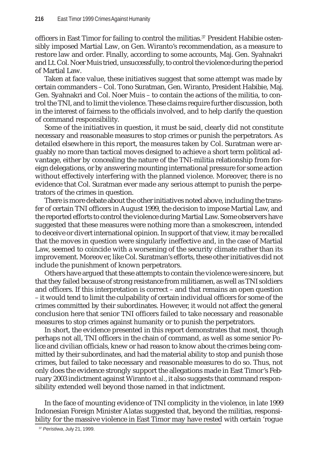officers in East Timor for failing to control the militias.<sup>37</sup> President Habibie ostensibly imposed Martial Law, on Gen. Wiranto's recommendation, as a measure to restore law and order. Finally, according to some accounts, Maj. Gen. Syahnakri and Lt. Col. Noer Muis tried, unsuccessfully, to control the violence during the period of Martial Law.

Taken at face value, these initiatives suggest that some attempt was made by certain commanders – Col. Tono Suratman, Gen. Wiranto, President Habibie, Maj. Gen. Syahnakri and Col. Noer Muis – to contain the actions of the militia, to control the TNI, and to limit the violence. These claims require further discussion, both in the interest of fairness to the officials involved, and to help clarify the question of command responsibility.

Some of the initiatives in question, it must be said, clearly did not constitute necessary and reasonable measures to stop crimes or punish the perpetrators. As detailed elsewhere in this report, the measures taken by Col. Suratman were arguably no more than tactical moves designed to achieve a short term political advantage, either by concealing the nature of the TNI-militia relationship from foreign delegations, or by answering mounting international pressure for some action without effectively interfering with the planned violence. Moreover, there is no evidence that Col. Suratman ever made any serious attempt to punish the perpetrators of the crimes in question.

There is more debate about the other initiatives noted above, including the transfer of certain TNI officers in August 1999, the decision to impose Martial Law, and the reported efforts to control the violence during Martial Law. Some observers have suggested that these measures were nothing more than a smokescreen, intended to deceive or divert international opinion. In support of that view, it may be recalled that the moves in question were singularly ineffective and, in the case of Martial Law, seemed to coincide with a worsening of the security climate rather than its improvement. Moreover, like Col. Suratman's efforts, these other initiatives did not include the punishment of known perpetrators.

Others have argued that these attempts to contain the violence were sincere, but that they failed because of strong resistance from militiamen, as well as TNI soldiers and officers. If this interpretation is correct – and that remains an open question – it would tend to limit the culpability of certain individual officers for some of the crimes committed by their subordinates. However, it would not affect the general conclusion here that senior TNI officers failed to take necessary and reasonable measures to stop crimes against humanity or to punish the perpetrators.

In short, the evidence presented in this report demonstrates that most, though perhaps not all, TNI officers in the chain of command, as well as some senior Police and civilian officials, knew or had reason to know about the crimes being committed by their subordinates, and had the material ability to stop and punish those crimes, but failed to take necessary and reasonable measures to do so. Thus, not only does the evidence strongly support the allegations made in East Timor's February 2003 indictment against Wiranto *et al.*, it also suggests that command responsibility extended well beyond those named in that indictment.

In the face of mounting evidence of TNI complicity in the violence, in late 1999 Indonesian Foreign Minister Alatas suggested that, beyond the militias, responsibility for the massive violence in East Timor may have rested with certain 'rogue

<sup>37</sup> *Peristiwa*, July 21, 1999.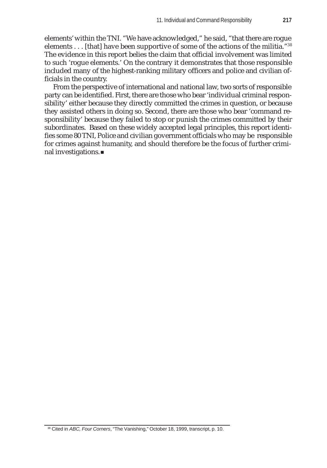elements' within the TNI. "We have acknowledged," he said, "that there are rogue elements . . . [that] have been supportive of some of the actions of the militia."<sup>38</sup> The evidence in this report belies the claim that official involvement was limited to such 'rogue elements.' On the contrary it demonstrates that those responsible included many of the highest-ranking military officers and police and civilian officials in the country.

From the perspective of international and national law, two sorts of responsible party can be identified. First, there are those who bear 'individual criminal responsibility' either because they directly committed the crimes in question, or because they assisted others in doing so. Second, there are those who bear 'command responsibility' because they failed to stop or punish the crimes committed by their subordinates. Based on these widely accepted legal principles, this report identifies some 80 TNI, Police and civilian government officials who may be responsible for crimes against humanity, and should therefore be the focus of further criminal investigations.

38 Cited in *ABC, Four Corners*, "The Vanishing," October 18, 1999, transcript, p. 10.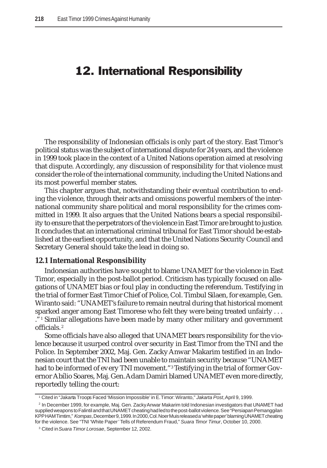# 12. International Responsibility

The responsibility of Indonesian officials is only part of the story. East Timor's political status was the subject of international dispute for 24 years, and the violence in 1999 took place in the context of a United Nations operation aimed at resolving that dispute. Accordingly, any discussion of responsibility for that violence must consider the role of the international community, including the United Nations and its most powerful member states.

This chapter argues that, notwithstanding their eventual contribution to ending the violence, through their acts and omissions powerful members of the international community share political and moral responsibility for the crimes committed in 1999. It also argues that the United Nations bears a special responsibility to ensure that the perpetrators of the violence in East Timor are brought to justice. It concludes that an international criminal tribunal for East Timor should be established at the earliest opportunity, and that the United Nations Security Council and Secretary General should take the lead in doing so.

### **12.1 International Responsibility**

Indonesian authorities have sought to blame UNAMET for the violence in East Timor, especially in the post-ballot period. Criticism has typically focused on allegations of UNAMET bias or foul play in conducting the referendum. Testifying in the trial of former East Timor Chief of Police, Col. Timbul Silaen, for example, Gen. Wiranto said: "UNAMET's failure to remain neutral during that historical moment sparked anger among East Timorese who felt they were being treated unfairly . . . ."1 Similar allegations have been made by many other military and government officials. <sup>2</sup>

Some officials have also alleged that UNAMET bears responsibility for the violence because it usurped control over security in East Timor from the TNI and the Police. In September 2002, Maj. Gen. Zacky Anwar Makarim testified in an Indonesian court that the TNI had been unable to maintain security because "UNAMET had to be informed of every TNI movement."3 Testifying in the trial of former Governor Abílio Soares, Maj. Gen. Adam Damiri blamed UNAMET even more directly, reportedly telling the court:

<sup>1</sup> Cited in "Jakarta Troops Faced 'Mission Impossible' in E. Timor: Wiranto," *Jakarta Post*, April 9, 1999.

<sup>2</sup> In December 1999, for example, Maj. Gen. Zacky Anwar Makarim told Indonesian investigators that UNAMET had supplied weapons to Falintil and that UNAMET cheating had led to the post-ballot violence. See "Persiapan Pemanggilan KPP HAM Timtim," *Kompas*, December 9, 1999. In 2000, Col. Noer Muis released a 'white paper' blaming UNAMET cheating for the violence. See "TNI 'White Paper' Tells of Referendum Fraud," *Suara Timor Timur*, October 10, 2000.

<sup>3</sup> Cited in *Suara Timor Lorosae*, September 12, 2002.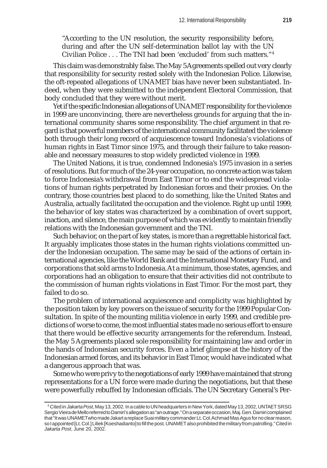"According to the UN resolution, the security responsibility before, during and after the UN self-determination ballot lay with the UN Civilian Police . . . The TNI had been 'excluded' from such matters."4

This claim was demonstrably false. The May 5 Agreements spelled out very clearly that responsibility for security rested solely with the Indonesian Police. Likewise, the oft-repeated allegations of UNAMET bias have never been substantiated. Indeed, when they were submitted to the independent Electoral Commission, that body concluded that they were without merit.

Yet if the specific Indonesian allegations of UNAMET responsibility for the violence in 1999 are unconvincing, there are nevertheless grounds for arguing that the international community shares some responsibility. The chief argument in that regard is that powerful members of the international community facilitated the violence both through their long record of acquiescence toward Indonesia's violations of human rights in East Timor since 1975, and through their failure to take reasonable and necessary measures to stop widely predicted violence in 1999.

The United Nations, it is true, condemned Indonesia's 1975 invasion in a series of resolutions. But for much of the 24-year occupation, no concrete action was taken to force Indonesia's withdrawal from East Timor or to end the widespread violations of human rights perpetrated by Indonesian forces and their proxies. On the contrary, those countries best placed to do something, like the United States and Australia, actually facilitated the occupation and the violence. Right up until 1999, the behavior of key states was characterized by a combination of overt support, inaction, and silence, the main purpose of which was evidently to maintain friendly relations with the Indonesian government and the TNI.

Such behavior, on the part of key states, is more than a regrettable historical fact. It arguably implicates those states in the human rights violations committed under the Indonesian occupation. The same may be said of the actions of certain international agencies, like the World Bank and the International Monetary Fund, and corporations that sold arms to Indonesia. At a minimum, those states, agencies, and corporations had an obligation to ensure that their activities did not contribute to the commission of human rights violations in East Timor. For the most part, they failed to do so.

The problem of international acquiescence and complicity was highlighted by the position taken by key powers on the issue of security for the 1999 Popular Consultation. In spite of the mounting militia violence in early 1999, and credible predictions of worse to come, the most influential states made no serious effort to ensure that there would be effective security arrangements for the referendum. Instead, the May 5 Agreements placed sole responsibility for maintaining law and order in the hands of Indonesian security forces. Even a brief glimpse at the history of the Indonesian armed forces, and its behavior in East Timor, would have indicated what a dangerous approach that was.

Some who were privy to the negotiations of early 1999 have maintained that strong representations for a UN force were made during the negotiations, but that these were powerfully rebuffed by Indonesian officials. The UN Secretary General's Per-

<sup>4</sup> Cited in *Jakarta Post*, May 13, 2002. In a cable to UN headquarters in New York, dated May 13, 2002, UNTAET SRSG Sergio Vieira de Mello referred to Damiri's allegation as "an outrage." On a separate occasion, Maj. Gen. Damiri complained that "It was UNAMET who made Jakarta replace Suai military commander Lt. Col. Achmad Mas Agus for no clear reason, so I appointed [Lt. Col.] Liliek [Koeshadianto] to fill the post. UNAMET also prohibited the military from patrolling." Cited in *Jakarta Post*, June 20, 2002.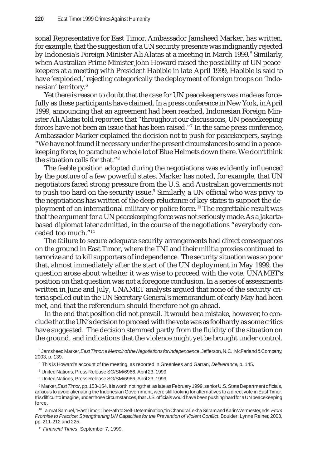sonal Representative for East Timor, Ambassador Jamsheed Marker, has written, for example, that the suggestion of a UN security presence was indignantly rejected by Indonesia's Foreign Minister Ali Alatas at a meeting in March 1999.<sup>5</sup> Similarly, when Australian Prime Minister John Howard raised the possibility of UN peacekeepers at a meeting with President Habibie in late April 1999, Habibie is said to have 'exploded,' rejecting categorically the deployment of foreign troops on 'Indonesian' territory.6

Yet there is reason to doubt that the case for UN peacekeepers was made as forcefully as these participants have claimed. In a press conference in New York, in April 1999, announcing that an agreement had been reached, Indonesian Foreign Minister Ali Alatas told reporters that "throughout our discussions, UN peacekeeping forces have not been an issue that has been raised."7 In the same press conference, Ambassador Marker explained the decision not to push for peacekeepers, saying: "We have not found it necessary under the present circumstances to send in a peacekeeping force, to parachute a whole lot of Blue Helmets down there. We don't think the situation calls for that."8

The feeble position adopted during the negotiations was evidently influenced by the posture of a few powerful states. Marker has noted, for example, that UN negotiators faced strong pressure from the U.S. and Australian governments not to push too hard on the security issue.<sup>9</sup> Similarly, a UN official who was privy to the negotiations has written of the deep reluctance of key states to support the deployment of an international military or police force. 10 The regrettable result was that the argument for a UN peacekeeping force was not seriously made. As a Jakartabased diplomat later admitted, in the course of the negotiations "everybody conceded too much."11

The failure to secure adequate security arrangements had direct consequences on the ground in East Timor, where the TNI and their militia proxies continued to terrorize and to kill supporters of independence. The security situation was so poor that, almost immediately after the start of the UN deployment in May 1999, the question arose about whether it was wise to proceed with the vote. UNAMET's position on that question was not a foregone conclusion. In a series of assessments written in June and July, UNAMET analysts argued that none of the security criteria spelled out in the UN Secretary General's memorandum of early May had been met, and that the referendum should therefore not go ahead.

In the end that position did not prevail. It would be a mistake, however, to conclude that the UN's decision to proceed with the vote was as foolhardy as some critics have suggested. The decision stemmed partly from the fluidity of the situation on the ground, and indications that the violence might yet be brought under control.

8 United Nations, Press Release SG/SM/6966, April 23, 1999.

<sup>5</sup> Jamsheed Marker, *East Timor: a Memoir of the Negotiations for Independence*. Jefferson, N.C.: McFarland & Company, 2003, p. 139.

<sup>6</sup> This is Howard's account of the meeting, as reported in Greenlees and Garran, *Deliverance*, p. 145.

<sup>7</sup> United Nations, Press Release SG/SM/6966, April 23, 1999.

<sup>9</sup> Marker, *East Timor*, pp. 153-154. It is worth noting that, as late as February 1999, senior U.S. State Department officials, anxious to avoid alienating the Indonesian Government, were still looking for alternatives to a direct vote in East Timor. It is difficult to imagine, under those circumstances, that U.S. officials would have been pushing hard for a UN peacekeeping force.

<sup>10</sup> Tamrat Samuel, "East Timor: The Path to Self-Determination," in Chandra Lekha Sriram and Karin Wermester, eds. *From Promise to Practice: Strengthening UN Capacities for the Prevention of Violent Conflict*. Boulder: Lynne Reiner, 2003, pp. 211-212 and 225.

<sup>11</sup> *Financial Times*, September 7, 1999.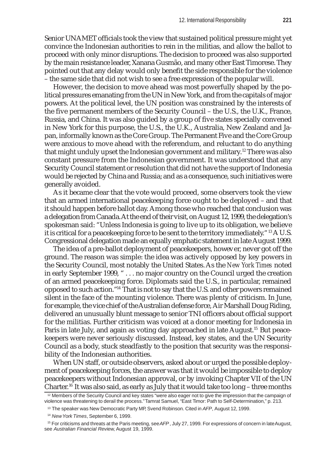Senior UNAMET officials took the view that sustained political pressure might yet convince the Indonesian authorities to rein in the militias, and allow the ballot to proceed with only minor disruptions. The decision to proceed was also supported by the main resistance leader, Xanana Gusmão, and many other East Timorese. They pointed out that any delay would only benefit the side responsible for the violence – the same side that did not wish to see a free expression of the popular will.

However, the decision to move ahead was most powerfully shaped by the political pressures emanating from the UN in New York, and from the capitals of major powers. At the political level, the UN position was constrained by the interests of the five permanent members of the Security Council – the U.S., the U.K., France, Russia, and China. It was also guided by a group of five states specially convened in New York for this purpose, the U.S., the U.K., Australia, New Zealand and Japan, informally known as the Core Group. The Permanent Five and the Core Group were anxious to move ahead with the referendum, and reluctant to do anything that might unduly upset the Indonesian government and military.<sup>12</sup> There was also constant pressure from the Indonesian government. It was understood that any Security Council statement or resolution that did not have the support of Indonesia would be rejected by China and Russia; and as a consequence, such initiatives were generally avoided.

As it became clear that the vote would proceed, some observers took the view that an armed international peacekeeping force ought to be deployed – and that it should happen before ballot day. Among those who reached that conclusion was a delegation from Canada. At the end of their visit, on August 12, 1999, the delegation's spokesman said: "Unless Indonesia is going to live up to its obligation, we believe it is critical for a peacekeeping force to be sent to the territory immediately." <sup>13</sup> A U.S. Congressional delegation made an equally emphatic statement in late August 1999.

The idea of a pre-ballot deployment of peacekeepers, however, never got off the ground. The reason was simple: the idea was actively opposed by key powers in the Security Council, most notably the United States. As the *New York Times* noted in early September 1999, " . . . no major country on the Council urged the creation of an armed peacekeeping force. Diplomats said the U.S., in particular, remained opposed to such action."14 That is not to say that the U.S. and other powers remained silent in the face of the mounting violence. There was plenty of criticism. In June, for example, the vice chief of the Australian defense force, Air Marshall Doug Riding, delivered an unusually blunt message to senior TNI officers about official support for the militias. Further criticism was voiced at a donor meeting for Indonesia in Paris in late July, and again as voting day approached in late August.<sup>15</sup> But peacekeepers were never seriously discussed. Instead, key states, and the UN Security Council as a body, stuck steadfastly to the position that security was the responsibility of the Indonesian authorities.

When UN staff, or outside observers, asked about or urged the possible deployment of peacekeeping forces, the answer was that it would be impossible to deploy peacekeepers without Indonesian approval, or by invoking Chapter VII of the UN Charter.<sup>16</sup> It was also said, as early as July that it would take too long – three months

<sup>12</sup> Members of the Security Council and key states "were also eager not to give the impression that the campaign of violence was threatening to derail the process." Tamrat Samuel, "East Timor: Path to Self-Determination," p. 213.

<sup>13</sup> The speaker was New Democratic Party MP, Svend Robinson. Cited in *AFP*, August 12, 1999.

<sup>14</sup> *New York Times*, September 6, 1999.

<sup>15</sup> For criticisms and threats at the Paris meeting, see *AFP*, July 27, 1999. For expressions of concern in late August, see *Australian Financial Review*, August 19, 1999.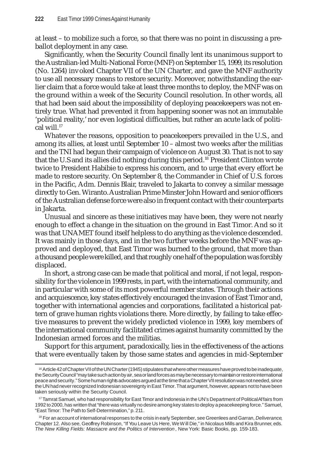at least – to mobilize such a force, so that there was no point in discussing a preballot deployment in any case.

Significantly, when the Security Council finally lent its unanimous support to the Australian-led Multi-National Force (MNF) on September 15, 1999, its resolution (No. 1264) invoked Chapter VII of the UN Charter, and gave the MNF authority to use all necessary means to restore security. Moreover, notwithstanding the earlier claim that a force would take at least three months to deploy, the MNF was on the ground within a week of the Security Council resolution. In other words, all that had been said about the impossibility of deploying peacekeepers was not entirely true. What had prevented it from happening sooner was not an immutable 'political reality,' nor even logistical difficulties, but rather an acute lack of political will.17

Whatever the reasons, opposition to peacekeepers prevailed in the U.S., and among its allies, at least until September 10 – almost two weeks after the militias and the TNI had begun their campaign of violence on August 30. That is not to say that the U.S and its allies did nothing during this period.18 President Clinton wrote twice to President Habibie to express his concern, and to urge that every effort be made to restore security. On September 8, the Commander in Chief of U.S. forces in the Pacific, Adm. Dennis Blair, traveled to Jakarta to convey a similar message directly to Gen. Wiranto. Australian Prime Minster John Howard and senior officers of the Australian defense force were also in frequent contact with their counterparts in Jakarta.

Unusual and sincere as these initiatives may have been, they were not nearly enough to effect a change in the situation on the ground in East Timor. And so it was that UNAMET found itself helpless to do anything as the violence descended. It was mainly in those days, and in the two further weeks before the MNF was approved and deployed, that East Timor was burned to the ground, that more than a thousand people were killed, and that roughly one half of the population was forcibly displaced.

In short, a strong case can be made that political and moral, if not legal, responsibility for the violence in 1999 rests, in part, with the international community, and in particular with some of its most powerful member states. Through their actions and acquiescence, key states effectively encouraged the invasion of East Timor and, together with international agencies and corporations, facilitated a historical pattern of grave human rights violations there. More directly, by failing to take effective measures to prevent the widely predicted violence in 1999, key members of the international community facilitated crimes against humanity committed by the Indonesian armed forces and the militias.

Support for this argument, paradoxically, lies in the effectiveness of the actions that were eventually taken by those same states and agencies in mid-September

<sup>16</sup> Article 42 of Chapter VII of the UN Charter (1945) stipulates that where other measures have proved to be inadequate, the Security Council "may take such action by air, sea or land forces as may be necessary to maintain or restore international peace and security." Some human rights advocates argued at the time that a Chapter VII resolution was not needed, since the UN had never recognized Indonesian sovereignty in East Timor. That argument, however, appears not to have been taken seriously within the Security Council.

<sup>&</sup>lt;sup>17</sup> Tamrat Samuel, who had responsibility for East Timor and Indonesia in the UN's Department of Political Affairs from 1992 to 2000, has written that "there was virtually no desire among key states to deploy a peacekeeping force." Samuel, "East Timor: The Path to Self-Determination," p. 211.

<sup>18</sup> For an account of international responses to the crisis in early September, see Greenlees and Garran, *Deliverance*, Chapter 12. Also see, Geoffrey Robinson, "If You Leave Us Here, We Will Die," in Nicolaus Mills and Kira Brunner, eds. *The New Killing Fields: Massacre and the Politics of Intervention*, New York: Basic Books, pp. 159-183.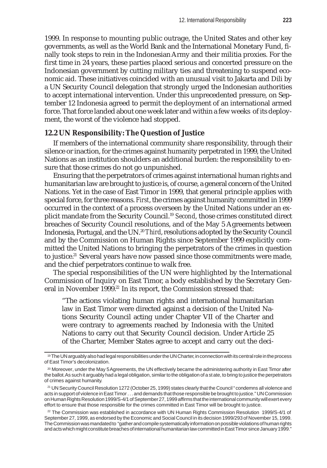1999. In response to mounting public outrage, the United States and other key governments, as well as the World Bank and the International Monetary Fund, finally took steps to rein in the Indonesian Army and their militia proxies. For the first time in 24 years, these parties placed serious and concerted pressure on the Indonesian government by cutting military ties and threatening to suspend economic aid. These initiatives coincided with an unusual visit to Jakarta and Dili by a UN Security Council delegation that strongly urged the Indonesian authorities to accept international intervention. Under this unprecedented pressure, on September 12 Indonesia agreed to permit the deployment of an international armed force. That force landed about one week later and within a few weeks of its deployment, the worst of the violence had stopped.

## **12.2 UN Responsibility: The Question of Justice**

If members of the international community share responsibility, through their silence or inaction, for the crimes against humanity perpetrated in 1999, the United Nations as an institution shoulders an additional burden: the responsibility to ensure that those crimes do not go unpunished.

Ensuring that the perpetrators of crimes against international human rights and humanitarian law are brought to justice is, of course, a general concern of the United Nations. Yet in the case of East Timor in 1999, that general principle applies with special force, for three reasons. *First*, the crimes against humanity committed in 1999 occurred in the context of a process overseen by the United Nations under an explicit mandate from the Security Council.19 *Second*, those crimes constituted direct breaches of Security Council resolutions, and of the May 5 Agreements between Indonesia, Portugal, and the UN.<sup>20</sup> *Third*, resolutions adopted by the Security Council and by the Commission on Human Rights since September 1999 explicitly committed the United Nations to bringing the perpetrators of the crimes in question to justice.<sup>21</sup> Several years have now passed since those commitments were made, and the chief perpetrators continue to walk free.

The special responsibilities of the UN were highlighted by the International Commission of Inquiry on East Timor, a body established by the Secretary General in November 1999.<sup>22</sup> In its report, the Commission stressed that:

"The actions violating human rights and international humanitarian law in East Timor were directed against a decision of the United Nations Security Council acting under Chapter VII of the Charter and were contrary to agreements reached by Indonesia with the United Nations to carry out that Security Council decision. Under Article 25 of the Charter, Member States agree to accept and carry out the deci-

<sup>19</sup> The UN arguably also had legal responsibilities under the UN Charter, in connection with its central role in the process of East Timor's decolonization.

<sup>20</sup> Moreover, under the May 5 Agreements, the UN effectively became the administering authority in East Timor after the ballot. As such it arguably had a legal obligation, similar to the obligation of a state, to bring to justice the perpetrators of crimes against humanity.

<sup>21</sup> UN Security Council Resolution 1272 (October 25, 1999) states clearly that the Council " condemns all violence and acts in support of violence in East Timor . . . and demands that those responsible be brought to justice." UN Commission on Human Rights Resolution 1999/S-4/1 of September 27, 1999 affirms that the international community will exert every effort to ensure that those responsible for the crimes committed in East Timor will be brought to justice.

 $22$  The Commission was established in accordance with UN Human Rights Commission Resolution 1999/S-4/1 of September 27, 1999, as endorsed by the Economic and Social Council in its decision 1999/293 of November 15, 1999. The Commission was mandated to "gather and compile systematically information on possible violations of human rights and acts which might constitute breaches of international humanitarian law committed in East Timor since January 1999."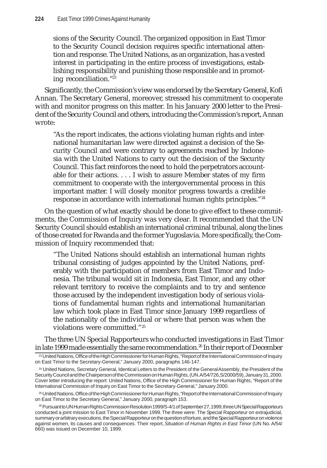sions of the Security Council. The organized opposition in East Timor to the Security Council decision requires specific international attention and response. The United Nations, as an organization, has a vested interest in participating in the entire process of investigations, establishing responsibility and punishing those responsible and in promoting reconciliation."23

Significantly, the Commission's view was endorsed by the Secretary General, Kofi Annan. The Secretary General, moreover, stressed his commitment to cooperate with and monitor progress on this matter. In his January 2000 letter to the President of the Security Council and others, introducing the Commission's report, Annan wrote:

"As the report indicates, the actions violating human rights and international humanitarian law were directed against a decision of the Security Council and were contrary to agreements reached by Indonesia with the United Nations to carry out the decision of the Security Council. This fact reinforces the need to hold the perpetrators accountable for their actions. . . . I wish to assure Member states of my firm commitment to cooperate with the intergovernmental process in this important matter. I will closely monitor progress towards a credible response in accordance with international human rights principles."24

On the question of what exactly should be done to give effect to these commitments, the Commission of Inquiry was very clear. It recommended that the UN Security Council should establish an international criminal tribunal, along the lines of those created for Rwanda and the former Yugoslavia. More specifically, the Commission of Inquiry recommended that:

"The United Nations should establish an international human rights tribunal consisting of judges appointed by the United Nations, preferably with the participation of members from East Timor and Indonesia. The tribunal would sit in Indonesia, East Timor, and any other relevant territory to receive the complaints and to try and sentence those accused by the independent investigation body of serious violations of fundamental human rights and international humanitarian law which took place in East Timor since January 1999 regardless of the nationality of the individual or where that person was when the violations were committed."25

The three UN Special Rapporteurs who conducted investigations in East Timor in late 1999 made essentially the same recommendation.<sup>26</sup> In their report of December

<sup>23</sup> United Nations, Office of the High Commissioner for Human Rights, "Report of the International Commission of Inquiry on East Timor to the Secretary-General," January 2000, paragraphs 146-147.

<sup>24</sup> United Nations, Secretary General, Identical Letters to the President of the General Assembly, the President of the Security Council and the Chairperson of the Commission on Human Rights, (UN. A/54/726,S/2000/59), January 31, 2000. Cover letter introducing the report: United Nations, Office of the High Commissioner for Human Rights, "Report of the International Commission of Inquiry on East Timor to the Secretary-General," January 2000.

<sup>25</sup> United Nations, Office of the High Commissioner for Human Rights, "Report of the International Commission of Inquiry on East Timor to the Secretary General," January 2000, paragraph 153.

<sup>26</sup> Pursuant to UN Human Rights Commission Resolution 1999/S-4/1 of September 27, 1999, three UN Special Rapporteurs conducted a joint mission to East Timor in November 1999. The three were: The Special Rapporteur on extrajudicial, summary or arbitrary executions, the Special Rapporteur on the question of torture, and the Special Rapporteur on violence against women, its causes and consequences. Their report, *Situation of Human Rights in East Timor* (UN No. A/54/ 660) was issued on December 10, 1999.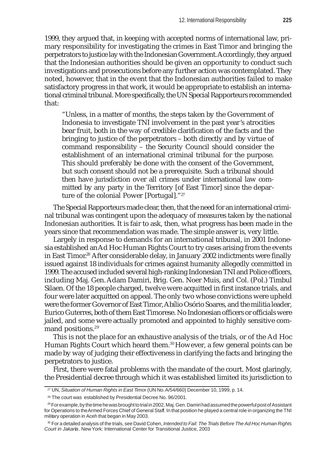1999, they argued that, in keeping with accepted norms of international law, primary responsibility for investigating the crimes in East Timor and bringing the perpetrators to justice lay with the Indonesian Government. Accordingly, they argued that the Indonesian authorities should be given an opportunity to conduct such investigations and prosecutions before any further action was contemplated. They noted, however, that in the event that the Indonesian authorities failed to make satisfactory progress in that work, it would be appropriate to establish an international criminal tribunal. More specifically, the UN Special Rapporteurs recommended that:

"Unless, in a matter of months, the steps taken by the Government of Indonesia to investigate TNI involvement in the past year's atrocities bear fruit, both in the way of credible clarification of the facts and the bringing to justice of the perpetrators – both directly and by virtue of command responsibility – the Security Council should consider the establishment of an international criminal tribunal for the purpose. This should preferably be done with the consent of the Government, but such consent should not be a prerequisite. Such a tribunal should then have jurisdiction over all crimes under international law committed by any party in the Territory [of East Timor] since the departure of the colonial Power [Portugal]."27

The Special Rapporteurs made clear, then, that the need for an international criminal tribunal was contingent upon the adequacy of measures taken by the national Indonesian authorities. It is fair to ask, then, what progress has been made in the years since that recommendation was made. The simple answer is, very little.

Largely in response to demands for an international tribunal, in 2001 Indonesia established an Ad Hoc Human Rights Court to try cases arising from the events in East Timor.<sup>28</sup> After considerable delay, in January 2002 indictments were finally issued against 18 individuals for crimes against humanity allegedly committed in 1999. The accused included several high-ranking Indonesian TNI and Police officers, including Maj. Gen. Adam Damiri, Brig. Gen. Noer Muis, and Col. (Pol.) Timbul Silaen. Of the 18 people charged, twelve were acquitted in first instance trials, and four were later acquitted on appeal. The only two whose convictions were upheld were the former Governor of East Timor, Abílio Osório Soares, and the militia leader, Eurico Guterres, both of them East Timorese. No Indonesian officers or officials were jailed, and some were actually promoted and appointed to highly sensitive command positions.<sup>29</sup>

This is not the place for an exhaustive analysis of the trials, or of the Ad Hoc Human Rights Court which heard them.<sup>30</sup> However, a few general points can be made by way of judging their effectiveness in clarifying the facts and bringing the perpetrators to justice.

First, there were fatal problems with the mandate of the court. Most glaringly, the Presidential decree through which it was established limited its jurisdiction to

<sup>27</sup> UN, *Situation of Human Rights in East Timo*r (UN No. A/54/660) December 10, 1999, p. 14.

<sup>28</sup> The court was established by Presidential Decree No. 96/2001.

<sup>&</sup>lt;sup>29</sup> For example, by the time he was brought to trial in 2002, Maj. Gen. Damiri had assumed the powerful post of Assistant for Operations to the Armed Forces Chief of General Staff. In that position he played a central role in organizing the TNI military operation in Aceh that began in May 2003.

<sup>30</sup> For a detailed analysis of the trials, see David Cohen, *Intended to Fail: The Trials Before The Ad Hoc Human Rights Court in Jakarta*. New York: International Center for Transitional Justice, 2003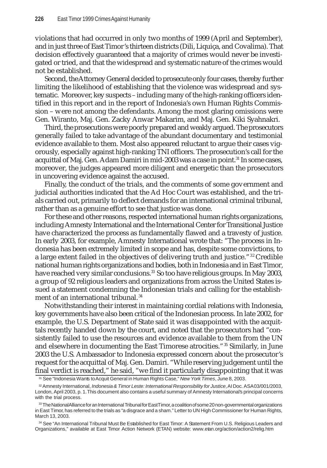violations that had occurred in only two months of 1999 (April and September), and in just three of East Timor's thirteen districts (Dili, Liquiça, and Covalima). That decision effectively guaranteed that a majority of crimes would never be investigated or tried, and that the widespread and systematic nature of the crimes would not be established.

Second, the Attorney General decided to prosecute only four cases, thereby further limiting the likelihood of establishing that the violence was widespread and systematic. Moreover, key suspects – including many of the high-ranking officers identified in this report and in the report of Indonesia's own Human Rights Commission – were not among the defendants. Among the most glaring omissions were Gen. Wiranto, Maj. Gen. Zacky Anwar Makarim, and Maj. Gen. Kiki Syahnakri.

Third, the prosecutions were poorly prepared and weakly argued. The prosecutors generally failed to take advantage of the abundant documentary and testimonial evidence available to them. Most also appeared reluctant to argue their cases vigorously, especially against high-ranking TNI officers. The prosecution's call for the acquittal of Maj. Gen. Adam Damiri in mid-2003 was a case in point.<sup>31</sup> In some cases, moreover, the judges appeared more diligent and energetic than the prosecutors in uncovering evidence against the accused.

Finally, the conduct of the trials, and the comments of some government and judicial authorities indicated that the Ad Hoc Court was established, and the trials carried out, primarily to deflect demands for an international criminal tribunal, rather than as a genuine effort to see that justice was done.

For these and other reasons, respected international human rights organizations, including Amnesty International and the International Center for Transitional Justice have characterized the process as fundamentally flawed and a travesty of justice. In early 2003, for example, Amnesty International wrote that: "The process in Indonesia has been extremely limited in scope and has, despite some convictions, to a large extent failed in the objectives of delivering truth and justice."32 Credible national human rights organizations and bodies, both in Indonesia and in East Timor, have reached very similar conclusions.<sup>33</sup> So too have religious groups. In May 2003, a group of 92 religious leaders and organizations from across the United States issued a statement condemning the Indonesian trials and calling for the establishment of an international tribunal.<sup>34</sup>

Notwithstanding their interest in maintaining cordial relations with Indonesia, key governments have also been critical of the Indonesian process. In late 2002, for example, the U.S. Department of State said it was disappointed with the acquittals recently handed down by the court, and noted that the prosecutors had "consistently failed to use the resources and evidence available to them from the UN and elsewhere in documenting the East Timorese atrocities."35 Similarly, in June 2003 the U.S. Ambassador to Indonesia expressed concern about the prosecutor's request for the acquittal of Maj. Gen. Damiri. "While reserving judgement until the final verdict is reached," he said, "we find it particularly disappointing that it was

<sup>34</sup> See "An International Tribunal Must Be Established for East Timor: A Statement From U.S. Religious Leaders and Organizations," available at East Timor Action Network (ETAN) website: www.etan.org/action/action2/relig.htm

<sup>31</sup> See "Indonesia Wants to Acquit General in Human Rights Case," *New York Times*, June 8, 2003.

<sup>32</sup> Amnesty International, *Indonesia & Timor Leste: International Responsibility for Justice*, AI Doc. ASA 03/001/2003, London, April 2003, p. 1. This document also contains a useful summary of Amnesty International's principal concerns with the trial process.

<sup>&</sup>lt;sup>33</sup> The National Alliance for an International Tribunal for East Timor, a coalition of some 20 non-governmental organizations in East Timor, has referred to the trials as "a disgrace and a sham." Letter to UN High Commissioner for Human Rights, March 13, 2003.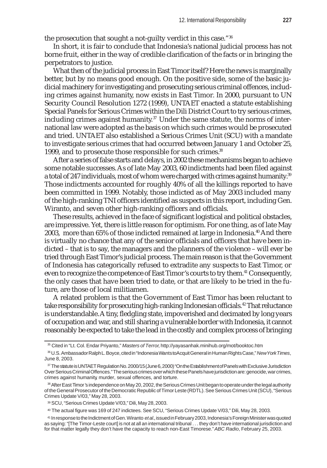the prosecution that sought a not-guilty verdict in this case."36

In short, it is fair to conclude that Indonesia's national judicial process has not borne fruit, either in the way of credible clarification of the facts or in bringing the perpetrators to justice.

What then of the judicial process in East Timor itself? Here the news is marginally better, but by no means good enough. On the positive side, some of the basic judicial machinery for investigating and prosecuting serious criminal offences, including crimes against humanity, now exists in East Timor. In 2000, pursuant to UN Security Council Resolution 1272 (1999), UNTAET enacted a statute establishing Special Panels for Serious Crimes within the Dili District Court to try serious crimes, including crimes against humanity.<sup>37</sup> Under the same statute, the norms of international law were adopted as the basis on which such crimes would be prosecuted and tried. UNTAET also established a Serious Crimes Unit (SCU) with a mandate to investigate serious crimes that had occurred between January 1 and October 25, 1999, and to prosecute those responsible for such crimes.<sup>38</sup>

After a series of false starts and delays, in 2002 these mechanisms began to achieve some notable successes. As of late May 2003, 60 indictments had been filed against a total of 247 individuals, most of whom were charged with crimes against humanity.<sup>39</sup> Those indictments accounted for roughly 40% of all the killings reported to have been committed in 1999. Notably, those indicted as of May 2003 included many of the high-ranking TNI officers identified as suspects in this report, including Gen. Wiranto, and seven other high-ranking officers and officials.

These results, achieved in the face of significant logistical and political obstacles, are impressive. Yet, there is little reason for optimism. For one thing, as of late May 2003, more than 65% of those indicted remained at large in Indonesia.<sup>40</sup> And there is virtually no chance that any of the senior officials and officers that have been indicted – that is to say, the managers and the planners of the violence – will ever be tried through East Timor's judicial process. The main reason is that the Government of Indonesia has categorically refused to extradite any suspects to East Timor, or even to recognize the competence of East Timor's courts to try them.41 Consequently, the only cases that have been tried to date, or that are likely to be tried in the future, are those of local militiamen.

A related problem is that the Government of East Timor has been reluctant to take responsibility for prosecuting high-ranking Indonesian officials.<sup>42</sup> That reluctance is understandable. A tiny, fledgling state, impoverished and decimated by long years of occupation and war, and still sharing a vulnerable border with Indonesia, it cannot reasonably be expected to take the lead in the costly and complex process of bringing

<sup>35</sup> Cited in "Lt. Col. Endar Priyanto," *Masters of Terror*, http://yayasanhak.minihub.org/mot/booktoc.htm

<sup>36</sup> U.S. Ambassador Ralph L. Boyce, cited in "Indonesia Wants to Acquit General in Human Rights Case," *New York Times*, June 8, 2003.

<sup>37</sup> The statute is UNTAET Regulation No. 2000/15 (June 6, 2000) "On the Establishment of Panels with Exclusive Jurisdiction Over Serious Criminal Offences." The serious crimes over which these Panels have jurisdiction are: genocide, war crimes, crimes against humanity, murder, sexual offences, and torture.

<sup>38</sup> After East Timor's independence on May 20, 2002, the Serious Crimes Unit began to operate under the legal authority of the General Prosecutor of the Democratic Republic of Timor Leste (RDTL). See Serious Crimes Unit (SCU), "Serious Crimes Update V/03," May 28, 2003.

<sup>39</sup> SCU, "Serious Crimes Update V/03," Dili, May 28, 2003.

<sup>40</sup> The actual figure was 169 of 247 indictees. See SCU, "Serious Crimes Update V/03," Dili, May 28, 2003.

<sup>41</sup> In response to the Indictment of Gen. Wiranto *et al.*, issued in February 2003, Indonesia's Foreign Minister was quoted as saying: "[The Timor-Leste court] is not at all an international tribunal . . . they don't have international jurisdiction and for that matter legally they don't have the capacity to reach non-East Timorese." *ABC Radio*, February 25, 2003.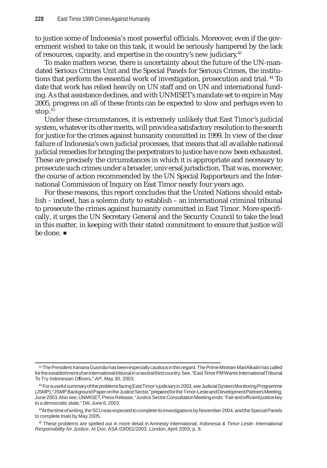to justice some of Indonesia's most powerful officials. Moreover, even if the government wished to take on this task, it would be seriously hampered by the lack of resources, capacity, and expertise in the country's new judiciary.43

To make matters worse, there is uncertainty about the future of the UN-mandated Serious Crimes Unit and the Special Panels for Serious Crimes, the institutions that perform the essential work of investigation, prosecution and trial. 44 To date that work has relied heavily on UN staff and on UN and international funding. As that assistance declines, and with UNMISET's mandate set to expire in May 2005, progress on all of these fronts can be expected to slow and perhaps even to stop.45

Under these circumstances, it is extremely unlikely that East Timor's judicial system, whatever its other merits, will provide a satisfactory resolution to the search for justice for the crimes against humanity committed in 1999. In view of the clear failure of Indonesia's own judicial processes, that means that all available national judicial remedies for bringing the perpetrators to justice have now been exhausted. These are precisely the circumstances in which it is appropriate and necessary to prosecute such crimes under a broader, universal jurisdiction. That was, moreover, the course of action recommended by the UN Special Rapporteurs and the International Commission of Inquiry on East Timor nearly four years ago.

For these reasons, this report concludes that the United Nations should establish – indeed, has a solemn duty to establish – an international criminal tribunal to prosecute the crimes against humanity committed in East Timor. More specifically, it urges the UN Secretary General and the Security Council to take the lead in this matter, in keeping with their stated commitment to ensure that justice will be done. ■

<sup>42</sup> The President Xanana Gusmão has been especially cautious in this regard. The Prime Minister Mari Alkatiri has called for the establishment of an international tribunal in a neutral third country. See, "East Timor PM Wants International Tribunal To Try Indonesian Officers," *AP*, May 30, 2003.

<sup>&</sup>lt;sup>43</sup> For a useful summary of the problems facing East Timor's judiciary in 2003, see Judicial System Monitoring Programme (JSMP), "JSMP Background Paper on the Justice Sector," prepared for the Timor-Leste and Development Partners Meeting, June 2003. Also see, UNMISET, Press Release, "Justice Sector Consultation Meeting ends: 'Fair and efficient justice key to a democratic state," Dili, June 6, 2003.

<sup>44</sup>At the time of writing, the SCU was expected to complete its investigations by November 2004, and the Special Panels to complete trials by May 2005.

<sup>45</sup> These problems are spelled out in more detail in Amnesty International, *Indonesia & Timor Leste: International Responsibility for Justice*, AI Doc. ASA 03/001/2003, London, April 2003, p. 8.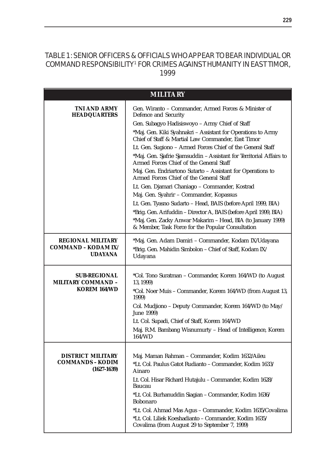# TABLE 1: SENIOR OFFICERS & OFFICIALS WHO APPEAR TO BEAR INDIVIDUAL OR COMMAND RESPONSIBILITY1 FOR CRIMES AGAINST HUMANITY IN EAST TIMOR, 1999

| <b>MILITARY</b>                                                   |                                                                                                                                                                                                                                                                                                                                                                                                                                                                                                                                                                                                                                                                                                                                                                                                                                                                                                         |  |
|-------------------------------------------------------------------|---------------------------------------------------------------------------------------------------------------------------------------------------------------------------------------------------------------------------------------------------------------------------------------------------------------------------------------------------------------------------------------------------------------------------------------------------------------------------------------------------------------------------------------------------------------------------------------------------------------------------------------------------------------------------------------------------------------------------------------------------------------------------------------------------------------------------------------------------------------------------------------------------------|--|
| TNI AND ARMY<br><b>HEADQUARTERS</b>                               | Gen. Wiranto - Commander, Armed Forces & Minister of<br>Defence and Security<br>Gen. Subagyo Hadisiswoyo - Army Chief of Staff<br>*Maj. Gen. Kiki Syahnakri - Assistant for Operations to Army<br>Chief of Staff & Martial Law Commander, East Timor<br>Lt. Gen. Sugiono - Armed Forces Chief of the General Staff<br>*Maj. Gen. Sjafrie Sjamsuddin - Assistant for Territorial Affairs to<br>Armed Forces Chief of the General Staff<br>Maj. Gen. Endriartono Sutarto - Assistant for Operations to<br>Armed Forces Chief of the General Staff<br>Lt. Gen. Djamari Chaniago - Commander, Kostrad<br>Maj. Gen. Syahrir - Commander, Kopassus<br>Lt. Gen. Tyasno Sudarto - Head, BAIS (before April 1999, BIA)<br>*Brig. Gen. Arifuddin - Director A, BAIS (before April 1999, BIA)<br>*Maj. Gen. Zacky Anwar Makarim - Head, BIA (to January 1999)<br>& Member, Task Force for the Popular Consultation |  |
| <b>REGIONAL MILITARY</b><br>COMMAND – KODAM IX/<br><b>UDAYANA</b> | *Maj. Gen. Adam Damiri - Commander, Kodam IX/Udayana<br>*Brig. Gen. Mahidin Simbolon - Chief of Staff, Kodam IX/<br>Udayana                                                                                                                                                                                                                                                                                                                                                                                                                                                                                                                                                                                                                                                                                                                                                                             |  |
| <b>SUB-REGIONAL</b><br><b>MILITARY COMMAND -</b><br>KOREM 164/WD  | *Col. Tono Suratman - Commander, Korem 164/WD (to August<br>13, 1999)<br>*Col. Noer Muis - Commander, Korem 164/WD (from August 13,<br>1999)<br>Col. Mudjiono - Deputy Commander, Korem 164/WD (to May/<br>June 1999)<br>Lt. Col. Supadi, Chief of Staff, Korem 164/WD<br>Maj. R.M. Bambang Wisnumurty - Head of Intelligence, Korem<br>164/WD                                                                                                                                                                                                                                                                                                                                                                                                                                                                                                                                                          |  |
| <b>DISTRICT MILITARY</b><br>COMMANDS – KODIM<br>$(1627 - 1639)$   | Maj. Maman Rahman - Commander, Kodim 1632/Aileu<br>*Lt. Col. Paulus Gatot Rudianto - Commander, Kodim 1633/<br>Ainaro<br>Lt. Col. Hisar Richard Hutajulu - Commander, Kodim 1628/<br>Baucau<br>*Lt. Col. Burhanuddin Siagian - Commander, Kodim 1636/<br><b>Bobonaro</b><br>*Lt. Col. Ahmad Mas Agus - Commander, Kodim 1635/Covalima<br>*Lt. Col. Liliek Koeshadianto - Commander, Kodim 1635/<br>Covalima (from August 29 to September 7, 1999)                                                                                                                                                                                                                                                                                                                                                                                                                                                       |  |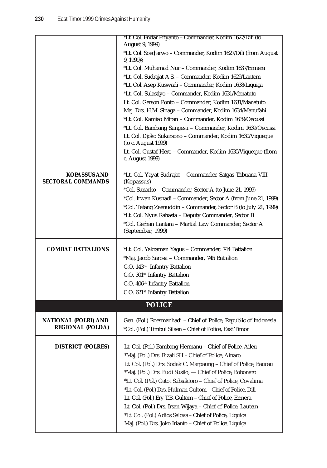|                                                        | *Lt. Col. Endar Priyanto - Commander, Kodim 1627/Dili (to<br>August 9, 1999)                                                 |
|--------------------------------------------------------|------------------------------------------------------------------------------------------------------------------------------|
|                                                        | *Lt. Col. Soedjarwo - Commander, Kodim 1627/Dili (from August                                                                |
|                                                        | 9, 1999<br>*Lt. Col. Muhamad Nur - Commander, Kodim 1637/Ermera                                                              |
|                                                        | *Lt. Col. Sudrajat A.S. - Commander, Kodim 1629/Lautem                                                                       |
|                                                        | *Lt. Col. Asep Kuswadi - Commander, Kodim 1638/Liquiça                                                                       |
|                                                        | *Lt. Col. Sulastiyo - Commander, Kodim 1631/Manatuto                                                                         |
|                                                        | Lt. Col. Gerson Ponto - Commander, Kodim 1631/Manatuto                                                                       |
|                                                        | Maj. Drs. H.M. Sinaga - Commander, Kodim 1634/Manufahi                                                                       |
|                                                        | *Lt. Col. Kamiso Miran - Commander, Kodim 1639/Oecussi                                                                       |
|                                                        | *Lt. Col. Bambang Sungesti - Commander, Kodim 1639/Oecussi                                                                   |
|                                                        | Lt. Col. Djoko Sukarsono - Commander, Kodim 1630/Viqueque<br>(to c. August 1999)                                             |
|                                                        | Lt. Col. Gustaf Hero - Commander, Kodim 1630/Viqueque (from<br>c. August 1999)                                               |
| <b>KOPASSUS AND</b><br><b>SECTORAL COMMANDS</b>        | *Lt. Col. Yayat Sudrajat - Commander, Satgas Tribuana VIII<br>(Kopassus)                                                     |
|                                                        | *Col. Sunarko – Commander, Sector A (to June 21, 1999)                                                                       |
|                                                        | *Col. Irwan Kusnadi – Commander, Sector A (from June 21, 1999)                                                               |
|                                                        | *Col. Tatang Zaenuddin - Commander, Sector B (to July 21, 1999)                                                              |
|                                                        | *Lt. Col. Nyus Rahasia - Deputy Commander, Sector B                                                                          |
|                                                        | *Col. Gerhan Lantara - Martial Law Commander, Sector A<br>(September, 1999)                                                  |
| <b>COMBAT BATTALIONS</b>                               | *Lt. Col. Yakraman Yagus - Commander, 744 Battalion                                                                          |
|                                                        | *Maj. Jacob Sarosa - Commander, 745 Battalion                                                                                |
|                                                        | C.O. 143rd Infantry Battalion                                                                                                |
|                                                        | C.O. 301 <sup>st</sup> Infantry Battalion                                                                                    |
|                                                        | C.O. 406 <sup>th</sup> Infantry Battalion                                                                                    |
|                                                        | C.O. 621 <sup>st</sup> Infantry Battalion                                                                                    |
|                                                        | <b>POLICE</b>                                                                                                                |
|                                                        |                                                                                                                              |
| <b>NATIONAL (POLRI) AND</b><br><b>REGIONAL (POLDA)</b> | Gen. (Pol.) Roesmanhadi - Chief of Police, Republic of Indonesia<br>*Col. (Pol.) Timbul Silaen - Chief of Police, East Timor |
| <b>DISTRICT (POLRES)</b>                               | Lt. Col. (Pol.) Bambang Hermanu - Chief of Police, Aileu                                                                     |
|                                                        | *Maj. (Pol.) Drs. Rizali SH - Chief of Police, Ainaro                                                                        |
|                                                        | Lt. Col. (Pol.) Drs. Sodak C. Marpaung - Chief of Police, Baucau                                                             |
|                                                        | *Maj. (Pol.) Drs. Budi Susilo, - Chief of Police, Bobonaro                                                                   |
|                                                        | *Lt. Col. (Pol.) Gatot Subiaktoro - Chief of Police, Covalima                                                                |
|                                                        | *Lt. Col. (Pol.) Drs. Hulman Gultom - Chief of Police, Dili                                                                  |
|                                                        | Lt. Col. (Pol.) Ery T.B. Gultom - Chief of Police, Ermera                                                                    |
|                                                        | Lt. Col. (Pol.) Drs. Irsan Wijaya - Chief of Police, Lautem                                                                  |
|                                                        | *Lt. Col. (Pol.) Adios Salova - Chief of Police, Liquiça                                                                     |
|                                                        | Maj. (Pol.) Drs. Joko Irianto - Chief of Police, Liquiça                                                                     |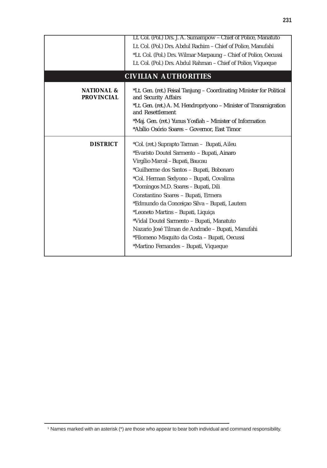|                                            | Lt. Col. (Pol.) Drs. J. A. Sumampow - Chief of Police, Manatuto<br>Lt. Col. (Pol.) Drs. Abdul Rachim - Chief of Police, Manufahi<br>*Lt. Col. (Pol.) Drs. Wilmar Marpaung - Chief of Police, Oecussi<br>Lt. Col. (Pol.) Drs. Abdul Rahman - Chief of Police, Viqueque                                                                                                                                                                                                                                                                                                                  |  |
|--------------------------------------------|----------------------------------------------------------------------------------------------------------------------------------------------------------------------------------------------------------------------------------------------------------------------------------------------------------------------------------------------------------------------------------------------------------------------------------------------------------------------------------------------------------------------------------------------------------------------------------------|--|
| <b>CIVILIAN AUTHORITIES</b>                |                                                                                                                                                                                                                                                                                                                                                                                                                                                                                                                                                                                        |  |
| <b>NATIONAL &amp;</b><br><b>PROVINCIAL</b> | *Lt. Gen. (ret.) Feisal Tanjung - Coordinating Minister for Political<br>and Security Affairs<br>*Lt. Gen. (ret.) A. M. Hendropriyono - Minister of Transmigration<br>and Resettlement<br>*Maj. Gen. (ret.) Yunus Yosfiah - Minister of Information<br>*Abílio Osório Soares - Governor, East Timor                                                                                                                                                                                                                                                                                    |  |
| <b>DISTRICT</b>                            | *Col. (ret.) Suprapto Tarman - Bupati, Aileu<br>*Evaristo Doutel Sarmento - Bupati, Ainaro<br>Virgílio Marcal - Bupati, Baucau<br>*Guilherme dos Santos - Bupati, Bobonaro<br>*Col. Herman Sedyono - Bupati, Covalima<br>*Domingos M.D. Soares - Bupati, Dili<br>Constantino Soares - Bupati, Ermera<br>*Edmundo da Conceiçao Silva - Bupati, Lautem<br>*Leoneto Martins - Bupati, Liquiça<br>*Vidal Doutel Sarmento - Bupati, Manatuto<br>Nazario José Tilman de Andrade - Bupati, Manufahi<br>*Filomeno Misquito da Costa - Bupati, Oecussi<br>*Martino Fernandes - Bupati, Viqueque |  |

<sup>1</sup> Names marked with an asterisk (\*) are those who appear to bear both individual and command responsibility.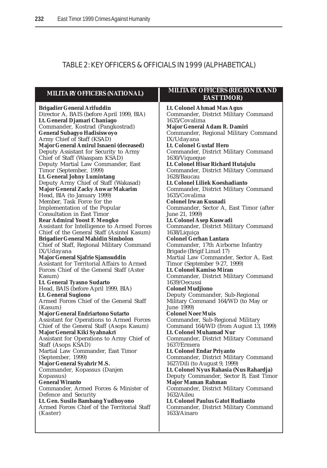# TABLE 2: KEY OFFICERS & OFFICIALS IN 1999 (ALPHABETICAL)

**MILITARY OFFICERS (NATIONAL) Brigadier General Arifuddin** Director A, BAIS (before April 1999, BIA) **Lt. General Djamari Chaniago** Commander, Kostrad (Pangkostrad) **General Subagyo Hadisiswoyo** Army Chief of Staff (KSAD) **Major General Amirul Isnaeni (deceased)** Deputy Assistant for Security to Army Chief of Staff (Waaspam KSAD) Deputy Martial Law Commander, East Timor (September, 1999) **Lt. General Johny Lumintang** Deputy Army Chief of Staff (Wakasad) **Major General Zacky Anwar Makarim** Head, BIA (to January 1999) Member, Task Force for the Implementation of the Popular Consultation in East Timor **Rear Admiral Yoost F. Mengko** Assistant for Intelligence to Armed Forces Chief of the General Staff (Asintel Kasum) **Brigadier General Mahidin Simbolon** Chief of Staff, Regional Military Command IX/Udayana **Major General Sjafrie Sjamsuddin** Assistant for Territorial Affairs to Armed Forces Chief of the General Staff (Aster Kasum) **Lt. General Tyasno Sudarto** Head, BAIS (before April 1999, BIA) **Lt. General Sugiono** Armed Forces Chief of the General Staff (Kasum) **Major General Endriartono Sutarto** Assistant for Operations to Armed Forces Chief of the General Staff (Asops Kasum) **Major General Kiki Syahnakri** Assistant for Operations to Army Chief of Staff (Asops KSAD) Martial Law Commander, East Timor (September, 1999) **Major General Syahrir M.S.** Commander, Kopassus (Danjen Kopassus) **General Wiranto** Commander, Armed Forces & Minister of Defence and Security **Lt. Gen. Susilo Bambang Yudhoyono** Armed Forces Chief of the Territorial Staff (Kaster) **MILITARY OFFICERS (REGION IX AND EAST TIMOR) Lt. Colonel Ahmad Mas Agus** Commander, District Military Command 1635/Covalima **Major General Adam R. Damiri** Commander, Regional Military Command IX/Udayana **Lt. Colonel Gustaf Hero** Commander, District Military Command 1630/Viqueque **Lt. Colonel Hisar Richard Hutajulu** Commander, District Military Command 1628/Baucau **Lt. Colonel Liliek Koeshadianto** Commander, District Military Command 1635/Covalima **Colonel Irwan Kusnadi** Commander, Sector A, East Timor (after June 21, 1999) **Lt. Colonel Asep Kuswadi** Commander, District Military Command 1638/Liquiça **Colonel Gerhan Lantara** Commander, 17th Airborne Infantry Brigade (Brigif Linud 17) Martial Law Commander, Sector A, East Timor (September 9-27, 1999) **Lt. Colonel Kamiso Miran** Commander, District Military Command 1639/Oecussi **Colonel Mudjiono** Deputy Commander, Sub-Regional Military Command 164/WD (to May or June 1999) **Colonel Noer Muis** Commander, Sub-Regional Military Command 164/WD (from August 13, 1999) **Lt. Colonel Muhamad Nur** Commander, District Military Command 1637/Ermera **Lt. Colonel Endar Priyanto** Commander, District Military Command 1627/Dili (to August 9, 1999) **Lt. Colonel Nyus Rahasia (Nus Rahardja)** Deputy Commander, Sector B, East Timor **Major Maman Rahman** Commander, District Military Command 1632/Aileu **Lt. Colonel Paulus Gatot Rudianto** Commander, District Military Command 1633/Ainaro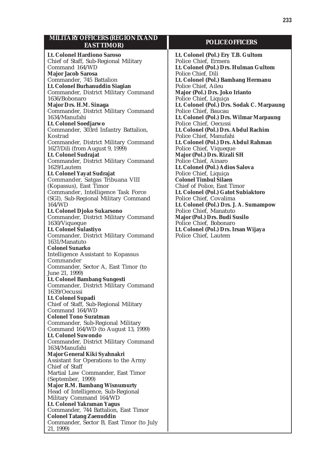| <b>MILITARY OFFICERS (REGION IX AND</b><br><b>EASTTIMOR)</b>         | Γ                                   |
|----------------------------------------------------------------------|-------------------------------------|
| Lt. Colonel Hardiono Saroso                                          | Lt. Colonel (                       |
| Chief of Staff, Sub-Regional Military                                | Police Chief.                       |
| Command 164/WD                                                       | Lt. Colonel (1                      |
| <b>Major Jacob Sarosa</b>                                            | Police Chief,                       |
| Commander, 745 Battalion                                             | Lt. Colonel (                       |
| Lt. Colonel Burhanuddin Siagian                                      | Police Chief,                       |
| Commander, District Military Command                                 | <b>Major (Pol.)</b>                 |
| 1636/Bobonaro                                                        | Police Chief.                       |
| Major Drs. H.M. Sinaga                                               | Lt. Colonel (                       |
| Commander, District Military Command                                 | Police Chief,                       |
| 1634/Manufahi<br>Lt. Colonel Soedjarwo                               | Lt. Colonel (<br>Police Chief.      |
| Commander, 303rd Infantry Battalion,                                 | Lt. Colonel (1                      |
| Kostrad                                                              | Police Chief,                       |
| Commander, District Military Command                                 | Lt. Colonel ()                      |
| 1627/Dili (from August 9, 1999)                                      | Police Chief,                       |
| Lt. Colonel Sudrajat                                                 | <b>Major (Pol.)</b>                 |
| Commander, District Military Command                                 | Police Chief,                       |
| 1629/Lautem                                                          | Lt. Colonel ()                      |
| Lt. Colonel Yayat Sudrajat                                           | Police Chief.                       |
| Commander, Satgas Tribuana VIII<br>(Kopassus), East Timor            | <b>Colonel Tim</b><br>Chief of Poli |
| Commander, Intelligence Task Force                                   | Lt. Colonel (                       |
| (SGI), Sub-Regional Military Command                                 | Police Chief.                       |
| 164/WD                                                               | Lt. Colonel (                       |
| Lt. Colonel Djoko Sukarsono                                          | Police Chief,                       |
| Commander, District Military Command                                 | <b>Major (Pol.)</b>                 |
| 1630/Viqueque                                                        | Police Chief,                       |
| Lt. Colonel Sulastiyo<br>Commander, District Military Command        | <b>Lt. Colonel (</b>                |
| 1631/Manatuto                                                        | Police Chief,                       |
| <b>Colonel Sunarko</b>                                               |                                     |
| Intelligence Assistant to Kopassus                                   |                                     |
| Commander                                                            |                                     |
| Commander, Sector A, East Timor (to                                  |                                     |
| June 21, 1999)                                                       |                                     |
| Lt. Colonel Bambang Sungesti<br>Commander, District Military Command |                                     |
| 1639/Oecussi                                                         |                                     |
| Lt. Colonel Supadi                                                   |                                     |
| Chief of Staff, Sub-Regional Military                                |                                     |
| Command 164/WD                                                       |                                     |
| <b>Colonel Tono Suratman</b>                                         |                                     |
| Commander, Sub-Regional Military                                     |                                     |
| Command 164/WD (to August 13, 1999)                                  |                                     |
| <b>Lt. Colonel Suwondo</b>                                           |                                     |
| Commander, District Military Command<br>1634/Manufahi                |                                     |
| Major General Kiki Syahnakri                                         |                                     |
| Assistant for Operations to the Army                                 |                                     |
| Chief of Staff                                                       |                                     |
| Martial Law Commander, East Timor                                    |                                     |
| (September, 1999)                                                    |                                     |
| <b>Major R.M. Bambang Wisnumurty</b>                                 |                                     |
| Head of Intelligence, Sub-Regional<br>Military Command 164/WD        |                                     |
| Lt. Colonel Yakraman Yagus                                           |                                     |
| Commander, 744 Battalion, East Timor                                 |                                     |
| <b>Colonel Tatang Zaenuddin</b>                                      |                                     |
| Commander, Sector B, East Timor (to July                             |                                     |
| 21, 1999)                                                            |                                     |

#### **POLICE OFFICERS**

**Pol.) Ery T.B. Gultom** Ermera **Lt. Colonel (Pol.) Drs. Hulman Gultom** Dili **Lt. Colonel (Pol.) Bambang Hermanu** Aileu **Drs. Joko Irianto** Liquiça **Lt. Colonel (Pol.) Drs. Sodak C. Marpaung** Baucau **Lt. Colonel (Pol.) Drs. Wilmar Marpaung** Oecussi **Lt. Colonel (Pol.) Drs. Abdul Rachim** Manufahi **Lt. Colonel (Pol.) Drs. Abdul Rahman** Viqueque **Major (Pol.) Drs. Rizali SH** Ainaro **Lt. Colonel (Pol.) Adios Salova** Liquiça **Colonel Timbul Silaen** ice, East Timor **Lt. Colonel (Pol.) Gatot Subiaktoro** Covalima **Lt. Colonel (Pol.) Drs. J. A. Sumampow** Manatuto **Major (Pol.) Drs. Budi Susilo** Bobonaro **Lt. Colonel (Pol.) Drs. Irsan Wijaya** Lautem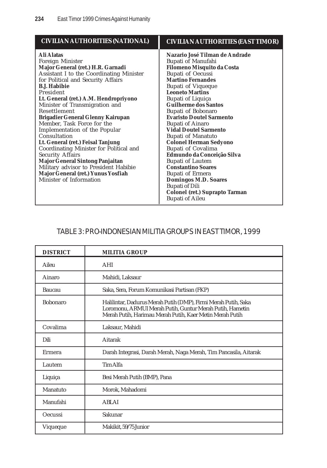| <b>CIVILIAN AUTHORITIES (NATIONAL)</b>                                                                                                                                                                                                                                                                                                                                                                                                                                                                                                                                                                                                                                                | <b>CIVILIAN AUTHORITIES (EAST TIMOR)</b>                                                                                                                                                                                                                                                                                                                                                                                                                                                                                                                                                                                                                                                                  |
|---------------------------------------------------------------------------------------------------------------------------------------------------------------------------------------------------------------------------------------------------------------------------------------------------------------------------------------------------------------------------------------------------------------------------------------------------------------------------------------------------------------------------------------------------------------------------------------------------------------------------------------------------------------------------------------|-----------------------------------------------------------------------------------------------------------------------------------------------------------------------------------------------------------------------------------------------------------------------------------------------------------------------------------------------------------------------------------------------------------------------------------------------------------------------------------------------------------------------------------------------------------------------------------------------------------------------------------------------------------------------------------------------------------|
| <b>Ali Alatas</b><br>Foreign Minister<br>Major General (ret.) H.R. Garnadi<br>Assistant I to the Coordinating Minister<br>for Political and Security Affairs<br><b>B.J. Habibie</b><br>President<br>Lt. General (ret.) A.M. Hendropriyono<br>Minister of Transmigration and<br>Resettlement<br><b>Brigadier General Glenny Kairupan</b><br>Member, Task Force for the<br>Implementation of the Popular<br>Consultation<br>Lt. General (ret.) Feisal Tanjung<br>Coordinating Minister for Political and<br><b>Security Affairs</b><br><b>Major General Sintong Panjaitan</b><br>Military advisor to President Habibie<br>Major General (ret.) Yunus Yosfiah<br>Minister of Information | Nazario José Tilman de Andrade<br>Bupati of Manufahi<br><b>Filomeno Misquito da Costa</b><br><b>Bupati of Oecussi</b><br><b>Martino Fernandes</b><br><b>Bupati of Viqueque</b><br><b>Leoneto Martins</b><br>Bupati of Liquiça<br><b>Guilherme dos Santos</b><br>Bupati of Bobonaro<br><b>Evaristo Doutel Sarmento</b><br><b>Bupati of Ainaro</b><br><b>Vidal Doutel Sarmento</b><br><b>Bupati of Manatuto</b><br><b>Colonel Herman Sedyono</b><br>Bupati of Covalima<br>Edmundo da Conceição Silva<br><b>Bupati of Lautem</b><br><b>Constantino Soares</b><br><b>Bupati of Ermera</b><br><b>Domingos M.D. Soares</b><br><b>Bupati of Dili</b><br>Colonel (ret.) Suprapto Tarman<br><b>Bupati of Aileu</b> |

# TABLE 3: PRO-INDONESIAN MILITIA GROUPS IN EAST TIMOR, 1999

| <b>DISTRICT</b> | <b>MILITIA GROUP</b>                                                                                                                                                                   |
|-----------------|----------------------------------------------------------------------------------------------------------------------------------------------------------------------------------------|
| Aileu           | AHI                                                                                                                                                                                    |
| Ainaro          | Mahidi, Laksaur                                                                                                                                                                        |
| Baucau          | Saka, Sera, Forum Komunikasi Partisan (FKP)                                                                                                                                            |
| <b>Bobonaro</b> | Halilintar, Dadurus Merah Putih (DMP), Firmi Merah Putih, Saka<br>Loromonu, ARMUI Merah Putih, Guntur Merah Putih, Hametin<br>Merah Putih, Harimau Merah Putih, Kaer Metin Merah Putih |
| Covalima        | Laksaur, Mahidi                                                                                                                                                                        |
| Dili            | <b>Aitarak</b>                                                                                                                                                                         |
| Ermera          | Darah Integrasi, Darah Merah, Naga Merah, Tim Pancasila, Aitarak                                                                                                                       |
| Lautem          | Tim Alfa                                                                                                                                                                               |
| Liquiça         | Besi Merah Putih (BMP), Pana                                                                                                                                                           |
| Manatuto        | Morok, Mahadomi                                                                                                                                                                        |
| Manufahi        | <b>ABLAI</b>                                                                                                                                                                           |
| <b>Oecussi</b>  | Sakunar                                                                                                                                                                                |
| Viqueque        | Makikit, 59/75 Junior                                                                                                                                                                  |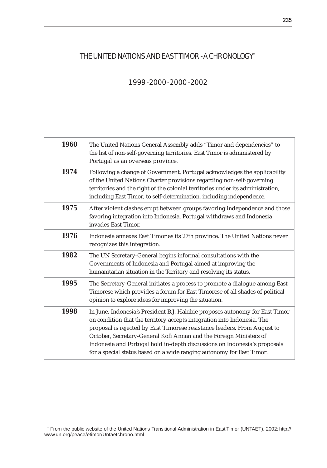# THE UNITED NATIONS AND EAST TIMOR - A CHRONOLOGY\*

# 1999 - 2000 - 2000 - 2002

| 1960 | The United Nations General Assembly adds "Timor and dependencies" to<br>the list of non-self-governing territories. East Timor is administered by<br>Portugal as an overseas province.                                                                                                                                                                                                                                                                          |
|------|-----------------------------------------------------------------------------------------------------------------------------------------------------------------------------------------------------------------------------------------------------------------------------------------------------------------------------------------------------------------------------------------------------------------------------------------------------------------|
| 1974 | Following a change of Government, Portugal acknowledges the applicability<br>of the United Nations Charter provisions regarding non-self-governing<br>territories and the right of the colonial territories under its administration,<br>including East Timor, to self-determination, including independence.                                                                                                                                                   |
| 1975 | After violent clashes erupt between groups favoring independence and those<br>favoring integration into Indonesia, Portugal withdraws and Indonesia<br>invades East Timor.                                                                                                                                                                                                                                                                                      |
| 1976 | Indonesia annexes East Timor as its 27th province. The United Nations never<br>recognizes this integration.                                                                                                                                                                                                                                                                                                                                                     |
| 1982 | The UN Secretary-General begins informal consultations with the<br>Governments of Indonesia and Portugal aimed at improving the<br>humanitarian situation in the Territory and resolving its status.                                                                                                                                                                                                                                                            |
| 1995 | The Secretary-General initiates a process to promote a dialogue among East<br>Timorese which provides a forum for East Timorese of all shades of political<br>opinion to explore ideas for improving the situation.                                                                                                                                                                                                                                             |
| 1998 | In June, Indonesia's President B.J. Habibie proposes autonomy for East Timor<br>on condition that the territory accepts integration into Indonesia. The<br>proposal is rejected by East Timorese resistance leaders. From August to<br>October, Secretary-General Kofi Annan and the Foreign Ministers of<br>Indonesia and Portugal hold in-depth discussions on Indonesia's proposals<br>for a special status based on a wide ranging autonomy for East Timor. |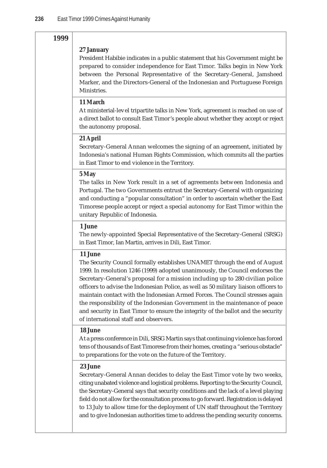#### **1999**

#### **27 January**

President Habibie indicates in a public statement that his Government might be prepared to consider independence for East Timor. Talks begin in New York between the Personal Representative of the Secretary-General, Jamsheed Marker, and the Directors-General of the Indonesian and Portuguese Foreign Ministries.

#### **11 March**

At ministerial-level tripartite talks in New York, agreement is reached on use of a direct ballot to consult East Timor's people about whether they accept or reject the autonomy proposal.

#### **21 April**

Secretary-General Annan welcomes the signing of an agreement, initiated by Indonesia's national Human Rights Commission, which commits all the parties in East Timor to end violence in the Territory.

#### **5 May**

The talks in New York result in a set of agreements between Indonesia and Portugal. The two Governments entrust the Secretary-General with organizing and conducting a "popular consultation" in order to ascertain whether the East Timorese people accept or reject a special autonomy for East Timor within the unitary Republic of Indonesia.

#### **1 June**

The newly-appointed Special Representative of the Secretary-General (SRSG) in East Timor, Ian Martin, arrives in Dili, East Timor.

#### **11 June**

The Security Council formally establishes UNAMET through the end of August 1999. In resolution 1246 (1999) adopted unanimously, the Council endorses the Secretary-General's proposal for a mission including up to 280 civilian police officers to advise the Indonesian Police, as well as 50 military liaison officers to maintain contact with the Indonesian Armed Forces. The Council stresses again the responsibility of the Indonesian Government in the maintenance of peace and security in East Timor to ensure the integrity of the ballot and the security of international staff and observers.

#### **18 June**

At a press conference in Dili, SRSG Martin says that continuing violence has forced tens of thousands of East Timorese from their homes, creating a "serious obstacle" to preparations for the vote on the future of the Territory.

#### **23 June**

Secretary-General Annan decides to delay the East Timor vote by two weeks, citing unabated violence and logistical problems. Reporting to the Security Council, the Secretary-General says that security conditions and the lack of a level playing field do not allow for the consultation process to go forward. Registration is delayed to 13 July to allow time for the deployment of UN staff throughout the Territory and to give Indonesian authorities time to address the pending security concerns.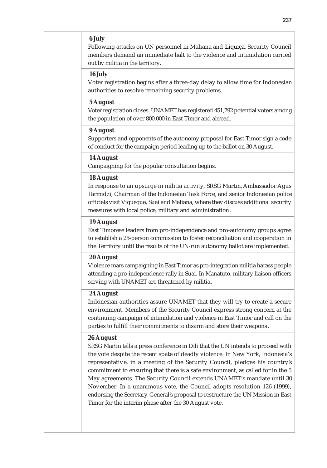#### **6 July**

Following attacks on UN personnel in Maliana and Liquiça, Security Council members demand an immediate halt to the violence and intimidation carried out by militia in the territory.

#### **16 July**

Voter registration begins after a three-day delay to allow time for Indonesian authorities to resolve remaining security problems.

#### **5 August**

Voter registration closes. UNAMET has registered 451,792 potential voters among the population of over 800,000 in East Timor and abroad.

#### **9 August**

Supporters and opponents of the autonomy proposal for East Timor sign a code of conduct for the campaign period leading up to the ballot on 30 August.

#### **14 August**

Campaigning for the popular consultation begins.

#### **18 August**

In response to an upsurge in militia activity, SRSG Martin, Ambassador Agus Tarmidzi, Chairman of the Indonesian Task Force, and senior Indonesian police officials visit Viqueque, Suai and Maliana, where they discuss additional security measures with local police, military and administration.

#### **19 August**

East Timorese leaders from pro-independence and pro-autonomy groups agree to establish a 25-person commission to foster reconciliation and cooperation in the Territory until the results of the UN-run autonomy ballot are implemented.

#### **20 August**

Violence mars campaigning in East Timor as pro-integration militia harass people attending a pro-independence rally in Suai. In Manatuto, military liaison officers serving with UNAMET are threatened by militia.

#### **24 August**

Indonesian authorities assure UNAMET that they will try to create a secure environment. Members of the Security Council express strong concern at the continuing campaign of intimidation and violence in East Timor and call on the parties to fulfill their commitments to disarm and store their weapons.

#### **26 August**

SRSG Martin tells a press conference in Dili that the UN intends to proceed with the vote despite the recent spate of deadly violence. In New York, Indonesia's representative, in a meeting of the Security Council, pledges his country's commitment to ensuring that there is a safe environment, as called for in the 5 May agreements. The Security Council extends UNAMET's mandate until 30 November. In a unanimous vote, the Council adopts resolution 126 (1999), endorsing the Secretary-General's proposal to restructure the UN Mission in East Timor for the interim phase after the 30 August vote.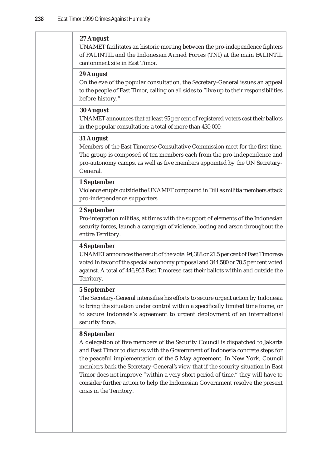#### **27 August**

UNAMET facilitates an historic meeting between the pro-independence fighters of FALINTIL and the Indonesian Armed Forces (TNI) at the main FALINTIL cantonment site in East Timor.

#### **29 August**

On the eve of the popular consultation, the Secretary-General issues an appeal to the people of East Timor, calling on all sides to "live up to their responsibilities before history."

#### **30 August**

UNAMET announces that at least 95 per cent of registered voters cast their ballots in the popular consultation; a total of more than 430,000.

#### **31 August**

Members of the East Timorese Consultative Commission meet for the first time. The group is composed of ten members each from the pro-independence and pro-autonomy camps, as well as five members appointed by the UN Secretary-General.

#### **1 September**

Violence erupts outside the UNAMET compound in Dili as militia members attack pro-independence supporters.

#### **2 September**

Pro-integration militias, at times with the support of elements of the Indonesian security forces, launch a campaign of violence, looting and arson throughout the entire Territory.

#### **4 September**

UNAMET announces the result of the vote: 94,388 or 21.5 per cent of East Timorese voted in favor of the special autonomy proposal and 344,580 or 78.5 per cent voted against. A total of 446,953 East Timorese cast their ballots within and outside the Territory.

#### **5 September**

The Secretary-General intensifies his efforts to secure urgent action by Indonesia to bring the situation under control within a specifically limited time frame, or to secure Indonesia's agreement to urgent deployment of an international security force.

#### **8 September**

A delegation of five members of the Security Council is dispatched to Jakarta and East Timor to discuss with the Government of Indonesia concrete steps for the peaceful implementation of the 5 May agreement. In New York, Council members back the Secretary-General's view that if the security situation in East Timor does not improve "within a very short period of time," they will have to consider further action to help the Indonesian Government resolve the present crisis in the Territory.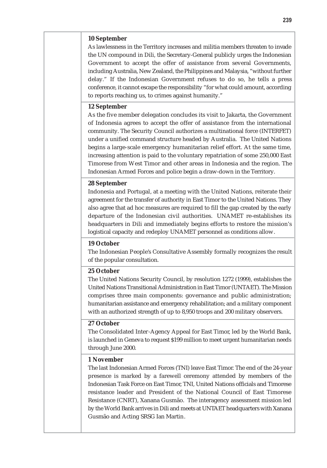## **10 September**

As lawlessness in the Territory increases and militia members threaten to invade the UN compound in Dili, the Secretary-General publicly urges the Indonesian Government to accept the offer of assistance from several Governments, including Australia, New Zealand, the Philippines and Malaysia, "without further delay." If the Indonesian Government refuses to do so, he tells a press conference, it cannot escape the responsibility "for what could amount, according to reports reaching us, to crimes against humanity."

# **12 September**

As the five member delegation concludes its visit to Jakarta, the Government of Indonesia agrees to accept the offer of assistance from the international community. The Security Council authorizes a multinational force (INTERFET) under a unified command structure headed by Australia. The United Nations begins a large-scale emergency humanitarian relief effort. At the same time, increasing attention is paid to the voluntary repatriation of some 250,000 East Timorese from West Timor and other areas in Indonesia and the region. The Indonesian Armed Forces and police begin a draw-down in the Territory.

# **28 September**

Indonesia and Portugal, at a meeting with the United Nations, reiterate their agreement for the transfer of authority in East Timor to the United Nations. They also agree that ad hoc measures are required to fill the gap created by the early departure of the Indonesian civil authorities. UNAMET re-establishes its headquarters in Dili and immediately begins efforts to restore the mission's logistical capacity and redeploy UNAMET personnel as conditions allow.

# **19 October**

The Indonesian People's Consultative Assembly formally recognizes the result of the popular consultation.

## **25 October**

The United Nations Security Council, by resolution 1272 (1999), establishes the United Nations Transitional Administration in East Timor (UNTAET). The Mission comprises three main components: governance and public administration; humanitarian assistance and emergency rehabilitation; and a military component with an authorized strength of up to 8,950 troops and 200 military observers.

## **27 October**

The Consolidated Inter-Agency Appeal for East Timor, led by the World Bank, is launched in Geneva to request \$199 million to meet urgent humanitarian needs through June 2000.

#### **1 November**

The last Indonesian Armed Forces (TNI) leave East Timor. The end of the 24-year presence is marked by a farewell ceremony attended by members of the Indonesian Task Force on East Timor, TNI, United Nations officials and Timorese resistance leader and President of the National Council of East Timorese Resistance (CNRT), Xanana Gusmão. The interagency assessment mission led by the World Bank arrives in Dili and meets at UNTAET headquarters with Xanana Gusmão and Acting SRSG Ian Martin.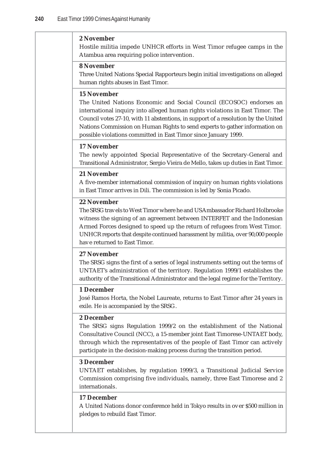#### **2 November**

Hostile militia impede UNHCR efforts in West Timor refugee camps in the Atambua area requiring police intervention.

## **8 November**

Three United Nations Special Rapporteurs begin initial investigations on alleged human rights abuses in East Timor.

# **15 November**

The United Nations Economic and Social Council (ECOSOC) endorses an international inquiry into alleged human rights violations in East Timor. The Council votes 27-10, with 11 abstentions, in support of a resolution by the United Nations Commission on Human Rights to send experts to gather information on possible violations committed in East Timor since January 1999.

## **17 November**

The newly appointed Special Representative of the Secretary-General and Transitional Administrator, Sergio Vieira de Mello, takes up duties in East Timor.

## **21 November**

A five-member international commission of inquiry on human rights violations in East Timor arrives in Dili. The commission is led by Sonia Picado.

## **22 November**

The SRSG travels to West Timor where he and US Ambassador Richard Holbrooke witness the signing of an agreement between INTERFET and the Indonesian Armed Forces designed to speed up the return of refugees from West Timor. UNHCR reports that despite continued harassment by militia, over 90,000 people have returned to East Timor.

#### **27 November**

The SRSG signs the first of a series of legal instruments setting out the terms of UNTAET's administration of the territory. Regulation 1999/1 establishes the authority of the Transitional Administrator and the legal regime for the Territory.

#### **1 December**

José Ramos Horta, the Nobel Laureate, returns to East Timor after 24 years in exile. He is accompanied by the SRSG.

# **2 December**

The SRSG signs Regulation 1999/2 on the establishment of the National Consultative Council (NCC), a 15-member joint East Timorese-UNTAET body, through which the representatives of the people of East Timor can actively participate in the decision-making process during the transition period.

# **3 December**

UNTAET establishes, by regulation 1999/3, a Transitional Judicial Service Commission comprising five individuals, namely, three East Timorese and 2 internationals.

#### **17 December**

A United Nations donor conference held in Tokyo results in over \$500 million in pledges to rebuild East Timor.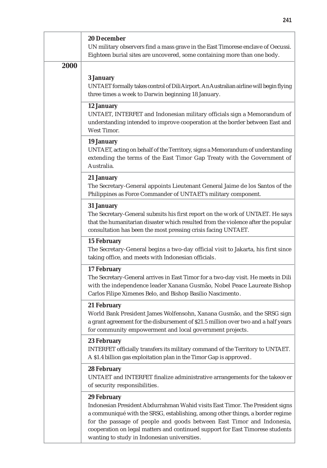|      | <b>20 December</b><br>UN military observers find a mass grave in the East Timorese enclave of Oecussi.<br>Eighteen burial sites are uncovered, some containing more than one body.                                                                                                                                                                                                             |
|------|------------------------------------------------------------------------------------------------------------------------------------------------------------------------------------------------------------------------------------------------------------------------------------------------------------------------------------------------------------------------------------------------|
| 2000 | 3 January<br>UNTAET formally takes control of Dili Airport. An Australian airline will begin flying<br>three times a week to Darwin beginning 18 January.                                                                                                                                                                                                                                      |
|      | 12 January<br>UNTAET, INTERFET and Indonesian military officials sign a Memorandum of<br>understanding intended to improve cooperation at the border between East and<br>West Timor.                                                                                                                                                                                                           |
|      | 19 January<br>UNTAET, acting on behalf of the Territory, signs a Memorandum of understanding<br>extending the terms of the East Timor Gap Treaty with the Government of<br>Australia.                                                                                                                                                                                                          |
|      | 21 January<br>The Secretary-General appoints Lieutenant General Jaime de los Santos of the<br>Philippines as Force Commander of UNTAET's military component.                                                                                                                                                                                                                                   |
|      | <b>31 January</b><br>The Secretary-General submits his first report on the work of UNTAET. He says<br>that the humanitarian disaster which resulted from the violence after the popular<br>consultation has been the most pressing crisis facing UNTAET.                                                                                                                                       |
|      | <b>15 February</b><br>The Secretary-General begins a two-day official visit to Jakarta, his first since<br>taking office, and meets with Indonesian officials.                                                                                                                                                                                                                                 |
|      | <b>17 February</b><br>The Secretary-General arrives in East Timor for a two-day visit. He meets in Dili<br>with the independence leader Xanana Gusmão, Nobel Peace Laureate Bishop<br>Carlos Filipe Ximenes Belo, and Bishop Basilio Nascimento.                                                                                                                                               |
|      | 21 February<br>World Bank President James Wolfensohn, Xanana Gusmão, and the SRSG sign<br>a grant agreement for the disbursement of \$21.5 million over two and a half years<br>for community empowerment and local government projects.                                                                                                                                                       |
|      | <b>23 February</b><br>INTERFET officially transfers its military command of the Territory to UNTAET.<br>A \$1.4 billion gas exploitation plan in the Timor Gap is approved.                                                                                                                                                                                                                    |
|      | <b>28 February</b><br>UNTAET and INTERFET finalize administrative arrangements for the takeover<br>of security responsibilities.                                                                                                                                                                                                                                                               |
|      | <b>29 February</b><br>Indonesian President Abdurrahman Wahid visits East Timor. The President signs<br>a communiqué with the SRSG, establishing, among other things, a border regime<br>for the passage of people and goods between East Timor and Indonesia,<br>cooperation on legal matters and continued support for East Timorese students<br>wanting to study in Indonesian universities. |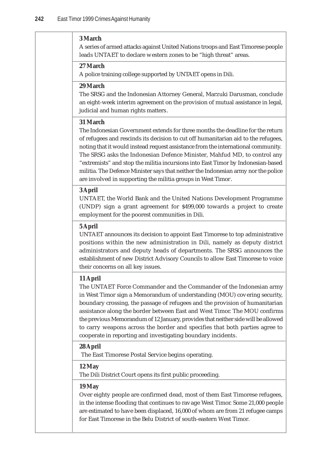### **3 March**

A series of armed attacks against United Nations troops and East Timorese people leads UNTAET to declare western zones to be "high threat" areas.

#### **27 March**

A police training college supported by UNTAET opens in Dili.

#### **29 March**

The SRSG and the Indonesian Attorney General, Marzuki Darusman, conclude an eight-week interim agreement on the provision of mutual assistance in legal, judicial and human rights matters.

# **31 March**

The Indonesian Government extends for three months the deadline for the return of refugees and rescinds its decision to cut off humanitarian aid to the refugees, noting that it would instead request assistance from the international community. The SRSG asks the Indonesian Defence Minister, Mahfud MD, to control any "extremists" and stop the militia incursions into East Timor by Indonesian-based militia. The Defence Minister says that neither the Indonesian army nor the police are involved in supporting the militia groups in West Timor.

# **3 April**

UNTAET, the World Bank and the United Nations Development Programme (UNDP) sign a grant agreement for \$499,000 towards a project to create employment for the poorest communities in Dili.

## **5 April**

UNTAET announces its decision to appoint East Timorese to top administrative positions within the new administration in Dili, namely as deputy district administrators and deputy heads of departments. The SRSG announces the establishment of new District Advisory Councils to allow East Timorese to voice their concerns on all key issues.

## **11 April**

The UNTAET Force Commander and the Commander of the Indonesian army in West Timor sign a Memorandum of understanding (MOU) covering security, boundary crossing, the passage of refugees and the provision of humanitarian assistance along the border between East and West Timor. The MOU confirms the previous Memorandum of 12 January, provides that neither side will be allowed to carry weapons across the border and specifies that both parties agree to cooperate in reporting and investigating boundary incidents.

## **28 April**

The East Timorese Postal Service begins operating.

# **12 May**

The Dili District Court opens its first public proceeding.

## **19 May**

Over eighty people are confirmed dead, most of them East Timorese refugees, in the intense flooding that continues to ravage West Timor. Some 21,000 people are estimated to have been displaced, 16,000 of whom are from 21 refugee camps for East Timorese in the Belu District of south-eastern West Timor.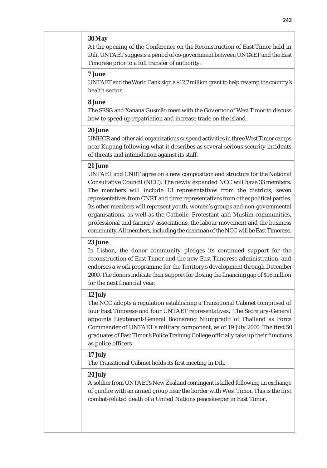# **30 May**

At the opening of the Conference on the Reconstruction of East Timor held in Dili, UNTAET suggests a period of co-government between UNTAET and the East Timorese prior to a full transfer of authority.

# **7 June**

UNTAET and the World Bank sign a \$12.7 million grant to help revamp the country's health sector.

## **8 June**

The SRSG and Xanana Gusmão meet with the Governor of West Timor to discuss how to speed up repatriation and increase trade on the island.

# **20 June**

UNHCR and other aid organizations suspend activities in three West Timor camps near Kupang following what it describes as several serious security incidents of threats and intimidation against its staff.

#### **21 June**

UNTAET and CNRT agree on a new composition and structure for the National Consultative Council (NCC). The newly expanded NCC will have 33 members. The members will include 13 representatives from the districts, seven representatives from CNRT and three representatives from other political parties. Its other members will represent youth, women's groups and non-governmental organisations, as well as the Catholic, Protestant and Muslim communities, professional and farmers' associations, the labour movement and the business community. All members, including the chairman of the NCC will be East Timorese.

# **23 June**

In Lisbon, the donor community pledges its continued support for the reconstruction of East Timor and the new East Timorese administration, and endorses a work programme for the Territory's development through December 2000. The donors indicate their support for closing the financing gap of \$16 million for the next financial year.

#### **12 July**

The NCC adopts a regulation establishing a Transitional Cabinet comprised of four East Timorese and four UNTAET representatives. The Secretary-General appoints Lieutenant-General Boonsrang Niumpradit of Thailand as Force Commander of UNTAET's military component, as of 19 July 2000. The first 50 graduates of East Timor's Police Training College officially take up their functions as police officers.

## **17 July**

The Transitional Cabinet holds its first meeting in Dili.

# **24 July**

A soldier from UNTAET's New Zealand contingent is killed following an exchange of gunfire with an armed group near the border with West Timor. This is the first combat-related death of a United Nations peacekeeper in East Timor.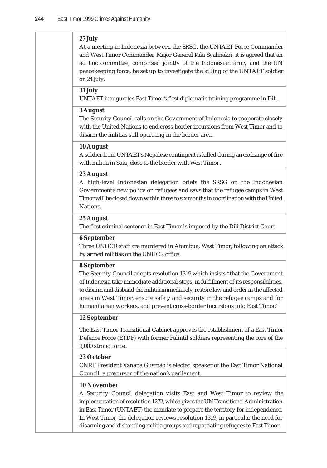# **27 July**

At a meeting in Indonesia between the SRSG, the UNTAET Force Commander and West Timor Commander, Major General Kiki Syahnakri, it is agreed that an ad hoc committee, comprised jointly of the Indonesian army and the UN peacekeeping force, be set up to investigate the killing of the UNTAET soldier on 24 July.

# **31 July**

UNTAET inaugurates East Timor's first diplomatic training programme in Dili.

## **3 August**

The Security Council calls on the Government of Indonesia to cooperate closely with the United Nations to end cross-border incursions from West Timor and to disarm the militias still operating in the border area.

# **10 August**

A soldier from UNTAET's Nepalese contingent is killed during an exchange of fire with militia in Suai, close to the border with West Timor.

## **23 August**

A high-level Indonesian delegation briefs the SRSG on the Indonesian Government's new policy on refugees and says that the refugee camps in West Timor will be closed down within three to six months in coordination with the United Nations.

## **25 August**

The first criminal sentence in East Timor is imposed by the Dili District Court.

# **6 September**

Three UNHCR staff are murdered in Atambua, West Timor, following an attack by armed militias on the UNHCR office.

## **8 September**

The Security Council adopts resolution 1319 which insists "that the Government of Indonesia take immediate additional steps, in fulfillment of its responsibilities, to disarm and disband the militia immediately, restore law and order in the affected areas in West Timor, ensure safety and security in the refugee camps and for humanitarian workers, and prevent cross-border incursions into East Timor."

## **12 September**

The East Timor Transitional Cabinet approves the establishment of a East Timor Defence Force (ETDF) with former Falintil soldiers representing the core of the 3,000 strong force.

#### **23 October**

CNRT President Xanana Gusmão is elected speaker of the East Timor National Council, a precursor of the nation's parliament.

## **10 November**

A Security Council delegation visits East and West Timor to review the implementation of resolution 1272, which gives the UN Transitional Administration in East Timor (UNTAET) the mandate to prepare the territory for independence. In West Timor, the delegation reviews resolution 1319, in particular the need for disarming and disbanding militia groups and repatriating refugees to East Timor.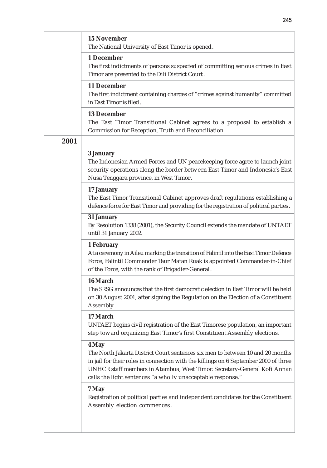|      | <b>15 November</b><br>The National University of East Timor is opened.                                                                                                                                                                                                                                                     |
|------|----------------------------------------------------------------------------------------------------------------------------------------------------------------------------------------------------------------------------------------------------------------------------------------------------------------------------|
|      | 1 December<br>The first indictments of persons suspected of committing serious crimes in East<br>Timor are presented to the Dili District Court.                                                                                                                                                                           |
|      | <b>11 December</b><br>The first indictment containing charges of "crimes against humanity" committed<br>in East Timor is filed.                                                                                                                                                                                            |
|      | <b>13 December</b><br>The East Timor Transitional Cabinet agrees to a proposal to establish a<br>Commission for Reception, Truth and Reconciliation.                                                                                                                                                                       |
| 2001 |                                                                                                                                                                                                                                                                                                                            |
|      | 3 January<br>The Indonesian Armed Forces and UN peacekeeping force agree to launch joint<br>security operations along the border between East Timor and Indonesia's East<br>Nusa Tenggara province, in West Timor.                                                                                                         |
|      | 17 January<br>The East Timor Transitional Cabinet approves draft regulations establishing a<br>defence force for East Timor and providing for the registration of political parties.                                                                                                                                       |
|      | <b>31 January</b><br>By Resolution 1338 (2001), the Security Council extends the mandate of UNTAET<br>until 31 January 2002.                                                                                                                                                                                               |
|      | 1 February<br>At a ceremony in Aileu marking the transition of Falintil into the East Timor Defence<br>Force, Falintil Commander Taur Matan Ruak is appointed Commander-in-Chief<br>of the Force, with the rank of Brigadier-General.                                                                                      |
|      | 16 March<br>The SRSG announces that the first democratic election in East Timor will be held<br>on 30 August 2001, after signing the Regulation on the Election of a Constituent<br>Assembly.                                                                                                                              |
|      | 17 March<br>UNTAET begins civil registration of the East Timorese population, an important<br>step toward organizing East Timor's first Constituent Assembly elections.                                                                                                                                                    |
|      | 4 May<br>The North Jakarta District Court sentences six men to between 10 and 20 months<br>in jail for their roles in connection with the killings on 6 September 2000 of three<br>UNHCR staff members in Atambua, West Timor. Secretary-General Kofi Annan<br>calls the light sentences "a wholly unacceptable response." |
|      | 7 May<br>Registration of political parties and independent candidates for the Constituent<br>Assembly election commences.                                                                                                                                                                                                  |
|      |                                                                                                                                                                                                                                                                                                                            |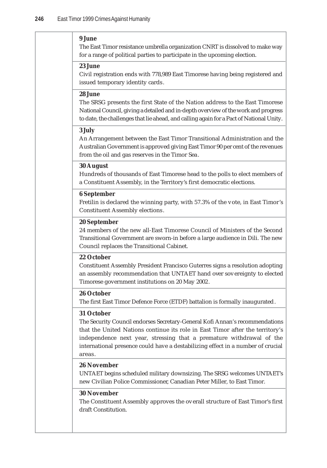#### **9 June**

The East Timor resistance umbrella organization CNRT is dissolved to make way for a range of political parties to participate in the upcoming election.

## **23 June**

Civil registration ends with 778,989 East Timorese having being registered and issued temporary identity cards.

# **28 June**

The SRSG presents the first State of the Nation address to the East Timorese National Council, giving a detailed and in-depth overview of the work and progress to date, the challenges that lie ahead, and calling again for a Pact of National Unity.

## **3 July**

An Arrangement between the East Timor Transitional Administration and the Australian Government is approved giving East Timor 90 per cent of the revenues from the oil and gas reserves in the Timor Sea.

## **30 August**

Hundreds of thousands of East Timorese head to the polls to elect members of a Constituent Assembly, in the Territory's first democratic elections.

# **6 September**

Fretilin is declared the winning party, with 57.3% of the vote, in East Timor's Constituent Assembly elections.

## **20 September**

24 members of the new all-East Timorese Council of Ministers of the Second Transitional Government are sworn-in before a large audience in Dili. The new Council replaces the Transitional Cabinet.

#### **22 October**

Constituent Assembly President Francisco Guterres signs a resolution adopting an assembly recommendation that UNTAET hand over sovereignty to elected Timorese government institutions on 20 May 2002.

# **26 October**

The first East Timor Defence Force (ETDF) battalion is formally inaugurated.

## **31 October**

The Security Council endorses Secretary-General Kofi Annan's recommendations that the United Nations continue its role in East Timor after the territory's independence next year, stressing that a premature withdrawal of the international presence could have a destabilizing effect in a number of crucial areas.

# **26 November**

UNTAET begins scheduled military downsizing. The SRSG welcomes UNTAET's new Civilian Police Commissioner, Canadian Peter Miller, to East Timor.

# **30 November**

The Constituent Assembly approves the overall structure of East Timor's first draft Constitution.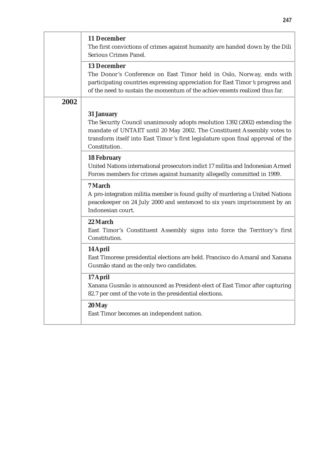|      | 11 December<br>The first convictions of crimes against humanity are handed down by the Dili<br>Serious Crimes Panel.                                                                                                                                       |
|------|------------------------------------------------------------------------------------------------------------------------------------------------------------------------------------------------------------------------------------------------------------|
|      | <b>13 December</b><br>The Donor's Conference on East Timor held in Oslo, Norway, ends with<br>participating countries expressing appreciation for East Timor's progress and<br>of the need to sustain the momentum of the achievements realized thus far.  |
| 2002 | <b>31 January</b>                                                                                                                                                                                                                                          |
|      | The Security Council unanimously adopts resolution 1392 (2002) extending the<br>mandate of UNTAET until 20 May 2002. The Constituent Assembly votes to<br>transform itself into East Timor's first legislature upon final approval of the<br>Constitution. |
|      | <b>18 February</b><br>United Nations international prosecutors indict 17 militia and Indonesian Armed<br>Forces members for crimes against humanity allegedly committed in 1999.                                                                           |
|      | 7 March<br>A pro-integration militia member is found guilty of murdering a United Nations<br>peacekeeper on 24 July 2000 and sentenced to six years imprisonment by an<br>Indonesian court.                                                                |
|      | 22 March<br>East Timor's Constituent Assembly signs into force the Territory's first<br>Constitution.                                                                                                                                                      |
|      | 14 April<br>East Timorese presidential elections are held. Francisco do Amaral and Xanana<br>Gusmão stand as the only two candidates.                                                                                                                      |
|      | 17 April<br>Xanana Gusmão is announced as President-elect of East Timor after capturing<br>82.7 per cent of the vote in the presidential elections.                                                                                                        |
|      | 20 May<br>East Timor becomes an independent nation.                                                                                                                                                                                                        |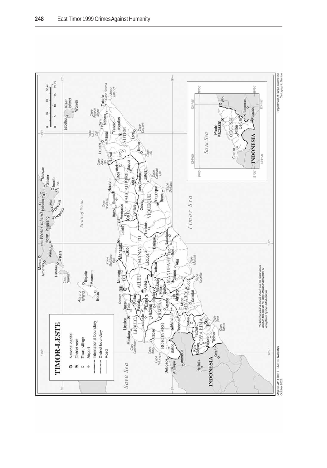

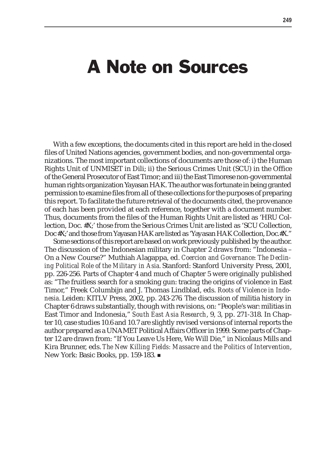# A Note on Sources

With a few exceptions, the documents cited in this report are held in the closed files of United Nations agencies, government bodies, and non-governmental organizations. The most important collections of documents are those of: i) the Human Rights Unit of UNMISET in Dili; ii) the Serious Crimes Unit (SCU) in the Office of the General Prosecutor of East Timor; and iii) the East Timorese non-governmental human rights organization Yayasan HAK. The author was fortunate in being granted permission to examine files from all of these collections for the purposes of preparing this report. To facilitate the future retrieval of the documents cited, the provenance of each has been provided at each reference, together with a document number. Thus, documents from the files of the Human Rights Unit are listed as 'HRU Collection, Doc. #X;' those from the Serious Crimes Unit are listed as 'SCU Collection, Doc #X;' and those from Yayasan HAK are listed as 'Yayasan HAK Collection, Doc.#X."

Some sections of this report are based on work previously published by the author. The discussion of the Indonesian military in Chapter 2 draws from: "Indonesia – On a New Course?" Muthiah Alagappa, ed. *Coercion and Governance: The Declining Political Role of the Military in Asia.* Stanford: Stanford University Press, 2001, pp. 226-256. Parts of Chapter 4 and much of Chapter 5 were originally published as: "The fruitless search for a smoking gun: tracing the origins of violence in East Timor," Freek Columbijn and J. Thomas Lindblad, eds. *Roots of Violence in Indonesia.* Leiden: KITLV Press, 2002, pp. 243-276*.* The discussion of militia history in Chapter 6 draws substantially, though with revisions, on: "People's war: militias in East Timor and Indonesia," *South East Asia Research*, 9, 3, pp. 271-318. In Chapter 10, case studies 10.6 and 10.7 are slightly revised versions of internal reports the author prepared as a UNAMET Political Affairs Officer in 1999. Some parts of Chapter 12 are drawn from: "If You Leave Us Here, We Will Die," in Nicolaus Mills and Kira Brunner, eds. *The New Killing Fields: Massacre and the Politics of Intervention*, New York: Basic Books, pp. 159-183. ■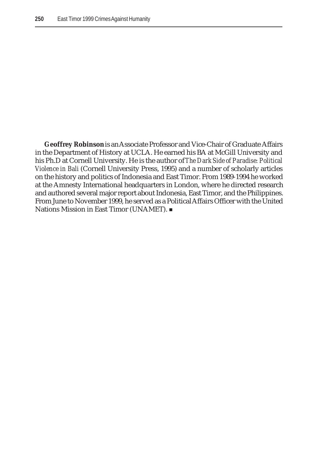**Geoffrey Robinson** is an Associate Professor and Vice-Chair of Graduate Affairs in the Department of History at UCLA. He earned his BA at McGill University and his Ph.D at Cornell University. He is the author of *The Dark Side of Paradise: Political Violence in Bali* (Cornell University Press, 1995) and a number of scholarly articles on the history and politics of Indonesia and East Timor. From 1989-1994 he worked at the Amnesty International headquarters in London, where he directed research and authored several major report about Indonesia, East Timor, and the Philippines. From June to November 1999, he served as a Political Affairs Officer with the United Nations Mission in East Timor (UNAMET).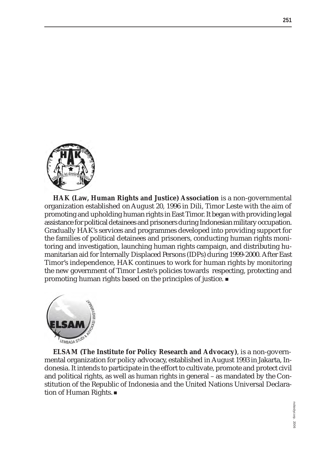

**HAK (Law, Human Rights and Justice) Association** is a non-governmental organization established on August 20, 1996 in Dili, Timor Leste with the aim of promoting and upholding human rights in East Timor. It began with providing legal assistance for political detainees and prisoners during Indonesian military occupation. Gradually HAK's services and programmes developed into providing support for the families of political detainees and prisoners, conducting human rights monitoring and investigation, launching human rights campaign, and distributing humanitarian aid for Internally Displaced Persons (IDPs) during 1999-2000. After East Timor's independence, HAK continues to work for human rights by monitoring the new government of Timor Leste's policies towards respecting, protecting and promoting human rights based on the principles of justice.



**ELSAM (The Institute for Policy Research and Advocacy)**, is a non-governmental organization for policy advocacy, established in August 1993 in Jakarta, Indonesia. It intends to participate in the effort to cultivate, promote and protect civil and political rights, as well as human rights in general – as mandated by the Constitution of the Republic of Indonesia and the United Nations Universal Declaration of Human Rights.

**251**